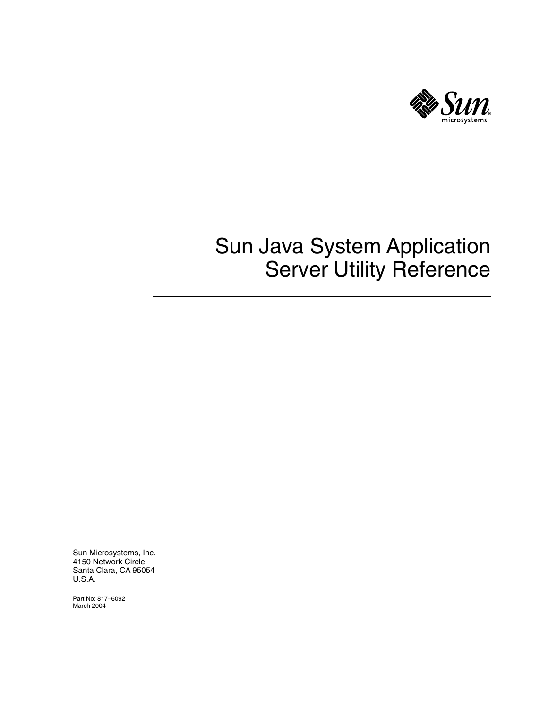

# Sun Java System Application Server Utility Reference

Sun Microsystems, Inc. 4150 Network Circle Santa Clara, CA 95054 U.S.A.

Part No: 817–6092 March 2004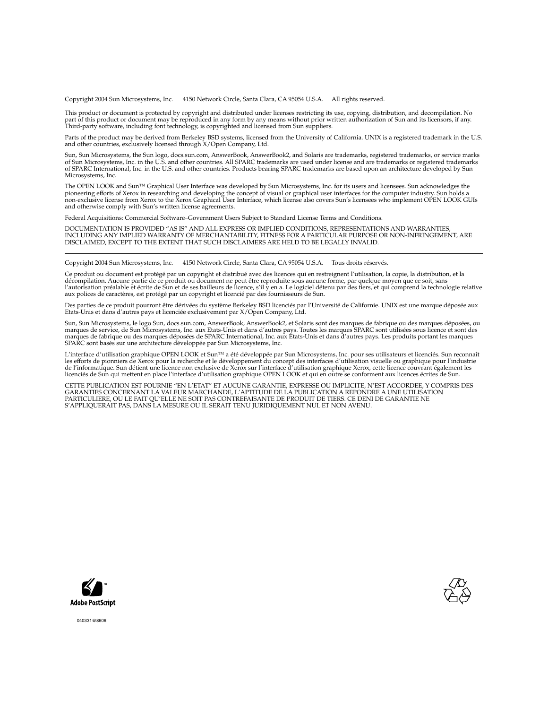Copyright 2004 Sun Microsystems, Inc. 4150 Network Circle, Santa Clara, CA 95054 U.S.A. All rights reserved.

This product or document is protected by copyright and distributed under licenses restricting its use, copying, distribution, and decompilation. No part of this product or document may be reproduced in any form by any means without prior written authorization of Sun and its licensors, if any.<br>Third-party software, including font technology, is copyrighted and licensed

Parts of the product may be derived from Berkeley BSD systems, licensed from the University of California. UNIX is a registered trademark in the U.S. and other countries, exclusively licensed through X/Open Company, Ltd.

Sun, Sun Microsystems, the Sun logo, docs.sun.com, AnswerBook, AnswerBook2, and Solaris are trademarks, registered trademarks, or service marks<br>of Sun Microsystems, Inc. in the U.S. and other countries. All SPARC trademark Microsystems, Inc.

The OPEN LOOK and Sun™ Graphical User Interface was developed by Sun Microsystems, Inc. for its users and licensees. Sun acknowledges the pioneering efforts of Xerox in researching and developing the concept of visual or graphical user interfaces for the computer industry. Sun holds a<br>non-exclusive license from Xerox to the Xerox Graphical User Interface, wh and otherwise comply with Sun's written license agreements.

Federal Acquisitions: Commercial Software–Government Users Subject to Standard License Terms and Conditions.

DOCUMENTATION IS PROVIDED "AS IS" AND ALL EXPRESS OR IMPLIED CONDITIONS, REPRESENTATIONS AND WARRANTIES,<br>INCLUDING ANY IMPLIED WARRANTY OF MERCHANTABILITY, FITNESS FOR A PARTICULAR PURPOSE OR NON-INFRINGEMENT, ARE<br>DISCLAIM

Copyright 2004 Sun Microsystems, Inc. 4150 Network Circle, Santa Clara, CA 95054 U.S.A. Tous droits réservés.

Ce produit ou document est protégé par un copyright et distribué avec des licences qui en restreignent l'utilisation, la copie, la distribution, et la décompilation. Aucune partie de ce produit ou document ne peut être reproduite sous aucune forme, par quelque moyen que ce soit, sans<br>l'autorisation préalable et écrite de Sun et de ses bailleurs de licence, s'il y en a. L aux polices de caractères, est protégé par un copyright et licencié par des fournisseurs de Sun.

Des parties de ce produit pourront être dérivées du système Berkeley BSD licenciés par l'Université de Californie. UNIX est une marque déposée aux Etats-Unis et dans d'autres pays et licenciée exclusivement par X/Open Company, Ltd.

Sun, Sun Microsystems, le logo Sun, docs.sun.com, AnswerBook, AnswerBook2, et Solaris sont des marques de fabrique ou des marques déposées, ou<br>marques de service, de Sun Microsystems, Inc. aux Etats-Unis et dans d'autres p

L'interface d'utilisation graphique OPEN LOOK et Sun™ a été développée par Sun Microsystems, Inc. pour ses utilisateurs et licenciés. Sun reconnaît les efforts de pionniers de Xerox pour la recherche et le développement du concept des interfaces d'utilisation visuelle ou graphique pour l'industrie de l'informatique. Sun détient une licence non exclusive de Xerox sur l'interface d'utilisation graphique Xerox, cette licence couvrant également les<br>licenciés de Sun qui mettent en place l'interface d'utilisation graphiqu

CETTE PUBLICATION EST FOURNIE "EN L'ETAT" ET AUCUNE GARANTIE, EXPRESSE OU IMPLICITE, N'EST ACCORDEE, Y COMPRIS DES GARANTIES CONCERNANT LA VALEUR MARCHANDE, L'APTITUDE DE LA PUBLICATION A REPONDRE A UNE UTILISATION PARTICULIERE, OU LE FAIT QU'ELLE NE SOIT PAS CONTREFAISANTE DE PRODUIT DE TIERS. CE DENI DE GARANTIE NE S'APPLIQUERAIT PAS, DANS LA MESURE OU IL SERAIT TENU JURIDIQUEMENT NUL ET NON AVENU.





040331@8606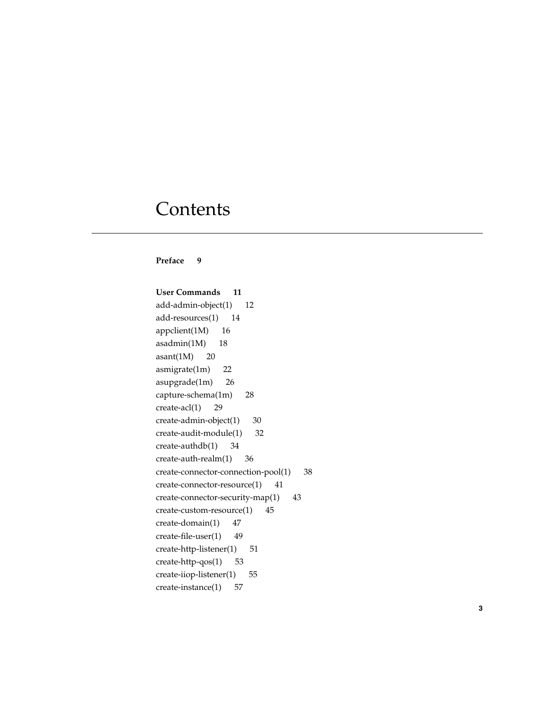## **Contents**

**[Preface 9](#page-8-0)**

**[User Commands 11](#page-10-0)** [add-admin-object\(1\) 12](#page-11-0) [add-resources\(1\) 14](#page-13-0) [appclient\(1M\) 16](#page-15-0) [asadmin\(1M\) 18](#page-17-0)  $asant(1M)$  20 [asmigrate\(1m\) 22](#page-21-0) [asupgrade\(1m\) 26](#page-25-0) [capture-schema\(1m\) 28](#page-27-0) [create-acl\(1\) 29](#page-28-0) [create-admin-object\(1\) 30](#page-29-0) [create-audit-module\(1\) 32](#page-31-0) [create-authdb\(1\) 34](#page-33-0) [create-auth-realm\(1\) 36](#page-35-0) [create-connector-connection-pool\(1\) 38](#page-37-0) [create-connector-resource\(1\) 41](#page-40-0) [create-connector-security-map\(1\) 43](#page-42-0) [create-custom-resource\(1\) 45](#page-44-0) [create-domain\(1\) 47](#page-46-0) [create-file-user\(1\) 49](#page-48-0) [create-http-listener\(1\) 51](#page-50-0) [create-http-qos\(1\) 53](#page-52-0) [create-iiop-listener\(1\) 55](#page-54-0) [create-instance\(1\) 57](#page-56-0)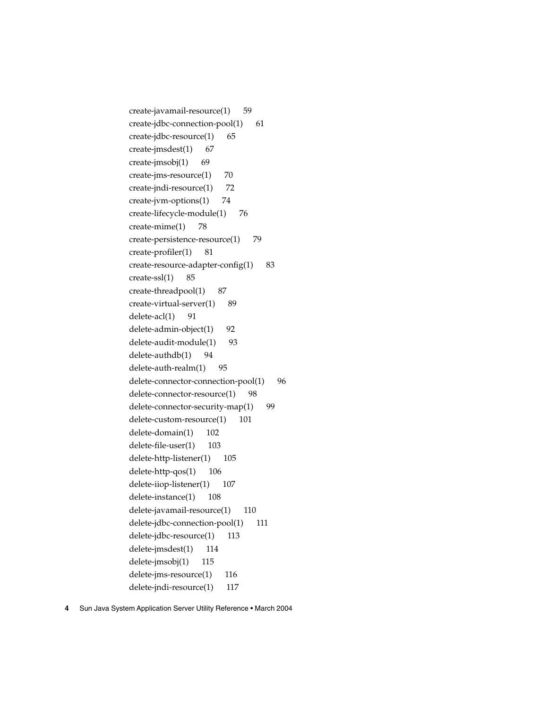[create-javamail-resource\(1\) 59](#page-58-0) [create-jdbc-connection-pool\(1\) 61](#page-60-0) [create-jdbc-resource\(1\) 65](#page-64-0) [create-jmsdest\(1\) 67](#page-66-0) [create-jmsobj\(1\) 69](#page-68-0) [create-jms-resource\(1\) 70](#page-69-0) [create-jndi-resource\(1\) 72](#page-71-0) [create-jvm-options\(1\) 74](#page-73-0) [create-lifecycle-module\(1\) 76](#page-75-0) [create-mime\(1\) 78](#page-77-0) [create-persistence-resource\(1\) 79](#page-78-0) [create-profiler\(1\) 81](#page-80-0) [create-resource-adapter-config\(1\) 83](#page-82-0)  $create-ssl(1)$  85 [create-threadpool\(1\) 87](#page-86-0) [create-virtual-server\(1\) 89](#page-88-0)  $delete-acl(1)$  91 [delete-admin-object\(1\) 92](#page-91-0) [delete-audit-module\(1\) 93](#page-92-0) [delete-authdb\(1\) 94](#page-93-0) [delete-auth-realm\(1\) 95](#page-94-0) [delete-connector-connection-pool\(1\) 96](#page-95-0) [delete-connector-resource\(1\) 98](#page-97-0) [delete-connector-security-map\(1\) 99](#page-98-0) [delete-custom-resource\(1\) 101](#page-100-0) [delete-domain\(1\) 102](#page-101-0) [delete-file-user\(1\) 103](#page-102-0) [delete-http-listener\(1\) 105](#page-104-0) [delete-http-qos\(1\) 106](#page-105-0) [delete-iiop-listener\(1\) 107](#page-106-0) [delete-instance\(1\) 108](#page-107-0) [delete-javamail-resource\(1\) 110](#page-109-0) [delete-jdbc-connection-pool\(1\) 111](#page-110-0) [delete-jdbc-resource\(1\) 113](#page-112-0) [delete-jmsdest\(1\) 114](#page-113-0) [delete-jmsobj\(1\) 115](#page-114-0) [delete-jms-resource\(1\) 116](#page-115-0) [delete-jndi-resource\(1\) 117](#page-116-0)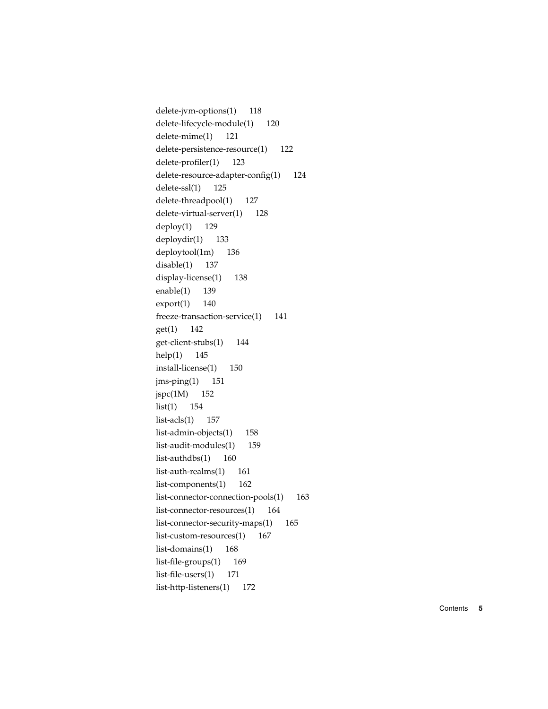[delete-jvm-options\(1\) 118](#page-117-0) [delete-lifecycle-module\(1\) 120](#page-119-0) [delete-mime\(1\) 121](#page-120-0) [delete-persistence-resource\(1\) 122](#page-121-0) delete-pro [filer\(1\) 123](#page-122-0) [delete-resource-adapter-con](#page-123-0) fig(1) 124 [delete-ssl\(1\) 125](#page-124-0) [delete-threadpool\(1\) 127](#page-126-0) [delete-virtual-server\(1\) 128](#page-127-0) [deploy\(1\) 129](#page-128-0) [deploydir\(1\) 133](#page-132-0) [deploytool\(1m\) 136](#page-135-0) [disable\(1\) 137](#page-136-0) [display-license\(1\) 138](#page-137-0) [enable\(1\) 139](#page-138-0) [export\(1\) 140](#page-139-0) [freeze-transaction-service\(1\) 141](#page-140-0) [get\(1\) 142](#page-141-0) [get-client-stubs\(1\) 144](#page-143-0) [help\(1\) 145](#page-144-0) [install-license\(1\) 150](#page-149-0) [jms-ping\(1\) 151](#page-150-0) [jspc\(1M\) 152](#page-151-0) [list\(1\) 154](#page-153-0) [list-acls\(1\) 157](#page-156-0) [list-admin-objects\(1\) 158](#page-157-0) [list-audit-modules\(1\) 159](#page-158-0) [list-authdbs\(1\) 160](#page-159-0) [list-auth-realms\(1\) 161](#page-160-0) [list-components\(1\) 162](#page-161-0) [list-connector-connection-pools\(1\) 163](#page-162-0) [list-connector-resources\(1\) 164](#page-163-0) [list-connector-security-maps\(1\) 165](#page-164-0) [list-custom-resources\(1\) 167](#page-166-0) [list-domains\(1\) 168](#page-167-0) list-[file-groups\(1\) 169](#page-168-0) list-[file-users\(1\) 171](#page-170-0) [list-http-listeners\(1\) 172](#page-171-0)

Contents **5**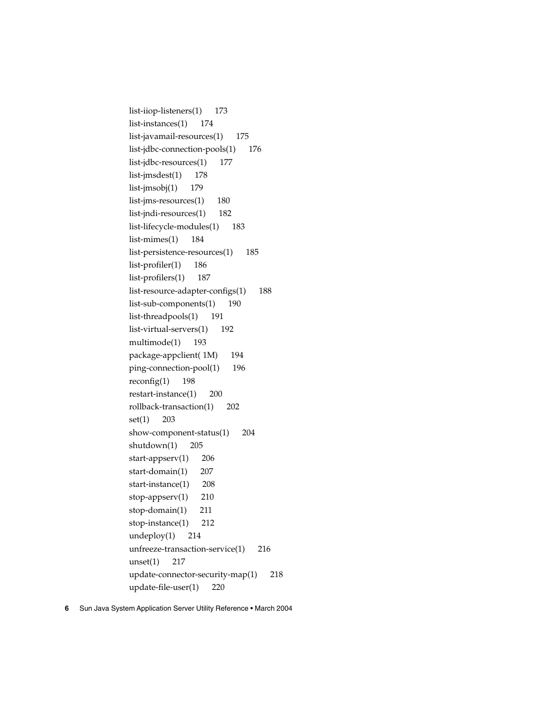[list-iiop-listeners\(1\) 173](#page-172-0) [list-instances\(1\) 174](#page-173-0) [list-javamail-resources\(1\) 175](#page-174-0) [list-jdbc-connection-pools\(1\) 176](#page-175-0) [list-jdbc-resources\(1\) 177](#page-176-0) [list-jmsdest\(1\) 178](#page-177-0) [list-jmsobj\(1\) 179](#page-178-0) [list-jms-resources\(1\) 180](#page-179-0) [list-jndi-resources\(1\) 182](#page-181-0) [list-lifecycle-modules\(1\) 183](#page-182-0) [list-mimes\(1\) 184](#page-183-0) [list-persistence-resources\(1\) 185](#page-184-0) [list-profiler\(1\) 186](#page-185-0) [list-profilers\(1\) 187](#page-186-0) [list-resource-adapter-configs\(1\) 188](#page-187-0) [list-sub-components\(1\) 190](#page-189-0) [list-threadpools\(1\) 191](#page-190-0) [list-virtual-servers\(1\) 192](#page-191-0) [multimode\(1\) 193](#page-192-0) [package-appclient\( 1M\) 194](#page-193-0) [ping-connection-pool\(1\) 196](#page-195-0) [reconfig\(1\) 198](#page-197-0) [restart-instance\(1\) 200](#page-199-0) [rollback-transaction\(1\) 202](#page-201-0) [set\(1\) 203](#page-202-0) [show-component-status\(1\) 204](#page-203-0) [shutdown\(1\) 205](#page-204-0) [start-appserv\(1\) 206](#page-205-0) [start-domain\(1\) 207](#page-206-0) [start-instance\(1\) 208](#page-207-0) [stop-appserv\(1\) 210](#page-209-0) [stop-domain\(1\) 211](#page-210-0) [stop-instance\(1\) 212](#page-211-0) [undeploy\(1\) 214](#page-213-0) [unfreeze-transaction-service\(1\) 216](#page-215-0) [unset\(1\) 217](#page-216-0) [update-connector-security-map\(1\) 218](#page-217-0) [update-file-user\(1\) 220](#page-219-0)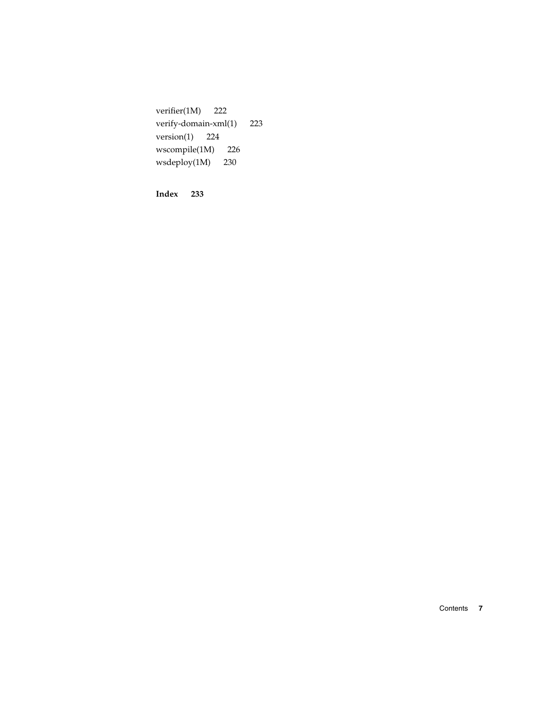[verifier\(1M\) 222](#page-221-0) [verify-domain-xml\(1\) 223](#page-222-0) [version\(1\) 224](#page-223-0) [wscompile\(1M\) 226](#page-225-0) [wsdeploy\(1M\) 230](#page-229-0)

**[Index 233](#page-232-0)**

Contents **7**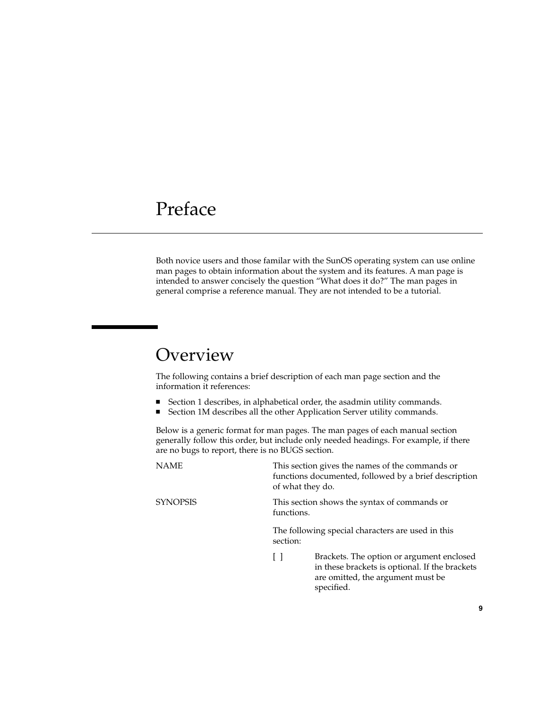## <span id="page-8-0"></span>Preface

Both novice users and those familar with the SunOS operating system can use online man pages to obtain information about the system and its features. A man page is intended to answer concisely the question "What does it do?" The man pages in general comprise a reference manual. They are not intended to be a tutorial.

## **Overview**

The following contains a brief description of each man page section and the information it references:

- Section 1 describes, in alphabetical order, the asadmin utility commands.
- Section 1M describes all the other Application Server utility commands.

Below is a generic format for man pages. The man pages of each manual section generally follow this order, but include only needed headings. For example, if there are no bugs to report, there is no BUGS section.

| NAME     | This section gives the names of the commands or<br>functions documented, followed by a brief description<br>of what they do. |                                                                                                                                                |
|----------|------------------------------------------------------------------------------------------------------------------------------|------------------------------------------------------------------------------------------------------------------------------------------------|
| SYNOPSIS | This section shows the syntax of commands or<br>functions.                                                                   |                                                                                                                                                |
|          | section:                                                                                                                     | The following special characters are used in this                                                                                              |
|          | $\Box$                                                                                                                       | Brackets. The option or argument enclosed<br>in these brackets is optional. If the brackets<br>are omitted, the argument must be<br>specified. |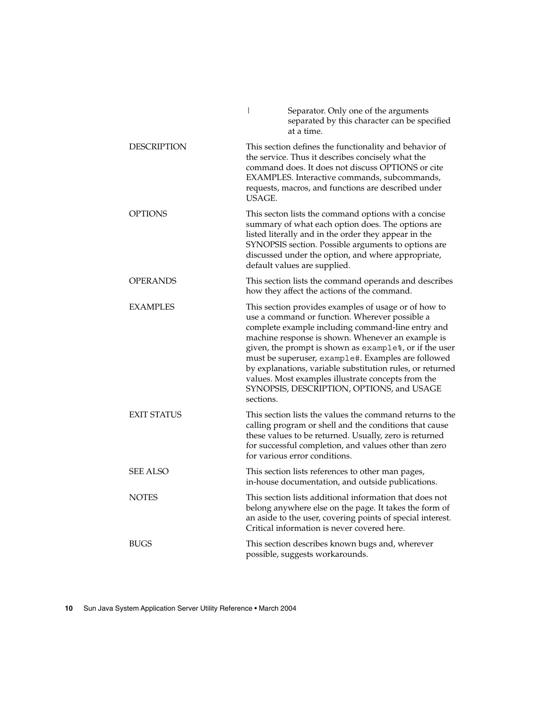|                    | I<br>Separator. Only one of the arguments<br>separated by this character can be specified<br>at a time.                                                                                                                                                                                                                                                                                                                                                                                                       |
|--------------------|---------------------------------------------------------------------------------------------------------------------------------------------------------------------------------------------------------------------------------------------------------------------------------------------------------------------------------------------------------------------------------------------------------------------------------------------------------------------------------------------------------------|
| <b>DESCRIPTION</b> | This section defines the functionality and behavior of<br>the service. Thus it describes concisely what the<br>command does. It does not discuss OPTIONS or cite<br>EXAMPLES. Interactive commands, subcommands,<br>requests, macros, and functions are described under<br>USAGE.                                                                                                                                                                                                                             |
| <b>OPTIONS</b>     | This secton lists the command options with a concise<br>summary of what each option does. The options are<br>listed literally and in the order they appear in the<br>SYNOPSIS section. Possible arguments to options are<br>discussed under the option, and where appropriate,<br>default values are supplied.                                                                                                                                                                                                |
| OPERANDS           | This section lists the command operands and describes<br>how they affect the actions of the command.                                                                                                                                                                                                                                                                                                                                                                                                          |
| <b>EXAMPLES</b>    | This section provides examples of usage or of how to<br>use a command or function. Wherever possible a<br>complete example including command-line entry and<br>machine response is shown. Whenever an example is<br>given, the prompt is shown as example%, or if the user<br>must be superuser, example#. Examples are followed<br>by explanations, variable substitution rules, or returned<br>values. Most examples illustrate concepts from the<br>SYNOPSIS, DESCRIPTION, OPTIONS, and USAGE<br>sections. |
| <b>EXIT STATUS</b> | This section lists the values the command returns to the<br>calling program or shell and the conditions that cause<br>these values to be returned. Usually, zero is returned<br>for successful completion, and values other than zero<br>for various error conditions.                                                                                                                                                                                                                                        |
| <b>SEE ALSO</b>    | This section lists references to other man pages,<br>in-house documentation, and outside publications.                                                                                                                                                                                                                                                                                                                                                                                                        |
| <b>NOTES</b>       | This section lists additional information that does not<br>belong anywhere else on the page. It takes the form of<br>an aside to the user, covering points of special interest.<br>Critical information is never covered here.                                                                                                                                                                                                                                                                                |
| <b>BUGS</b>        | This section describes known bugs and, wherever<br>possible, suggests workarounds.                                                                                                                                                                                                                                                                                                                                                                                                                            |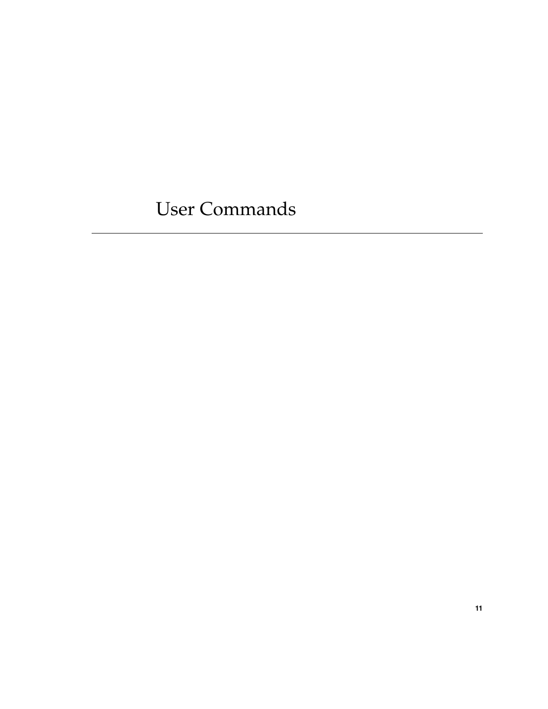<span id="page-10-0"></span>User Commands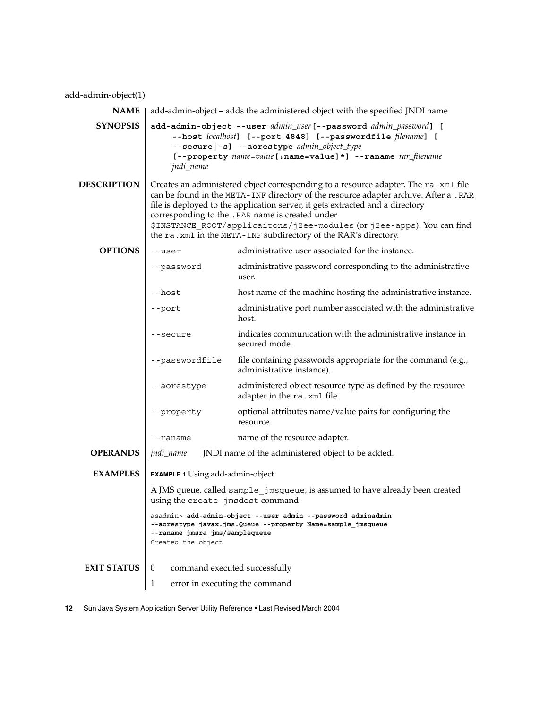<span id="page-11-0"></span>

| add-admin-object(1) |                                                                                                                                                                                                                                                                                                                                                                                                                                                                  |                                                                                              |  |
|---------------------|------------------------------------------------------------------------------------------------------------------------------------------------------------------------------------------------------------------------------------------------------------------------------------------------------------------------------------------------------------------------------------------------------------------------------------------------------------------|----------------------------------------------------------------------------------------------|--|
| <b>NAME</b>         | add-admin-object – adds the administered object with the specified JNDI name                                                                                                                                                                                                                                                                                                                                                                                     |                                                                                              |  |
| <b>SYNOPSIS</b>     | add-admin-object --user admin_user [--password admin_password] [<br>--host localhost] [--port 4848] [--passwordfile filename] [<br>--secure   -s] --aorestype admin_object_type<br>[--property name=value [:name=value]*] --raname rar_filename<br>jndi_name                                                                                                                                                                                                     |                                                                                              |  |
| <b>DESCRIPTION</b>  | Creates an administered object corresponding to a resource adapter. The ra. xml file<br>can be found in the META-INF directory of the resource adapter archive. After a . RAR<br>file is deployed to the application server, it gets extracted and a directory<br>corresponding to the . RAR name is created under<br>\$INSTANCE_ROOT/applicaitons/j2ee-modules (or j2ee-apps). You can find<br>the ra. xml in the META-INF subdirectory of the RAR's directory. |                                                                                              |  |
| <b>OPTIONS</b>      | --user                                                                                                                                                                                                                                                                                                                                                                                                                                                           | administrative user associated for the instance.                                             |  |
|                     | --password                                                                                                                                                                                                                                                                                                                                                                                                                                                       | administrative password corresponding to the administrative<br>user.                         |  |
|                     | --host                                                                                                                                                                                                                                                                                                                                                                                                                                                           | host name of the machine hosting the administrative instance.                                |  |
|                     | --port                                                                                                                                                                                                                                                                                                                                                                                                                                                           | administrative port number associated with the administrative<br>host.                       |  |
|                     | --secure                                                                                                                                                                                                                                                                                                                                                                                                                                                         | indicates communication with the administrative instance in<br>secured mode.                 |  |
|                     | --passwordfile                                                                                                                                                                                                                                                                                                                                                                                                                                                   | file containing passwords appropriate for the command (e.g.,<br>administrative instance).    |  |
|                     | --aorestype                                                                                                                                                                                                                                                                                                                                                                                                                                                      | administered object resource type as defined by the resource<br>adapter in the ra. xml file. |  |
|                     | optional attributes name/value pairs for configuring the<br>--property<br>resource.                                                                                                                                                                                                                                                                                                                                                                              |                                                                                              |  |
|                     | --raname                                                                                                                                                                                                                                                                                                                                                                                                                                                         | name of the resource adapter.                                                                |  |
| <b>OPERANDS</b>     | jndi_name<br>JNDI name of the administered object to be added.                                                                                                                                                                                                                                                                                                                                                                                                   |                                                                                              |  |
| <b>EXAMPLES</b>     | <b>EXAMPLE 1 Using add-admin-object</b>                                                                                                                                                                                                                                                                                                                                                                                                                          |                                                                                              |  |
|                     | A JMS queue, called sample_jmsqueue, is assumed to have already been created<br>using the create-jmsdest command.                                                                                                                                                                                                                                                                                                                                                |                                                                                              |  |
|                     | asadmin> add-admin-object --user admin --password adminadmin<br>--aorestype javax.jms. Queue --property Name=sample jmsqueue<br>--raname jmsra jms/samplequeue<br>Created the object                                                                                                                                                                                                                                                                             |                                                                                              |  |
| <b>EXIT STATUS</b>  | $\theta$<br>command executed successfully                                                                                                                                                                                                                                                                                                                                                                                                                        |                                                                                              |  |
|                     | error in executing the command<br>$\mathbf{1}$                                                                                                                                                                                                                                                                                                                                                                                                                   |                                                                                              |  |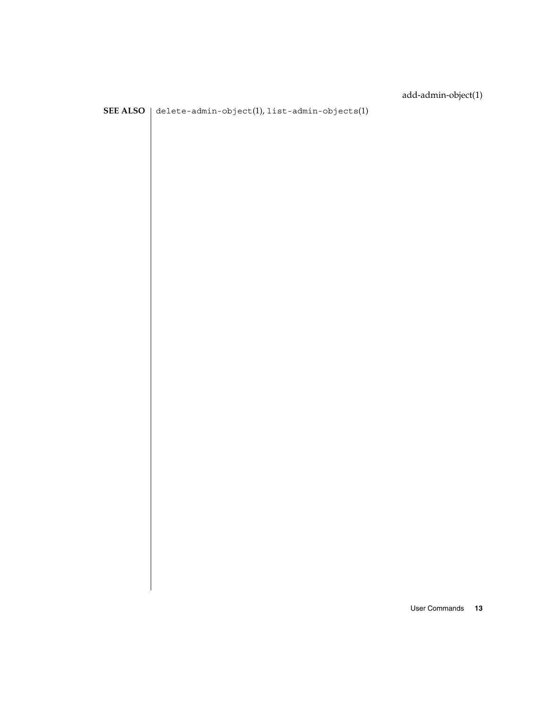add-admin-object(1)

 $\textbf{SEE \, ALSO} \, \mid \, \text{delete-admin-object(1), list-admin-objects(1)}$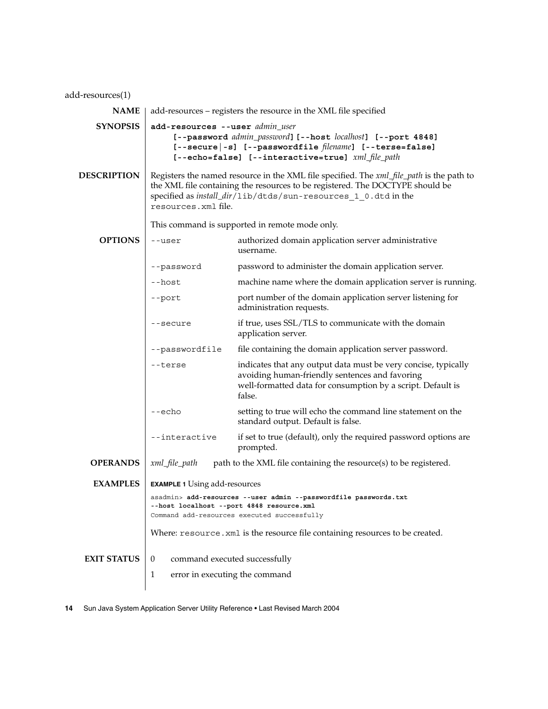<span id="page-13-0"></span>

| add-resources(1)   |                                                                                                                                                                                                                                                                           |                                                                                                                                                                                           |
|--------------------|---------------------------------------------------------------------------------------------------------------------------------------------------------------------------------------------------------------------------------------------------------------------------|-------------------------------------------------------------------------------------------------------------------------------------------------------------------------------------------|
| <b>NAME</b>        | add-resources – registers the resource in the XML file specified                                                                                                                                                                                                          |                                                                                                                                                                                           |
| <b>SYNOPSIS</b>    | add-resources --user admin_user<br>[--password admin_password] [--host localhost] [--port 4848]<br>[--secure   -s] [--passwordfile filename] [--terse=false]<br>[--echo=false] [--interactive=true] xml_file_path                                                         |                                                                                                                                                                                           |
| <b>DESCRIPTION</b> | Registers the named resource in the XML file specified. The <i>xml_file_path</i> is the path to<br>the XML file containing the resources to be registered. The DOCTYPE should be<br>specified as install_dir/lib/dtds/sun-resources_1_0.dtd in the<br>resources.xml file. |                                                                                                                                                                                           |
|                    |                                                                                                                                                                                                                                                                           | This command is supported in remote mode only.                                                                                                                                            |
| <b>OPTIONS</b>     | --user                                                                                                                                                                                                                                                                    | authorized domain application server administrative<br>username.                                                                                                                          |
|                    | --password                                                                                                                                                                                                                                                                | password to administer the domain application server.                                                                                                                                     |
|                    | --host                                                                                                                                                                                                                                                                    | machine name where the domain application server is running.                                                                                                                              |
|                    | --port                                                                                                                                                                                                                                                                    | port number of the domain application server listening for<br>administration requests.                                                                                                    |
|                    | --secure                                                                                                                                                                                                                                                                  | if true, uses SSL/TLS to communicate with the domain<br>application server.                                                                                                               |
|                    | --passwordfile                                                                                                                                                                                                                                                            | file containing the domain application server password.                                                                                                                                   |
|                    | --terse                                                                                                                                                                                                                                                                   | indicates that any output data must be very concise, typically<br>avoiding human-friendly sentences and favoring<br>well-formatted data for consumption by a script. Default is<br>false. |
|                    | --echo                                                                                                                                                                                                                                                                    | setting to true will echo the command line statement on the<br>standard output. Default is false.                                                                                         |
|                    | --interactive                                                                                                                                                                                                                                                             | if set to true (default), only the required password options are<br>prompted.                                                                                                             |
| <b>OPERANDS</b>    | xml_file_path                                                                                                                                                                                                                                                             | path to the XML file containing the resource(s) to be registered.                                                                                                                         |
| <b>EXAMPLES</b>    | <b>EXAMPLE 1 Using add-resources</b>                                                                                                                                                                                                                                      |                                                                                                                                                                                           |
|                    | asadmin> add-resources --user admin --passwordfile passwords.txt                                                                                                                                                                                                          |                                                                                                                                                                                           |
|                    | --host localhost --port 4848 resource.xml<br>Command add-resources executed successfully                                                                                                                                                                                  |                                                                                                                                                                                           |
|                    | Where: resource.xml is the resource file containing resources to be created.                                                                                                                                                                                              |                                                                                                                                                                                           |
| <b>EXIT STATUS</b> | command executed successfully<br>0                                                                                                                                                                                                                                        |                                                                                                                                                                                           |
|                    | $\mathbf{1}$<br>error in executing the command                                                                                                                                                                                                                            |                                                                                                                                                                                           |
|                    |                                                                                                                                                                                                                                                                           |                                                                                                                                                                                           |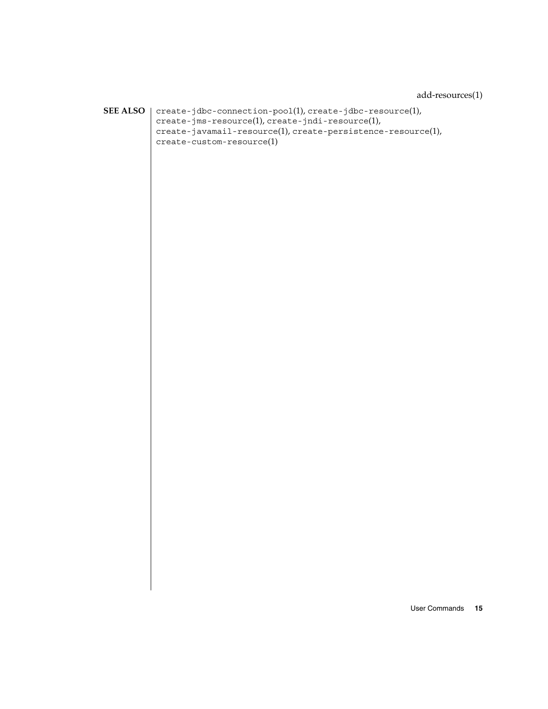add-resources(1)

 $\textbf{SEE \, ALSO} \, \mid \, \text{create-jdbc-connection-pool(1)}$ ,  $\text{create-jdbc-resource(1)}$ , create-jms-resource(1), create-jndi-resource(1), create-javamail-resource(1), create-persistence-resource(1), create-custom-resource(1)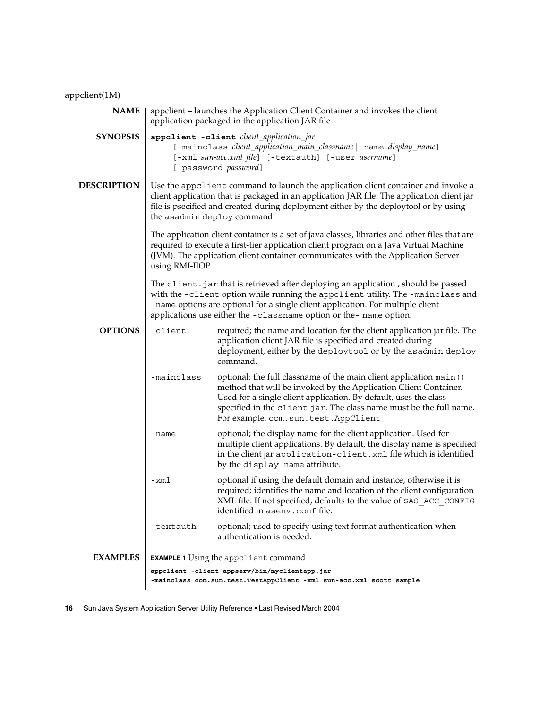## <span id="page-15-0"></span>appclient(1M)

| <b>NAME</b>        | appclient - launches the Application Client Container and invokes the client<br>application packaged in the application JAR file                                                                                                                                                                                              |                                                                                                                                                                                                                                                                                                                          |  |
|--------------------|-------------------------------------------------------------------------------------------------------------------------------------------------------------------------------------------------------------------------------------------------------------------------------------------------------------------------------|--------------------------------------------------------------------------------------------------------------------------------------------------------------------------------------------------------------------------------------------------------------------------------------------------------------------------|--|
| <b>SYNOPSIS</b>    | appclient -client client_application_jar<br>[-mainclass client_application_main_classname   - name display_name]<br>[-xml sun-acc.xml file] [-textauth] [-user username]<br>[-password password]                                                                                                                              |                                                                                                                                                                                                                                                                                                                          |  |
| <b>DESCRIPTION</b> | Use the appclient command to launch the application client container and invoke a<br>client application that is packaged in an application JAR file. The application client jar<br>file is psecified and created during deployment either by the deploytool or by using<br>the asadmin deploy command.                        |                                                                                                                                                                                                                                                                                                                          |  |
|                    | The application client container is a set of java classes, libraries and other files that are<br>required to execute a first-tier application client program on a Java Virtual Machine<br>(JVM). The application client container communicates with the Application Server<br>using RMI-IIOP.                                 |                                                                                                                                                                                                                                                                                                                          |  |
|                    | The client.jar that is retrieved after deploying an application, should be passed<br>with the -client option while running the appclient utility. The -mainclass and<br>-name options are optional for a single client application. For multiple client<br>applications use either the -classname option or the- name option. |                                                                                                                                                                                                                                                                                                                          |  |
| <b>OPTIONS</b>     | -client                                                                                                                                                                                                                                                                                                                       | required; the name and location for the client application jar file. The<br>application client JAR file is specified and created during<br>deployment, either by the deploytool or by the asadmin deploy<br>command.                                                                                                     |  |
|                    | -mainclass                                                                                                                                                                                                                                                                                                                    | optional; the full classname of the main client application main ()<br>method that will be invoked by the Application Client Container.<br>Used for a single client application. By default, uses the class<br>specified in the client jar. The class name must be the full name.<br>For example, com.sun.test.AppClient |  |
|                    | -name                                                                                                                                                                                                                                                                                                                         | optional; the display name for the client application. Used for<br>multiple client applications. By default, the display name is specified<br>in the client jar application-client. xml file which is identified<br>by the display-name attribute.                                                                       |  |
|                    | -xml                                                                                                                                                                                                                                                                                                                          | optional if using the default domain and instance, otherwise it is<br>required; identifies the name and location of the client configuration<br>XML file. If not specified, defaults to the value of \$AS_ACC_CONFIG<br>identified in aseny.conf file.                                                                   |  |
|                    | -textauth                                                                                                                                                                                                                                                                                                                     | optional; used to specify using text format authentication when<br>authentication is needed.                                                                                                                                                                                                                             |  |
| <b>EXAMPLES</b>    |                                                                                                                                                                                                                                                                                                                               | <b>EXAMPLE 1 Using the appclient command</b>                                                                                                                                                                                                                                                                             |  |
|                    |                                                                                                                                                                                                                                                                                                                               | appclient -client appserv/bin/myclientapp.jar<br>-mainclass com.sun.test.TestAppClient -xml sun-acc.xml scott sample                                                                                                                                                                                                     |  |
|                    |                                                                                                                                                                                                                                                                                                                               |                                                                                                                                                                                                                                                                                                                          |  |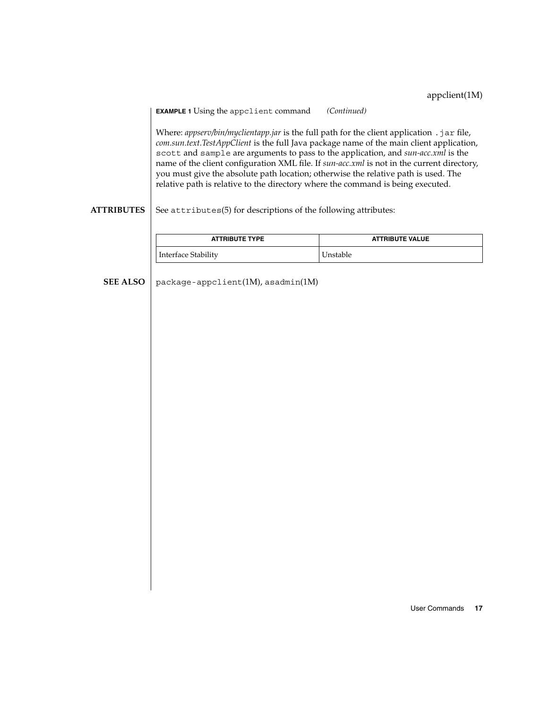**EXAMPLE 1** Using the appclient command *(Continued)*

Where: *appserv/bin/myclientapp.jar* is the full path for the client application .jar file, *com.sun.text.TestAppClient* is the full Java package name of the main client application, scott and sample are arguments to pass to the application, and *sun-acc.xml* is the name of the client configuration XML file. If *sun-acc.xml* is not in the current directory, you must give the absolute path location; otherwise the relative path is used. The relative path is relative to the directory where the command is being executed.

#### See attributes(5) for descriptions of the following attributes: **ATTRIBUTES**

| <b>ATTRIBUTE TYPE</b> | <b>ATTRIBUTE VALUE</b> |
|-----------------------|------------------------|
| Interface Stability   | Jnstable               |

package-appclient(1M), asadmin(1M) **SEE ALSO**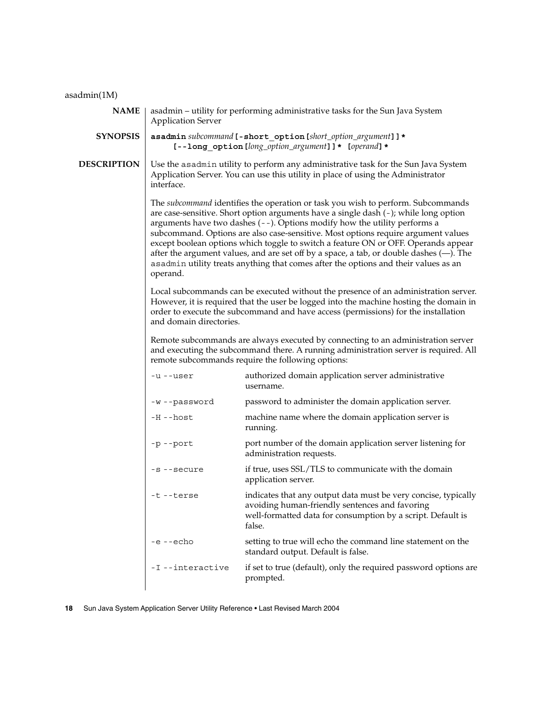## <span id="page-17-0"></span>asadmin(1M)

| <b>NAME</b>        | asadmin – utility for performing administrative tasks for the Sun Java System<br><b>Application Server</b>                                                                                                                                                                                                                                                                                                                                                                                                                                                                                                                           |                                                                                                                                                                                           |  |
|--------------------|--------------------------------------------------------------------------------------------------------------------------------------------------------------------------------------------------------------------------------------------------------------------------------------------------------------------------------------------------------------------------------------------------------------------------------------------------------------------------------------------------------------------------------------------------------------------------------------------------------------------------------------|-------------------------------------------------------------------------------------------------------------------------------------------------------------------------------------------|--|
| <b>SYNOPSIS</b>    | asadmin subcommand [-short option [short_option_argument]] *<br>[--long option [long_option_argument]] * [operand] *                                                                                                                                                                                                                                                                                                                                                                                                                                                                                                                 |                                                                                                                                                                                           |  |
| <b>DESCRIPTION</b> | Use the asadmin utility to perform any administrative task for the Sun Java System<br>Application Server. You can use this utility in place of using the Administrator<br>interface.                                                                                                                                                                                                                                                                                                                                                                                                                                                 |                                                                                                                                                                                           |  |
|                    | The subcommand identifies the operation or task you wish to perform. Subcommands<br>are case-sensitive. Short option arguments have a single dash (-); while long option<br>arguments have two dashes $(-)$ . Options modify how the utility performs a<br>subcommand. Options are also case-sensitive. Most options require argument values<br>except boolean options which toggle to switch a feature ON or OFF. Operands appear<br>after the argument values, and are set off by a space, a tab, or double dashes $(-)$ . The<br>as admin utility treats anything that comes after the options and their values as an<br>operand. |                                                                                                                                                                                           |  |
|                    | Local subcommands can be executed without the presence of an administration server.<br>However, it is required that the user be logged into the machine hosting the domain in<br>order to execute the subcommand and have access (permissions) for the installation<br>and domain directories.                                                                                                                                                                                                                                                                                                                                       |                                                                                                                                                                                           |  |
|                    | Remote subcommands are always executed by connecting to an administration server<br>and executing the subcommand there. A running administration server is required. All<br>remote subcommands require the following options:                                                                                                                                                                                                                                                                                                                                                                                                        |                                                                                                                                                                                           |  |
|                    | authorized domain application server administrative<br>$-u - user$<br>username.                                                                                                                                                                                                                                                                                                                                                                                                                                                                                                                                                      |                                                                                                                                                                                           |  |
|                    | -w--password                                                                                                                                                                                                                                                                                                                                                                                                                                                                                                                                                                                                                         | password to administer the domain application server.                                                                                                                                     |  |
|                    | -H --host                                                                                                                                                                                                                                                                                                                                                                                                                                                                                                                                                                                                                            | machine name where the domain application server is<br>running.                                                                                                                           |  |
|                    | $-p$ --port                                                                                                                                                                                                                                                                                                                                                                                                                                                                                                                                                                                                                          | port number of the domain application server listening for<br>administration requests.                                                                                                    |  |
|                    | -s--secure                                                                                                                                                                                                                                                                                                                                                                                                                                                                                                                                                                                                                           | if true, uses SSL/TLS to communicate with the domain<br>application server.                                                                                                               |  |
|                    | -t --terse                                                                                                                                                                                                                                                                                                                                                                                                                                                                                                                                                                                                                           | indicates that any output data must be very concise, typically<br>avoiding human-friendly sentences and favoring<br>well-formatted data for consumption by a script. Default is<br>false. |  |
|                    | -e --echo                                                                                                                                                                                                                                                                                                                                                                                                                                                                                                                                                                                                                            | setting to true will echo the command line statement on the<br>standard output. Default is false.                                                                                         |  |
|                    | -I--interactive                                                                                                                                                                                                                                                                                                                                                                                                                                                                                                                                                                                                                      | if set to true (default), only the required password options are<br>prompted.                                                                                                             |  |
|                    |                                                                                                                                                                                                                                                                                                                                                                                                                                                                                                                                                                                                                                      |                                                                                                                                                                                           |  |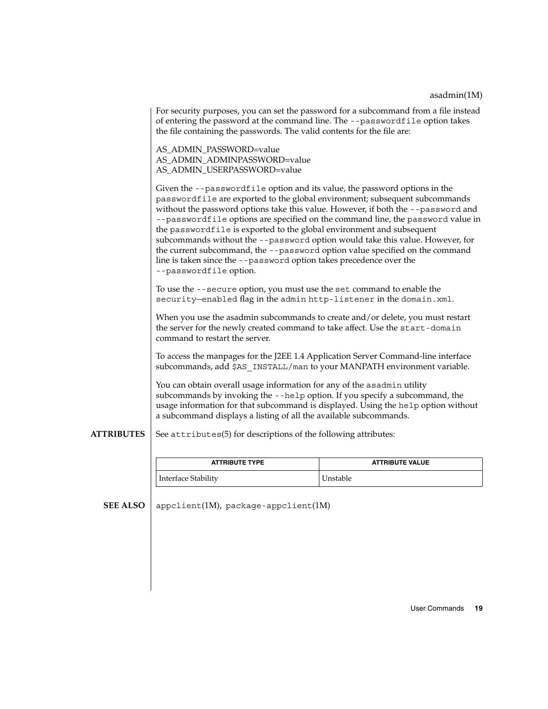| For security purposes, you can set the password for a subcommand from a file instead<br>of entering the password at the command line. The --passwordfile option takes<br>the file containing the passwords. The valid contents for the file are:                                                                                                                                                                                                                                                                                                                                                                                                                             |                        |  |
|------------------------------------------------------------------------------------------------------------------------------------------------------------------------------------------------------------------------------------------------------------------------------------------------------------------------------------------------------------------------------------------------------------------------------------------------------------------------------------------------------------------------------------------------------------------------------------------------------------------------------------------------------------------------------|------------------------|--|
| AS_ADMIN_PASSWORD=value<br>AS_ADMIN_ADMINPASSWORD=value<br>AS_ADMIN_USERPASSWORD=value                                                                                                                                                                                                                                                                                                                                                                                                                                                                                                                                                                                       |                        |  |
| Given the --passwordfile option and its value, the password options in the<br>passwordfile are exported to the global environment; subsequent subcommands<br>without the password options take this value. However, if both the --password and<br>--passwordfile options are specified on the command line, the password value in<br>the passwordfile is exported to the global environment and subsequent<br>subcommands without the --password option would take this value. However, for<br>the current subcommand, the --password option value specified on the command<br>line is taken since the --password option takes precedence over the<br>--passwordfile option. |                        |  |
| To use the --secure option, you must use the set command to enable the<br>security-enabled flag in the admin http-listener in the domain.xml.                                                                                                                                                                                                                                                                                                                                                                                                                                                                                                                                |                        |  |
| When you use the asadmin subcommands to create and/or delete, you must restart<br>the server for the newly created command to take affect. Use the start-domain<br>command to restart the server.                                                                                                                                                                                                                                                                                                                                                                                                                                                                            |                        |  |
| To access the manpages for the J2EE 1.4 Application Server Command-line interface<br>subcommands, add \$AS INSTALL/man to your MANPATH environment variable.                                                                                                                                                                                                                                                                                                                                                                                                                                                                                                                 |                        |  |
| You can obtain overall usage information for any of the asadmin utility<br>subcommands by invoking the --help option. If you specify a subcommand, the<br>usage information for that subcommand is displayed. Using the help option without<br>a subcommand displays a listing of all the available subcommands.                                                                                                                                                                                                                                                                                                                                                             |                        |  |
| See attributes(5) for descriptions of the following attributes:                                                                                                                                                                                                                                                                                                                                                                                                                                                                                                                                                                                                              |                        |  |
| <b>ATTRIBUTE TYPE</b>                                                                                                                                                                                                                                                                                                                                                                                                                                                                                                                                                                                                                                                        | <b>ATTRIBUTE VALUE</b> |  |
| <b>Interface Stability</b>                                                                                                                                                                                                                                                                                                                                                                                                                                                                                                                                                                                                                                                   | Unstable               |  |
|                                                                                                                                                                                                                                                                                                                                                                                                                                                                                                                                                                                                                                                                              |                        |  |

 $\textbf{SEE \, ALSO}$   $\mid$  appclient(1M), package-appclient(1M)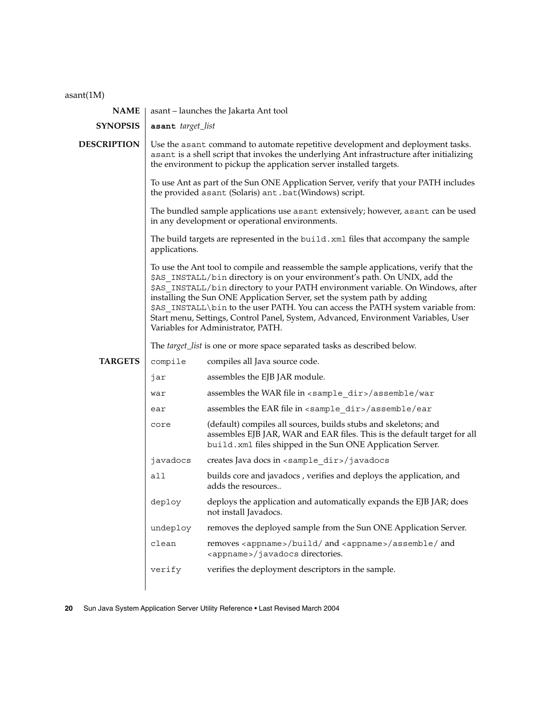<span id="page-19-0"></span>

| asant(1M) |  |
|-----------|--|
|-----------|--|

| <b>NAME</b>        | asant - launches the Jakarta Ant tool                                                                                                                                                                                                              |                                                                                                                                                                                                                                                                                                                                                                                                                                                                                                                                                     |  |  |
|--------------------|----------------------------------------------------------------------------------------------------------------------------------------------------------------------------------------------------------------------------------------------------|-----------------------------------------------------------------------------------------------------------------------------------------------------------------------------------------------------------------------------------------------------------------------------------------------------------------------------------------------------------------------------------------------------------------------------------------------------------------------------------------------------------------------------------------------------|--|--|
| <b>SYNOPSIS</b>    | asant target_list                                                                                                                                                                                                                                  |                                                                                                                                                                                                                                                                                                                                                                                                                                                                                                                                                     |  |  |
| <b>DESCRIPTION</b> | Use the asant command to automate repetitive development and deployment tasks.<br>asant is a shell script that invokes the underlying Ant infrastructure after initializing<br>the environment to pickup the application server installed targets. |                                                                                                                                                                                                                                                                                                                                                                                                                                                                                                                                                     |  |  |
|                    |                                                                                                                                                                                                                                                    | To use Ant as part of the Sun ONE Application Server, verify that your PATH includes<br>the provided asant (Solaris) ant . bat (Windows) script.                                                                                                                                                                                                                                                                                                                                                                                                    |  |  |
|                    |                                                                                                                                                                                                                                                    | The bundled sample applications use asant extensively; however, asant can be used<br>in any development or operational environments.                                                                                                                                                                                                                                                                                                                                                                                                                |  |  |
|                    | applications.                                                                                                                                                                                                                                      | The build targets are represented in the $build.xml$ files that accompany the sample                                                                                                                                                                                                                                                                                                                                                                                                                                                                |  |  |
|                    |                                                                                                                                                                                                                                                    | To use the Ant tool to compile and reassemble the sample applications, verify that the<br>\$AS_INSTALL/bin directory is on your environment's path. On UNIX, add the<br>\$AS_INSTALL/bin directory to your PATH environment variable. On Windows, after<br>installing the Sun ONE Application Server, set the system path by adding<br>\$AS INSTALL\bin to the user PATH. You can access the PATH system variable from:<br>Start menu, Settings, Control Panel, System, Advanced, Environment Variables, User<br>Variables for Administrator, PATH. |  |  |
|                    |                                                                                                                                                                                                                                                    | The <i>target_list</i> is one or more space separated tasks as described below.                                                                                                                                                                                                                                                                                                                                                                                                                                                                     |  |  |
| <b>TARGETS</b>     | compile                                                                                                                                                                                                                                            | compiles all Java source code.                                                                                                                                                                                                                                                                                                                                                                                                                                                                                                                      |  |  |
|                    | jar                                                                                                                                                                                                                                                | assembles the EJB JAR module.                                                                                                                                                                                                                                                                                                                                                                                                                                                                                                                       |  |  |
|                    | war                                                                                                                                                                                                                                                | assembles the WAR file in <sample dir="">/assemble/war</sample>                                                                                                                                                                                                                                                                                                                                                                                                                                                                                     |  |  |
|                    | ear                                                                                                                                                                                                                                                | assembles the EAR file in <sample_dir>/assemble/ear</sample_dir>                                                                                                                                                                                                                                                                                                                                                                                                                                                                                    |  |  |
|                    | core                                                                                                                                                                                                                                               | (default) compiles all sources, builds stubs and skeletons; and<br>assembles EJB JAR, WAR and EAR files. This is the default target for all<br>build.xml files shipped in the Sun ONE Application Server.                                                                                                                                                                                                                                                                                                                                           |  |  |
|                    | javadocs                                                                                                                                                                                                                                           | creates Java docs in <sample dir="">/javadocs</sample>                                                                                                                                                                                                                                                                                                                                                                                                                                                                                              |  |  |
|                    | all                                                                                                                                                                                                                                                | builds core and javadocs, verifies and deploys the application, and<br>adds the resources                                                                                                                                                                                                                                                                                                                                                                                                                                                           |  |  |
|                    | deploy                                                                                                                                                                                                                                             | deploys the application and automatically expands the EJB JAR; does<br>not install Javadocs.                                                                                                                                                                                                                                                                                                                                                                                                                                                        |  |  |
|                    | undeploy                                                                                                                                                                                                                                           | removes the deployed sample from the Sun ONE Application Server.                                                                                                                                                                                                                                                                                                                                                                                                                                                                                    |  |  |
|                    | clean                                                                                                                                                                                                                                              | removes <appname>/build/ and <appname>/assemble/ and<br/><appname>/javadocs directories.</appname></appname></appname>                                                                                                                                                                                                                                                                                                                                                                                                                              |  |  |
|                    | verify                                                                                                                                                                                                                                             | verifies the deployment descriptors in the sample.                                                                                                                                                                                                                                                                                                                                                                                                                                                                                                  |  |  |
|                    |                                                                                                                                                                                                                                                    |                                                                                                                                                                                                                                                                                                                                                                                                                                                                                                                                                     |  |  |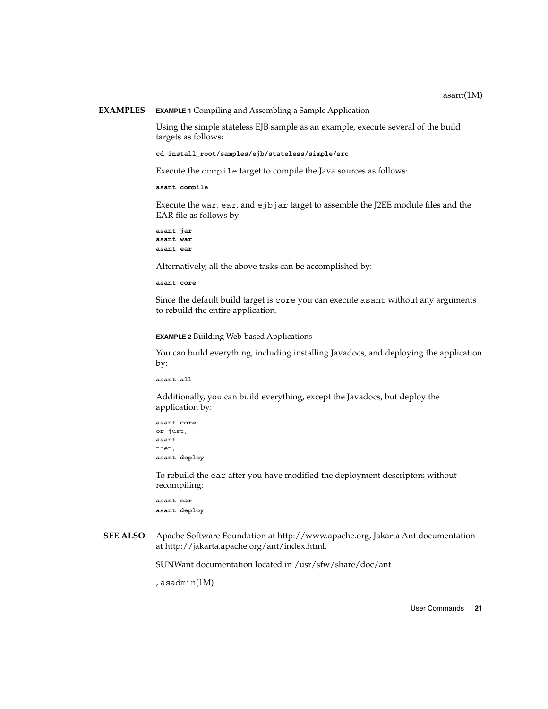#### **EXAMPLE 1** Compiling and Assembling a Sample Application **EXAMPLES**

Using the simple stateless EJB sample as an example, execute several of the build targets as follows:

**cd install\_root/samples/ejb/stateless/simple/src**

Execute the compile target to compile the Java sources as follows:

### **asant compile**

Execute the war, ear, and ejbjar target to assemble the J2EE module files and the EAR file as follows by:

**asant jar asant war asant ear**

Alternatively, all the above tasks can be accomplished by:

```
asant core
```
Since the default build target is core you can execute asant without any arguments to rebuild the entire application.

**EXAMPLE 2** Building Web-based Applications

You can build everything, including installing Javadocs, and deploying the application by:

**asant all**

Additionally, you can build everything, except the Javadocs, but deploy the application by:

**asant core** or just, **asant** then, **asant deploy**

To rebuild the ear after you have modified the deployment descriptors without recompiling:

**asant ear asant deploy**

Apache Software Foundation at http://www.apache.org, Jakarta Ant documentation at http://jakarta.apache.org/ant/index.html. **SEE ALSO**

SUNWant documentation located in /usr/sfw/share/doc/ant

, asadmin(1M)

User Commands **21**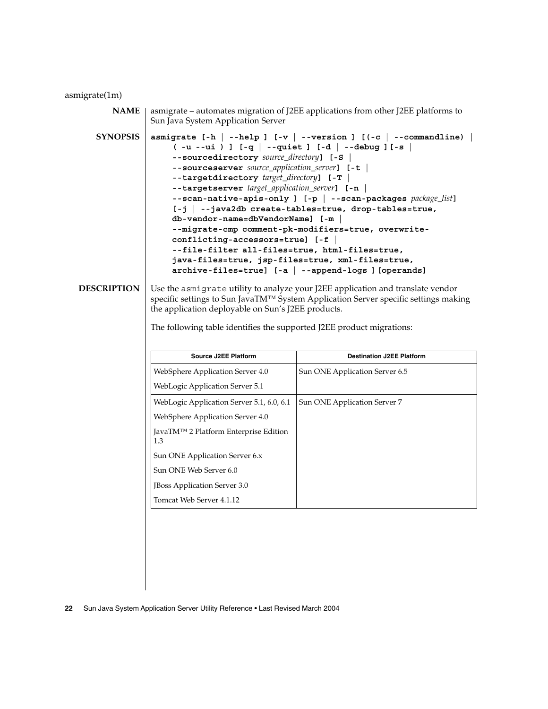<span id="page-21-0"></span>

| <b>NAME</b>        | asmigrate - automates migration of J2EE applications from other J2EE platforms to<br>Sun Java System Application Server                                                                                                                                                                                                                                                                                                                                                                                                                                                                                                                                                                                                                              |                                |  |
|--------------------|------------------------------------------------------------------------------------------------------------------------------------------------------------------------------------------------------------------------------------------------------------------------------------------------------------------------------------------------------------------------------------------------------------------------------------------------------------------------------------------------------------------------------------------------------------------------------------------------------------------------------------------------------------------------------------------------------------------------------------------------------|--------------------------------|--|
| <b>SYNOPSIS</b>    | asmigrate $[-h \mid --help]$ [-v   --version ] [(-c   --commandline)  <br>$(-u - -ui)$ ] [-q   --quiet ] [-d   --debug ] [-s  <br>--sourcedirectory source_directory] [-S  <br>--sourceserver source_application_server] [-t  <br>--targetdirectory target_directory] [-T  <br>--targetserver target_application_server] [-n<br>--scan-native-apis-only ] [-p   --scan-packages package_list]<br>[-j   --java2db create-tables=true, drop-tables=true,<br>db-vendor-name=dbVendorName] [-m<br>--migrate-cmp comment-pk-modifiers=true, overwrite-<br>conflicting-accessors=true] [-f  <br>--file-filter all-files=true, html-files=true,<br>java-files=true, jsp-files=true, xml-files=true,<br>archive-files=true] [-a   --append-logs ] [operands] |                                |  |
| <b>DESCRIPTION</b> | Use the asmigrate utility to analyze your J2EE application and translate vendor<br>specific settings to Sun JavaTM™ System Application Server specific settings making<br>the application deployable on Sun's J2EE products.<br>The following table identifies the supported J2EE product migrations:                                                                                                                                                                                                                                                                                                                                                                                                                                                |                                |  |
|                    | Source J2EE Platform<br><b>Destination J2EE Platform</b>                                                                                                                                                                                                                                                                                                                                                                                                                                                                                                                                                                                                                                                                                             |                                |  |
|                    | WebSphere Application Server 4.0                                                                                                                                                                                                                                                                                                                                                                                                                                                                                                                                                                                                                                                                                                                     | Sun ONE Application Server 6.5 |  |
|                    | WebLogic Application Server 5.1                                                                                                                                                                                                                                                                                                                                                                                                                                                                                                                                                                                                                                                                                                                      |                                |  |
|                    | WebLogic Application Server 5.1, 6.0, 6.1                                                                                                                                                                                                                                                                                                                                                                                                                                                                                                                                                                                                                                                                                                            | Sun ONE Application Server 7   |  |
|                    | WebSphere Application Server 4.0                                                                                                                                                                                                                                                                                                                                                                                                                                                                                                                                                                                                                                                                                                                     |                                |  |
|                    | JavaTM™ 2 Platform Enterprise Edition<br>1.3                                                                                                                                                                                                                                                                                                                                                                                                                                                                                                                                                                                                                                                                                                         |                                |  |
|                    | Sun ONE Application Server 6.x                                                                                                                                                                                                                                                                                                                                                                                                                                                                                                                                                                                                                                                                                                                       |                                |  |
|                    | Sun ONE Web Server 6.0                                                                                                                                                                                                                                                                                                                                                                                                                                                                                                                                                                                                                                                                                                                               |                                |  |
|                    | JBoss Application Server 3.0                                                                                                                                                                                                                                                                                                                                                                                                                                                                                                                                                                                                                                                                                                                         |                                |  |
|                    | Tomcat Web Server 4.1.12                                                                                                                                                                                                                                                                                                                                                                                                                                                                                                                                                                                                                                                                                                                             |                                |  |
|                    |                                                                                                                                                                                                                                                                                                                                                                                                                                                                                                                                                                                                                                                                                                                                                      |                                |  |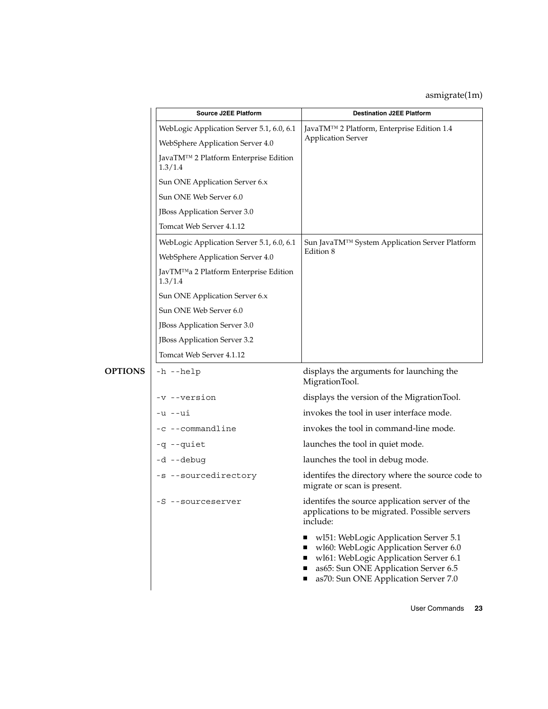|                | Source J2EE Platform                                           | <b>Destination J2EE Platform</b>                                                                                                                                                                                            |
|----------------|----------------------------------------------------------------|-----------------------------------------------------------------------------------------------------------------------------------------------------------------------------------------------------------------------------|
|                | WebLogic Application Server 5.1, 6.0, 6.1                      | JavaTM <sup>TM</sup> 2 Platform, Enterprise Edition 1.4                                                                                                                                                                     |
|                | WebSphere Application Server 4.0                               | <b>Application Server</b>                                                                                                                                                                                                   |
|                | JavaTM™ 2 Platform Enterprise Edition<br>1.3/1.4               |                                                                                                                                                                                                                             |
|                | Sun ONE Application Server 6.x                                 |                                                                                                                                                                                                                             |
|                | Sun ONE Web Server 6.0                                         |                                                                                                                                                                                                                             |
|                | JBoss Application Server 3.0                                   |                                                                                                                                                                                                                             |
|                | Tomcat Web Server 4.1.12                                       |                                                                                                                                                                                                                             |
|                | WebLogic Application Server 5.1, 6.0, 6.1                      | Sun JavaTM™ System Application Server Platform                                                                                                                                                                              |
|                | WebSphere Application Server 4.0                               | Edition 8                                                                                                                                                                                                                   |
|                | JavTM <sup>TM</sup> a 2 Platform Enterprise Edition<br>1.3/1.4 |                                                                                                                                                                                                                             |
|                | Sun ONE Application Server 6.x                                 |                                                                                                                                                                                                                             |
|                | Sun ONE Web Server 6.0                                         |                                                                                                                                                                                                                             |
|                | JBoss Application Server 3.0                                   |                                                                                                                                                                                                                             |
|                | JBoss Application Server 3.2                                   |                                                                                                                                                                                                                             |
|                | Tomcat Web Server 4.1.12                                       |                                                                                                                                                                                                                             |
| <b>OPTIONS</b> | -h --help                                                      | displays the arguments for launching the<br>MigrationTool.                                                                                                                                                                  |
|                | -v --version                                                   | displays the version of the MigrationTool.                                                                                                                                                                                  |
|                | $-u$ $-u$ i                                                    | invokes the tool in user interface mode.                                                                                                                                                                                    |
|                | -c --commandline                                               | invokes the tool in command-line mode.                                                                                                                                                                                      |
|                | -q --quiet                                                     | launches the tool in quiet mode.                                                                                                                                                                                            |
|                | -d --debug                                                     | launches the tool in debug mode.                                                                                                                                                                                            |
|                | -s --sourcedirectory                                           | identifes the directory where the source code to<br>migrate or scan is present.                                                                                                                                             |
|                | -S --sourceserver                                              | identifes the source application server of the<br>applications to be migrated. Possible servers<br>include:                                                                                                                 |
|                |                                                                | wl51: WebLogic Application Server 5.1<br>■<br>wl60: WebLogic Application Server 6.0<br>wl61: WebLogic Application Server 6.1<br>■<br>as65: Sun ONE Application Server 6.5<br>■<br>as70: Sun ONE Application Server 7.0<br>■ |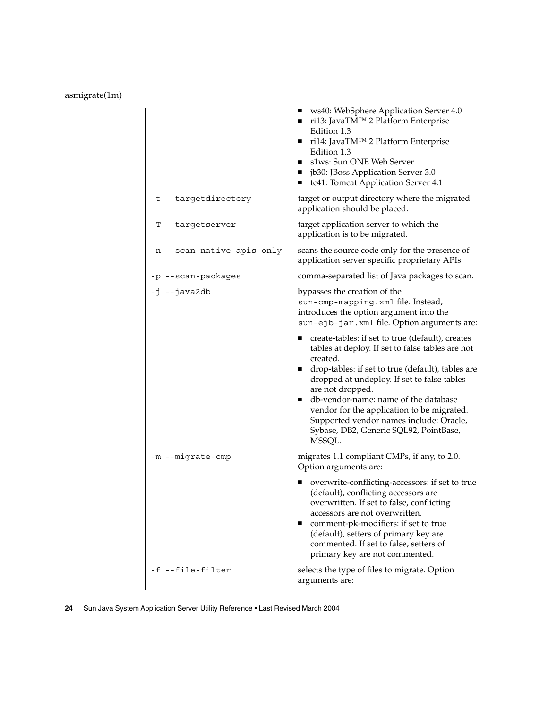|                            | ws40: WebSphere Application Server 4.0<br>ш<br>ri13: JavaTM™ 2 Platform Enterprise<br>ш<br>Edition 1.3<br>ri14: JavaTM™ 2 Platform Enterprise<br>п<br>Edition 1.3<br>s1ws: Sun ONE Web Server<br>jb30: JBoss Application Server 3.0<br>tc41: Tomcat Application Server 4.1<br>ш                                                                                                                                                      |
|----------------------------|--------------------------------------------------------------------------------------------------------------------------------------------------------------------------------------------------------------------------------------------------------------------------------------------------------------------------------------------------------------------------------------------------------------------------------------|
| -t --targetdirectory       | target or output directory where the migrated<br>application should be placed.                                                                                                                                                                                                                                                                                                                                                       |
| -T --targetserver          | target application server to which the<br>application is to be migrated.                                                                                                                                                                                                                                                                                                                                                             |
| -n --scan-native-apis-only | scans the source code only for the presence of<br>application server specific proprietary APIs.                                                                                                                                                                                                                                                                                                                                      |
| -p --scan-packages         | comma-separated list of Java packages to scan.                                                                                                                                                                                                                                                                                                                                                                                       |
| -j --java2db               | bypasses the creation of the<br>sun-cmp-mapping.xml file. Instead,<br>introduces the option argument into the<br>sun-ejb-jar.xml file. Option arguments are:                                                                                                                                                                                                                                                                         |
|                            | ■ create-tables: if set to true (default), creates<br>tables at deploy. If set to false tables are not<br>created.<br>drop-tables: if set to true (default), tables are<br>■<br>dropped at undeploy. If set to false tables<br>are not dropped.<br>db-vendor-name: name of the database<br>vendor for the application to be migrated.<br>Supported vendor names include: Oracle,<br>Sybase, DB2, Generic SQL92, PointBase,<br>MSSQL. |
| -m --migrate-cmp           | migrates 1.1 compliant CMPs, if any, to 2.0.<br>Option arguments are:                                                                                                                                                                                                                                                                                                                                                                |
|                            | overwrite-conflicting-accessors: if set to true<br>ц.<br>(default), conflicting accessors are<br>overwritten. If set to false, conflicting<br>accessors are not overwritten.<br>comment-pk-modifiers: if set to true<br>(default), setters of primary key are<br>commented. If set to false, setters of<br>primary key are not commented.                                                                                            |
| -f --file-filter           | selects the type of files to migrate. Option<br>arguments are:                                                                                                                                                                                                                                                                                                                                                                       |
|                            |                                                                                                                                                                                                                                                                                                                                                                                                                                      |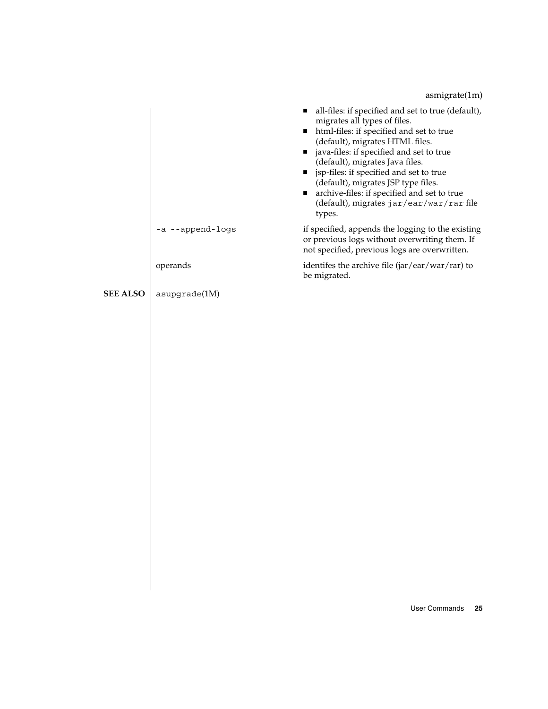|                 |                  | all-files: if specified and set to true (default),<br>migrates all types of files.<br>In html-files: if specified and set to true<br>(default), migrates HTML files.<br>java-files: if specified and set to true<br>(default), migrates Java files.<br>■ jsp-files: if specified and set to true<br>(default), migrates JSP type files.<br>archive-files: if specified and set to true<br>(default), migrates jar/ear/war/rar file<br>types. |
|-----------------|------------------|----------------------------------------------------------------------------------------------------------------------------------------------------------------------------------------------------------------------------------------------------------------------------------------------------------------------------------------------------------------------------------------------------------------------------------------------|
|                 | -a --append-logs | if specified, appends the logging to the existing<br>or previous logs without overwriting them. If<br>not specified, previous logs are overwritten.                                                                                                                                                                                                                                                                                          |
|                 | operands         | identifes the archive file (jar/ear/war/rar) to<br>be migrated.                                                                                                                                                                                                                                                                                                                                                                              |
| <b>SEE ALSO</b> | asupgrade(1M)    |                                                                                                                                                                                                                                                                                                                                                                                                                                              |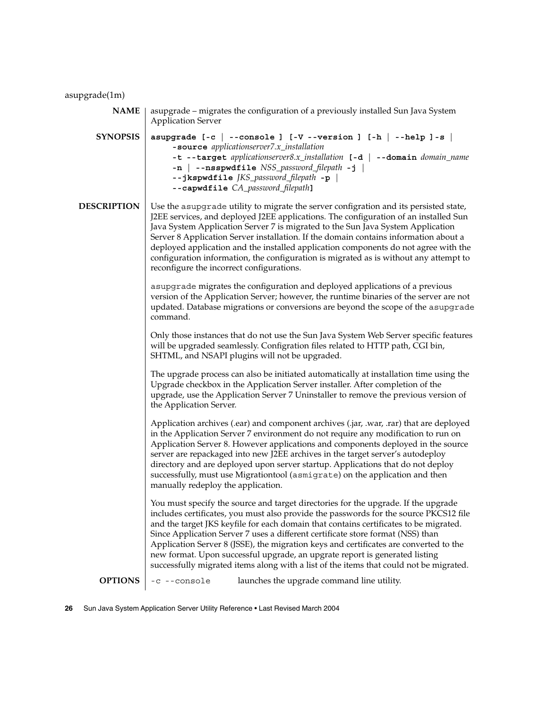<span id="page-25-0"></span>

|                    | <b>NAME</b> $\vert$ asupgrade – migrates the configuration of a previously installed Sun Java System<br><b>Application Server</b>                                                                                                                                                                                                                                                                                                                                                                                                                                                                                         |
|--------------------|---------------------------------------------------------------------------------------------------------------------------------------------------------------------------------------------------------------------------------------------------------------------------------------------------------------------------------------------------------------------------------------------------------------------------------------------------------------------------------------------------------------------------------------------------------------------------------------------------------------------------|
| <b>SYNOPSIS</b>    | asupgrade [-c $\vert$ --console ] [-V --version ] [-h $\vert$ --help ]-s $\vert$<br>-source applicationserver7.x_installation<br>-t --target applicationserver8.x_installation [-d   --domain domain_name<br>-n   --nsspwdfile NSS_password_filepath -j  <br>--jkspwdfile JKS_password_filepath -p  <br>--capwdfile CA_password_filepath]                                                                                                                                                                                                                                                                                 |
| <b>DESCRIPTION</b> | Use the asupgrade utility to migrate the server configration and its persisted state,<br>J2EE services, and deployed J2EE applications. The configuration of an installed Sun<br>Java System Application Server 7 is migrated to the Sun Java System Application<br>Server 8 Application Server installation. If the domain contains information about a<br>deployed application and the installed application components do not agree with the<br>configuration information, the configuration is migrated as is without any attempt to<br>reconfigure the incorrect configurations.                                     |
|                    | asupgrade migrates the configuration and deployed applications of a previous<br>version of the Application Server; however, the runtime binaries of the server are not<br>updated. Database migrations or conversions are beyond the scope of the asupgrade<br>command.                                                                                                                                                                                                                                                                                                                                                   |
|                    | Only those instances that do not use the Sun Java System Web Server specific features<br>will be upgraded seamlessly. Configration files related to HTTP path, CGI bin,<br>SHTML, and NSAPI plugins will not be upgraded.                                                                                                                                                                                                                                                                                                                                                                                                 |
|                    | The upgrade process can also be initiated automatically at installation time using the<br>Upgrade checkbox in the Application Server installer. After completion of the<br>upgrade, use the Application Server 7 Uninstaller to remove the previous version of<br>the Application Server.                                                                                                                                                                                                                                                                                                                                 |
|                    | Application archives (.ear) and component archives (.jar, .war, .rar) that are deployed<br>in the Application Server 7 environment do not require any modification to run on<br>Application Server 8. However applications and components deployed in the source<br>server are repackaged into new J2EE archives in the target server's autodeploy<br>directory and are deployed upon server startup. Applications that do not deploy<br>successfully, must use Migrationtool (asmigrate) on the application and then<br>manually redeploy the application.                                                               |
|                    | You must specify the source and target directories for the upgrade. If the upgrade<br>includes certificates, you must also provide the passwords for the source PKCS12 file<br>and the target JKS keyfile for each domain that contains certificates to be migrated.<br>Since Application Server 7 uses a different certificate store format (NSS) than<br>Application Server 8 (JSSE), the migration keys and certificates are converted to the<br>new format. Upon successful upgrade, an upgrate report is generated listing<br>successfully migrated items along with a list of the items that could not be migrated. |
| <b>OPTIONS</b>     | launches the upgrade command line utility.<br>-c --console                                                                                                                                                                                                                                                                                                                                                                                                                                                                                                                                                                |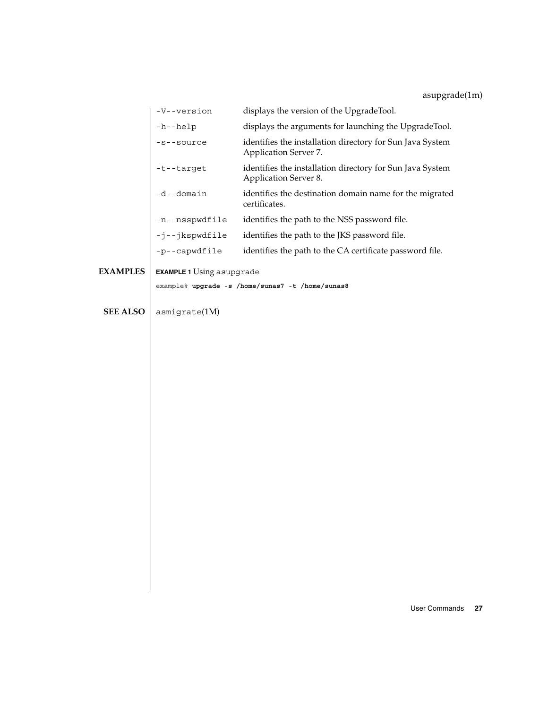|                 | -V--version                      | displays the version of the UpgradeTool.                                           |
|-----------------|----------------------------------|------------------------------------------------------------------------------------|
|                 | $-h-$ help                       | displays the arguments for launching the UpgradeTool.                              |
|                 | -s--source                       | identifies the installation directory for Sun Java System<br>Application Server 7. |
|                 | -t--target                       | identifies the installation directory for Sun Java System<br>Application Server 8. |
|                 | -d--domain                       | identifies the destination domain name for the migrated<br>certificates.           |
|                 | -n--nsspwdfile                   | identifies the path to the NSS password file.                                      |
|                 | -j--jkspwdfile                   | identifies the path to the JKS password file.                                      |
|                 | -p--capwdfile                    | identifies the path to the CA certificate password file.                           |
| <b>EXAMPLES</b> | <b>EXAMPLE 1 Using asupgrade</b> | example% upgrade -s /home/sunas7 -t /home/sunas8                                   |
| <b>SEE ALSO</b> | $\text{asmique}(1M)$             |                                                                                    |
|                 |                                  |                                                                                    |
|                 |                                  |                                                                                    |
|                 |                                  |                                                                                    |
|                 |                                  |                                                                                    |
|                 |                                  |                                                                                    |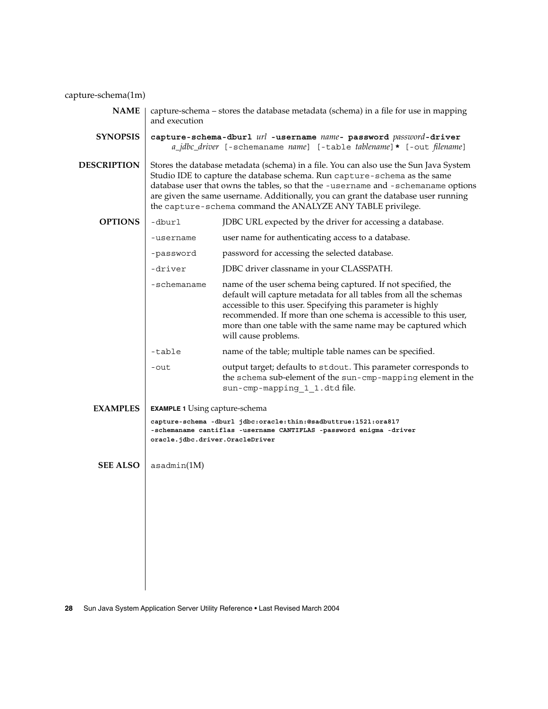<span id="page-27-0"></span>

| capture-schema(1m) |                                                                                                                                            |                                                                                                                                                                                                                                                                                                                                                                                                              |  |
|--------------------|--------------------------------------------------------------------------------------------------------------------------------------------|--------------------------------------------------------------------------------------------------------------------------------------------------------------------------------------------------------------------------------------------------------------------------------------------------------------------------------------------------------------------------------------------------------------|--|
| <b>NAME</b>        | capture-schema – stores the database metadata (schema) in a file for use in mapping<br>and execution                                       |                                                                                                                                                                                                                                                                                                                                                                                                              |  |
| <b>SYNOPSIS</b>    | capture-schema-dburl url -username name- password password-driver<br>a_jdbc_driver [-schemaname name] [-table tablename] * [-out filename] |                                                                                                                                                                                                                                                                                                                                                                                                              |  |
| <b>DESCRIPTION</b> |                                                                                                                                            | Stores the database metadata (schema) in a file. You can also use the Sun Java System<br>Studio IDE to capture the database schema. Run capture-schema as the same<br>database user that owns the tables, so that the -username and -schemaname options<br>are given the same username. Additionally, you can grant the database user running<br>the capture-schema command the ANALYZE ANY TABLE privilege. |  |
| <b>OPTIONS</b>     | -dburl                                                                                                                                     | JDBC URL expected by the driver for accessing a database.                                                                                                                                                                                                                                                                                                                                                    |  |
|                    | -username                                                                                                                                  | user name for authenticating access to a database.                                                                                                                                                                                                                                                                                                                                                           |  |
|                    | -password                                                                                                                                  | password for accessing the selected database.                                                                                                                                                                                                                                                                                                                                                                |  |
|                    | -driver                                                                                                                                    | JDBC driver classname in your CLASSPATH.                                                                                                                                                                                                                                                                                                                                                                     |  |
|                    | -schemaname                                                                                                                                | name of the user schema being captured. If not specified, the<br>default will capture metadata for all tables from all the schemas<br>accessible to this user. Specifying this parameter is highly<br>recommended. If more than one schema is accessible to this user,<br>more than one table with the same name may be captured which<br>will cause problems.                                               |  |
|                    | -table                                                                                                                                     | name of the table; multiple table names can be specified.                                                                                                                                                                                                                                                                                                                                                    |  |
|                    | -out                                                                                                                                       | output target; defaults to stdout. This parameter corresponds to<br>the schema sub-element of the sun-cmp-mapping element in the<br>sun-cmp-mapping 1 1.dtd file.                                                                                                                                                                                                                                            |  |
| <b>EXAMPLES</b>    | <b>EXAMPLE 1 Using capture-schema</b>                                                                                                      |                                                                                                                                                                                                                                                                                                                                                                                                              |  |
|                    | oracle.jdbc.driver.OracleDriver                                                                                                            | capture-schema -dburl jdbc:oracle:thin:@sadbuttrue:1521:ora817<br>-schemaname cantiflas -username CANTIFLAS -password enigma -driver                                                                                                                                                                                                                                                                         |  |
| <b>SEE ALSO</b>    | asadmin(1M)                                                                                                                                |                                                                                                                                                                                                                                                                                                                                                                                                              |  |
|                    |                                                                                                                                            |                                                                                                                                                                                                                                                                                                                                                                                                              |  |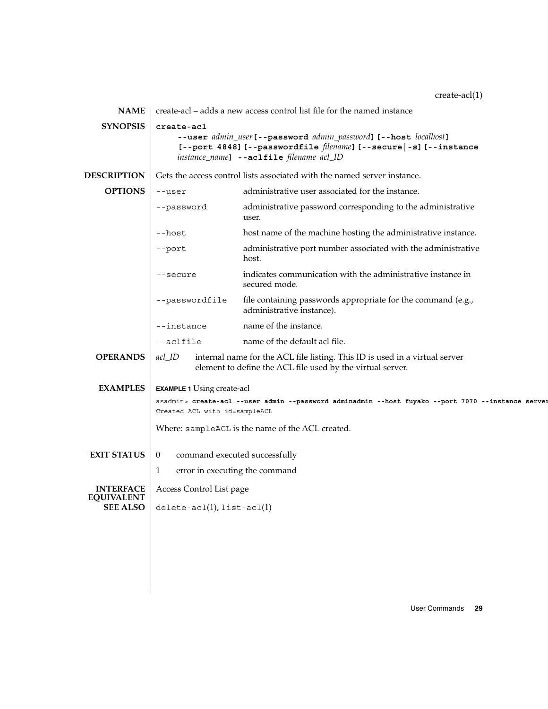create-acl(1)

<span id="page-28-0"></span>

| <b>NAME</b>                                                          | create-acl – adds a new access control list file for the named instance                                                                                                                                                      |                                                                                           |  |
|----------------------------------------------------------------------|------------------------------------------------------------------------------------------------------------------------------------------------------------------------------------------------------------------------------|-------------------------------------------------------------------------------------------|--|
| <b>SYNOPSIS</b>                                                      | create-acl<br>--user admin_user [--password admin_password] [--host localhost]<br>[--port 4848] [--passwordfile filename] [--secure   -s] [--instance<br>instance_name] --aclfile filename acl_ID                            |                                                                                           |  |
| <b>DESCRIPTION</b>                                                   |                                                                                                                                                                                                                              | Gets the access control lists associated with the named server instance.                  |  |
| <b>OPTIONS</b>                                                       | --user                                                                                                                                                                                                                       | administrative user associated for the instance.                                          |  |
|                                                                      | --password                                                                                                                                                                                                                   | administrative password corresponding to the administrative<br>user.                      |  |
|                                                                      | --host                                                                                                                                                                                                                       | host name of the machine hosting the administrative instance.                             |  |
|                                                                      | --port                                                                                                                                                                                                                       | administrative port number associated with the administrative<br>host.                    |  |
|                                                                      | --secure                                                                                                                                                                                                                     | indicates communication with the administrative instance in<br>secured mode.              |  |
|                                                                      | --passwordfile                                                                                                                                                                                                               | file containing passwords appropriate for the command (e.g.,<br>administrative instance). |  |
|                                                                      | --instance                                                                                                                                                                                                                   | name of the instance.                                                                     |  |
|                                                                      | --aclfile                                                                                                                                                                                                                    | name of the default acl file.                                                             |  |
| <b>OPERANDS</b>                                                      | acl_ID<br>internal name for the ACL file listing. This ID is used in a virtual server<br>element to define the ACL file used by the virtual server.                                                                          |                                                                                           |  |
| <b>EXAMPLES</b>                                                      | <b>EXAMPLE 1 Using create-acl</b><br>asadmin> create-acl --user admin --password adminadmin --host fuyako --port 7070 --instance server<br>Created ACL with id=sampleACL<br>Where: sampleACL is the name of the ACL created. |                                                                                           |  |
| <b>EXIT STATUS</b>                                                   | command executed successfully<br>$\theta$                                                                                                                                                                                    |                                                                                           |  |
|                                                                      | 1<br>error in executing the command                                                                                                                                                                                          |                                                                                           |  |
| <b>INTERFACE</b>                                                     | Access Control List page                                                                                                                                                                                                     |                                                                                           |  |
| <b>EQUIVALENT</b><br><b>SEE ALSO</b><br>$delete-acl(1), list-acl(1)$ |                                                                                                                                                                                                                              |                                                                                           |  |
|                                                                      |                                                                                                                                                                                                                              |                                                                                           |  |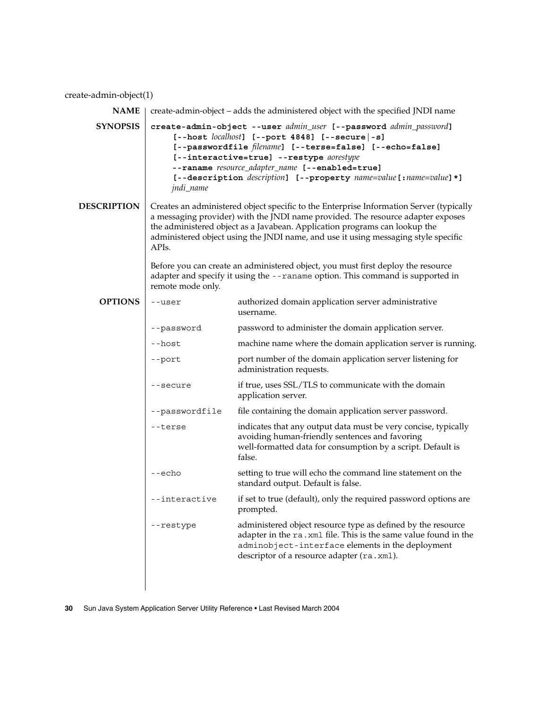<span id="page-29-0"></span>create-admin-object(1)

| <b>NAME</b>        | create-admin-object – adds the administered object with the specified JNDI name                                                                                                                                                                                                                                                                                                                                       |                                                                                                                                                                                                                                     |
|--------------------|-----------------------------------------------------------------------------------------------------------------------------------------------------------------------------------------------------------------------------------------------------------------------------------------------------------------------------------------------------------------------------------------------------------------------|-------------------------------------------------------------------------------------------------------------------------------------------------------------------------------------------------------------------------------------|
| <b>SYNOPSIS</b>    | create-admin-object --user admin_user [--password admin_password]<br>$[- - \text{host localhost}]$ $[- - \text{port 4848}]$ $[- - \text{secure}   - \text{s}]$<br>[--passwordfile filename] [--terse=false] [--echo=false]<br>[--interactive=true] --restype aorestype<br>--raname resource_adapter_name [--enabled=true]<br>[--description description] [--property name=value [: name=value] *]<br><i>indi_name</i> |                                                                                                                                                                                                                                     |
| <b>DESCRIPTION</b> | Creates an administered object specific to the Enterprise Information Server (typically<br>a messaging provider) with the JNDI name provided. The resource adapter exposes<br>the administered object as a Javabean. Application programs can lookup the<br>administered object using the JNDI name, and use it using messaging style specific<br>APIs.                                                               |                                                                                                                                                                                                                                     |
|                    | remote mode only.                                                                                                                                                                                                                                                                                                                                                                                                     | Before you can create an administered object, you must first deploy the resource<br>adapter and specify it using the -- raname option. This command is supported in                                                                 |
| <b>OPTIONS</b>     | --user                                                                                                                                                                                                                                                                                                                                                                                                                | authorized domain application server administrative<br>username.                                                                                                                                                                    |
|                    | --password                                                                                                                                                                                                                                                                                                                                                                                                            | password to administer the domain application server.                                                                                                                                                                               |
|                    | --host                                                                                                                                                                                                                                                                                                                                                                                                                | machine name where the domain application server is running.                                                                                                                                                                        |
|                    | --port                                                                                                                                                                                                                                                                                                                                                                                                                | port number of the domain application server listening for<br>administration requests.                                                                                                                                              |
|                    | --secure                                                                                                                                                                                                                                                                                                                                                                                                              | if true, uses SSL/TLS to communicate with the domain<br>application server.                                                                                                                                                         |
|                    | --passwordfile                                                                                                                                                                                                                                                                                                                                                                                                        | file containing the domain application server password.                                                                                                                                                                             |
|                    | --terse                                                                                                                                                                                                                                                                                                                                                                                                               | indicates that any output data must be very concise, typically<br>avoiding human-friendly sentences and favoring<br>well-formatted data for consumption by a script. Default is<br>false.                                           |
|                    | --echo                                                                                                                                                                                                                                                                                                                                                                                                                | setting to true will echo the command line statement on the<br>standard output. Default is false.                                                                                                                                   |
|                    | --interactive                                                                                                                                                                                                                                                                                                                                                                                                         | if set to true (default), only the required password options are<br>prompted.                                                                                                                                                       |
|                    | --restype                                                                                                                                                                                                                                                                                                                                                                                                             | administered object resource type as defined by the resource<br>adapter in the ra. xml file. This is the same value found in the<br>adminobject-interface elements in the deployment<br>descriptor of a resource adapter (ra. xml). |
|                    |                                                                                                                                                                                                                                                                                                                                                                                                                       |                                                                                                                                                                                                                                     |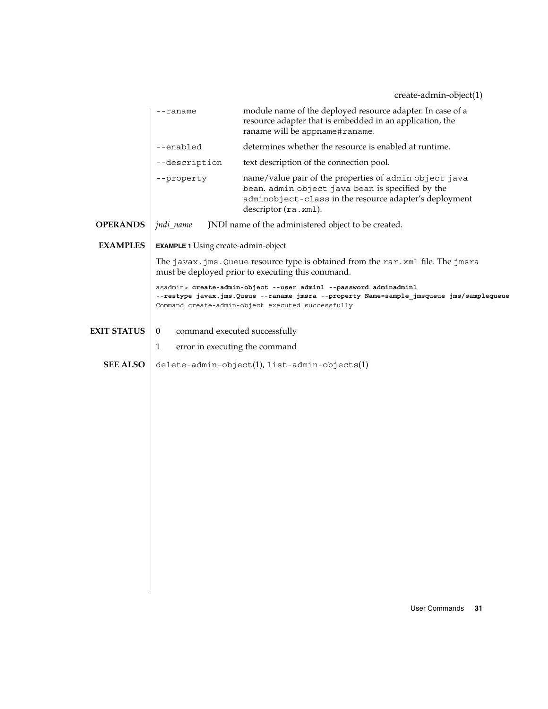create-admin-object(1)

|                    | --raname                                                                                                                                                                                                            | module name of the deployed resource adapter. In case of a<br>resource adapter that is embedded in an application, the<br>raname will be appname#raname.                                        |  |
|--------------------|---------------------------------------------------------------------------------------------------------------------------------------------------------------------------------------------------------------------|-------------------------------------------------------------------------------------------------------------------------------------------------------------------------------------------------|--|
|                    | --enabled                                                                                                                                                                                                           | determines whether the resource is enabled at runtime.                                                                                                                                          |  |
|                    | --description                                                                                                                                                                                                       | text description of the connection pool.                                                                                                                                                        |  |
|                    | --property                                                                                                                                                                                                          | name/value pair of the properties of admin object java<br>bean. admin object java bean is specified by the<br>adminobject-class in the resource adapter's deployment<br>descriptor $(ra.xml)$ . |  |
| <b>OPERANDS</b>    | jndi_name<br>JNDI name of the administered object to be created.                                                                                                                                                    |                                                                                                                                                                                                 |  |
| <b>EXAMPLES</b>    | <b>EXAMPLE 1 Using create-admin-object</b>                                                                                                                                                                          |                                                                                                                                                                                                 |  |
|                    |                                                                                                                                                                                                                     | The javax.jms. Queue resource type is obtained from the rar.xml file. The jmsra<br>must be deployed prior to executing this command.                                                            |  |
|                    | asadmin> create-admin-object --user admin1 --password adminadmin1<br>--restype javax.jms. Queue --raname jmsra --property Name=sample jmsqueue jms/samplequeue<br>Command create-admin-object executed successfully |                                                                                                                                                                                                 |  |
| <b>EXIT STATUS</b> | command executed successfully<br>$\mathbf{0}$                                                                                                                                                                       |                                                                                                                                                                                                 |  |
|                    | $\mathbf{1}$<br>error in executing the command                                                                                                                                                                      |                                                                                                                                                                                                 |  |
| <b>SEE ALSO</b>    | $delete$ -admin-object $(1)$ , list-admin-objects $(1)$                                                                                                                                                             |                                                                                                                                                                                                 |  |
|                    |                                                                                                                                                                                                                     |                                                                                                                                                                                                 |  |
|                    |                                                                                                                                                                                                                     |                                                                                                                                                                                                 |  |
|                    |                                                                                                                                                                                                                     |                                                                                                                                                                                                 |  |
|                    |                                                                                                                                                                                                                     |                                                                                                                                                                                                 |  |
|                    |                                                                                                                                                                                                                     |                                                                                                                                                                                                 |  |
|                    |                                                                                                                                                                                                                     |                                                                                                                                                                                                 |  |
|                    |                                                                                                                                                                                                                     |                                                                                                                                                                                                 |  |
|                    |                                                                                                                                                                                                                     |                                                                                                                                                                                                 |  |
|                    |                                                                                                                                                                                                                     |                                                                                                                                                                                                 |  |
|                    |                                                                                                                                                                                                                     |                                                                                                                                                                                                 |  |
|                    |                                                                                                                                                                                                                     |                                                                                                                                                                                                 |  |
|                    |                                                                                                                                                                                                                     |                                                                                                                                                                                                 |  |
|                    |                                                                                                                                                                                                                     |                                                                                                                                                                                                 |  |
|                    |                                                                                                                                                                                                                     |                                                                                                                                                                                                 |  |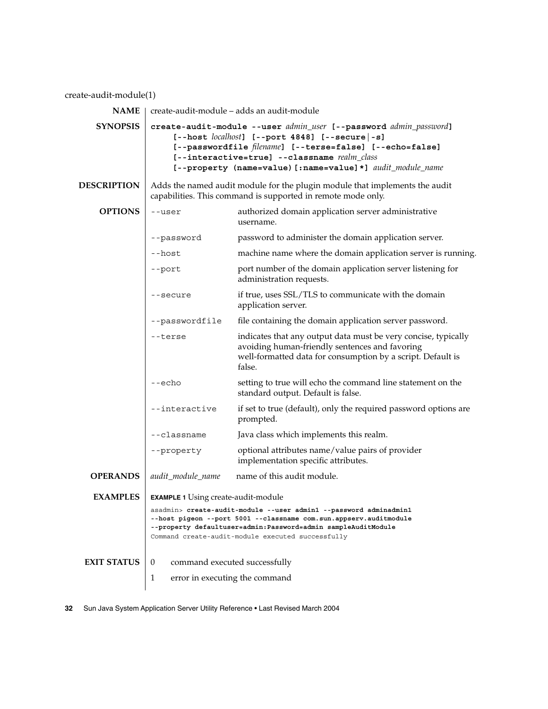<span id="page-31-0"></span>create-audit-module(1)

| <b>NAME</b>        | create-audit-module - adds an audit-module                                                                                                                                                                                                                                                                                               |                                                                                                                                                                                           |
|--------------------|------------------------------------------------------------------------------------------------------------------------------------------------------------------------------------------------------------------------------------------------------------------------------------------------------------------------------------------|-------------------------------------------------------------------------------------------------------------------------------------------------------------------------------------------|
| <b>SYNOPSIS</b>    | create-audit-module --user admin_user [--password admin_password]<br>$[- - \text{host localhost}]$ $[- - \text{port 4848}]$ $[- - \text{secure}   - \text{s}]$<br>[--passwordfile filename] [--terse=false] [--echo=false]<br>[--interactive=true] --classname realm_class<br>[--property (name=value) [:name=value]*] audit_module_name |                                                                                                                                                                                           |
| <b>DESCRIPTION</b> | Adds the named audit module for the plugin module that implements the audit<br>capabilities. This command is supported in remote mode only.                                                                                                                                                                                              |                                                                                                                                                                                           |
| <b>OPTIONS</b>     | --user                                                                                                                                                                                                                                                                                                                                   | authorized domain application server administrative<br>username.                                                                                                                          |
|                    | --password                                                                                                                                                                                                                                                                                                                               | password to administer the domain application server.                                                                                                                                     |
|                    | --host                                                                                                                                                                                                                                                                                                                                   | machine name where the domain application server is running.                                                                                                                              |
|                    | --port                                                                                                                                                                                                                                                                                                                                   | port number of the domain application server listening for<br>administration requests.                                                                                                    |
|                    | --secure                                                                                                                                                                                                                                                                                                                                 | if true, uses SSL/TLS to communicate with the domain<br>application server.                                                                                                               |
|                    | --passwordfile                                                                                                                                                                                                                                                                                                                           | file containing the domain application server password.                                                                                                                                   |
|                    | --terse                                                                                                                                                                                                                                                                                                                                  | indicates that any output data must be very concise, typically<br>avoiding human-friendly sentences and favoring<br>well-formatted data for consumption by a script. Default is<br>false. |
|                    | --echo                                                                                                                                                                                                                                                                                                                                   | setting to true will echo the command line statement on the<br>standard output. Default is false.                                                                                         |
|                    | --interactive                                                                                                                                                                                                                                                                                                                            | if set to true (default), only the required password options are<br>prompted.                                                                                                             |
|                    | --classname                                                                                                                                                                                                                                                                                                                              | Java class which implements this realm.                                                                                                                                                   |
|                    | --property                                                                                                                                                                                                                                                                                                                               | optional attributes name/value pairs of provider<br>implementation specific attributes.                                                                                                   |
| <b>OPERANDS</b>    | audit_module_name                                                                                                                                                                                                                                                                                                                        | name of this audit module.                                                                                                                                                                |
| <b>EXAMPLES</b>    | <b>EXAMPLE 1 Using create-audit-module</b>                                                                                                                                                                                                                                                                                               |                                                                                                                                                                                           |
|                    | asadmin> create-audit-module --user admin1 --password adminadmin1<br>--host pigeon --port 5001 --classname com.sun.appserv.auditmodule<br>--property defaultuser=admin: Password=admin sampleAuditModule<br>Command create-audit-module executed successfully                                                                            |                                                                                                                                                                                           |
| <b>EXIT STATUS</b> | $\theta$<br>command executed successfully<br>$\mathbf{1}$<br>error in executing the command                                                                                                                                                                                                                                              |                                                                                                                                                                                           |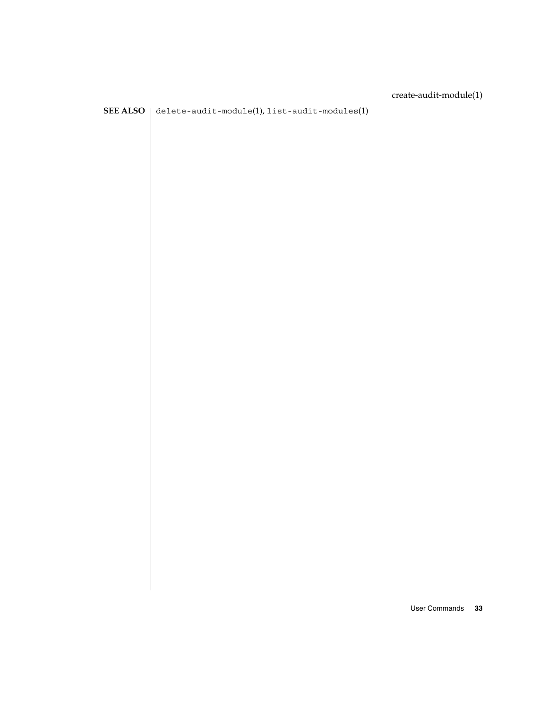create-audit-module(1)

 $\textbf{SEE \, ALSO} \, \mid \, \text{delete-audit-model}(1)$ , list-audit-modules(1)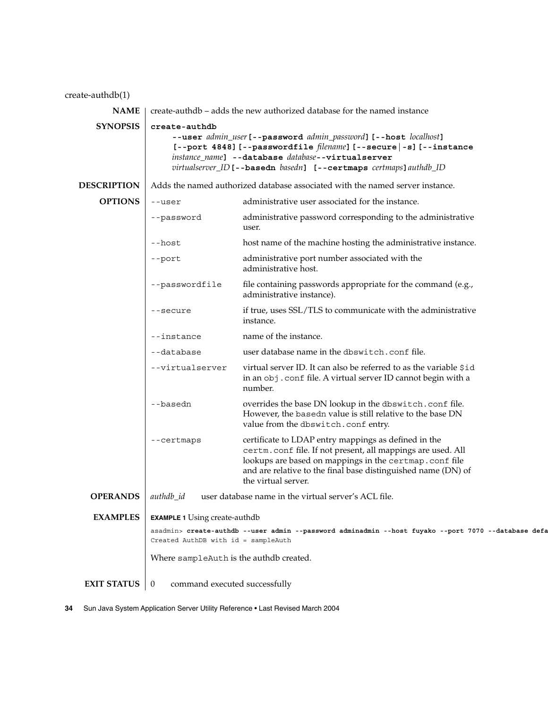### <span id="page-33-0"></span>create-authdb(1)

| <b>NAME</b>        | create-authdb – adds the new authorized database for the named instance                                                                                                                                                                                                             |                                                                                                                                                                                                                                                                       |
|--------------------|-------------------------------------------------------------------------------------------------------------------------------------------------------------------------------------------------------------------------------------------------------------------------------------|-----------------------------------------------------------------------------------------------------------------------------------------------------------------------------------------------------------------------------------------------------------------------|
| <b>SYNOPSIS</b>    | create-authdb<br>--user admin_user [--password admin_password] [--host localhost]<br>[--port 4848] [--passwordfile filename] [--secure   -s] [--instance<br>instance_name] --database database--virtualserver<br>virtualserver_ID [--basedn basedn] [--certmaps certmaps] authdb_ID |                                                                                                                                                                                                                                                                       |
| <b>DESCRIPTION</b> |                                                                                                                                                                                                                                                                                     | Adds the named authorized database associated with the named server instance.                                                                                                                                                                                         |
| <b>OPTIONS</b>     | --user                                                                                                                                                                                                                                                                              | administrative user associated for the instance.                                                                                                                                                                                                                      |
|                    | --password                                                                                                                                                                                                                                                                          | administrative password corresponding to the administrative<br>user.                                                                                                                                                                                                  |
|                    | --host                                                                                                                                                                                                                                                                              | host name of the machine hosting the administrative instance.                                                                                                                                                                                                         |
|                    | --port                                                                                                                                                                                                                                                                              | administrative port number associated with the<br>administrative host.                                                                                                                                                                                                |
|                    | --passwordfile                                                                                                                                                                                                                                                                      | file containing passwords appropriate for the command (e.g.,<br>administrative instance).                                                                                                                                                                             |
|                    | --secure                                                                                                                                                                                                                                                                            | if true, uses SSL/TLS to communicate with the administrative<br>instance.                                                                                                                                                                                             |
|                    | --instance                                                                                                                                                                                                                                                                          | name of the instance.                                                                                                                                                                                                                                                 |
|                    | --database                                                                                                                                                                                                                                                                          | user database name in the dbswitch.conf file.                                                                                                                                                                                                                         |
|                    | --virtualserver                                                                                                                                                                                                                                                                     | virtual server ID. It can also be referred to as the variable \$id<br>in an obj. conf file. A virtual server ID cannot begin with a<br>number.                                                                                                                        |
|                    | --basedn                                                                                                                                                                                                                                                                            | overrides the base DN lookup in the dbswitch.conf file.<br>However, the basedn value is still relative to the base DN<br>value from the dbswitch.conf entry.                                                                                                          |
|                    | --certmaps                                                                                                                                                                                                                                                                          | certificate to LDAP entry mappings as defined in the<br>certm.conf file. If not present, all mappings are used. All<br>lookups are based on mappings in the certmap.conf file<br>and are relative to the final base distinguished name (DN) of<br>the virtual server. |
| <b>OPERANDS</b>    | authdb_id                                                                                                                                                                                                                                                                           | user database name in the virtual server's ACL file.                                                                                                                                                                                                                  |
| <b>EXAMPLES</b>    | <b>EXAMPLE 1 Using create-authdb</b><br>asadmin> create-authdb --user admin --password adminadmin --host fuyako --port 7070 --database defa<br>Created AuthDB with id = sampleAuth                                                                                                  |                                                                                                                                                                                                                                                                       |
|                    | Where sampleAuth is the authdb created.                                                                                                                                                                                                                                             |                                                                                                                                                                                                                                                                       |
| <b>EXIT STATUS</b> | 0<br>command executed successfully                                                                                                                                                                                                                                                  |                                                                                                                                                                                                                                                                       |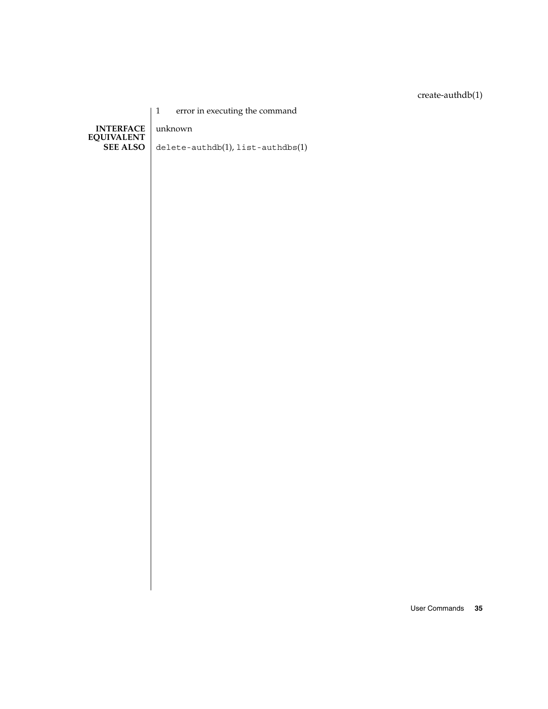## create-authdb(1)

|                                | $\mathbf{1}$<br>error in executing the command |  |  |
|--------------------------------|------------------------------------------------|--|--|
| <b>INTERFACE</b><br>EQUIVALENT | $\ensuremath{\mathsf{unknown}}$                |  |  |
| <b>SEE ALSO</b>                | $delete$ - $authdb(1), list$ - $authdbs(1)$    |  |  |
|                                |                                                |  |  |
|                                |                                                |  |  |
|                                |                                                |  |  |
|                                |                                                |  |  |
|                                |                                                |  |  |
|                                |                                                |  |  |
|                                |                                                |  |  |
|                                |                                                |  |  |
|                                |                                                |  |  |
|                                |                                                |  |  |
|                                |                                                |  |  |
|                                |                                                |  |  |
|                                |                                                |  |  |
|                                |                                                |  |  |
|                                |                                                |  |  |
|                                |                                                |  |  |
|                                |                                                |  |  |
|                                |                                                |  |  |
|                                |                                                |  |  |
|                                |                                                |  |  |
|                                |                                                |  |  |
|                                |                                                |  |  |
|                                |                                                |  |  |
|                                |                                                |  |  |
|                                |                                                |  |  |
|                                | User Com                                       |  |  |

nmands **35**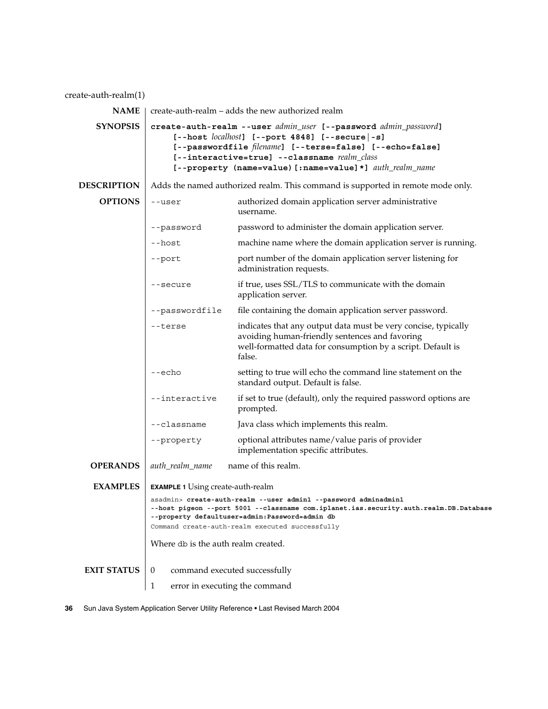<span id="page-35-0"></span>

| create-auth-realm(1) |  |  |
|----------------------|--|--|
|----------------------|--|--|

| <b>NAME</b>        | create-auth-realm - adds the new authorized realm                                                                                                                                                                                                                                                                                    |                                                                                                                                                                                           |  |
|--------------------|--------------------------------------------------------------------------------------------------------------------------------------------------------------------------------------------------------------------------------------------------------------------------------------------------------------------------------------|-------------------------------------------------------------------------------------------------------------------------------------------------------------------------------------------|--|
| <b>SYNOPSIS</b>    | create-auth-realm --user admin_user [--password admin_password]<br>$[- - \text{host localhost}]$ $[- - \text{port 4848}]$ $[- - \text{secure}   - \text{s}]$<br>[--passwordfile filename] [--terse=false] [--echo=false]<br>[--interactive=true] --classname realm_class<br>[--property (name=value) [:name=value]*] auth_realm_name |                                                                                                                                                                                           |  |
| <b>DESCRIPTION</b> | Adds the named authorized realm. This command is supported in remote mode only.                                                                                                                                                                                                                                                      |                                                                                                                                                                                           |  |
| <b>OPTIONS</b>     | --user                                                                                                                                                                                                                                                                                                                               | authorized domain application server administrative<br>username.                                                                                                                          |  |
|                    | --password                                                                                                                                                                                                                                                                                                                           | password to administer the domain application server.                                                                                                                                     |  |
|                    | --host                                                                                                                                                                                                                                                                                                                               | machine name where the domain application server is running.                                                                                                                              |  |
|                    | --port                                                                                                                                                                                                                                                                                                                               | port number of the domain application server listening for<br>administration requests.                                                                                                    |  |
|                    | --secure                                                                                                                                                                                                                                                                                                                             | if true, uses SSL/TLS to communicate with the domain<br>application server.                                                                                                               |  |
|                    | --passwordfile                                                                                                                                                                                                                                                                                                                       | file containing the domain application server password.                                                                                                                                   |  |
|                    | --terse                                                                                                                                                                                                                                                                                                                              | indicates that any output data must be very concise, typically<br>avoiding human-friendly sentences and favoring<br>well-formatted data for consumption by a script. Default is<br>false. |  |
|                    | --echo                                                                                                                                                                                                                                                                                                                               | setting to true will echo the command line statement on the<br>standard output. Default is false.                                                                                         |  |
|                    | --interactive                                                                                                                                                                                                                                                                                                                        | if set to true (default), only the required password options are<br>prompted.                                                                                                             |  |
|                    | --classname                                                                                                                                                                                                                                                                                                                          | Java class which implements this realm.                                                                                                                                                   |  |
|                    | --property                                                                                                                                                                                                                                                                                                                           | optional attributes name/value paris of provider<br>implementation specific attributes.                                                                                                   |  |
| <b>OPERANDS</b>    | auth_realm_name                                                                                                                                                                                                                                                                                                                      | name of this realm.                                                                                                                                                                       |  |
| <b>EXAMPLES</b>    | <b>EXAMPLE 1 Using create-auth-realm</b><br>asadmin> create-auth-realm --user admin1 --password adminadmin1<br>--host pigeon --port 5001 --classname com.iplanet.ias.security.auth.realm.DB.Database<br>--property defaultuser=admin: Password=admin db<br>Command create-auth-realm executed successfully                           |                                                                                                                                                                                           |  |
|                    |                                                                                                                                                                                                                                                                                                                                      |                                                                                                                                                                                           |  |
|                    | Where db is the auth realm created.                                                                                                                                                                                                                                                                                                  |                                                                                                                                                                                           |  |
| <b>EXIT STATUS</b> | command executed successfully<br>$\theta$                                                                                                                                                                                                                                                                                            |                                                                                                                                                                                           |  |
|                    | $\mathbf{1}$<br>error in executing the command                                                                                                                                                                                                                                                                                       |                                                                                                                                                                                           |  |
|                    |                                                                                                                                                                                                                                                                                                                                      |                                                                                                                                                                                           |  |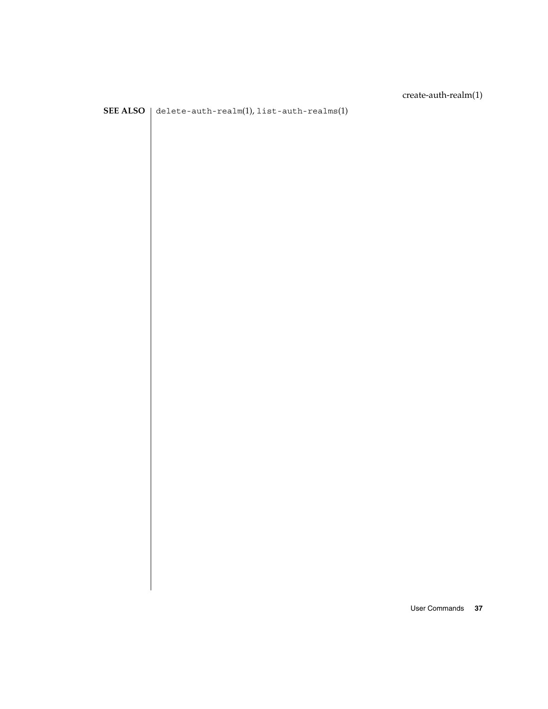create-auth-realm(1)

 $\texttt{SEE \, ALSO} \parallel \texttt{delete-auth-realm(1)}, \texttt{list-auth-realms(1)}$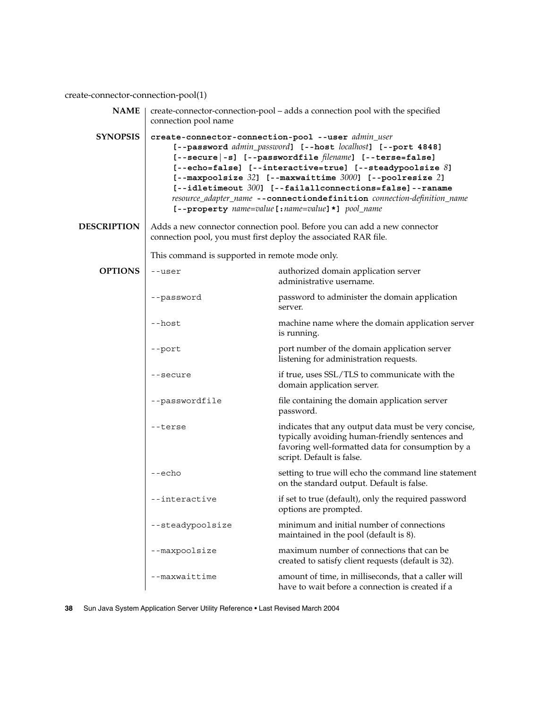create-connector-connection-pool(1)

| <b>NAME</b>        | create-connector-connection-pool - adds a connection pool with the specified<br>connection pool name |                                                                                                                                                                                                                                                                                                                                                                                                                                               |  |
|--------------------|------------------------------------------------------------------------------------------------------|-----------------------------------------------------------------------------------------------------------------------------------------------------------------------------------------------------------------------------------------------------------------------------------------------------------------------------------------------------------------------------------------------------------------------------------------------|--|
| <b>SYNOPSIS</b>    | create-connector-connection-pool --user admin_user                                                   | [--password admin_password] [--host localhost] [--port 4848]<br>[--secure  -s] [--passwordfile filename] [--terse=false]<br>[--echo=false] [--interactive=true] [--steadypoolsize 8]<br>[--maxpoolsize 32] [--maxwaittime 3000] [--poolresize 2]<br>[--idletimeout 300] [--failallconnections=false]--raname<br>resource_adapter_name --connectiondefinition connection-definition_name<br>[--property name=value [: name=value] *] pool_name |  |
| <b>DESCRIPTION</b> | connection pool, you must first deploy the associated RAR file.                                      | Adds a new connector connection pool. Before you can add a new connector                                                                                                                                                                                                                                                                                                                                                                      |  |
|                    | This command is supported in remote mode only.                                                       |                                                                                                                                                                                                                                                                                                                                                                                                                                               |  |
| <b>OPTIONS</b>     | --user                                                                                               | authorized domain application server<br>administrative username.                                                                                                                                                                                                                                                                                                                                                                              |  |
|                    | --password                                                                                           | password to administer the domain application<br>server.                                                                                                                                                                                                                                                                                                                                                                                      |  |
|                    | --host                                                                                               | machine name where the domain application server<br>is running.                                                                                                                                                                                                                                                                                                                                                                               |  |
|                    | --port                                                                                               | port number of the domain application server<br>listening for administration requests.                                                                                                                                                                                                                                                                                                                                                        |  |
|                    | --secure                                                                                             | if true, uses SSL/TLS to communicate with the<br>domain application server.                                                                                                                                                                                                                                                                                                                                                                   |  |
|                    | --passwordfile                                                                                       | file containing the domain application server<br>password.                                                                                                                                                                                                                                                                                                                                                                                    |  |
|                    | --terse                                                                                              | indicates that any output data must be very concise,<br>typically avoiding human-friendly sentences and<br>favoring well-formatted data for consumption by a<br>script. Default is false.                                                                                                                                                                                                                                                     |  |
|                    | --echo                                                                                               | setting to true will echo the command line statement<br>on the standard output. Default is false.                                                                                                                                                                                                                                                                                                                                             |  |
|                    | --interactive                                                                                        | if set to true (default), only the required password<br>options are prompted.                                                                                                                                                                                                                                                                                                                                                                 |  |
|                    | --steadypoolsize                                                                                     | minimum and initial number of connections<br>maintained in the pool (default is 8).                                                                                                                                                                                                                                                                                                                                                           |  |
|                    | --maxpoolsize                                                                                        | maximum number of connections that can be<br>created to satisfy client requests (default is 32).                                                                                                                                                                                                                                                                                                                                              |  |
|                    | --maxwaittime                                                                                        | amount of time, in milliseconds, that a caller will<br>have to wait before a connection is created if a                                                                                                                                                                                                                                                                                                                                       |  |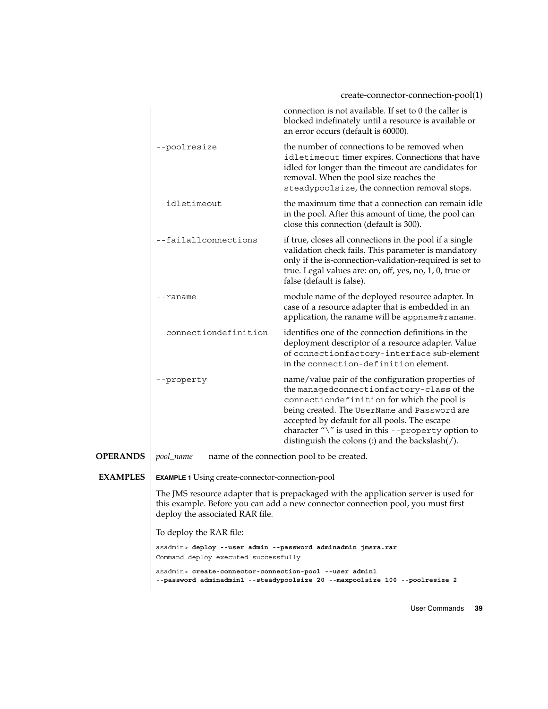## create-connector-connection-pool(1)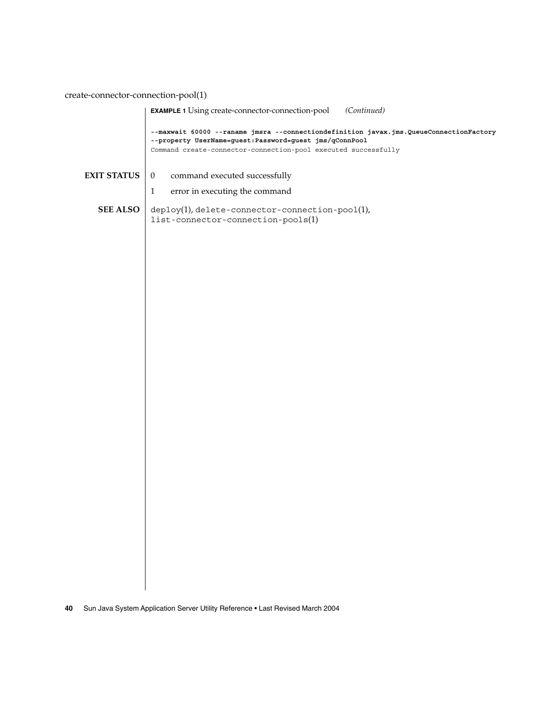create-connector-connection-pool(1)

**EXAMPLE 1** Using create-connector-connection-pool *(Continued)* **--maxwait 60000 --raname jmsra --connectiondefinition javax.jms.QueueConnectionFactory --property UserName=guest:Password=guest jms/qConnPool** Command create-connector-connection-pool executed successfully 0 command executed successfully 1 error in executing the command deploy(1), delete-connector-connection-pool(1), list-connector-connection-pools(1) **EXIT STATUS SEE ALSO**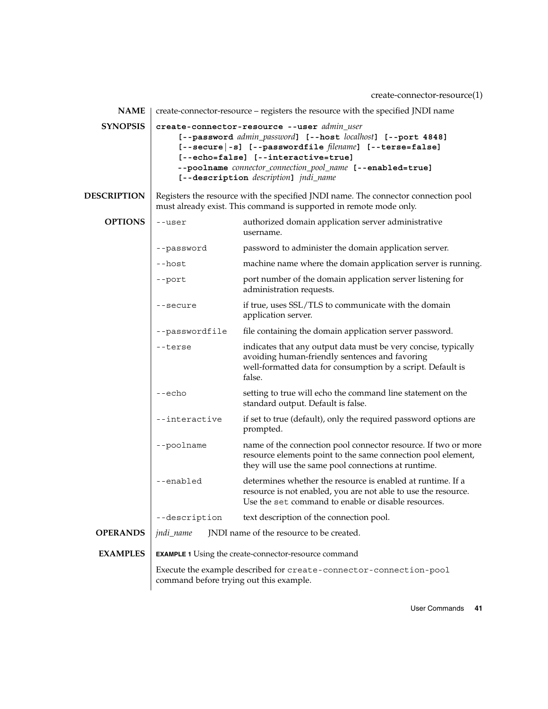create-connector-resource(1)

| <b>NAME</b>        | create-connector-resource - registers the resource with the specified JNDI name                                                                                                                                                                                                                                        |                                                                                                                                                                                           |
|--------------------|------------------------------------------------------------------------------------------------------------------------------------------------------------------------------------------------------------------------------------------------------------------------------------------------------------------------|-------------------------------------------------------------------------------------------------------------------------------------------------------------------------------------------|
| <b>SYNOPSIS</b>    | create-connector-resource --user admin_user<br>[--password admin_password] [--host localhost] [--port 4848]<br>[--secure   -s] [--passwordfile filename] [--terse=false]<br>[--echo=false] [--interactive=true]<br>--poolname connector_connection_pool_name [--enabled=true]<br>[--description description] jndi_name |                                                                                                                                                                                           |
| <b>DESCRIPTION</b> | Registers the resource with the specified JNDI name. The connector connection pool<br>must already exist. This command is supported in remote mode only.                                                                                                                                                               |                                                                                                                                                                                           |
| <b>OPTIONS</b>     | --user                                                                                                                                                                                                                                                                                                                 | authorized domain application server administrative<br>username.                                                                                                                          |
|                    | --password                                                                                                                                                                                                                                                                                                             | password to administer the domain application server.                                                                                                                                     |
|                    | --host                                                                                                                                                                                                                                                                                                                 | machine name where the domain application server is running.                                                                                                                              |
|                    | --port                                                                                                                                                                                                                                                                                                                 | port number of the domain application server listening for<br>administration requests.                                                                                                    |
|                    | --secure                                                                                                                                                                                                                                                                                                               | if true, uses SSL/TLS to communicate with the domain<br>application server.                                                                                                               |
|                    | --passwordfile                                                                                                                                                                                                                                                                                                         | file containing the domain application server password.                                                                                                                                   |
|                    | --terse                                                                                                                                                                                                                                                                                                                | indicates that any output data must be very concise, typically<br>avoiding human-friendly sentences and favoring<br>well-formatted data for consumption by a script. Default is<br>false. |
|                    | setting to true will echo the command line statement on the<br>--echo<br>standard output. Default is false.                                                                                                                                                                                                            |                                                                                                                                                                                           |
|                    | --interactive                                                                                                                                                                                                                                                                                                          | if set to true (default), only the required password options are<br>prompted.                                                                                                             |
|                    | --poolname                                                                                                                                                                                                                                                                                                             | name of the connection pool connector resource. If two or more<br>resource elements point to the same connection pool element,<br>they will use the same pool connections at runtime.     |
|                    | --enabled                                                                                                                                                                                                                                                                                                              | determines whether the resource is enabled at runtime. If a<br>resource is not enabled, you are not able to use the resource.<br>Use the set command to enable or disable resources.      |
|                    | --description                                                                                                                                                                                                                                                                                                          | text description of the connection pool.                                                                                                                                                  |
| <b>OPERANDS</b>    | jndi_name                                                                                                                                                                                                                                                                                                              | JNDI name of the resource to be created.                                                                                                                                                  |
| <b>EXAMPLES</b>    |                                                                                                                                                                                                                                                                                                                        | <b>EXAMPLE 1</b> Using the create-connector-resource command                                                                                                                              |
|                    | Execute the example described for create-connector-connection-pool<br>command before trying out this example.                                                                                                                                                                                                          |                                                                                                                                                                                           |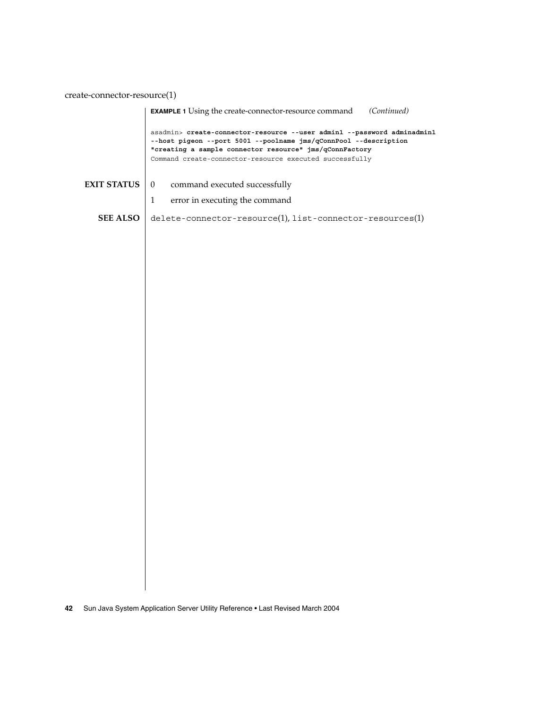create-connector-resource(1)

**EXAMPLE 1** Using the create-connector-resource command *(Continued)* asadmin> **create-connector-resource --user admin1 --password adminadmin1 --host pigeon --port 5001 --poolname jms/qConnPool --description "creating a sample connector resource" jms/qConnFactory** Command create-connector-resource executed successfully 0 command executed successfully 1 error in executing the command delete-connector-resource(1), list-connector-resources(1) **EXIT STATUS SEE ALSO**

**42** Sun Java System Application Server Utility Reference • Last Revised March 2004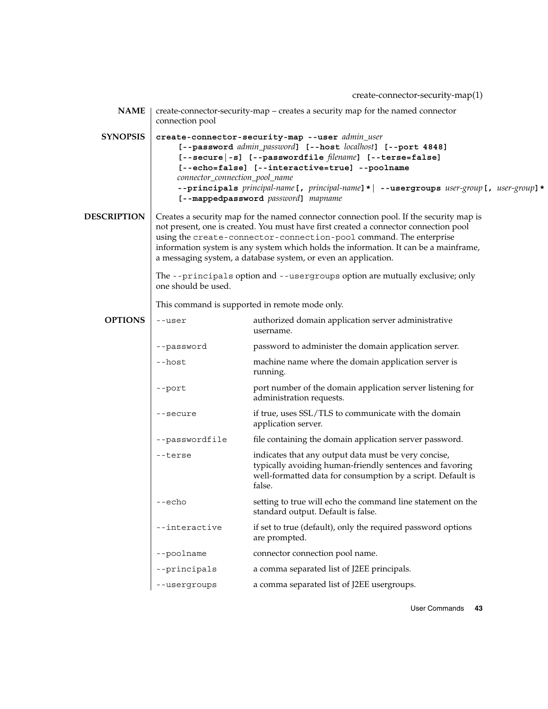| <b>NAME</b>        | create-connector-security-map - creates a security map for the named connector<br>connection pool                                                                                                                                                                                                                                                                                                              |                                                                                                                                                                                           |  |
|--------------------|----------------------------------------------------------------------------------------------------------------------------------------------------------------------------------------------------------------------------------------------------------------------------------------------------------------------------------------------------------------------------------------------------------------|-------------------------------------------------------------------------------------------------------------------------------------------------------------------------------------------|--|
| <b>SYNOPSIS</b>    | create-connector-security-map --user admin_user<br>[--password admin_password] [--host localhost] [--port 4848]<br>[--secure   - s] [--passwordfile filename] [--terse=false]<br>[--echo=false] [--interactive=true] --poolname<br>connector_connection_pool_name<br>--principals principal-name [, principal-name] *   --usergroups user-group [, user-group] *<br>[--mappedpassword password] mapname        |                                                                                                                                                                                           |  |
| <b>DESCRIPTION</b> | Creates a security map for the named connector connection pool. If the security map is<br>not present, one is created. You must have first created a connector connection pool<br>using the create-connector-connection-pool command. The enterprise<br>information system is any system which holds the information. It can be a mainframe,<br>a messaging system, a database system, or even an application. |                                                                                                                                                                                           |  |
|                    | The --principals option and --usergroups option are mutually exclusive; only<br>one should be used.                                                                                                                                                                                                                                                                                                            |                                                                                                                                                                                           |  |
|                    | This command is supported in remote mode only.                                                                                                                                                                                                                                                                                                                                                                 |                                                                                                                                                                                           |  |
| <b>OPTIONS</b>     | --user                                                                                                                                                                                                                                                                                                                                                                                                         | authorized domain application server administrative<br>username.                                                                                                                          |  |
|                    | --password                                                                                                                                                                                                                                                                                                                                                                                                     | password to administer the domain application server.                                                                                                                                     |  |
|                    | --host                                                                                                                                                                                                                                                                                                                                                                                                         | machine name where the domain application server is<br>running.                                                                                                                           |  |
|                    | --port                                                                                                                                                                                                                                                                                                                                                                                                         | port number of the domain application server listening for<br>administration requests.                                                                                                    |  |
|                    | --secure                                                                                                                                                                                                                                                                                                                                                                                                       | if true, uses SSL/TLS to communicate with the domain<br>application server.                                                                                                               |  |
|                    | --passwordfile                                                                                                                                                                                                                                                                                                                                                                                                 | file containing the domain application server password.                                                                                                                                   |  |
|                    | --terse                                                                                                                                                                                                                                                                                                                                                                                                        | indicates that any output data must be very concise,<br>typically avoiding human-friendly sentences and favoring<br>well-formatted data for consumption by a script. Default is<br>false. |  |
|                    | --echo                                                                                                                                                                                                                                                                                                                                                                                                         | setting to true will echo the command line statement on the<br>standard output. Default is false.                                                                                         |  |
|                    | --interactive                                                                                                                                                                                                                                                                                                                                                                                                  | if set to true (default), only the required password options<br>are prompted.                                                                                                             |  |
|                    | --poolname                                                                                                                                                                                                                                                                                                                                                                                                     | connector connection pool name.                                                                                                                                                           |  |
|                    | --principals                                                                                                                                                                                                                                                                                                                                                                                                   | a comma separated list of J2EE principals.                                                                                                                                                |  |
|                    | --usergroups                                                                                                                                                                                                                                                                                                                                                                                                   | a comma separated list of J2EE usergroups.                                                                                                                                                |  |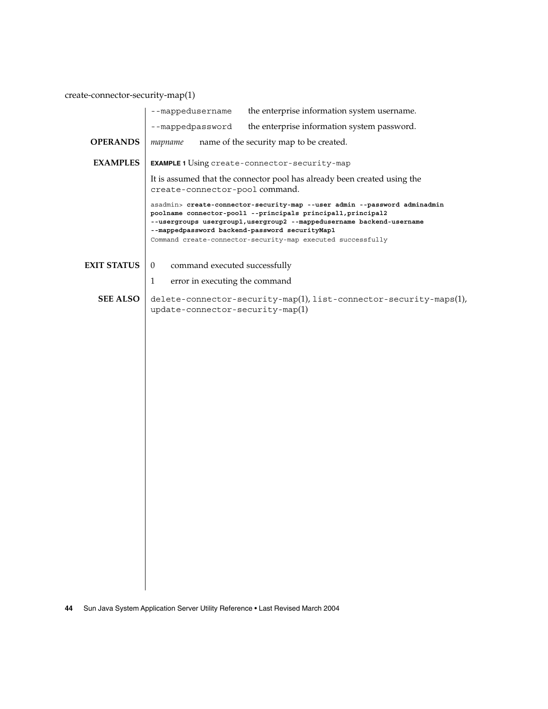## create-connector-security-map(1)

|                    | the enterprise information system username.<br>--mappedusername                                                                                                                                                                                                                                                                     |  |
|--------------------|-------------------------------------------------------------------------------------------------------------------------------------------------------------------------------------------------------------------------------------------------------------------------------------------------------------------------------------|--|
|                    | the enterprise information system password.<br>--mappedpassword                                                                                                                                                                                                                                                                     |  |
| <b>OPERANDS</b>    | name of the security map to be created.<br>mapname                                                                                                                                                                                                                                                                                  |  |
| <b>EXAMPLES</b>    | <b>EXAMPLE 1 Using create-connector-security-map</b>                                                                                                                                                                                                                                                                                |  |
|                    | It is assumed that the connector pool has already been created using the<br>create-connector-pool command.                                                                                                                                                                                                                          |  |
|                    | asadmin> create-connector-security-map --user admin --password adminadmin<br>poolname connector-pool1 --principals principal1, principal2<br>--usergroups usergroup1, usergroup2 --mappedusername backend-username<br>--mappedpassword backend-password securityMap1<br>Command create-connector-security-map executed successfully |  |
| <b>EXIT STATUS</b> | command executed successfully<br>0                                                                                                                                                                                                                                                                                                  |  |
|                    | $\mathbf{1}$<br>error in executing the command                                                                                                                                                                                                                                                                                      |  |
| <b>SEE ALSO</b>    | delete-connector-security-map(1), list-connector-security-maps(1),<br>update-connector-security-map(1)                                                                                                                                                                                                                              |  |
|                    |                                                                                                                                                                                                                                                                                                                                     |  |
|                    |                                                                                                                                                                                                                                                                                                                                     |  |
|                    |                                                                                                                                                                                                                                                                                                                                     |  |
|                    |                                                                                                                                                                                                                                                                                                                                     |  |
|                    |                                                                                                                                                                                                                                                                                                                                     |  |
|                    |                                                                                                                                                                                                                                                                                                                                     |  |
|                    |                                                                                                                                                                                                                                                                                                                                     |  |
|                    |                                                                                                                                                                                                                                                                                                                                     |  |
|                    |                                                                                                                                                                                                                                                                                                                                     |  |
|                    |                                                                                                                                                                                                                                                                                                                                     |  |
|                    |                                                                                                                                                                                                                                                                                                                                     |  |
|                    |                                                                                                                                                                                                                                                                                                                                     |  |
|                    |                                                                                                                                                                                                                                                                                                                                     |  |
|                    |                                                                                                                                                                                                                                                                                                                                     |  |
|                    |                                                                                                                                                                                                                                                                                                                                     |  |

**44** Sun Java System Application Server Utility Reference • Last Revised March 2004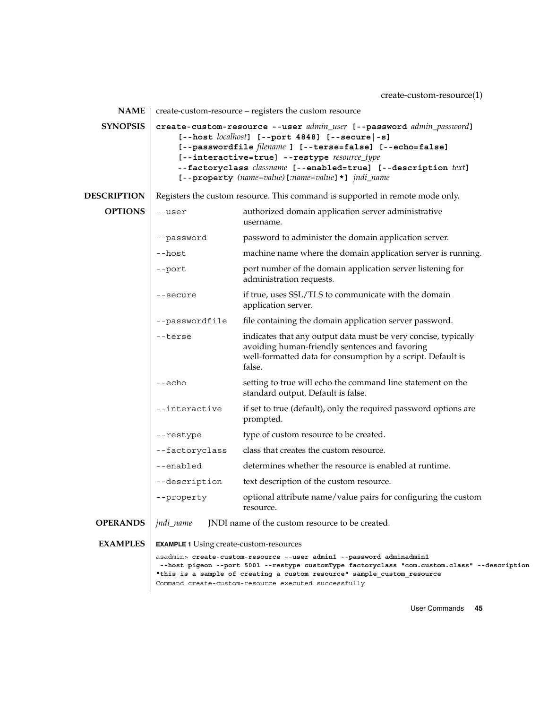create-custom-resource(1)

| <b>NAME</b>        | create-custom-resource – registers the custom resource                                                                                                                                                                                                                                                                                                                                                 |                                                                                                                                                                                           |  |
|--------------------|--------------------------------------------------------------------------------------------------------------------------------------------------------------------------------------------------------------------------------------------------------------------------------------------------------------------------------------------------------------------------------------------------------|-------------------------------------------------------------------------------------------------------------------------------------------------------------------------------------------|--|
| <b>SYNOPSIS</b>    | create-custom-resource --user admin_user [--password admin_password]<br>$[- - \text{host localhost}]$ $[- - \text{port 4848}]$ $[- - \text{secure}   - \text{s}]$<br>[--passwordfile filename ] [--terse=false] [--echo=false]<br>[--interactive=true] --restype resource_type<br>--factoryclass classname [--enabled=true] [--description text]<br>[--property (name=value)[:name=value] *] jndi_name |                                                                                                                                                                                           |  |
| <b>DESCRIPTION</b> | Registers the custom resource. This command is supported in remote mode only.                                                                                                                                                                                                                                                                                                                          |                                                                                                                                                                                           |  |
| <b>OPTIONS</b>     | --user                                                                                                                                                                                                                                                                                                                                                                                                 | authorized domain application server administrative<br>username.                                                                                                                          |  |
|                    | --password                                                                                                                                                                                                                                                                                                                                                                                             | password to administer the domain application server.                                                                                                                                     |  |
|                    | --host                                                                                                                                                                                                                                                                                                                                                                                                 | machine name where the domain application server is running.                                                                                                                              |  |
|                    | --port                                                                                                                                                                                                                                                                                                                                                                                                 | port number of the domain application server listening for<br>administration requests.                                                                                                    |  |
|                    | --secure                                                                                                                                                                                                                                                                                                                                                                                               | if true, uses SSL/TLS to communicate with the domain<br>application server.                                                                                                               |  |
|                    | --passwordfile                                                                                                                                                                                                                                                                                                                                                                                         | file containing the domain application server password.                                                                                                                                   |  |
|                    | --terse                                                                                                                                                                                                                                                                                                                                                                                                | indicates that any output data must be very concise, typically<br>avoiding human-friendly sentences and favoring<br>well-formatted data for consumption by a script. Default is<br>false. |  |
|                    | --echo                                                                                                                                                                                                                                                                                                                                                                                                 | setting to true will echo the command line statement on the<br>standard output. Default is false.                                                                                         |  |
|                    | --interactive                                                                                                                                                                                                                                                                                                                                                                                          | if set to true (default), only the required password options are<br>prompted.                                                                                                             |  |
|                    | --restype                                                                                                                                                                                                                                                                                                                                                                                              | type of custom resource to be created.                                                                                                                                                    |  |
|                    | --factoryclass                                                                                                                                                                                                                                                                                                                                                                                         | class that creates the custom resource.                                                                                                                                                   |  |
|                    | --enabled                                                                                                                                                                                                                                                                                                                                                                                              | determines whether the resource is enabled at runtime.                                                                                                                                    |  |
|                    | --description                                                                                                                                                                                                                                                                                                                                                                                          | text description of the custom resource.                                                                                                                                                  |  |
|                    | --property                                                                                                                                                                                                                                                                                                                                                                                             | optional attribute name/value pairs for configuring the custom<br>resource.                                                                                                               |  |
| <b>OPERANDS</b>    | jndi_name                                                                                                                                                                                                                                                                                                                                                                                              | JNDI name of the custom resource to be created.                                                                                                                                           |  |
| <b>EXAMPLES</b>    | <b>EXAMPLE 1 Using create-custom-resources</b>                                                                                                                                                                                                                                                                                                                                                         |                                                                                                                                                                                           |  |
|                    | asadmin> create-custom-resource --user admin1 --password adminadmin1<br>--host pigeon --port 5001 --restype customType factoryclass "com.custom.class" --description<br>"this is a sample of creating a custom resource" sample custom resource<br>Command create-custom-resource executed successfully                                                                                                |                                                                                                                                                                                           |  |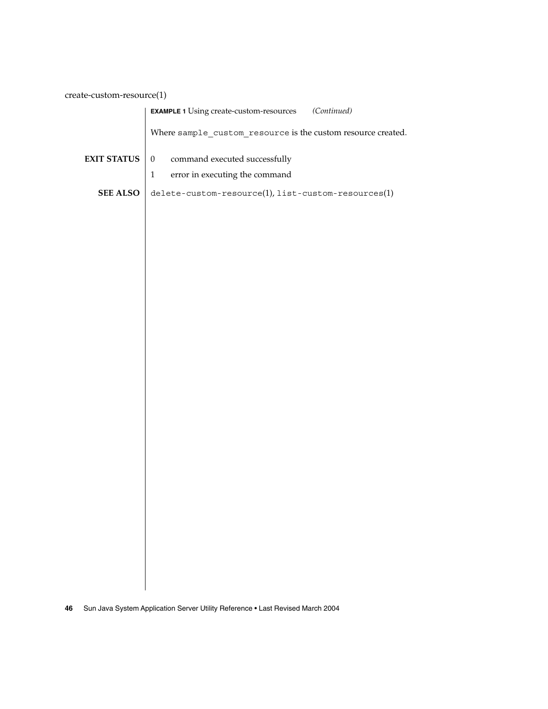| create-custom-resource(1) |  |
|---------------------------|--|
|---------------------------|--|

|                    | (Continued)<br><b>EXAMPLE 1 Using create-custom-resources</b>                  |
|--------------------|--------------------------------------------------------------------------------|
|                    | Where sample custom resource is the custom resource created.                   |
| <b>EXIT STATUS</b> | command executed successfully<br>$\Box$<br>error in executing the command<br>1 |
| <b>SEE ALSO</b>    | $delete-custom-resource(1), list-custom-resource(1)$                           |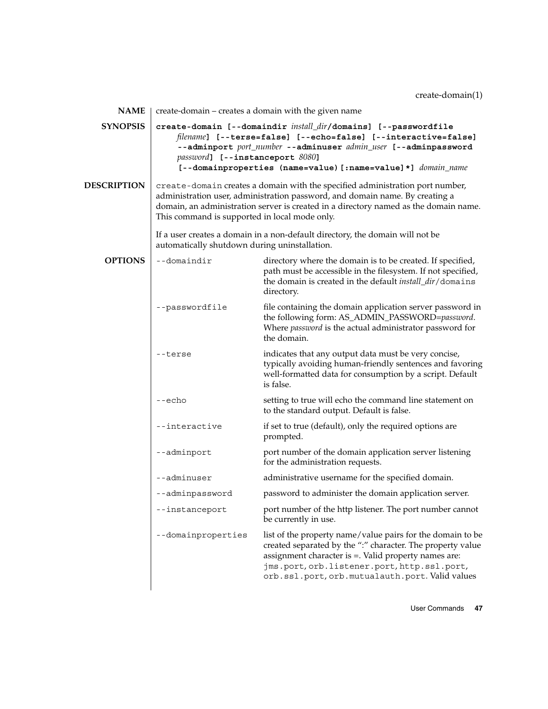| <b>NAME</b>        | create-domain – creates a domain with the given name                                                                                                                                                                                                                                                        |                                                                                                                                                                                                                                                                                    |  |
|--------------------|-------------------------------------------------------------------------------------------------------------------------------------------------------------------------------------------------------------------------------------------------------------------------------------------------------------|------------------------------------------------------------------------------------------------------------------------------------------------------------------------------------------------------------------------------------------------------------------------------------|--|
| <b>SYNOPSIS</b>    | create-domain [--domaindir install_dir/domains] [--passwordfile<br>filename] [--terse=false] [--echo=false] [--interactive=false]<br>--adminport port_number --adminuser admin_user [--adminpassword<br>password] [--instanceport 8080]<br>[--domainproperties (name=value) [:name=value] *] $domain\_name$ |                                                                                                                                                                                                                                                                                    |  |
| <b>DESCRIPTION</b> | create-domain creates a domain with the specified administration port number,<br>administration user, administration password, and domain name. By creating a<br>domain, an administration server is created in a directory named as the domain name.<br>This command is supported in local mode only.      |                                                                                                                                                                                                                                                                                    |  |
|                    | If a user creates a domain in a non-default directory, the domain will not be<br>automatically shutdown during uninstallation.                                                                                                                                                                              |                                                                                                                                                                                                                                                                                    |  |
| <b>OPTIONS</b>     | --domaindir                                                                                                                                                                                                                                                                                                 | directory where the domain is to be created. If specified,<br>path must be accessible in the filesystem. If not specified,<br>the domain is created in the default <i>install_dir</i> /domains<br>directory.                                                                       |  |
|                    | --passwordfile                                                                                                                                                                                                                                                                                              | file containing the domain application server password in<br>the following form: AS_ADMIN_PASSWORD=password.<br>Where password is the actual administrator password for<br>the domain.                                                                                             |  |
|                    | --terse                                                                                                                                                                                                                                                                                                     | indicates that any output data must be very concise,<br>typically avoiding human-friendly sentences and favoring<br>well-formatted data for consumption by a script. Default<br>is false.                                                                                          |  |
|                    | --echo                                                                                                                                                                                                                                                                                                      | setting to true will echo the command line statement on<br>to the standard output. Default is false.                                                                                                                                                                               |  |
|                    | --interactive                                                                                                                                                                                                                                                                                               | if set to true (default), only the required options are<br>prompted.                                                                                                                                                                                                               |  |
|                    | --adminport                                                                                                                                                                                                                                                                                                 | port number of the domain application server listening<br>for the administration requests.                                                                                                                                                                                         |  |
|                    | --adminuser                                                                                                                                                                                                                                                                                                 | administrative username for the specified domain.                                                                                                                                                                                                                                  |  |
|                    | --adminpassword                                                                                                                                                                                                                                                                                             | password to administer the domain application server.                                                                                                                                                                                                                              |  |
|                    | --instanceport                                                                                                                                                                                                                                                                                              | port number of the http listener. The port number cannot<br>be currently in use.                                                                                                                                                                                                   |  |
|                    | --domainproperties                                                                                                                                                                                                                                                                                          | list of the property name/value pairs for the domain to be<br>created separated by the ":" character. The property value<br>assignment character is =. Valid property names are:<br>jms.port, orb.listener.port, http.ssl.port,<br>orb.ssl.port, orb.mutualauth.port. Valid values |  |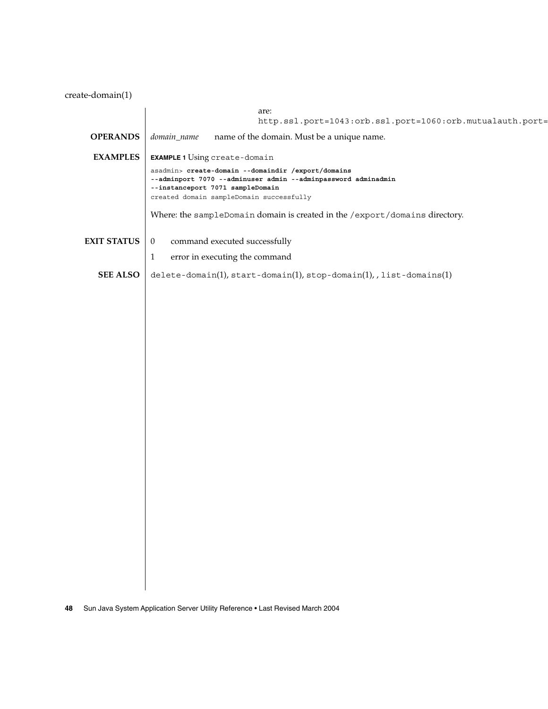create-domain(1)

|                    | are:<br>http.ssl.port=1043:orb.ssl.port=1060:orb.mutualauth.port=                                                                                                                                                                                                                                                          |
|--------------------|----------------------------------------------------------------------------------------------------------------------------------------------------------------------------------------------------------------------------------------------------------------------------------------------------------------------------|
| <b>OPERANDS</b>    | domain_name<br>name of the domain. Must be a unique name.                                                                                                                                                                                                                                                                  |
| <b>EXAMPLES</b>    | <b>EXAMPLE 1 Using create-domain</b><br>asadmin> create-domain --domaindir /export/domains<br>--adminport 7070 --adminuser admin --adminpassword adminadmin<br>--instanceport 7071 sampleDomain<br>created domain sampleDomain successfully<br>Where: the sampleDomain domain is created in the /export/domains directory. |
| <b>EXIT STATUS</b> | $\boldsymbol{0}$<br>command executed successfully                                                                                                                                                                                                                                                                          |
|                    | error in executing the command<br>$\mathbf{1}$                                                                                                                                                                                                                                                                             |
| <b>SEE ALSO</b>    | $delete-domain(1), start-domain(1), stop-domain(1), , list-domain(1)$                                                                                                                                                                                                                                                      |
|                    |                                                                                                                                                                                                                                                                                                                            |
|                    |                                                                                                                                                                                                                                                                                                                            |
|                    |                                                                                                                                                                                                                                                                                                                            |
|                    |                                                                                                                                                                                                                                                                                                                            |
|                    |                                                                                                                                                                                                                                                                                                                            |
|                    |                                                                                                                                                                                                                                                                                                                            |
|                    |                                                                                                                                                                                                                                                                                                                            |
|                    |                                                                                                                                                                                                                                                                                                                            |
|                    |                                                                                                                                                                                                                                                                                                                            |
|                    |                                                                                                                                                                                                                                                                                                                            |
|                    |                                                                                                                                                                                                                                                                                                                            |
|                    |                                                                                                                                                                                                                                                                                                                            |
|                    |                                                                                                                                                                                                                                                                                                                            |
|                    |                                                                                                                                                                                                                                                                                                                            |
|                    |                                                                                                                                                                                                                                                                                                                            |
|                    |                                                                                                                                                                                                                                                                                                                            |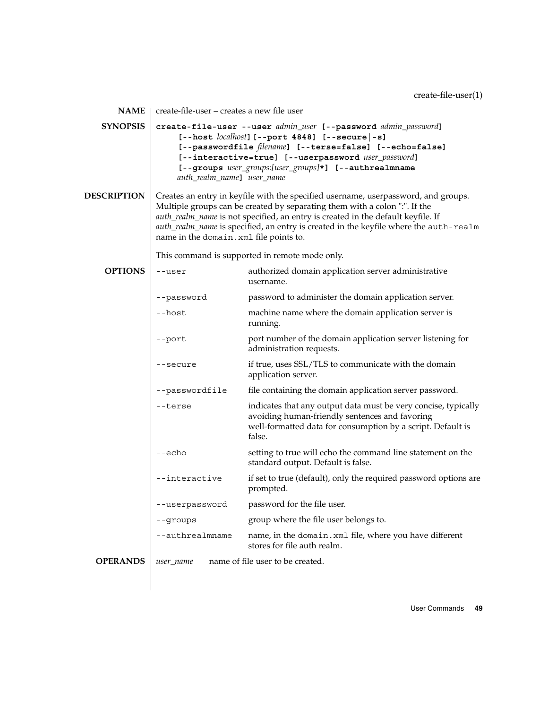| <b>NAME</b>        | create-file-user – creates a new file user                                                                                                                                                                                                                                                                                                                                               |                                                                                                                                                                                           |
|--------------------|------------------------------------------------------------------------------------------------------------------------------------------------------------------------------------------------------------------------------------------------------------------------------------------------------------------------------------------------------------------------------------------|-------------------------------------------------------------------------------------------------------------------------------------------------------------------------------------------|
| <b>SYNOPSIS</b>    | create-file-user --user admin_user [--password admin_password]<br>[--host localhost] [--port 4848] [--secure  -s]<br>[--passwordfile filename] [--terse=false] [--echo=false]<br>[--interactive=true] [--userpassword user_password]<br>[--groups user_groups:[user_groups]*] [--authrealmname<br>auth_realm_name] user_name                                                             |                                                                                                                                                                                           |
| <b>DESCRIPTION</b> | Creates an entry in keyfile with the specified username, userpassword, and groups.<br>Multiple groups can be created by separating them with a colon ":". If the<br>auth_realm_name is not specified, an entry is created in the default keyfile. If<br>auth_realm_name is specified, an entry is created in the keyfile where the auth-realm<br>name in the domain. xml file points to. |                                                                                                                                                                                           |
|                    |                                                                                                                                                                                                                                                                                                                                                                                          | This command is supported in remote mode only.                                                                                                                                            |
| <b>OPTIONS</b>     | --user                                                                                                                                                                                                                                                                                                                                                                                   | authorized domain application server administrative<br>username.                                                                                                                          |
|                    | --password                                                                                                                                                                                                                                                                                                                                                                               | password to administer the domain application server.                                                                                                                                     |
|                    | --host                                                                                                                                                                                                                                                                                                                                                                                   | machine name where the domain application server is<br>running.                                                                                                                           |
|                    | --port                                                                                                                                                                                                                                                                                                                                                                                   | port number of the domain application server listening for<br>administration requests.                                                                                                    |
|                    | --secure                                                                                                                                                                                                                                                                                                                                                                                 | if true, uses SSL/TLS to communicate with the domain<br>application server.                                                                                                               |
|                    | --passwordfile                                                                                                                                                                                                                                                                                                                                                                           | file containing the domain application server password.                                                                                                                                   |
|                    | --terse                                                                                                                                                                                                                                                                                                                                                                                  | indicates that any output data must be very concise, typically<br>avoiding human-friendly sentences and favoring<br>well-formatted data for consumption by a script. Default is<br>false. |
|                    | --echo                                                                                                                                                                                                                                                                                                                                                                                   | setting to true will echo the command line statement on the<br>standard output. Default is false.                                                                                         |
|                    | --interactive                                                                                                                                                                                                                                                                                                                                                                            | if set to true (default), only the required password options are<br>prompted.                                                                                                             |
|                    | --userpassword                                                                                                                                                                                                                                                                                                                                                                           | password for the file user.                                                                                                                                                               |
|                    | --groups                                                                                                                                                                                                                                                                                                                                                                                 | group where the file user belongs to.                                                                                                                                                     |
|                    | --authrealmname                                                                                                                                                                                                                                                                                                                                                                          | name, in the domain. xml file, where you have different<br>stores for file auth realm.                                                                                                    |
| <b>OPERANDS</b>    | user_name                                                                                                                                                                                                                                                                                                                                                                                | name of file user to be created.                                                                                                                                                          |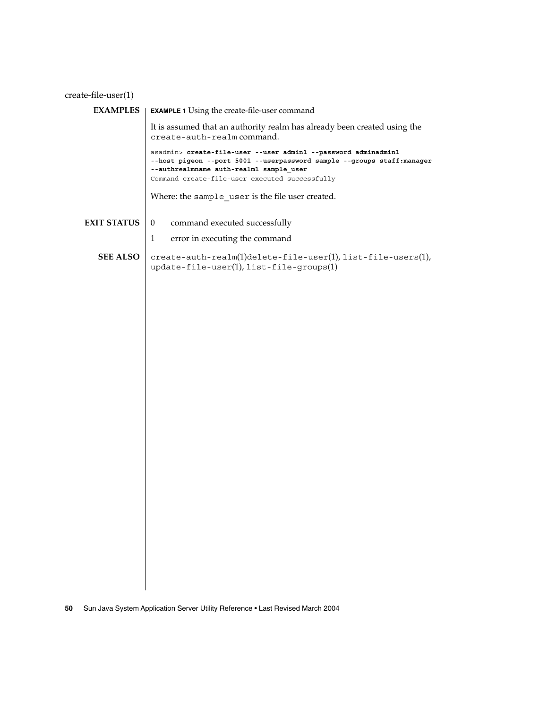create-file-user(1)

| <b>EXAMPLES</b>    | <b>EXAMPLE 1</b> Using the create-file-user command                                                                                                                                                                                                                                                                                             |  |
|--------------------|-------------------------------------------------------------------------------------------------------------------------------------------------------------------------------------------------------------------------------------------------------------------------------------------------------------------------------------------------|--|
|                    | It is assumed that an authority realm has already been created using the<br>create-auth-realm command.<br>asadmin> create-file-user --user admin1 --password adminadmin1<br>--host pigeon --port 5001 --userpassword sample --groups staff:manager<br>--authrealmname auth-realm1 sample user<br>Command create-file-user executed successfully |  |
|                    |                                                                                                                                                                                                                                                                                                                                                 |  |
|                    | Where: the sample_user is the file user created.                                                                                                                                                                                                                                                                                                |  |
| <b>EXIT STATUS</b> | $\boldsymbol{0}$<br>command executed successfully                                                                                                                                                                                                                                                                                               |  |
|                    | $\mathbf{1}$<br>error in executing the command                                                                                                                                                                                                                                                                                                  |  |
| <b>SEE ALSO</b>    | $create$ -auth-realm $(1)$ delete-file-user $(1)$ , list-file-users $(1)$ ,<br>$update-file-user(1), list-file-groups(1)$                                                                                                                                                                                                                       |  |
|                    |                                                                                                                                                                                                                                                                                                                                                 |  |
|                    |                                                                                                                                                                                                                                                                                                                                                 |  |
|                    |                                                                                                                                                                                                                                                                                                                                                 |  |
|                    |                                                                                                                                                                                                                                                                                                                                                 |  |
|                    |                                                                                                                                                                                                                                                                                                                                                 |  |
|                    |                                                                                                                                                                                                                                                                                                                                                 |  |
|                    |                                                                                                                                                                                                                                                                                                                                                 |  |
|                    |                                                                                                                                                                                                                                                                                                                                                 |  |
|                    |                                                                                                                                                                                                                                                                                                                                                 |  |
|                    |                                                                                                                                                                                                                                                                                                                                                 |  |
|                    |                                                                                                                                                                                                                                                                                                                                                 |  |
|                    |                                                                                                                                                                                                                                                                                                                                                 |  |
|                    |                                                                                                                                                                                                                                                                                                                                                 |  |
|                    |                                                                                                                                                                                                                                                                                                                                                 |  |
|                    |                                                                                                                                                                                                                                                                                                                                                 |  |
|                    |                                                                                                                                                                                                                                                                                                                                                 |  |
|                    |                                                                                                                                                                                                                                                                                                                                                 |  |
|                    |                                                                                                                                                                                                                                                                                                                                                 |  |
|                    |                                                                                                                                                                                                                                                                                                                                                 |  |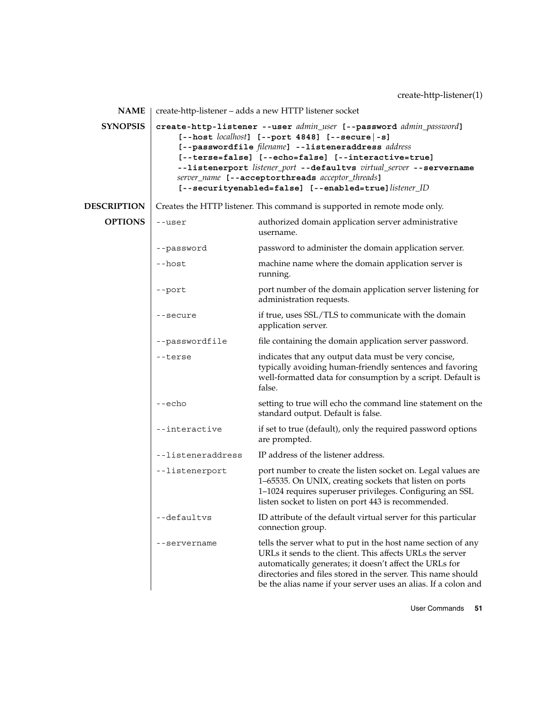create-http-listener(1)

| <b>NAME</b>        | create-http-listener - adds a new HTTP listener socket                                                                                                                                                                                                                                                                                                                                                                                                           |                                                                                                                                                                                                                                                                                                                        |  |
|--------------------|------------------------------------------------------------------------------------------------------------------------------------------------------------------------------------------------------------------------------------------------------------------------------------------------------------------------------------------------------------------------------------------------------------------------------------------------------------------|------------------------------------------------------------------------------------------------------------------------------------------------------------------------------------------------------------------------------------------------------------------------------------------------------------------------|--|
| <b>SYNOPSIS</b>    | create-http-listener --user admin_user [--password admin_password]<br>$[- - \text{host localhost}]$ $[- - \text{port 4848}]$ $[- - \text{secure} - \text{s}]$<br>[--passwordfile filename] --listeneraddress address<br>[--terse=false] [--echo=false] [--interactive=true]<br>--listenerport listener_port --defaultvs virtual_server --servername<br>server_name [--acceptorthreads acceptor_threads]<br>[--securityenabled=false] [--enabled=true]listener_ID |                                                                                                                                                                                                                                                                                                                        |  |
| <b>DESCRIPTION</b> |                                                                                                                                                                                                                                                                                                                                                                                                                                                                  | Creates the HTTP listener. This command is supported in remote mode only.                                                                                                                                                                                                                                              |  |
| <b>OPTIONS</b>     | --user                                                                                                                                                                                                                                                                                                                                                                                                                                                           | authorized domain application server administrative<br>username.                                                                                                                                                                                                                                                       |  |
|                    | --password                                                                                                                                                                                                                                                                                                                                                                                                                                                       | password to administer the domain application server.                                                                                                                                                                                                                                                                  |  |
|                    | --host                                                                                                                                                                                                                                                                                                                                                                                                                                                           | machine name where the domain application server is<br>running.                                                                                                                                                                                                                                                        |  |
|                    | port number of the domain application server listening for<br>--port<br>administration requests.                                                                                                                                                                                                                                                                                                                                                                 |                                                                                                                                                                                                                                                                                                                        |  |
|                    | --secure                                                                                                                                                                                                                                                                                                                                                                                                                                                         | if true, uses SSL/TLS to communicate with the domain<br>application server.                                                                                                                                                                                                                                            |  |
|                    | --passwordfile                                                                                                                                                                                                                                                                                                                                                                                                                                                   | file containing the domain application server password.                                                                                                                                                                                                                                                                |  |
|                    | --terse                                                                                                                                                                                                                                                                                                                                                                                                                                                          | indicates that any output data must be very concise,<br>typically avoiding human-friendly sentences and favoring<br>well-formatted data for consumption by a script. Default is<br>false.                                                                                                                              |  |
|                    | --echo                                                                                                                                                                                                                                                                                                                                                                                                                                                           | setting to true will echo the command line statement on the<br>standard output. Default is false.                                                                                                                                                                                                                      |  |
|                    | --interactive<br>are prompted.                                                                                                                                                                                                                                                                                                                                                                                                                                   | if set to true (default), only the required password options                                                                                                                                                                                                                                                           |  |
|                    | --listeneraddress                                                                                                                                                                                                                                                                                                                                                                                                                                                | IP address of the listener address.                                                                                                                                                                                                                                                                                    |  |
|                    | --listenerport                                                                                                                                                                                                                                                                                                                                                                                                                                                   | port number to create the listen socket on. Legal values are<br>1-65535. On UNIX, creating sockets that listen on ports<br>1-1024 requires superuser privileges. Configuring an SSL<br>listen socket to listen on port 443 is recommended.                                                                             |  |
|                    | --defaultvs                                                                                                                                                                                                                                                                                                                                                                                                                                                      | ID attribute of the default virtual server for this particular<br>connection group.                                                                                                                                                                                                                                    |  |
|                    | --servername                                                                                                                                                                                                                                                                                                                                                                                                                                                     | tells the server what to put in the host name section of any<br>URLs it sends to the client. This affects URLs the server<br>automatically generates; it doesn't affect the URLs for<br>directories and files stored in the server. This name should<br>be the alias name if your server uses an alias. If a colon and |  |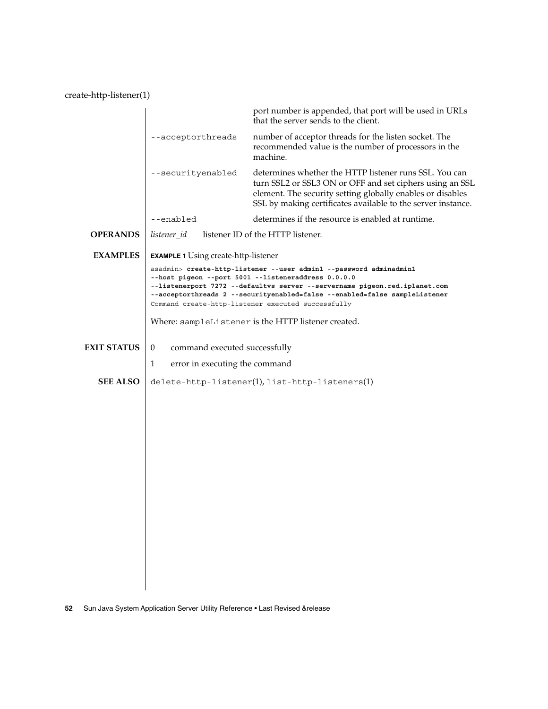create-http-listener(1)

|                    |                                                | port number is appended, that port will be used in URLs<br>that the server sends to the client.                                                                                                                                                  |
|--------------------|------------------------------------------------|--------------------------------------------------------------------------------------------------------------------------------------------------------------------------------------------------------------------------------------------------|
|                    | --acceptorthreads                              | number of acceptor threads for the listen socket. The<br>recommended value is the number of processors in the<br>machine.                                                                                                                        |
|                    | --securityenabled                              | determines whether the HTTP listener runs SSL. You can<br>turn SSL2 or SSL3 ON or OFF and set ciphers using an SSL<br>element. The security setting globally enables or disables<br>SSL by making certificates available to the server instance. |
|                    | --enabled                                      | determines if the resource is enabled at runtime.                                                                                                                                                                                                |
| <b>OPERANDS</b>    | listener_id                                    | listener ID of the HTTP listener.                                                                                                                                                                                                                |
| <b>EXAMPLES</b>    | <b>EXAMPLE 1 Using create-http-listener</b>    |                                                                                                                                                                                                                                                  |
|                    |                                                | asadmin> create-http-listener --user admin1 --password adminadmin1<br>--host pigeon --port 5001 --listeneraddress 0.0.0.0                                                                                                                        |
|                    |                                                | --listenerport 7272 --defaultvs server --servername pigeon.red.iplanet.com<br>--acceptorthreads 2 --securityenabled=false --enabled=false sampleListener<br>Command create-http-listener executed successfully                                   |
|                    |                                                | Where: sampleListener is the HTTP listener created.                                                                                                                                                                                              |
| <b>EXIT STATUS</b> | command executed successfully<br>0             |                                                                                                                                                                                                                                                  |
|                    | $\mathbf{1}$<br>error in executing the command |                                                                                                                                                                                                                                                  |
| <b>SEE ALSO</b>    |                                                | delete-http-listener(1), list-http-listeners(1)                                                                                                                                                                                                  |
|                    |                                                |                                                                                                                                                                                                                                                  |
|                    |                                                |                                                                                                                                                                                                                                                  |
|                    |                                                |                                                                                                                                                                                                                                                  |
|                    |                                                |                                                                                                                                                                                                                                                  |
|                    |                                                |                                                                                                                                                                                                                                                  |
|                    |                                                |                                                                                                                                                                                                                                                  |
|                    |                                                |                                                                                                                                                                                                                                                  |
|                    |                                                |                                                                                                                                                                                                                                                  |
|                    |                                                |                                                                                                                                                                                                                                                  |
|                    |                                                |                                                                                                                                                                                                                                                  |
|                    |                                                |                                                                                                                                                                                                                                                  |
|                    |                                                |                                                                                                                                                                                                                                                  |
|                    |                                                |                                                                                                                                                                                                                                                  |

**52** Sun Java System Application Server Utility Reference • Last Revised &release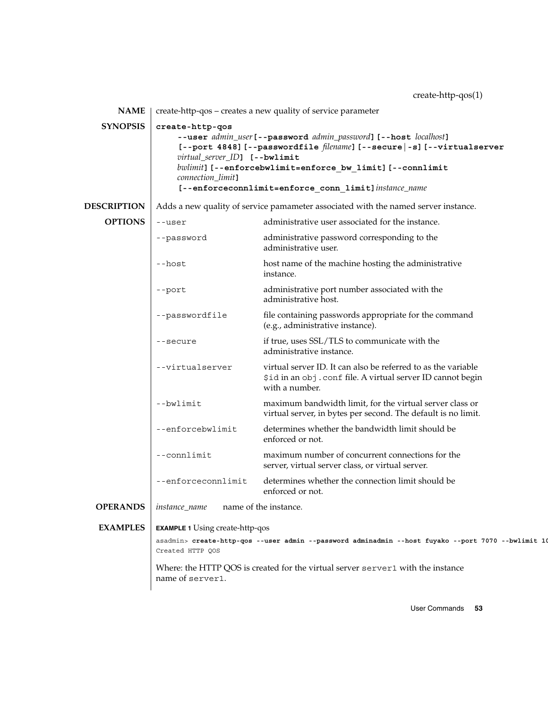create-http-qos(1)

| <b>NAME</b>        | create-http-qos - creates a new quality of service parameter                                                                                                                                                                                                                                                                               |                                                                                                                                                |
|--------------------|--------------------------------------------------------------------------------------------------------------------------------------------------------------------------------------------------------------------------------------------------------------------------------------------------------------------------------------------|------------------------------------------------------------------------------------------------------------------------------------------------|
| <b>SYNOPSIS</b>    | create-http-gos<br>--user admin_user [--password admin_password] [--host localhost]<br>[--port 4848] [--passwordfile filename] [--secure   -s] [--virtualserver<br>virtual_server_ID] [--bwlimit<br>bwlimit] [--enforcebwlimit=enforce bw limit] [--connlimit<br>connection_limit]<br>[--enforceconnlimit=enforce_conn_limit]instance_name |                                                                                                                                                |
| <b>DESCRIPTION</b> |                                                                                                                                                                                                                                                                                                                                            | Adds a new quality of service pamameter associated with the named server instance.                                                             |
| <b>OPTIONS</b>     | --user                                                                                                                                                                                                                                                                                                                                     | administrative user associated for the instance.                                                                                               |
|                    | --password                                                                                                                                                                                                                                                                                                                                 | administrative password corresponding to the<br>administrative user.                                                                           |
|                    | --host                                                                                                                                                                                                                                                                                                                                     | host name of the machine hosting the administrative<br>instance.                                                                               |
|                    | --port                                                                                                                                                                                                                                                                                                                                     | administrative port number associated with the<br>administrative host.                                                                         |
|                    | --passwordfile                                                                                                                                                                                                                                                                                                                             | file containing passwords appropriate for the command<br>(e.g., administrative instance).                                                      |
|                    | --secure                                                                                                                                                                                                                                                                                                                                   | if true, uses SSL/TLS to communicate with the<br>administrative instance.                                                                      |
|                    | --virtualserver                                                                                                                                                                                                                                                                                                                            | virtual server ID. It can also be referred to as the variable<br>\$id in an obj. conf file. A virtual server ID cannot begin<br>with a number. |
|                    | --bwlimit                                                                                                                                                                                                                                                                                                                                  | maximum bandwidth limit, for the virtual server class or<br>virtual server, in bytes per second. The default is no limit.                      |
|                    | --enforcebwlimit                                                                                                                                                                                                                                                                                                                           | determines whether the bandwidth limit should be<br>enforced or not.                                                                           |
|                    | --connlimit                                                                                                                                                                                                                                                                                                                                | maximum number of concurrent connections for the<br>server, virtual server class, or virtual server.                                           |
|                    | --enforceconnlimit                                                                                                                                                                                                                                                                                                                         | determines whether the connection limit should be<br>enforced or not.                                                                          |
| <b>OPERANDS</b>    | <i>instance_name</i> name of the instance.                                                                                                                                                                                                                                                                                                 |                                                                                                                                                |
| <b>EXAMPLES</b>    | <b>EXAMPLE 1 Using create-http-qos</b>                                                                                                                                                                                                                                                                                                     |                                                                                                                                                |
|                    | Created HTTP OOS                                                                                                                                                                                                                                                                                                                           | asadmin> create-http-qos --user admin --password adminadmin --host fuyako --port 7070 --bwlimit 10                                             |
|                    | name of server1.                                                                                                                                                                                                                                                                                                                           | Where: the HTTP QOS is created for the virtual server server1 with the instance                                                                |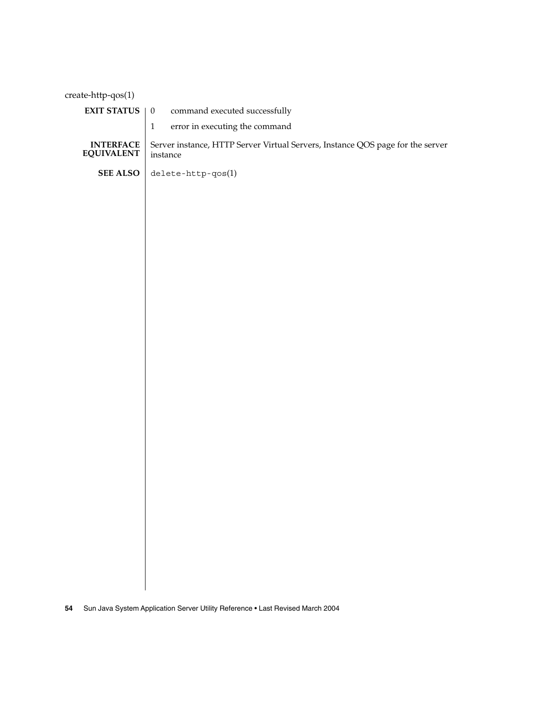| create-http-qos(1)                    |                                                                                            |  |  |
|---------------------------------------|--------------------------------------------------------------------------------------------|--|--|
| <b>EXIT STATUS</b>                    | command executed successfully<br>$\overline{0}$                                            |  |  |
|                                       | error in executing the command<br>$\mathbf{1}$                                             |  |  |
| <b>INTERFACE</b><br><b>EQUIVALENT</b> | Server instance, HTTP Server Virtual Servers, Instance QOS page for the server<br>instance |  |  |
| <b>SEE ALSO</b>                       | delete-http-qos(1)                                                                         |  |  |
|                                       |                                                                                            |  |  |
|                                       |                                                                                            |  |  |
|                                       |                                                                                            |  |  |
|                                       |                                                                                            |  |  |
|                                       |                                                                                            |  |  |
|                                       |                                                                                            |  |  |
|                                       |                                                                                            |  |  |
|                                       |                                                                                            |  |  |
|                                       |                                                                                            |  |  |
|                                       |                                                                                            |  |  |
|                                       |                                                                                            |  |  |
|                                       |                                                                                            |  |  |
|                                       |                                                                                            |  |  |
|                                       |                                                                                            |  |  |
|                                       |                                                                                            |  |  |

**54** Sun Java System Application Server Utility Reference • Last Revised March 2004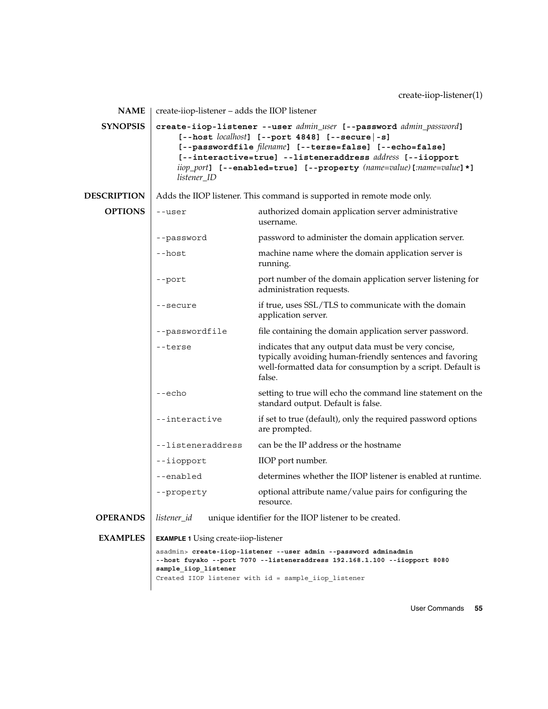create-iiop-listener(1)

| <b>NAME</b>        | create-iiop-listener - adds the IIOP listener                                                                                                                                                                                                                                                                                                                                  |                                                                                        |
|--------------------|--------------------------------------------------------------------------------------------------------------------------------------------------------------------------------------------------------------------------------------------------------------------------------------------------------------------------------------------------------------------------------|----------------------------------------------------------------------------------------|
| <b>SYNOPSIS</b>    | create-iiop-listener --user admin_user [--password admin_password]<br>$[- - \text{host localhost}]$ $[- - \text{port 4848}]$ $[- - \text{secure} - \text{s}]$<br>[--passwordfile filename] [--terse=false] [--echo=false]<br>[--interactive=true] --listeneraddress address [--iiopport<br>iiop_port] [--enabled=true] [--property (name=value)[:name=value] *]<br>listener ID |                                                                                        |
| <b>DESCRIPTION</b> |                                                                                                                                                                                                                                                                                                                                                                                | Adds the IIOP listener. This command is supported in remote mode only.                 |
| <b>OPTIONS</b>     | authorized domain application server administrative<br>--user<br>username.                                                                                                                                                                                                                                                                                                     |                                                                                        |
|                    | --password                                                                                                                                                                                                                                                                                                                                                                     | password to administer the domain application server.                                  |
|                    | --host                                                                                                                                                                                                                                                                                                                                                                         | machine name where the domain application server is<br>running.                        |
|                    | --port                                                                                                                                                                                                                                                                                                                                                                         | port number of the domain application server listening for<br>administration requests. |
|                    | --secure                                                                                                                                                                                                                                                                                                                                                                       | if true, uses SSL/TLS to communicate with the domain<br>application server.            |
|                    | --passwordfile                                                                                                                                                                                                                                                                                                                                                                 | file containing the domain application server password.                                |
|                    | indicates that any output data must be very concise,<br>--terse<br>typically avoiding human-friendly sentences and favoring<br>well-formatted data for consumption by a script. Default is<br>false.<br>setting to true will echo the command line statement on the<br>--echo<br>standard output. Default is false.                                                            |                                                                                        |
|                    |                                                                                                                                                                                                                                                                                                                                                                                |                                                                                        |
|                    | --interactive                                                                                                                                                                                                                                                                                                                                                                  | if set to true (default), only the required password options<br>are prompted.          |
|                    | --listeneraddress                                                                                                                                                                                                                                                                                                                                                              | can be the IP address or the hostname                                                  |
|                    | --iiopport                                                                                                                                                                                                                                                                                                                                                                     | IIOP port number.                                                                      |
|                    | --enabled                                                                                                                                                                                                                                                                                                                                                                      | determines whether the IIOP listener is enabled at runtime.                            |
|                    | --property                                                                                                                                                                                                                                                                                                                                                                     | optional attribute name/value pairs for configuring the<br>resource.                   |
| <b>OPERANDS</b>    | listener_id<br>unique identifier for the IIOP listener to be created.                                                                                                                                                                                                                                                                                                          |                                                                                        |
| <b>EXAMPLES</b>    | <b>EXAMPLE 1 Using create-iiop-listener</b><br>asadmin> create-iiop-listener --user admin --password adminadmin<br>-- host fuyako -- port 7070 -- listeneraddress 192.168.1.100 -- iiopport 8080<br>sample iiop listener<br>Created IIOP listener with id = sample iiop listener                                                                                               |                                                                                        |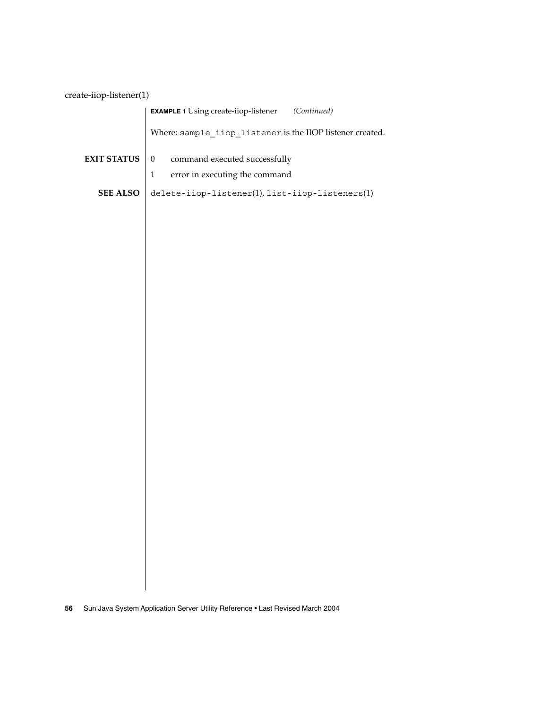| create-iiop-listener(1) |
|-------------------------|
|                         |
|                         |

|                    | <b>EXAMPLE 1</b> Using create-iiop-listener (Continued)                         |
|--------------------|---------------------------------------------------------------------------------|
|                    | Where: sample iiop listener is the IIOP listener created.                       |
| <b>EXIT STATUS</b> | command executed successfully<br>0<br>error in executing the command<br>1       |
| <b>SEE ALSO</b>    | $delete\text{-}liot (1), list\text{-}liot$ -listener(1), list-iiop-listeners(1) |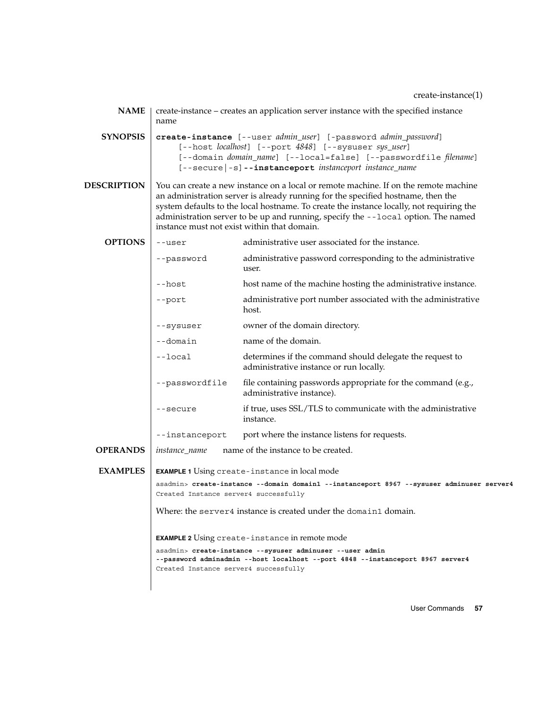create-instance(1)

| <b>NAME</b>        | create-instance – creates an application server instance with the specified instance<br>name                                                                                                                                                                                                                                                                                                             |                                                                                                                                             |
|--------------------|----------------------------------------------------------------------------------------------------------------------------------------------------------------------------------------------------------------------------------------------------------------------------------------------------------------------------------------------------------------------------------------------------------|---------------------------------------------------------------------------------------------------------------------------------------------|
| <b>SYNOPSIS</b>    | create-instance [--user admin_user] [-password admin_password]<br>[--host localhost] [--port 4848] [--sysuser sys_user]<br>[--domain domain_name] [--local=false] [--passwordfile filename]<br>[--secure   -s] --instanceport instanceport instance_name                                                                                                                                                 |                                                                                                                                             |
| <b>DESCRIPTION</b> | You can create a new instance on a local or remote machine. If on the remote machine<br>an administration server is already running for the specified hostname, then the<br>system defaults to the local hostname. To create the instance locally, not requiring the<br>administration server to be up and running, specify the --local option. The named<br>instance must not exist within that domain. |                                                                                                                                             |
| <b>OPTIONS</b>     | --user                                                                                                                                                                                                                                                                                                                                                                                                   | administrative user associated for the instance.                                                                                            |
|                    | --password                                                                                                                                                                                                                                                                                                                                                                                               | administrative password corresponding to the administrative<br>user.                                                                        |
|                    | --host                                                                                                                                                                                                                                                                                                                                                                                                   | host name of the machine hosting the administrative instance.                                                                               |
|                    | --port                                                                                                                                                                                                                                                                                                                                                                                                   | administrative port number associated with the administrative<br>host.                                                                      |
|                    | --sysuser                                                                                                                                                                                                                                                                                                                                                                                                | owner of the domain directory.                                                                                                              |
|                    | --domain                                                                                                                                                                                                                                                                                                                                                                                                 | name of the domain.                                                                                                                         |
|                    | --local                                                                                                                                                                                                                                                                                                                                                                                                  | determines if the command should delegate the request to<br>administrative instance or run locally.                                         |
|                    | --passwordfile                                                                                                                                                                                                                                                                                                                                                                                           | file containing passwords appropriate for the command (e.g.,<br>administrative instance).                                                   |
|                    | --secure                                                                                                                                                                                                                                                                                                                                                                                                 | if true, uses SSL/TLS to communicate with the administrative<br>instance.                                                                   |
|                    | --instanceport                                                                                                                                                                                                                                                                                                                                                                                           | port where the instance listens for requests.                                                                                               |
| <b>OPERANDS</b>    | <i>instance_name</i>                                                                                                                                                                                                                                                                                                                                                                                     | name of the instance to be created.                                                                                                         |
| <b>EXAMPLES</b>    |                                                                                                                                                                                                                                                                                                                                                                                                          | <b>EXAMPLE 1 Using create-instance in local mode</b>                                                                                        |
|                    | asadmin> create-instance --domain domain1 --instanceport 8967 --sysuser adminuser server4<br>Created Instance server4 successfully                                                                                                                                                                                                                                                                       |                                                                                                                                             |
|                    |                                                                                                                                                                                                                                                                                                                                                                                                          | Where: the server4 instance is created under the domain1 domain.                                                                            |
|                    |                                                                                                                                                                                                                                                                                                                                                                                                          | <b>EXAMPLE 2</b> Using create-instance in remote mode                                                                                       |
|                    | Created Instance server4 successfully                                                                                                                                                                                                                                                                                                                                                                    | asadmin> create-instance --sysuser adminuser --user admin<br>--password adminadmin --host localhost --port 4848 --instanceport 8967 server4 |
|                    |                                                                                                                                                                                                                                                                                                                                                                                                          |                                                                                                                                             |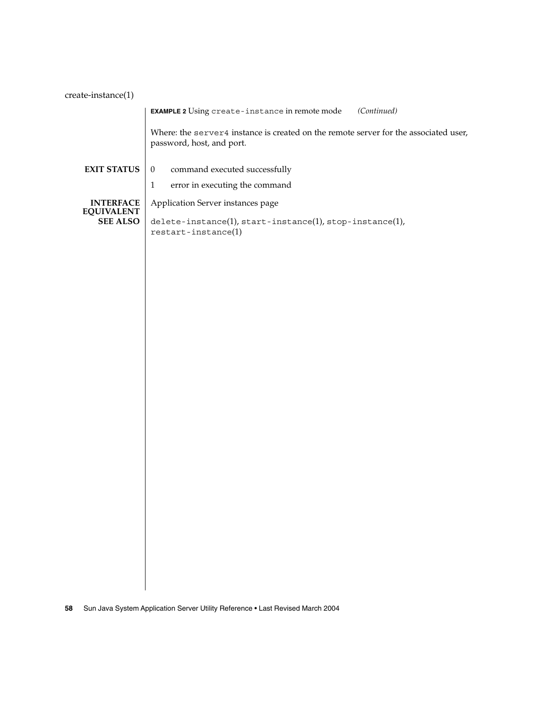| create-instance(1)                    |                                                                                                                   |
|---------------------------------------|-------------------------------------------------------------------------------------------------------------------|
|                                       | (Continued)<br><b>EXAMPLE 2</b> Using create-instance in remote mode                                              |
|                                       | Where: the server4 instance is created on the remote server for the associated user,<br>password, host, and port. |
| <b>EXIT STATUS</b>                    | command executed successfully<br>$\boldsymbol{0}$                                                                 |
|                                       | $\mathbf{1}$<br>error in executing the command                                                                    |
| <b>INTERFACE</b><br><b>EQUIVALENT</b> | Application Server instances page                                                                                 |
| <b>SEE ALSO</b>                       | delete-instance(1), start-instance(1), stop-instance(1),<br>$restart-instance(1)$                                 |
|                                       |                                                                                                                   |
|                                       |                                                                                                                   |
|                                       |                                                                                                                   |
|                                       |                                                                                                                   |
|                                       |                                                                                                                   |
|                                       |                                                                                                                   |
|                                       |                                                                                                                   |
|                                       |                                                                                                                   |
|                                       |                                                                                                                   |
|                                       |                                                                                                                   |
|                                       |                                                                                                                   |
|                                       |                                                                                                                   |
|                                       |                                                                                                                   |
|                                       |                                                                                                                   |
|                                       |                                                                                                                   |
|                                       |                                                                                                                   |
|                                       |                                                                                                                   |
|                                       |                                                                                                                   |
|                                       |                                                                                                                   |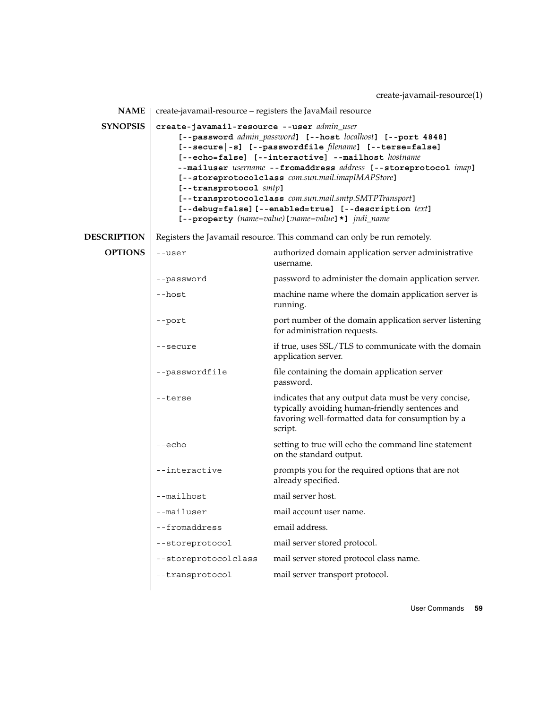create-javamail-resource(1)

| <b>NAME</b>        | create-javamail-resource - registers the JavaMail resource                                                                                                                                                                                                                                                                                                                                                                                                                                                                                                |                                                                                                                                                                         |
|--------------------|-----------------------------------------------------------------------------------------------------------------------------------------------------------------------------------------------------------------------------------------------------------------------------------------------------------------------------------------------------------------------------------------------------------------------------------------------------------------------------------------------------------------------------------------------------------|-------------------------------------------------------------------------------------------------------------------------------------------------------------------------|
| <b>SYNOPSIS</b>    | create-javamail-resource --user admin_user<br>[--password admin_password] [--host localhost] [--port 4848]<br>[--secure   -s] [--passwordfile filename] [--terse=false]<br>[--echo=false] [--interactive] --mailhost hostname<br>--mailuser username --fromaddress address [--storeprotocol imap]<br>[--storeprotocolclass com.sun.mail.imapIMAPStore]<br>[--transprotocol smtp]<br>[--transprotocolclass com.sun.mail.smtp.SMTPTransport]<br>[--debug=false] [--enabled=true] [--description text]<br>[--property (name=value)[:name=value] *] jndi_name |                                                                                                                                                                         |
| <b>DESCRIPTION</b> |                                                                                                                                                                                                                                                                                                                                                                                                                                                                                                                                                           | Registers the Javamail resource. This command can only be run remotely.                                                                                                 |
| <b>OPTIONS</b>     | --user                                                                                                                                                                                                                                                                                                                                                                                                                                                                                                                                                    | authorized domain application server administrative<br>username.                                                                                                        |
|                    | --password                                                                                                                                                                                                                                                                                                                                                                                                                                                                                                                                                | password to administer the domain application server.                                                                                                                   |
|                    | --host                                                                                                                                                                                                                                                                                                                                                                                                                                                                                                                                                    | machine name where the domain application server is<br>running.                                                                                                         |
|                    | --port                                                                                                                                                                                                                                                                                                                                                                                                                                                                                                                                                    | port number of the domain application server listening<br>for administration requests.                                                                                  |
|                    | --secure                                                                                                                                                                                                                                                                                                                                                                                                                                                                                                                                                  | if true, uses SSL/TLS to communicate with the domain<br>application server.                                                                                             |
|                    | --passwordfile                                                                                                                                                                                                                                                                                                                                                                                                                                                                                                                                            | file containing the domain application server<br>password.                                                                                                              |
|                    | --terse                                                                                                                                                                                                                                                                                                                                                                                                                                                                                                                                                   | indicates that any output data must be very concise,<br>typically avoiding human-friendly sentences and<br>favoring well-formatted data for consumption by a<br>script. |
|                    | --echo                                                                                                                                                                                                                                                                                                                                                                                                                                                                                                                                                    | setting to true will echo the command line statement<br>on the standard output.                                                                                         |
|                    | --interactive                                                                                                                                                                                                                                                                                                                                                                                                                                                                                                                                             | prompts you for the required options that are not<br>already specified.                                                                                                 |
|                    | --mailhost                                                                                                                                                                                                                                                                                                                                                                                                                                                                                                                                                | mail server host.                                                                                                                                                       |
|                    | --mailuser                                                                                                                                                                                                                                                                                                                                                                                                                                                                                                                                                | mail account user name.                                                                                                                                                 |
|                    | --fromaddress                                                                                                                                                                                                                                                                                                                                                                                                                                                                                                                                             | email address.                                                                                                                                                          |
|                    | --storeprotocol                                                                                                                                                                                                                                                                                                                                                                                                                                                                                                                                           | mail server stored protocol.                                                                                                                                            |
|                    | --storeprotocolclass                                                                                                                                                                                                                                                                                                                                                                                                                                                                                                                                      | mail server stored protocol class name.                                                                                                                                 |
|                    | --transprotocol                                                                                                                                                                                                                                                                                                                                                                                                                                                                                                                                           | mail server transport protocol.                                                                                                                                         |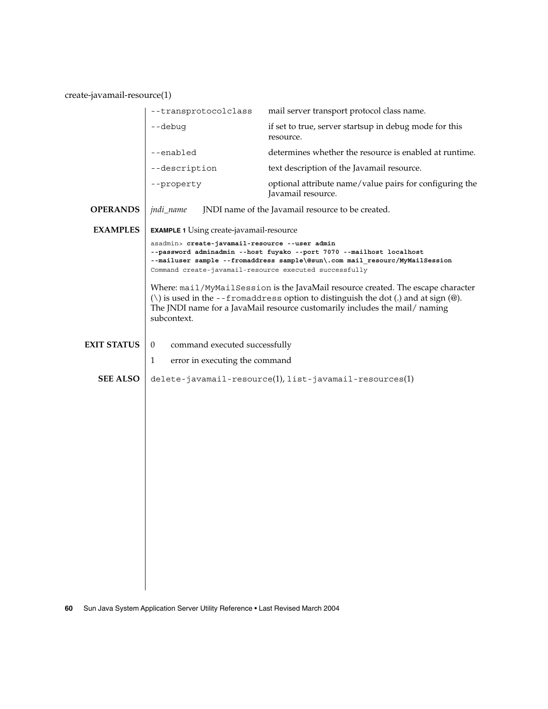create-javamail-resource(1)

|                    | --transprotocolclass                                                                                     | mail server transport protocol class name.                                                                                                                                                                                                                       |
|--------------------|----------------------------------------------------------------------------------------------------------|------------------------------------------------------------------------------------------------------------------------------------------------------------------------------------------------------------------------------------------------------------------|
|                    | --debug                                                                                                  | if set to true, server startsup in debug mode for this<br>resource.                                                                                                                                                                                              |
|                    | --enabled                                                                                                | determines whether the resource is enabled at runtime.                                                                                                                                                                                                           |
|                    | --description                                                                                            | text description of the Javamail resource.                                                                                                                                                                                                                       |
|                    | --property                                                                                               | optional attribute name/value pairs for configuring the<br>Javamail resource.                                                                                                                                                                                    |
| <b>OPERANDS</b>    | jndi_name                                                                                                | JNDI name of the Javamail resource to be created.                                                                                                                                                                                                                |
| <b>EXAMPLES</b>    | <b>EXAMPLE 1 Using create-javamail-resource</b>                                                          |                                                                                                                                                                                                                                                                  |
|                    | asadmin> create-javamail-resource --user admin<br>Command create-javamail-resource executed successfully | --password adminadmin --host fuyako --port 7070 --mailhost localhost<br>--mailuser sample --fromaddress sample\@sun\.com mail resourc/MyMailSession                                                                                                              |
|                    | subcontext.                                                                                              | Where: mail/MyMailSession is the JavaMail resource created. The escape character<br>$(\setminus)$ is used in the --fromaddress option to distinguish the dot (.) and at sign (@).<br>The JNDI name for a JavaMail resource customarily includes the mail/ naming |
| <b>EXIT STATUS</b> | command executed successfully<br>$\boldsymbol{0}$                                                        |                                                                                                                                                                                                                                                                  |
|                    | $\mathbf{1}$<br>error in executing the command                                                           |                                                                                                                                                                                                                                                                  |
| <b>SEE ALSO</b>    |                                                                                                          | delete-javamail-resource(1), list-javamail-resources(1)                                                                                                                                                                                                          |
|                    |                                                                                                          |                                                                                                                                                                                                                                                                  |
|                    |                                                                                                          |                                                                                                                                                                                                                                                                  |
|                    |                                                                                                          |                                                                                                                                                                                                                                                                  |
|                    |                                                                                                          |                                                                                                                                                                                                                                                                  |
|                    |                                                                                                          |                                                                                                                                                                                                                                                                  |
|                    |                                                                                                          |                                                                                                                                                                                                                                                                  |
|                    |                                                                                                          |                                                                                                                                                                                                                                                                  |
|                    |                                                                                                          |                                                                                                                                                                                                                                                                  |
|                    |                                                                                                          |                                                                                                                                                                                                                                                                  |
|                    |                                                                                                          |                                                                                                                                                                                                                                                                  |
|                    |                                                                                                          |                                                                                                                                                                                                                                                                  |
|                    |                                                                                                          |                                                                                                                                                                                                                                                                  |

**60** Sun Java System Application Server Utility Reference • Last Revised March 2004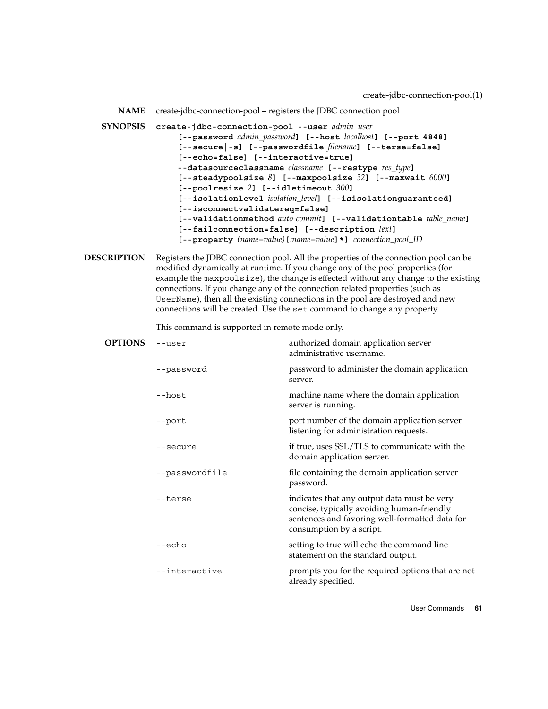| <b>NAME</b>        | create-jdbc-connection-pool – registers the JDBC connection pool                                                                                                                                                                                                                                                                                                                                                                                                                                                                                                                                                                                                         |                                                                                                                                                                                                                                                                                                                                                                                                                                                                                                             |
|--------------------|--------------------------------------------------------------------------------------------------------------------------------------------------------------------------------------------------------------------------------------------------------------------------------------------------------------------------------------------------------------------------------------------------------------------------------------------------------------------------------------------------------------------------------------------------------------------------------------------------------------------------------------------------------------------------|-------------------------------------------------------------------------------------------------------------------------------------------------------------------------------------------------------------------------------------------------------------------------------------------------------------------------------------------------------------------------------------------------------------------------------------------------------------------------------------------------------------|
| <b>SYNOPSIS</b>    | create-jdbc-connection-pool --user admin_user<br>[--password admin_password] [--host localhost] [--port 4848]<br>[--secure   -s] [--passwordfile filename] [--terse=false]<br>[--echo=false] [--interactive=true]<br>--datasourceclassname classname [--restype res_type]<br>[--steadypoolsize $8$ ] [--maxpoolsize 32] [--maxwait $6000$ ]<br>[--poolresize 2] [--idletimeout 300]<br>[--isolationlevel isolation_level] [--isisolationguaranteed]<br>[--isconnectvalidatereq=false]<br>[--validationmethod auto-commit] [--validationtable table_name]<br>[--failconnection=false] [--description text]<br>[--property (name=value)[:name=value] *] connection_pool_ID |                                                                                                                                                                                                                                                                                                                                                                                                                                                                                                             |
| <b>DESCRIPTION</b> |                                                                                                                                                                                                                                                                                                                                                                                                                                                                                                                                                                                                                                                                          | Registers the JDBC connection pool. All the properties of the connection pool can be<br>modified dynamically at runtime. If you change any of the pool properties (for<br>example the maxpoolsize), the change is effected without any change to the existing<br>connections. If you change any of the connection related properties (such as<br>UserName), then all the existing connections in the pool are destroyed and new<br>connections will be created. Use the set command to change any property. |
|                    | This command is supported in remote mode only.                                                                                                                                                                                                                                                                                                                                                                                                                                                                                                                                                                                                                           |                                                                                                                                                                                                                                                                                                                                                                                                                                                                                                             |
| <b>OPTIONS</b>     | --user                                                                                                                                                                                                                                                                                                                                                                                                                                                                                                                                                                                                                                                                   | authorized domain application server<br>administrative username.                                                                                                                                                                                                                                                                                                                                                                                                                                            |
|                    | --password                                                                                                                                                                                                                                                                                                                                                                                                                                                                                                                                                                                                                                                               | password to administer the domain application<br>server.                                                                                                                                                                                                                                                                                                                                                                                                                                                    |
|                    | --host                                                                                                                                                                                                                                                                                                                                                                                                                                                                                                                                                                                                                                                                   | machine name where the domain application<br>server is running.                                                                                                                                                                                                                                                                                                                                                                                                                                             |
|                    | --port                                                                                                                                                                                                                                                                                                                                                                                                                                                                                                                                                                                                                                                                   | port number of the domain application server<br>listening for administration requests.                                                                                                                                                                                                                                                                                                                                                                                                                      |
|                    | --secure                                                                                                                                                                                                                                                                                                                                                                                                                                                                                                                                                                                                                                                                 | if true, uses SSL/TLS to communicate with the<br>domain application server.                                                                                                                                                                                                                                                                                                                                                                                                                                 |
|                    | --passwordfile                                                                                                                                                                                                                                                                                                                                                                                                                                                                                                                                                                                                                                                           | file containing the domain application server<br>password.                                                                                                                                                                                                                                                                                                                                                                                                                                                  |
|                    | --terse                                                                                                                                                                                                                                                                                                                                                                                                                                                                                                                                                                                                                                                                  | indicates that any output data must be very<br>concise, typically avoiding human-friendly<br>sentences and favoring well-formatted data for<br>consumption by a script.                                                                                                                                                                                                                                                                                                                                     |
|                    | --echo                                                                                                                                                                                                                                                                                                                                                                                                                                                                                                                                                                                                                                                                   | setting to true will echo the command line<br>statement on the standard output.                                                                                                                                                                                                                                                                                                                                                                                                                             |
|                    | --interactive                                                                                                                                                                                                                                                                                                                                                                                                                                                                                                                                                                                                                                                            | prompts you for the required options that are not<br>already specified.                                                                                                                                                                                                                                                                                                                                                                                                                                     |
|                    |                                                                                                                                                                                                                                                                                                                                                                                                                                                                                                                                                                                                                                                                          |                                                                                                                                                                                                                                                                                                                                                                                                                                                                                                             |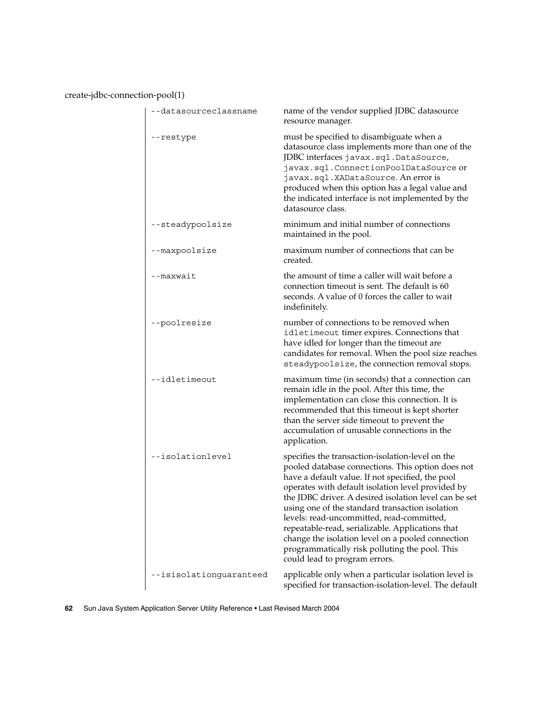| --datasourceclassname   | name of the vendor supplied JDBC datasource<br>resource manager.                                                                                                                                                                                                                                                                                                                                                                                                                                                                                                    |
|-------------------------|---------------------------------------------------------------------------------------------------------------------------------------------------------------------------------------------------------------------------------------------------------------------------------------------------------------------------------------------------------------------------------------------------------------------------------------------------------------------------------------------------------------------------------------------------------------------|
| --restype               | must be specified to disambiguate when a<br>datasource class implements more than one of the<br>JDBC interfaces javax.sql.DataSource,<br>javax.sql.ConnectionPoolDataSource or<br>javax.sql.XADataSource.An error is<br>produced when this option has a legal value and<br>the indicated interface is not implemented by the<br>datasource class.                                                                                                                                                                                                                   |
| --steadypoolsize        | minimum and initial number of connections<br>maintained in the pool.                                                                                                                                                                                                                                                                                                                                                                                                                                                                                                |
| --maxpoolsize           | maximum number of connections that can be<br>created.                                                                                                                                                                                                                                                                                                                                                                                                                                                                                                               |
| --maxwait               | the amount of time a caller will wait before a<br>connection timeout is sent. The default is 60<br>seconds. A value of 0 forces the caller to wait<br>indefinitely.                                                                                                                                                                                                                                                                                                                                                                                                 |
| --poolresize            | number of connections to be removed when<br>idletimeout timer expires. Connections that<br>have idled for longer than the timeout are<br>candidates for removal. When the pool size reaches<br>steadypoolsize, the connection removal stops.                                                                                                                                                                                                                                                                                                                        |
| --idletimeout           | maximum time (in seconds) that a connection can<br>remain idle in the pool. After this time, the<br>implementation can close this connection. It is<br>recommended that this timeout is kept shorter<br>than the server side timeout to prevent the<br>accumulation of unusable connections in the<br>application.                                                                                                                                                                                                                                                  |
| --isolationlevel        | specifies the transaction-isolation-level on the<br>pooled database connections. This option does not<br>have a default value. If not specified, the pool<br>operates with default isolation level provided by<br>the JDBC driver. A desired isolation level can be set<br>using one of the standard transaction isolation<br>levels: read-uncommitted, read-committed,<br>repeatable-read, serializable. Applications that<br>change the isolation level on a pooled connection<br>programmatically risk polluting the pool. This<br>could lead to program errors. |
| --isisolationguaranteed | applicable only when a particular isolation level is<br>specified for transaction-isolation-level. The default                                                                                                                                                                                                                                                                                                                                                                                                                                                      |
|                         |                                                                                                                                                                                                                                                                                                                                                                                                                                                                                                                                                                     |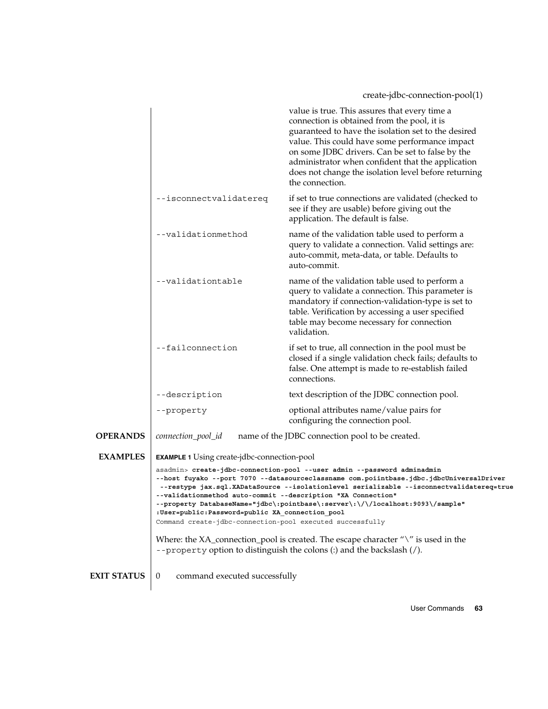|                    |                                                                                                                                                                                                                                                                                                                                                                                                                                                                                                                                                                                                                                                                                                           | value is true. This assures that every time a<br>connection is obtained from the pool, it is<br>guaranteed to have the isolation set to the desired<br>value. This could have some performance impact<br>on some JDBC drivers. Can be set to false by the<br>administrator when confident that the application<br>does not change the isolation level before returning<br>the connection. |
|--------------------|-----------------------------------------------------------------------------------------------------------------------------------------------------------------------------------------------------------------------------------------------------------------------------------------------------------------------------------------------------------------------------------------------------------------------------------------------------------------------------------------------------------------------------------------------------------------------------------------------------------------------------------------------------------------------------------------------------------|-------------------------------------------------------------------------------------------------------------------------------------------------------------------------------------------------------------------------------------------------------------------------------------------------------------------------------------------------------------------------------------------|
|                    | --isconnectvalidatereq                                                                                                                                                                                                                                                                                                                                                                                                                                                                                                                                                                                                                                                                                    | if set to true connections are validated (checked to<br>see if they are usable) before giving out the<br>application. The default is false.                                                                                                                                                                                                                                               |
|                    | --validationmethod                                                                                                                                                                                                                                                                                                                                                                                                                                                                                                                                                                                                                                                                                        | name of the validation table used to perform a<br>query to validate a connection. Valid settings are:<br>auto-commit, meta-data, or table. Defaults to<br>auto-commit.                                                                                                                                                                                                                    |
|                    | --validationtable                                                                                                                                                                                                                                                                                                                                                                                                                                                                                                                                                                                                                                                                                         | name of the validation table used to perform a<br>query to validate a connection. This parameter is<br>mandatory if connection-validation-type is set to<br>table. Verification by accessing a user specified<br>table may become necessary for connection<br>validation.                                                                                                                 |
|                    | --failconnection                                                                                                                                                                                                                                                                                                                                                                                                                                                                                                                                                                                                                                                                                          | if set to true, all connection in the pool must be<br>closed if a single validation check fails; defaults to<br>false. One attempt is made to re-establish failed<br>connections.                                                                                                                                                                                                         |
|                    | --description                                                                                                                                                                                                                                                                                                                                                                                                                                                                                                                                                                                                                                                                                             | text description of the JDBC connection pool.                                                                                                                                                                                                                                                                                                                                             |
|                    | --property                                                                                                                                                                                                                                                                                                                                                                                                                                                                                                                                                                                                                                                                                                | optional attributes name/value pairs for<br>configuring the connection pool.                                                                                                                                                                                                                                                                                                              |
| <b>OPERANDS</b>    | connection_pool_id                                                                                                                                                                                                                                                                                                                                                                                                                                                                                                                                                                                                                                                                                        | name of the JDBC connection pool to be created.                                                                                                                                                                                                                                                                                                                                           |
| <b>EXAMPLES</b>    | <b>EXAMPLE 1</b> Using create-jdbc-connection-pool                                                                                                                                                                                                                                                                                                                                                                                                                                                                                                                                                                                                                                                        |                                                                                                                                                                                                                                                                                                                                                                                           |
|                    | asadmin> create-jdbc-connection-pool --user admin --password adminadmin<br>--host fuyako --port 7070 --datasourceclassname com.poiintbase.jdbc.jdbcUniversalDriver<br>--restype jax.sql.XADataSource --isolationlevel serializable --isconnectvalidatereq=true<br>--validationmethod auto-commit --description "XA Connection"<br>--property DatabaseName="jdbc\:pointbase\:server\:\/\/localhost:9093\/sample"<br>:User=public:Password=public XA connection pool<br>Command create-jdbc-connection-pool executed successfully<br>Where: the $XA$ connection pool is created. The escape character " $\gamma$ " is used in the<br>--property option to distinguish the colons (:) and the backslash (/). |                                                                                                                                                                                                                                                                                                                                                                                           |
| <b>EXIT STATUS</b> | command executed successfully<br>$\theta$                                                                                                                                                                                                                                                                                                                                                                                                                                                                                                                                                                                                                                                                 |                                                                                                                                                                                                                                                                                                                                                                                           |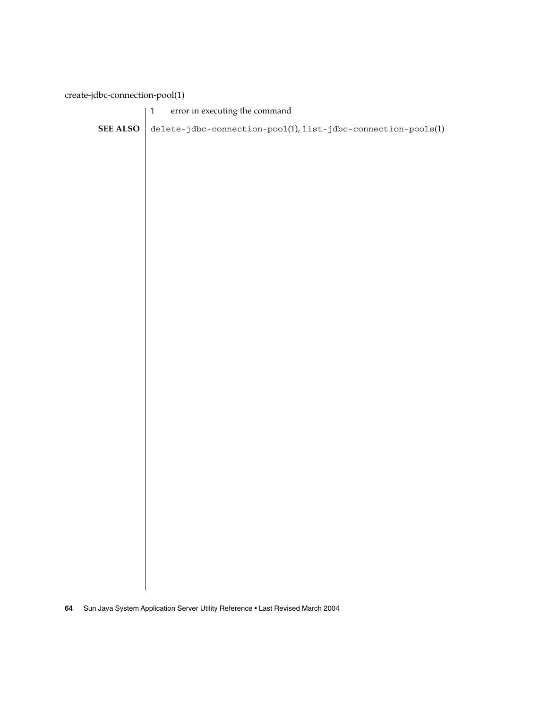|                 | error in executing the command<br>$\,1\,$                             |  |  |
|-----------------|-----------------------------------------------------------------------|--|--|
| <b>SEE ALSO</b> | $\verb+delete-jdb+c-connection-pool(1), list-jdb+connection-pools(1)$ |  |  |
|                 |                                                                       |  |  |
|                 |                                                                       |  |  |
|                 |                                                                       |  |  |
|                 |                                                                       |  |  |
|                 |                                                                       |  |  |
|                 |                                                                       |  |  |
|                 |                                                                       |  |  |
|                 |                                                                       |  |  |
|                 |                                                                       |  |  |
|                 |                                                                       |  |  |
|                 |                                                                       |  |  |
|                 |                                                                       |  |  |
|                 |                                                                       |  |  |
|                 |                                                                       |  |  |
|                 |                                                                       |  |  |
|                 |                                                                       |  |  |
|                 |                                                                       |  |  |
|                 |                                                                       |  |  |
|                 |                                                                       |  |  |
|                 |                                                                       |  |  |
|                 |                                                                       |  |  |
|                 |                                                                       |  |  |
|                 |                                                                       |  |  |
|                 |                                                                       |  |  |
|                 |                                                                       |  |  |
|                 |                                                                       |  |  |
|                 |                                                                       |  |  |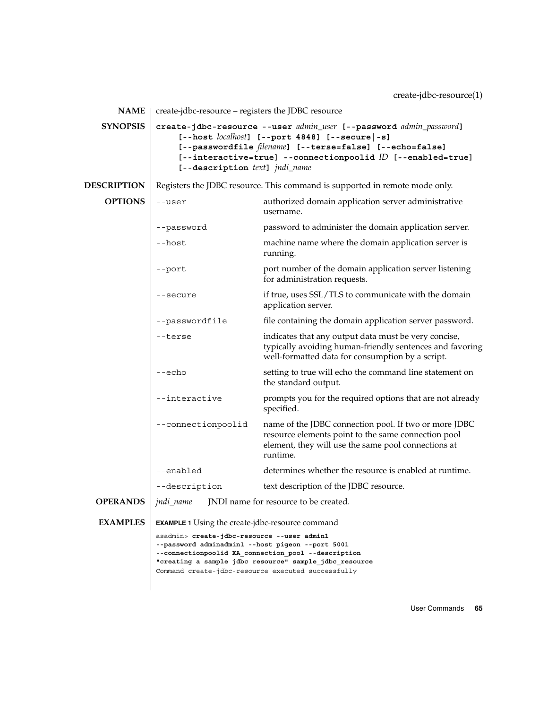create-jdbc-resource(1)

| <b>NAME</b>                                                                                                                                                                                                                                                                                                                                          | create-jdbc-resource - registers the JDBC resource                                                                                                                                                                                                                                                                           |                                                                                                                                                                                 |
|------------------------------------------------------------------------------------------------------------------------------------------------------------------------------------------------------------------------------------------------------------------------------------------------------------------------------------------------------|------------------------------------------------------------------------------------------------------------------------------------------------------------------------------------------------------------------------------------------------------------------------------------------------------------------------------|---------------------------------------------------------------------------------------------------------------------------------------------------------------------------------|
| <b>SYNOPSIS</b>                                                                                                                                                                                                                                                                                                                                      | create-jdbc-resource --user admin_user [--password admin_password]<br>$[- - \text{host localhost}]$ $[- - \text{port 4848}]$ $[- - \text{secure}   - \text{s}]$<br>[--passwordfile filename] [--terse=false] [--echo=false]<br>[--interactive=true] --connectionpoolid ID [--enabled=true]<br>[--description text] jndi_name |                                                                                                                                                                                 |
| <b>DESCRIPTION</b>                                                                                                                                                                                                                                                                                                                                   |                                                                                                                                                                                                                                                                                                                              | Registers the JDBC resource. This command is supported in remote mode only.                                                                                                     |
| <b>OPTIONS</b>                                                                                                                                                                                                                                                                                                                                       | --user                                                                                                                                                                                                                                                                                                                       | authorized domain application server administrative<br>username.                                                                                                                |
|                                                                                                                                                                                                                                                                                                                                                      | --password                                                                                                                                                                                                                                                                                                                   | password to administer the domain application server.                                                                                                                           |
|                                                                                                                                                                                                                                                                                                                                                      | --host                                                                                                                                                                                                                                                                                                                       | machine name where the domain application server is<br>running.                                                                                                                 |
|                                                                                                                                                                                                                                                                                                                                                      | --port                                                                                                                                                                                                                                                                                                                       | port number of the domain application server listening<br>for administration requests.                                                                                          |
|                                                                                                                                                                                                                                                                                                                                                      | --secure                                                                                                                                                                                                                                                                                                                     | if true, uses SSL/TLS to communicate with the domain<br>application server.                                                                                                     |
|                                                                                                                                                                                                                                                                                                                                                      | --passwordfile                                                                                                                                                                                                                                                                                                               | file containing the domain application server password.                                                                                                                         |
|                                                                                                                                                                                                                                                                                                                                                      | --terse                                                                                                                                                                                                                                                                                                                      | indicates that any output data must be very concise,<br>typically avoiding human-friendly sentences and favoring<br>well-formatted data for consumption by a script.            |
|                                                                                                                                                                                                                                                                                                                                                      | --echo                                                                                                                                                                                                                                                                                                                       | setting to true will echo the command line statement on<br>the standard output.                                                                                                 |
|                                                                                                                                                                                                                                                                                                                                                      | --interactive                                                                                                                                                                                                                                                                                                                | prompts you for the required options that are not already<br>specified.                                                                                                         |
|                                                                                                                                                                                                                                                                                                                                                      | --connectionpoolid                                                                                                                                                                                                                                                                                                           | name of the JDBC connection pool. If two or more JDBC<br>resource elements point to the same connection pool<br>element, they will use the same pool connections at<br>runtime. |
|                                                                                                                                                                                                                                                                                                                                                      | --enabled                                                                                                                                                                                                                                                                                                                    | determines whether the resource is enabled at runtime.                                                                                                                          |
|                                                                                                                                                                                                                                                                                                                                                      | --description                                                                                                                                                                                                                                                                                                                | text description of the JDBC resource.                                                                                                                                          |
| <b>OPERANDS</b>                                                                                                                                                                                                                                                                                                                                      |                                                                                                                                                                                                                                                                                                                              |                                                                                                                                                                                 |
| <b>EXAMPLES</b><br><b>EXAMPLE 1</b> Using the create-jdbc-resource command<br>asadmin> create-jdbc-resource --user admin1<br>--password adminadmin1 --host pigeon --port 5001<br>--connectionpoolid XA connection pool --description<br>"creating a sample jdbc resource" sample jdbc resource<br>Command create-jdbc-resource executed successfully |                                                                                                                                                                                                                                                                                                                              |                                                                                                                                                                                 |
|                                                                                                                                                                                                                                                                                                                                                      |                                                                                                                                                                                                                                                                                                                              |                                                                                                                                                                                 |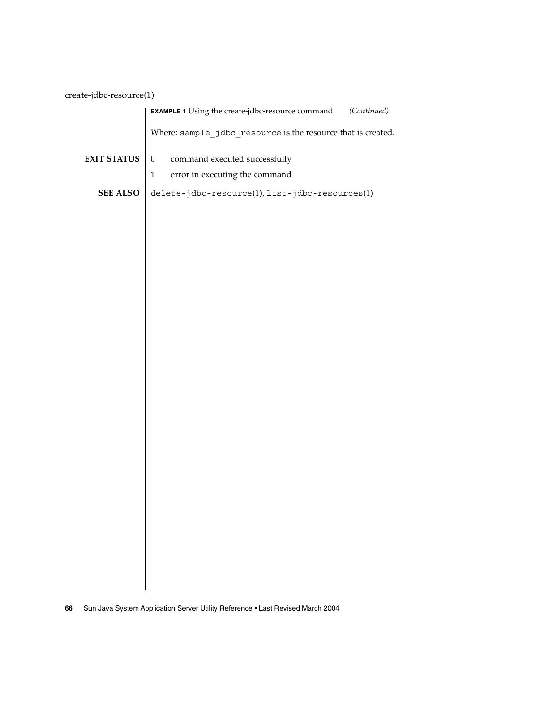| create-jdbc-resource(1) |                                                                        |  |  |
|-------------------------|------------------------------------------------------------------------|--|--|
|                         | <b>EXAMPLE 1</b> Using the create-jdbc-resource command<br>(Continued) |  |  |
|                         | Where: sample jdbc resource is the resource that is created.           |  |  |
| <b>EXIT STATUS</b>      | command executed successfully<br>1<br>error in executing the command   |  |  |
| <b>SEE ALSO</b>         | $delete$ - $idbc$ - $resource(1)$ , $list$ - $idbc$ - $resources(1)$   |  |  |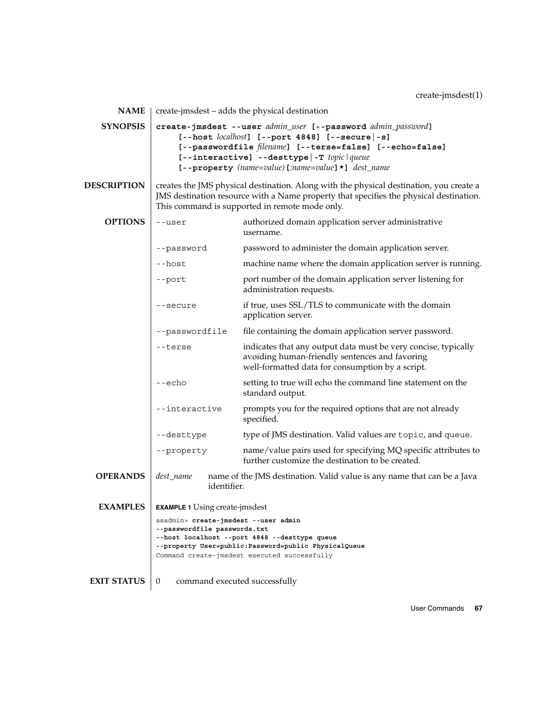| <b>NAME</b>        | create-jmsdest – adds the physical destination                                                                                                                                                                                                                                    |                                                                                                                                                                      |
|--------------------|-----------------------------------------------------------------------------------------------------------------------------------------------------------------------------------------------------------------------------------------------------------------------------------|----------------------------------------------------------------------------------------------------------------------------------------------------------------------|
| <b>SYNOPSIS</b>    | create-jmsdest --user admin_user [--password admin_password]<br>[--host localhost] [--port 4848] [--secure  -s]<br>[--passwordfile filename] [--terse=false] [--echo=false]<br>[--interactive] --desttype  -T topic   queue<br>[--property (name=value)[:name=value] *] dest_name |                                                                                                                                                                      |
| <b>DESCRIPTION</b> | creates the JMS physical destination. Along with the physical destination, you create a<br>JMS destination resource with a Name property that specifies the physical destination.<br>This command is supported in remote mode only.                                               |                                                                                                                                                                      |
| <b>OPTIONS</b>     | --user                                                                                                                                                                                                                                                                            | authorized domain application server administrative<br>username.                                                                                                     |
|                    | --password                                                                                                                                                                                                                                                                        | password to administer the domain application server.                                                                                                                |
|                    | --host                                                                                                                                                                                                                                                                            | machine name where the domain application server is running.                                                                                                         |
|                    | --port                                                                                                                                                                                                                                                                            | port number of the domain application server listening for<br>administration requests.                                                                               |
|                    | --secure                                                                                                                                                                                                                                                                          | if true, uses SSL/TLS to communicate with the domain<br>application server.                                                                                          |
|                    | --passwordfile                                                                                                                                                                                                                                                                    | file containing the domain application server password.                                                                                                              |
|                    | --terse                                                                                                                                                                                                                                                                           | indicates that any output data must be very concise, typically<br>avoiding human-friendly sentences and favoring<br>well-formatted data for consumption by a script. |
|                    | --echo                                                                                                                                                                                                                                                                            | setting to true will echo the command line statement on the<br>standard output.                                                                                      |
|                    | --interactive                                                                                                                                                                                                                                                                     | prompts you for the required options that are not already<br>specified.                                                                                              |
|                    | --desttype                                                                                                                                                                                                                                                                        | type of JMS destination. Valid values are topic, and queue.                                                                                                          |
|                    | --property                                                                                                                                                                                                                                                                        | name/value pairs used for specifying MQ specific attributes to<br>further customize the destination to be created.                                                   |
| <b>OPERANDS</b>    | name of the JMS destination. Valid value is any name that can be a Java<br>dest_name<br>identifier.                                                                                                                                                                               |                                                                                                                                                                      |
| <b>EXAMPLES</b>    | <b>EXAMPLE 1 Using create-jmsdest</b>                                                                                                                                                                                                                                             |                                                                                                                                                                      |
|                    | asadmin> create-jmsdest --user admin<br>--passwordfile passwords.txt<br>--host localhost --port 4848 --desttype queue<br>--property User=public: Password=public PhysicalQueue<br>Command create-jmsdest executed successfully                                                    |                                                                                                                                                                      |
| <b>EXIT STATUS</b> | $\Omega$<br>command executed successfully                                                                                                                                                                                                                                         |                                                                                                                                                                      |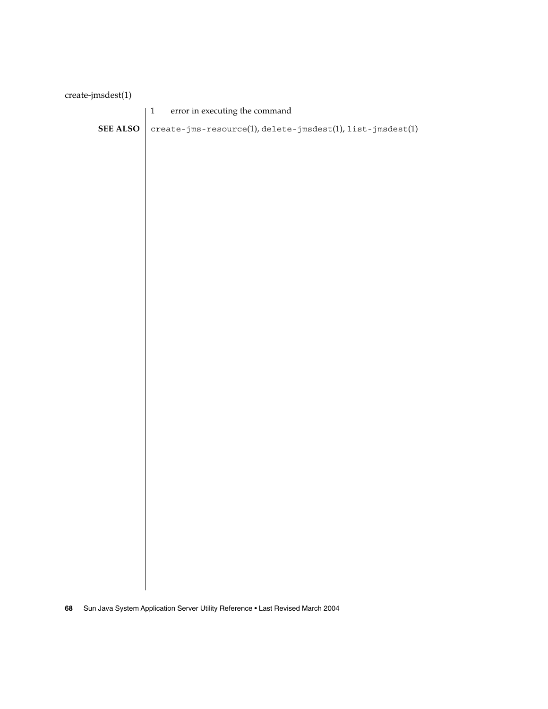| $\text{create-}j \text{msdest}(1)$ |                                                                                   |
|------------------------------------|-----------------------------------------------------------------------------------|
|                                    | error in executing the command<br>$\,1\,$                                         |
| <b>SEE ALSO</b>                    | $\verb create-jms-resource (l), \verb delete-jmsdest (l), \verb list-jmsdest (l)$ |
|                                    |                                                                                   |
|                                    |                                                                                   |
|                                    |                                                                                   |
|                                    |                                                                                   |
|                                    |                                                                                   |
|                                    |                                                                                   |
|                                    |                                                                                   |
|                                    |                                                                                   |
|                                    |                                                                                   |
|                                    |                                                                                   |
|                                    |                                                                                   |
|                                    |                                                                                   |
|                                    |                                                                                   |
|                                    |                                                                                   |
|                                    |                                                                                   |
|                                    |                                                                                   |
|                                    |                                                                                   |
|                                    |                                                                                   |
|                                    |                                                                                   |
|                                    |                                                                                   |
|                                    |                                                                                   |
|                                    |                                                                                   |
|                                    |                                                                                   |
|                                    |                                                                                   |
|                                    |                                                                                   |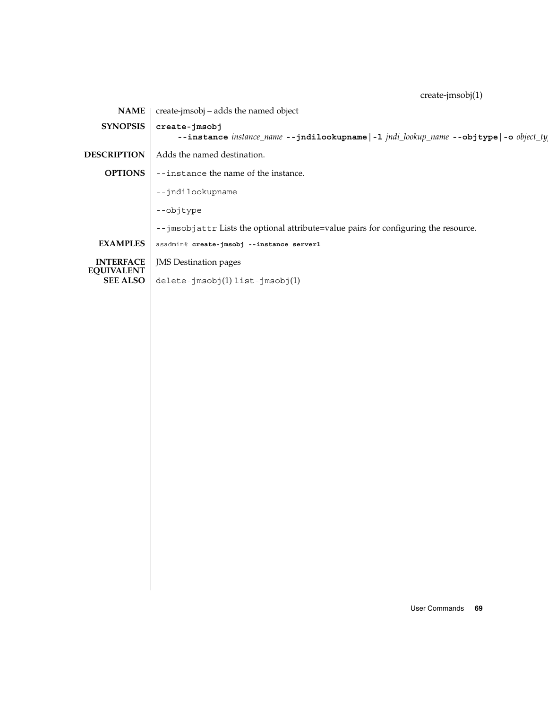create-jmsobj(1)

| $\mathbf{NAME}$                       | create-jmsobj - adds the named object                                                                   |  |  |
|---------------------------------------|---------------------------------------------------------------------------------------------------------|--|--|
| <b>SYNOPSIS</b>                       | create-jmsobj<br>--instance instance_name --jndilookupname  -1 jndi_lookup_name --objtype  -o object_ty |  |  |
| <b>DESCRIPTION</b>                    | Adds the named destination.                                                                             |  |  |
| <b>OPTIONS</b>                        | --instance the name of the instance.                                                                    |  |  |
|                                       | --jndilookupname                                                                                        |  |  |
|                                       | --objtype                                                                                               |  |  |
|                                       | --jmsobjattr Lists the optional attribute=value pairs for configuring the resource.                     |  |  |
| <b>EXAMPLES</b>                       | asadmin% create-jmsobj --instance server1                                                               |  |  |
| <b>INTERFACE</b><br><b>EQUIVALENT</b> | <b>JMS</b> Destination pages                                                                            |  |  |
| <b>SEE ALSO</b>                       | $delete-jmsobj(1) list-jmsobj(1)$                                                                       |  |  |
|                                       |                                                                                                         |  |  |
|                                       |                                                                                                         |  |  |
|                                       |                                                                                                         |  |  |
|                                       |                                                                                                         |  |  |
|                                       |                                                                                                         |  |  |
|                                       |                                                                                                         |  |  |
|                                       |                                                                                                         |  |  |
|                                       |                                                                                                         |  |  |
|                                       |                                                                                                         |  |  |
|                                       |                                                                                                         |  |  |
|                                       |                                                                                                         |  |  |
|                                       |                                                                                                         |  |  |
|                                       |                                                                                                         |  |  |
|                                       |                                                                                                         |  |  |
|                                       |                                                                                                         |  |  |
|                                       |                                                                                                         |  |  |
|                                       |                                                                                                         |  |  |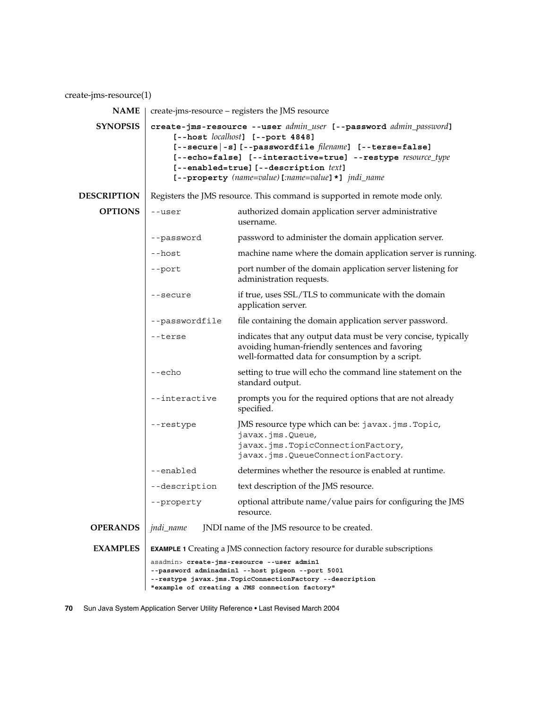create-jms-resource(1)

| <b>NAME</b><br>create-jms-resource - registers the JMS resource |                                                                                                                                                                                                                                                                                                                                  |                                                                                                                                                                      |  |
|-----------------------------------------------------------------|----------------------------------------------------------------------------------------------------------------------------------------------------------------------------------------------------------------------------------------------------------------------------------------------------------------------------------|----------------------------------------------------------------------------------------------------------------------------------------------------------------------|--|
| <b>SYNOPSIS</b>                                                 | create-jms-resource --user admin_user [--password admin_password]<br>[--host localhost] [--port 4848]<br>[--secure   -s] [--passwordfile filename] [--terse=false]<br>[--echo=false] [--interactive=true] --restype resource_type<br>[--enabled=true] [--description text]<br>[--property (name=value)[:name=value] *] jndi_name |                                                                                                                                                                      |  |
| <b>DESCRIPTION</b>                                              | Registers the JMS resource. This command is supported in remote mode only.                                                                                                                                                                                                                                                       |                                                                                                                                                                      |  |
| <b>OPTIONS</b>                                                  | --user                                                                                                                                                                                                                                                                                                                           | authorized domain application server administrative<br>username.                                                                                                     |  |
|                                                                 | --password                                                                                                                                                                                                                                                                                                                       | password to administer the domain application server.                                                                                                                |  |
|                                                                 | --host                                                                                                                                                                                                                                                                                                                           | machine name where the domain application server is running.                                                                                                         |  |
|                                                                 | --port                                                                                                                                                                                                                                                                                                                           | port number of the domain application server listening for<br>administration requests.                                                                               |  |
|                                                                 | --secure                                                                                                                                                                                                                                                                                                                         | if true, uses SSL/TLS to communicate with the domain<br>application server.                                                                                          |  |
|                                                                 | --passwordfile                                                                                                                                                                                                                                                                                                                   | file containing the domain application server password.                                                                                                              |  |
|                                                                 | --terse                                                                                                                                                                                                                                                                                                                          | indicates that any output data must be very concise, typically<br>avoiding human-friendly sentences and favoring<br>well-formatted data for consumption by a script. |  |
|                                                                 | --echo                                                                                                                                                                                                                                                                                                                           | setting to true will echo the command line statement on the<br>standard output.                                                                                      |  |
|                                                                 | --interactive                                                                                                                                                                                                                                                                                                                    | prompts you for the required options that are not already<br>specified.                                                                                              |  |
|                                                                 | --restype                                                                                                                                                                                                                                                                                                                        | JMS resource type which can be: javax.jms.Topic,<br>javax.jms.Queue,<br>javax.jms.TopicConnectionFactory,<br>javax.jms.QueueConnectionFactory.                       |  |
|                                                                 | --enabled                                                                                                                                                                                                                                                                                                                        | determines whether the resource is enabled at runtime.                                                                                                               |  |
|                                                                 | --description                                                                                                                                                                                                                                                                                                                    | text description of the JMS resource.                                                                                                                                |  |
|                                                                 | --property                                                                                                                                                                                                                                                                                                                       | optional attribute name/value pairs for configuring the JMS<br>resource.                                                                                             |  |
| <b>OPERANDS</b>                                                 | jndi_name                                                                                                                                                                                                                                                                                                                        | JNDI name of the JMS resource to be created.                                                                                                                         |  |
| <b>EXAMPLES</b>                                                 | <b>EXAMPLE 1</b> Creating a JMS connection factory resource for durable subscriptions                                                                                                                                                                                                                                            |                                                                                                                                                                      |  |
|                                                                 | asadmin> create-jms-resource --user admin1<br>--password adminadmin1 --host pigeon --port 5001<br>--restype javax.jms.TopicConnectionFactory --description<br>"example of creating a JMS connection factory"                                                                                                                     |                                                                                                                                                                      |  |

**70** Sun Java System Application Server Utility Reference • Last Revised March 2004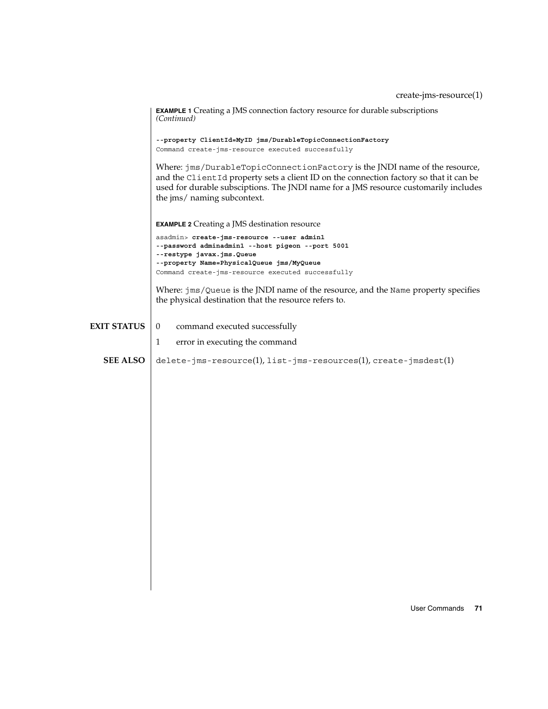create-jms-resource(1)

```
EXAMPLE 1 Creating a JMS connection factory resource for durable subscriptions
                (Continued)
                --property ClientId=MyID jms/DurableTopicConnectionFactory
                Command create-jms-resource executed successfully
                Where: jms/DurableTopicConnectionFactory is the JNDI name of the resource,
                and the ClientId property sets a client ID on the connection factory so that it can be
                used for durable subsciptions. The JNDI name for a JMS resource customarily includes
                the jms/ naming subcontext.
                EXAMPLE 2 Creating a JMS destination resource
                asadmin> create-jms-resource --user admin1
                --password adminadmin1 --host pigeon --port 5001
                --restype javax.jms.Queue
                --property Name=PhysicalQueue jms/MyQueue
                Command create-jms-resource executed successfully
                Where: jms/Queue is the JNDI name of the resource, and the Name property specifies
                the physical destination that the resource refers to.
                0 command executed successfully
                1 error in executing the command
                delete-jms-resource(1), list-jms-resources(1), create-jmsdest(1)
EXIT STATUS
   SEE ALSO
```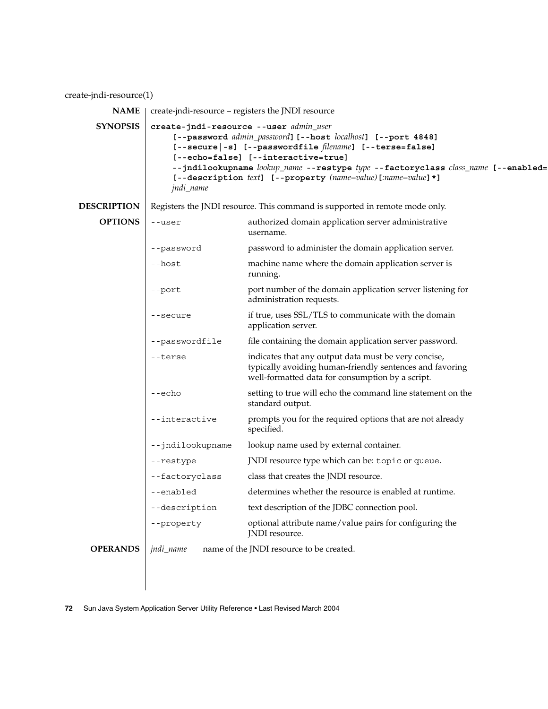create-jndi-resource(1)

| <b>NAME</b>        | create-jndi-resource - registers the JNDI resource                                                                                                                                                                                                                                                                                                                                   |                                                                                                                                                                      |  |
|--------------------|--------------------------------------------------------------------------------------------------------------------------------------------------------------------------------------------------------------------------------------------------------------------------------------------------------------------------------------------------------------------------------------|----------------------------------------------------------------------------------------------------------------------------------------------------------------------|--|
| <b>SYNOPSIS</b>    | create-jndi-resource --user admin_user<br>[--password admin_password] [--host localhost] [--port 4848]<br>[--secure   -s] [--passwordfile filename] [--terse=false]<br>[--echo=false] [--interactive=true]<br>--jndilookupname lookup_name --restype type --factoryclass class_name [--enabled=<br>[--description text] [--property (name=value)[:name=value] *]<br><i>jndi_name</i> |                                                                                                                                                                      |  |
| <b>DESCRIPTION</b> | Registers the JNDI resource. This command is supported in remote mode only.                                                                                                                                                                                                                                                                                                          |                                                                                                                                                                      |  |
| <b>OPTIONS</b>     | --user                                                                                                                                                                                                                                                                                                                                                                               | authorized domain application server administrative<br>username.                                                                                                     |  |
|                    | --password                                                                                                                                                                                                                                                                                                                                                                           | password to administer the domain application server.                                                                                                                |  |
|                    | --host                                                                                                                                                                                                                                                                                                                                                                               | machine name where the domain application server is<br>running.                                                                                                      |  |
|                    | --port                                                                                                                                                                                                                                                                                                                                                                               | port number of the domain application server listening for<br>administration requests.                                                                               |  |
|                    | --secure                                                                                                                                                                                                                                                                                                                                                                             | if true, uses SSL/TLS to communicate with the domain<br>application server.                                                                                          |  |
|                    | --passwordfile                                                                                                                                                                                                                                                                                                                                                                       | file containing the domain application server password.                                                                                                              |  |
|                    | --terse                                                                                                                                                                                                                                                                                                                                                                              | indicates that any output data must be very concise,<br>typically avoiding human-friendly sentences and favoring<br>well-formatted data for consumption by a script. |  |
|                    | --echo                                                                                                                                                                                                                                                                                                                                                                               | setting to true will echo the command line statement on the<br>standard output.                                                                                      |  |
|                    | --interactive                                                                                                                                                                                                                                                                                                                                                                        | prompts you for the required options that are not already<br>specified.                                                                                              |  |
|                    | --jndilookupname                                                                                                                                                                                                                                                                                                                                                                     | lookup name used by external container.                                                                                                                              |  |
|                    | --restype                                                                                                                                                                                                                                                                                                                                                                            | JNDI resource type which can be: topic or queue.                                                                                                                     |  |
|                    | --factoryclass                                                                                                                                                                                                                                                                                                                                                                       | class that creates the JNDI resource.                                                                                                                                |  |
|                    | --enabled                                                                                                                                                                                                                                                                                                                                                                            | determines whether the resource is enabled at runtime.                                                                                                               |  |
|                    | --description                                                                                                                                                                                                                                                                                                                                                                        | text description of the JDBC connection pool.                                                                                                                        |  |
|                    | --property                                                                                                                                                                                                                                                                                                                                                                           | optional attribute name/value pairs for configuring the<br>JNDI resource.                                                                                            |  |
| <b>OPERANDS</b>    | jndi_name                                                                                                                                                                                                                                                                                                                                                                            | name of the JNDI resource to be created.                                                                                                                             |  |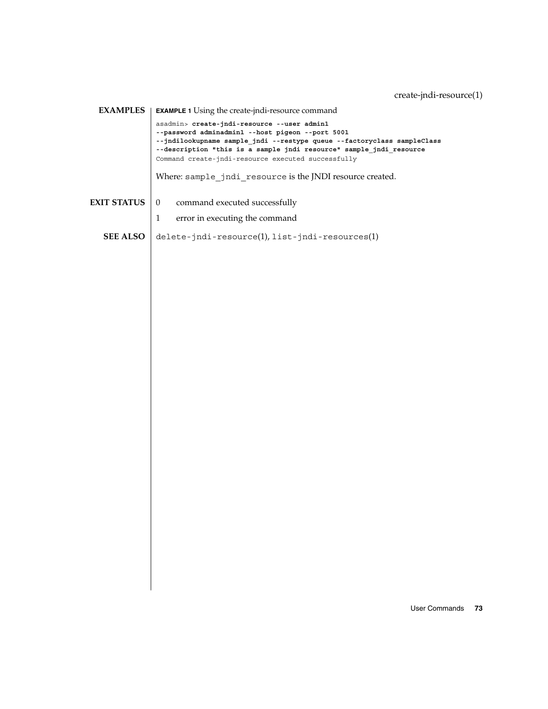create-jndi-resource(1)

| <b>EXAMPLES</b>    | <b>EXAMPLE 1</b> Using the create-jndi-resource command                                                                                                                                                                                                                                                                                                              |
|--------------------|----------------------------------------------------------------------------------------------------------------------------------------------------------------------------------------------------------------------------------------------------------------------------------------------------------------------------------------------------------------------|
|                    | asadmin> create-jndi-resource --user admin1<br>--password adminadmin1 --host pigeon --port 5001<br>--jndilookupname sample jndi --restype queue --factoryclass sampleClass<br>--description "this is a sample jndi resource" sample jndi resource<br>Command create-jndi-resource executed successfully<br>Where: sample jndi resource is the JNDI resource created. |
| <b>EXIT STATUS</b> | command executed successfully<br>$\mathbf{0}$<br>$\mathbf{1}$<br>error in executing the command                                                                                                                                                                                                                                                                      |
| <b>SEE ALSO</b>    | delete-jndi-resource(1), list-jndi-resources(1)                                                                                                                                                                                                                                                                                                                      |
|                    |                                                                                                                                                                                                                                                                                                                                                                      |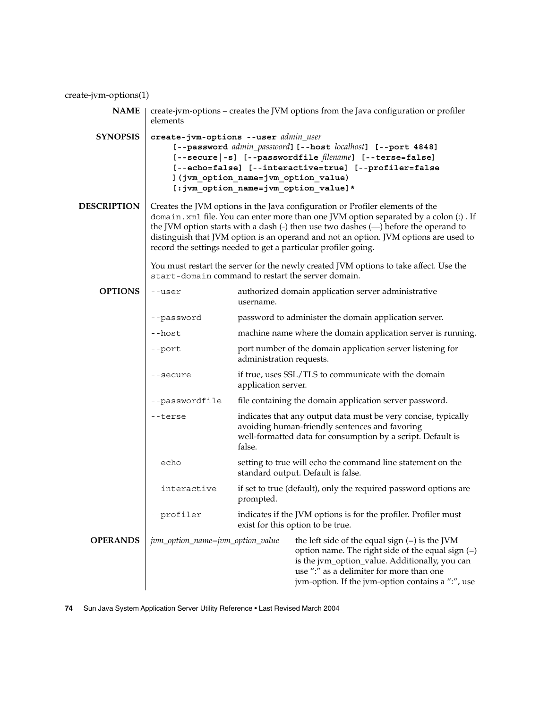| create-jvm-options(1) |                                                                                                                                                                                                                                                                                                                                                                                                                                                           |                          |                                                                                                                                                                                                                                                            |
|-----------------------|-----------------------------------------------------------------------------------------------------------------------------------------------------------------------------------------------------------------------------------------------------------------------------------------------------------------------------------------------------------------------------------------------------------------------------------------------------------|--------------------------|------------------------------------------------------------------------------------------------------------------------------------------------------------------------------------------------------------------------------------------------------------|
| <b>NAME</b>           | create-jvm-options - creates the JVM options from the Java configuration or profiler<br>elements                                                                                                                                                                                                                                                                                                                                                          |                          |                                                                                                                                                                                                                                                            |
| <b>SYNOPSIS</b>       | create-jvm-options --user admin_user<br>[--password admin_password] [--host localhost] [--port 4848]<br>[--secure   -s] [--passwordfile filename] [--terse=false]<br>[--echo=false] [--interactive=true] [--profiler=false<br>](jvm option name=jvm option value)<br>[:jvm option name=jvm option value]*                                                                                                                                                 |                          |                                                                                                                                                                                                                                                            |
| <b>DESCRIPTION</b>    | Creates the JVM options in the Java configuration or Profiler elements of the<br>domain. xml file. You can enter more than one JVM option separated by a colon (:). If<br>the JVM option starts with a dash $\left(\cdot\right)$ then use two dashes $\left(\cdot\right)$ before the operand to<br>distinguish that JVM option is an operand and not an option. JVM options are used to<br>record the settings needed to get a particular profiler going. |                          |                                                                                                                                                                                                                                                            |
|                       | start-domain command to restart the server domain.                                                                                                                                                                                                                                                                                                                                                                                                        |                          | You must restart the server for the newly created JVM options to take affect. Use the                                                                                                                                                                      |
| <b>OPTIONS</b>        | --user                                                                                                                                                                                                                                                                                                                                                                                                                                                    | username.                | authorized domain application server administrative                                                                                                                                                                                                        |
|                       | --password                                                                                                                                                                                                                                                                                                                                                                                                                                                |                          | password to administer the domain application server.                                                                                                                                                                                                      |
|                       | --host                                                                                                                                                                                                                                                                                                                                                                                                                                                    |                          | machine name where the domain application server is running.                                                                                                                                                                                               |
|                       | --port                                                                                                                                                                                                                                                                                                                                                                                                                                                    | administration requests. | port number of the domain application server listening for                                                                                                                                                                                                 |
|                       | --secure                                                                                                                                                                                                                                                                                                                                                                                                                                                  | application server.      | if true, uses SSL/TLS to communicate with the domain                                                                                                                                                                                                       |
|                       | --passwordfile                                                                                                                                                                                                                                                                                                                                                                                                                                            |                          | file containing the domain application server password.                                                                                                                                                                                                    |
|                       | --terse                                                                                                                                                                                                                                                                                                                                                                                                                                                   | false.                   | indicates that any output data must be very concise, typically<br>avoiding human-friendly sentences and favoring<br>well-formatted data for consumption by a script. Default is                                                                            |
|                       | --echo                                                                                                                                                                                                                                                                                                                                                                                                                                                    |                          | setting to true will echo the command line statement on the<br>standard output. Default is false.                                                                                                                                                          |
|                       | --interactive                                                                                                                                                                                                                                                                                                                                                                                                                                             | prompted.                | if set to true (default), only the required password options are                                                                                                                                                                                           |
|                       | --profiler                                                                                                                                                                                                                                                                                                                                                                                                                                                |                          | indicates if the JVM options is for the profiler. Profiler must<br>exist for this option to be true.                                                                                                                                                       |
| <b>OPERANDS</b>       | jvm_option_name=jvm_option_value                                                                                                                                                                                                                                                                                                                                                                                                                          |                          | the left side of the equal sign $(=)$ is the JVM<br>option name. The right side of the equal sign $(=)$<br>is the jvm_option_value. Additionally, you can<br>use ":" as a delimiter for more than one<br>jvm-option. If the jvm-option contains a ":", use |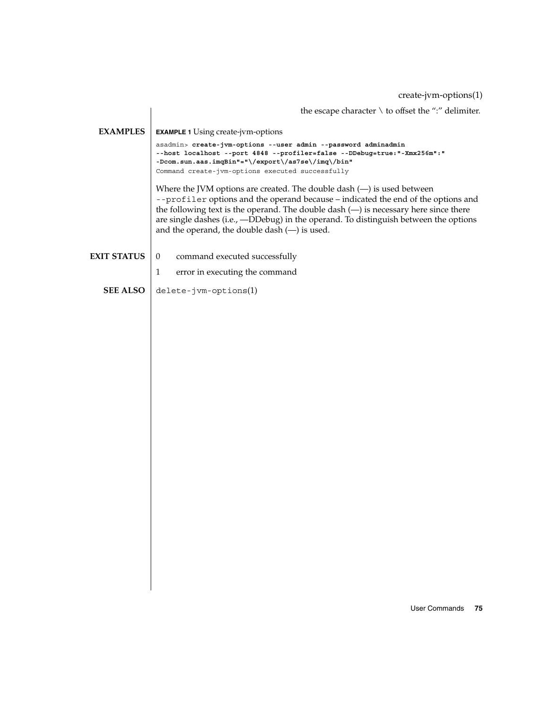create-jvm-options(1)

|                    | the escape character $\setminus$ to offset the ":" delimiter.                                                                                                                                                                                                                                                                                                                                      |
|--------------------|----------------------------------------------------------------------------------------------------------------------------------------------------------------------------------------------------------------------------------------------------------------------------------------------------------------------------------------------------------------------------------------------------|
| <b>EXAMPLES</b>    | <b>EXAMPLE 1</b> Using create-jvm-options                                                                                                                                                                                                                                                                                                                                                          |
|                    | asadmin> create-jvm-options --user admin --password adminadmin<br>--host localhost --port 4848 --profiler=false --DDebug=true:"-Xmx256m":"<br>-Dcom.sun.aas.imqBin"="\/export\/as7se\/imq\/bin"<br>Command create-jvm-options executed successfully                                                                                                                                                |
|                    | Where the JVM options are created. The double dash $(-)$ is used between<br>--profiler options and the operand because – indicated the end of the options and<br>the following text is the operand. The double dash $(-)$ is necessary here since there<br>are single dashes (i.e., —DDebug) in the operand. To distinguish between the options<br>and the operand, the double dash $(-)$ is used. |
| <b>EXIT STATUS</b> | command executed successfully<br>$\Omega$                                                                                                                                                                                                                                                                                                                                                          |
|                    | 1<br>error in executing the command                                                                                                                                                                                                                                                                                                                                                                |
| <b>SEE ALSO</b>    | $delete-jvm-options(1)$                                                                                                                                                                                                                                                                                                                                                                            |
|                    |                                                                                                                                                                                                                                                                                                                                                                                                    |
|                    |                                                                                                                                                                                                                                                                                                                                                                                                    |
|                    |                                                                                                                                                                                                                                                                                                                                                                                                    |
|                    |                                                                                                                                                                                                                                                                                                                                                                                                    |
|                    |                                                                                                                                                                                                                                                                                                                                                                                                    |
|                    |                                                                                                                                                                                                                                                                                                                                                                                                    |
|                    |                                                                                                                                                                                                                                                                                                                                                                                                    |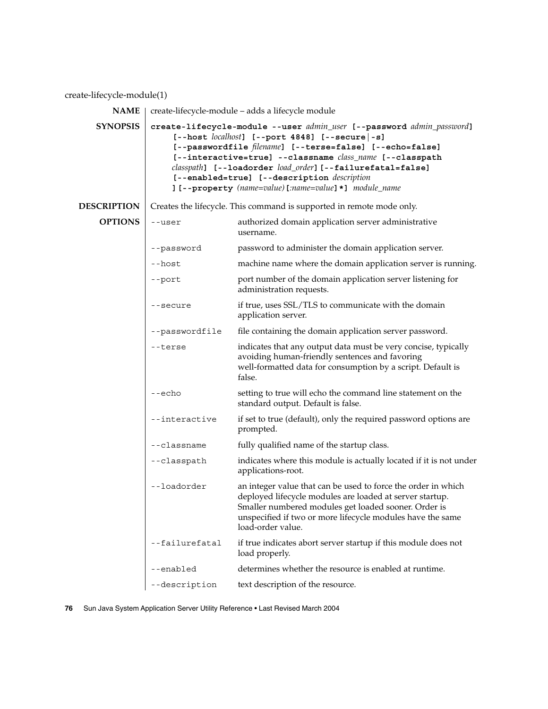create-lifecycle-module(1)

| <b>NAME</b>        | create-lifecycle-module - adds a lifecycle module                                                                                                                                                                                                                                                                                                                                                                                                                |                                                                                                                                                                                                                                                                      |  |  |
|--------------------|------------------------------------------------------------------------------------------------------------------------------------------------------------------------------------------------------------------------------------------------------------------------------------------------------------------------------------------------------------------------------------------------------------------------------------------------------------------|----------------------------------------------------------------------------------------------------------------------------------------------------------------------------------------------------------------------------------------------------------------------|--|--|
| <b>SYNOPSIS</b>    | create-lifecycle-module --user admin_user [--password admin_password]<br>$[- - \text{host localhost}]$ $[- - \text{port 4848}]$ $[- - \text{secure} - \text{s}]$<br>[--passwordfile filename] [--terse=false] [--echo=false]<br>[--interactive=true] --classname class_name [--classpath<br>classpath] [--loadorder load_order] [--failurefatal=false]<br>[--enabled=true] [--description description<br>] [--property (name=value) [:name=value] *] module_name |                                                                                                                                                                                                                                                                      |  |  |
| <b>DESCRIPTION</b> |                                                                                                                                                                                                                                                                                                                                                                                                                                                                  | Creates the lifecycle. This command is supported in remote mode only.                                                                                                                                                                                                |  |  |
| <b>OPTIONS</b>     | --user                                                                                                                                                                                                                                                                                                                                                                                                                                                           | authorized domain application server administrative<br>username.                                                                                                                                                                                                     |  |  |
|                    | --password                                                                                                                                                                                                                                                                                                                                                                                                                                                       | password to administer the domain application server.                                                                                                                                                                                                                |  |  |
|                    | --host                                                                                                                                                                                                                                                                                                                                                                                                                                                           | machine name where the domain application server is running.                                                                                                                                                                                                         |  |  |
|                    | --port                                                                                                                                                                                                                                                                                                                                                                                                                                                           | port number of the domain application server listening for<br>administration requests.                                                                                                                                                                               |  |  |
|                    | --secure                                                                                                                                                                                                                                                                                                                                                                                                                                                         | if true, uses SSL/TLS to communicate with the domain<br>application server.                                                                                                                                                                                          |  |  |
|                    | --passwordfile                                                                                                                                                                                                                                                                                                                                                                                                                                                   | file containing the domain application server password.                                                                                                                                                                                                              |  |  |
|                    | --terse                                                                                                                                                                                                                                                                                                                                                                                                                                                          | indicates that any output data must be very concise, typically<br>avoiding human-friendly sentences and favoring<br>well-formatted data for consumption by a script. Default is<br>false.                                                                            |  |  |
|                    | --echo                                                                                                                                                                                                                                                                                                                                                                                                                                                           | setting to true will echo the command line statement on the<br>standard output. Default is false.                                                                                                                                                                    |  |  |
|                    | --interactive                                                                                                                                                                                                                                                                                                                                                                                                                                                    | if set to true (default), only the required password options are<br>prompted.                                                                                                                                                                                        |  |  |
|                    | --classname                                                                                                                                                                                                                                                                                                                                                                                                                                                      | fully qualified name of the startup class.                                                                                                                                                                                                                           |  |  |
|                    | --classpath                                                                                                                                                                                                                                                                                                                                                                                                                                                      | indicates where this module is actually located if it is not under<br>applications-root.                                                                                                                                                                             |  |  |
|                    | --loadorder                                                                                                                                                                                                                                                                                                                                                                                                                                                      | an integer value that can be used to force the order in which<br>deployed lifecycle modules are loaded at server startup.<br>Smaller numbered modules get loaded sooner. Order is<br>unspecified if two or more lifecycle modules have the same<br>load-order value. |  |  |
|                    | --failurefatal                                                                                                                                                                                                                                                                                                                                                                                                                                                   | if true indicates abort server startup if this module does not<br>load properly.                                                                                                                                                                                     |  |  |
|                    | --enabled                                                                                                                                                                                                                                                                                                                                                                                                                                                        | determines whether the resource is enabled at runtime.                                                                                                                                                                                                               |  |  |
|                    | --description                                                                                                                                                                                                                                                                                                                                                                                                                                                    | text description of the resource.                                                                                                                                                                                                                                    |  |  |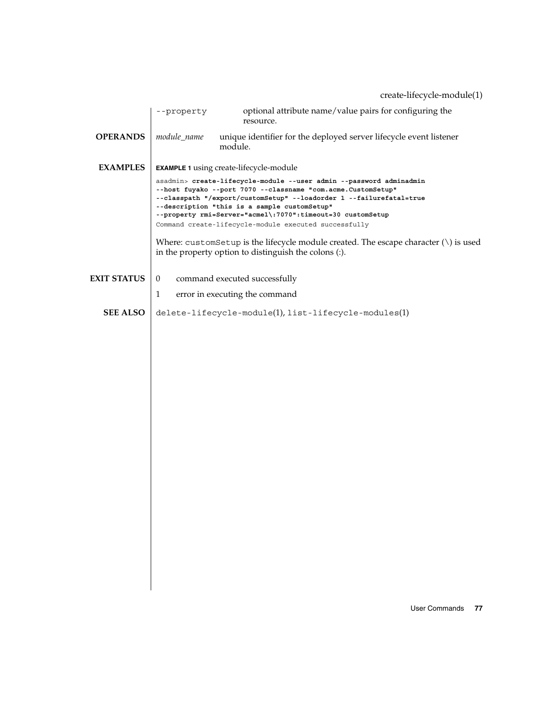create-lifecycle-module(1)

|                    | --property                                            | optional attribute name/value pairs for configuring the<br>resource.                                                                                                                                                                                                                                                                                                              |  |
|--------------------|-------------------------------------------------------|-----------------------------------------------------------------------------------------------------------------------------------------------------------------------------------------------------------------------------------------------------------------------------------------------------------------------------------------------------------------------------------|--|
| <b>OPERANDS</b>    | module_name                                           | unique identifier for the deployed server lifecycle event listener<br>module.                                                                                                                                                                                                                                                                                                     |  |
| <b>EXAMPLES</b>    | <b>EXAMPLE 1</b> using create-lifecycle-module        |                                                                                                                                                                                                                                                                                                                                                                                   |  |
|                    |                                                       | asadmin> create-lifecycle-module --user admin --password adminadmin<br>--host fuyako --port 7070 --classname "com.acme.CustomSetup"<br>--classpath "/export/customSetup" --loadorder 1 --failurefatal=true<br>--description "this is a sample customSetup"<br>--property rmi=Server="acme1\:7070":timeout=30 customSetup<br>Command create-lifecycle-module executed successfully |  |
|                    |                                                       | Where: customSetup is the lifecycle module created. The escape character $(\setminus)$ is used<br>in the property option to distinguish the colons (:).                                                                                                                                                                                                                           |  |
| <b>EXIT STATUS</b> | $\theta$                                              | command executed successfully                                                                                                                                                                                                                                                                                                                                                     |  |
|                    | $\mathbf{1}$                                          | error in executing the command                                                                                                                                                                                                                                                                                                                                                    |  |
| <b>SEE ALSO</b>    | delete-lifecycle-module(1), list-lifecycle-modules(1) |                                                                                                                                                                                                                                                                                                                                                                                   |  |
|                    |                                                       |                                                                                                                                                                                                                                                                                                                                                                                   |  |
|                    |                                                       |                                                                                                                                                                                                                                                                                                                                                                                   |  |
|                    |                                                       |                                                                                                                                                                                                                                                                                                                                                                                   |  |
|                    |                                                       |                                                                                                                                                                                                                                                                                                                                                                                   |  |
|                    |                                                       |                                                                                                                                                                                                                                                                                                                                                                                   |  |
|                    |                                                       |                                                                                                                                                                                                                                                                                                                                                                                   |  |
|                    |                                                       |                                                                                                                                                                                                                                                                                                                                                                                   |  |
|                    |                                                       |                                                                                                                                                                                                                                                                                                                                                                                   |  |
|                    |                                                       |                                                                                                                                                                                                                                                                                                                                                                                   |  |
|                    |                                                       |                                                                                                                                                                                                                                                                                                                                                                                   |  |
|                    |                                                       |                                                                                                                                                                                                                                                                                                                                                                                   |  |
|                    |                                                       |                                                                                                                                                                                                                                                                                                                                                                                   |  |
|                    |                                                       |                                                                                                                                                                                                                                                                                                                                                                                   |  |
|                    |                                                       |                                                                                                                                                                                                                                                                                                                                                                                   |  |
|                    |                                                       |                                                                                                                                                                                                                                                                                                                                                                                   |  |
|                    |                                                       |                                                                                                                                                                                                                                                                                                                                                                                   |  |
|                    |                                                       |                                                                                                                                                                                                                                                                                                                                                                                   |  |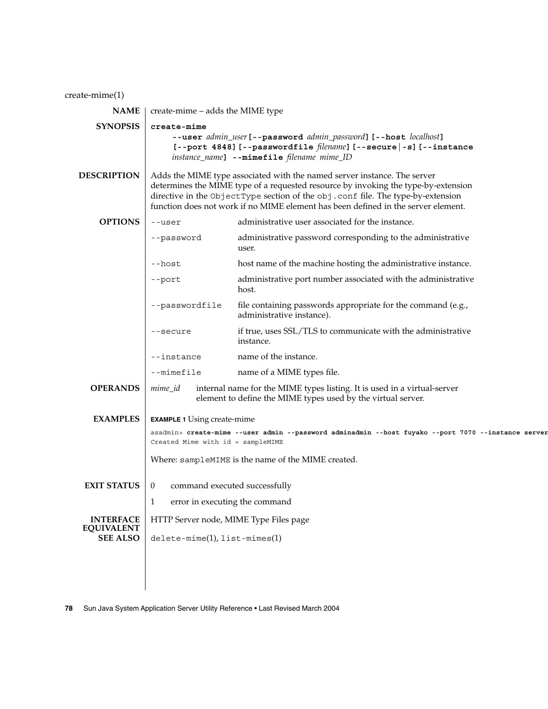create-mime(1)

| <b>NAME</b>                           | create-mime - adds the MIME type                                                                                                                                                                                                                                                                                                       |  |                                                                                                                                          |
|---------------------------------------|----------------------------------------------------------------------------------------------------------------------------------------------------------------------------------------------------------------------------------------------------------------------------------------------------------------------------------------|--|------------------------------------------------------------------------------------------------------------------------------------------|
| <b>SYNOPSIS</b>                       | create-mime<br>--user admin_user [--password admin_password] [--host localhost]<br>[--port 4848] [--passwordfile filename] [--secure   -s] [--instance<br>instance_name] --mimefile filename mime_ID                                                                                                                                   |  |                                                                                                                                          |
| <b>DESCRIPTION</b>                    | Adds the MIME type associated with the named server instance. The server<br>determines the MIME type of a requested resource by invoking the type-by-extension<br>directive in the ObjectType section of the obj.conf file. The type-by-extension<br>function does not work if no MIME element has been defined in the server element. |  |                                                                                                                                          |
| <b>OPTIONS</b>                        | --user                                                                                                                                                                                                                                                                                                                                 |  | administrative user associated for the instance.                                                                                         |
|                                       | --password                                                                                                                                                                                                                                                                                                                             |  | administrative password corresponding to the administrative<br>user.                                                                     |
|                                       | --host                                                                                                                                                                                                                                                                                                                                 |  | host name of the machine hosting the administrative instance.                                                                            |
|                                       | --port                                                                                                                                                                                                                                                                                                                                 |  | administrative port number associated with the administrative<br>host.                                                                   |
|                                       | --passwordfile                                                                                                                                                                                                                                                                                                                         |  | file containing passwords appropriate for the command (e.g.,<br>administrative instance).                                                |
|                                       | --secure                                                                                                                                                                                                                                                                                                                               |  | if true, uses SSL/TLS to communicate with the administrative<br>instance.                                                                |
|                                       | --instance                                                                                                                                                                                                                                                                                                                             |  | name of the instance.                                                                                                                    |
|                                       | --mimefile                                                                                                                                                                                                                                                                                                                             |  | name of a MIME types file.                                                                                                               |
| <b>OPERANDS</b>                       | mime_id                                                                                                                                                                                                                                                                                                                                |  | internal name for the MIME types listing. It is used in a virtual-server<br>element to define the MIME types used by the virtual server. |
| <b>EXAMPLES</b>                       | <b>EXAMPLE 1 Using create-mime</b>                                                                                                                                                                                                                                                                                                     |  |                                                                                                                                          |
|                                       | asadmin> create-mime --user admin --password adminadmin --host fuyako --port 7070 --instance server<br>Created Mime with id = sampleMIME                                                                                                                                                                                               |  |                                                                                                                                          |
|                                       |                                                                                                                                                                                                                                                                                                                                        |  | Where: sampleMIME is the name of the MIME created.                                                                                       |
| <b>EXIT STATUS</b>                    | 0<br>command executed successfully                                                                                                                                                                                                                                                                                                     |  |                                                                                                                                          |
|                                       | 1                                                                                                                                                                                                                                                                                                                                      |  | error in executing the command                                                                                                           |
| <b>INTERFACE</b><br><b>EQUIVALENT</b> | HTTP Server node, MIME Type Files page                                                                                                                                                                                                                                                                                                 |  |                                                                                                                                          |
| <b>SEE ALSO</b>                       |                                                                                                                                                                                                                                                                                                                                        |  | $delete -$ mime $(1)$ , list-mimes $(1)$                                                                                                 |
|                                       |                                                                                                                                                                                                                                                                                                                                        |  |                                                                                                                                          |
|                                       |                                                                                                                                                                                                                                                                                                                                        |  |                                                                                                                                          |
|                                       |                                                                                                                                                                                                                                                                                                                                        |  |                                                                                                                                          |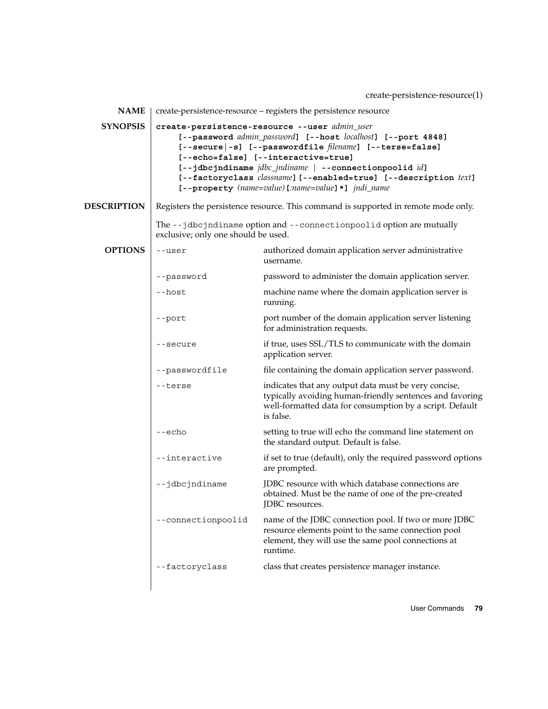| <b>NAME</b>        | create-persistence-resource - registers the persistence resource                                                                                                                                                                                                                                                                                                                                      |                                                                                                                                                                                           |  |  |
|--------------------|-------------------------------------------------------------------------------------------------------------------------------------------------------------------------------------------------------------------------------------------------------------------------------------------------------------------------------------------------------------------------------------------------------|-------------------------------------------------------------------------------------------------------------------------------------------------------------------------------------------|--|--|
| <b>SYNOPSIS</b>    | create-persistence-resource --user admin_user<br>[--password admin_password] [--host localhost] [--port 4848]<br>[--secure   -s] [--passwordfile filename] [--terse=false]<br>[--echo=false] [--interactive=true]<br>[--jdbcjndiname jdbc_jndiname   --connectionpoolid id]<br>[--factoryclass classname] [--enabled=true] [--description text]<br>[--property (name=value)[:name=value] *] jndi_name |                                                                                                                                                                                           |  |  |
| <b>DESCRIPTION</b> |                                                                                                                                                                                                                                                                                                                                                                                                       | Registers the persistence resource. This command is supported in remote mode only.                                                                                                        |  |  |
|                    | The --jdbcjndiname option and --connectionpoolid option are mutually<br>exclusive; only one should be used.                                                                                                                                                                                                                                                                                           |                                                                                                                                                                                           |  |  |
| <b>OPTIONS</b>     | --user                                                                                                                                                                                                                                                                                                                                                                                                | authorized domain application server administrative<br>username.                                                                                                                          |  |  |
|                    | --password                                                                                                                                                                                                                                                                                                                                                                                            | password to administer the domain application server.                                                                                                                                     |  |  |
|                    | --host                                                                                                                                                                                                                                                                                                                                                                                                | machine name where the domain application server is<br>running.                                                                                                                           |  |  |
|                    | --port                                                                                                                                                                                                                                                                                                                                                                                                | port number of the domain application server listening<br>for administration requests.                                                                                                    |  |  |
|                    | --secure                                                                                                                                                                                                                                                                                                                                                                                              | if true, uses SSL/TLS to communicate with the domain<br>application server.                                                                                                               |  |  |
|                    | --passwordfile                                                                                                                                                                                                                                                                                                                                                                                        | file containing the domain application server password.                                                                                                                                   |  |  |
|                    | --terse                                                                                                                                                                                                                                                                                                                                                                                               | indicates that any output data must be very concise,<br>typically avoiding human-friendly sentences and favoring<br>well-formatted data for consumption by a script. Default<br>is false. |  |  |
|                    | --echo                                                                                                                                                                                                                                                                                                                                                                                                | setting to true will echo the command line statement on<br>the standard output. Default is false.                                                                                         |  |  |
|                    | --interactive                                                                                                                                                                                                                                                                                                                                                                                         | if set to true (default), only the required password options<br>are prompted.                                                                                                             |  |  |
|                    | --jdbcjndiname                                                                                                                                                                                                                                                                                                                                                                                        | JDBC resource with which database connections are<br>obtained. Must be the name of one of the pre-created<br>JDBC resources.                                                              |  |  |
|                    | --connectionpoolid                                                                                                                                                                                                                                                                                                                                                                                    | name of the JDBC connection pool. If two or more JDBC<br>resource elements point to the same connection pool<br>element, they will use the same pool connections at<br>runtime.           |  |  |
|                    | --factoryclass                                                                                                                                                                                                                                                                                                                                                                                        | class that creates persistence manager instance.                                                                                                                                          |  |  |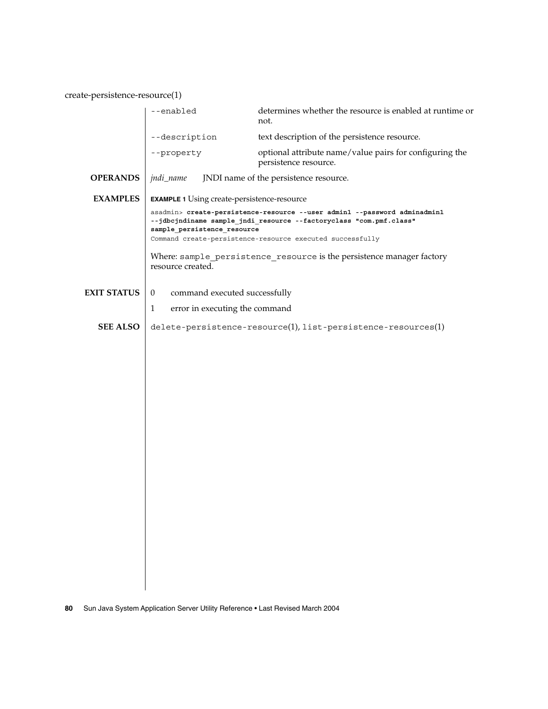create-persistence-resource(1)

|                    | --enabled                                                                                                                                                                                                                                   |                                                    | determines whether the resource is enabled at runtime or<br>not.                 |
|--------------------|---------------------------------------------------------------------------------------------------------------------------------------------------------------------------------------------------------------------------------------------|----------------------------------------------------|----------------------------------------------------------------------------------|
|                    | --description                                                                                                                                                                                                                               |                                                    | text description of the persistence resource.                                    |
|                    | --property                                                                                                                                                                                                                                  |                                                    | optional attribute name/value pairs for configuring the<br>persistence resource. |
| <b>OPERANDS</b>    | jndi_name                                                                                                                                                                                                                                   |                                                    | JNDI name of the persistence resource.                                           |
| <b>EXAMPLES</b>    |                                                                                                                                                                                                                                             | <b>EXAMPLE 1 Using create-persistence-resource</b> |                                                                                  |
|                    | asadmin> create-persistence-resource --user admin1 --password adminadmin1<br>--jdbcjndiname sample jndi resource --factoryclass "com.pmf.class"<br>sample persistence resource<br>Command create-persistence-resource executed successfully |                                                    |                                                                                  |
|                    | resource created.                                                                                                                                                                                                                           |                                                    | Where: sample_persistence_resource is the persistence manager factory            |
| <b>EXIT STATUS</b> | 0                                                                                                                                                                                                                                           | command executed successfully                      |                                                                                  |
|                    | $\mathbf{1}$                                                                                                                                                                                                                                | error in executing the command                     |                                                                                  |
| <b>SEE ALSO</b>    |                                                                                                                                                                                                                                             |                                                    | delete-persistence-resource(1), list-persistence-resources(1)                    |
|                    |                                                                                                                                                                                                                                             |                                                    |                                                                                  |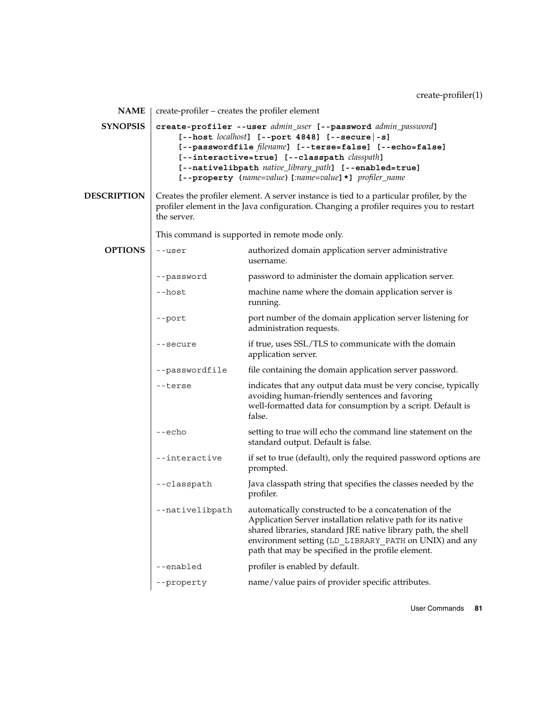| <b>NAME</b>        | create-profiler – creates the profiler element                                                                                                                                                                                                                                                                                                                                            |                                                                                                                                                                                                                                                                                                        |  |
|--------------------|-------------------------------------------------------------------------------------------------------------------------------------------------------------------------------------------------------------------------------------------------------------------------------------------------------------------------------------------------------------------------------------------|--------------------------------------------------------------------------------------------------------------------------------------------------------------------------------------------------------------------------------------------------------------------------------------------------------|--|
| <b>SYNOPSIS</b>    | create-profiler --user admin_user [--password admin_password]<br>$[- - \text{host localhost}]$ $[- - \text{port 4848}]$ $[- - \text{secure} - \text{s}]$<br>[--passwordfile filename] [--terse=false] [--echo=false]<br>[--interactive=true] [--classpath classpath]<br>[--nativelibpath native_library_path] [--enabled=true]<br>[--property (name=value) [:name=value] *] profiler_name |                                                                                                                                                                                                                                                                                                        |  |
| <b>DESCRIPTION</b> | Creates the profiler element. A server instance is tied to a particular profiler, by the<br>profiler element in the Java configuration. Changing a profiler requires you to restart<br>the server.                                                                                                                                                                                        |                                                                                                                                                                                                                                                                                                        |  |
|                    |                                                                                                                                                                                                                                                                                                                                                                                           | This command is supported in remote mode only.                                                                                                                                                                                                                                                         |  |
| <b>OPTIONS</b>     | --user                                                                                                                                                                                                                                                                                                                                                                                    | authorized domain application server administrative<br>username.                                                                                                                                                                                                                                       |  |
|                    | --password                                                                                                                                                                                                                                                                                                                                                                                | password to administer the domain application server.                                                                                                                                                                                                                                                  |  |
|                    | --host                                                                                                                                                                                                                                                                                                                                                                                    | machine name where the domain application server is<br>running.                                                                                                                                                                                                                                        |  |
|                    | --port                                                                                                                                                                                                                                                                                                                                                                                    | port number of the domain application server listening for<br>administration requests.                                                                                                                                                                                                                 |  |
|                    | --secure                                                                                                                                                                                                                                                                                                                                                                                  | if true, uses SSL/TLS to communicate with the domain<br>application server.                                                                                                                                                                                                                            |  |
|                    | --passwordfile                                                                                                                                                                                                                                                                                                                                                                            | file containing the domain application server password.                                                                                                                                                                                                                                                |  |
|                    | --terse                                                                                                                                                                                                                                                                                                                                                                                   | indicates that any output data must be very concise, typically<br>avoiding human-friendly sentences and favoring<br>well-formatted data for consumption by a script. Default is<br>false.                                                                                                              |  |
|                    | --echo                                                                                                                                                                                                                                                                                                                                                                                    | setting to true will echo the command line statement on the<br>standard output. Default is false.                                                                                                                                                                                                      |  |
|                    | --interactive                                                                                                                                                                                                                                                                                                                                                                             | if set to true (default), only the required password options are<br>prompted.                                                                                                                                                                                                                          |  |
|                    | --classpath                                                                                                                                                                                                                                                                                                                                                                               | Java classpath string that specifies the classes needed by the<br>profiler.                                                                                                                                                                                                                            |  |
|                    | --nativelibpath                                                                                                                                                                                                                                                                                                                                                                           | automatically constructed to be a concatenation of the<br>Application Server installation relative path for its native<br>shared libraries, standard JRE native library path, the shell<br>environment setting (LD_LIBRARY_PATH on UNIX) and any<br>path that may be specified in the profile element. |  |
|                    | --enabled                                                                                                                                                                                                                                                                                                                                                                                 | profiler is enabled by default.                                                                                                                                                                                                                                                                        |  |
|                    | --property                                                                                                                                                                                                                                                                                                                                                                                | name/value pairs of provider specific attributes.                                                                                                                                                                                                                                                      |  |

User Commands **81**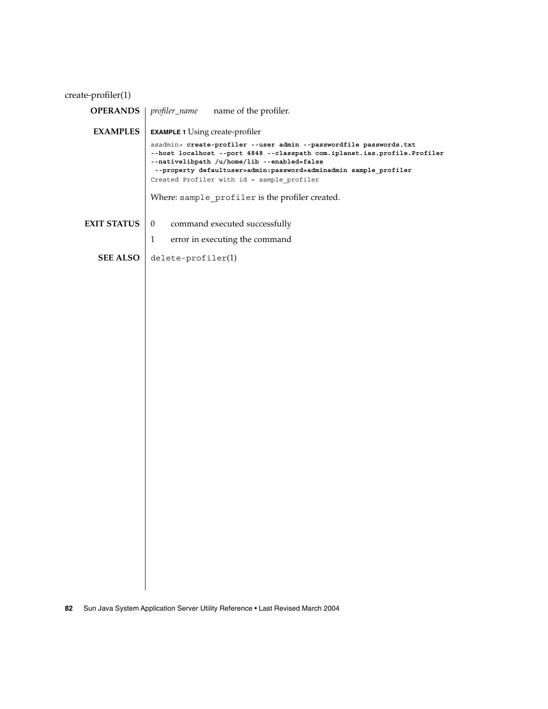| create-profiler(1) |
|--------------------|
|--------------------|

| <b>OPERANDS</b>    | profiler_name name of the profiler.                                                                                                                                                                                                                                                                                                                                                                           |
|--------------------|---------------------------------------------------------------------------------------------------------------------------------------------------------------------------------------------------------------------------------------------------------------------------------------------------------------------------------------------------------------------------------------------------------------|
| <b>EXAMPLES</b>    | <b>EXAMPLE 1 Using create-profiler</b><br>asadmin> create-profiler --user admin --passwordfile passwords.txt<br>--host localhost --port 4848 --classpath com.iplanet.ias.profile.Profiler<br>--nativelibpath /u/home/lib --enabled=false<br>--property defaultuser=admin:password=adminadmin sample profiler<br>Created Profiler with id = sample_profiler<br>Where: sample profiler is the profiler created. |
| <b>EXIT STATUS</b> | command executed successfully<br>$\boldsymbol{0}$                                                                                                                                                                                                                                                                                                                                                             |
|                    | error in executing the command<br>$\mathbf{1}$                                                                                                                                                                                                                                                                                                                                                                |
| <b>SEE ALSO</b>    | $delete-profitler(1)$                                                                                                                                                                                                                                                                                                                                                                                         |
|                    |                                                                                                                                                                                                                                                                                                                                                                                                               |
|                    |                                                                                                                                                                                                                                                                                                                                                                                                               |
|                    |                                                                                                                                                                                                                                                                                                                                                                                                               |
|                    |                                                                                                                                                                                                                                                                                                                                                                                                               |
|                    |                                                                                                                                                                                                                                                                                                                                                                                                               |
|                    |                                                                                                                                                                                                                                                                                                                                                                                                               |
|                    |                                                                                                                                                                                                                                                                                                                                                                                                               |
|                    |                                                                                                                                                                                                                                                                                                                                                                                                               |
|                    |                                                                                                                                                                                                                                                                                                                                                                                                               |
|                    |                                                                                                                                                                                                                                                                                                                                                                                                               |
|                    |                                                                                                                                                                                                                                                                                                                                                                                                               |
|                    |                                                                                                                                                                                                                                                                                                                                                                                                               |
|                    |                                                                                                                                                                                                                                                                                                                                                                                                               |
|                    |                                                                                                                                                                                                                                                                                                                                                                                                               |
|                    |                                                                                                                                                                                                                                                                                                                                                                                                               |
|                    |                                                                                                                                                                                                                                                                                                                                                                                                               |
|                    |                                                                                                                                                                                                                                                                                                                                                                                                               |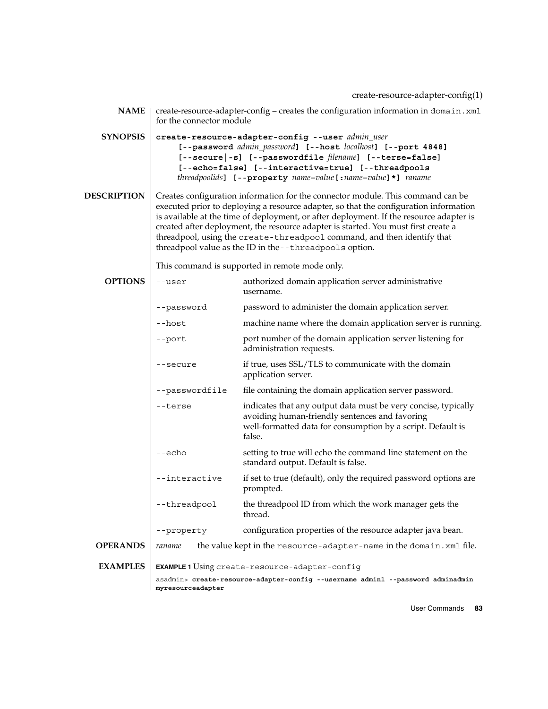| <b>NAME</b>        | create-resource-adapter-config – creates the configuration information in domain.xml<br>for the connector module                                                                                                                                                                                                                                                                                                                                                                               |                                                                                                                                                                                           |  |
|--------------------|------------------------------------------------------------------------------------------------------------------------------------------------------------------------------------------------------------------------------------------------------------------------------------------------------------------------------------------------------------------------------------------------------------------------------------------------------------------------------------------------|-------------------------------------------------------------------------------------------------------------------------------------------------------------------------------------------|--|
| <b>SYNOPSIS</b>    | create-resource-adapter-config --user admin_user<br>[--password admin_password] [--host localhost] [--port 4848]<br>[--secure   - s] [--passwordfile filename] [--terse=false]<br>[--echo=false] [--interactive=true] [--threadpools<br>threadpoolids] [--property name=value [: name=value] *] raname                                                                                                                                                                                         |                                                                                                                                                                                           |  |
| <b>DESCRIPTION</b> | Creates configuration information for the connector module. This command can be<br>executed prior to deploying a resource adapter, so that the configuration information<br>is available at the time of deployment, or after deployment. If the resource adapter is<br>created after deployment, the resource adapter is started. You must first create a<br>threadpool, using the create-threadpool command, and then identify that<br>threadpool value as the ID in the--threadpools option. |                                                                                                                                                                                           |  |
|                    |                                                                                                                                                                                                                                                                                                                                                                                                                                                                                                | This command is supported in remote mode only.                                                                                                                                            |  |
| <b>OPTIONS</b>     | --user                                                                                                                                                                                                                                                                                                                                                                                                                                                                                         | authorized domain application server administrative<br>username.                                                                                                                          |  |
|                    | --password                                                                                                                                                                                                                                                                                                                                                                                                                                                                                     | password to administer the domain application server.                                                                                                                                     |  |
|                    | --host                                                                                                                                                                                                                                                                                                                                                                                                                                                                                         | machine name where the domain application server is running.                                                                                                                              |  |
|                    | --port                                                                                                                                                                                                                                                                                                                                                                                                                                                                                         | port number of the domain application server listening for<br>administration requests.                                                                                                    |  |
|                    | --secure                                                                                                                                                                                                                                                                                                                                                                                                                                                                                       | if true, uses SSL/TLS to communicate with the domain<br>application server.                                                                                                               |  |
|                    | --passwordfile                                                                                                                                                                                                                                                                                                                                                                                                                                                                                 | file containing the domain application server password.                                                                                                                                   |  |
|                    | --terse                                                                                                                                                                                                                                                                                                                                                                                                                                                                                        | indicates that any output data must be very concise, typically<br>avoiding human-friendly sentences and favoring<br>well-formatted data for consumption by a script. Default is<br>false. |  |
|                    | --echo                                                                                                                                                                                                                                                                                                                                                                                                                                                                                         | setting to true will echo the command line statement on the<br>standard output. Default is false.                                                                                         |  |
|                    | --interactive                                                                                                                                                                                                                                                                                                                                                                                                                                                                                  | if set to true (default), only the required password options are<br>prompted.                                                                                                             |  |
|                    | --threadpool                                                                                                                                                                                                                                                                                                                                                                                                                                                                                   | the threadpool ID from which the work manager gets the<br>thread.                                                                                                                         |  |
|                    | --property                                                                                                                                                                                                                                                                                                                                                                                                                                                                                     | configuration properties of the resource adapter java bean.                                                                                                                               |  |
| <b>OPERANDS</b>    | the value kept in the resource-adapter-name in the domain. xml file.<br>raname                                                                                                                                                                                                                                                                                                                                                                                                                 |                                                                                                                                                                                           |  |
| <b>EXAMPLES</b>    |                                                                                                                                                                                                                                                                                                                                                                                                                                                                                                | <b>EXAMPLE 1 Using create-resource-adapter-config</b>                                                                                                                                     |  |
|                    | asadmin> create-resource-adapter-config --username admin1 --password adminadmin<br>myresourceadapter                                                                                                                                                                                                                                                                                                                                                                                           |                                                                                                                                                                                           |  |

User Commands **83**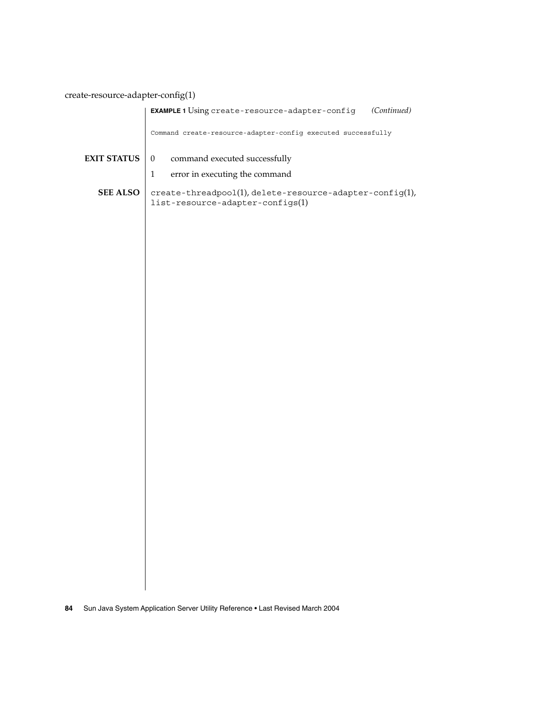create-resource-adapter-config(1)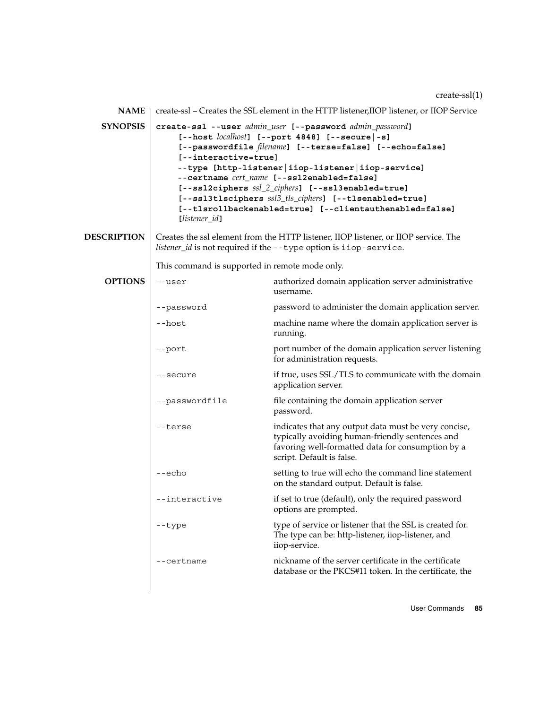## create-ssl(1)

| <b>NAME</b>        | create-ssl – Creates the SSL element in the HTTP listener, IIOP listener, or IIOP Service                                                                                                                                                                                                                                                                                                                                                                                                                                                   |                                                                                                                                                                                           |  |
|--------------------|---------------------------------------------------------------------------------------------------------------------------------------------------------------------------------------------------------------------------------------------------------------------------------------------------------------------------------------------------------------------------------------------------------------------------------------------------------------------------------------------------------------------------------------------|-------------------------------------------------------------------------------------------------------------------------------------------------------------------------------------------|--|
| <b>SYNOPSIS</b>    | create-ssl --user admin_user [--password admin_password]<br>$[- - \text{host localhost}]$ $[- - \text{port 4848}]$ $[- - \text{secure}   - \text{s}]$<br>[--passwordfile filename] [--terse=false] [--echo=false]<br>[--interactive=true]<br>--type [http-listener iiop-listener iiop-service]<br>--certname cert_name [--ssl2enabled=false]<br>[--ssl2ciphers ssl_2_ciphers] [--ssl3enabled=true]<br>[--ssl3tlsciphers ssl3_tls_ciphers] [--tlsenabled=true]<br>[--tlsrollbackenabled=true] [--clientauthenabled=false]<br>$[listener_id]$ |                                                                                                                                                                                           |  |
| <b>DESCRIPTION</b> | Creates the ssl element from the HTTP listener, IIOP listener, or IIOP service. The<br>listener_id is not required if the --type option is iiop-service.                                                                                                                                                                                                                                                                                                                                                                                    |                                                                                                                                                                                           |  |
|                    | This command is supported in remote mode only.                                                                                                                                                                                                                                                                                                                                                                                                                                                                                              |                                                                                                                                                                                           |  |
| <b>OPTIONS</b>     | --user                                                                                                                                                                                                                                                                                                                                                                                                                                                                                                                                      | authorized domain application server administrative<br>username.                                                                                                                          |  |
|                    | --password                                                                                                                                                                                                                                                                                                                                                                                                                                                                                                                                  | password to administer the domain application server.                                                                                                                                     |  |
|                    | --host                                                                                                                                                                                                                                                                                                                                                                                                                                                                                                                                      | machine name where the domain application server is<br>running.                                                                                                                           |  |
|                    | --port                                                                                                                                                                                                                                                                                                                                                                                                                                                                                                                                      | port number of the domain application server listening<br>for administration requests.                                                                                                    |  |
|                    | --secure                                                                                                                                                                                                                                                                                                                                                                                                                                                                                                                                    | if true, uses SSL/TLS to communicate with the domain<br>application server.                                                                                                               |  |
|                    | --passwordfile                                                                                                                                                                                                                                                                                                                                                                                                                                                                                                                              | file containing the domain application server<br>password.                                                                                                                                |  |
|                    | --terse                                                                                                                                                                                                                                                                                                                                                                                                                                                                                                                                     | indicates that any output data must be very concise,<br>typically avoiding human-friendly sentences and<br>favoring well-formatted data for consumption by a<br>script. Default is false. |  |
|                    | --echo                                                                                                                                                                                                                                                                                                                                                                                                                                                                                                                                      | setting to true will echo the command line statement<br>on the standard output. Default is false.                                                                                         |  |
|                    | --interactive                                                                                                                                                                                                                                                                                                                                                                                                                                                                                                                               | if set to true (default), only the required password<br>options are prompted.                                                                                                             |  |
|                    | --type                                                                                                                                                                                                                                                                                                                                                                                                                                                                                                                                      | type of service or listener that the SSL is created for.<br>The type can be: http-listener, iiop-listener, and<br>iiop-service.                                                           |  |
|                    | --certname                                                                                                                                                                                                                                                                                                                                                                                                                                                                                                                                  | nickname of the server certificate in the certificate<br>database or the PKCS#11 token. In the certificate, the                                                                           |  |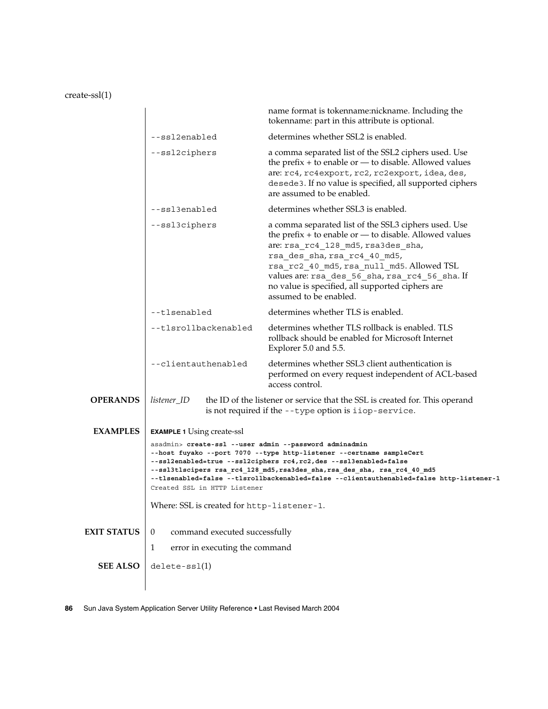create-ssl(1)

|                    |                                                                                                                                                                                                                                                                                                                                                                                                                                                            | name format is tokenname:nickname. Including the<br>tokenname: part in this attribute is optional.                                                                                                                                                                                                                                                                    |
|--------------------|------------------------------------------------------------------------------------------------------------------------------------------------------------------------------------------------------------------------------------------------------------------------------------------------------------------------------------------------------------------------------------------------------------------------------------------------------------|-----------------------------------------------------------------------------------------------------------------------------------------------------------------------------------------------------------------------------------------------------------------------------------------------------------------------------------------------------------------------|
|                    | --ssl2enabled                                                                                                                                                                                                                                                                                                                                                                                                                                              | determines whether SSL2 is enabled.                                                                                                                                                                                                                                                                                                                                   |
|                    | --ssl2ciphers                                                                                                                                                                                                                                                                                                                                                                                                                                              | a comma separated list of the SSL2 ciphers used. Use<br>the prefix $+$ to enable or $-$ to disable. Allowed values<br>are: rc4, rc4export, rc2, rc2export, idea, des,<br>desede3. If no value is specified, all supported ciphers<br>are assumed to be enabled.                                                                                                       |
|                    | --ssl3enabled                                                                                                                                                                                                                                                                                                                                                                                                                                              | determines whether SSL3 is enabled.                                                                                                                                                                                                                                                                                                                                   |
|                    | --ssl3ciphers                                                                                                                                                                                                                                                                                                                                                                                                                                              | a comma separated list of the SSL3 ciphers used. Use<br>the prefix $+$ to enable or $-$ to disable. Allowed values<br>are: rsa rc4 128 md5, rsa3des sha,<br>rsa des sha, rsa rc4 40 md5,<br>rsa rc2 40 md5, rsa null md5. Allowed TSL<br>values are: rsa_des_56_sha, rsa_rc4_56_sha. If<br>no value is specified, all supported ciphers are<br>assumed to be enabled. |
|                    | --tlsenabled                                                                                                                                                                                                                                                                                                                                                                                                                                               | determines whether TLS is enabled.                                                                                                                                                                                                                                                                                                                                    |
|                    | --tlsrollbackenabled                                                                                                                                                                                                                                                                                                                                                                                                                                       | determines whether TLS rollback is enabled. TLS<br>rollback should be enabled for Microsoft Internet<br>Explorer 5.0 and 5.5.                                                                                                                                                                                                                                         |
|                    | --clientauthenabled                                                                                                                                                                                                                                                                                                                                                                                                                                        | determines whether SSL3 client authentication is<br>performed on every request independent of ACL-based<br>access control.                                                                                                                                                                                                                                            |
| <b>OPERANDS</b>    | listener_ID                                                                                                                                                                                                                                                                                                                                                                                                                                                | the ID of the listener or service that the SSL is created for. This operand<br>is not required if the --type option is iiop-service.                                                                                                                                                                                                                                  |
| <b>EXAMPLES</b>    | <b>EXAMPLE 1 Using create-ssl</b>                                                                                                                                                                                                                                                                                                                                                                                                                          |                                                                                                                                                                                                                                                                                                                                                                       |
|                    | asadmin> create-ssl --user admin --password adminadmin<br>--host fuyako --port 7070 --type http-listener --certname sampleCert<br>--ssl2enabled=true --ssl2ciphers rc4, rc2, des --ssl3enabled=false<br>--ssl3tlscipers rsa rc4 128 md5, rsa3des sha, rsa des sha, rsa rc4 40 md5<br>--tlsenabled=false --tlsrollbackenabled=false --clientauthenabled=false http-listener-1<br>Created SSL in HTTP Listener<br>Where: SSL is created for http-listener-1. |                                                                                                                                                                                                                                                                                                                                                                       |
| <b>EXIT STATUS</b> | command executed successfully<br>$\mathbf{0}$                                                                                                                                                                                                                                                                                                                                                                                                              |                                                                                                                                                                                                                                                                                                                                                                       |
|                    | error in executing the command<br>$\mathbf{1}$                                                                                                                                                                                                                                                                                                                                                                                                             |                                                                                                                                                                                                                                                                                                                                                                       |
| <b>SEE ALSO</b>    | $delete-ssl(1)$                                                                                                                                                                                                                                                                                                                                                                                                                                            |                                                                                                                                                                                                                                                                                                                                                                       |
|                    |                                                                                                                                                                                                                                                                                                                                                                                                                                                            |                                                                                                                                                                                                                                                                                                                                                                       |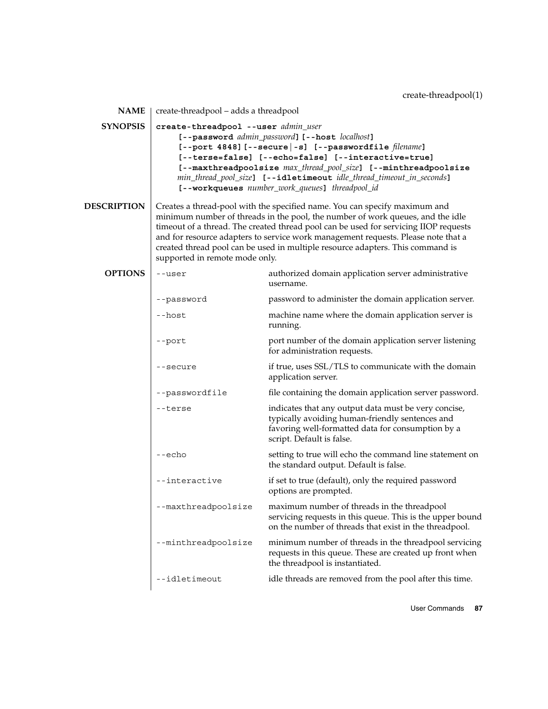| <b>NAME</b>        | create-threadpool - adds a threadpool                                                                                                                                                                                                                                                                                                                                                                                                                         |                                                                                                                                                                                           |  |
|--------------------|---------------------------------------------------------------------------------------------------------------------------------------------------------------------------------------------------------------------------------------------------------------------------------------------------------------------------------------------------------------------------------------------------------------------------------------------------------------|-------------------------------------------------------------------------------------------------------------------------------------------------------------------------------------------|--|
| <b>SYNOPSIS</b>    | create-threadpool --user admin_user<br>[--password admin_password] [--host localhost]<br>[--port 4848] [--secure   -s] [--passwordfile filename]<br>[--terse=false] [--echo=false] [--interactive=true]<br>[--maxthreadpoolsize max_thread_pool_size] [--minthreadpoolsize<br>min_thread_pool_size] [--idletimeout idle_thread_timeout_in_seconds]<br>[--workqueues number_work_queues] threadpool_id                                                         |                                                                                                                                                                                           |  |
| <b>DESCRIPTION</b> | Creates a thread-pool with the specified name. You can specify maximum and<br>minimum number of threads in the pool, the number of work queues, and the idle<br>timeout of a thread. The created thread pool can be used for servicing IIOP requests<br>and for resource adapters to service work management requests. Please note that a<br>created thread pool can be used in multiple resource adapters. This command is<br>supported in remote mode only. |                                                                                                                                                                                           |  |
| <b>OPTIONS</b>     | --user                                                                                                                                                                                                                                                                                                                                                                                                                                                        | authorized domain application server administrative<br>username.                                                                                                                          |  |
|                    | --password                                                                                                                                                                                                                                                                                                                                                                                                                                                    | password to administer the domain application server.                                                                                                                                     |  |
|                    | --host                                                                                                                                                                                                                                                                                                                                                                                                                                                        | machine name where the domain application server is<br>running.                                                                                                                           |  |
|                    | --port                                                                                                                                                                                                                                                                                                                                                                                                                                                        | port number of the domain application server listening<br>for administration requests.                                                                                                    |  |
|                    | --secure                                                                                                                                                                                                                                                                                                                                                                                                                                                      | if true, uses SSL/TLS to communicate with the domain<br>application server.                                                                                                               |  |
|                    | --passwordfile                                                                                                                                                                                                                                                                                                                                                                                                                                                | file containing the domain application server password.                                                                                                                                   |  |
|                    | --terse                                                                                                                                                                                                                                                                                                                                                                                                                                                       | indicates that any output data must be very concise,<br>typically avoiding human-friendly sentences and<br>favoring well-formatted data for consumption by a<br>script. Default is false. |  |
|                    | --echo                                                                                                                                                                                                                                                                                                                                                                                                                                                        | setting to true will echo the command line statement on<br>the standard output. Default is false.                                                                                         |  |
|                    | --interactive                                                                                                                                                                                                                                                                                                                                                                                                                                                 | if set to true (default), only the required password<br>options are prompted.                                                                                                             |  |
|                    | --maxthreadpoolsize                                                                                                                                                                                                                                                                                                                                                                                                                                           | maximum number of threads in the threadpool<br>servicing requests in this queue. This is the upper bound<br>on the number of threads that exist in the threadpool.                        |  |
|                    | --minthreadpoolsize                                                                                                                                                                                                                                                                                                                                                                                                                                           | minimum number of threads in the threadpool servicing<br>requests in this queue. These are created up front when<br>the threadpool is instantiated.                                       |  |
|                    | --idletimeout                                                                                                                                                                                                                                                                                                                                                                                                                                                 | idle threads are removed from the pool after this time.                                                                                                                                   |  |
|                    |                                                                                                                                                                                                                                                                                                                                                                                                                                                               |                                                                                                                                                                                           |  |

User Commands **87**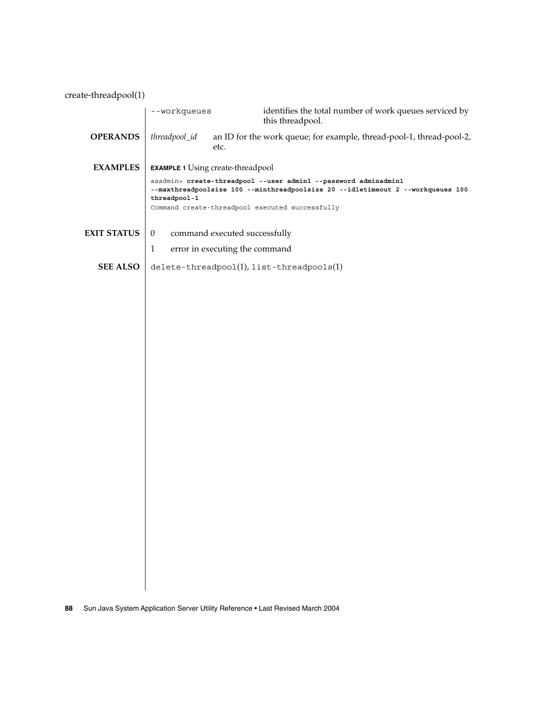create-threadpool(1)

|                    | --workqueues                             |                                | identifies the total number of work queues serviced by<br>this threadpool.                                                                                                                            |
|--------------------|------------------------------------------|--------------------------------|-------------------------------------------------------------------------------------------------------------------------------------------------------------------------------------------------------|
| <b>OPERANDS</b>    | threadpool_id                            | etc.                           | an ID for the work queue; for example, thread-pool-1, thread-pool-2,                                                                                                                                  |
| <b>EXAMPLES</b>    | <b>EXAMPLE 1 Using create-threadpool</b> |                                |                                                                                                                                                                                                       |
|                    | threadpool-1                             |                                | asadmin> create-threadpool --user admin1 --password adminadmin1<br>--maxthreadpoolsize 100 --minthreadpoolsize 20 --idletimeout 2 --workqueues 100<br>Command create-threadpool executed successfully |
| <b>EXIT STATUS</b> | $\boldsymbol{0}$                         | command executed successfully  |                                                                                                                                                                                                       |
|                    | $\mathbf{1}$                             | error in executing the command |                                                                                                                                                                                                       |
| <b>SEE ALSO</b>    |                                          |                                | $delete-threadpool(1), list-threadpool(s(1))$                                                                                                                                                         |
|                    |                                          |                                |                                                                                                                                                                                                       |
|                    |                                          |                                |                                                                                                                                                                                                       |
|                    |                                          |                                |                                                                                                                                                                                                       |
|                    |                                          |                                |                                                                                                                                                                                                       |
|                    |                                          |                                |                                                                                                                                                                                                       |
|                    |                                          |                                |                                                                                                                                                                                                       |
|                    |                                          |                                |                                                                                                                                                                                                       |
|                    |                                          |                                |                                                                                                                                                                                                       |
|                    |                                          |                                |                                                                                                                                                                                                       |
|                    |                                          |                                |                                                                                                                                                                                                       |
|                    |                                          |                                |                                                                                                                                                                                                       |
|                    |                                          |                                |                                                                                                                                                                                                       |
|                    |                                          |                                |                                                                                                                                                                                                       |
|                    |                                          |                                |                                                                                                                                                                                                       |
|                    |                                          |                                |                                                                                                                                                                                                       |
|                    |                                          |                                |                                                                                                                                                                                                       |
|                    |                                          |                                |                                                                                                                                                                                                       |
|                    |                                          |                                |                                                                                                                                                                                                       |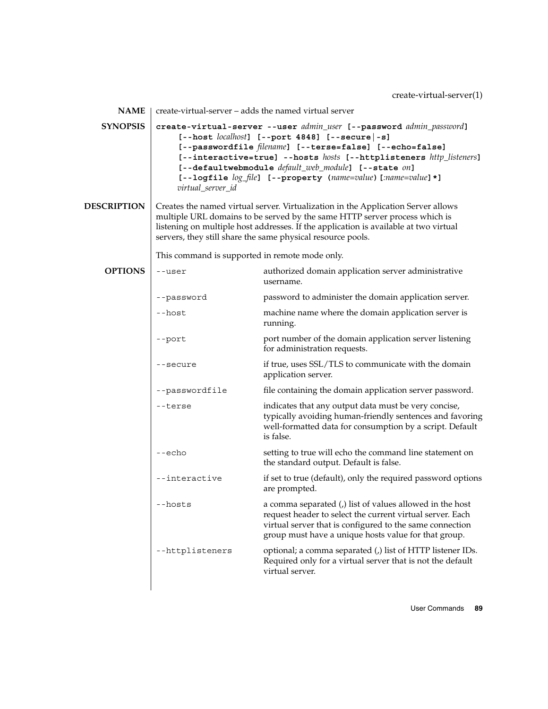create-virtual-server(1)

| <b>NAME</b>        | create-virtual-server – adds the named virtual server                                                                                                                                                                                                                                                                  |                                                                                                                                                                                                                                                                                                                                                                                                                                  |  |
|--------------------|------------------------------------------------------------------------------------------------------------------------------------------------------------------------------------------------------------------------------------------------------------------------------------------------------------------------|----------------------------------------------------------------------------------------------------------------------------------------------------------------------------------------------------------------------------------------------------------------------------------------------------------------------------------------------------------------------------------------------------------------------------------|--|
| <b>SYNOPSIS</b>    | virtual_server_id                                                                                                                                                                                                                                                                                                      | create-virtual-server --user admin_user [--password admin_password]<br>$[- - \text{host localhost}]$ $[- - \text{port 4848}]$ $[- - \text{secure}   - \text{s}]$<br>[--passwordfile filename] [--terse=false] [--echo=false]<br>[--interactive=true] --hosts hosts [--httplisteners http_listeners]<br>[--defaultwebmodule default_web_module] [--state on]<br>[--logfile $log_file$ ] [--property (name=value) [:name=value] *] |  |
| <b>DESCRIPTION</b> | Creates the named virtual server. Virtualization in the Application Server allows<br>multiple URL domains to be served by the same HTTP server process which is<br>listening on multiple host addresses. If the application is available at two virtual<br>servers, they still share the same physical resource pools. |                                                                                                                                                                                                                                                                                                                                                                                                                                  |  |
|                    | This command is supported in remote mode only.                                                                                                                                                                                                                                                                         |                                                                                                                                                                                                                                                                                                                                                                                                                                  |  |
| <b>OPTIONS</b>     | --user                                                                                                                                                                                                                                                                                                                 | authorized domain application server administrative<br>username.                                                                                                                                                                                                                                                                                                                                                                 |  |
|                    | --password                                                                                                                                                                                                                                                                                                             | password to administer the domain application server.                                                                                                                                                                                                                                                                                                                                                                            |  |
|                    | --host                                                                                                                                                                                                                                                                                                                 | machine name where the domain application server is<br>running.                                                                                                                                                                                                                                                                                                                                                                  |  |
|                    | --port                                                                                                                                                                                                                                                                                                                 | port number of the domain application server listening<br>for administration requests.                                                                                                                                                                                                                                                                                                                                           |  |
|                    | --secure                                                                                                                                                                                                                                                                                                               | if true, uses SSL/TLS to communicate with the domain<br>application server.                                                                                                                                                                                                                                                                                                                                                      |  |
|                    | --passwordfile                                                                                                                                                                                                                                                                                                         | file containing the domain application server password.                                                                                                                                                                                                                                                                                                                                                                          |  |
|                    | --terse                                                                                                                                                                                                                                                                                                                | indicates that any output data must be very concise,<br>typically avoiding human-friendly sentences and favoring<br>well-formatted data for consumption by a script. Default<br>is false.                                                                                                                                                                                                                                        |  |
|                    | --echo                                                                                                                                                                                                                                                                                                                 | setting to true will echo the command line statement on<br>the standard output. Default is false.                                                                                                                                                                                                                                                                                                                                |  |
|                    | --interactive                                                                                                                                                                                                                                                                                                          | if set to true (default), only the required password options<br>are prompted.                                                                                                                                                                                                                                                                                                                                                    |  |
|                    | --hosts                                                                                                                                                                                                                                                                                                                | a comma separated (,) list of values allowed in the host<br>request header to select the current virtual server. Each<br>virtual server that is configured to the same connection<br>group must have a unique hosts value for that group.                                                                                                                                                                                        |  |
|                    | --httplisteners                                                                                                                                                                                                                                                                                                        | optional; a comma separated (,) list of HTTP listener IDs.<br>Required only for a virtual server that is not the default<br>virtual server.                                                                                                                                                                                                                                                                                      |  |
|                    |                                                                                                                                                                                                                                                                                                                        |                                                                                                                                                                                                                                                                                                                                                                                                                                  |  |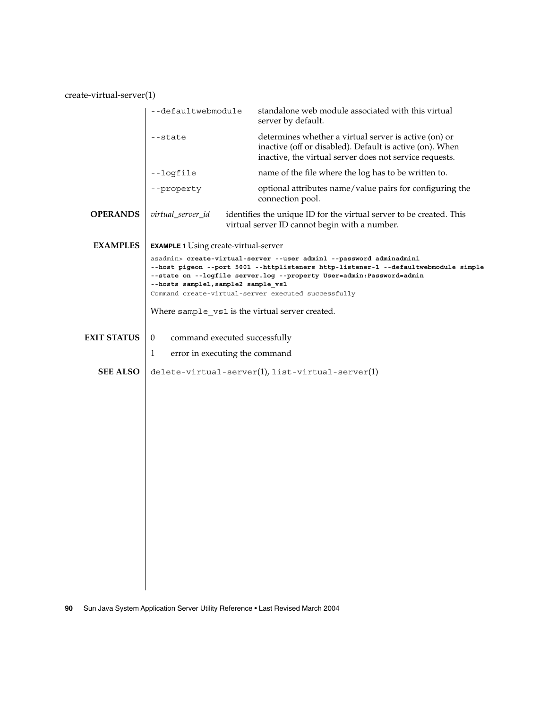create-virtual-server(1)

|                    | --defaultwebmodule                             | standalone web module associated with this virtual<br>server by default.                                                                                                                                                                                                                  |
|--------------------|------------------------------------------------|-------------------------------------------------------------------------------------------------------------------------------------------------------------------------------------------------------------------------------------------------------------------------------------------|
|                    | --state                                        | determines whether a virtual server is active (on) or<br>inactive (off or disabled). Default is active (on). When<br>inactive, the virtual server does not service requests.                                                                                                              |
|                    | --logfile                                      | name of the file where the log has to be written to.                                                                                                                                                                                                                                      |
|                    | --property                                     | optional attributes name/value pairs for configuring the<br>connection pool.                                                                                                                                                                                                              |
| <b>OPERANDS</b>    | virtual_server_id                              | identifies the unique ID for the virtual server to be created. This<br>virtual server ID cannot begin with a number.                                                                                                                                                                      |
| <b>EXAMPLES</b>    | <b>EXAMPLE 1 Using create-virtual-server</b>   |                                                                                                                                                                                                                                                                                           |
|                    | --hosts sample1, sample2 sample vs1            | asadmin> create-virtual-server --user admin1 --password adminadmin1<br>--host pigeon --port 5001 --httplisteners http-listener-1 --defaultwebmodule simple<br>--state on --logfile server.log --property User=admin:Password=admin<br>Command create-virtual-server executed successfully |
|                    |                                                | Where sample vs1 is the virtual server created.                                                                                                                                                                                                                                           |
| <b>EXIT STATUS</b> | command executed successfully<br>$\theta$      |                                                                                                                                                                                                                                                                                           |
|                    | $\mathbf{1}$<br>error in executing the command |                                                                                                                                                                                                                                                                                           |
| <b>SEE ALSO</b>    |                                                | $delete-virtual-server(1), list-virtual-server(1)$                                                                                                                                                                                                                                        |
|                    |                                                |                                                                                                                                                                                                                                                                                           |
|                    |                                                |                                                                                                                                                                                                                                                                                           |
|                    |                                                |                                                                                                                                                                                                                                                                                           |
|                    |                                                |                                                                                                                                                                                                                                                                                           |
|                    |                                                |                                                                                                                                                                                                                                                                                           |
|                    |                                                |                                                                                                                                                                                                                                                                                           |
|                    |                                                |                                                                                                                                                                                                                                                                                           |
|                    |                                                |                                                                                                                                                                                                                                                                                           |
|                    |                                                |                                                                                                                                                                                                                                                                                           |
|                    |                                                |                                                                                                                                                                                                                                                                                           |
|                    |                                                |                                                                                                                                                                                                                                                                                           |
|                    |                                                |                                                                                                                                                                                                                                                                                           |
|                    |                                                |                                                                                                                                                                                                                                                                                           |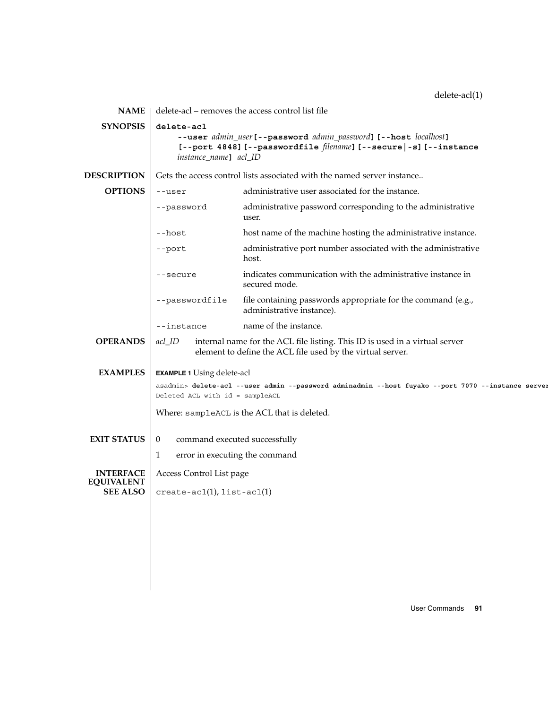delete-acl(1)

| <b>NAME</b>                                              | delete-acl – removes the access control list file                                                                                                                              |                                                                                                                                                    |  |
|----------------------------------------------------------|--------------------------------------------------------------------------------------------------------------------------------------------------------------------------------|----------------------------------------------------------------------------------------------------------------------------------------------------|--|
| <b>SYNOPSIS</b>                                          | delete-acl<br>--user admin_user [--password admin_password] [--host localhost]<br>[--port 4848] [--passwordfile filename] [--secure   -s] [--instance<br>instance_name] acl_ID |                                                                                                                                                    |  |
| <b>DESCRIPTION</b>                                       |                                                                                                                                                                                | Gets the access control lists associated with the named server instance                                                                            |  |
| <b>OPTIONS</b>                                           | --user                                                                                                                                                                         | administrative user associated for the instance.                                                                                                   |  |
|                                                          | --password                                                                                                                                                                     | administrative password corresponding to the administrative<br>user.                                                                               |  |
|                                                          | --host                                                                                                                                                                         | host name of the machine hosting the administrative instance.                                                                                      |  |
|                                                          | --port                                                                                                                                                                         | administrative port number associated with the administrative<br>host.                                                                             |  |
|                                                          | --secure                                                                                                                                                                       | indicates communication with the administrative instance in<br>secured mode.                                                                       |  |
|                                                          | --passwordfile                                                                                                                                                                 | file containing passwords appropriate for the command (e.g.,<br>administrative instance).                                                          |  |
|                                                          | --instance                                                                                                                                                                     | name of the instance.                                                                                                                              |  |
| <b>OPERANDS</b>                                          | acl_ID<br>internal name for the ACL file listing. This ID is used in a virtual server<br>element to define the ACL file used by the virtual server.                            |                                                                                                                                                    |  |
| <b>EXAMPLES</b><br><b>EXIT STATUS</b>                    | <b>EXAMPLE 1 Using delete-acl</b><br>Deleted ACL with id = sampleACL<br>command executed successfully<br>$\theta$                                                              | asadmin> delete-acl --user admin --password adminadmin --host fuyako --port 7070 --instance server<br>Where: sampleACL is the ACL that is deleted. |  |
|                                                          | 1<br>error in executing the command                                                                                                                                            |                                                                                                                                                    |  |
| <b>INTERFACE</b><br><b>EQUIVALENT</b><br><b>SEE ALSO</b> | Access Control List page<br>$create - acl(1), list - acl(1)$                                                                                                                   |                                                                                                                                                    |  |
|                                                          |                                                                                                                                                                                |                                                                                                                                                    |  |

User Commands **91**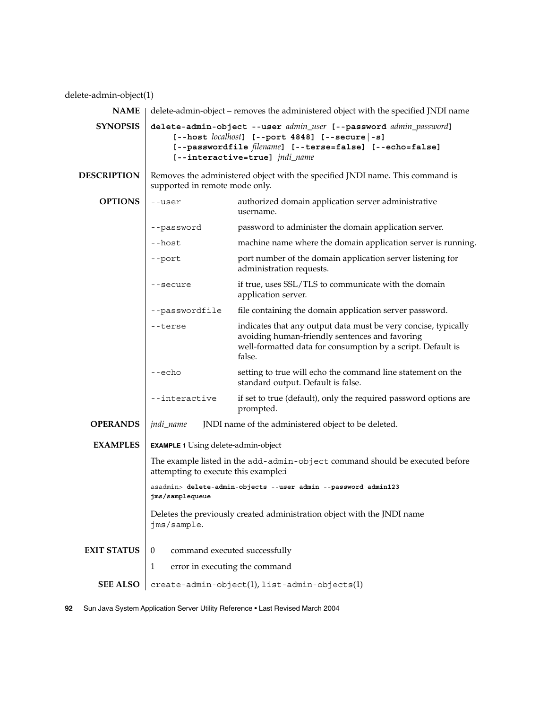delete-admin-object(1)

| <b>NAME</b>        | delete-admin-object – removes the administered object with the specified JNDI name                                                                                                                                                                                  |                                                                                                                                                                                           |  |
|--------------------|---------------------------------------------------------------------------------------------------------------------------------------------------------------------------------------------------------------------------------------------------------------------|-------------------------------------------------------------------------------------------------------------------------------------------------------------------------------------------|--|
| <b>SYNOPSIS</b>    | delete-admin-object --user admin_user [--password admin_password]<br>$[- - \text{host localhost}]$ $[- - \text{port 4848}]$ $[- - \text{secure}   - \text{s}]$<br>[--passwordfile filename] [--terse=false] [--echo=false]<br>[--interactive=true] <i>jndi_name</i> |                                                                                                                                                                                           |  |
| <b>DESCRIPTION</b> | supported in remote mode only.                                                                                                                                                                                                                                      | Removes the administered object with the specified JNDI name. This command is                                                                                                             |  |
| <b>OPTIONS</b>     | --user                                                                                                                                                                                                                                                              | authorized domain application server administrative<br>username.                                                                                                                          |  |
|                    | --password                                                                                                                                                                                                                                                          | password to administer the domain application server.                                                                                                                                     |  |
|                    | --host                                                                                                                                                                                                                                                              | machine name where the domain application server is running.                                                                                                                              |  |
|                    | --port                                                                                                                                                                                                                                                              | port number of the domain application server listening for<br>administration requests.                                                                                                    |  |
|                    | --secure                                                                                                                                                                                                                                                            | if true, uses SSL/TLS to communicate with the domain<br>application server.                                                                                                               |  |
|                    | --passwordfile                                                                                                                                                                                                                                                      | file containing the domain application server password.                                                                                                                                   |  |
|                    | --terse                                                                                                                                                                                                                                                             | indicates that any output data must be very concise, typically<br>avoiding human-friendly sentences and favoring<br>well-formatted data for consumption by a script. Default is<br>false. |  |
|                    | --echo                                                                                                                                                                                                                                                              | setting to true will echo the command line statement on the<br>standard output. Default is false.                                                                                         |  |
|                    | --interactive                                                                                                                                                                                                                                                       | if set to true (default), only the required password options are<br>prompted.                                                                                                             |  |
| <b>OPERANDS</b>    | jndi_name                                                                                                                                                                                                                                                           | JNDI name of the administered object to be deleted.                                                                                                                                       |  |
| <b>EXAMPLES</b>    | <b>EXAMPLE 1 Using delete-admin-object</b>                                                                                                                                                                                                                          |                                                                                                                                                                                           |  |
|                    | The example listed in the add-admin-object command should be executed before<br>attempting to execute this example:i<br>asadmin> delete-admin-objects --user admin --password admin123<br>jms/samplequeue                                                           |                                                                                                                                                                                           |  |
|                    |                                                                                                                                                                                                                                                                     |                                                                                                                                                                                           |  |
|                    | jms/sample.                                                                                                                                                                                                                                                         | Deletes the previously created administration object with the JNDI name                                                                                                                   |  |
| <b>EXIT STATUS</b> | command executed successfully<br>$\overline{0}$                                                                                                                                                                                                                     |                                                                                                                                                                                           |  |
|                    | error in executing the command<br>$\mathbf{1}$                                                                                                                                                                                                                      |                                                                                                                                                                                           |  |
| <b>SEE ALSO</b>    | $create$ -admin-object $(1)$ , list-admin-objects $(1)$                                                                                                                                                                                                             |                                                                                                                                                                                           |  |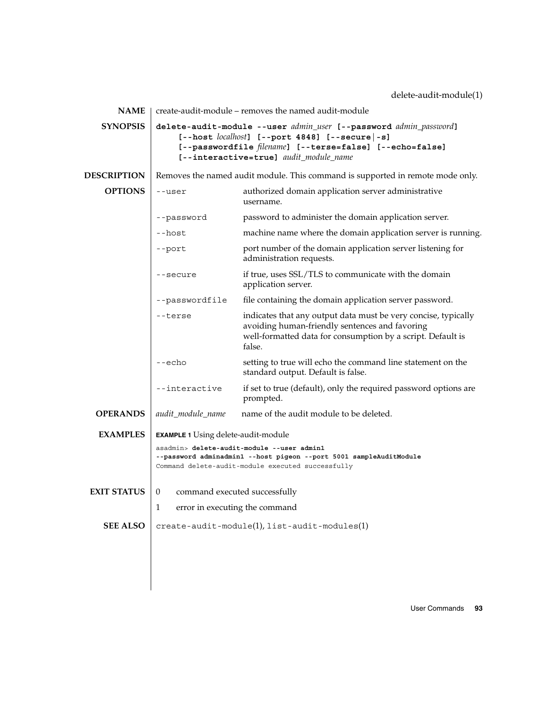delete-audit-module(1)

| <b>NAME</b>        | create-audit-module – removes the named audit-module    |                                                                                                                                                                                                                                                                    |  |
|--------------------|---------------------------------------------------------|--------------------------------------------------------------------------------------------------------------------------------------------------------------------------------------------------------------------------------------------------------------------|--|
| <b>SYNOPSIS</b>    |                                                         | delete-audit-module --user admin_user [--password admin_password]<br>$[- - \text{host localhost}]$ $[- - \text{port 4848}]$ $[- - \text{secure} - \text{s}]$<br>[--passwordfile filename] [--terse=false] [--echo=false]<br>[--interactive=true] audit_module_name |  |
| <b>DESCRIPTION</b> |                                                         | Removes the named audit module. This command is supported in remote mode only.                                                                                                                                                                                     |  |
| <b>OPTIONS</b>     | --user                                                  | authorized domain application server administrative<br>username.                                                                                                                                                                                                   |  |
|                    | --password                                              | password to administer the domain application server.                                                                                                                                                                                                              |  |
|                    | --host                                                  | machine name where the domain application server is running.                                                                                                                                                                                                       |  |
|                    | --port                                                  | port number of the domain application server listening for<br>administration requests.                                                                                                                                                                             |  |
|                    | --secure                                                | if true, uses SSL/TLS to communicate with the domain<br>application server.                                                                                                                                                                                        |  |
|                    | --passwordfile                                          | file containing the domain application server password.                                                                                                                                                                                                            |  |
|                    | --terse                                                 | indicates that any output data must be very concise, typically<br>avoiding human-friendly sentences and favoring<br>well-formatted data for consumption by a script. Default is<br>false.                                                                          |  |
|                    | --echo                                                  | setting to true will echo the command line statement on the<br>standard output. Default is false.                                                                                                                                                                  |  |
|                    | --interactive                                           | if set to true (default), only the required password options are<br>prompted.                                                                                                                                                                                      |  |
| <b>OPERANDS</b>    | audit_module_name                                       | name of the audit module to be deleted.                                                                                                                                                                                                                            |  |
| <b>EXAMPLES</b>    | <b>EXAMPLE 1 Using delete-audit-module</b>              |                                                                                                                                                                                                                                                                    |  |
|                    |                                                         | asadmin> delete-audit-module --user admin1<br>--password adminadmin1 --host pigeon --port 5001 sampleAuditModule<br>Command delete-audit-module executed successfully                                                                                              |  |
| <b>EXIT STATUS</b> | command executed successfully<br>$\theta$               |                                                                                                                                                                                                                                                                    |  |
|                    | 1<br>error in executing the command                     |                                                                                                                                                                                                                                                                    |  |
| <b>SEE ALSO</b>    | $create$ -audit-module $(1)$ , list-audit-modules $(1)$ |                                                                                                                                                                                                                                                                    |  |
|                    |                                                         |                                                                                                                                                                                                                                                                    |  |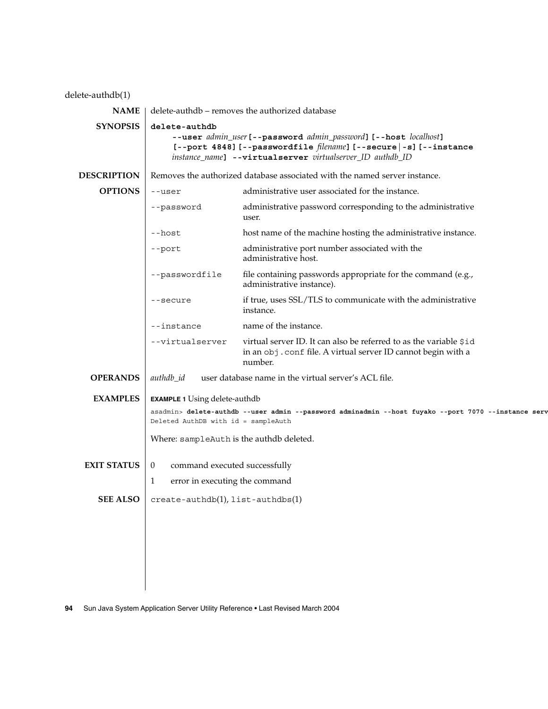delete-authdb(1)

| <b>NAME</b>        | delete-authdb – removes the authorized database |                                                                                                                                                                                                      |  |
|--------------------|-------------------------------------------------|------------------------------------------------------------------------------------------------------------------------------------------------------------------------------------------------------|--|
| <b>SYNOPSIS</b>    | delete-authdb                                   | --user admin_user [--password admin_password] [--host localhost]<br>[--port 4848] [--passwordfile filename] [--secure   -s] [--instance<br>instance_name] --virtualserver virtualserver_ID authdb_ID |  |
| <b>DESCRIPTION</b> |                                                 | Removes the authorized database associated with the named server instance.                                                                                                                           |  |
| <b>OPTIONS</b>     | --user                                          | administrative user associated for the instance.                                                                                                                                                     |  |
|                    | --password                                      | administrative password corresponding to the administrative<br>user.                                                                                                                                 |  |
|                    | --host                                          | host name of the machine hosting the administrative instance.                                                                                                                                        |  |
|                    | --port                                          | administrative port number associated with the<br>administrative host.                                                                                                                               |  |
|                    | --passwordfile                                  | file containing passwords appropriate for the command (e.g.,<br>administrative instance).                                                                                                            |  |
|                    | --secure                                        | if true, uses SSL/TLS to communicate with the administrative<br>instance.                                                                                                                            |  |
|                    | --instance                                      | name of the instance.                                                                                                                                                                                |  |
|                    | --virtualserver                                 | virtual server ID. It can also be referred to as the variable \$id<br>in an obj. conf file. A virtual server ID cannot begin with a<br>number.                                                       |  |
| <b>OPERANDS</b>    | authdb_id                                       | user database name in the virtual server's ACL file.                                                                                                                                                 |  |
| <b>EXAMPLES</b>    | <b>EXAMPLE 1 Using delete-authdb</b>            |                                                                                                                                                                                                      |  |
|                    | Deleted AuthDB with id = sampleAuth             | asadmin> delete-authdb --user admin --password adminadmin --host fuyako --port 7070 --instance serv                                                                                                  |  |
|                    | Where: sampleAuth is the authdb deleted.        |                                                                                                                                                                                                      |  |
| <b>EXIT STATUS</b> | command executed successfully<br>$\theta$       |                                                                                                                                                                                                      |  |
|                    | 1<br>error in executing the command             |                                                                                                                                                                                                      |  |
| <b>SEE ALSO</b>    | $create$ -authdb(1), list-authdbs(1)            |                                                                                                                                                                                                      |  |
|                    |                                                 |                                                                                                                                                                                                      |  |
|                    |                                                 |                                                                                                                                                                                                      |  |
|                    |                                                 |                                                                                                                                                                                                      |  |
|                    |                                                 |                                                                                                                                                                                                      |  |
|                    |                                                 |                                                                                                                                                                                                      |  |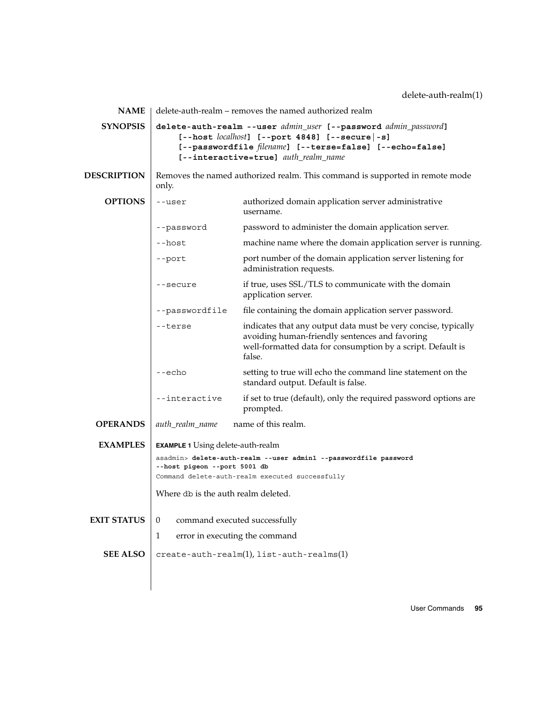delete-auth-realm(1)

| <b>NAME</b>        | delete-auth-realm – removes the named authorized realm                                                                                                                                                                                                         |                                                                                                                                                                                           |  |
|--------------------|----------------------------------------------------------------------------------------------------------------------------------------------------------------------------------------------------------------------------------------------------------------|-------------------------------------------------------------------------------------------------------------------------------------------------------------------------------------------|--|
| <b>SYNOPSIS</b>    | delete-auth-realm --user admin_user [--password admin_password]<br>$[- - \text{host localhost}]$ $[- - \text{port 4848}]$ $[- - \text{secure} - \text{s}]$<br>[--passwordfile filename] [--terse=false] [--echo=false]<br>[--interactive=true] auth_realm_name |                                                                                                                                                                                           |  |
| <b>DESCRIPTION</b> | only.                                                                                                                                                                                                                                                          | Removes the named authorized realm. This command is supported in remote mode                                                                                                              |  |
| <b>OPTIONS</b>     | --user                                                                                                                                                                                                                                                         | authorized domain application server administrative<br>username.                                                                                                                          |  |
|                    | --password                                                                                                                                                                                                                                                     | password to administer the domain application server.                                                                                                                                     |  |
|                    | --host                                                                                                                                                                                                                                                         | machine name where the domain application server is running.                                                                                                                              |  |
|                    | --port                                                                                                                                                                                                                                                         | port number of the domain application server listening for<br>administration requests.                                                                                                    |  |
|                    | --secure                                                                                                                                                                                                                                                       | if true, uses SSL/TLS to communicate with the domain<br>application server.                                                                                                               |  |
|                    | --passwordfile                                                                                                                                                                                                                                                 | file containing the domain application server password.                                                                                                                                   |  |
|                    | --terse                                                                                                                                                                                                                                                        | indicates that any output data must be very concise, typically<br>avoiding human-friendly sentences and favoring<br>well-formatted data for consumption by a script. Default is<br>false. |  |
|                    | --echo                                                                                                                                                                                                                                                         | setting to true will echo the command line statement on the<br>standard output. Default is false.                                                                                         |  |
|                    | --interactive                                                                                                                                                                                                                                                  | if set to true (default), only the required password options are<br>prompted.                                                                                                             |  |
| <b>OPERANDS</b>    | auth_realm_name                                                                                                                                                                                                                                                | name of this realm.                                                                                                                                                                       |  |
| <b>EXAMPLES</b>    | <b>EXAMPLE 1 Using delete-auth-realm</b>                                                                                                                                                                                                                       |                                                                                                                                                                                           |  |
|                    | asadmin> delete-auth-realm --user admin1 --passwordfile password                                                                                                                                                                                               |                                                                                                                                                                                           |  |
|                    | --host pigeon --port 5001 db<br>Command delete-auth-realm executed successfully                                                                                                                                                                                |                                                                                                                                                                                           |  |
|                    | Where db is the auth realm deleted.                                                                                                                                                                                                                            |                                                                                                                                                                                           |  |
| <b>EXIT STATUS</b> | $\theta$                                                                                                                                                                                                                                                       |                                                                                                                                                                                           |  |
|                    | command executed successfully<br>error in executing the command<br>$\mathbf{1}$                                                                                                                                                                                |                                                                                                                                                                                           |  |
| <b>SEE ALSO</b>    | $create$ -auth-realm $(1)$ , list-auth-realms $(1)$                                                                                                                                                                                                            |                                                                                                                                                                                           |  |
|                    |                                                                                                                                                                                                                                                                |                                                                                                                                                                                           |  |
|                    |                                                                                                                                                                                                                                                                |                                                                                                                                                                                           |  |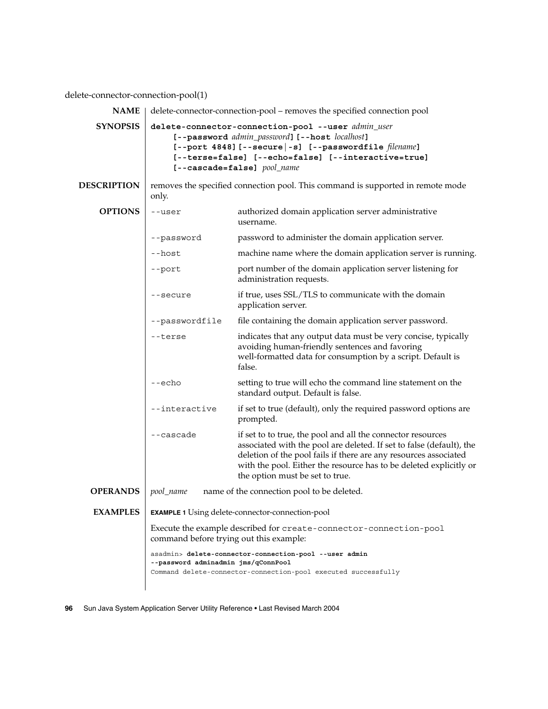delete-connector-connection-pool(1)

| <b>NAME</b>        | delete-connector-connection-pool – removes the specified connection pool                                                                                                                                                                              |                                                                                                                                                                                                                                                                                                                  |
|--------------------|-------------------------------------------------------------------------------------------------------------------------------------------------------------------------------------------------------------------------------------------------------|------------------------------------------------------------------------------------------------------------------------------------------------------------------------------------------------------------------------------------------------------------------------------------------------------------------|
| <b>SYNOPSIS</b>    | delete-connector-connection-pool --user admin_user<br>[--password admin_password] [--host localhost]<br>[--port 4848] [--secure   -s] [--passwordfile filename]<br>[--terse=false] [--echo=false] [--interactive=true]<br>[--cascade=false] pool_name |                                                                                                                                                                                                                                                                                                                  |
| <b>DESCRIPTION</b> | only.                                                                                                                                                                                                                                                 | removes the specified connection pool. This command is supported in remote mode                                                                                                                                                                                                                                  |
| <b>OPTIONS</b>     | --user                                                                                                                                                                                                                                                | authorized domain application server administrative<br>username.                                                                                                                                                                                                                                                 |
|                    | --password                                                                                                                                                                                                                                            | password to administer the domain application server.                                                                                                                                                                                                                                                            |
|                    | --host                                                                                                                                                                                                                                                | machine name where the domain application server is running.                                                                                                                                                                                                                                                     |
|                    | --port                                                                                                                                                                                                                                                | port number of the domain application server listening for<br>administration requests.                                                                                                                                                                                                                           |
|                    | --secure                                                                                                                                                                                                                                              | if true, uses SSL/TLS to communicate with the domain<br>application server.                                                                                                                                                                                                                                      |
|                    | --passwordfile                                                                                                                                                                                                                                        | file containing the domain application server password.                                                                                                                                                                                                                                                          |
|                    | --terse                                                                                                                                                                                                                                               | indicates that any output data must be very concise, typically<br>avoiding human-friendly sentences and favoring<br>well-formatted data for consumption by a script. Default is<br>false.                                                                                                                        |
|                    | --echo                                                                                                                                                                                                                                                | setting to true will echo the command line statement on the<br>standard output. Default is false.                                                                                                                                                                                                                |
|                    | --interactive                                                                                                                                                                                                                                         | if set to true (default), only the required password options are<br>prompted.                                                                                                                                                                                                                                    |
|                    | --cascade                                                                                                                                                                                                                                             | if set to to true, the pool and all the connector resources<br>associated with the pool are deleted. If set to false (default), the<br>deletion of the pool fails if there are any resources associated<br>with the pool. Either the resource has to be deleted explicitly or<br>the option must be set to true. |
| <b>OPERANDS</b>    | pool_name                                                                                                                                                                                                                                             | name of the connection pool to be deleted.                                                                                                                                                                                                                                                                       |
| <b>EXAMPLES</b>    |                                                                                                                                                                                                                                                       | <b>EXAMPLE 1</b> Using delete-connector-connection-pool                                                                                                                                                                                                                                                          |
|                    | command before trying out this example:                                                                                                                                                                                                               | Execute the example described for create-connector-connection-pool                                                                                                                                                                                                                                               |
|                    | --password adminadmin jms/qConnPool                                                                                                                                                                                                                   | asadmin> delete-connector-connection-pool --user admin<br>Command delete-connector-connection-pool executed successfully                                                                                                                                                                                         |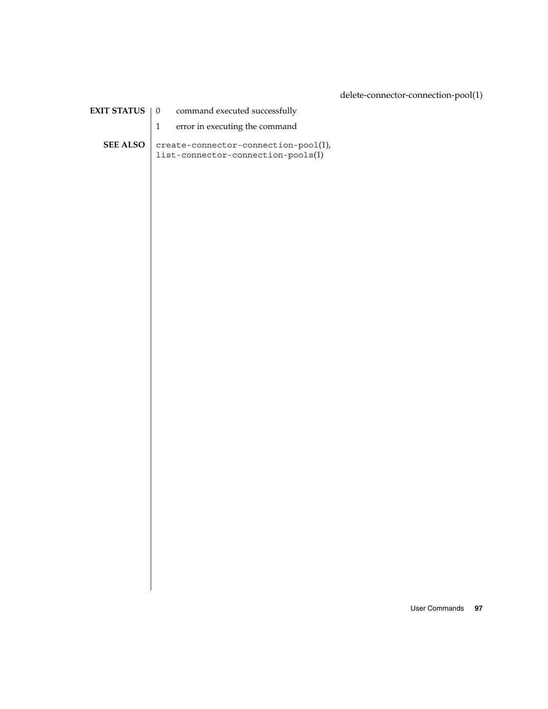delete-connector-connection-pool(1)

|                   | <b>EXIT STATUS</b> $\vert 0 \vert$ command executed successfully                 |
|-------------------|----------------------------------------------------------------------------------|
|                   | 1 error in executing the command                                                 |
| <b>SEE ALSO</b> 1 | create-connector-connection-pool(1),<br>$list$ -connector-connection-pools $(1)$ |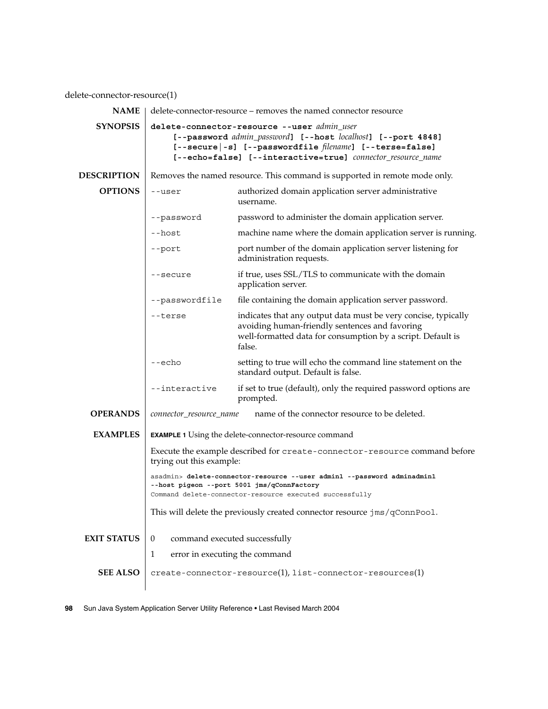delete-connector-resource(1)

| <b>NAME</b>        | delete-connector-resource – removes the named connector resource                                                                                                                                                                        |                                                                                                                                                                                           |  |
|--------------------|-----------------------------------------------------------------------------------------------------------------------------------------------------------------------------------------------------------------------------------------|-------------------------------------------------------------------------------------------------------------------------------------------------------------------------------------------|--|
| <b>SYNOPSIS</b>    | delete-connector-resource --user admin_user<br>[--password admin_password] [--host localhost] [--port 4848]<br>[--secure   -s] [--passwordfile filename] [--terse=false]<br>[--echo=false] [--interactive=true] connector_resource_name |                                                                                                                                                                                           |  |
| <b>DESCRIPTION</b> |                                                                                                                                                                                                                                         | Removes the named resource. This command is supported in remote mode only.                                                                                                                |  |
| <b>OPTIONS</b>     | --user                                                                                                                                                                                                                                  | authorized domain application server administrative<br>username.                                                                                                                          |  |
|                    | --password                                                                                                                                                                                                                              | password to administer the domain application server.                                                                                                                                     |  |
|                    | --host                                                                                                                                                                                                                                  | machine name where the domain application server is running.                                                                                                                              |  |
|                    | --port                                                                                                                                                                                                                                  | port number of the domain application server listening for<br>administration requests.                                                                                                    |  |
|                    | --secure                                                                                                                                                                                                                                | if true, uses SSL/TLS to communicate with the domain<br>application server.                                                                                                               |  |
|                    | --passwordfile                                                                                                                                                                                                                          | file containing the domain application server password.                                                                                                                                   |  |
|                    | --terse                                                                                                                                                                                                                                 | indicates that any output data must be very concise, typically<br>avoiding human-friendly sentences and favoring<br>well-formatted data for consumption by a script. Default is<br>false. |  |
|                    | --echo                                                                                                                                                                                                                                  | setting to true will echo the command line statement on the<br>standard output. Default is false.                                                                                         |  |
|                    | --interactive                                                                                                                                                                                                                           | if set to true (default), only the required password options are<br>prompted.                                                                                                             |  |
| <b>OPERANDS</b>    | connector_resource_name                                                                                                                                                                                                                 | name of the connector resource to be deleted.                                                                                                                                             |  |
| <b>EXAMPLES</b>    | <b>EXAMPLE 1</b> Using the delete-connector-resource command<br>Execute the example described for create-connector-resource command before<br>trying out this example:                                                                  |                                                                                                                                                                                           |  |
|                    |                                                                                                                                                                                                                                         |                                                                                                                                                                                           |  |
|                    |                                                                                                                                                                                                                                         | asadmin> delete-connector-resource --user admin1 --password adminadmin1<br>--host pigeon --port 5001 jms/qConnFactory<br>Command delete-connector-resource executed successfully          |  |
|                    |                                                                                                                                                                                                                                         | This will delete the previously created connector resource jms/qConnPool.                                                                                                                 |  |
| <b>EXIT STATUS</b> | command executed successfully<br>$\mathbf{0}$                                                                                                                                                                                           |                                                                                                                                                                                           |  |
|                    | error in executing the command<br>$\mathbf{1}$                                                                                                                                                                                          |                                                                                                                                                                                           |  |
| <b>SEE ALSO</b>    |                                                                                                                                                                                                                                         | $create-convector-resource(1), list-convector-resource(1)$                                                                                                                                |  |
|                    |                                                                                                                                                                                                                                         |                                                                                                                                                                                           |  |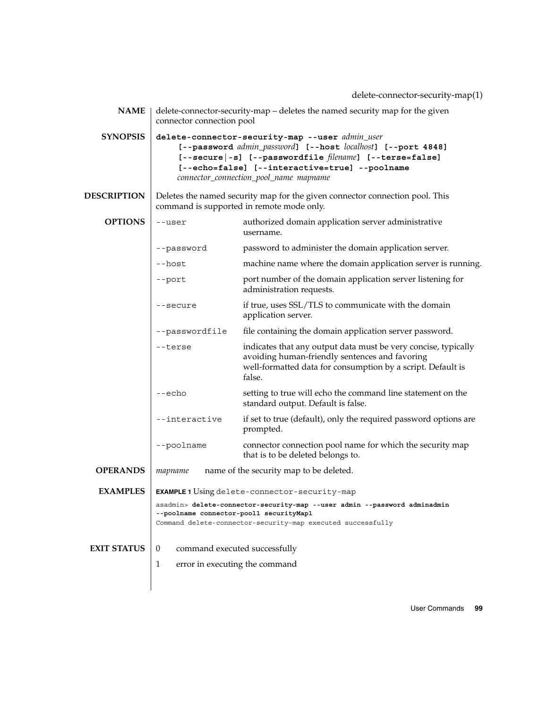| <b>NAME</b>        | delete-connector-security-map – deletes the named security map for the given<br>connector connection pool |                                                                                                                                                                                                                                                                          |
|--------------------|-----------------------------------------------------------------------------------------------------------|--------------------------------------------------------------------------------------------------------------------------------------------------------------------------------------------------------------------------------------------------------------------------|
| <b>SYNOPSIS</b>    |                                                                                                           | delete-connector-security-map --user admin_user<br>[--password admin_password] [--host localhost] [--port 4848]<br>[--secure   -s] [--passwordfile filename] [--terse=false]<br>[--echo=false] [--interactive=true] --poolname<br>connector_connection_pool_name_mapname |
| <b>DESCRIPTION</b> |                                                                                                           | Deletes the named security map for the given connector connection pool. This<br>command is supported in remote mode only.                                                                                                                                                |
| <b>OPTIONS</b>     | --user                                                                                                    | authorized domain application server administrative<br>username.                                                                                                                                                                                                         |
|                    | --password                                                                                                | password to administer the domain application server.                                                                                                                                                                                                                    |
|                    | --host                                                                                                    | machine name where the domain application server is running.                                                                                                                                                                                                             |
|                    | --port                                                                                                    | port number of the domain application server listening for<br>administration requests.                                                                                                                                                                                   |
|                    | --secure                                                                                                  | if true, uses SSL/TLS to communicate with the domain<br>application server.                                                                                                                                                                                              |
|                    | --passwordfile                                                                                            | file containing the domain application server password.                                                                                                                                                                                                                  |
|                    | --terse                                                                                                   | indicates that any output data must be very concise, typically<br>avoiding human-friendly sentences and favoring<br>well-formatted data for consumption by a script. Default is<br>false.                                                                                |
|                    | --echo                                                                                                    | setting to true will echo the command line statement on the<br>standard output. Default is false.                                                                                                                                                                        |
|                    | --interactive                                                                                             | if set to true (default), only the required password options are<br>prompted.                                                                                                                                                                                            |
|                    | --poolname                                                                                                | connector connection pool name for which the security map<br>that is to be deleted belongs to.                                                                                                                                                                           |
| <b>OPERANDS</b>    | mapname                                                                                                   | name of the security map to be deleted.                                                                                                                                                                                                                                  |
| <b>EXAMPLES</b>    |                                                                                                           | <b>EXAMPLE 1 Using delete-connector-security-map</b>                                                                                                                                                                                                                     |
|                    | --poolname connector-pool1 securityMap1                                                                   | asadmin> delete-connector-security-map --user admin --password adminadmin<br>Command delete-connector-security-map executed successfully                                                                                                                                 |
| <b>EXIT STATUS</b> | command executed successfully<br>$\theta$                                                                 |                                                                                                                                                                                                                                                                          |
|                    | $\mathbf{1}$<br>error in executing the command                                                            |                                                                                                                                                                                                                                                                          |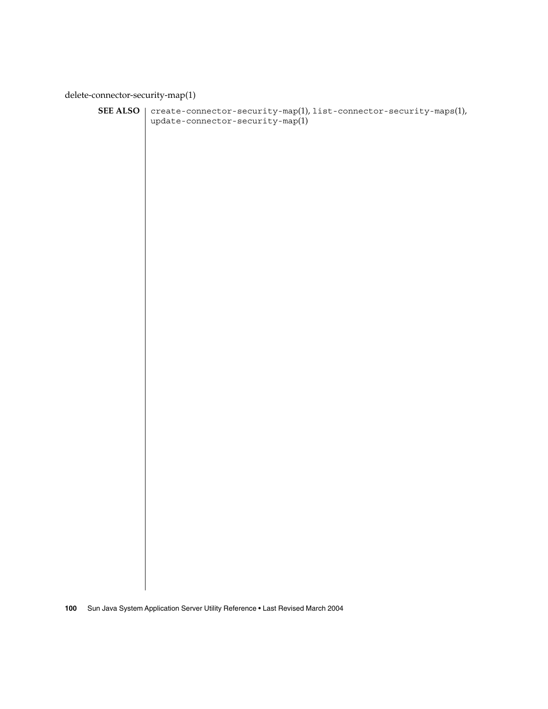delete-connector-security-map(1)

| SEE ALSO   create-connector-security-map(1), list-connector-security-maps(1), |
|-------------------------------------------------------------------------------|
| update-connector-security-map(1)                                              |
|                                                                               |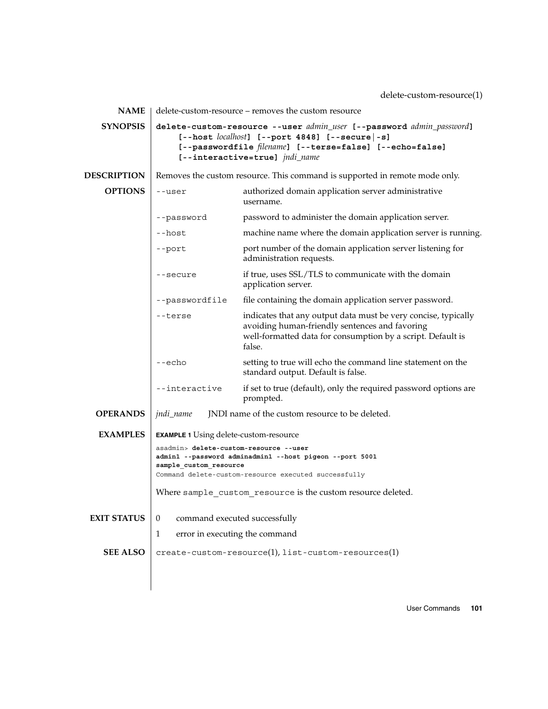delete-custom-resource(1)

| <b>NAME</b>        | delete-custom-resource – removes the custom resource                                                                                                                                                                                                            |                                                                                                                                                                                           |  |
|--------------------|-----------------------------------------------------------------------------------------------------------------------------------------------------------------------------------------------------------------------------------------------------------------|-------------------------------------------------------------------------------------------------------------------------------------------------------------------------------------------|--|
| <b>SYNOPSIS</b>    | delete-custom-resource --user admin_user [--password admin_password]<br>$[- - \text{host localhost}]$ $[- - \text{port 4848}]$ $[- - \text{secure}   - \text{s}]$<br>[--passwordfile filename] [--terse=false] [--echo=false]<br>[--interactive=true] jndi_name |                                                                                                                                                                                           |  |
| <b>DESCRIPTION</b> |                                                                                                                                                                                                                                                                 | Removes the custom resource. This command is supported in remote mode only.                                                                                                               |  |
| <b>OPTIONS</b>     | --user                                                                                                                                                                                                                                                          | authorized domain application server administrative<br>username.                                                                                                                          |  |
|                    | --password                                                                                                                                                                                                                                                      | password to administer the domain application server.                                                                                                                                     |  |
|                    | --host                                                                                                                                                                                                                                                          | machine name where the domain application server is running.                                                                                                                              |  |
|                    | --port                                                                                                                                                                                                                                                          | port number of the domain application server listening for<br>administration requests.                                                                                                    |  |
|                    | --secure                                                                                                                                                                                                                                                        | if true, uses SSL/TLS to communicate with the domain<br>application server.                                                                                                               |  |
|                    | --passwordfile                                                                                                                                                                                                                                                  | file containing the domain application server password.                                                                                                                                   |  |
|                    | --terse                                                                                                                                                                                                                                                         | indicates that any output data must be very concise, typically<br>avoiding human-friendly sentences and favoring<br>well-formatted data for consumption by a script. Default is<br>false. |  |
|                    | --echo                                                                                                                                                                                                                                                          | setting to true will echo the command line statement on the<br>standard output. Default is false.                                                                                         |  |
|                    | --interactive                                                                                                                                                                                                                                                   | if set to true (default), only the required password options are<br>prompted.                                                                                                             |  |
| <b>OPERANDS</b>    | jndi_name                                                                                                                                                                                                                                                       | JNDI name of the custom resource to be deleted.                                                                                                                                           |  |
| <b>EXAMPLES</b>    | <b>EXAMPLE 1 Using delete-custom-resource</b>                                                                                                                                                                                                                   |                                                                                                                                                                                           |  |
|                    | asadmin> delete-custom-resource --user<br>sample custom resource                                                                                                                                                                                                | admin1 --password adminadmin1 --host pigeon --port 5001<br>Command delete-custom-resource executed successfully<br>Where sample custom resource is the custom resource deleted.           |  |
| <b>EXIT STATUS</b> | command executed successfully<br>$\theta$                                                                                                                                                                                                                       |                                                                                                                                                                                           |  |
|                    | error in executing the command<br>1                                                                                                                                                                                                                             |                                                                                                                                                                                           |  |
| <b>SEE ALSO</b>    |                                                                                                                                                                                                                                                                 | $create-custom-resource(1), list-custom-resources(1)$                                                                                                                                     |  |
|                    |                                                                                                                                                                                                                                                                 |                                                                                                                                                                                           |  |

User Commands **101**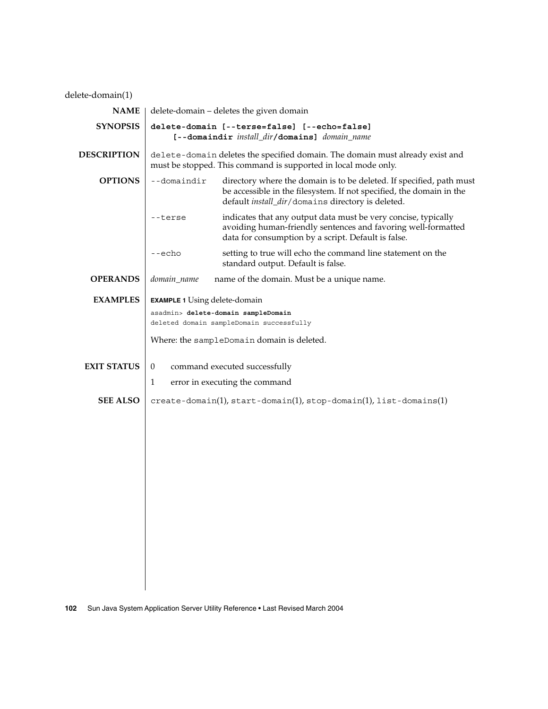delete-domain(1)

| <b>NAME</b>        | delete-domain - deletes the given domain                                                      |                                                                                                                                                                                                   |
|--------------------|-----------------------------------------------------------------------------------------------|---------------------------------------------------------------------------------------------------------------------------------------------------------------------------------------------------|
| <b>SYNOPSIS</b>    | delete-domain [--terse=false] [--echo=false]<br>[--domaindir install_dir/domains] domain_name |                                                                                                                                                                                                   |
| <b>DESCRIPTION</b> |                                                                                               | delete-domain deletes the specified domain. The domain must already exist and<br>must be stopped. This command is supported in local mode only.                                                   |
| <b>OPTIONS</b>     | --domaindir                                                                                   | directory where the domain is to be deleted. If specified, path must<br>be accessible in the filesystem. If not specified, the domain in the<br>default install_dir/domains directory is deleted. |
|                    | --terse                                                                                       | indicates that any output data must be very concise, typically<br>avoiding human-friendly sentences and favoring well-formatted<br>data for consumption by a script. Default is false.            |
|                    | --echo                                                                                        | setting to true will echo the command line statement on the<br>standard output. Default is false.                                                                                                 |
| <b>OPERANDS</b>    | domain_name                                                                                   | name of the domain. Must be a unique name.                                                                                                                                                        |
| <b>EXAMPLES</b>    | <b>EXAMPLE 1 Using delete-domain</b>                                                          |                                                                                                                                                                                                   |
|                    | asadmin> delete-domain sampleDomain                                                           | deleted domain sampleDomain successfully                                                                                                                                                          |
|                    |                                                                                               | Where: the sampleDomain domain is deleted.                                                                                                                                                        |
| <b>EXIT STATUS</b> | 0                                                                                             | command executed successfully                                                                                                                                                                     |
|                    | 1                                                                                             | error in executing the command                                                                                                                                                                    |
| <b>SEE ALSO</b>    |                                                                                               | $create-domain(1), start-domain(1), start-domain(1), stop-domain(1), list-domain(1)$                                                                                                              |
|                    |                                                                                               |                                                                                                                                                                                                   |
|                    |                                                                                               |                                                                                                                                                                                                   |
|                    |                                                                                               |                                                                                                                                                                                                   |
|                    |                                                                                               |                                                                                                                                                                                                   |
|                    |                                                                                               |                                                                                                                                                                                                   |
|                    |                                                                                               |                                                                                                                                                                                                   |
|                    |                                                                                               |                                                                                                                                                                                                   |
|                    |                                                                                               |                                                                                                                                                                                                   |
|                    |                                                                                               |                                                                                                                                                                                                   |
|                    |                                                                                               |                                                                                                                                                                                                   |
|                    |                                                                                               |                                                                                                                                                                                                   |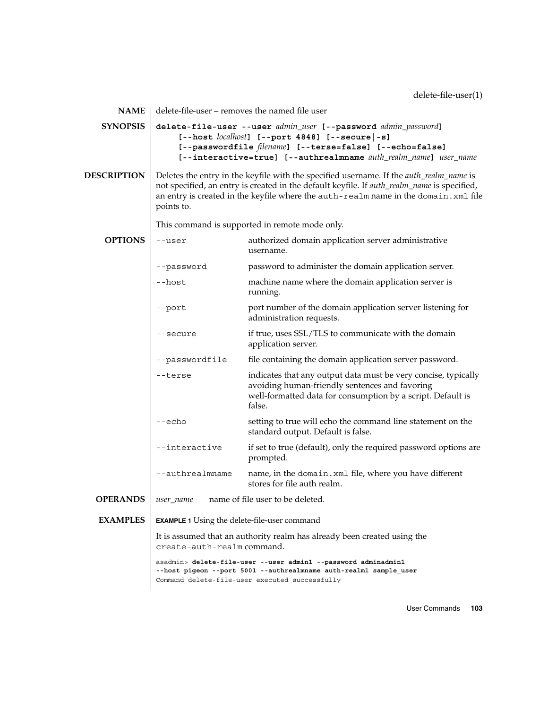delete-file-user(1)

| <b>NAME</b>        | delete-file-user – removes the named file user                                                                                                                                                                                                                                                             |                                                                                                                                                                                           |  |
|--------------------|------------------------------------------------------------------------------------------------------------------------------------------------------------------------------------------------------------------------------------------------------------------------------------------------------------|-------------------------------------------------------------------------------------------------------------------------------------------------------------------------------------------|--|
| <b>SYNOPSIS</b>    | delete-file-user --user admin_user [--password admin_password]<br>$[- - \text{host localhost}]$ $[- - \text{port 4848}]$ $[- - \text{secure} - \text{s}]$<br>[--passwordfile filename] [--terse=false] [--echo=false]<br>[--interactive=true] [--authrealmname auth_realm_name] user_name                  |                                                                                                                                                                                           |  |
| <b>DESCRIPTION</b> | Deletes the entry in the keyfile with the specified username. If the <i>auth_realm_name</i> is<br>not specified, an entry is created in the default keyfile. If <i>auth_realm_name</i> is specified,<br>an entry is created in the keyfile where the auth-realm name in the domain. xml file<br>points to. |                                                                                                                                                                                           |  |
|                    |                                                                                                                                                                                                                                                                                                            | This command is supported in remote mode only.                                                                                                                                            |  |
| <b>OPTIONS</b>     | --user                                                                                                                                                                                                                                                                                                     | authorized domain application server administrative<br>username.                                                                                                                          |  |
|                    | --password                                                                                                                                                                                                                                                                                                 | password to administer the domain application server.                                                                                                                                     |  |
|                    | --host                                                                                                                                                                                                                                                                                                     | machine name where the domain application server is<br>running.                                                                                                                           |  |
|                    | --port                                                                                                                                                                                                                                                                                                     | port number of the domain application server listening for<br>administration requests.                                                                                                    |  |
|                    | --secure                                                                                                                                                                                                                                                                                                   | if true, uses SSL/TLS to communicate with the domain<br>application server.                                                                                                               |  |
|                    | --passwordfile                                                                                                                                                                                                                                                                                             | file containing the domain application server password.                                                                                                                                   |  |
|                    | --terse                                                                                                                                                                                                                                                                                                    | indicates that any output data must be very concise, typically<br>avoiding human-friendly sentences and favoring<br>well-formatted data for consumption by a script. Default is<br>false. |  |
|                    | --echo                                                                                                                                                                                                                                                                                                     | setting to true will echo the command line statement on the<br>standard output. Default is false.                                                                                         |  |
|                    | --interactive                                                                                                                                                                                                                                                                                              | if set to true (default), only the required password options are<br>prompted.                                                                                                             |  |
|                    | --authrealmname                                                                                                                                                                                                                                                                                            | name, in the domain. xml file, where you have different<br>stores for file auth realm.                                                                                                    |  |
| <b>OPERANDS</b>    | user_name                                                                                                                                                                                                                                                                                                  | name of file user to be deleted.                                                                                                                                                          |  |
| <b>EXAMPLES</b>    | <b>EXAMPLE 1</b> Using the delete-file-user command                                                                                                                                                                                                                                                        |                                                                                                                                                                                           |  |
|                    | It is assumed that an authority realm has already been created using the<br>create-auth-realm command.                                                                                                                                                                                                     |                                                                                                                                                                                           |  |
|                    | asadmin> delete-file-user --user admin1 --password adminadmin1<br>--host pigeon --port 5001 --authrealmname auth-realm1 sample user<br>Command delete-file-user executed successfully                                                                                                                      |                                                                                                                                                                                           |  |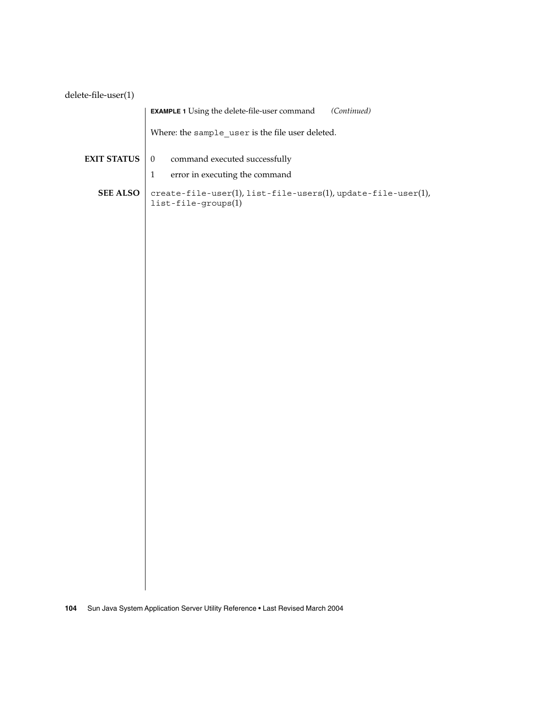| delete-file-user(1) |                                                                                                                                  |
|---------------------|----------------------------------------------------------------------------------------------------------------------------------|
|                     | (Continued)<br><b>EXAMPLE 1</b> Using the delete-file-user command                                                               |
|                     | Where: the sample_user is the file user deleted.                                                                                 |
| <b>EXIT STATUS</b>  | command executed successfully<br>$\boldsymbol{0}$<br>error in executing the command<br>$1\,$                                     |
| <b>SEE ALSO</b>     | $create\text{-}file\text{-}user(1), list\text{-}file\text{-}users(1), update\text{-}file\text{-}user(1),$<br>list-file-groups(1) |
|                     |                                                                                                                                  |
|                     |                                                                                                                                  |
|                     |                                                                                                                                  |
|                     |                                                                                                                                  |
|                     |                                                                                                                                  |
|                     |                                                                                                                                  |
|                     |                                                                                                                                  |
|                     |                                                                                                                                  |
|                     |                                                                                                                                  |
|                     |                                                                                                                                  |
|                     |                                                                                                                                  |
|                     |                                                                                                                                  |
|                     |                                                                                                                                  |
|                     |                                                                                                                                  |
|                     |                                                                                                                                  |
|                     |                                                                                                                                  |
|                     |                                                                                                                                  |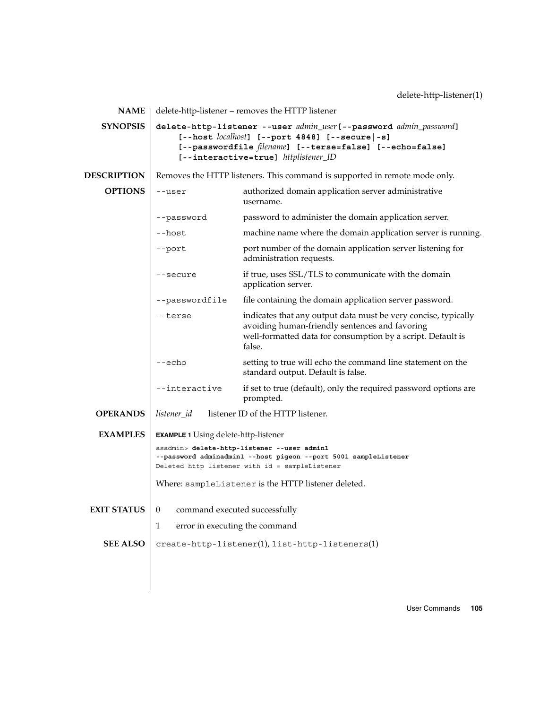| <b>NAME</b>        | delete-http-listener – removes the HTTP listener                                                                                                                                                                                                                    |                                                                                                                                                                                           |  |
|--------------------|---------------------------------------------------------------------------------------------------------------------------------------------------------------------------------------------------------------------------------------------------------------------|-------------------------------------------------------------------------------------------------------------------------------------------------------------------------------------------|--|
| <b>SYNOPSIS</b>    | delete-http-listener --user admin_user [--password admin_password]<br>$[- - \text{host localhost}]$ $[- - \text{port 4848}]$ $[- - \text{secure}   - \text{s}]$<br>[--passwordfile filename] [--terse=false] [--echo=false]<br>[--interactive=true] httplistener_ID |                                                                                                                                                                                           |  |
| <b>DESCRIPTION</b> |                                                                                                                                                                                                                                                                     | Removes the HTTP listeners. This command is supported in remote mode only.                                                                                                                |  |
| <b>OPTIONS</b>     | --user                                                                                                                                                                                                                                                              | authorized domain application server administrative<br>username.                                                                                                                          |  |
|                    | --password                                                                                                                                                                                                                                                          | password to administer the domain application server.                                                                                                                                     |  |
|                    | --host                                                                                                                                                                                                                                                              | machine name where the domain application server is running.                                                                                                                              |  |
|                    | --port                                                                                                                                                                                                                                                              | port number of the domain application server listening for<br>administration requests.                                                                                                    |  |
|                    | --secure                                                                                                                                                                                                                                                            | if true, uses SSL/TLS to communicate with the domain<br>application server.                                                                                                               |  |
|                    | --passwordfile                                                                                                                                                                                                                                                      | file containing the domain application server password.                                                                                                                                   |  |
|                    | --terse                                                                                                                                                                                                                                                             | indicates that any output data must be very concise, typically<br>avoiding human-friendly sentences and favoring<br>well-formatted data for consumption by a script. Default is<br>false. |  |
|                    | --echo                                                                                                                                                                                                                                                              | setting to true will echo the command line statement on the<br>standard output. Default is false.                                                                                         |  |
|                    | --interactive                                                                                                                                                                                                                                                       | if set to true (default), only the required password options are<br>prompted.                                                                                                             |  |
| <b>OPERANDS</b>    | listener_id                                                                                                                                                                                                                                                         | listener ID of the HTTP listener.                                                                                                                                                         |  |
| <b>EXAMPLES</b>    | <b>EXAMPLE 1 Using delete-http-listener</b>                                                                                                                                                                                                                         |                                                                                                                                                                                           |  |
|                    | asadmin> delete-http-listener --user admin1<br>--password adminadmin1 --host pigeon --port 5001 sampleListener<br>Deleted http listener with id = sampleListener<br>Where: sampleListener is the HTTP listener deleted.                                             |                                                                                                                                                                                           |  |
| <b>EXIT STATUS</b> | command executed successfully<br>$\mathbf{0}$                                                                                                                                                                                                                       |                                                                                                                                                                                           |  |
|                    | error in executing the command<br>$\mathbf{1}$                                                                                                                                                                                                                      |                                                                                                                                                                                           |  |
| <b>SEE ALSO</b>    |                                                                                                                                                                                                                                                                     | $create-http-listener(1), list-http-listener(1)$                                                                                                                                          |  |
|                    |                                                                                                                                                                                                                                                                     |                                                                                                                                                                                           |  |

User Commands **105**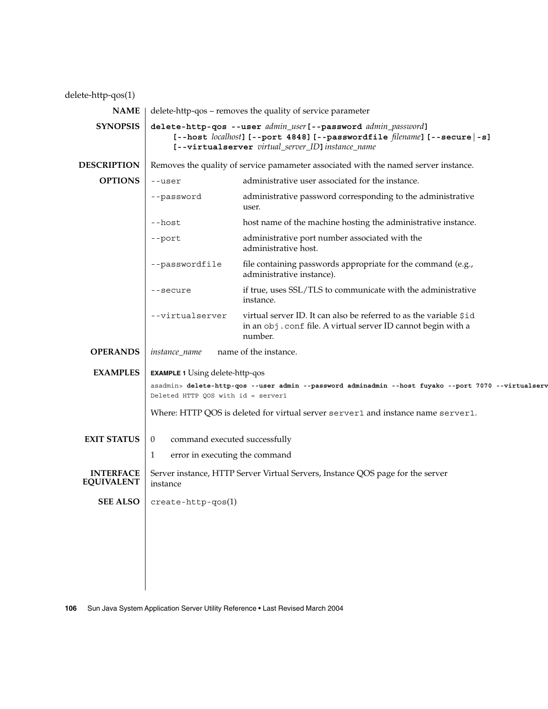| delete-http-qos(1)                    |                                                                                                                                                                                                 |                                                                                                                                                |
|---------------------------------------|-------------------------------------------------------------------------------------------------------------------------------------------------------------------------------------------------|------------------------------------------------------------------------------------------------------------------------------------------------|
| <b>NAME</b>                           |                                                                                                                                                                                                 | delete-http-qos – removes the quality of service parameter                                                                                     |
| <b>SYNOPSIS</b>                       | delete-http-qos --user admin_user [--password admin_password]<br>[--host localhost] [--port 4848] [--passwordfile filename] [--secure  -s]<br>[--virtualserver virtual_server_ID] instance_name |                                                                                                                                                |
| <b>DESCRIPTION</b>                    |                                                                                                                                                                                                 | Removes the quality of service pamameter associated with the named server instance.                                                            |
| <b>OPTIONS</b>                        | $--user$                                                                                                                                                                                        | administrative user associated for the instance.                                                                                               |
|                                       | --password                                                                                                                                                                                      | administrative password corresponding to the administrative<br>user.                                                                           |
|                                       | --host                                                                                                                                                                                          | host name of the machine hosting the administrative instance.                                                                                  |
|                                       | --port                                                                                                                                                                                          | administrative port number associated with the<br>administrative host.                                                                         |
|                                       | --passwordfile                                                                                                                                                                                  | file containing passwords appropriate for the command (e.g.,<br>administrative instance).                                                      |
|                                       | --secure                                                                                                                                                                                        | if true, uses SSL/TLS to communicate with the administrative<br>instance.                                                                      |
|                                       | --virtualserver                                                                                                                                                                                 | virtual server ID. It can also be referred to as the variable \$id<br>in an obj. conf file. A virtual server ID cannot begin with a<br>number. |
| <b>OPERANDS</b>                       | instance_name                                                                                                                                                                                   | name of the instance.                                                                                                                          |
| <b>EXAMPLES</b>                       | <b>EXAMPLE 1 Using delete-http-qos</b>                                                                                                                                                          |                                                                                                                                                |
|                                       | Deleted HTTP QOS with id = server1                                                                                                                                                              | asadmin> delete-http-qos --user admin --password adminadmin --host fuyako --port 7070 --virtualserv                                            |
|                                       |                                                                                                                                                                                                 | Where: HTTP QOS is deleted for virtual server server1 and instance name server1.                                                               |
| <b>EXIT STATUS</b>                    | $\overline{0}$<br>command executed successfully                                                                                                                                                 |                                                                                                                                                |
|                                       | 1<br>error in executing the command                                                                                                                                                             |                                                                                                                                                |
| <b>INTERFACE</b><br><b>EQUIVALENT</b> | instance                                                                                                                                                                                        | Server instance, HTTP Server Virtual Servers, Instance QOS page for the server                                                                 |
| <b>SEE ALSO</b>                       | $create-http-qos(1)$                                                                                                                                                                            |                                                                                                                                                |
|                                       |                                                                                                                                                                                                 |                                                                                                                                                |
|                                       |                                                                                                                                                                                                 |                                                                                                                                                |
|                                       |                                                                                                                                                                                                 |                                                                                                                                                |
|                                       |                                                                                                                                                                                                 |                                                                                                                                                |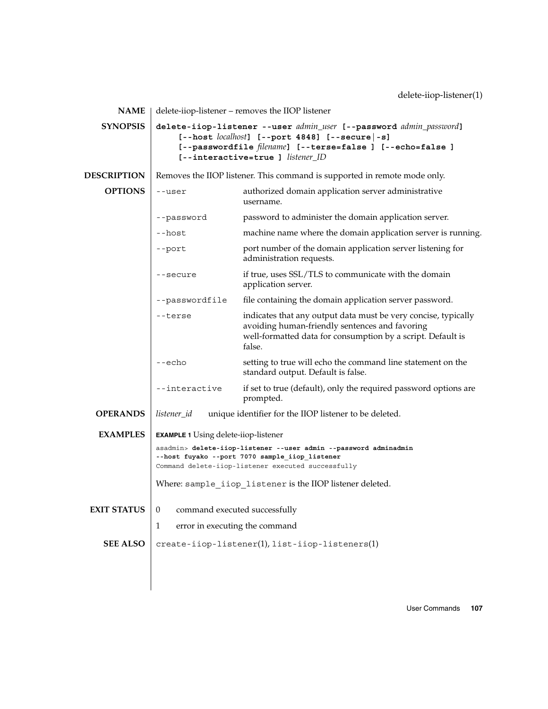| <b>NAME</b>        | delete-iiop-listener – removes the IIOP listener                                                                                                                                                                                                                 |                                                                                                                                                                                                                                       |
|--------------------|------------------------------------------------------------------------------------------------------------------------------------------------------------------------------------------------------------------------------------------------------------------|---------------------------------------------------------------------------------------------------------------------------------------------------------------------------------------------------------------------------------------|
| <b>SYNOPSIS</b>    | delete-iiop-listener --user admin_user [--password admin_password]<br>$[- - \text{host localhost}]$ $[- - \text{port 4848}]$ $[- - \text{secure} - \text{s}]$<br>[--passwordfile filename] [--terse=false ] [--echo=false ]<br>[--interactive=true ] listener_ID |                                                                                                                                                                                                                                       |
| <b>DESCRIPTION</b> |                                                                                                                                                                                                                                                                  | Removes the IIOP listener. This command is supported in remote mode only.                                                                                                                                                             |
| <b>OPTIONS</b>     | --user                                                                                                                                                                                                                                                           | authorized domain application server administrative<br>username.                                                                                                                                                                      |
|                    | --password                                                                                                                                                                                                                                                       | password to administer the domain application server.                                                                                                                                                                                 |
|                    | --host                                                                                                                                                                                                                                                           | machine name where the domain application server is running.                                                                                                                                                                          |
|                    | --port                                                                                                                                                                                                                                                           | port number of the domain application server listening for<br>administration requests.                                                                                                                                                |
|                    | --secure                                                                                                                                                                                                                                                         | if true, uses SSL/TLS to communicate with the domain<br>application server.                                                                                                                                                           |
|                    | --passwordfile                                                                                                                                                                                                                                                   | file containing the domain application server password.                                                                                                                                                                               |
|                    | --terse                                                                                                                                                                                                                                                          | indicates that any output data must be very concise, typically<br>avoiding human-friendly sentences and favoring<br>well-formatted data for consumption by a script. Default is<br>false.                                             |
|                    | --echo                                                                                                                                                                                                                                                           | setting to true will echo the command line statement on the<br>standard output. Default is false.                                                                                                                                     |
|                    | --interactive                                                                                                                                                                                                                                                    | if set to true (default), only the required password options are<br>prompted.                                                                                                                                                         |
| <b>OPERANDS</b>    | listener_id                                                                                                                                                                                                                                                      | unique identifier for the IIOP listener to be deleted.                                                                                                                                                                                |
| <b>EXAMPLES</b>    | <b>EXAMPLE 1 Using delete-iiop-listener</b>                                                                                                                                                                                                                      |                                                                                                                                                                                                                                       |
|                    |                                                                                                                                                                                                                                                                  | asadmin> delete-iiop-listener --user admin --password adminadmin<br>--host fuyako --port 7070 sample iiop listener<br>Command delete-iiop-listener executed successfully<br>Where: sample iiop listener is the IIOP listener deleted. |
| <b>EXIT STATUS</b> | command executed successfully<br>$\theta$                                                                                                                                                                                                                        |                                                                                                                                                                                                                                       |
|                    | error in executing the command<br>$\mathbf{1}$                                                                                                                                                                                                                   |                                                                                                                                                                                                                                       |
| <b>SEE ALSO</b>    |                                                                                                                                                                                                                                                                  | $create\text{-}i\text{-}i\text{-}listener(1), list\text{-}i\text{-}ip\text{-}listeners(1)$                                                                                                                                            |
|                    |                                                                                                                                                                                                                                                                  |                                                                                                                                                                                                                                       |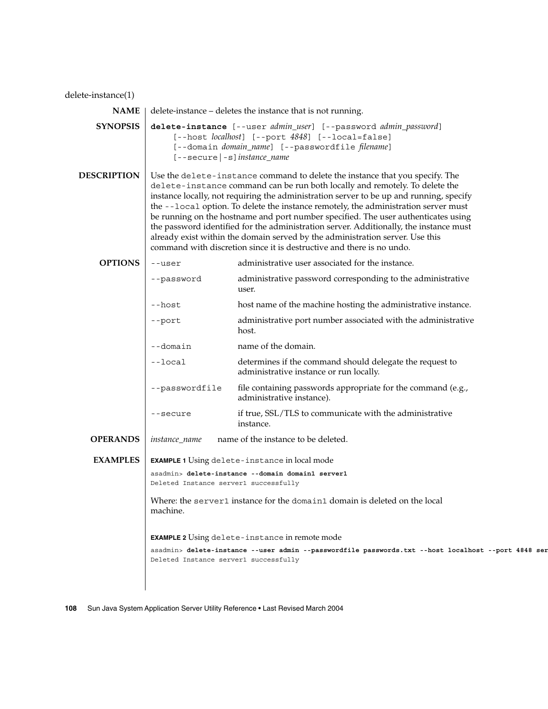delete-instance(1)

| <b>NAME</b>        | delete-instance – deletes the instance that is not running.                                                                                                                                                                                                                                                                                                                                                                                                                                                                                                                                                                                                                             |                                                                                                     |
|--------------------|-----------------------------------------------------------------------------------------------------------------------------------------------------------------------------------------------------------------------------------------------------------------------------------------------------------------------------------------------------------------------------------------------------------------------------------------------------------------------------------------------------------------------------------------------------------------------------------------------------------------------------------------------------------------------------------------|-----------------------------------------------------------------------------------------------------|
| <b>SYNOPSIS</b>    | delete-instance [--user admin_user] [--password admin_password]<br>[--host localhost] [--port 4848] [--local=false]<br>[--domain domain_name] [--passwordfile filename]<br>$[--{\tt secure}]-{\tt s}]$ instance_name                                                                                                                                                                                                                                                                                                                                                                                                                                                                    |                                                                                                     |
| <b>DESCRIPTION</b> | Use the delete-instance command to delete the instance that you specify. The<br>delete-instance command can be run both locally and remotely. To delete the<br>instance locally, not requiring the administration server to be up and running, specify<br>the --local option. To delete the instance remotely, the administration server must<br>be running on the hostname and port number specified. The user authenticates using<br>the password identified for the administration server. Additionally, the instance must<br>already exist within the domain served by the administration server. Use this<br>command with discretion since it is destructive and there is no undo. |                                                                                                     |
| <b>OPTIONS</b>     | --user                                                                                                                                                                                                                                                                                                                                                                                                                                                                                                                                                                                                                                                                                  | administrative user associated for the instance.                                                    |
|                    | --password                                                                                                                                                                                                                                                                                                                                                                                                                                                                                                                                                                                                                                                                              | administrative password corresponding to the administrative<br>user.                                |
|                    | --host                                                                                                                                                                                                                                                                                                                                                                                                                                                                                                                                                                                                                                                                                  | host name of the machine hosting the administrative instance.                                       |
|                    | --port                                                                                                                                                                                                                                                                                                                                                                                                                                                                                                                                                                                                                                                                                  | administrative port number associated with the administrative<br>host.                              |
|                    | --domain                                                                                                                                                                                                                                                                                                                                                                                                                                                                                                                                                                                                                                                                                | name of the domain.                                                                                 |
|                    | --local                                                                                                                                                                                                                                                                                                                                                                                                                                                                                                                                                                                                                                                                                 | determines if the command should delegate the request to<br>administrative instance or run locally. |
|                    | --passwordfile                                                                                                                                                                                                                                                                                                                                                                                                                                                                                                                                                                                                                                                                          | file containing passwords appropriate for the command (e.g.,<br>administrative instance).           |
|                    | --secure                                                                                                                                                                                                                                                                                                                                                                                                                                                                                                                                                                                                                                                                                | if true, SSL/TLS to communicate with the administrative<br>instance.                                |
| <b>OPERANDS</b>    | name of the instance to be deleted.<br><i>instance_name</i>                                                                                                                                                                                                                                                                                                                                                                                                                                                                                                                                                                                                                             |                                                                                                     |
| <b>EXAMPLES</b>    | <b>EXAMPLE 1</b> Using delete-instance in local mode                                                                                                                                                                                                                                                                                                                                                                                                                                                                                                                                                                                                                                    |                                                                                                     |
|                    | asadmin> delete-instance --domain domain1 server1<br>Deleted Instance server1 successfully                                                                                                                                                                                                                                                                                                                                                                                                                                                                                                                                                                                              |                                                                                                     |
|                    | Where: the server1 instance for the domain1 domain is deleted on the local<br>machine.                                                                                                                                                                                                                                                                                                                                                                                                                                                                                                                                                                                                  |                                                                                                     |
|                    | <b>EXAMPLE 2</b> Using delete-instance in remote mode                                                                                                                                                                                                                                                                                                                                                                                                                                                                                                                                                                                                                                   |                                                                                                     |
|                    | asadmin> delete-instance --user admin --passwordfile passwords.txt --host localhost --port 4848 ser<br>Deleted Instance server1 successfully                                                                                                                                                                                                                                                                                                                                                                                                                                                                                                                                            |                                                                                                     |
|                    |                                                                                                                                                                                                                                                                                                                                                                                                                                                                                                                                                                                                                                                                                         |                                                                                                     |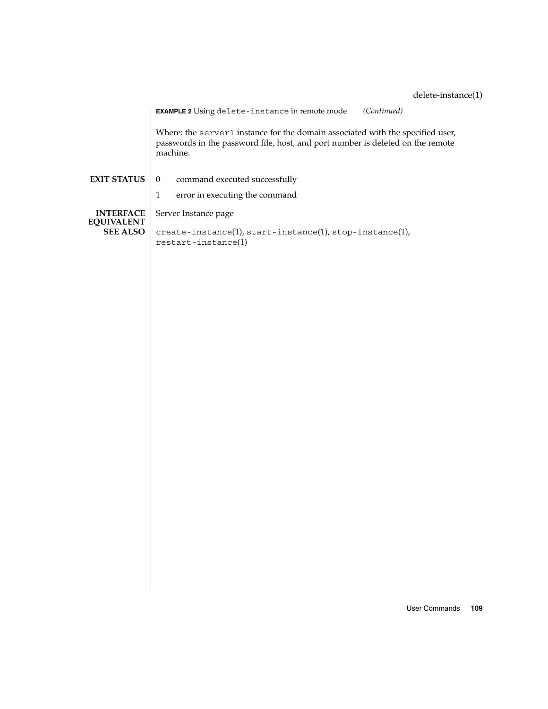#### delete-instance(1)

|                                       | (Continued)<br><b>EXAMPLE 2</b> Using delete-instance in remote mode                                                                                                         |
|---------------------------------------|------------------------------------------------------------------------------------------------------------------------------------------------------------------------------|
|                                       | Where: the server1 instance for the domain associated with the specified user,<br>passwords in the password file, host, and port number is deleted on the remote<br>machine. |
| <b>EXIT STATUS</b>                    | command executed successfully<br>$\boldsymbol{0}$                                                                                                                            |
|                                       | $\mathbf{1}$<br>error in executing the command                                                                                                                               |
| <b>INTERFACE</b><br><b>EQUIVALENT</b> | Server Instance page                                                                                                                                                         |
| <b>SEE ALSO</b>                       | $create{\text -}instance(1)$ , $start{\text -}instance(1)$ , $stop{\text -}instance(1)$ ,<br>$restart-instance(1)$                                                           |
|                                       |                                                                                                                                                                              |
|                                       |                                                                                                                                                                              |
|                                       |                                                                                                                                                                              |
|                                       |                                                                                                                                                                              |
|                                       |                                                                                                                                                                              |
|                                       |                                                                                                                                                                              |
|                                       |                                                                                                                                                                              |
|                                       |                                                                                                                                                                              |
|                                       |                                                                                                                                                                              |
|                                       |                                                                                                                                                                              |
|                                       |                                                                                                                                                                              |
|                                       |                                                                                                                                                                              |
|                                       |                                                                                                                                                                              |
|                                       |                                                                                                                                                                              |
|                                       |                                                                                                                                                                              |
|                                       |                                                                                                                                                                              |
|                                       |                                                                                                                                                                              |
|                                       |                                                                                                                                                                              |
|                                       |                                                                                                                                                                              |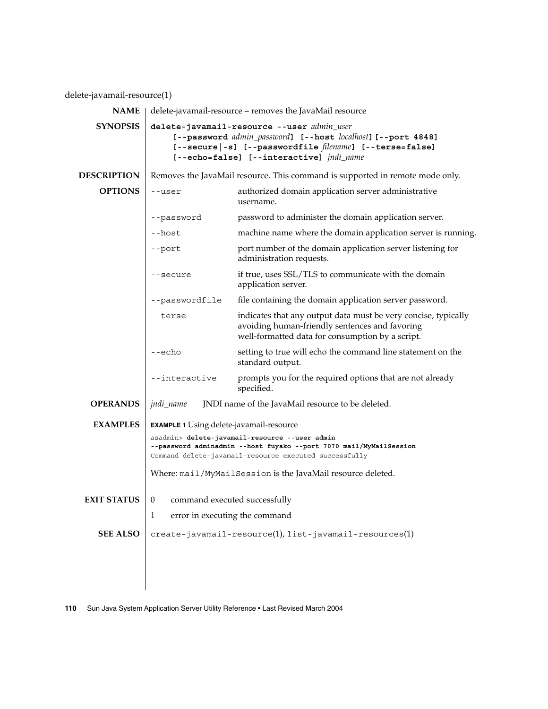delete-javamail-resource(1)

| <b>NAME</b>        | delete-javamail-resource - removes the JavaMail resource                  |                                                                                                                                                                                                                                               |  |
|--------------------|---------------------------------------------------------------------------|-----------------------------------------------------------------------------------------------------------------------------------------------------------------------------------------------------------------------------------------------|--|
| <b>SYNOPSIS</b>    |                                                                           | delete-javamail-resource --user admin_user<br>[--password admin_password] [--host localhost] [--port 4848]<br>[--secure   -s] [--passwordfile filename] [--terse=false]<br>[--echo=false] [--interactive] jndi_name                           |  |
| <b>DESCRIPTION</b> |                                                                           | Removes the JavaMail resource. This command is supported in remote mode only.                                                                                                                                                                 |  |
| <b>OPTIONS</b>     | --user                                                                    | authorized domain application server administrative<br>username.                                                                                                                                                                              |  |
|                    | --password                                                                | password to administer the domain application server.                                                                                                                                                                                         |  |
|                    | --host                                                                    | machine name where the domain application server is running.                                                                                                                                                                                  |  |
|                    | --port                                                                    | port number of the domain application server listening for<br>administration requests.                                                                                                                                                        |  |
|                    | --secure                                                                  | if true, uses SSL/TLS to communicate with the domain<br>application server.                                                                                                                                                                   |  |
|                    | --passwordfile                                                            | file containing the domain application server password.                                                                                                                                                                                       |  |
|                    | --terse                                                                   | indicates that any output data must be very concise, typically<br>avoiding human-friendly sentences and favoring<br>well-formatted data for consumption by a script.                                                                          |  |
|                    | --echo                                                                    | setting to true will echo the command line statement on the<br>standard output.                                                                                                                                                               |  |
|                    | --interactive                                                             | prompts you for the required options that are not already<br>specified.                                                                                                                                                                       |  |
| <b>OPERANDS</b>    | <i>jndi_name</i>                                                          | JNDI name of the JavaMail resource to be deleted.                                                                                                                                                                                             |  |
| <b>EXAMPLES</b>    | <b>EXAMPLE 1</b> Using delete-javamail-resource                           |                                                                                                                                                                                                                                               |  |
|                    |                                                                           | asadmin> delete-javamail-resource --user admin<br>--password adminadmin --host fuyako --port 7070 mail/MyMailSession<br>Command delete-javamail-resource executed successfully<br>Where: mail/MyMailSession is the JavaMail resource deleted. |  |
| <b>EXIT STATUS</b> | 0<br>command executed successfully<br>error in executing the command<br>1 |                                                                                                                                                                                                                                               |  |
| <b>SEE ALSO</b>    |                                                                           | create-javamail-resource(1), list-javamail-resources(1)                                                                                                                                                                                       |  |
|                    |                                                                           |                                                                                                                                                                                                                                               |  |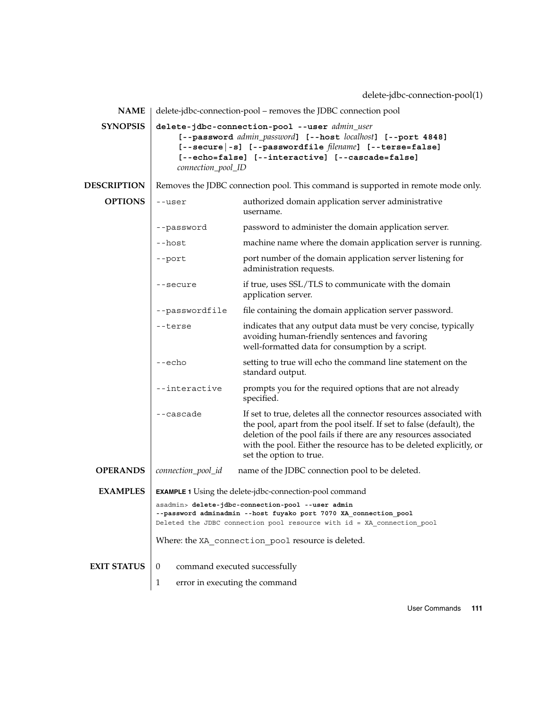| <b>NAME</b>        | delete-jdbc-connection-pool – removes the JDBC connection pool                                                                                                                                                                                      |                                                                                                                                                                                                                                                                                                                   |  |  |
|--------------------|-----------------------------------------------------------------------------------------------------------------------------------------------------------------------------------------------------------------------------------------------------|-------------------------------------------------------------------------------------------------------------------------------------------------------------------------------------------------------------------------------------------------------------------------------------------------------------------|--|--|
| <b>SYNOPSIS</b>    | delete-jdbc-connection-pool --user admin_user<br>[--password admin_password] [--host localhost] [--port 4848]<br>[--secure  -s] [--passwordfile filename] [--terse=false]<br>[--echo=false] [--interactive] [--cascade=false]<br>connection_pool_ID |                                                                                                                                                                                                                                                                                                                   |  |  |
| <b>DESCRIPTION</b> |                                                                                                                                                                                                                                                     | Removes the JDBC connection pool. This command is supported in remote mode only.                                                                                                                                                                                                                                  |  |  |
| <b>OPTIONS</b>     | authorized domain application server administrative<br>--user<br>username.                                                                                                                                                                          |                                                                                                                                                                                                                                                                                                                   |  |  |
|                    | --password                                                                                                                                                                                                                                          | password to administer the domain application server.                                                                                                                                                                                                                                                             |  |  |
|                    | --host                                                                                                                                                                                                                                              | machine name where the domain application server is running.                                                                                                                                                                                                                                                      |  |  |
|                    | --port                                                                                                                                                                                                                                              | port number of the domain application server listening for<br>administration requests.                                                                                                                                                                                                                            |  |  |
|                    | --secure                                                                                                                                                                                                                                            | if true, uses SSL/TLS to communicate with the domain<br>application server.                                                                                                                                                                                                                                       |  |  |
|                    | --passwordfile<br>file containing the domain application server password.                                                                                                                                                                           |                                                                                                                                                                                                                                                                                                                   |  |  |
|                    | --terse                                                                                                                                                                                                                                             | indicates that any output data must be very concise, typically<br>avoiding human-friendly sentences and favoring<br>well-formatted data for consumption by a script.                                                                                                                                              |  |  |
|                    | --echo                                                                                                                                                                                                                                              | setting to true will echo the command line statement on the<br>standard output.                                                                                                                                                                                                                                   |  |  |
|                    | --interactive                                                                                                                                                                                                                                       | prompts you for the required options that are not already<br>specified.                                                                                                                                                                                                                                           |  |  |
|                    | --cascade                                                                                                                                                                                                                                           | If set to true, deletes all the connector resources associated with<br>the pool, apart from the pool itself. If set to false (default), the<br>deletion of the pool fails if there are any resources associated<br>with the pool. Either the resource has to be deleted explicitly, or<br>set the option to true. |  |  |
| <b>OPERANDS</b>    | connection_pool_id<br>name of the JDBC connection pool to be deleted.                                                                                                                                                                               |                                                                                                                                                                                                                                                                                                                   |  |  |
| <b>EXAMPLES</b>    | <b>EXAMPLE 1</b> Using the delete-jdbc-connection-pool command                                                                                                                                                                                      |                                                                                                                                                                                                                                                                                                                   |  |  |
|                    | asadmin> delete-jdbc-connection-pool --user admin<br>--password adminadmin --host fuyako port 7070 XA connection pool<br>Deleted the JDBC connection pool resource with id = XA connection pool                                                     |                                                                                                                                                                                                                                                                                                                   |  |  |
|                    |                                                                                                                                                                                                                                                     | Where: the XA_connection_pool resource is deleted.                                                                                                                                                                                                                                                                |  |  |
| <b>EXIT STATUS</b> | command executed successfully<br>0                                                                                                                                                                                                                  |                                                                                                                                                                                                                                                                                                                   |  |  |
|                    | $\mathbf{1}$<br>error in executing the command                                                                                                                                                                                                      |                                                                                                                                                                                                                                                                                                                   |  |  |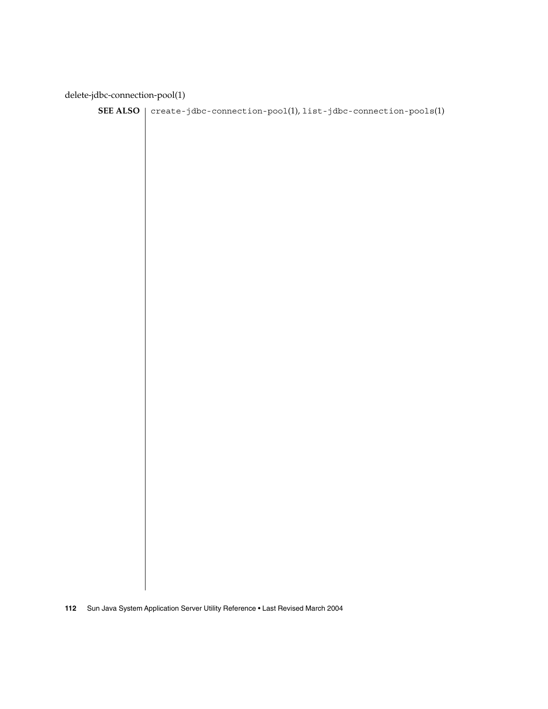delete-jdbc-connection-pool(1)

 ${\bf SEE\,ALSO}\,\mid\, {\rm create\text{-}jdbc\text{-}connection\text{-}pool(1)}$ , list-jdbc-connection-pools(1)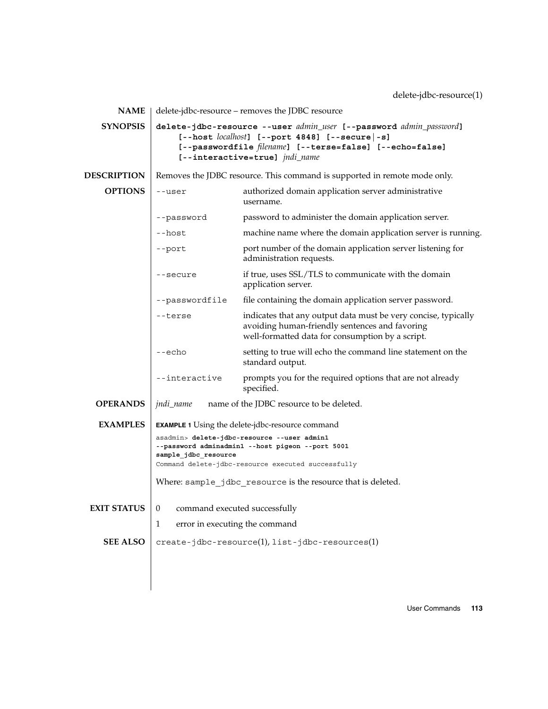delete-jdbc-resource(1)

| <b>NAME</b>        | delete-jdbc-resource – removes the JDBC resource                                                                                                                                                                                                                   |                                                                                                                                                                      |  |  |
|--------------------|--------------------------------------------------------------------------------------------------------------------------------------------------------------------------------------------------------------------------------------------------------------------|----------------------------------------------------------------------------------------------------------------------------------------------------------------------|--|--|
| <b>SYNOPSIS</b>    | delete-jdbc-resource --user admin_user [--password admin_password]<br>$[- - \text{host localhost}]$ $[- - \text{port 4848}]$ $[- - \text{secure} - \text{s}]$<br>[--passwordfile filename] [--terse=false] [--echo=false]<br>[--interactive=true] <i>jndi_name</i> |                                                                                                                                                                      |  |  |
| <b>DESCRIPTION</b> |                                                                                                                                                                                                                                                                    | Removes the JDBC resource. This command is supported in remote mode only.                                                                                            |  |  |
| <b>OPTIONS</b>     | --user                                                                                                                                                                                                                                                             | authorized domain application server administrative<br>username.                                                                                                     |  |  |
|                    | --password                                                                                                                                                                                                                                                         | password to administer the domain application server.                                                                                                                |  |  |
|                    | --host                                                                                                                                                                                                                                                             | machine name where the domain application server is running.                                                                                                         |  |  |
|                    | --port                                                                                                                                                                                                                                                             | port number of the domain application server listening for<br>administration requests.                                                                               |  |  |
|                    | --secure                                                                                                                                                                                                                                                           | if true, uses SSL/TLS to communicate with the domain<br>application server.                                                                                          |  |  |
|                    | --passwordfile<br>file containing the domain application server password.                                                                                                                                                                                          |                                                                                                                                                                      |  |  |
|                    | --terse                                                                                                                                                                                                                                                            | indicates that any output data must be very concise, typically<br>avoiding human-friendly sentences and favoring<br>well-formatted data for consumption by a script. |  |  |
|                    | --echo                                                                                                                                                                                                                                                             | setting to true will echo the command line statement on the<br>standard output.                                                                                      |  |  |
|                    | --interactive                                                                                                                                                                                                                                                      | prompts you for the required options that are not already<br>specified.                                                                                              |  |  |
| <b>OPERANDS</b>    | jndi_name                                                                                                                                                                                                                                                          | name of the JDBC resource to be deleted.                                                                                                                             |  |  |
| <b>EXAMPLES</b>    |                                                                                                                                                                                                                                                                    | <b>EXAMPLE 1</b> Using the delete-jdbc-resource command                                                                                                              |  |  |
|                    |                                                                                                                                                                                                                                                                    | asadmin> delete-jdbc-resource --user admin1                                                                                                                          |  |  |
|                    | --password adminadmin1 --host pigeon --port 5001<br>sample jdbc resource<br>Command delete-jdbc-resource executed successfully                                                                                                                                     |                                                                                                                                                                      |  |  |
|                    |                                                                                                                                                                                                                                                                    |                                                                                                                                                                      |  |  |
|                    |                                                                                                                                                                                                                                                                    | Where: sample_jdbc_resource is the resource that is deleted.                                                                                                         |  |  |
| <b>EXIT STATUS</b> | $\boldsymbol{0}$<br>command executed successfully                                                                                                                                                                                                                  |                                                                                                                                                                      |  |  |
|                    | error in executing the command<br>1                                                                                                                                                                                                                                |                                                                                                                                                                      |  |  |
| <b>SEE ALSO</b>    |                                                                                                                                                                                                                                                                    | $create-jdbc-resource(1), list-jdbc-resources(1)$                                                                                                                    |  |  |
|                    |                                                                                                                                                                                                                                                                    |                                                                                                                                                                      |  |  |
|                    |                                                                                                                                                                                                                                                                    |                                                                                                                                                                      |  |  |
|                    |                                                                                                                                                                                                                                                                    |                                                                                                                                                                      |  |  |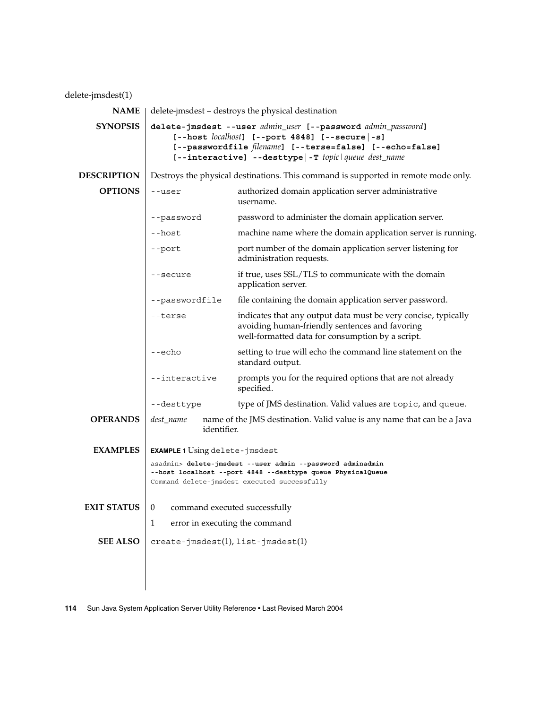| delete-jmsdest(1)  |                                                                                                                                                                                                                                        |                                                                                                                                                                      |  |
|--------------------|----------------------------------------------------------------------------------------------------------------------------------------------------------------------------------------------------------------------------------------|----------------------------------------------------------------------------------------------------------------------------------------------------------------------|--|
| <b>NAME</b>        | delete-jmsdest – destroys the physical destination                                                                                                                                                                                     |                                                                                                                                                                      |  |
| <b>SYNOPSIS</b>    | delete-jmsdest --user admin_user [--password admin_password]<br>[--host localhost] [--port 4848] [--secure  -s]<br>[--passwordfile filename] [--terse=false] [--echo=false]<br>[--interactive] --desttype  - T topic   queue dest_name |                                                                                                                                                                      |  |
| <b>DESCRIPTION</b> | Destroys the physical destinations. This command is supported in remote mode only.                                                                                                                                                     |                                                                                                                                                                      |  |
| <b>OPTIONS</b>     | --user                                                                                                                                                                                                                                 | authorized domain application server administrative<br>username.                                                                                                     |  |
|                    | --password                                                                                                                                                                                                                             | password to administer the domain application server.                                                                                                                |  |
|                    | --host                                                                                                                                                                                                                                 | machine name where the domain application server is running.                                                                                                         |  |
|                    | --port                                                                                                                                                                                                                                 | port number of the domain application server listening for<br>administration requests.                                                                               |  |
|                    | --secure                                                                                                                                                                                                                               | if true, uses SSL/TLS to communicate with the domain<br>application server.                                                                                          |  |
|                    | --passwordfile                                                                                                                                                                                                                         | file containing the domain application server password.                                                                                                              |  |
|                    | --terse                                                                                                                                                                                                                                | indicates that any output data must be very concise, typically<br>avoiding human-friendly sentences and favoring<br>well-formatted data for consumption by a script. |  |
|                    | --echo                                                                                                                                                                                                                                 | setting to true will echo the command line statement on the<br>standard output.                                                                                      |  |
|                    | --interactive                                                                                                                                                                                                                          | prompts you for the required options that are not already<br>specified.                                                                                              |  |
|                    | --desttype                                                                                                                                                                                                                             | type of JMS destination. Valid values are topic, and queue.                                                                                                          |  |
| <b>OPERANDS</b>    | dest_name<br>identifier.                                                                                                                                                                                                               | name of the JMS destination. Valid value is any name that can be a Java                                                                                              |  |
| <b>EXAMPLES</b>    | EXAMPLE 1 Using delete-jmsdest                                                                                                                                                                                                         |                                                                                                                                                                      |  |
|                    | asadmin> delete-jmsdest --user admin --password adminadmin<br>--host localhost --port 4848 --desttype queue PhysicalQueue<br>Command delete-jmsdest executed successfully                                                              |                                                                                                                                                                      |  |
| <b>EXIT STATUS</b> | $\boldsymbol{0}$<br>command executed successfully                                                                                                                                                                                      |                                                                                                                                                                      |  |
|                    | error in executing the command<br>$\mathbf{1}$                                                                                                                                                                                         |                                                                                                                                                                      |  |
| <b>SEE ALSO</b>    | $create-jmsdest(1), list-jmsdest(1)$                                                                                                                                                                                                   |                                                                                                                                                                      |  |
|                    |                                                                                                                                                                                                                                        |                                                                                                                                                                      |  |
|                    |                                                                                                                                                                                                                                        |                                                                                                                                                                      |  |
|                    |                                                                                                                                                                                                                                        |                                                                                                                                                                      |  |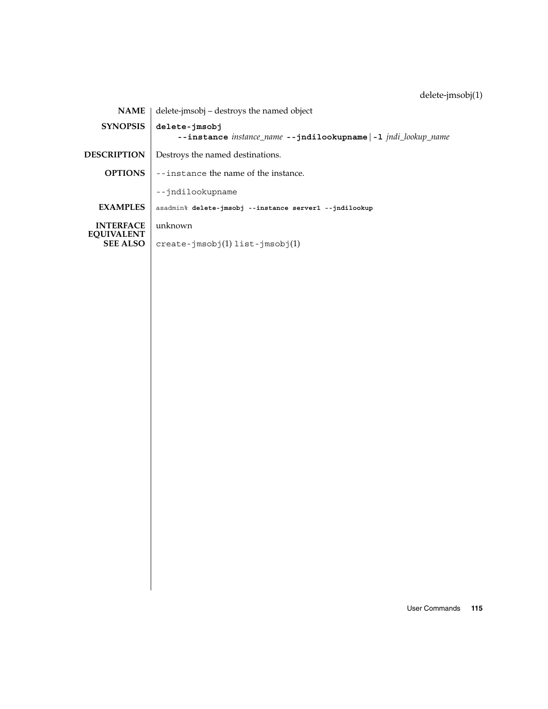delete-jmsobj(1)

| <b>NAME</b>                           | delete-jmsobj - destroys the named object                                        |
|---------------------------------------|----------------------------------------------------------------------------------|
| <b>SYNOPSIS</b>                       | delete-jmsobj<br>--instance instance_name --jndilookupname   -1 jndi_lookup_name |
| <b>DESCRIPTION</b>                    | Destroys the named destinations.                                                 |
| <b>OPTIONS</b>                        | --instance the name of the instance.                                             |
|                                       | --jndilookupname                                                                 |
| <b>EXAMPLES</b>                       | asadmin% delete-jmsobj --instance server1 --jndilookup                           |
| <b>INTERFACE</b><br><b>EQUIVALENT</b> | unknown                                                                          |
| <b>SEE ALSO</b>                       | $create-jmsobj(1) list-jmsobj(1)$                                                |
|                                       |                                                                                  |
|                                       |                                                                                  |
|                                       |                                                                                  |
|                                       |                                                                                  |
|                                       |                                                                                  |
|                                       |                                                                                  |
|                                       |                                                                                  |
|                                       |                                                                                  |
|                                       |                                                                                  |
|                                       |                                                                                  |
|                                       |                                                                                  |
|                                       |                                                                                  |
|                                       |                                                                                  |
|                                       |                                                                                  |
|                                       |                                                                                  |
|                                       |                                                                                  |
|                                       |                                                                                  |
|                                       |                                                                                  |
|                                       |                                                                                  |
|                                       |                                                                                  |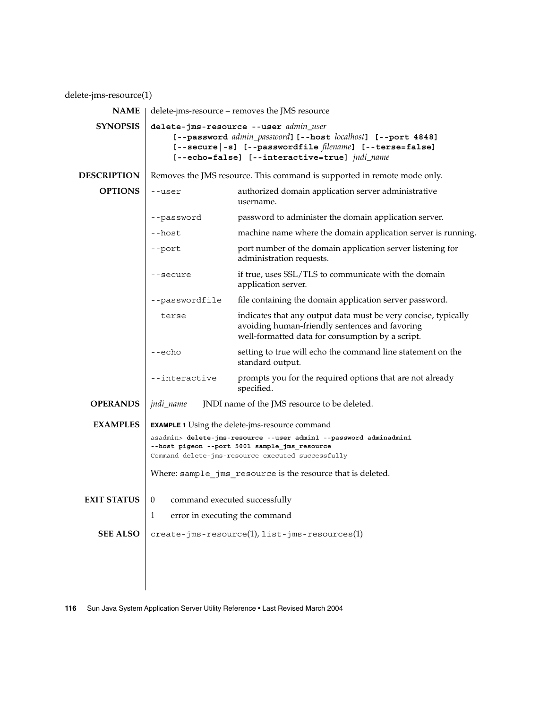| delete-jms-resource(1) |
|------------------------|
|------------------------|

| <b>NAME</b>        | delete-jms-resource – removes the JMS resource                                                     |                                                                                                                                                                                                                                    |  |
|--------------------|----------------------------------------------------------------------------------------------------|------------------------------------------------------------------------------------------------------------------------------------------------------------------------------------------------------------------------------------|--|
| <b>SYNOPSIS</b>    |                                                                                                    | delete-jms-resource --user admin_user<br>[--password <i>admin_password</i> ][--host <i>localhost</i> ] [--port 4848]<br>[--secure   -s] [--passwordfile filename] [--terse=false]<br>[--echo=false] [--interactive=true] jndi_name |  |
| <b>DESCRIPTION</b> |                                                                                                    | Removes the JMS resource. This command is supported in remote mode only.                                                                                                                                                           |  |
| <b>OPTIONS</b>     | --user                                                                                             | authorized domain application server administrative<br>username.                                                                                                                                                                   |  |
|                    | --password                                                                                         | password to administer the domain application server.                                                                                                                                                                              |  |
|                    | --host                                                                                             | machine name where the domain application server is running.                                                                                                                                                                       |  |
|                    | --port                                                                                             | port number of the domain application server listening for<br>administration requests.                                                                                                                                             |  |
|                    | --secure                                                                                           | if true, uses SSL/TLS to communicate with the domain<br>application server.                                                                                                                                                        |  |
|                    | --passwordfile                                                                                     | file containing the domain application server password.                                                                                                                                                                            |  |
|                    | --terse                                                                                            | indicates that any output data must be very concise, typically<br>avoiding human-friendly sentences and favoring<br>well-formatted data for consumption by a script.                                                               |  |
|                    | --echo                                                                                             | setting to true will echo the command line statement on the<br>standard output.                                                                                                                                                    |  |
|                    | --interactive                                                                                      | prompts you for the required options that are not already<br>specified.                                                                                                                                                            |  |
| <b>OPERANDS</b>    | <i>jndi_name</i>                                                                                   | JNDI name of the JMS resource to be deleted.                                                                                                                                                                                       |  |
| <b>EXAMPLES</b>    |                                                                                                    | <b>EXAMPLE 1</b> Using the delete-jms-resource command                                                                                                                                                                             |  |
|                    |                                                                                                    | asadmin> delete-jms-resource --user admin1 --password adminadmin1                                                                                                                                                                  |  |
|                    | --host pigeon --port 5001 sample jms resource<br>Command delete-jms-resource executed successfully |                                                                                                                                                                                                                                    |  |
|                    |                                                                                                    | Where: sample_jms_resource is the resource that is deleted.                                                                                                                                                                        |  |
| <b>EXIT STATUS</b> | $\mathbf{0}$<br>command executed successfully                                                      |                                                                                                                                                                                                                                    |  |
|                    | error in executing the command<br>1                                                                |                                                                                                                                                                                                                                    |  |
| <b>SEE ALSO</b>    |                                                                                                    | $create - jms - resource(1), list - jms - resources(1)$                                                                                                                                                                            |  |
|                    |                                                                                                    |                                                                                                                                                                                                                                    |  |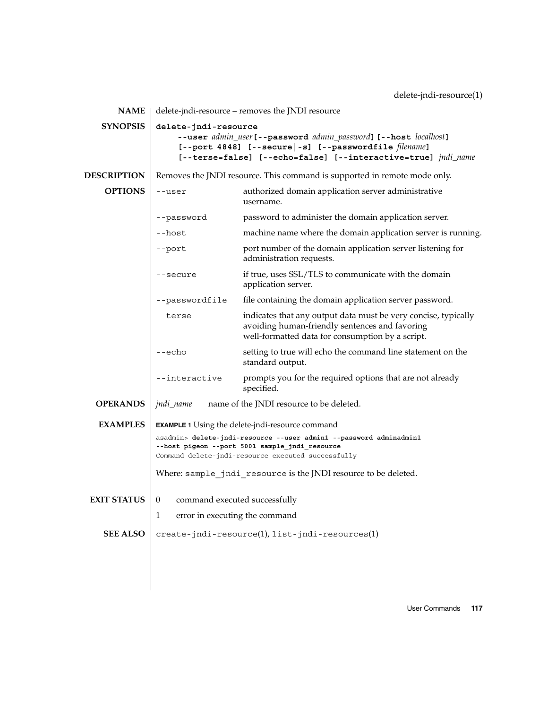delete-jndi-resource(1)

| <b>NAME</b>        | delete-jndi-resource – removes the JNDI resource                                                     |                                                                                                                                                                                             |  |
|--------------------|------------------------------------------------------------------------------------------------------|---------------------------------------------------------------------------------------------------------------------------------------------------------------------------------------------|--|
| <b>SYNOPSIS</b>    | delete-jndi-resource                                                                                 | --user admin_user [--password admin_password] [--host localhost]<br>[--port 4848] [--secure  -s] [--passwordfile filename]<br>[--terse=false] [--echo=false] [--interactive=true] jndi_name |  |
| <b>DESCRIPTION</b> |                                                                                                      | Removes the JNDI resource. This command is supported in remote mode only.                                                                                                                   |  |
| <b>OPTIONS</b>     | --user                                                                                               | authorized domain application server administrative<br>username.                                                                                                                            |  |
|                    | --password                                                                                           | password to administer the domain application server.                                                                                                                                       |  |
|                    | --host                                                                                               | machine name where the domain application server is running.                                                                                                                                |  |
|                    | --port                                                                                               | port number of the domain application server listening for<br>administration requests.                                                                                                      |  |
|                    | --secure                                                                                             | if true, uses SSL/TLS to communicate with the domain<br>application server.                                                                                                                 |  |
|                    | --passwordfile                                                                                       | file containing the domain application server password.                                                                                                                                     |  |
|                    | --terse                                                                                              | indicates that any output data must be very concise, typically<br>avoiding human-friendly sentences and favoring<br>well-formatted data for consumption by a script.                        |  |
|                    | --echo                                                                                               | setting to true will echo the command line statement on the<br>standard output.                                                                                                             |  |
|                    | --interactive                                                                                        | prompts you for the required options that are not already<br>specified.                                                                                                                     |  |
| <b>OPERANDS</b>    | jndi_name                                                                                            | name of the JNDI resource to be deleted.                                                                                                                                                    |  |
| <b>EXAMPLES</b>    |                                                                                                      | <b>EXAMPLE 1</b> Using the delete-jndi-resource command                                                                                                                                     |  |
|                    |                                                                                                      | asadmin> delete-jndi-resource --user admin1 --password adminadmin1                                                                                                                          |  |
|                    | --host pigeon --port 5001 sample jndi resource<br>Command delete-jndi-resource executed successfully |                                                                                                                                                                                             |  |
|                    |                                                                                                      | Where: sample jndi resource is the JNDI resource to be deleted.                                                                                                                             |  |
| <b>EXIT STATUS</b> | 0<br>command executed successfully                                                                   |                                                                                                                                                                                             |  |
|                    | error in executing the command<br>1                                                                  |                                                                                                                                                                                             |  |
| <b>SEE ALSO</b>    |                                                                                                      | create-jndi-resource(1), list-jndi-resources(1)                                                                                                                                             |  |
|                    |                                                                                                      |                                                                                                                                                                                             |  |
|                    |                                                                                                      |                                                                                                                                                                                             |  |
|                    |                                                                                                      |                                                                                                                                                                                             |  |
|                    |                                                                                                      |                                                                                                                                                                                             |  |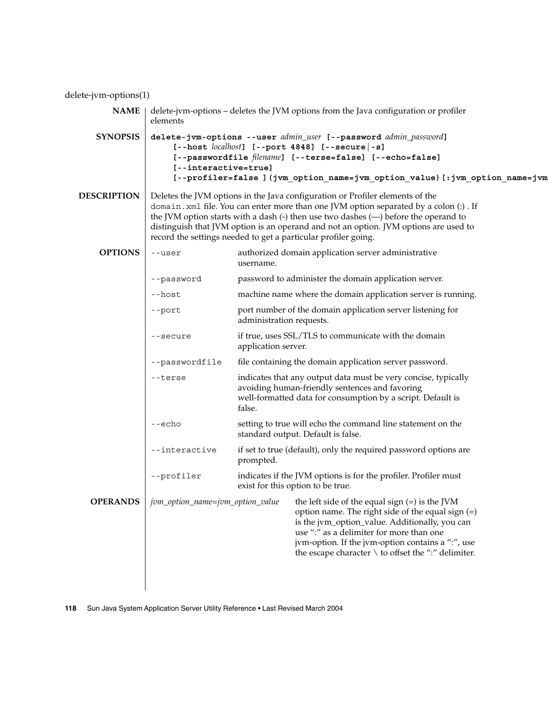| delete-jvm-options(1) |                                                                |                          |                                                                                                                                                                                                                                                                                                                                                                                         |
|-----------------------|----------------------------------------------------------------|--------------------------|-----------------------------------------------------------------------------------------------------------------------------------------------------------------------------------------------------------------------------------------------------------------------------------------------------------------------------------------------------------------------------------------|
| <b>NAME</b>           | elements                                                       |                          | delete-jvm-options – deletes the JVM options from the Java configuration or profiler                                                                                                                                                                                                                                                                                                    |
| <b>SYNOPSIS</b>       | [--interactive=true]                                           |                          | delete-jvm-options --user admin_user [--password admin_password]<br>$[- - \text{host localhost}]$ $[- - \text{port 4848}]$ $[- - \text{secure}   - \text{s}]$<br>[--passwordfile filename] [--terse=false] [--echo=false]<br>[--profiler=false ] (jvm option name=jvm option value) [:jvm option name=jvm                                                                               |
| <b>DESCRIPTION</b>    | record the settings needed to get a particular profiler going. |                          | Deletes the JVM options in the Java configuration or Profiler elements of the<br>domain. xml file. You can enter more than one JVM option separated by a colon (:). If<br>the JVM option starts with a dash $\left(\cdot\right)$ then use two dashes $\left(\cdot\right)$ before the operand to<br>distinguish that JVM option is an operand and not an option. JVM options are used to |
| <b>OPTIONS</b>        | --user                                                         | username.                | authorized domain application server administrative                                                                                                                                                                                                                                                                                                                                     |
|                       | --password                                                     |                          | password to administer the domain application server.                                                                                                                                                                                                                                                                                                                                   |
|                       | --host                                                         |                          | machine name where the domain application server is running.                                                                                                                                                                                                                                                                                                                            |
|                       | --port                                                         | administration requests. | port number of the domain application server listening for                                                                                                                                                                                                                                                                                                                              |
|                       | --secure                                                       | application server.      | if true, uses SSL/TLS to communicate with the domain                                                                                                                                                                                                                                                                                                                                    |
|                       | --passwordfile                                                 |                          | file containing the domain application server password.                                                                                                                                                                                                                                                                                                                                 |
|                       | --terse                                                        | false.                   | indicates that any output data must be very concise, typically<br>avoiding human-friendly sentences and favoring<br>well-formatted data for consumption by a script. Default is                                                                                                                                                                                                         |
|                       | --echo                                                         |                          | setting to true will echo the command line statement on the<br>standard output. Default is false.                                                                                                                                                                                                                                                                                       |
|                       | --interactive                                                  | prompted.                | if set to true (default), only the required password options are                                                                                                                                                                                                                                                                                                                        |
|                       | --profiler                                                     |                          | indicates if the JVM options is for the profiler. Profiler must<br>exist for this option to be true.                                                                                                                                                                                                                                                                                    |
| <b>OPERANDS</b>       | jvm_option_name=jvm_option_value                               |                          | the left side of the equal sign $(=)$ is the JVM<br>option name. The right side of the equal sign $(=)$<br>is the jvm_option_value. Additionally, you can<br>use ":" as a delimiter for more than one<br>jvm-option. If the jvm-option contains a ":", use<br>the escape character $\setminus$ to offset the ":" delimiter.                                                             |
|                       |                                                                |                          |                                                                                                                                                                                                                                                                                                                                                                                         |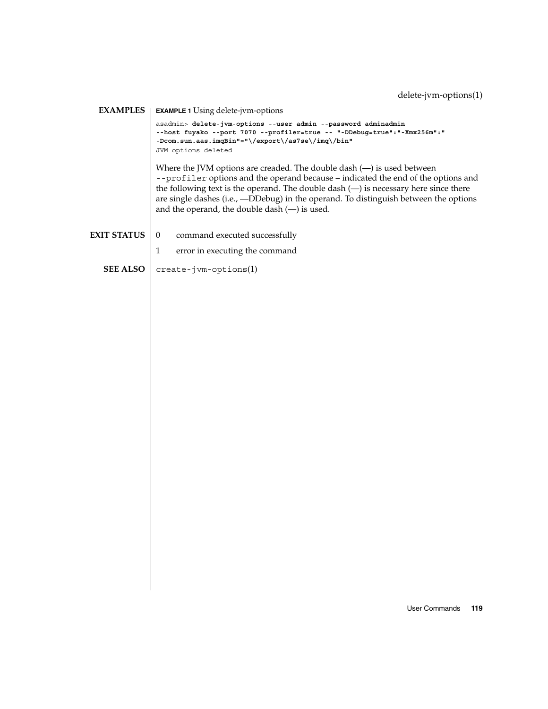delete-jvm-options(1)

| <b>EXAMPLES</b>    | <b>EXAMPLE 1 Using delete-jvm-options</b>                                                                                                                                                                                                                                                                                                                                                          |
|--------------------|----------------------------------------------------------------------------------------------------------------------------------------------------------------------------------------------------------------------------------------------------------------------------------------------------------------------------------------------------------------------------------------------------|
|                    | asadmin> delete-jvm-options --user admin --password adminadmin<br>--host fuyako --port 7070 --profiler=true -- "-DDebug=true":"-Xmx256m":"<br>-Dcom.sun.aas.imqBin"="\/export\/as7se\/imq\/bin"<br>JVM options deleted                                                                                                                                                                             |
|                    | Where the JVM options are creaded. The double dash $(-)$ is used between<br>--profiler options and the operand because - indicated the end of the options and<br>the following text is the operand. The double dash $(-)$ is necessary here since there<br>are single dashes (i.e., -DDebug) in the operand. To distinguish between the options<br>and the operand, the double dash $(-)$ is used. |
| <b>EXIT STATUS</b> | command executed successfully<br>$\mathbf{0}$                                                                                                                                                                                                                                                                                                                                                      |
|                    | $\mathbf{1}$<br>error in executing the command                                                                                                                                                                                                                                                                                                                                                     |
| <b>SEE ALSO</b>    | $create-jvm-options(1)$                                                                                                                                                                                                                                                                                                                                                                            |
|                    |                                                                                                                                                                                                                                                                                                                                                                                                    |
|                    |                                                                                                                                                                                                                                                                                                                                                                                                    |
|                    |                                                                                                                                                                                                                                                                                                                                                                                                    |
|                    |                                                                                                                                                                                                                                                                                                                                                                                                    |
|                    |                                                                                                                                                                                                                                                                                                                                                                                                    |
|                    |                                                                                                                                                                                                                                                                                                                                                                                                    |
|                    |                                                                                                                                                                                                                                                                                                                                                                                                    |
|                    |                                                                                                                                                                                                                                                                                                                                                                                                    |
|                    |                                                                                                                                                                                                                                                                                                                                                                                                    |
|                    |                                                                                                                                                                                                                                                                                                                                                                                                    |
|                    |                                                                                                                                                                                                                                                                                                                                                                                                    |
|                    |                                                                                                                                                                                                                                                                                                                                                                                                    |
|                    |                                                                                                                                                                                                                                                                                                                                                                                                    |
|                    |                                                                                                                                                                                                                                                                                                                                                                                                    |
|                    |                                                                                                                                                                                                                                                                                                                                                                                                    |
|                    |                                                                                                                                                                                                                                                                                                                                                                                                    |
|                    |                                                                                                                                                                                                                                                                                                                                                                                                    |
|                    |                                                                                                                                                                                                                                                                                                                                                                                                    |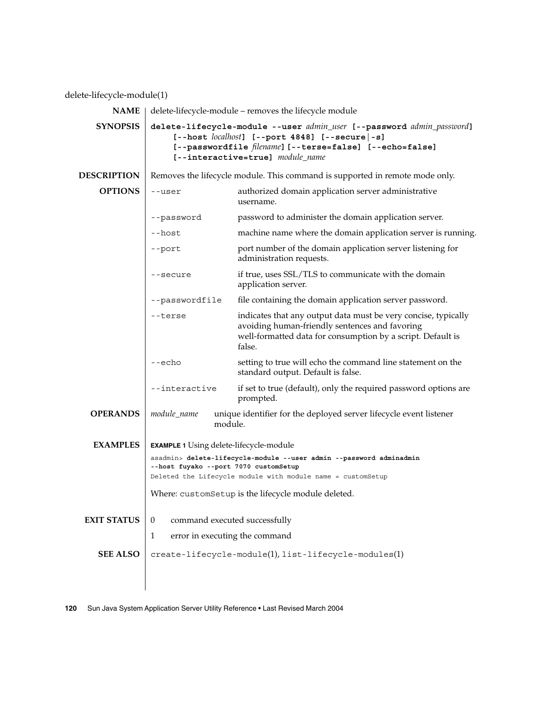delete-lifecycle-module(1)

| <b>NAME</b>        | delete-lifecycle-module – removes the lifecycle module                                                                                                                                                                                                             |                                                                                                                                                                                           |  |
|--------------------|--------------------------------------------------------------------------------------------------------------------------------------------------------------------------------------------------------------------------------------------------------------------|-------------------------------------------------------------------------------------------------------------------------------------------------------------------------------------------|--|
| <b>SYNOPSIS</b>    | delete-lifecycle-module --user admin_user [--password admin_password]<br>$[- - \text{host localhost}]$ $[- - \text{port 4848}]$ $[- - \text{secure}   - \text{s}]$<br>[--passwordfile filename] [--terse=false] [--echo=false]<br>[--interactive=true] module_name |                                                                                                                                                                                           |  |
| <b>DESCRIPTION</b> |                                                                                                                                                                                                                                                                    | Removes the lifecycle module. This command is supported in remote mode only.                                                                                                              |  |
| <b>OPTIONS</b>     | --user                                                                                                                                                                                                                                                             | authorized domain application server administrative<br>username.                                                                                                                          |  |
|                    | --password                                                                                                                                                                                                                                                         | password to administer the domain application server.                                                                                                                                     |  |
|                    | --host                                                                                                                                                                                                                                                             | machine name where the domain application server is running.                                                                                                                              |  |
|                    | --port                                                                                                                                                                                                                                                             | port number of the domain application server listening for<br>administration requests.                                                                                                    |  |
|                    | --secure                                                                                                                                                                                                                                                           | if true, uses SSL/TLS to communicate with the domain<br>application server.                                                                                                               |  |
|                    | --passwordfile                                                                                                                                                                                                                                                     | file containing the domain application server password.                                                                                                                                   |  |
|                    | --terse                                                                                                                                                                                                                                                            | indicates that any output data must be very concise, typically<br>avoiding human-friendly sentences and favoring<br>well-formatted data for consumption by a script. Default is<br>false. |  |
|                    | --echo                                                                                                                                                                                                                                                             | setting to true will echo the command line statement on the<br>standard output. Default is false.                                                                                         |  |
|                    | --interactive                                                                                                                                                                                                                                                      | if set to true (default), only the required password options are<br>prompted.                                                                                                             |  |
| <b>OPERANDS</b>    | module_name<br>module.                                                                                                                                                                                                                                             | unique identifier for the deployed server lifecycle event listener                                                                                                                        |  |
| <b>EXAMPLES</b>    | <b>EXAMPLE 1 Using delete-lifecycle-module</b>                                                                                                                                                                                                                     |                                                                                                                                                                                           |  |
|                    | asadmin> delete-lifecycle-module --user admin --password adminadmin<br>--host fuyako --port 7070 customSetup<br>Deleted the Lifecycle module with module name = customSetup<br>Where: customSetup is the lifecycle module deleted.                                 |                                                                                                                                                                                           |  |
| <b>EXIT STATUS</b> | command executed successfully<br>$\mathbf{0}$                                                                                                                                                                                                                      |                                                                                                                                                                                           |  |
|                    | error in executing the command<br>$\mathbf{1}$                                                                                                                                                                                                                     |                                                                                                                                                                                           |  |
| <b>SEE ALSO</b>    |                                                                                                                                                                                                                                                                    | create-lifecycle-module(1), list-lifecycle-modules(1)                                                                                                                                     |  |
|                    |                                                                                                                                                                                                                                                                    |                                                                                                                                                                                           |  |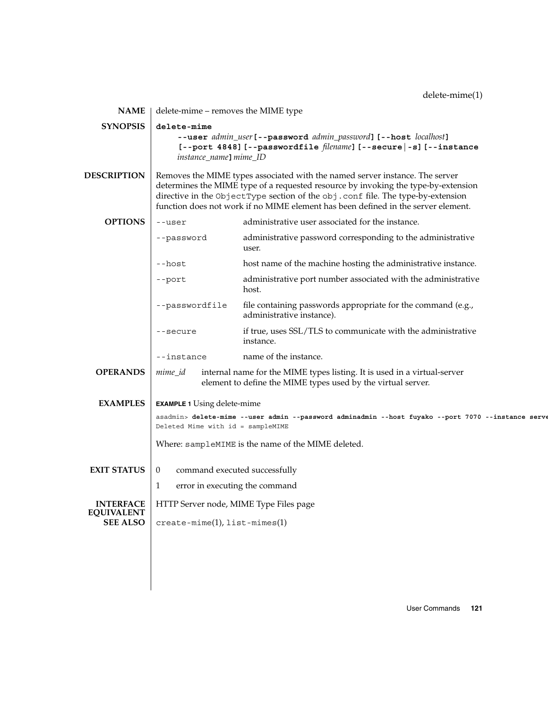| <b>NAME</b>                          | delete-mime – removes the MIME type                                                                                                                                                                                                                                                                                                        |                                                                                           |  |
|--------------------------------------|--------------------------------------------------------------------------------------------------------------------------------------------------------------------------------------------------------------------------------------------------------------------------------------------------------------------------------------------|-------------------------------------------------------------------------------------------|--|
| <b>SYNOPSIS</b>                      | delete-mime<br>--user admin_user [--password admin_password] [--host localhost]<br>[--port 4848] [--passwordfile filename] [--secure   -s] [--instance<br><i>instance_name</i> ] <i>mime_ID</i>                                                                                                                                            |                                                                                           |  |
| <b>DESCRIPTION</b>                   | Removes the MIME types associated with the named server instance. The server<br>determines the MIME type of a requested resource by invoking the type-by-extension<br>directive in the ObjectType section of the obj.conf file. The type-by-extension<br>function does not work if no MIME element has been defined in the server element. |                                                                                           |  |
| <b>OPTIONS</b>                       | --user                                                                                                                                                                                                                                                                                                                                     | administrative user associated for the instance.                                          |  |
|                                      | --password                                                                                                                                                                                                                                                                                                                                 | administrative password corresponding to the administrative<br>user.                      |  |
|                                      | --host                                                                                                                                                                                                                                                                                                                                     | host name of the machine hosting the administrative instance.                             |  |
|                                      | --port                                                                                                                                                                                                                                                                                                                                     | administrative port number associated with the administrative<br>host.                    |  |
|                                      | --passwordfile                                                                                                                                                                                                                                                                                                                             | file containing passwords appropriate for the command (e.g.,<br>administrative instance). |  |
|                                      | --secure                                                                                                                                                                                                                                                                                                                                   | if true, uses SSL/TLS to communicate with the administrative<br>instance.                 |  |
|                                      | --instance                                                                                                                                                                                                                                                                                                                                 | name of the instance.                                                                     |  |
| <b>OPERANDS</b>                      | mime_id<br>internal name for the MIME types listing. It is used in a virtual-server<br>element to define the MIME types used by the virtual server.                                                                                                                                                                                        |                                                                                           |  |
| <b>EXAMPLES</b>                      | <b>EXAMPLE 1 Using delete-mime</b>                                                                                                                                                                                                                                                                                                         |                                                                                           |  |
|                                      | asadmin> delete-mime --user admin --password adminadmin --host fuyako --port 7070 --instance serve<br>Deleted Mime with id = sampleMIME                                                                                                                                                                                                    |                                                                                           |  |
|                                      | Where: sampleMIME is the name of the MIME deleted.                                                                                                                                                                                                                                                                                         |                                                                                           |  |
| <b>EXIT STATUS</b>                   | $\overline{0}$<br>command executed successfully                                                                                                                                                                                                                                                                                            |                                                                                           |  |
|                                      | 1                                                                                                                                                                                                                                                                                                                                          | error in executing the command                                                            |  |
| <b>INTERFACE</b>                     | HTTP Server node, MIME Type Files page<br>$create - mime(1)$ , list-mimes $(1)$                                                                                                                                                                                                                                                            |                                                                                           |  |
| <b>EQUIVALENT</b><br><b>SEE ALSO</b> |                                                                                                                                                                                                                                                                                                                                            |                                                                                           |  |
|                                      |                                                                                                                                                                                                                                                                                                                                            |                                                                                           |  |
|                                      |                                                                                                                                                                                                                                                                                                                                            |                                                                                           |  |
|                                      |                                                                                                                                                                                                                                                                                                                                            |                                                                                           |  |
|                                      |                                                                                                                                                                                                                                                                                                                                            |                                                                                           |  |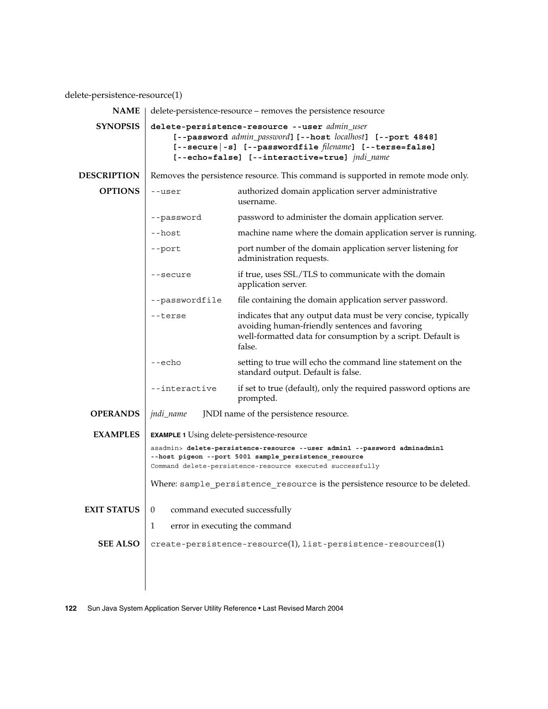delete-persistence-resource(1)

| <b>NAME</b>        | delete-persistence-resource – removes the persistence resource                                                                                                                                                                                                                   |                                                                                                                                                                                           |  |
|--------------------|----------------------------------------------------------------------------------------------------------------------------------------------------------------------------------------------------------------------------------------------------------------------------------|-------------------------------------------------------------------------------------------------------------------------------------------------------------------------------------------|--|
| <b>SYNOPSIS</b>    | delete-persistence-resource --user admin_user<br>[--password admin_password] [--host localhost] [--port 4848]<br>[--secure   -s] [--passwordfile filename] [--terse=false]<br>[--echo=false] [--interactive=true] jndi_name                                                      |                                                                                                                                                                                           |  |
| <b>DESCRIPTION</b> |                                                                                                                                                                                                                                                                                  | Removes the persistence resource. This command is supported in remote mode only.                                                                                                          |  |
| <b>OPTIONS</b>     | --user                                                                                                                                                                                                                                                                           | authorized domain application server administrative<br>username.                                                                                                                          |  |
|                    | --password                                                                                                                                                                                                                                                                       | password to administer the domain application server.                                                                                                                                     |  |
|                    | --host                                                                                                                                                                                                                                                                           | machine name where the domain application server is running.                                                                                                                              |  |
|                    | --port                                                                                                                                                                                                                                                                           | port number of the domain application server listening for<br>administration requests.                                                                                                    |  |
|                    | --secure                                                                                                                                                                                                                                                                         | if true, uses SSL/TLS to communicate with the domain<br>application server.                                                                                                               |  |
|                    | --passwordfile                                                                                                                                                                                                                                                                   | file containing the domain application server password.                                                                                                                                   |  |
|                    | --terse                                                                                                                                                                                                                                                                          | indicates that any output data must be very concise, typically<br>avoiding human-friendly sentences and favoring<br>well-formatted data for consumption by a script. Default is<br>false. |  |
|                    | --echo                                                                                                                                                                                                                                                                           | setting to true will echo the command line statement on the<br>standard output. Default is false.                                                                                         |  |
|                    | --interactive                                                                                                                                                                                                                                                                    | if set to true (default), only the required password options are<br>prompted.                                                                                                             |  |
| <b>OPERANDS</b>    | JNDI name of the persistence resource.<br>jndi_name                                                                                                                                                                                                                              |                                                                                                                                                                                           |  |
| <b>EXAMPLES</b>    | <b>EXAMPLE 1 Using delete-persistence-resource</b>                                                                                                                                                                                                                               |                                                                                                                                                                                           |  |
|                    | asadmin> delete-persistence-resource --user admin1 --password adminadmin1<br>--host pigeon --port 5001 sample persistence resource<br>Command delete-persistence-resource executed successfully<br>Where: sample_persistence_resource is the persistence resource to be deleted. |                                                                                                                                                                                           |  |
| <b>EXIT STATUS</b> | command executed successfully<br>$\theta$                                                                                                                                                                                                                                        |                                                                                                                                                                                           |  |
|                    | error in executing the command<br>1                                                                                                                                                                                                                                              |                                                                                                                                                                                           |  |
| <b>SEE ALSO</b>    |                                                                                                                                                                                                                                                                                  | create-persistence-resource(1), list-persistence-resources(1)                                                                                                                             |  |
|                    |                                                                                                                                                                                                                                                                                  |                                                                                                                                                                                           |  |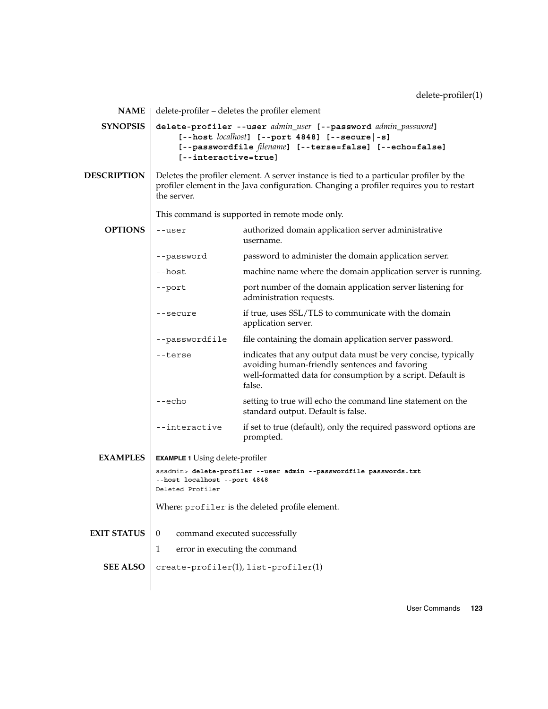| <b>NAME</b>        | delete-profiler - deletes the profiler element                                                                                                                                                                      |                                                                                                                                                                                                                      |  |
|--------------------|---------------------------------------------------------------------------------------------------------------------------------------------------------------------------------------------------------------------|----------------------------------------------------------------------------------------------------------------------------------------------------------------------------------------------------------------------|--|
| <b>SYNOPSIS</b>    | [--interactive=true]                                                                                                                                                                                                | delete-profiler --user admin_user [--password admin_password]<br>$[- - \text{host localhost}]$ $[- - \text{port 4848}]$ $[- - \text{secure} - \text{s}]$<br>[--passwordfile filename] [--terse=false] [--echo=false] |  |
| <b>DESCRIPTION</b> | Deletes the profiler element. A server instance is tied to a particular profiler by the<br>profiler element in the Java configuration. Changing a profiler requires you to restart<br>the server.                   |                                                                                                                                                                                                                      |  |
|                    |                                                                                                                                                                                                                     | This command is supported in remote mode only.                                                                                                                                                                       |  |
| <b>OPTIONS</b>     | --user                                                                                                                                                                                                              | authorized domain application server administrative<br>username.                                                                                                                                                     |  |
|                    | --password                                                                                                                                                                                                          | password to administer the domain application server.                                                                                                                                                                |  |
|                    | --host                                                                                                                                                                                                              | machine name where the domain application server is running.                                                                                                                                                         |  |
|                    | --port                                                                                                                                                                                                              | port number of the domain application server listening for<br>administration requests.                                                                                                                               |  |
|                    | --secure                                                                                                                                                                                                            | if true, uses SSL/TLS to communicate with the domain<br>application server.                                                                                                                                          |  |
|                    | --passwordfile                                                                                                                                                                                                      | file containing the domain application server password.                                                                                                                                                              |  |
|                    | --terse                                                                                                                                                                                                             | indicates that any output data must be very concise, typically<br>avoiding human-friendly sentences and favoring<br>well-formatted data for consumption by a script. Default is<br>false.                            |  |
|                    | --echo                                                                                                                                                                                                              | setting to true will echo the command line statement on the<br>standard output. Default is false.                                                                                                                    |  |
|                    | --interactive                                                                                                                                                                                                       | if set to true (default), only the required password options are<br>prompted.                                                                                                                                        |  |
| <b>EXAMPLES</b>    | <b>EXAMPLE 1 Using delete-profiler</b><br>asadmin> delete-profiler --user admin --passwordfile passwords.txt<br>--host localhost --port 4848<br>Deleted Profiler<br>Where: profiler is the deleted profile element. |                                                                                                                                                                                                                      |  |
| <b>EXIT STATUS</b> | command executed successfully<br>$\mathbf{0}$<br>error in executing the command<br>1                                                                                                                                |                                                                                                                                                                                                                      |  |
| <b>SEE ALSO</b>    | $create-profilter(1), list-profilter(1)$                                                                                                                                                                            |                                                                                                                                                                                                                      |  |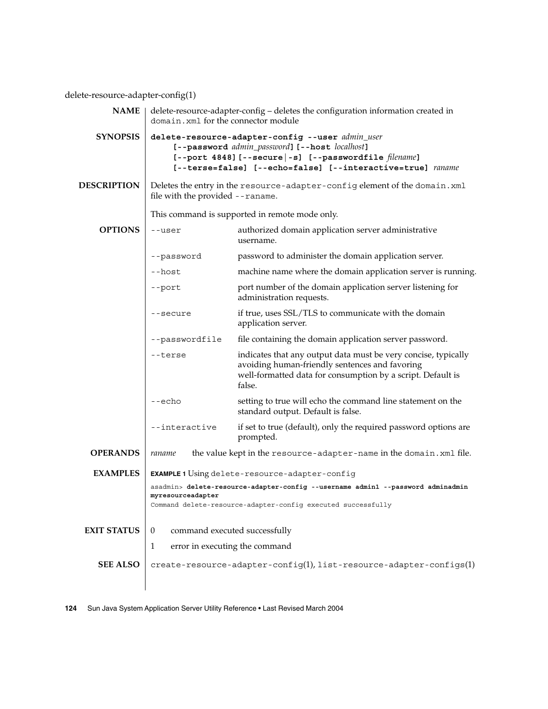#### delete-resource-adapter-config(1)

| <b>NAME</b>        | delete-resource-adapter-config - deletes the configuration information created in<br>domain.xml for the connector module                                                                                                   |                                                                                                                                                                                           |  |
|--------------------|----------------------------------------------------------------------------------------------------------------------------------------------------------------------------------------------------------------------------|-------------------------------------------------------------------------------------------------------------------------------------------------------------------------------------------|--|
| <b>SYNOPSIS</b>    | delete-resource-adapter-config --user admin_user<br>[--password admin_password] [--host localhost]<br>[--port 4848] [--secure  -s] [--passwordfile filename]<br>[--terse=false] [--echo=false] [--interactive=true] raname |                                                                                                                                                                                           |  |
| <b>DESCRIPTION</b> | Deletes the entry in the resource-adapter-config element of the domain. xml<br>file with the provided --raname.                                                                                                            |                                                                                                                                                                                           |  |
|                    |                                                                                                                                                                                                                            | This command is supported in remote mode only.                                                                                                                                            |  |
| <b>OPTIONS</b>     | --user                                                                                                                                                                                                                     | authorized domain application server administrative<br>username.                                                                                                                          |  |
|                    | --password                                                                                                                                                                                                                 | password to administer the domain application server.                                                                                                                                     |  |
|                    | --host                                                                                                                                                                                                                     | machine name where the domain application server is running.                                                                                                                              |  |
|                    | --port                                                                                                                                                                                                                     | port number of the domain application server listening for<br>administration requests.                                                                                                    |  |
| --secure           |                                                                                                                                                                                                                            | if true, uses SSL/TLS to communicate with the domain<br>application server.                                                                                                               |  |
|                    | --passwordfile                                                                                                                                                                                                             | file containing the domain application server password.                                                                                                                                   |  |
|                    | --terse                                                                                                                                                                                                                    | indicates that any output data must be very concise, typically<br>avoiding human-friendly sentences and favoring<br>well-formatted data for consumption by a script. Default is<br>false. |  |
|                    | --echo                                                                                                                                                                                                                     | setting to true will echo the command line statement on the<br>standard output. Default is false.                                                                                         |  |
|                    | --interactive                                                                                                                                                                                                              | if set to true (default), only the required password options are<br>prompted.                                                                                                             |  |
| <b>OPERANDS</b>    | the value kept in the resource-adapter-name in the domain. xml file.<br>raname                                                                                                                                             |                                                                                                                                                                                           |  |
| <b>EXAMPLES</b>    |                                                                                                                                                                                                                            |                                                                                                                                                                                           |  |
|                    | <b>EXAMPLE 1 Using delete-resource-adapter-config</b><br>asadmin> delete-resource-adapter-config --username admin1 --password adminadmin<br>myresourceadapter                                                              |                                                                                                                                                                                           |  |
|                    | Command delete-resource-adapter-config executed successfully                                                                                                                                                               |                                                                                                                                                                                           |  |
| <b>EXIT STATUS</b> | command executed successfully<br>$\mathbf{0}$                                                                                                                                                                              |                                                                                                                                                                                           |  |
|                    | error in executing the command<br>$\mathbf{1}$                                                                                                                                                                             |                                                                                                                                                                                           |  |
| <b>SEE ALSO</b>    |                                                                                                                                                                                                                            | create-resource-adapter-config(1), list-resource-adapter-configs(1)                                                                                                                       |  |
|                    |                                                                                                                                                                                                                            |                                                                                                                                                                                           |  |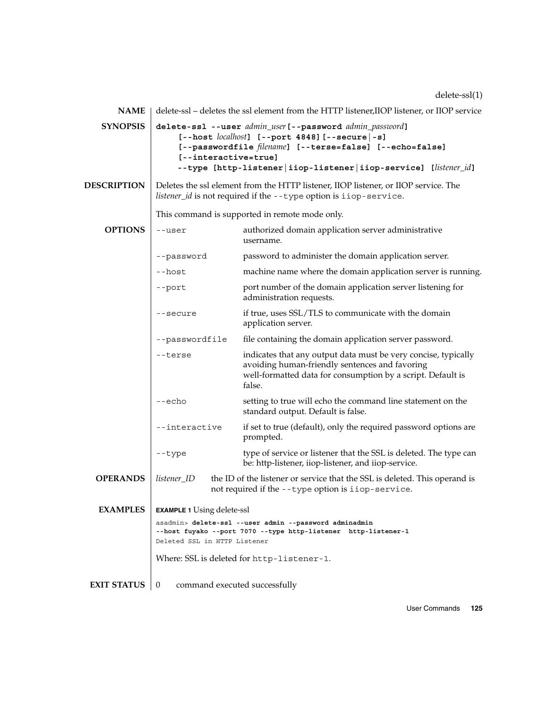delete-ssl(1)

| <b>NAME</b>        | delete-ssl - deletes the ssl element from the HTTP listener, IIOP listener, or IIOP service                                                                                                                                                                                                                |                                                                                                                                                                                           |  |
|--------------------|------------------------------------------------------------------------------------------------------------------------------------------------------------------------------------------------------------------------------------------------------------------------------------------------------------|-------------------------------------------------------------------------------------------------------------------------------------------------------------------------------------------|--|
| <b>SYNOPSIS</b>    | delete-ssl --user admin_user [--password admin_password]<br>$[- - \text{host localhost}]$ $[- - \text{port 4848}]$ $[- - \text{secure} - \text{s}]$<br>[--passwordfile filename] [--terse=false] [--echo=false]<br>[--interactive=true]<br>--type [http-listener iiop-listener iiop-service] [listener_id] |                                                                                                                                                                                           |  |
| <b>DESCRIPTION</b> |                                                                                                                                                                                                                                                                                                            | Deletes the ssl element from the HTTP listener, IIOP listener, or IIOP service. The<br>listener_id is not required if the --type option is iiop-service.                                  |  |
|                    |                                                                                                                                                                                                                                                                                                            | This command is supported in remote mode only.                                                                                                                                            |  |
| <b>OPTIONS</b>     | --user                                                                                                                                                                                                                                                                                                     | authorized domain application server administrative<br>username.                                                                                                                          |  |
|                    | --password                                                                                                                                                                                                                                                                                                 | password to administer the domain application server.                                                                                                                                     |  |
|                    | --host                                                                                                                                                                                                                                                                                                     | machine name where the domain application server is running.                                                                                                                              |  |
|                    | --port                                                                                                                                                                                                                                                                                                     | port number of the domain application server listening for<br>administration requests.                                                                                                    |  |
|                    | --secure                                                                                                                                                                                                                                                                                                   | if true, uses SSL/TLS to communicate with the domain<br>application server.                                                                                                               |  |
|                    | --passwordfile                                                                                                                                                                                                                                                                                             | file containing the domain application server password.                                                                                                                                   |  |
|                    | --terse                                                                                                                                                                                                                                                                                                    | indicates that any output data must be very concise, typically<br>avoiding human-friendly sentences and favoring<br>well-formatted data for consumption by a script. Default is<br>false. |  |
|                    | --echo                                                                                                                                                                                                                                                                                                     | setting to true will echo the command line statement on the<br>standard output. Default is false.                                                                                         |  |
|                    | --interactive                                                                                                                                                                                                                                                                                              | if set to true (default), only the required password options are<br>prompted.                                                                                                             |  |
|                    | --type                                                                                                                                                                                                                                                                                                     | type of service or listener that the SSL is deleted. The type can<br>be: http-listener, iiop-listener, and iiop-service.                                                                  |  |
| <b>OPERANDS</b>    | listener_ID<br>the ID of the listener or service that the SSL is deleted. This operand is<br>not required if the --type option is iiop-service.                                                                                                                                                            |                                                                                                                                                                                           |  |
| <b>EXAMPLES</b>    | <b>EXAMPLE 1 Using delete-ssl</b>                                                                                                                                                                                                                                                                          |                                                                                                                                                                                           |  |
|                    | asadmin> delete-ssl --user admin --password adminadmin<br>--host fuyako --port 7070 --type http-listener http-listener-1<br>Deleted SSL in HTTP Listener<br>Where: SSL is deleted for http-listener-1.                                                                                                     |                                                                                                                                                                                           |  |
| <b>EXIT STATUS</b> | $\theta$<br>command executed successfully                                                                                                                                                                                                                                                                  |                                                                                                                                                                                           |  |
|                    |                                                                                                                                                                                                                                                                                                            |                                                                                                                                                                                           |  |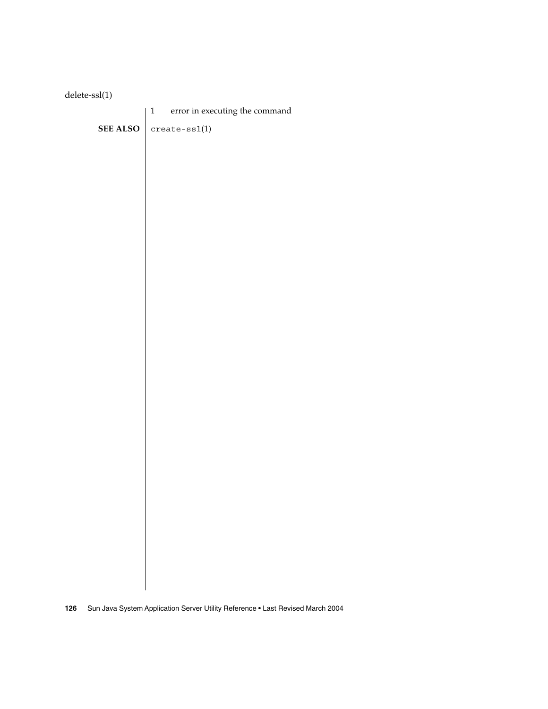delete-ssl(1)

| 1 error in executing the command  $\textbf{SEE\;ALSO}\parallel \text{create-ssl(1)}$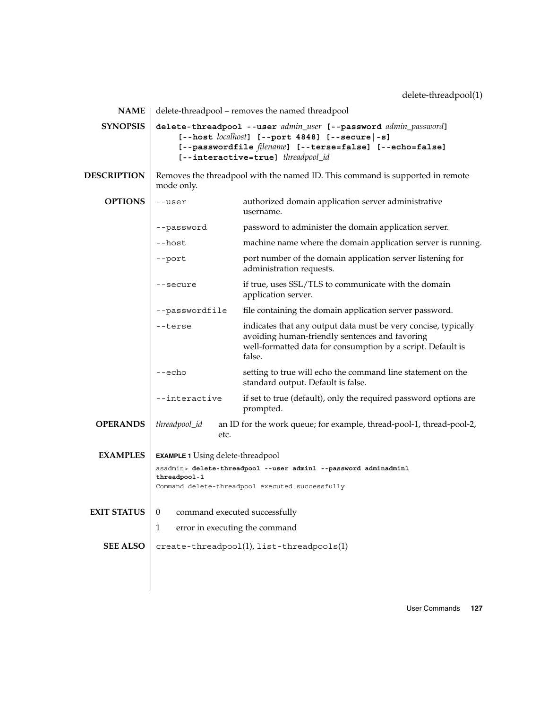| <b>NAME</b>        | delete-threadpool – removes the named threadpool                                                                                                                                                                                                             |                                                                                        |  |
|--------------------|--------------------------------------------------------------------------------------------------------------------------------------------------------------------------------------------------------------------------------------------------------------|----------------------------------------------------------------------------------------|--|
| <b>SYNOPSIS</b>    | delete-threadpool --user admin_user [--password admin_password]<br>$[- - \text{host localhost}]$ $[- - \text{port 4848}]$ $[- - \text{secure} - \text{s}]$<br>[--passwordfile filename] [--terse=false] [--echo=false]<br>[--interactive=true] threadpool_id |                                                                                        |  |
| <b>DESCRIPTION</b> | Removes the threadpool with the named ID. This command is supported in remote<br>mode only.                                                                                                                                                                  |                                                                                        |  |
| <b>OPTIONS</b>     | --user                                                                                                                                                                                                                                                       | authorized domain application server administrative<br>username.                       |  |
|                    | --password                                                                                                                                                                                                                                                   | password to administer the domain application server.                                  |  |
|                    | --host                                                                                                                                                                                                                                                       | machine name where the domain application server is running.                           |  |
|                    | --port                                                                                                                                                                                                                                                       | port number of the domain application server listening for<br>administration requests. |  |
|                    | --secure                                                                                                                                                                                                                                                     | if true, uses SSL/TLS to communicate with the domain<br>application server.            |  |
|                    | file containing the domain application server password.<br>--passwordfile                                                                                                                                                                                    |                                                                                        |  |
|                    | indicates that any output data must be very concise, typically<br>--terse<br>avoiding human-friendly sentences and favoring<br>well-formatted data for consumption by a script. Default is<br>false.                                                         |                                                                                        |  |
|                    | --echo<br>setting to true will echo the command line statement on the<br>standard output. Default is false.                                                                                                                                                  |                                                                                        |  |
|                    | --interactive                                                                                                                                                                                                                                                | if set to true (default), only the required password options are<br>prompted.          |  |
| <b>OPERANDS</b>    | threadpool_id<br>etc.                                                                                                                                                                                                                                        | an ID for the work queue; for example, thread-pool-1, thread-pool-2,                   |  |
| <b>EXAMPLES</b>    | <b>EXAMPLE 1 Using delete-threadpool</b>                                                                                                                                                                                                                     |                                                                                        |  |
|                    | asadmin> delete-threadpool --user admin1 --password adminadmin1<br>threadpool-1                                                                                                                                                                              |                                                                                        |  |
|                    | Command delete-threadpool executed successfully                                                                                                                                                                                                              |                                                                                        |  |
| <b>EXIT STATUS</b> | command executed successfully<br>$\mathbf{0}$                                                                                                                                                                                                                |                                                                                        |  |
|                    | error in executing the command<br>$\mathbf{1}$                                                                                                                                                                                                               |                                                                                        |  |
| <b>SEE ALSO</b>    |                                                                                                                                                                                                                                                              | $create-threadpool(1), list-threadpool(s(1))$                                          |  |
|                    |                                                                                                                                                                                                                                                              |                                                                                        |  |
|                    |                                                                                                                                                                                                                                                              |                                                                                        |  |
|                    |                                                                                                                                                                                                                                                              |                                                                                        |  |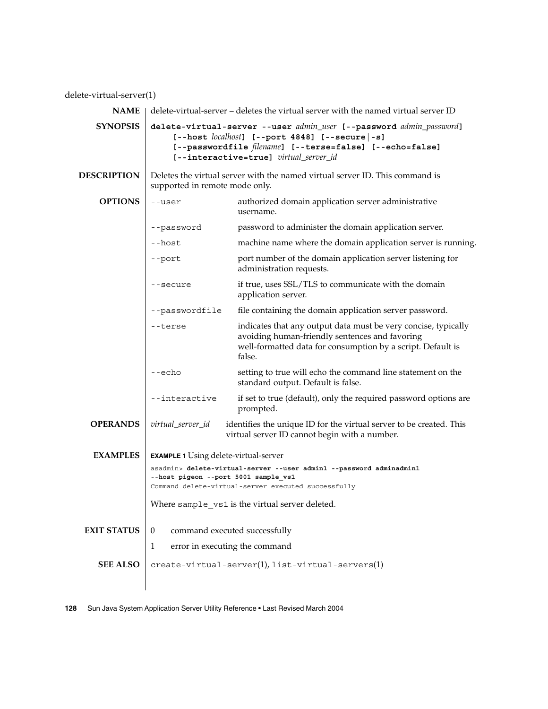delete-virtual-server(1)

| <b>NAME</b>        | delete-virtual-server - deletes the virtual server with the named virtual server ID                                                                                                                                                                                  |                                                                                                                                                                                           |  |
|--------------------|----------------------------------------------------------------------------------------------------------------------------------------------------------------------------------------------------------------------------------------------------------------------|-------------------------------------------------------------------------------------------------------------------------------------------------------------------------------------------|--|
| <b>SYNOPSIS</b>    | delete-virtual-server --user admin_user [--password admin_password]<br>$[- - \text{host localhost}]$ $[- - \text{port 4848}]$ $[- - \text{secure} - \text{s}]$<br>[--passwordfile filename] [--terse=false] [--echo=false]<br>[--interactive=true] virtual_server_id |                                                                                                                                                                                           |  |
| <b>DESCRIPTION</b> | Deletes the virtual server with the named virtual server ID. This command is<br>supported in remote mode only.                                                                                                                                                       |                                                                                                                                                                                           |  |
| <b>OPTIONS</b>     | --user                                                                                                                                                                                                                                                               | authorized domain application server administrative<br>username.                                                                                                                          |  |
|                    | --password                                                                                                                                                                                                                                                           | password to administer the domain application server.                                                                                                                                     |  |
|                    | --host                                                                                                                                                                                                                                                               | machine name where the domain application server is running.                                                                                                                              |  |
|                    | --port                                                                                                                                                                                                                                                               | port number of the domain application server listening for<br>administration requests.                                                                                                    |  |
|                    | --secure                                                                                                                                                                                                                                                             | if true, uses SSL/TLS to communicate with the domain<br>application server.                                                                                                               |  |
|                    | --passwordfile                                                                                                                                                                                                                                                       | file containing the domain application server password.                                                                                                                                   |  |
|                    | --terse                                                                                                                                                                                                                                                              | indicates that any output data must be very concise, typically<br>avoiding human-friendly sentences and favoring<br>well-formatted data for consumption by a script. Default is<br>false. |  |
|                    | --echo                                                                                                                                                                                                                                                               | setting to true will echo the command line statement on the<br>standard output. Default is false.                                                                                         |  |
|                    | --interactive                                                                                                                                                                                                                                                        | if set to true (default), only the required password options are<br>prompted.                                                                                                             |  |
| <b>OPERANDS</b>    | virtual_server_id                                                                                                                                                                                                                                                    | identifies the unique ID for the virtual server to be created. This<br>virtual server ID cannot begin with a number.                                                                      |  |
| <b>EXAMPLES</b>    | <b>EXAMPLE 1 Using delete-virtual-server</b>                                                                                                                                                                                                                         |                                                                                                                                                                                           |  |
|                    | asadmin> delete-virtual-server --user admin1 --password adminadmin1<br>--host pigeon --port 5001 sample vs1<br>Command delete-virtual-server executed successfully                                                                                                   |                                                                                                                                                                                           |  |
|                    | Where sample_vs1 is the virtual server deleted.                                                                                                                                                                                                                      |                                                                                                                                                                                           |  |
| <b>EXIT STATUS</b> | command executed successfully<br>$\mathbf{0}$                                                                                                                                                                                                                        |                                                                                                                                                                                           |  |
|                    | error in executing the command<br>$\mathbf{1}$                                                                                                                                                                                                                       |                                                                                                                                                                                           |  |
| <b>SEE ALSO</b>    |                                                                                                                                                                                                                                                                      | $create-virtual-server(1), list-virtual-server(1)$                                                                                                                                        |  |
|                    |                                                                                                                                                                                                                                                                      |                                                                                                                                                                                           |  |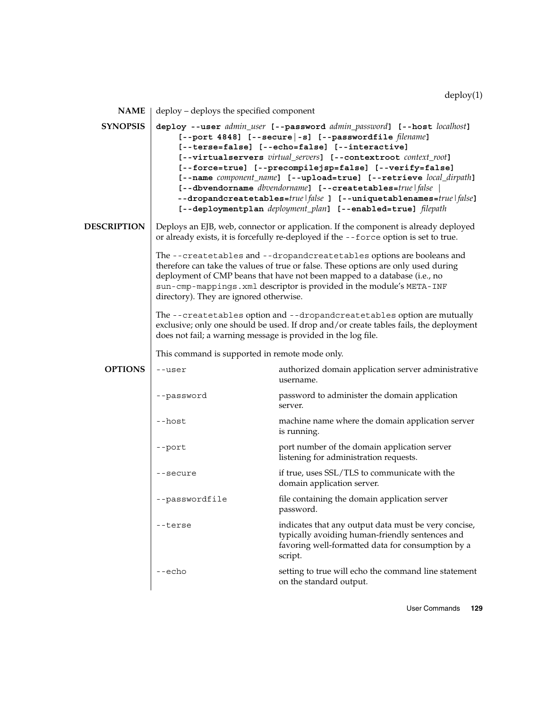deploy(1)

| <b>NAME</b>        | deploy - deploys the specified component                                                                                                                                                                                                                                                                                                                                                                                                                                                                                                                                                        |                                                                                                                                                                                                                                                                                                                                                             |  |  |
|--------------------|-------------------------------------------------------------------------------------------------------------------------------------------------------------------------------------------------------------------------------------------------------------------------------------------------------------------------------------------------------------------------------------------------------------------------------------------------------------------------------------------------------------------------------------------------------------------------------------------------|-------------------------------------------------------------------------------------------------------------------------------------------------------------------------------------------------------------------------------------------------------------------------------------------------------------------------------------------------------------|--|--|
| <b>SYNOPSIS</b>    | deploy --user admin_user [--password admin_password] [--host localhost]<br>[--port 4848] [--secure  -s] [--passwordfile filename]<br>[--terse=false] [--echo=false] [--interactive]<br>[--virtualservers virtual_servers] [--contextroot context_root]<br>[--force=true] [--precompilejsp=false] [--verify=false]<br>[--name component_name] [--upload=true] [--retrieve local_dirpath]<br>[--dbvendorname dbvendorname] [--createtables=true   false<br>--dropandcreatetables=true   false ] [--uniquetablenames=true   false]<br>[--deploymentplan deployment_plan] [--enabled=true] filepath |                                                                                                                                                                                                                                                                                                                                                             |  |  |
| <b>DESCRIPTION</b> | Deploys an EJB, web, connector or application. If the component is already deployed<br>or already exists, it is forcefully re-deployed if the --force option is set to true.                                                                                                                                                                                                                                                                                                                                                                                                                    |                                                                                                                                                                                                                                                                                                                                                             |  |  |
|                    |                                                                                                                                                                                                                                                                                                                                                                                                                                                                                                                                                                                                 | The --createtables and --dropandcreatetables options are booleans and<br>therefore can take the values of true or false. These options are only used during<br>deployment of CMP beans that have not been mapped to a database (i.e., no<br>sun-cmp-mappings.xml descriptor is provided in the module's META-INF<br>directory). They are ignored otherwise. |  |  |
|                    | The --createtables option and --dropandcreatetables option are mutually<br>exclusive; only one should be used. If drop and/or create tables fails, the deployment<br>does not fail; a warning message is provided in the log file.                                                                                                                                                                                                                                                                                                                                                              |                                                                                                                                                                                                                                                                                                                                                             |  |  |
|                    | This command is supported in remote mode only.                                                                                                                                                                                                                                                                                                                                                                                                                                                                                                                                                  |                                                                                                                                                                                                                                                                                                                                                             |  |  |
| <b>OPTIONS</b>     | --user                                                                                                                                                                                                                                                                                                                                                                                                                                                                                                                                                                                          | authorized domain application server administrative                                                                                                                                                                                                                                                                                                         |  |  |
|                    |                                                                                                                                                                                                                                                                                                                                                                                                                                                                                                                                                                                                 | username.                                                                                                                                                                                                                                                                                                                                                   |  |  |
|                    | --password                                                                                                                                                                                                                                                                                                                                                                                                                                                                                                                                                                                      | password to administer the domain application<br>server.                                                                                                                                                                                                                                                                                                    |  |  |
|                    | --host                                                                                                                                                                                                                                                                                                                                                                                                                                                                                                                                                                                          | machine name where the domain application server<br>is running.                                                                                                                                                                                                                                                                                             |  |  |
|                    | --port                                                                                                                                                                                                                                                                                                                                                                                                                                                                                                                                                                                          | port number of the domain application server<br>listening for administration requests.                                                                                                                                                                                                                                                                      |  |  |
|                    | --secure                                                                                                                                                                                                                                                                                                                                                                                                                                                                                                                                                                                        | if true, uses SSL/TLS to communicate with the<br>domain application server.                                                                                                                                                                                                                                                                                 |  |  |
|                    | --passwordfile                                                                                                                                                                                                                                                                                                                                                                                                                                                                                                                                                                                  | file containing the domain application server<br>password.                                                                                                                                                                                                                                                                                                  |  |  |
|                    | --terse                                                                                                                                                                                                                                                                                                                                                                                                                                                                                                                                                                                         | indicates that any output data must be very concise,<br>typically avoiding human-friendly sentences and<br>favoring well-formatted data for consumption by a<br>script.                                                                                                                                                                                     |  |  |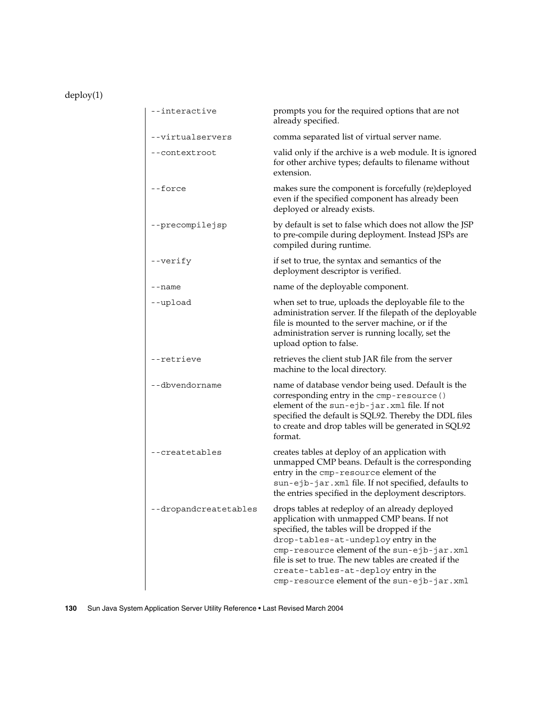# deploy(1)

| --interactive         | prompts you for the required options that are not<br>already specified.                                                                                                                                                                                                                                                                                                                |
|-----------------------|----------------------------------------------------------------------------------------------------------------------------------------------------------------------------------------------------------------------------------------------------------------------------------------------------------------------------------------------------------------------------------------|
| --virtualservers      | comma separated list of virtual server name.                                                                                                                                                                                                                                                                                                                                           |
| --contextroot         | valid only if the archive is a web module. It is ignored<br>for other archive types; defaults to filename without<br>extension.                                                                                                                                                                                                                                                        |
| --force               | makes sure the component is forcefully (re)deployed<br>even if the specified component has already been<br>deployed or already exists.                                                                                                                                                                                                                                                 |
| --precompilejsp       | by default is set to false which does not allow the JSP<br>to pre-compile during deployment. Instead JSPs are<br>compiled during runtime.                                                                                                                                                                                                                                              |
| --verify              | if set to true, the syntax and semantics of the<br>deployment descriptor is verified.                                                                                                                                                                                                                                                                                                  |
| --name                | name of the deployable component.                                                                                                                                                                                                                                                                                                                                                      |
| --upload              | when set to true, uploads the deployable file to the<br>administration server. If the filepath of the deployable<br>file is mounted to the server machine, or if the<br>administration server is running locally, set the<br>upload option to false.                                                                                                                                   |
| --retrieve            | retrieves the client stub JAR file from the server<br>machine to the local directory.                                                                                                                                                                                                                                                                                                  |
| --dbvendorname        | name of database vendor being used. Default is the<br>corresponding entry in the cmp-resource ()<br>element of the sun-ejb-jar. xml file. If not<br>specified the default is SQL92. Thereby the DDL files<br>to create and drop tables will be generated in SQL92<br>format.                                                                                                           |
| --createtables        | creates tables at deploy of an application with<br>unmapped CMP beans. Default is the corresponding<br>entry in the cmp-resource element of the<br>sun-ejb-jar.xml file. If not specified, defaults to<br>the entries specified in the deployment descriptors.                                                                                                                         |
| --dropandcreatetables | drops tables at redeploy of an already deployed<br>application with unmapped CMP beans. If not<br>specified, the tables will be dropped if the<br>drop-tables-at-undeploy entry in the<br>cmp-resource element of the sun-ejb-jar.xml<br>file is set to true. The new tables are created if the<br>create-tables-at-deploy entry in the<br>cmp-resource element of the sun-ejb-jar.xml |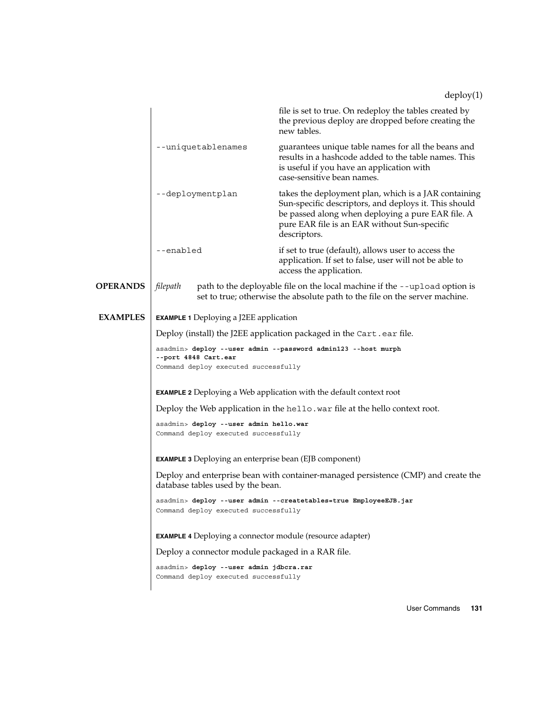|                 |                                                                                                                               |                                                                                 | file is set to true. On redeploy the tables created by<br>the previous deploy are dropped before creating the<br>new tables.                                                                                                       |
|-----------------|-------------------------------------------------------------------------------------------------------------------------------|---------------------------------------------------------------------------------|------------------------------------------------------------------------------------------------------------------------------------------------------------------------------------------------------------------------------------|
|                 |                                                                                                                               | --uniquetablenames                                                              | guarantees unique table names for all the beans and<br>results in a hashcode added to the table names. This<br>is useful if you have an application with<br>case-sensitive bean names.                                             |
|                 |                                                                                                                               | --deploymentplan                                                                | takes the deployment plan, which is a JAR containing<br>Sun-specific descriptors, and deploys it. This should<br>be passed along when deploying a pure EAR file. A<br>pure EAR file is an EAR without Sun-specific<br>descriptors. |
|                 | --enabled                                                                                                                     |                                                                                 | if set to true (default), allows user to access the<br>application. If set to false, user will not be able to<br>access the application.                                                                                           |
| <b>OPERANDS</b> | filepath                                                                                                                      |                                                                                 | path to the deployable file on the local machine if the --upload option is<br>set to true; otherwise the absolute path to the file on the server machine.                                                                          |
| <b>EXAMPLES</b> |                                                                                                                               | <b>EXAMPLE 1</b> Deploying a J2EE application                                   |                                                                                                                                                                                                                                    |
|                 |                                                                                                                               |                                                                                 | Deploy (install) the J2EE application packaged in the Cart.ear file.                                                                                                                                                               |
|                 | asadmin> deploy --user admin --password admin123 --host murph<br>--port 4848 Cart.ear<br>Command deploy executed successfully |                                                                                 |                                                                                                                                                                                                                                    |
|                 | <b>EXAMPLE 2</b> Deploying a Web application with the default context root                                                    |                                                                                 |                                                                                                                                                                                                                                    |
|                 | Deploy the Web application in the hello. war file at the hello context root.                                                  |                                                                                 |                                                                                                                                                                                                                                    |
|                 | asadmin> deploy --user admin hello.war<br>Command deploy executed successfully                                                |                                                                                 |                                                                                                                                                                                                                                    |
|                 |                                                                                                                               |                                                                                 | <b>EXAMPLE 3</b> Deploying an enterprise bean (EJB component)                                                                                                                                                                      |
|                 | Deploy and enterprise bean with container-managed persistence (CMP) and create the<br>database tables used by the bean.       |                                                                                 |                                                                                                                                                                                                                                    |
|                 |                                                                                                                               | Command deploy executed successfully                                            | asadmin> deploy --user admin --createtables=true EmployeeEJB.jar                                                                                                                                                                   |
|                 |                                                                                                                               |                                                                                 | <b>EXAMPLE 4</b> Deploying a connector module (resource adapter)                                                                                                                                                                   |
|                 |                                                                                                                               | Deploy a connector module packaged in a RAR file.                               |                                                                                                                                                                                                                                    |
|                 |                                                                                                                               | asadmin> deploy --user admin jdbcra.rar<br>Command deploy executed successfully |                                                                                                                                                                                                                                    |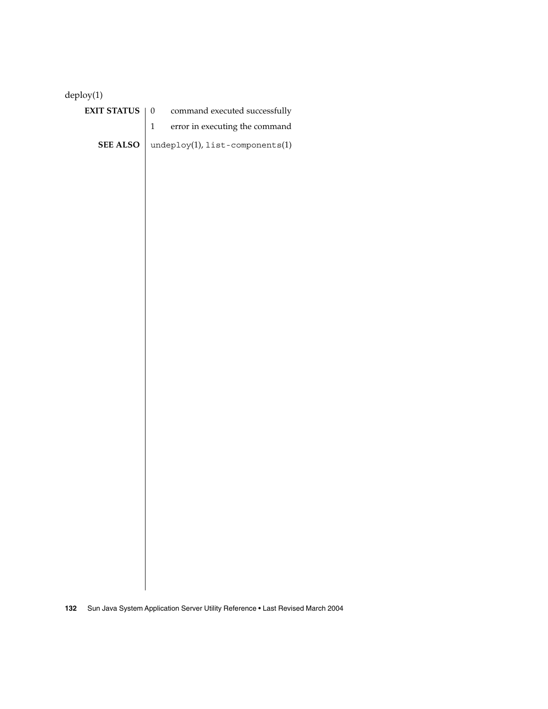| deploy(1)          |                                                   |
|--------------------|---------------------------------------------------|
| <b>EXIT STATUS</b> | command executed successfully<br>$\boldsymbol{0}$ |
|                    | error in executing the command<br>$\,1$           |
| <b>SEE ALSO</b>    | $underloy(1), list-components(1)$                 |
|                    |                                                   |
|                    |                                                   |
|                    |                                                   |
|                    |                                                   |
|                    |                                                   |
|                    |                                                   |
|                    |                                                   |
|                    |                                                   |
|                    |                                                   |
|                    |                                                   |
|                    |                                                   |
|                    |                                                   |
|                    |                                                   |
|                    |                                                   |
|                    |                                                   |
|                    |                                                   |
|                    |                                                   |
|                    |                                                   |
|                    |                                                   |
|                    |                                                   |
|                    |                                                   |
|                    |                                                   |
|                    |                                                   |
|                    |                                                   |
|                    |                                                   |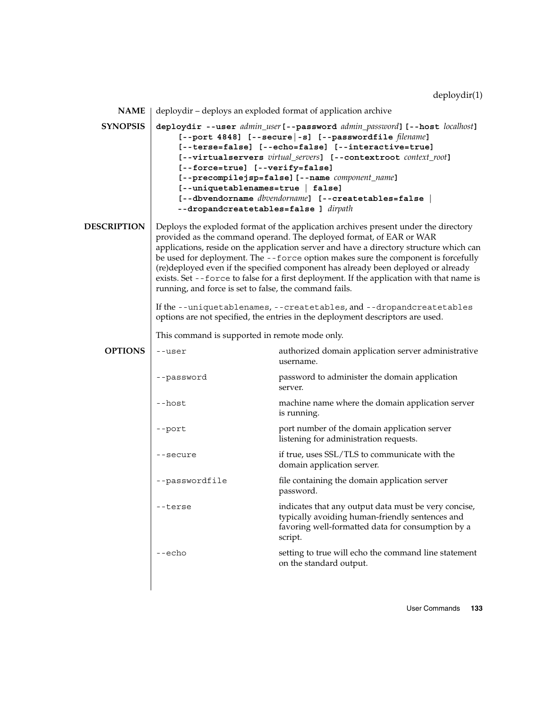deploydir(1)

| <b>NAME</b>        | deploydir – deploys an exploded format of application archive                                                                                                                                                                                                                                                                                                                                                                                                                                                                                                                          |                                                                                                                                                                         |  |
|--------------------|----------------------------------------------------------------------------------------------------------------------------------------------------------------------------------------------------------------------------------------------------------------------------------------------------------------------------------------------------------------------------------------------------------------------------------------------------------------------------------------------------------------------------------------------------------------------------------------|-------------------------------------------------------------------------------------------------------------------------------------------------------------------------|--|
| <b>SYNOPSIS</b>    | deploydir --user admin_user [--password admin_password] [--host localhost]<br>[--port 4848] [--secure  -s] [--passwordfile filename]<br>[--terse=false] [--echo=false] [--interactive=true]<br>[--virtualservers virtual_servers] [--contextroot context_root]<br>[--force=true] [--verify=false]<br>[--precompilejsp=false] [--name component_name]<br>[--uniquetablenames=true   false]<br>[--dbvendorname dbvendorname] [--createtables=false  <br>--dropandcreatetables=false ] dirpath                                                                                            |                                                                                                                                                                         |  |
| <b>DESCRIPTION</b> | Deploys the exploded format of the application archives present under the directory<br>provided as the command operand. The deployed format, of EAR or WAR<br>applications, reside on the application server and have a directory structure which can<br>be used for deployment. The --force option makes sure the component is forcefully<br>(re)deployed even if the specified component has already been deployed or already<br>exists. Set --force to false for a first deployment. If the application with that name is<br>running, and force is set to false, the command fails. |                                                                                                                                                                         |  |
|                    | If the --uniquetablenames, --createtables, and --dropandcreatetables<br>options are not specified, the entries in the deployment descriptors are used.                                                                                                                                                                                                                                                                                                                                                                                                                                 |                                                                                                                                                                         |  |
|                    | This command is supported in remote mode only.                                                                                                                                                                                                                                                                                                                                                                                                                                                                                                                                         |                                                                                                                                                                         |  |
| <b>OPTIONS</b>     | --user                                                                                                                                                                                                                                                                                                                                                                                                                                                                                                                                                                                 | authorized domain application server administrative<br>username.                                                                                                        |  |
|                    | --password                                                                                                                                                                                                                                                                                                                                                                                                                                                                                                                                                                             | password to administer the domain application<br>server.                                                                                                                |  |
|                    | --host                                                                                                                                                                                                                                                                                                                                                                                                                                                                                                                                                                                 | machine name where the domain application server<br>is running.                                                                                                         |  |
|                    | --port                                                                                                                                                                                                                                                                                                                                                                                                                                                                                                                                                                                 | port number of the domain application server<br>listening for administration requests.                                                                                  |  |
|                    | --secure                                                                                                                                                                                                                                                                                                                                                                                                                                                                                                                                                                               | if true, uses SSL/TLS to communicate with the<br>domain application server.                                                                                             |  |
|                    | --passwordfile                                                                                                                                                                                                                                                                                                                                                                                                                                                                                                                                                                         | file containing the domain application server<br>password.                                                                                                              |  |
|                    | --terse                                                                                                                                                                                                                                                                                                                                                                                                                                                                                                                                                                                | indicates that any output data must be very concise,<br>typically avoiding human-friendly sentences and<br>favoring well-formatted data for consumption by a<br>script. |  |
|                    | --echo                                                                                                                                                                                                                                                                                                                                                                                                                                                                                                                                                                                 | setting to true will echo the command line statement<br>on the standard output.                                                                                         |  |
|                    |                                                                                                                                                                                                                                                                                                                                                                                                                                                                                                                                                                                        |                                                                                                                                                                         |  |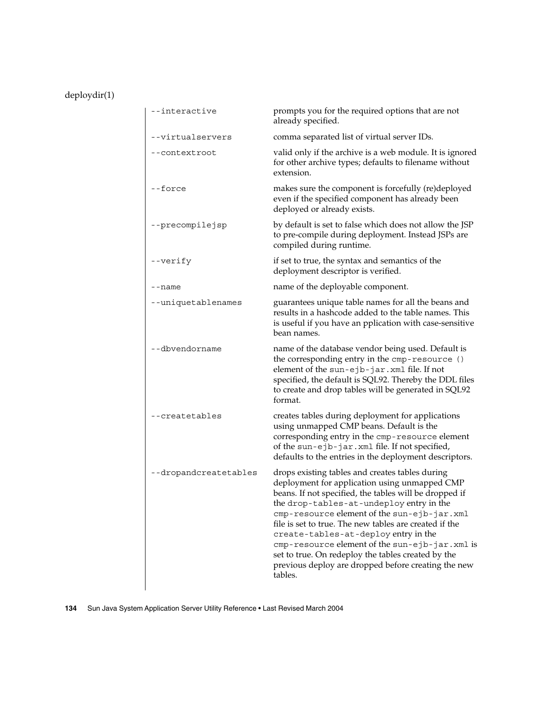# deploydir(1)

| --interactive         | prompts you for the required options that are not<br>already specified.                                                                                                                                                                                                                                                                                                                                                                                                                                                            |
|-----------------------|------------------------------------------------------------------------------------------------------------------------------------------------------------------------------------------------------------------------------------------------------------------------------------------------------------------------------------------------------------------------------------------------------------------------------------------------------------------------------------------------------------------------------------|
| --virtualservers      | comma separated list of virtual server IDs.                                                                                                                                                                                                                                                                                                                                                                                                                                                                                        |
| --contextroot         | valid only if the archive is a web module. It is ignored<br>for other archive types; defaults to filename without<br>extension.                                                                                                                                                                                                                                                                                                                                                                                                    |
| --force               | makes sure the component is forcefully (re)deployed<br>even if the specified component has already been<br>deployed or already exists.                                                                                                                                                                                                                                                                                                                                                                                             |
| --precompilejsp       | by default is set to false which does not allow the JSP<br>to pre-compile during deployment. Instead JSPs are<br>compiled during runtime.                                                                                                                                                                                                                                                                                                                                                                                          |
| --verify              | if set to true, the syntax and semantics of the<br>deployment descriptor is verified.                                                                                                                                                                                                                                                                                                                                                                                                                                              |
| --name                | name of the deployable component.                                                                                                                                                                                                                                                                                                                                                                                                                                                                                                  |
| --uniquetablenames    | guarantees unique table names for all the beans and<br>results in a hashcode added to the table names. This<br>is useful if you have an pplication with case-sensitive<br>bean names.                                                                                                                                                                                                                                                                                                                                              |
| --dbvendorname        | name of the database vendor being used. Default is<br>the corresponding entry in the cmp-resource ()<br>element of the sun-ejb-jar. xml file. If not<br>specified, the default is SQL92. Thereby the DDL files<br>to create and drop tables will be generated in SQL92<br>format.                                                                                                                                                                                                                                                  |
| --createtables        | creates tables during deployment for applications<br>using unmapped CMP beans. Default is the<br>corresponding entry in the cmp-resource element<br>of the sun-ejb-jar.xml file. If not specified,<br>defaults to the entries in the deployment descriptors.                                                                                                                                                                                                                                                                       |
| --dropandcreatetables | drops existing tables and creates tables during<br>deployment for application using unmapped CMP<br>beans. If not specified, the tables will be dropped if<br>the drop-tables-at-undeploy entry in the<br>cmp-resource element of the sun-ejb-jar.xml<br>file is set to true. The new tables are created if the<br>create-tables-at-deploy entry in the<br>cmp-resource element of the sun-ejb-jar. xml is<br>set to true. On redeploy the tables created by the<br>previous deploy are dropped before creating the new<br>tables. |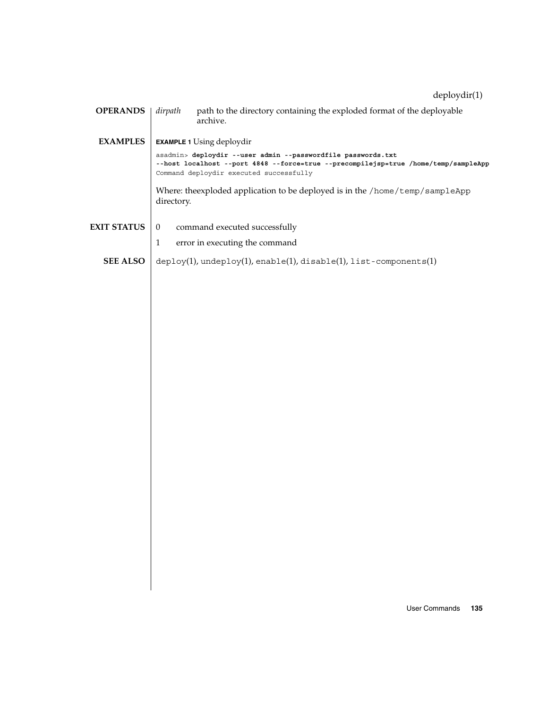deploydir(1)

| <b>OPERANDS</b>    | dirpath<br>path to the directory containing the exploded format of the deployable<br>archive.                                  |  |  |  |  |
|--------------------|--------------------------------------------------------------------------------------------------------------------------------|--|--|--|--|
| <b>EXAMPLES</b>    | <b>EXAMPLE 1 Using deploydir</b>                                                                                               |  |  |  |  |
|                    | asadmin> deploydir --user admin --passwordfile passwords.txt                                                                   |  |  |  |  |
|                    | --host localhost --port 4848 --force=true --precompilejsp=true /home/temp/sampleApp<br>Command deploydir executed successfully |  |  |  |  |
|                    | Where: theexploded application to be deployed is in the /home/temp/sampleApp<br>directory.                                     |  |  |  |  |
| <b>EXIT STATUS</b> | command executed successfully<br>$\boldsymbol{0}$                                                                              |  |  |  |  |
|                    | $\mathbf{1}$<br>error in executing the command                                                                                 |  |  |  |  |
| <b>SEE ALSO</b>    | deploy(1), undeploy(1), enable(1), disable(1), list-components(1)                                                              |  |  |  |  |
|                    |                                                                                                                                |  |  |  |  |
|                    |                                                                                                                                |  |  |  |  |
|                    |                                                                                                                                |  |  |  |  |
|                    |                                                                                                                                |  |  |  |  |
|                    |                                                                                                                                |  |  |  |  |
|                    |                                                                                                                                |  |  |  |  |
|                    |                                                                                                                                |  |  |  |  |
|                    |                                                                                                                                |  |  |  |  |
|                    |                                                                                                                                |  |  |  |  |
|                    |                                                                                                                                |  |  |  |  |
|                    |                                                                                                                                |  |  |  |  |
|                    |                                                                                                                                |  |  |  |  |
|                    |                                                                                                                                |  |  |  |  |
|                    |                                                                                                                                |  |  |  |  |
|                    |                                                                                                                                |  |  |  |  |
|                    |                                                                                                                                |  |  |  |  |
|                    |                                                                                                                                |  |  |  |  |
|                    |                                                                                                                                |  |  |  |  |
|                    |                                                                                                                                |  |  |  |  |
|                    |                                                                                                                                |  |  |  |  |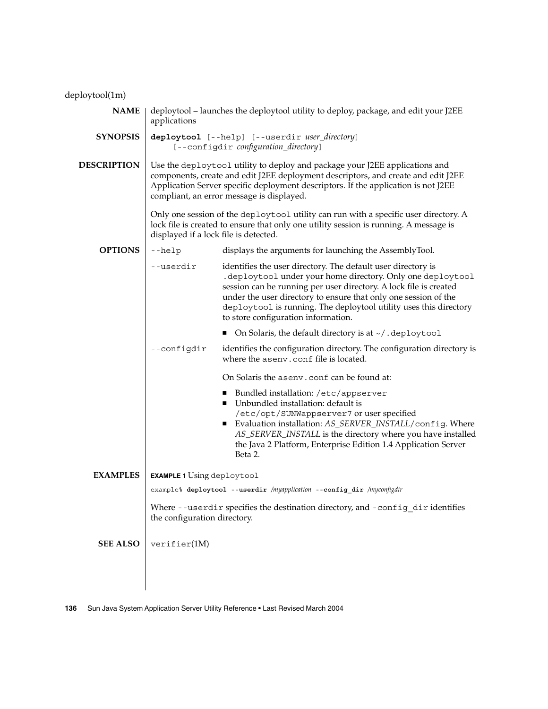# deploytool(1m)

| <b>NAME</b>        | deploytool - launches the deploytool utility to deploy, package, and edit your J2EE<br>applications |                                                                                                                                                                                                                                                                                                                                                                                |  |
|--------------------|-----------------------------------------------------------------------------------------------------|--------------------------------------------------------------------------------------------------------------------------------------------------------------------------------------------------------------------------------------------------------------------------------------------------------------------------------------------------------------------------------|--|
| <b>SYNOPSIS</b>    | deploytool [--help] [--userdir user_directory]<br>[--configdir configuration_directory]             |                                                                                                                                                                                                                                                                                                                                                                                |  |
| <b>DESCRIPTION</b> |                                                                                                     | Use the deploytool utility to deploy and package your J2EE applications and<br>components, create and edit J2EE deployment descriptors, and create and edit J2EE<br>Application Server specific deployment descriptors. If the application is not J2EE<br>compliant, an error message is displayed.                                                                            |  |
|                    | displayed if a lock file is detected.                                                               | Only one session of the deploytool utility can run with a specific user directory. A<br>lock file is created to ensure that only one utility session is running. A message is                                                                                                                                                                                                  |  |
| <b>OPTIONS</b>     | --help                                                                                              | displays the arguments for launching the AssemblyTool.                                                                                                                                                                                                                                                                                                                         |  |
|                    | --userdir                                                                                           | identifies the user directory. The default user directory is<br>.deploytool under your home directory. Only one deploytool<br>session can be running per user directory. A lock file is created<br>under the user directory to ensure that only one session of the<br>deploytool is running. The deploytool utility uses this directory<br>to store configuration information. |  |
|                    |                                                                                                     | ■ On Solaris, the default directory is at ~/. deploytool                                                                                                                                                                                                                                                                                                                       |  |
|                    | --configdir                                                                                         | identifies the configuration directory. The configuration directory is<br>where the asenv.conf file is located.                                                                                                                                                                                                                                                                |  |
|                    |                                                                                                     | On Solaris the asenv. conf can be found at:                                                                                                                                                                                                                                                                                                                                    |  |
|                    |                                                                                                     | ■ Bundled installation: /etc/appserver<br>■ Unbundled installation: default is<br>/etc/opt/SUNWappserver7 or user specified<br>Evaluation installation: AS_SERVER_INSTALL/config. Where<br>ш<br>AS_SERVER_INSTALL is the directory where you have installed<br>the Java 2 Platform, Enterprise Edition 1.4 Application Server<br>Beta 2.                                       |  |
| <b>EXAMPLES</b>    | <b>EXAMPLE 1 Using deploytool</b>                                                                   |                                                                                                                                                                                                                                                                                                                                                                                |  |
|                    |                                                                                                     | example% deploytool --userdir /myapplication --config_dir /myconfigdir                                                                                                                                                                                                                                                                                                         |  |
|                    | the configuration directory.                                                                        | Where --userdir specifies the destination directory, and -config diridentifies                                                                                                                                                                                                                                                                                                 |  |
| <b>SEE ALSO</b>    | verifier(1M)                                                                                        |                                                                                                                                                                                                                                                                                                                                                                                |  |
|                    |                                                                                                     |                                                                                                                                                                                                                                                                                                                                                                                |  |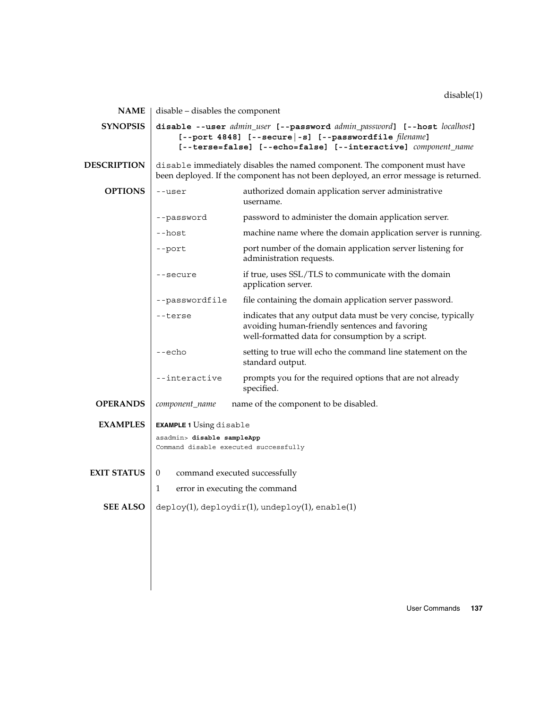disable(1)

| <b>NAME</b>        | disable – disables the component                                                                                                                                                                    |                                                                                                                                                                      |  |  |
|--------------------|-----------------------------------------------------------------------------------------------------------------------------------------------------------------------------------------------------|----------------------------------------------------------------------------------------------------------------------------------------------------------------------|--|--|
| <b>SYNOPSIS</b>    | disable --user admin_user [--password admin_password] [--host localhost]<br>[--port 4848] [--secure  -s] [--passwordfile filename]<br>[--terse=false] [--echo=false] [--interactive] component_name |                                                                                                                                                                      |  |  |
| <b>DESCRIPTION</b> |                                                                                                                                                                                                     | disable immediately disables the named component. The component must have<br>been deployed. If the component has not been deployed, an error message is returned.    |  |  |
| <b>OPTIONS</b>     | --user                                                                                                                                                                                              | authorized domain application server administrative<br>username.                                                                                                     |  |  |
|                    | --password                                                                                                                                                                                          | password to administer the domain application server.                                                                                                                |  |  |
|                    | --host                                                                                                                                                                                              | machine name where the domain application server is running.                                                                                                         |  |  |
|                    | --port                                                                                                                                                                                              | port number of the domain application server listening for<br>administration requests.                                                                               |  |  |
|                    | --secure                                                                                                                                                                                            | if true, uses SSL/TLS to communicate with the domain<br>application server.                                                                                          |  |  |
|                    | --passwordfile                                                                                                                                                                                      | file containing the domain application server password.                                                                                                              |  |  |
|                    | --terse                                                                                                                                                                                             | indicates that any output data must be very concise, typically<br>avoiding human-friendly sentences and favoring<br>well-formatted data for consumption by a script. |  |  |
|                    | --echo                                                                                                                                                                                              | setting to true will echo the command line statement on the<br>standard output.                                                                                      |  |  |
|                    | --interactive                                                                                                                                                                                       | prompts you for the required options that are not already<br>specified.                                                                                              |  |  |
| <b>OPERANDS</b>    | name of the component to be disabled.<br>component_name                                                                                                                                             |                                                                                                                                                                      |  |  |
| <b>EXAMPLES</b>    | <b>EXAMPLE 1 Using disable</b>                                                                                                                                                                      |                                                                                                                                                                      |  |  |
|                    | asadmin> disable sampleApp<br>Command disable executed successfully                                                                                                                                 |                                                                                                                                                                      |  |  |
| <b>EXIT STATUS</b> | command executed successfully<br>$\theta$                                                                                                                                                           |                                                                                                                                                                      |  |  |
|                    | 1<br>error in executing the command                                                                                                                                                                 |                                                                                                                                                                      |  |  |
| <b>SEE ALSO</b>    |                                                                                                                                                                                                     | deploy(1), deploydir(1), undeploy(1), enable(1)                                                                                                                      |  |  |
|                    |                                                                                                                                                                                                     |                                                                                                                                                                      |  |  |
|                    |                                                                                                                                                                                                     |                                                                                                                                                                      |  |  |
|                    |                                                                                                                                                                                                     |                                                                                                                                                                      |  |  |
|                    |                                                                                                                                                                                                     |                                                                                                                                                                      |  |  |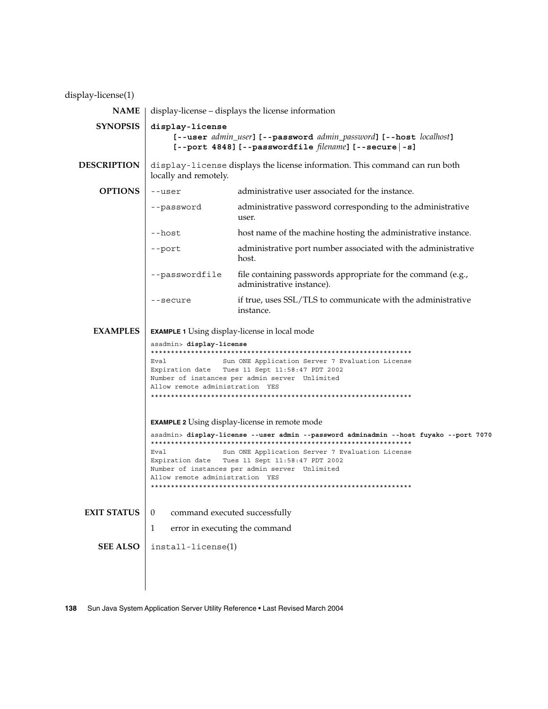display-license(1)

| <b>NAME</b>        | display-license - displays the license information                                                                                              |                                                                                           |  |
|--------------------|-------------------------------------------------------------------------------------------------------------------------------------------------|-------------------------------------------------------------------------------------------|--|
| <b>SYNOPSIS</b>    | display-license<br>[--user admin_user] [--password admin_password] [--host localhost]<br>[--port 4848] [--passwordfile filename] [--secure  -s] |                                                                                           |  |
| <b>DESCRIPTION</b> | display-license displays the license information. This command can run both<br>locally and remotely.                                            |                                                                                           |  |
| <b>OPTIONS</b>     | --user                                                                                                                                          | administrative user associated for the instance.                                          |  |
|                    | --password                                                                                                                                      | administrative password corresponding to the administrative<br>user.                      |  |
|                    | --host                                                                                                                                          | host name of the machine hosting the administrative instance.                             |  |
|                    | --port                                                                                                                                          | administrative port number associated with the administrative<br>host.                    |  |
|                    | --passwordfile                                                                                                                                  | file containing passwords appropriate for the command (e.g.,<br>administrative instance). |  |
|                    | --secure                                                                                                                                        | if true, uses SSL/TLS to communicate with the administrative<br>instance.                 |  |
| <b>EXAMPLES</b>    |                                                                                                                                                 | <b>EXAMPLE 1</b> Using display-license in local mode                                      |  |
|                    | asadmin> display-license                                                                                                                        |                                                                                           |  |
|                    | Eval                                                                                                                                            | Sun ONE Application Server 7 Evaluation License                                           |  |
|                    | Expiration date<br>Tues 11 Sept 11:58:47 PDT 2002<br>Number of instances per admin server Unlimited<br>Allow remote administration YES          |                                                                                           |  |
|                    |                                                                                                                                                 |                                                                                           |  |
|                    |                                                                                                                                                 |                                                                                           |  |
|                    | <b>EXAMPLE 2</b> Using display-license in remote mode                                                                                           |                                                                                           |  |
|                    | asadmin> display-license --user admin --password adminadmin --host fuyako --port 7070                                                           |                                                                                           |  |
|                    | Eval<br>Sun ONE Application Server 7 Evaluation License                                                                                         |                                                                                           |  |
|                    | Expiration date<br>Tues 11 Sept 11:58:47 PDT 2002                                                                                               |                                                                                           |  |
|                    | Allow remote administration YES                                                                                                                 | Number of instances per admin server Unlimited                                            |  |
|                    |                                                                                                                                                 |                                                                                           |  |
| <b>EXIT STATUS</b> | $\mathbf{0}$                                                                                                                                    |                                                                                           |  |
|                    | command executed successfully<br>error in executing the command<br>1                                                                            |                                                                                           |  |
|                    |                                                                                                                                                 |                                                                                           |  |
| <b>SEE ALSO</b>    | install-license(1)                                                                                                                              |                                                                                           |  |
|                    |                                                                                                                                                 |                                                                                           |  |
|                    |                                                                                                                                                 |                                                                                           |  |
|                    |                                                                                                                                                 |                                                                                           |  |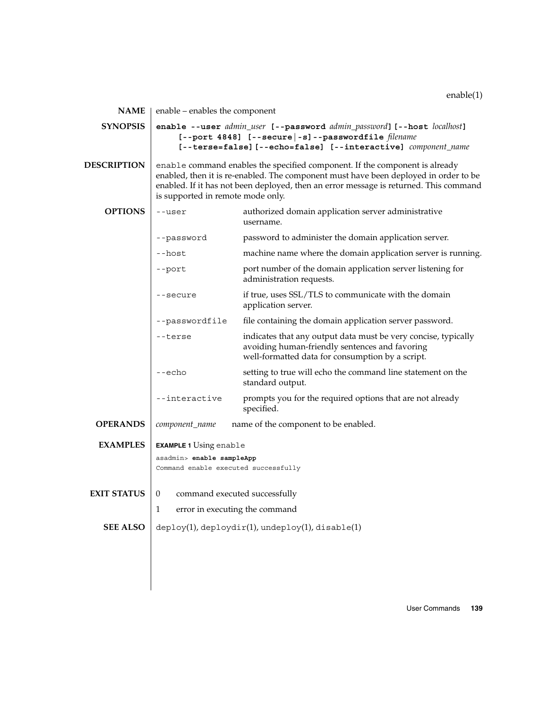enable(1)

| <b>NAME</b>        | enable - enables the component                                                                                                                                                                                                                                                                    |                                                                                                                                                                      |  |  |
|--------------------|---------------------------------------------------------------------------------------------------------------------------------------------------------------------------------------------------------------------------------------------------------------------------------------------------|----------------------------------------------------------------------------------------------------------------------------------------------------------------------|--|--|
| <b>SYNOPSIS</b>    | enable --user admin_user [--password admin_password] [--host localhost]<br>[--port 4848] [--secure   -s] --passwordfile filename<br>[--terse=false] [--echo=false] [--interactive] component_name                                                                                                 |                                                                                                                                                                      |  |  |
| <b>DESCRIPTION</b> | enable command enables the specified component. If the component is already<br>enabled, then it is re-enabled. The component must have been deployed in order to be<br>enabled. If it has not been deployed, then an error message is returned. This command<br>is supported in remote mode only. |                                                                                                                                                                      |  |  |
| <b>OPTIONS</b>     | authorized domain application server administrative<br>--user<br>username.                                                                                                                                                                                                                        |                                                                                                                                                                      |  |  |
|                    | --password                                                                                                                                                                                                                                                                                        | password to administer the domain application server.                                                                                                                |  |  |
|                    | --host                                                                                                                                                                                                                                                                                            | machine name where the domain application server is running.                                                                                                         |  |  |
|                    | --port                                                                                                                                                                                                                                                                                            | port number of the domain application server listening for<br>administration requests.                                                                               |  |  |
|                    | if true, uses SSL/TLS to communicate with the domain<br>--secure<br>application server.                                                                                                                                                                                                           |                                                                                                                                                                      |  |  |
|                    | --passwordfile<br>file containing the domain application server password.                                                                                                                                                                                                                         |                                                                                                                                                                      |  |  |
|                    | --terse                                                                                                                                                                                                                                                                                           | indicates that any output data must be very concise, typically<br>avoiding human-friendly sentences and favoring<br>well-formatted data for consumption by a script. |  |  |
|                    | --echo                                                                                                                                                                                                                                                                                            | setting to true will echo the command line statement on the<br>standard output.                                                                                      |  |  |
|                    | --interactive                                                                                                                                                                                                                                                                                     | prompts you for the required options that are not already<br>specified.                                                                                              |  |  |
| <b>OPERANDS</b>    | component_name                                                                                                                                                                                                                                                                                    | name of the component to be enabled.                                                                                                                                 |  |  |
| <b>EXAMPLES</b>    | <b>EXAMPLE 1 Using enable</b>                                                                                                                                                                                                                                                                     |                                                                                                                                                                      |  |  |
|                    | asadmin> enable sampleApp                                                                                                                                                                                                                                                                         |                                                                                                                                                                      |  |  |
|                    | Command enable executed successfully                                                                                                                                                                                                                                                              |                                                                                                                                                                      |  |  |
| <b>EXIT STATUS</b> | command executed successfully<br>$\theta$                                                                                                                                                                                                                                                         |                                                                                                                                                                      |  |  |
|                    | error in executing the command<br>$\mathbf{1}$                                                                                                                                                                                                                                                    |                                                                                                                                                                      |  |  |
| <b>SEE ALSO</b>    | $deploy(1)$ , deploydir(1), undeploy(1), disable(1)                                                                                                                                                                                                                                               |                                                                                                                                                                      |  |  |
|                    |                                                                                                                                                                                                                                                                                                   |                                                                                                                                                                      |  |  |
|                    |                                                                                                                                                                                                                                                                                                   |                                                                                                                                                                      |  |  |
|                    |                                                                                                                                                                                                                                                                                                   |                                                                                                                                                                      |  |  |
|                    |                                                                                                                                                                                                                                                                                                   |                                                                                                                                                                      |  |  |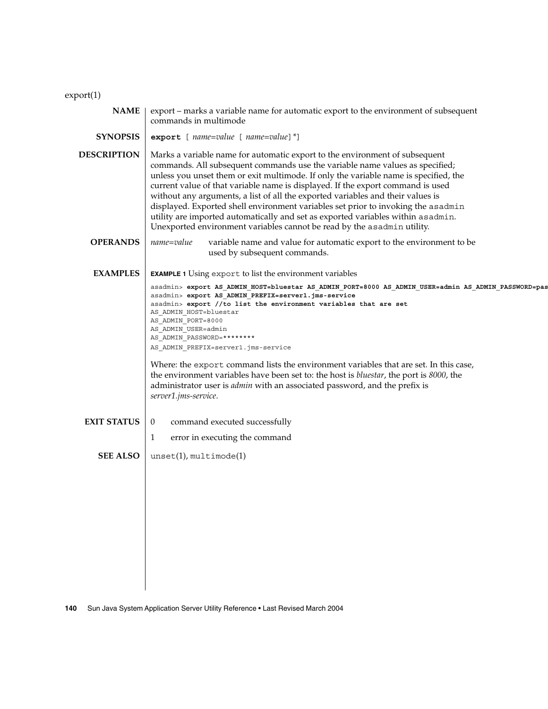#### export(1)

| export [ name=value [ name=value] *]<br>Marks a variable name for automatic export to the environment of subsequent<br>commands. All subsequent commands use the variable name values as specified;                                                                                                                                                                                                                                                                                                                                                                                                                                                                                                                                                                       |  |  |
|---------------------------------------------------------------------------------------------------------------------------------------------------------------------------------------------------------------------------------------------------------------------------------------------------------------------------------------------------------------------------------------------------------------------------------------------------------------------------------------------------------------------------------------------------------------------------------------------------------------------------------------------------------------------------------------------------------------------------------------------------------------------------|--|--|
|                                                                                                                                                                                                                                                                                                                                                                                                                                                                                                                                                                                                                                                                                                                                                                           |  |  |
| <b>DESCRIPTION</b><br>unless you unset them or exit multimode. If only the variable name is specified, the<br>current value of that variable name is displayed. If the export command is used<br>without any arguments, a list of all the exported variables and their values is<br>displayed. Exported shell environment variables set prior to invoking the asadmin<br>utility are imported automatically and set as exported variables within asadmin.<br>Unexported environment variables cannot be read by the asadmin utility.                                                                                                                                                                                                                                      |  |  |
| name=value<br>variable name and value for automatic export to the environment to be<br>used by subsequent commands.                                                                                                                                                                                                                                                                                                                                                                                                                                                                                                                                                                                                                                                       |  |  |
| <b>EXAMPLES</b><br><b>EXAMPLE 1</b> Using export to list the environment variables<br>asadmin> export AS_ADMIN_HOST=bluestar AS_ADMIN_PORT=8000 AS_ADMIN_USER=admin AS_ADMIN_PASSWORD=pas<br>asadmin> export AS ADMIN PREFIX=server1.jms-service<br>asadmin> export //to list the environment variables that are set<br>AS ADMIN HOST=bluestar<br>AS ADMIN PORT=8000<br>AS_ADMIN_USER=admin<br>AS_ADMIN_PASSWORD=********<br>AS ADMIN PREFIX=server1.jms-service<br>Where: the export command lists the environment variables that are set. In this case,<br>the environment variables have been set to: the host is <i>bluestar</i> , the port is 8000, the<br>administrator user is <i>admin</i> with an associated password, and the prefix is<br>server1.jms-service. |  |  |
| command executed successfully<br>$\overline{0}$<br>error in executing the command<br>1                                                                                                                                                                                                                                                                                                                                                                                                                                                                                                                                                                                                                                                                                    |  |  |
| $unset(1)$ , $multimode(1)$                                                                                                                                                                                                                                                                                                                                                                                                                                                                                                                                                                                                                                                                                                                                               |  |  |
|                                                                                                                                                                                                                                                                                                                                                                                                                                                                                                                                                                                                                                                                                                                                                                           |  |  |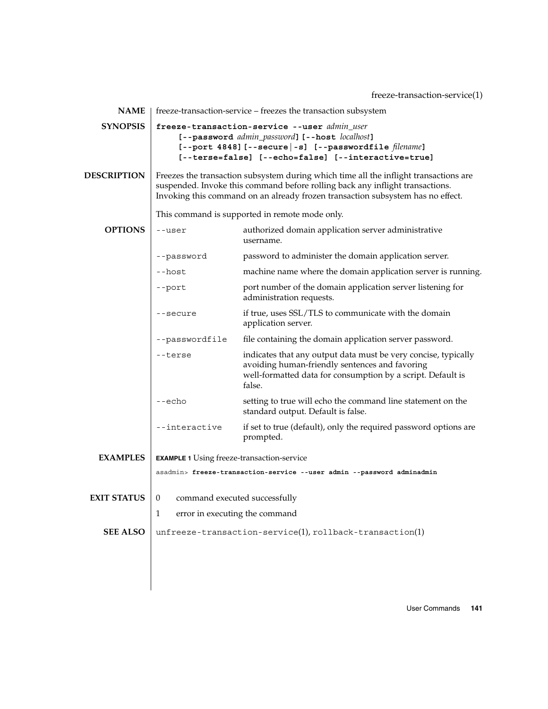freeze-transaction-service(1)

| <b>NAME</b>        | freeze-transaction-service - freezes the transaction subsystem                                                                                                                                                                                            |                                                                                                                                                                                           |  |  |  |
|--------------------|-----------------------------------------------------------------------------------------------------------------------------------------------------------------------------------------------------------------------------------------------------------|-------------------------------------------------------------------------------------------------------------------------------------------------------------------------------------------|--|--|--|
| <b>SYNOPSIS</b>    | freeze-transaction-service --user admin_user<br>[--password admin_password] [--host localhost]<br>[--port 4848] [--secure   -s] [--passwordfile filename]<br>[--terse=false] [--echo=false] [--interactive=true]                                          |                                                                                                                                                                                           |  |  |  |
| <b>DESCRIPTION</b> | Freezes the transaction subsystem during which time all the inflight transactions are<br>suspended. Invoke this command before rolling back any inflight transactions.<br>Invoking this command on an already frozen transaction subsystem has no effect. |                                                                                                                                                                                           |  |  |  |
|                    |                                                                                                                                                                                                                                                           | This command is supported in remote mode only.                                                                                                                                            |  |  |  |
| <b>OPTIONS</b>     | authorized domain application server administrative<br>--user<br>username.                                                                                                                                                                                |                                                                                                                                                                                           |  |  |  |
|                    | --password                                                                                                                                                                                                                                                | password to administer the domain application server.                                                                                                                                     |  |  |  |
|                    | --host                                                                                                                                                                                                                                                    | machine name where the domain application server is running.                                                                                                                              |  |  |  |
|                    | --port                                                                                                                                                                                                                                                    | port number of the domain application server listening for<br>administration requests.                                                                                                    |  |  |  |
|                    | if true, uses SSL/TLS to communicate with the domain<br>--secure<br>application server.                                                                                                                                                                   |                                                                                                                                                                                           |  |  |  |
|                    | --passwordfile                                                                                                                                                                                                                                            | file containing the domain application server password.                                                                                                                                   |  |  |  |
|                    | --terse                                                                                                                                                                                                                                                   | indicates that any output data must be very concise, typically<br>avoiding human-friendly sentences and favoring<br>well-formatted data for consumption by a script. Default is<br>false. |  |  |  |
|                    | --echo                                                                                                                                                                                                                                                    | setting to true will echo the command line statement on the<br>standard output. Default is false.                                                                                         |  |  |  |
|                    | --interactive                                                                                                                                                                                                                                             | if set to true (default), only the required password options are<br>prompted.                                                                                                             |  |  |  |
| <b>EXAMPLES</b>    | <b>EXAMPLE 1 Using freeze-transaction-service</b>                                                                                                                                                                                                         |                                                                                                                                                                                           |  |  |  |
|                    | asadmin> freeze-transaction-service --user admin --password adminadmin                                                                                                                                                                                    |                                                                                                                                                                                           |  |  |  |
| <b>EXIT STATUS</b> | 0<br>command executed successfully                                                                                                                                                                                                                        |                                                                                                                                                                                           |  |  |  |
|                    | error in executing the command<br>1                                                                                                                                                                                                                       |                                                                                                                                                                                           |  |  |  |
| <b>SEE ALSO</b>    | unfreeze-transaction-service(1), rollback-transaction(1)                                                                                                                                                                                                  |                                                                                                                                                                                           |  |  |  |
|                    |                                                                                                                                                                                                                                                           |                                                                                                                                                                                           |  |  |  |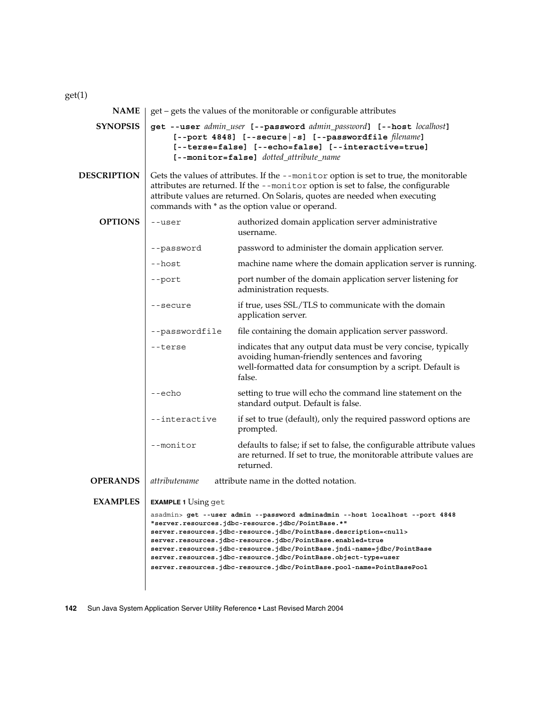get(1)

| <b>NAME</b>        | get - gets the values of the monitorable or configurable attributes                                                                                                                                                                                                                                                                                                                                                                                                                                  |                                                                                                                                                                                           |  |
|--------------------|------------------------------------------------------------------------------------------------------------------------------------------------------------------------------------------------------------------------------------------------------------------------------------------------------------------------------------------------------------------------------------------------------------------------------------------------------------------------------------------------------|-------------------------------------------------------------------------------------------------------------------------------------------------------------------------------------------|--|
| <b>SYNOPSIS</b>    | get --user admin_user [--password admin_password] [--host localhost]<br>[--port 4848] [--secure  -s] [--passwordfile filename]<br>[--terse=false] [--echo=false] [--interactive=true]<br>[--monitor=false] dotted_attribute_name                                                                                                                                                                                                                                                                     |                                                                                                                                                                                           |  |
| <b>DESCRIPTION</b> | Gets the values of attributes. If the --monitor option is set to true, the monitorable<br>attributes are returned. If the --monitor option is set to false, the configurable<br>attribute values are returned. On Solaris, quotes are needed when executing<br>commands with * as the option value or operand.                                                                                                                                                                                       |                                                                                                                                                                                           |  |
| <b>OPTIONS</b>     | --user                                                                                                                                                                                                                                                                                                                                                                                                                                                                                               | authorized domain application server administrative<br>username.                                                                                                                          |  |
|                    | --password                                                                                                                                                                                                                                                                                                                                                                                                                                                                                           | password to administer the domain application server.                                                                                                                                     |  |
|                    | --host                                                                                                                                                                                                                                                                                                                                                                                                                                                                                               | machine name where the domain application server is running.                                                                                                                              |  |
|                    | --port                                                                                                                                                                                                                                                                                                                                                                                                                                                                                               | port number of the domain application server listening for<br>administration requests.                                                                                                    |  |
|                    | --secure                                                                                                                                                                                                                                                                                                                                                                                                                                                                                             | if true, uses SSL/TLS to communicate with the domain<br>application server.                                                                                                               |  |
|                    | --passwordfile                                                                                                                                                                                                                                                                                                                                                                                                                                                                                       | file containing the domain application server password.                                                                                                                                   |  |
|                    | --terse                                                                                                                                                                                                                                                                                                                                                                                                                                                                                              | indicates that any output data must be very concise, typically<br>avoiding human-friendly sentences and favoring<br>well-formatted data for consumption by a script. Default is<br>false. |  |
|                    | --echo                                                                                                                                                                                                                                                                                                                                                                                                                                                                                               | setting to true will echo the command line statement on the<br>standard output. Default is false.                                                                                         |  |
|                    | --interactive                                                                                                                                                                                                                                                                                                                                                                                                                                                                                        | if set to true (default), only the required password options are<br>prompted.                                                                                                             |  |
|                    | --monitor                                                                                                                                                                                                                                                                                                                                                                                                                                                                                            | defaults to false; if set to false, the configurable attribute values<br>are returned. If set to true, the monitorable attribute values are<br>returned.                                  |  |
| <b>OPERANDS</b>    | attributename<br>attribute name in the dotted notation.                                                                                                                                                                                                                                                                                                                                                                                                                                              |                                                                                                                                                                                           |  |
| <b>EXAMPLES</b>    | <b>EXAMPLE 1 Using get</b>                                                                                                                                                                                                                                                                                                                                                                                                                                                                           |                                                                                                                                                                                           |  |
|                    | asadmin> get --user admin --password adminadmin --host localhost --port 4848<br>"server.resources.jdbc-resource.jdbc/PointBase.*"<br>server.resources.jdbc-resource.jdbc/PointBase.description= <null><br/>server.resources.jdbc-resource.jdbc/PointBase.enabled=true<br/>server.resources.jdbc-resource.jdbc/PointBase.jndi-name=jdbc/PointBase<br/>server.resources.jdbc-resource.jdbc/PointBase.object-type=user<br/>server.resources.jdbc-resource.jdbc/PointBase.pool-name=PointBasePool</null> |                                                                                                                                                                                           |  |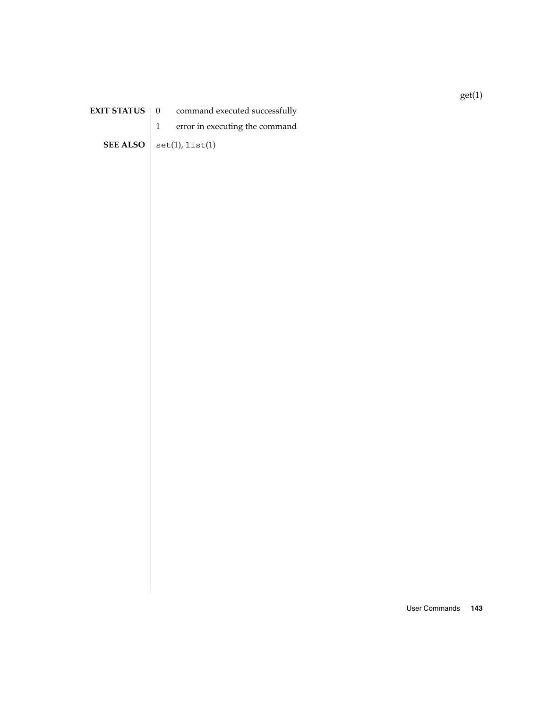| EXIT STATUS   0 | command executed successfully |  |  |
|-----------------|-------------------------------|--|--|
|                 |                               |  |  |

1 error in executing the command

 $\textbf{SEE \, ALSO} \, \mid \, \texttt{set(1)}, \, \texttt{list(1)}$ 

get(1)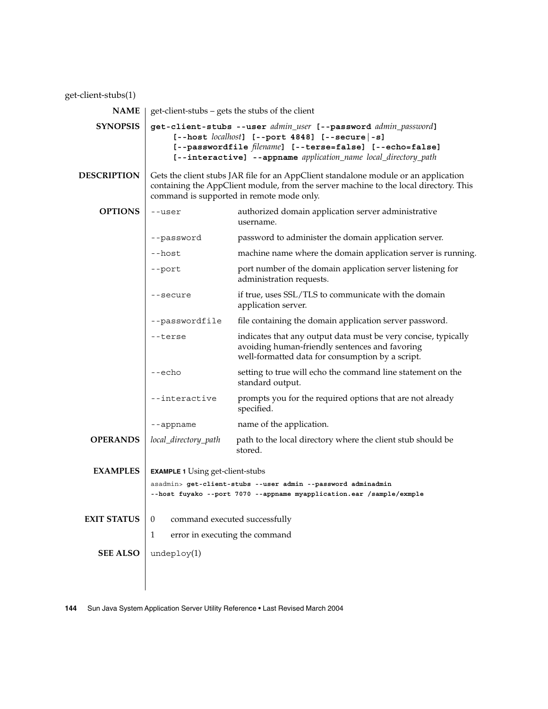| get-client-stubs(1) |                                                                                                                                                                                                                                                  |                                                                                                                                                                      |  |  |
|---------------------|--------------------------------------------------------------------------------------------------------------------------------------------------------------------------------------------------------------------------------------------------|----------------------------------------------------------------------------------------------------------------------------------------------------------------------|--|--|
| <b>NAME</b>         | get-client-stubs – gets the stubs of the client                                                                                                                                                                                                  |                                                                                                                                                                      |  |  |
| <b>SYNOPSIS</b>     | get-client-stubs --user admin_user [--password admin_password]<br>[--host localhost] [--port 4848] [--secure  -s]<br>[--passwordfile filename] [--terse=false] [--echo=false]<br>[--interactive] --appname application_name local_directory_path |                                                                                                                                                                      |  |  |
| <b>DESCRIPTION</b>  | Gets the client stubs JAR file for an AppClient standalone module or an application<br>containing the AppClient module, from the server machine to the local directory. This<br>command is supported in remote mode only.                        |                                                                                                                                                                      |  |  |
| <b>OPTIONS</b>      | authorized domain application server administrative<br>--user<br>username.                                                                                                                                                                       |                                                                                                                                                                      |  |  |
|                     | --password                                                                                                                                                                                                                                       | password to administer the domain application server.                                                                                                                |  |  |
|                     | --host                                                                                                                                                                                                                                           | machine name where the domain application server is running.                                                                                                         |  |  |
|                     | --port                                                                                                                                                                                                                                           | port number of the domain application server listening for<br>administration requests.                                                                               |  |  |
|                     | --secure                                                                                                                                                                                                                                         | if true, uses SSL/TLS to communicate with the domain<br>application server.                                                                                          |  |  |
|                     | --passwordfile                                                                                                                                                                                                                                   | file containing the domain application server password.                                                                                                              |  |  |
|                     | --terse                                                                                                                                                                                                                                          | indicates that any output data must be very concise, typically<br>avoiding human-friendly sentences and favoring<br>well-formatted data for consumption by a script. |  |  |
|                     | --echo                                                                                                                                                                                                                                           | setting to true will echo the command line statement on the<br>standard output.                                                                                      |  |  |
|                     | --interactive                                                                                                                                                                                                                                    | prompts you for the required options that are not already<br>specified.                                                                                              |  |  |
|                     | --appname                                                                                                                                                                                                                                        | name of the application.                                                                                                                                             |  |  |
| <b>OPERANDS</b>     | local_directory_path                                                                                                                                                                                                                             | path to the local directory where the client stub should be<br>stored.                                                                                               |  |  |
| <b>EXAMPLES</b>     | <b>EXAMPLE 1 Using get-client-stubs</b>                                                                                                                                                                                                          |                                                                                                                                                                      |  |  |
|                     |                                                                                                                                                                                                                                                  | asadmin> get-client-stubs --user admin --password adminadmin<br>--host fuyako --port 7070 --appname myapplication.ear /sample/exmple                                 |  |  |
| <b>EXIT STATUS</b>  | command executed successfully<br>$\overline{0}$                                                                                                                                                                                                  |                                                                                                                                                                      |  |  |
|                     | $\mathbf{1}$<br>error in executing the command                                                                                                                                                                                                   |                                                                                                                                                                      |  |  |
| <b>SEE ALSO</b>     | undeploy(1)                                                                                                                                                                                                                                      |                                                                                                                                                                      |  |  |
|                     |                                                                                                                                                                                                                                                  |                                                                                                                                                                      |  |  |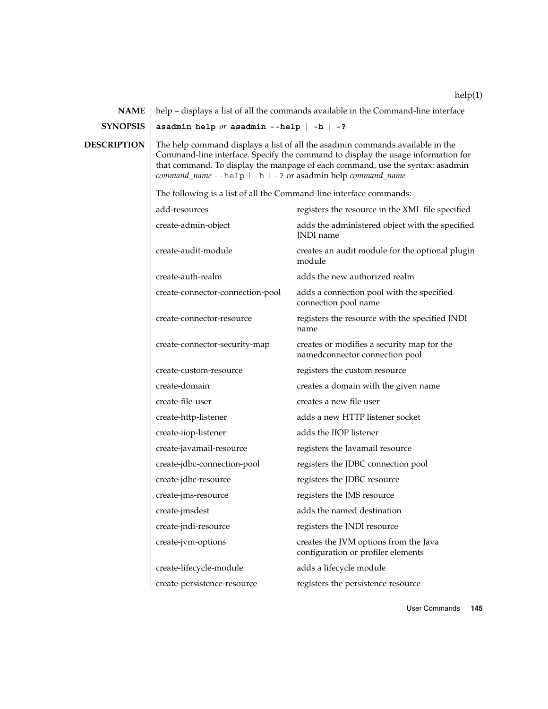help – displays a list of all the commands available in the Command-line interface **asadmin help** *or* **asadmin --help | -h | -? NAME SYNOPSIS**

The help command displays a list of all the asadmin commands available in the Command-line interface. Specify the command to display the usage information for that command. To display the manpage of each command, use the syntax: asadmin *command\_name* --help | -h | -? or asadmin help *command\_name* **DESCRIPTION**

The following is a list of all the Command-line interface commands:

| registers the resource in the XML file specified                             |
|------------------------------------------------------------------------------|
| adds the administered object with the specified<br><b>INDI</b> name          |
| creates an audit module for the optional plugin<br>module                    |
| adds the new authorized realm                                                |
| adds a connection pool with the specified<br>connection pool name            |
| registers the resource with the specified JNDI<br>name                       |
| creates or modifies a security map for the<br>namedconnector connection pool |
| registers the custom resource                                                |
| creates a domain with the given name                                         |
| creates a new file user                                                      |
| adds a new HTTP listener socket                                              |
| adds the IIOP listener                                                       |
| registers the Javamail resource                                              |
| registers the JDBC connection pool                                           |
| registers the JDBC resource                                                  |
| registers the JMS resource                                                   |
| adds the named destination                                                   |
| registers the JNDI resource                                                  |
| creates the JVM options from the Java<br>configuration or profiler elements  |
| adds a lifecycle module                                                      |
| registers the persistence resource                                           |
|                                                                              |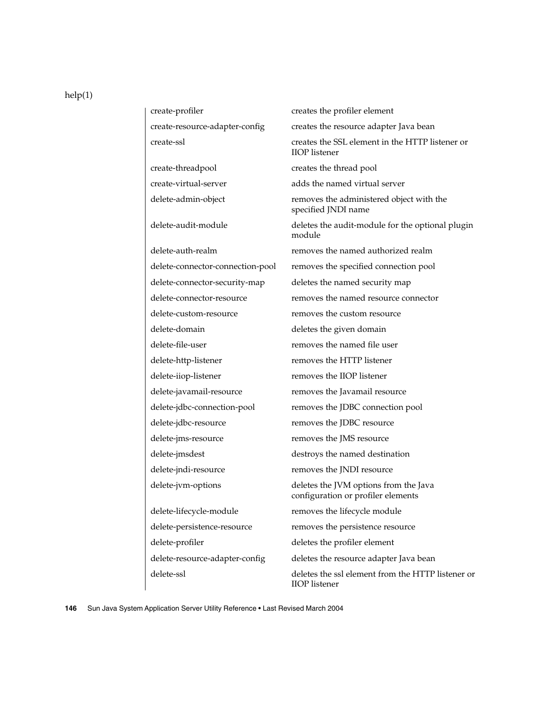# help(1)

| create-profiler                  | creates the profiler element                                                |
|----------------------------------|-----------------------------------------------------------------------------|
| create-resource-adapter-config   | creates the resource adapter Java bean                                      |
| create-ssl                       | creates the SSL element in the HTTP listener or<br><b>IIOP</b> listener     |
| create-threadpool                | creates the thread pool                                                     |
| create-virtual-server            | adds the named virtual server                                               |
| delete-admin-object              | removes the administered object with the<br>specified JNDI name             |
| delete-audit-module              | deletes the audit-module for the optional plugin<br>module                  |
| delete-auth-realm                | removes the named authorized realm                                          |
| delete-connector-connection-pool | removes the specified connection pool                                       |
| delete-connector-security-map    | deletes the named security map                                              |
| delete-connector-resource        | removes the named resource connector                                        |
| delete-custom-resource           | removes the custom resource                                                 |
| delete-domain                    | deletes the given domain                                                    |
| delete-file-user                 | removes the named file user                                                 |
| delete-http-listener             | removes the HTTP listener                                                   |
| delete-iiop-listener             | removes the IIOP listener                                                   |
| delete-javamail-resource         | removes the Javamail resource                                               |
| delete-jdbc-connection-pool      | removes the JDBC connection pool                                            |
| delete-jdbc-resource             | removes the JDBC resource                                                   |
| delete-jms-resource              | removes the JMS resource                                                    |
| delete-jmsdest                   | destroys the named destination                                              |
| delete-jndi-resource             | removes the JNDI resource                                                   |
| delete-jvm-options               | deletes the JVM options from the Java<br>configuration or profiler elements |
| delete-lifecycle-module          | removes the lifecycle module                                                |
| delete-persistence-resource      | removes the persistence resource                                            |
| delete-profiler                  | deletes the profiler element                                                |
| delete-resource-adapter-config   | deletes the resource adapter Java bean                                      |
| delete-ssl                       | deletes the ssl element from the HTTP listener or<br><b>IIOP</b> listener   |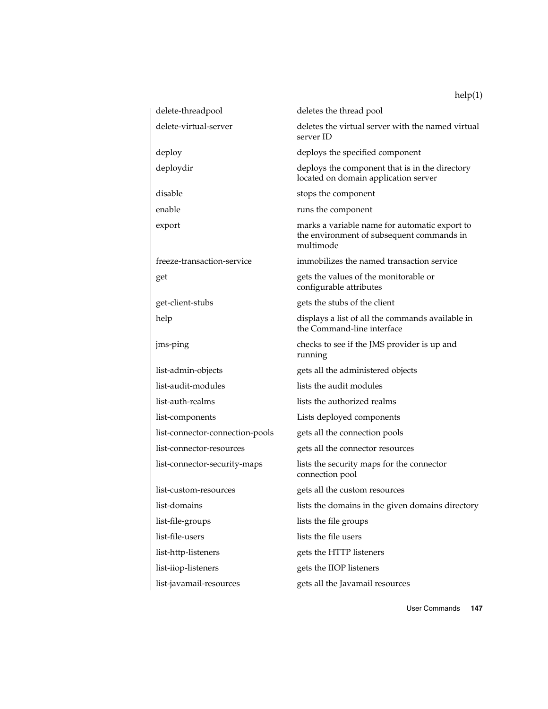|                                 | help(1)                                                                                                 |
|---------------------------------|---------------------------------------------------------------------------------------------------------|
| delete-threadpool               | deletes the thread pool                                                                                 |
| delete-virtual-server           | deletes the virtual server with the named virtual<br>server ID                                          |
| deploy                          | deploys the specified component                                                                         |
| deploydir                       | deploys the component that is in the directory<br>located on domain application server                  |
| disable                         | stops the component                                                                                     |
| enable                          | runs the component                                                                                      |
| export                          | marks a variable name for automatic export to<br>the environment of subsequent commands in<br>multimode |
| freeze-transaction-service      | immobilizes the named transaction service                                                               |
| get                             | gets the values of the monitorable or<br>configurable attributes                                        |
| get-client-stubs                | gets the stubs of the client                                                                            |
| help                            | displays a list of all the commands available in<br>the Command-line interface                          |
| jms-ping                        | checks to see if the JMS provider is up and<br>running                                                  |
| list-admin-objects              | gets all the administered objects                                                                       |
| list-audit-modules              | lists the audit modules                                                                                 |
| list-auth-realms                | lists the authorized realms                                                                             |
| list-components                 | Lists deployed components                                                                               |
| list-connector-connection-pools | gets all the connection pools                                                                           |
| list-connector-resources        | gets all the connector resources                                                                        |
| list-connector-security-maps    | lists the security maps for the connector<br>connection pool                                            |
| list-custom-resources           | gets all the custom resources                                                                           |
| list-domains                    | lists the domains in the given domains directory                                                        |
| list-file-groups                | lists the file groups                                                                                   |
| list-file-users                 | lists the file users                                                                                    |
| list-http-listeners             | gets the HTTP listeners                                                                                 |
| list-iiop-listeners             | gets the IIOP listeners                                                                                 |
| list-javamail-resources         | gets all the Javamail resources                                                                         |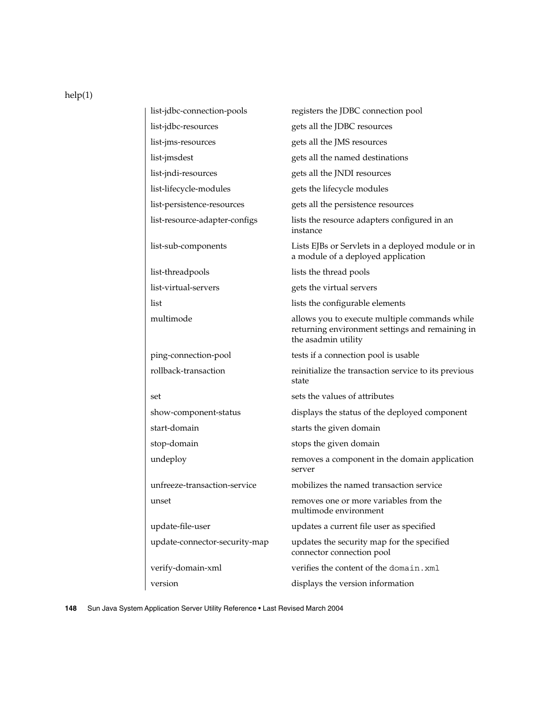help(1)

| list-jdbc-connection-pools    | registers the JDBC connection pool                                                                                      |
|-------------------------------|-------------------------------------------------------------------------------------------------------------------------|
| list-jdbc-resources           | gets all the JDBC resources                                                                                             |
| list-jms-resources            | gets all the JMS resources                                                                                              |
| list-jmsdest                  | gets all the named destinations                                                                                         |
| list-jndi-resources           | gets all the JNDI resources                                                                                             |
| list-lifecycle-modules        | gets the lifecycle modules                                                                                              |
| list-persistence-resources    | gets all the persistence resources                                                                                      |
| list-resource-adapter-configs | lists the resource adapters configured in an<br>instance                                                                |
| list-sub-components           | Lists EJBs or Servlets in a deployed module or in<br>a module of a deployed application                                 |
| list-threadpools              | lists the thread pools                                                                                                  |
| list-virtual-servers          | gets the virtual servers                                                                                                |
| list                          | lists the configurable elements                                                                                         |
| multimode                     | allows you to execute multiple commands while<br>returning environment settings and remaining in<br>the asadmin utility |
| ping-connection-pool          | tests if a connection pool is usable                                                                                    |
| rollback-transaction          | reinitialize the transaction service to its previous<br>state                                                           |
| set                           | sets the values of attributes                                                                                           |
| show-component-status         | displays the status of the deployed component                                                                           |
| start-domain                  | starts the given domain                                                                                                 |
| stop-domain                   | stops the given domain                                                                                                  |
| undeploy                      | removes a component in the domain application<br>server                                                                 |
| unfreeze-transaction-service  | mobilizes the named transaction service                                                                                 |
| unset                         | removes one or more variables from the<br>multimode environment                                                         |
| update-file-user              | updates a current file user as specified                                                                                |
| update-connector-security-map | updates the security map for the specified<br>connector connection pool                                                 |
| verify-domain-xml             | verifies the content of the domain.xml                                                                                  |
| version                       | displays the version information                                                                                        |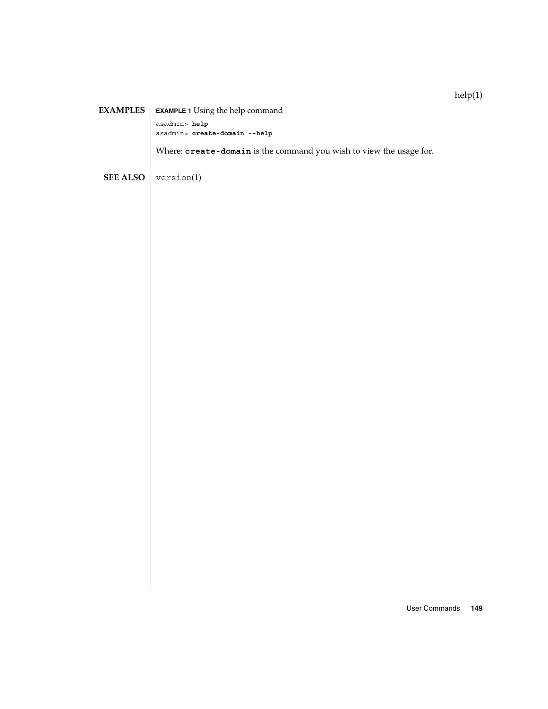#### **EXAMPLES** | **EXAMPLE 1** Using the help command asadmin> **help** asadmin> **create-domain --help**

Where: **create-domain** is the command you wish to view the usage for.

#### version(1) **SEE ALSO**

help(1)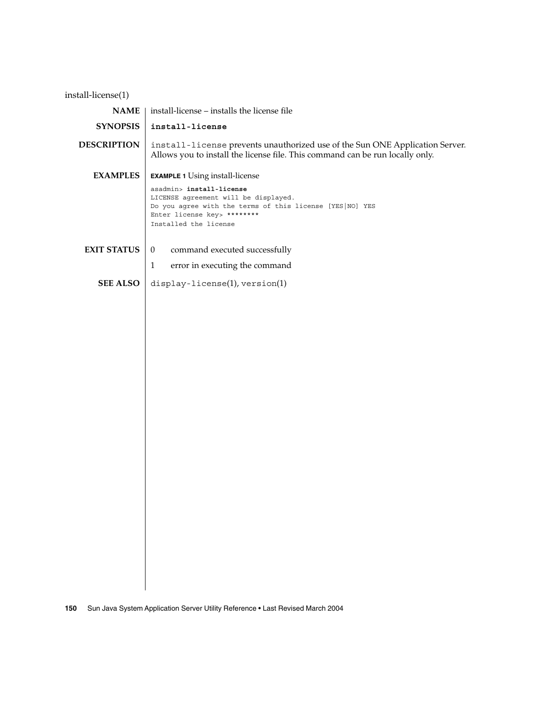install-license(1)

| <b>NAME</b>        | install-license - installs the license file                                                                                                                                          |  |  |
|--------------------|--------------------------------------------------------------------------------------------------------------------------------------------------------------------------------------|--|--|
| <b>SYNOPSIS</b>    | install-license                                                                                                                                                                      |  |  |
| <b>DESCRIPTION</b> | install-license prevents unauthorized use of the Sun ONE Application Server.<br>Allows you to install the license file. This command can be run locally only.                        |  |  |
| <b>EXAMPLES</b>    | <b>EXAMPLE 1 Using install-license</b>                                                                                                                                               |  |  |
|                    | asadmin> install-license<br>LICENSE agreement will be displayed.<br>Do you agree with the terms of this license [YES NO] YES<br>Enter license key> ********<br>Installed the license |  |  |
| <b>EXIT STATUS</b> | $\boldsymbol{0}$<br>command executed successfully                                                                                                                                    |  |  |
|                    | 1<br>error in executing the command                                                                                                                                                  |  |  |
| <b>SEE ALSO</b>    | $display-lices(1), version(1)$                                                                                                                                                       |  |  |
|                    |                                                                                                                                                                                      |  |  |
|                    |                                                                                                                                                                                      |  |  |
|                    |                                                                                                                                                                                      |  |  |
|                    |                                                                                                                                                                                      |  |  |
|                    |                                                                                                                                                                                      |  |  |
|                    |                                                                                                                                                                                      |  |  |
|                    |                                                                                                                                                                                      |  |  |
|                    |                                                                                                                                                                                      |  |  |
|                    |                                                                                                                                                                                      |  |  |
|                    |                                                                                                                                                                                      |  |  |
|                    |                                                                                                                                                                                      |  |  |
|                    |                                                                                                                                                                                      |  |  |
|                    |                                                                                                                                                                                      |  |  |
|                    |                                                                                                                                                                                      |  |  |
|                    |                                                                                                                                                                                      |  |  |
|                    |                                                                                                                                                                                      |  |  |
|                    |                                                                                                                                                                                      |  |  |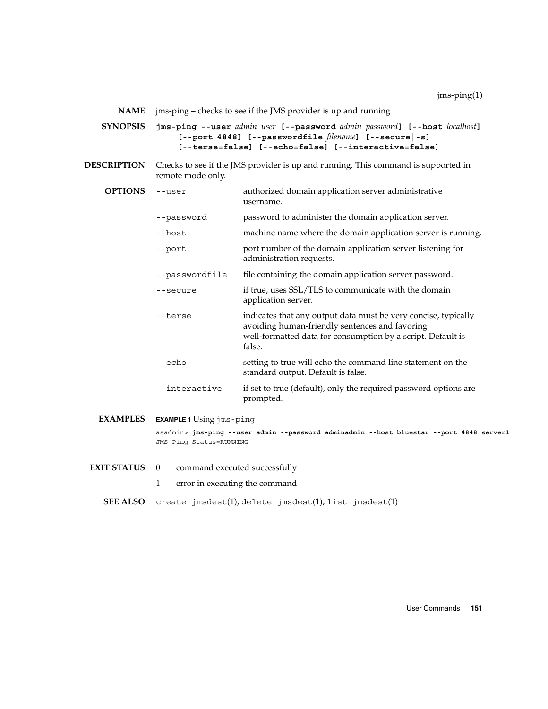jms-ping(1)

| <b>NAME</b>        | jms-ping – checks to see if the JMS provider is up and running                                                                                                                              |                                                                                                                                                                                           |  |
|--------------------|---------------------------------------------------------------------------------------------------------------------------------------------------------------------------------------------|-------------------------------------------------------------------------------------------------------------------------------------------------------------------------------------------|--|
| <b>SYNOPSIS</b>    | jms-ping --user admin_user [--password admin_password] [--host localhost]<br>[--port 4848] [--passwordfile filename] [--secure  -s]<br>[--terse=false] [--echo=false] [--interactive=false] |                                                                                                                                                                                           |  |
| <b>DESCRIPTION</b> | Checks to see if the JMS provider is up and running. This command is supported in<br>remote mode only.                                                                                      |                                                                                                                                                                                           |  |
| <b>OPTIONS</b>     | --user                                                                                                                                                                                      | authorized domain application server administrative<br>username.                                                                                                                          |  |
|                    | --password                                                                                                                                                                                  | password to administer the domain application server.                                                                                                                                     |  |
|                    | --host                                                                                                                                                                                      | machine name where the domain application server is running.                                                                                                                              |  |
|                    | --port                                                                                                                                                                                      | port number of the domain application server listening for<br>administration requests.                                                                                                    |  |
|                    | --passwordfile                                                                                                                                                                              | file containing the domain application server password.                                                                                                                                   |  |
|                    | --secure                                                                                                                                                                                    | if true, uses SSL/TLS to communicate with the domain<br>application server.                                                                                                               |  |
|                    | --terse                                                                                                                                                                                     | indicates that any output data must be very concise, typically<br>avoiding human-friendly sentences and favoring<br>well-formatted data for consumption by a script. Default is<br>false. |  |
|                    | --echo                                                                                                                                                                                      | setting to true will echo the command line statement on the<br>standard output. Default is false.                                                                                         |  |
|                    | --interactive                                                                                                                                                                               | if set to true (default), only the required password options are<br>prompted.                                                                                                             |  |
| <b>EXAMPLES</b>    | <b>EXAMPLE 1 Using jms-ping</b><br>asadmin> jms-ping --user admin --password adminadmin --host bluestar --port 4848 server1<br>JMS Ping Status=RUNNING                                      |                                                                                                                                                                                           |  |
| <b>EXIT STATUS</b> | $\overline{0}$<br>command executed successfully                                                                                                                                             |                                                                                                                                                                                           |  |
|                    | 1<br>error in executing the command                                                                                                                                                         |                                                                                                                                                                                           |  |
| <b>SEE ALSO</b>    | $create-jmsdest(1), delete-jmsdest(1), list-jmsdest(1)$                                                                                                                                     |                                                                                                                                                                                           |  |
|                    |                                                                                                                                                                                             |                                                                                                                                                                                           |  |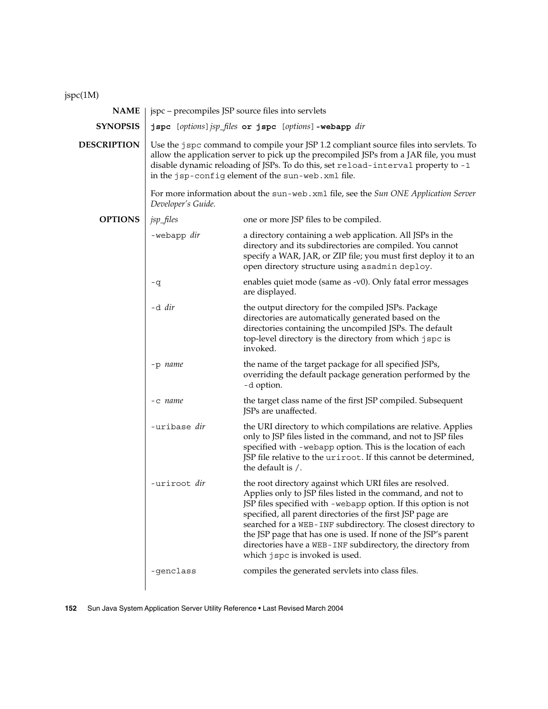# jspc(1M)

| <b>NAME</b>        | jspc – precompiles JSP source files into servlets      |                                                                                                                                                                                                                                                                                                                                                                                                                                                                                              |  |
|--------------------|--------------------------------------------------------|----------------------------------------------------------------------------------------------------------------------------------------------------------------------------------------------------------------------------------------------------------------------------------------------------------------------------------------------------------------------------------------------------------------------------------------------------------------------------------------------|--|
| <b>SYNOPSIS</b>    | jspc [options] jsp_files or jspc [options] -webapp dir |                                                                                                                                                                                                                                                                                                                                                                                                                                                                                              |  |
| <b>DESCRIPTION</b> |                                                        | Use the jspc command to compile your JSP 1.2 compliant source files into servlets. To<br>allow the application server to pick up the precompiled JSPs from a JAR file, you must<br>disable dynamic reloading of JSPs. To do this, set reload-interval property to -1<br>in the jsp-config element of the sun-web. xml file.                                                                                                                                                                  |  |
|                    | Developer's Guide.                                     | For more information about the sun-web.xml file, see the Sun ONE Application Server                                                                                                                                                                                                                                                                                                                                                                                                          |  |
| <b>OPTIONS</b>     | jsp_files                                              | one or more JSP files to be compiled.                                                                                                                                                                                                                                                                                                                                                                                                                                                        |  |
|                    | -webapp dir                                            | a directory containing a web application. All JSPs in the<br>directory and its subdirectories are compiled. You cannot<br>specify a WAR, JAR, or ZIP file; you must first deploy it to an<br>open directory structure using asadmin deploy.                                                                                                                                                                                                                                                  |  |
|                    | -q                                                     | enables quiet mode (same as -v0). Only fatal error messages<br>are displayed.                                                                                                                                                                                                                                                                                                                                                                                                                |  |
|                    | -d dir                                                 | the output directory for the compiled JSPs. Package<br>directories are automatically generated based on the<br>directories containing the uncompiled JSPs. The default<br>top-level directory is the directory from which jspc is<br>invoked.                                                                                                                                                                                                                                                |  |
|                    | -p name                                                | the name of the target package for all specified JSPs,<br>overriding the default package generation performed by the<br>-d option.                                                                                                                                                                                                                                                                                                                                                           |  |
|                    | -c name                                                | the target class name of the first JSP compiled. Subsequent<br>JSPs are unaffected.                                                                                                                                                                                                                                                                                                                                                                                                          |  |
|                    | -uribase dir                                           | the URI directory to which compilations are relative. Applies<br>only to JSP files listed in the command, and not to JSP files<br>specified with -webapp option. This is the location of each<br>JSP file relative to the uriroot. If this cannot be determined,<br>the default is $\Lambda$ .                                                                                                                                                                                               |  |
|                    | -uriroot dir                                           | the root directory against which URI files are resolved.<br>Applies only to JSP files listed in the command, and not to<br>JSP files specified with -webapp option. If this option is not<br>specified, all parent directories of the first JSP page are<br>searched for a WEB-INF subdirectory. The closest directory to<br>the JSP page that has one is used. If none of the JSP's parent<br>directories have a WEB-INF subdirectory, the directory from<br>which jspc is invoked is used. |  |
|                    | -genclass                                              | compiles the generated servlets into class files.                                                                                                                                                                                                                                                                                                                                                                                                                                            |  |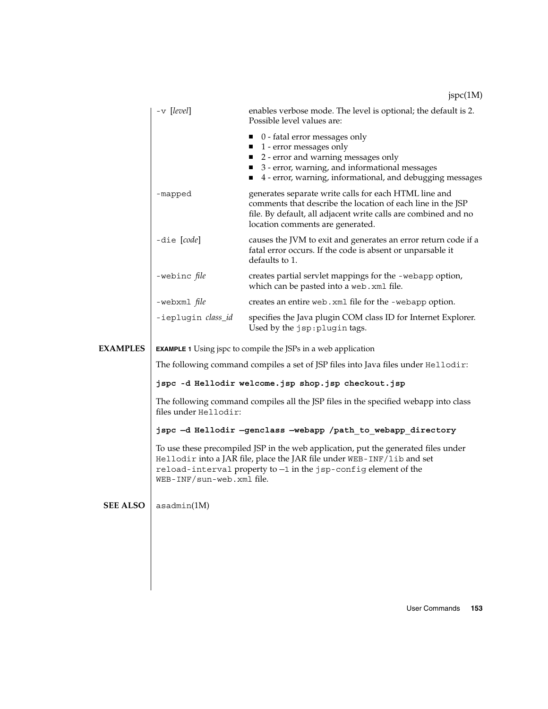# jspc(1M)

|                 | $-v$ [level]              | enables verbose mode. The level is optional; the default is 2.<br>Possible level values are:                                                                                                                                               |
|-----------------|---------------------------|--------------------------------------------------------------------------------------------------------------------------------------------------------------------------------------------------------------------------------------------|
|                 |                           | $\Box$ 0 - fatal error messages only<br>$\blacksquare$ 1 - error messages only<br>■ 2 - error and warning messages only<br>■ 3 - error, warning, and informational messages<br>■ 4 - error, warning, informational, and debugging messages |
|                 | -mapped                   | generates separate write calls for each HTML line and<br>comments that describe the location of each line in the JSP<br>file. By default, all adjacent write calls are combined and no<br>location comments are generated.                 |
|                 | -die [code]               | causes the JVM to exit and generates an error return code if a<br>fatal error occurs. If the code is absent or unparsable it<br>defaults to 1.                                                                                             |
|                 | -webinc file              | creates partial servlet mappings for the -webapp option,<br>which can be pasted into a web. xml file.                                                                                                                                      |
|                 | -webxml file              | creates an entire web. xml file for the -webapp option.                                                                                                                                                                                    |
|                 | -ieplugin class_id        | specifies the Java plugin COM class ID for Internet Explorer.<br>Used by the jsp: plugin tags.                                                                                                                                             |
| <b>EXAMPLES</b> |                           | <b>EXAMPLE 1</b> Using jspc to compile the JSPs in a web application                                                                                                                                                                       |
|                 |                           | The following command compiles a set of JSP files into Java files under Hellodir:                                                                                                                                                          |
|                 |                           | jspc -d Hellodir welcome.jsp shop.jsp checkout.jsp                                                                                                                                                                                         |
|                 | files under Hellodir:     | The following command compiles all the JSP files in the specified webapp into class                                                                                                                                                        |
|                 |                           | jspc -d Hellodir -genclass -webapp /path to webapp directory                                                                                                                                                                               |
|                 |                           | To use these precompiled JSP in the web application, put the generated files under<br>Hellodir into a JAR file, place the JAR file under WEB-INF/lib and set                                                                               |
|                 | WEB-INF/sun-web.xml file. | reload-interval property to -1 in the jsp-config element of the                                                                                                                                                                            |
| <b>SEE ALSO</b> | asadmin(1M)               |                                                                                                                                                                                                                                            |
|                 |                           |                                                                                                                                                                                                                                            |
|                 |                           |                                                                                                                                                                                                                                            |
|                 |                           |                                                                                                                                                                                                                                            |

 $\overline{\phantom{a}}$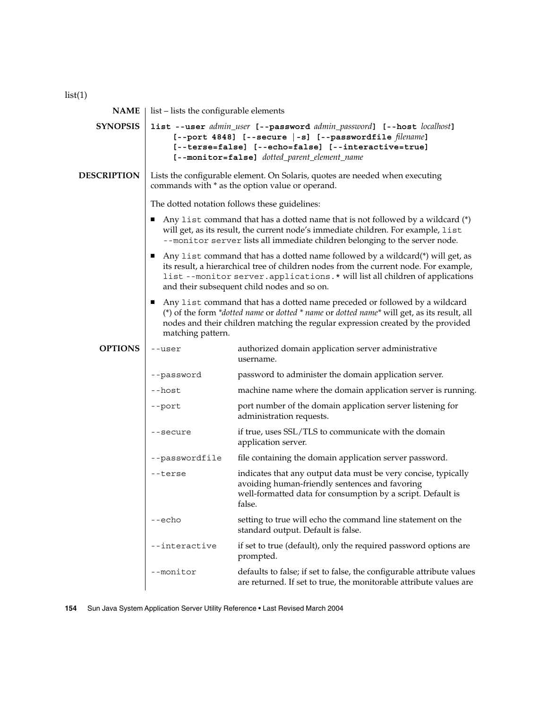$list(1)$ 

| <b>NAME</b>        | list – lists the configurable elements |                                                                                                                                                                                                                                                                                                       |  |
|--------------------|----------------------------------------|-------------------------------------------------------------------------------------------------------------------------------------------------------------------------------------------------------------------------------------------------------------------------------------------------------|--|
| <b>SYNOPSIS</b>    |                                        | list --user admin_user [--password admin_password] [--host localhost]<br>$[--port 4848]$ [--secure  -s] [--passwordfile filename]<br>[--terse=false] [--echo=false] [--interactive=true]<br>[--monitor=false] dotted_parent_element_name                                                              |  |
| <b>DESCRIPTION</b> |                                        | Lists the configurable element. On Solaris, quotes are needed when executing<br>commands with * as the option value or operand.                                                                                                                                                                       |  |
|                    |                                        | The dotted notation follows these guidelines:                                                                                                                                                                                                                                                         |  |
|                    | ш                                      | Any list command that has a dotted name that is not followed by a wildcard (*)<br>will get, as its result, the current node's immediate children. For example, list<br>--monitor server lists all immediate children belonging to the server node.                                                    |  |
|                    | ш                                      | Any list command that has a dotted name followed by a wildcard(*) will get, as<br>its result, a hierarchical tree of children nodes from the current node. For example,<br>list --monitor server.applications.* will list all children of applications<br>and their subsequent child nodes and so on. |  |
|                    | ш<br>matching pattern.                 | Any list command that has a dotted name preceded or followed by a wildcard<br>(*) of the form *dotted name or dotted * name or dotted name* will get, as its result, all<br>nodes and their children matching the regular expression created by the provided                                          |  |
| <b>OPTIONS</b>     | --user                                 | authorized domain application server administrative<br>username.                                                                                                                                                                                                                                      |  |
|                    | --password                             | password to administer the domain application server.                                                                                                                                                                                                                                                 |  |
|                    | --host                                 | machine name where the domain application server is running.                                                                                                                                                                                                                                          |  |
|                    | --port                                 | port number of the domain application server listening for<br>administration requests.                                                                                                                                                                                                                |  |
|                    | --secure                               | if true, uses SSL/TLS to communicate with the domain<br>application server.                                                                                                                                                                                                                           |  |
|                    | --passwordfile                         | file containing the domain application server password.                                                                                                                                                                                                                                               |  |
|                    | --terse                                | indicates that any output data must be very concise, typically<br>avoiding human-friendly sentences and favoring<br>well-formatted data for consumption by a script. Default is<br>false.                                                                                                             |  |
|                    | --echo                                 | setting to true will echo the command line statement on the<br>standard output. Default is false.                                                                                                                                                                                                     |  |
|                    | --interactive                          | if set to true (default), only the required password options are<br>prompted.                                                                                                                                                                                                                         |  |
|                    | --monitor                              | defaults to false; if set to false, the configurable attribute values<br>are returned. If set to true, the monitorable attribute values are                                                                                                                                                           |  |
|                    |                                        |                                                                                                                                                                                                                                                                                                       |  |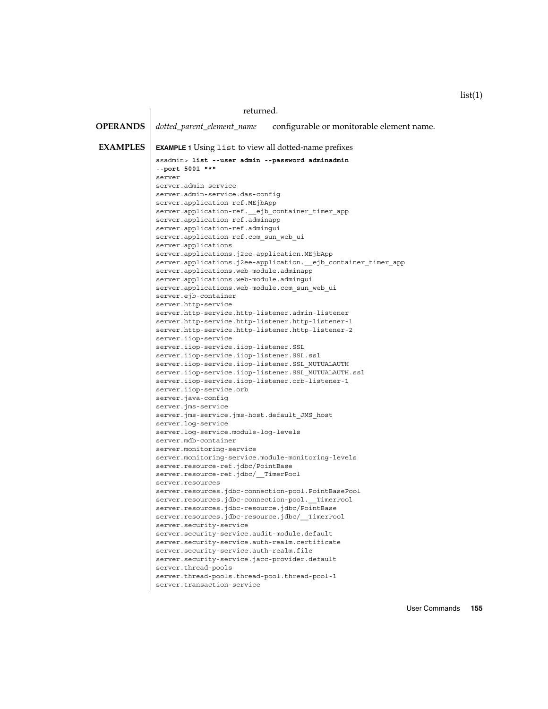**OPERANDS**

returned.

*dotted\_parent\_element\_name* configurable or monitorable element name.

**EXAMPLE 1** Using list to view all dotted-name prefixes asadmin> **list --user admin --password adminadmin --port 5001 "\*"** server server.admin-service server.admin-service.das-config server.application-ref.MEjbApp server.application-ref.\_\_ejb\_container\_timer\_app server.application-ref.adminapp server.application-ref.admingui server.application-ref.com\_sun\_web\_ui server.applications server.applications.j2ee-application.MEjbApp server.applications.j2ee-application.\_\_ejb\_container\_timer\_app server.applications.web-module.adminapp server.applications.web-module.admingui server.applications.web-module.com\_sun\_web\_ui server.ejb-container server.http-service server.http-service.http-listener.admin-listener server.http-service.http-listener.http-listener-1 server.http-service.http-listener.http-listener-2 server.iiop-service server.iiop-service.iiop-listener.SSL server.iiop-service.iiop-listener.SSL.ssl server.iiop-service.iiop-listener.SSL\_MUTUALAUTH server.iiop-service.iiop-listener.SSL\_MUTUALAUTH.ssl server.iiop-service.iiop-listener.orb-listener-1 server.iiop-service.orb server.java-config server.jms-service server.jms-service.jms-host.default\_JMS\_host server.log-service server.log-service.module-log-levels server.mdb-container server.monitoring-service server.monitoring-service.module-monitoring-levels server.resource-ref.jdbc/PointBase server.resource-ref.jdbc/\_\_TimerPool server.resources server.resources.jdbc-connection-pool.PointBasePool server.resources.jdbc-connection-pool.\_\_TimerPool server.resources.jdbc-resource.jdbc/PointBase server.resources.jdbc-resource.jdbc/\_\_TimerPool server.security-service server.security-service.audit-module.default server.security-service.auth-realm.certificate server.security-service.auth-realm.file server.security-service.jacc-provider.default server.thread-pools server.thread-pools.thread-pool.thread-pool-1 server.transaction-service **EXAMPLES**

 $list(1)$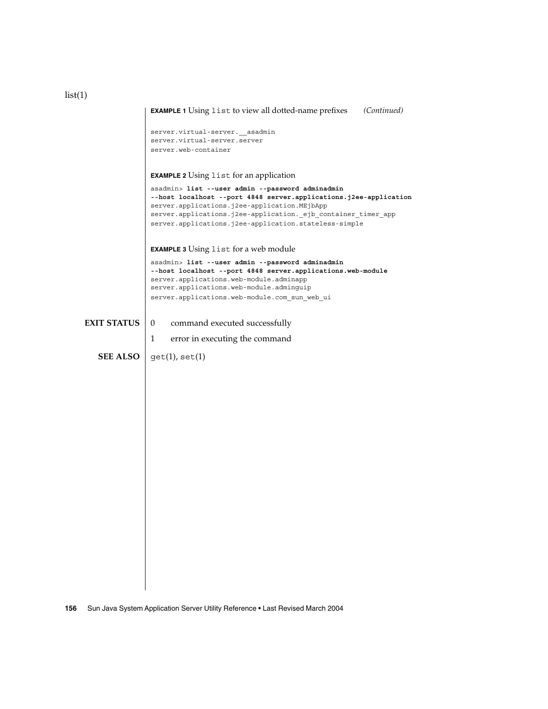**EXAMPLE 1** Using list to view all dotted-name prefixes *(Continued)* server.virtual-server.\_\_asadmin server.virtual-server.server server.web-container **EXAMPLE 2** Using list for an application asadmin> **list --user admin --password adminadmin --host localhost --port 4848 server.applications.j2ee-application** server.applications.j2ee-application.MEjbApp server.applications.j2ee-application.\_ejb\_container\_timer\_app server.applications.j2ee-application.stateless-simple **EXAMPLE 3** Using list for a web module asadmin> **list --user admin --password adminadmin --host localhost --port 4848 server.applications.web-module** server.applications.web-module.adminapp server.applications.web-module.adminguip server.applications.web-module.com\_sun\_web\_ui 0 command executed successfully 1 error in executing the command  $get(1)$ ,  $set(1)$ **EXIT STATUS SEE ALSO**

 $list(1)$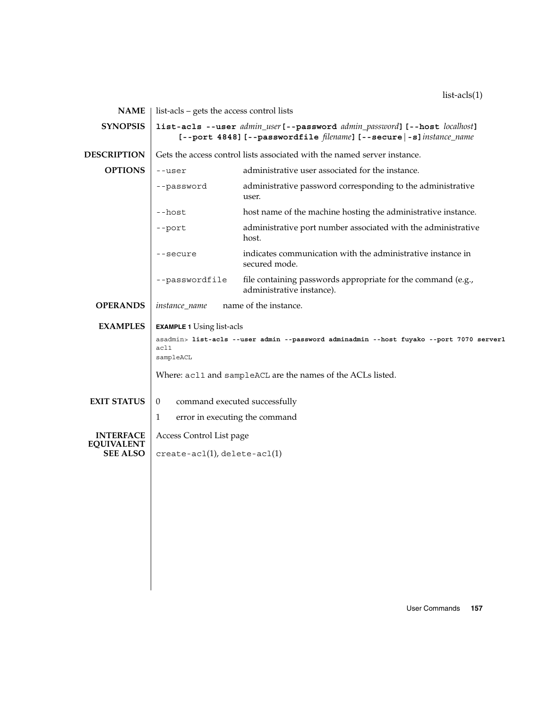list-acls(1)

| <b>NAME</b>                           | list-acls – gets the access control lists                                                                                                         |                                                                                                                                                        |  |
|---------------------------------------|---------------------------------------------------------------------------------------------------------------------------------------------------|--------------------------------------------------------------------------------------------------------------------------------------------------------|--|
| <b>SYNOPSIS</b>                       | list-acls --user admin_user[--password admin_password][--host localhost]<br>[--port 4848] [--passwordfile filename] [--secure   -s] instance_name |                                                                                                                                                        |  |
| <b>DESCRIPTION</b>                    |                                                                                                                                                   | Gets the access control lists associated with the named server instance.                                                                               |  |
| <b>OPTIONS</b>                        | --user                                                                                                                                            | administrative user associated for the instance.                                                                                                       |  |
|                                       | --password                                                                                                                                        | administrative password corresponding to the administrative<br>user.                                                                                   |  |
|                                       | --host                                                                                                                                            | host name of the machine hosting the administrative instance.                                                                                          |  |
|                                       | --port                                                                                                                                            | administrative port number associated with the administrative<br>host.                                                                                 |  |
|                                       | --secure                                                                                                                                          | indicates communication with the administrative instance in<br>secured mode.                                                                           |  |
|                                       | --passwordfile                                                                                                                                    | file containing passwords appropriate for the command (e.g.,<br>administrative instance).                                                              |  |
| <b>OPERANDS</b>                       | instance name                                                                                                                                     | name of the instance.                                                                                                                                  |  |
| <b>EXAMPLES</b>                       | <b>EXAMPLE 1</b> Using list-acls<br>acl1<br>sampleACL                                                                                             | asadmin> list-acls --user admin --password adminadmin --host fuyako --port 7070 server1<br>Where: ac11 and sampleACL are the names of the ACLs listed. |  |
| <b>EXIT STATUS</b>                    | 0<br>command executed successfully                                                                                                                |                                                                                                                                                        |  |
|                                       | $\mathbf{1}$<br>error in executing the command                                                                                                    |                                                                                                                                                        |  |
| <b>INTERFACE</b><br><b>EQUIVALENT</b> | Access Control List page                                                                                                                          |                                                                                                                                                        |  |
| <b>SEE ALSO</b>                       | $create - acl(1), delete - acl(1)$                                                                                                                |                                                                                                                                                        |  |
|                                       |                                                                                                                                                   |                                                                                                                                                        |  |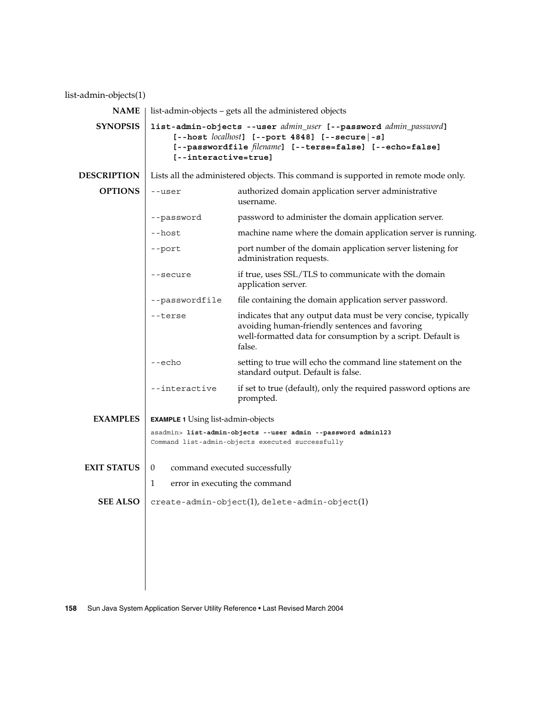| list-admin-objects(1) |  |
|-----------------------|--|
|-----------------------|--|

| <b>NAME</b>        | list-admin-objects - gets all the administered objects                                     |                                                                                                                                                                                                                           |  |
|--------------------|--------------------------------------------------------------------------------------------|---------------------------------------------------------------------------------------------------------------------------------------------------------------------------------------------------------------------------|--|
| <b>SYNOPSIS</b>    | [--interactive=true]                                                                       | list-admin-objects --user admin_user [--password admin_password]<br>$[- - \text{host localhost}]$ $[- - \text{port 4848}]$ $[- - \text{secure}   - \text{s}]$<br>[--passwordfile filename] [--terse=false] [--echo=false] |  |
| <b>DESCRIPTION</b> |                                                                                            | Lists all the administered objects. This command is supported in remote mode only.                                                                                                                                        |  |
| <b>OPTIONS</b>     | --user                                                                                     | authorized domain application server administrative<br>username.                                                                                                                                                          |  |
|                    | --password                                                                                 | password to administer the domain application server.                                                                                                                                                                     |  |
|                    | --host                                                                                     | machine name where the domain application server is running.                                                                                                                                                              |  |
|                    | --port                                                                                     | port number of the domain application server listening for<br>administration requests.                                                                                                                                    |  |
|                    | --secure                                                                                   | if true, uses SSL/TLS to communicate with the domain<br>application server.                                                                                                                                               |  |
|                    | --passwordfile                                                                             | file containing the domain application server password.                                                                                                                                                                   |  |
|                    | --terse                                                                                    | indicates that any output data must be very concise, typically<br>avoiding human-friendly sentences and favoring<br>well-formatted data for consumption by a script. Default is<br>false.                                 |  |
|                    | --echo                                                                                     | setting to true will echo the command line statement on the<br>standard output. Default is false.                                                                                                                         |  |
|                    | --interactive                                                                              | if set to true (default), only the required password options are<br>prompted.                                                                                                                                             |  |
| <b>EXAMPLES</b>    | <b>EXAMPLE 1 Using list-admin-objects</b>                                                  |                                                                                                                                                                                                                           |  |
|                    |                                                                                            | asadmin> list-admin-objects --user admin --password admin123<br>Command list-admin-objects executed successfully                                                                                                          |  |
| <b>EXIT STATUS</b> | 0<br>command executed successfully                                                         |                                                                                                                                                                                                                           |  |
|                    | 1                                                                                          |                                                                                                                                                                                                                           |  |
| <b>SEE ALSO</b>    | error in executing the command<br>$create$ -admin-object $(1)$ , delete-admin-object $(1)$ |                                                                                                                                                                                                                           |  |
|                    |                                                                                            |                                                                                                                                                                                                                           |  |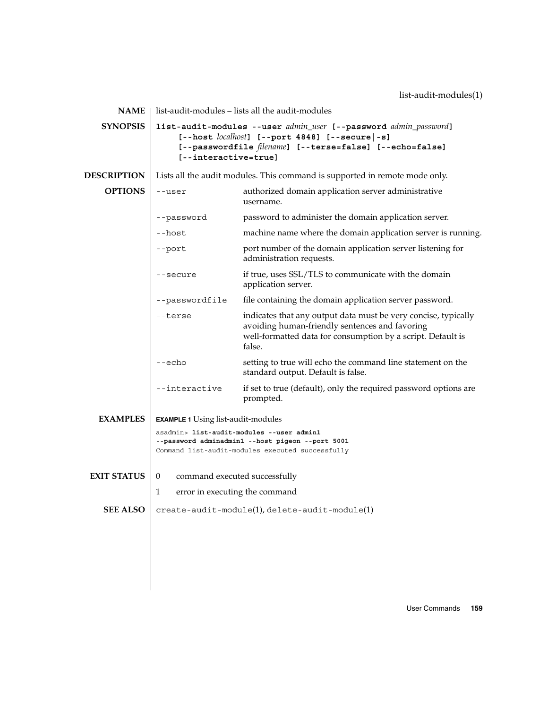| <b>NAME</b>        |                                                                                                                                                                                                                                                 | list-audit-modules - lists all the audit-modules                                                                                                                                          |
|--------------------|-------------------------------------------------------------------------------------------------------------------------------------------------------------------------------------------------------------------------------------------------|-------------------------------------------------------------------------------------------------------------------------------------------------------------------------------------------|
| <b>SYNOPSIS</b>    | list-audit-modules --user admin_user [--password admin_password]<br>$[- - \text{host localhost}]$ $[- - \text{port 4848}]$ $[- - \text{secure} - \text{s}]$<br>[--passwordfile filename] [--terse=false] [--echo=false]<br>[--interactive=true] |                                                                                                                                                                                           |
| <b>DESCRIPTION</b> |                                                                                                                                                                                                                                                 | Lists all the audit modules. This command is supported in remote mode only.                                                                                                               |
| <b>OPTIONS</b>     | --user                                                                                                                                                                                                                                          | authorized domain application server administrative<br>username.                                                                                                                          |
|                    | --password                                                                                                                                                                                                                                      | password to administer the domain application server.                                                                                                                                     |
|                    | --host                                                                                                                                                                                                                                          | machine name where the domain application server is running.                                                                                                                              |
|                    | --port                                                                                                                                                                                                                                          | port number of the domain application server listening for<br>administration requests.                                                                                                    |
|                    | --secure                                                                                                                                                                                                                                        | if true, uses SSL/TLS to communicate with the domain<br>application server.                                                                                                               |
|                    | --passwordfile                                                                                                                                                                                                                                  | file containing the domain application server password.                                                                                                                                   |
|                    | --terse                                                                                                                                                                                                                                         | indicates that any output data must be very concise, typically<br>avoiding human-friendly sentences and favoring<br>well-formatted data for consumption by a script. Default is<br>false. |
|                    | --echo                                                                                                                                                                                                                                          | setting to true will echo the command line statement on the<br>standard output. Default is false.                                                                                         |
|                    | --interactive                                                                                                                                                                                                                                   | if set to true (default), only the required password options are<br>prompted.                                                                                                             |
| <b>EXAMPLES</b>    | <b>EXAMPLE 1 Using list-audit-modules</b>                                                                                                                                                                                                       |                                                                                                                                                                                           |
|                    |                                                                                                                                                                                                                                                 | asadmin> list-audit-modules --user admin1<br>--password adminadmin1 --host pigeon --port 5001<br>Command list-audit-modules executed successfully                                         |
| <b>EXIT STATUS</b> | $\theta$<br>command executed successfully                                                                                                                                                                                                       |                                                                                                                                                                                           |
|                    | error in executing the command<br>1                                                                                                                                                                                                             |                                                                                                                                                                                           |
| <b>SEE ALSO</b>    |                                                                                                                                                                                                                                                 | $create$ -audit-module $(1)$ , delete-audit-module $(1)$                                                                                                                                  |
|                    |                                                                                                                                                                                                                                                 |                                                                                                                                                                                           |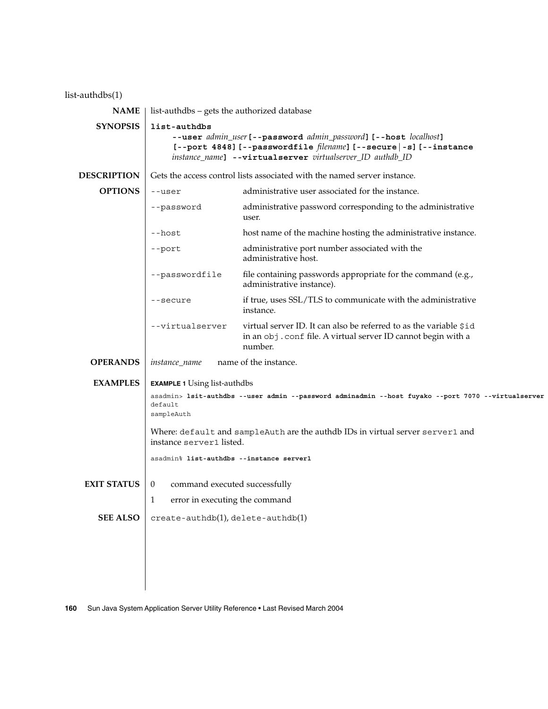list-authdbs(1)

| <b>NAME</b>        | list-authdbs - gets the authorized database     |                                                                                                                                                                                                      |
|--------------------|-------------------------------------------------|------------------------------------------------------------------------------------------------------------------------------------------------------------------------------------------------------|
| <b>SYNOPSIS</b>    | list-authdbs                                    | --user admin_user [--password admin_password] [--host localhost]<br>[--port 4848] [--passwordfile filename] [--secure   -s] [--instance<br>instance_name] --virtualserver virtualserver_ID authdb_ID |
| <b>DESCRIPTION</b> |                                                 | Gets the access control lists associated with the named server instance.                                                                                                                             |
| <b>OPTIONS</b>     | --user                                          | administrative user associated for the instance.                                                                                                                                                     |
|                    | --password                                      | administrative password corresponding to the administrative<br>user.                                                                                                                                 |
|                    | --host                                          | host name of the machine hosting the administrative instance.                                                                                                                                        |
|                    | --port                                          | administrative port number associated with the<br>administrative host.                                                                                                                               |
|                    | --passwordfile                                  | file containing passwords appropriate for the command (e.g.,<br>administrative instance).                                                                                                            |
|                    | --secure                                        | if true, uses SSL/TLS to communicate with the administrative<br>instance.                                                                                                                            |
|                    | --virtualserver                                 | virtual server ID. It can also be referred to as the variable \$id<br>in an obj. conf file. A virtual server ID cannot begin with a<br>number.                                                       |
| <b>OPERANDS</b>    | <i>instance_name</i>                            | name of the instance.                                                                                                                                                                                |
| <b>EXAMPLES</b>    | <b>EXAMPLE 1 Using list-authdbs</b>             |                                                                                                                                                                                                      |
|                    | default<br>sampleAuth                           | asadmin> lsit-authdbs --user admin --password adminadmin --host fuyako --port 7070 --virtualserver                                                                                                   |
|                    | instance server1 listed.                        | Where: default and sampleAuth are the authdb IDs in virtual server server1 and                                                                                                                       |
|                    | asadmin% list-authdbs --instance server1        |                                                                                                                                                                                                      |
| <b>EXIT STATUS</b> | command executed successfully<br>$\theta$       |                                                                                                                                                                                                      |
|                    | 1<br>error in executing the command             |                                                                                                                                                                                                      |
| <b>SEE ALSO</b>    | $create$ - $authdb(1)$ , $delete$ - $authdb(1)$ |                                                                                                                                                                                                      |
|                    |                                                 |                                                                                                                                                                                                      |
|                    |                                                 |                                                                                                                                                                                                      |
|                    |                                                 |                                                                                                                                                                                                      |
|                    |                                                 |                                                                                                                                                                                                      |
|                    |                                                 |                                                                                                                                                                                                      |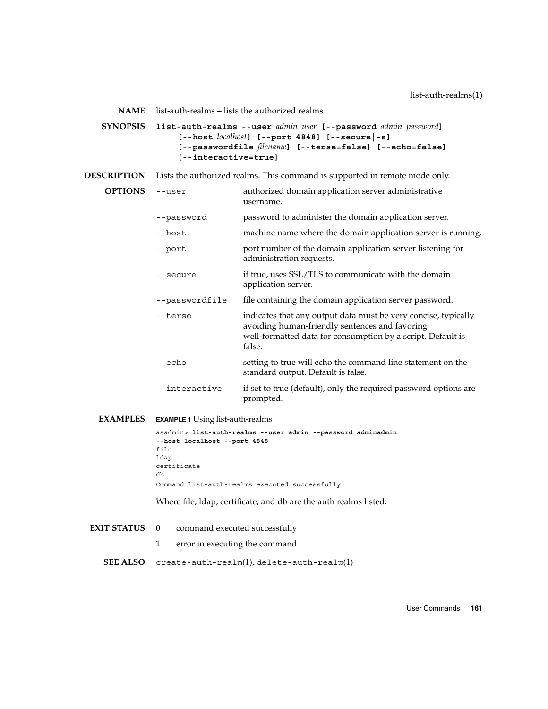| <b>NAME</b>        |                                                                                                                                                                                                                                                                                                     | list-auth-realms – lists the authorized realms                                                                                                                                            |
|--------------------|-----------------------------------------------------------------------------------------------------------------------------------------------------------------------------------------------------------------------------------------------------------------------------------------------------|-------------------------------------------------------------------------------------------------------------------------------------------------------------------------------------------|
| <b>SYNOPSIS</b>    | list-auth-realms --user admin_user [--password admin_password]<br>[--host localhost] [--port 4848] [--secure  -s]<br>[--passwordfile filename] [--terse=false] [--echo=false]<br>[--interactive=true]                                                                                               |                                                                                                                                                                                           |
| <b>DESCRIPTION</b> |                                                                                                                                                                                                                                                                                                     | Lists the authorized realms. This command is supported in remote mode only.                                                                                                               |
| <b>OPTIONS</b>     | --user                                                                                                                                                                                                                                                                                              | authorized domain application server administrative<br>username.                                                                                                                          |
|                    | --password                                                                                                                                                                                                                                                                                          | password to administer the domain application server.                                                                                                                                     |
|                    | --host                                                                                                                                                                                                                                                                                              | machine name where the domain application server is running.                                                                                                                              |
|                    | --port                                                                                                                                                                                                                                                                                              | port number of the domain application server listening for<br>administration requests.                                                                                                    |
|                    | --secure                                                                                                                                                                                                                                                                                            | if true, uses SSL/TLS to communicate with the domain<br>application server.                                                                                                               |
|                    | --passwordfile                                                                                                                                                                                                                                                                                      | file containing the domain application server password.                                                                                                                                   |
|                    | --terse                                                                                                                                                                                                                                                                                             | indicates that any output data must be very concise, typically<br>avoiding human-friendly sentences and favoring<br>well-formatted data for consumption by a script. Default is<br>false. |
|                    | --echo                                                                                                                                                                                                                                                                                              | setting to true will echo the command line statement on the<br>standard output. Default is false.                                                                                         |
|                    | --interactive                                                                                                                                                                                                                                                                                       | if set to true (default), only the required password options are<br>prompted.                                                                                                             |
| <b>EXAMPLES</b>    | <b>EXAMPLE 1</b> Using list-auth-realms<br>asadmin> list-auth-realms --user admin --password adminadmin<br>--host localhost --port 4848<br>file<br>ldap<br>certificate<br>db<br>Command list-auth-realms executed successfully<br>Where file, ldap, certificate, and db are the auth realms listed. |                                                                                                                                                                                           |
| <b>EXIT STATUS</b> | command executed successfully<br>$\theta$                                                                                                                                                                                                                                                           |                                                                                                                                                                                           |
|                    | error in executing the command<br>$\mathbf{1}$                                                                                                                                                                                                                                                      |                                                                                                                                                                                           |
| <b>SEE ALSO</b>    |                                                                                                                                                                                                                                                                                                     | $create$ -auth-realm $(1)$ , delete-auth-realm $(1)$                                                                                                                                      |
|                    |                                                                                                                                                                                                                                                                                                     |                                                                                                                                                                                           |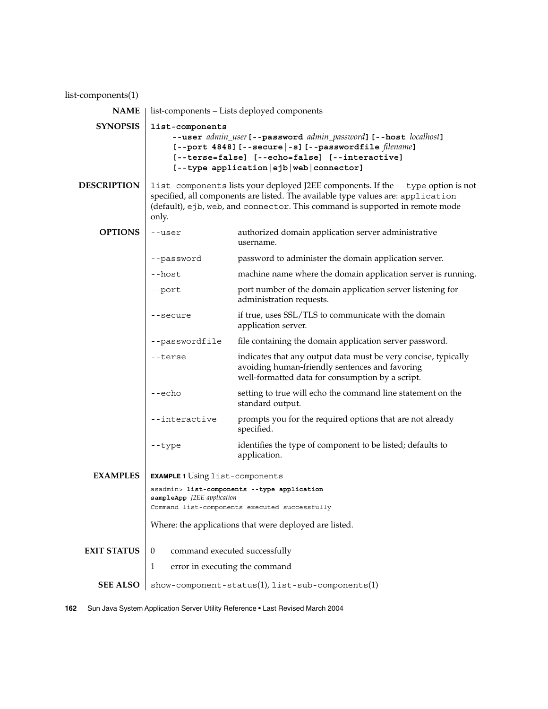#### list-components(1)

| <b>NAME</b>        | list-components - Lists deployed components                                                                                                                                                                                                                   |                                                                                                                                                                      |
|--------------------|---------------------------------------------------------------------------------------------------------------------------------------------------------------------------------------------------------------------------------------------------------------|----------------------------------------------------------------------------------------------------------------------------------------------------------------------|
| <b>SYNOPSIS</b>    | list-components<br>--user admin_user[--password admin_password][--host localhost]<br>[--port 4848] [--secure   -s] [--passwordfile filename]<br>[--terse=false] [--echo=false] [--interactive]<br>$[- -type$ application ejb web connector]                   |                                                                                                                                                                      |
| <b>DESCRIPTION</b> | list-components lists your deployed J2EE components. If the --type option is not<br>specified, all components are listed. The available type values are: application<br>(default), ejb, web, and connector. This command is supported in remote mode<br>only. |                                                                                                                                                                      |
| <b>OPTIONS</b>     | --user                                                                                                                                                                                                                                                        | authorized domain application server administrative<br>username.                                                                                                     |
|                    | --password                                                                                                                                                                                                                                                    | password to administer the domain application server.                                                                                                                |
|                    | --host                                                                                                                                                                                                                                                        | machine name where the domain application server is running.                                                                                                         |
|                    | --port                                                                                                                                                                                                                                                        | port number of the domain application server listening for<br>administration requests.                                                                               |
|                    | --secure                                                                                                                                                                                                                                                      | if true, uses SSL/TLS to communicate with the domain<br>application server.                                                                                          |
|                    | --passwordfile                                                                                                                                                                                                                                                | file containing the domain application server password.                                                                                                              |
|                    | --terse                                                                                                                                                                                                                                                       | indicates that any output data must be very concise, typically<br>avoiding human-friendly sentences and favoring<br>well-formatted data for consumption by a script. |
|                    | --echo                                                                                                                                                                                                                                                        | setting to true will echo the command line statement on the<br>standard output.                                                                                      |
|                    | --interactive                                                                                                                                                                                                                                                 | prompts you for the required options that are not already<br>specified.                                                                                              |
|                    | --type                                                                                                                                                                                                                                                        | identifies the type of component to be listed; defaults to<br>application.                                                                                           |
| <b>EXAMPLES</b>    | <b>EXAMPLE 1 Using list-components</b>                                                                                                                                                                                                                        | asadmin> list-components --type application                                                                                                                          |
|                    | sampleApp J2EE-application<br>Command list-components executed successfully                                                                                                                                                                                   |                                                                                                                                                                      |
|                    |                                                                                                                                                                                                                                                               | Where: the applications that were deployed are listed.                                                                                                               |
| <b>EXIT STATUS</b> | command executed successfully<br>$\mathbf{0}$                                                                                                                                                                                                                 |                                                                                                                                                                      |
|                    | error in executing the command<br>$\mathbf{1}$                                                                                                                                                                                                                |                                                                                                                                                                      |
| <b>SEE ALSO</b>    | $show-component - status(1)$ , list-sub-components(1)                                                                                                                                                                                                         |                                                                                                                                                                      |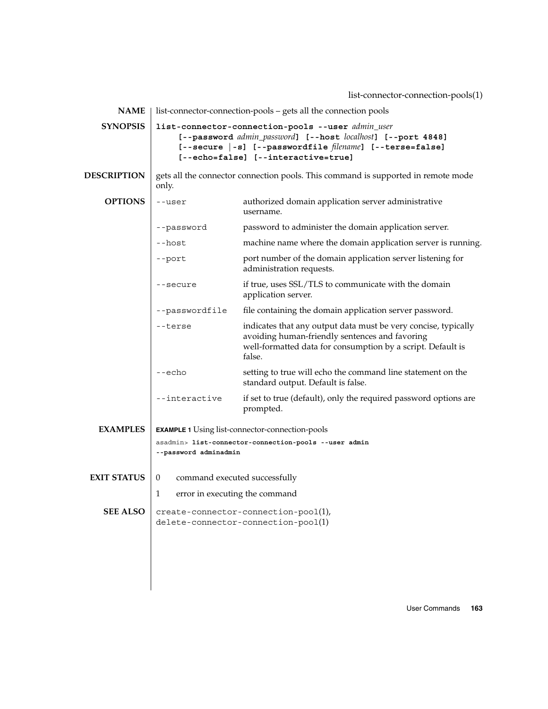| <b>NAME</b>        |                                                                                                                                                                                                                      | list-connector-connection-pools - gets all the connection pools                                                                                                                           |  |
|--------------------|----------------------------------------------------------------------------------------------------------------------------------------------------------------------------------------------------------------------|-------------------------------------------------------------------------------------------------------------------------------------------------------------------------------------------|--|
| <b>SYNOPSIS</b>    | list-connector-connection-pools --user admin_user<br>[--password admin_password] [--host localhost] [--port 4848]<br>[--secure  -s] [--passwordfile filename] [--terse=false]<br>[--echo=false] [--interactive=true] |                                                                                                                                                                                           |  |
| <b>DESCRIPTION</b> | only.                                                                                                                                                                                                                | gets all the connector connection pools. This command is supported in remote mode                                                                                                         |  |
| <b>OPTIONS</b>     | --user                                                                                                                                                                                                               | authorized domain application server administrative<br>username.                                                                                                                          |  |
|                    | --password                                                                                                                                                                                                           | password to administer the domain application server.                                                                                                                                     |  |
|                    | --host                                                                                                                                                                                                               | machine name where the domain application server is running.                                                                                                                              |  |
|                    | --port                                                                                                                                                                                                               | port number of the domain application server listening for<br>administration requests.                                                                                                    |  |
|                    | --secure                                                                                                                                                                                                             | if true, uses SSL/TLS to communicate with the domain<br>application server.                                                                                                               |  |
|                    | --passwordfile                                                                                                                                                                                                       | file containing the domain application server password.                                                                                                                                   |  |
|                    | --terse                                                                                                                                                                                                              | indicates that any output data must be very concise, typically<br>avoiding human-friendly sentences and favoring<br>well-formatted data for consumption by a script. Default is<br>false. |  |
|                    | --echo                                                                                                                                                                                                               | setting to true will echo the command line statement on the<br>standard output. Default is false.                                                                                         |  |
|                    | --interactive                                                                                                                                                                                                        | if set to true (default), only the required password options are<br>prompted.                                                                                                             |  |
| <b>EXAMPLES</b>    |                                                                                                                                                                                                                      | <b>EXAMPLE 1</b> Using list-connector-connection-pools                                                                                                                                    |  |
|                    | --password adminadmin                                                                                                                                                                                                | asadmin> list-connector-connection-pools --user admin                                                                                                                                     |  |
| <b>EXIT STATUS</b> | 0<br>command executed successfully                                                                                                                                                                                   |                                                                                                                                                                                           |  |
|                    | 1<br>error in executing the command                                                                                                                                                                                  |                                                                                                                                                                                           |  |
| <b>SEE ALSO</b>    |                                                                                                                                                                                                                      | create-connector-connection-pool(1),<br>delete-connector-connection-pool(1)                                                                                                               |  |
|                    |                                                                                                                                                                                                                      |                                                                                                                                                                                           |  |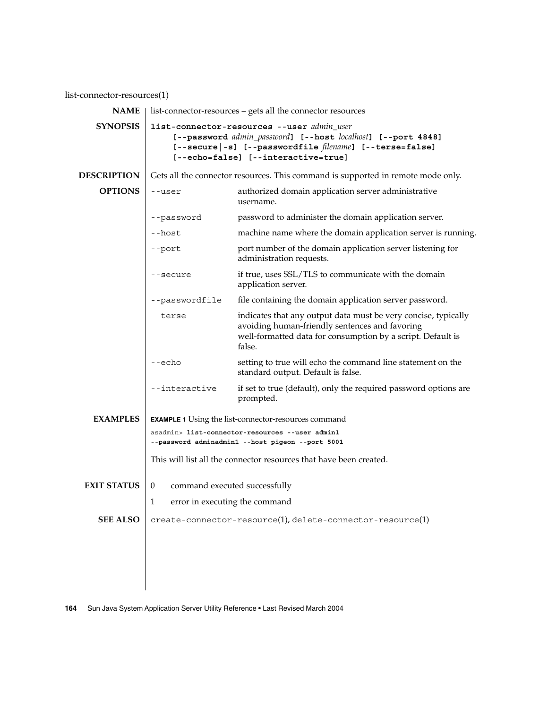list-connector-resources(1)

| <b>NAME</b>        | list-connector-resources – gets all the connector resources                                                                                                                                                    |                                                                                                                                                                                           |  |
|--------------------|----------------------------------------------------------------------------------------------------------------------------------------------------------------------------------------------------------------|-------------------------------------------------------------------------------------------------------------------------------------------------------------------------------------------|--|
| <b>SYNOPSIS</b>    | list-connector-resources --user admin_user<br>[--password admin_password] [--host localhost] [--port 4848]<br>[--secure   -s] [--passwordfile filename] [--terse=false]<br>[--echo=false] [--interactive=true] |                                                                                                                                                                                           |  |
| <b>DESCRIPTION</b> |                                                                                                                                                                                                                | Gets all the connector resources. This command is supported in remote mode only.                                                                                                          |  |
| <b>OPTIONS</b>     | --user                                                                                                                                                                                                         | authorized domain application server administrative<br>username.                                                                                                                          |  |
|                    | --password                                                                                                                                                                                                     | password to administer the domain application server.                                                                                                                                     |  |
|                    | --host                                                                                                                                                                                                         | machine name where the domain application server is running.                                                                                                                              |  |
|                    | --port                                                                                                                                                                                                         | port number of the domain application server listening for<br>administration requests.                                                                                                    |  |
|                    | --secure                                                                                                                                                                                                       | if true, uses SSL/TLS to communicate with the domain<br>application server.                                                                                                               |  |
|                    | --passwordfile                                                                                                                                                                                                 | file containing the domain application server password.                                                                                                                                   |  |
|                    | --terse                                                                                                                                                                                                        | indicates that any output data must be very concise, typically<br>avoiding human-friendly sentences and favoring<br>well-formatted data for consumption by a script. Default is<br>false. |  |
|                    | --echo                                                                                                                                                                                                         | setting to true will echo the command line statement on the<br>standard output. Default is false.                                                                                         |  |
|                    | --interactive                                                                                                                                                                                                  | if set to true (default), only the required password options are<br>prompted.                                                                                                             |  |
| <b>EXAMPLES</b>    |                                                                                                                                                                                                                | <b>EXAMPLE 1</b> Using the list-connector-resources command                                                                                                                               |  |
|                    | asadmin> list-connector-resources --user admin1<br>--password adminadmin1 --host pigeon --port 5001                                                                                                            |                                                                                                                                                                                           |  |
|                    |                                                                                                                                                                                                                | This will list all the connector resources that have been created.                                                                                                                        |  |
| <b>EXIT STATUS</b> | $\theta$                                                                                                                                                                                                       | command executed successfully                                                                                                                                                             |  |
|                    | 1                                                                                                                                                                                                              | error in executing the command                                                                                                                                                            |  |
| <b>SEE ALSO</b>    |                                                                                                                                                                                                                | create-connector-resource(1), delete-connector-resource(1)                                                                                                                                |  |
|                    |                                                                                                                                                                                                                |                                                                                                                                                                                           |  |
|                    |                                                                                                                                                                                                                |                                                                                                                                                                                           |  |
|                    |                                                                                                                                                                                                                |                                                                                                                                                                                           |  |
|                    |                                                                                                                                                                                                                |                                                                                                                                                                                           |  |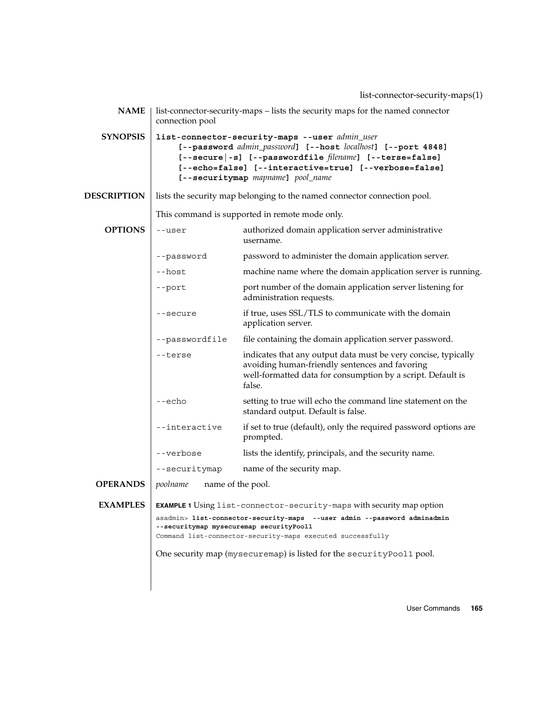| <b>NAME</b>        | list-connector-security-maps – lists the security maps for the named connector<br>connection pool                                                                                 |                                                                                                                                                                                                                                                                           |
|--------------------|-----------------------------------------------------------------------------------------------------------------------------------------------------------------------------------|---------------------------------------------------------------------------------------------------------------------------------------------------------------------------------------------------------------------------------------------------------------------------|
| <b>SYNOPSIS</b>    |                                                                                                                                                                                   | list-connector-security-maps --user admin_user<br>[--password admin_password] [--host localhost] [--port 4848]<br>[--secure   -s] [--passwordfile filename] [--terse=false]<br>[--echo=false] [--interactive=true] [--verbose=false]<br>[--securitymap mapname] pool_name |
| <b>DESCRIPTION</b> |                                                                                                                                                                                   | lists the security map belonging to the named connector connection pool.                                                                                                                                                                                                  |
|                    |                                                                                                                                                                                   | This command is supported in remote mode only.                                                                                                                                                                                                                            |
| <b>OPTIONS</b>     | --user                                                                                                                                                                            | authorized domain application server administrative<br>username.                                                                                                                                                                                                          |
|                    | --password                                                                                                                                                                        | password to administer the domain application server.                                                                                                                                                                                                                     |
|                    | --host                                                                                                                                                                            | machine name where the domain application server is running.                                                                                                                                                                                                              |
|                    | --port                                                                                                                                                                            | port number of the domain application server listening for<br>administration requests.                                                                                                                                                                                    |
|                    | --secure                                                                                                                                                                          | if true, uses SSL/TLS to communicate with the domain<br>application server.                                                                                                                                                                                               |
|                    | --passwordfile                                                                                                                                                                    | file containing the domain application server password.                                                                                                                                                                                                                   |
|                    | --terse                                                                                                                                                                           | indicates that any output data must be very concise, typically<br>avoiding human-friendly sentences and favoring<br>well-formatted data for consumption by a script. Default is<br>false.                                                                                 |
|                    | --echo                                                                                                                                                                            | setting to true will echo the command line statement on the<br>standard output. Default is false.                                                                                                                                                                         |
|                    | --interactive                                                                                                                                                                     | if set to true (default), only the required password options are<br>prompted.                                                                                                                                                                                             |
|                    | --verbose                                                                                                                                                                         | lists the identify, principals, and the security name.                                                                                                                                                                                                                    |
|                    | --securitymap                                                                                                                                                                     | name of the security map.                                                                                                                                                                                                                                                 |
| <b>OPERANDS</b>    | poolname<br>name of the pool.                                                                                                                                                     |                                                                                                                                                                                                                                                                           |
| <b>EXAMPLES</b>    |                                                                                                                                                                                   | EXAMPLE 1 Using list-connector-security-maps with security map option                                                                                                                                                                                                     |
|                    | asadmin> list-connector-security-maps --user admin --password adminadmin<br>--securitymap mysecuremap securityPool1<br>Command list-connector-security-maps executed successfully |                                                                                                                                                                                                                                                                           |
|                    |                                                                                                                                                                                   | One security map (mysecuremap) is listed for the security Pool1 pool.                                                                                                                                                                                                     |
|                    |                                                                                                                                                                                   |                                                                                                                                                                                                                                                                           |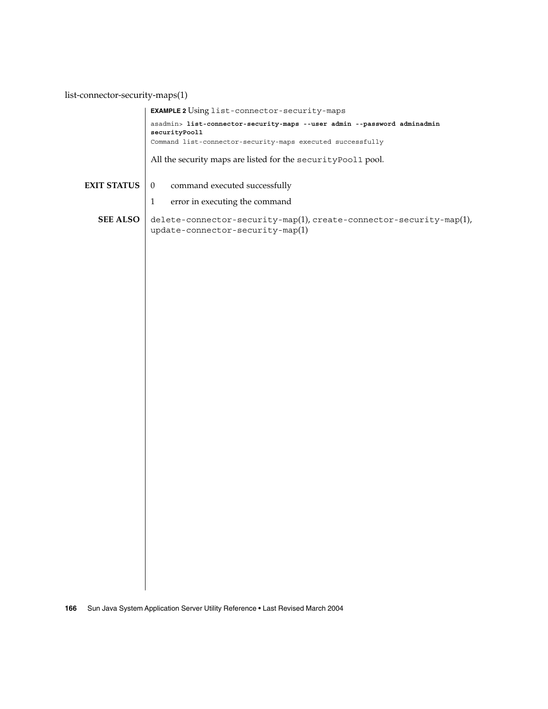list-connector-security-maps(1)

| EXAMPLE 2 Using list-connector-security-maps                                                                               |  |  |  |
|----------------------------------------------------------------------------------------------------------------------------|--|--|--|
| asadmin> list-connector-security-maps --user admin --password adminadmin<br>securityPool1                                  |  |  |  |
| Command list-connector-security-maps executed successfully                                                                 |  |  |  |
| All the security maps are listed for the securityPool1 pool.                                                               |  |  |  |
| <b>EXIT STATUS</b><br>command executed successfully<br>$\boldsymbol{0}$                                                    |  |  |  |
| error in executing the command<br>$\mathbf{1}$                                                                             |  |  |  |
| <b>SEE ALSO</b><br>delete-connector-security-map(1), create-connector-security-map(1),<br>update-connector-security-map(1) |  |  |  |
|                                                                                                                            |  |  |  |
|                                                                                                                            |  |  |  |
|                                                                                                                            |  |  |  |
|                                                                                                                            |  |  |  |
|                                                                                                                            |  |  |  |
|                                                                                                                            |  |  |  |
|                                                                                                                            |  |  |  |
|                                                                                                                            |  |  |  |
|                                                                                                                            |  |  |  |
|                                                                                                                            |  |  |  |
|                                                                                                                            |  |  |  |
|                                                                                                                            |  |  |  |
|                                                                                                                            |  |  |  |
|                                                                                                                            |  |  |  |
|                                                                                                                            |  |  |  |
|                                                                                                                            |  |  |  |
|                                                                                                                            |  |  |  |
|                                                                                                                            |  |  |  |
|                                                                                                                            |  |  |  |
|                                                                                                                            |  |  |  |
|                                                                                                                            |  |  |  |
|                                                                                                                            |  |  |  |
|                                                                                                                            |  |  |  |
|                                                                                                                            |  |  |  |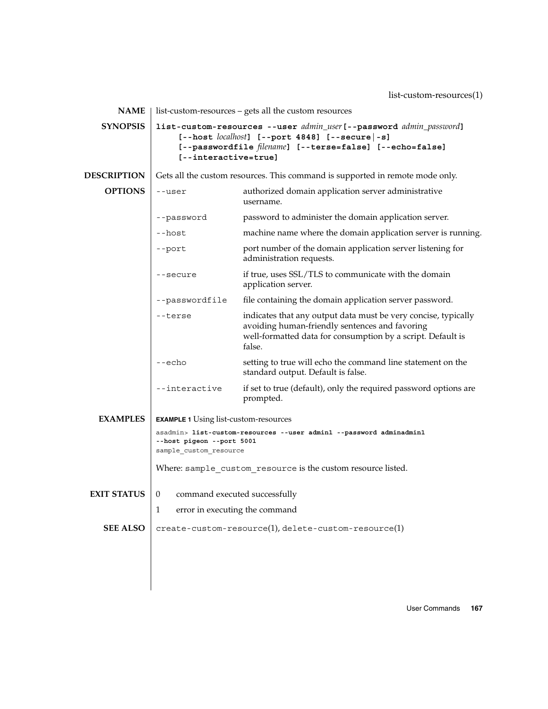list-custom-resources(1)

| <b>NAME</b>        | list-custom-resources - gets all the custom resources                                                                                                                                                      |                                                                                                                                                                                           |  |
|--------------------|------------------------------------------------------------------------------------------------------------------------------------------------------------------------------------------------------------|-------------------------------------------------------------------------------------------------------------------------------------------------------------------------------------------|--|
| <b>SYNOPSIS</b>    | list-custom-resources --user admin_user [--password admin_password]<br>[--host localhost] [--port 4848] [--secure  -s]<br>[--passwordfile filename] [--terse=false] [--echo=false]<br>[--interactive=true] |                                                                                                                                                                                           |  |
| <b>DESCRIPTION</b> |                                                                                                                                                                                                            | Gets all the custom resources. This command is supported in remote mode only.                                                                                                             |  |
| <b>OPTIONS</b>     | --user                                                                                                                                                                                                     | authorized domain application server administrative<br>username.                                                                                                                          |  |
|                    | --password                                                                                                                                                                                                 | password to administer the domain application server.                                                                                                                                     |  |
|                    | --host                                                                                                                                                                                                     | machine name where the domain application server is running.                                                                                                                              |  |
|                    | --port                                                                                                                                                                                                     | port number of the domain application server listening for<br>administration requests.                                                                                                    |  |
|                    | --secure                                                                                                                                                                                                   | if true, uses SSL/TLS to communicate with the domain<br>application server.                                                                                                               |  |
|                    | --passwordfile                                                                                                                                                                                             | file containing the domain application server password.                                                                                                                                   |  |
|                    | --terse                                                                                                                                                                                                    | indicates that any output data must be very concise, typically<br>avoiding human-friendly sentences and favoring<br>well-formatted data for consumption by a script. Default is<br>false. |  |
|                    | --echo                                                                                                                                                                                                     | setting to true will echo the command line statement on the<br>standard output. Default is false.                                                                                         |  |
|                    | --interactive                                                                                                                                                                                              | if set to true (default), only the required password options are<br>prompted.                                                                                                             |  |
| <b>EXAMPLES</b>    | <b>EXAMPLE 1 Using list-custom-resources</b><br>--host pigeon --port 5001<br>sample custom resource                                                                                                        | asadmin> list-custom-resources --user admin1 --password adminadmin1<br>Where: sample custom resource is the custom resource listed.                                                       |  |
| <b>EXIT STATUS</b> | 0<br>command executed successfully                                                                                                                                                                         |                                                                                                                                                                                           |  |
|                    | error in executing the command<br>1                                                                                                                                                                        |                                                                                                                                                                                           |  |
| <b>SEE ALSO</b>    |                                                                                                                                                                                                            | create-custom-resource(1), delete-custom-resource(1)                                                                                                                                      |  |
|                    |                                                                                                                                                                                                            |                                                                                                                                                                                           |  |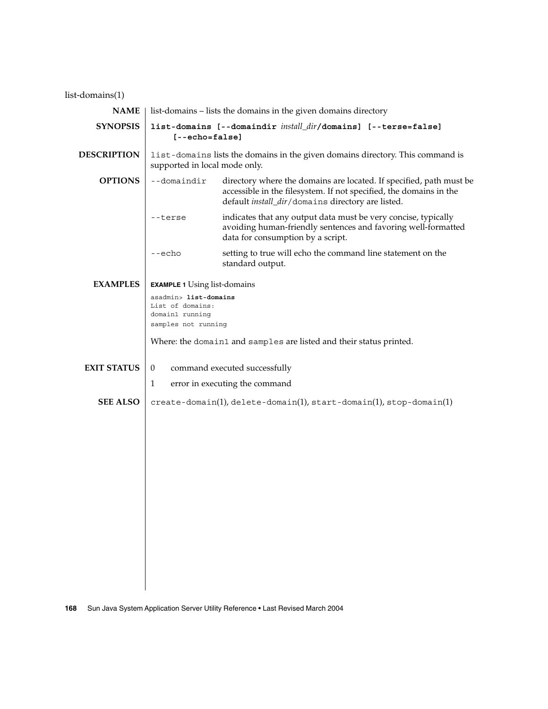list-domains(1)

| <b>NAME</b>        | list-domains – lists the domains in the given domains directory                            |                                                                                                                                                                                                |
|--------------------|--------------------------------------------------------------------------------------------|------------------------------------------------------------------------------------------------------------------------------------------------------------------------------------------------|
| <b>SYNOPSIS</b>    | list-domains [--domaindir <i>install_dir</i> /domains] [--terse=false]<br>$[--echo=false]$ |                                                                                                                                                                                                |
| <b>DESCRIPTION</b> | supported in local mode only.                                                              | list-domains lists the domains in the given domains directory. This command is                                                                                                                 |
| <b>OPTIONS</b>     | --domaindir                                                                                | directory where the domains are located. If specified, path must be<br>accessible in the filesystem. If not specified, the domains in the<br>default install_dir/domains directory are listed. |
|                    | --terse                                                                                    | indicates that any output data must be very concise, typically<br>avoiding human-friendly sentences and favoring well-formatted<br>data for consumption by a script.                           |
|                    | --echo                                                                                     | setting to true will echo the command line statement on the<br>standard output.                                                                                                                |
| <b>EXAMPLES</b>    | <b>EXAMPLE 1 Using list-domains</b>                                                        |                                                                                                                                                                                                |
|                    | asadmin> list-domains<br>List of domains:<br>domain1 running<br>samples not running        |                                                                                                                                                                                                |
|                    |                                                                                            | Where: the domain1 and samples are listed and their status printed.                                                                                                                            |
| <b>EXIT STATUS</b> | 0                                                                                          | command executed successfully                                                                                                                                                                  |
|                    | $\mathbf{1}$                                                                               | error in executing the command                                                                                                                                                                 |
| <b>SEE ALSO</b>    |                                                                                            | $create-domain(1), delete-domain(1), start-domain(1), stor-domain(1)$                                                                                                                          |
|                    |                                                                                            |                                                                                                                                                                                                |
|                    |                                                                                            |                                                                                                                                                                                                |
|                    |                                                                                            |                                                                                                                                                                                                |
|                    |                                                                                            |                                                                                                                                                                                                |
|                    |                                                                                            |                                                                                                                                                                                                |
|                    |                                                                                            |                                                                                                                                                                                                |
|                    |                                                                                            |                                                                                                                                                                                                |
|                    |                                                                                            |                                                                                                                                                                                                |
|                    |                                                                                            |                                                                                                                                                                                                |
|                    |                                                                                            |                                                                                                                                                                                                |
|                    |                                                                                            |                                                                                                                                                                                                |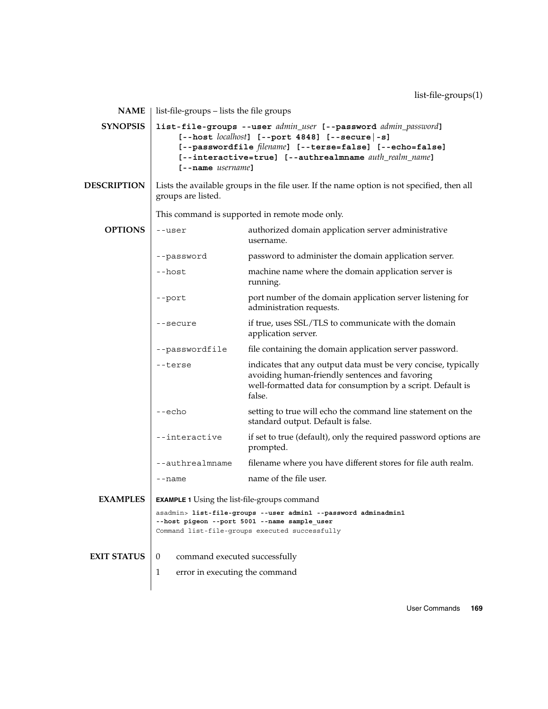list-file-groups(1)

| <b>NAME</b>        | list-file-groups – lists the file groups                                                        |                                                                                                                                                                                                                                                                                 |
|--------------------|-------------------------------------------------------------------------------------------------|---------------------------------------------------------------------------------------------------------------------------------------------------------------------------------------------------------------------------------------------------------------------------------|
| <b>SYNOPSIS</b>    | $[- -name$ username]                                                                            | list-file-groups --user admin_user [--password admin_password]<br>$[- - \text{host localhost}]$ $[- - \text{port 4848}]$ $[- - \text{secure} - \text{s}]$<br>[--passwordfile filename] [--terse=false] [--echo=false]<br>[--interactive=true] [--authrealmname auth_realm_name] |
| <b>DESCRIPTION</b> | groups are listed.                                                                              | Lists the available groups in the file user. If the name option is not specified, then all                                                                                                                                                                                      |
|                    |                                                                                                 | This command is supported in remote mode only.                                                                                                                                                                                                                                  |
| <b>OPTIONS</b>     | --user                                                                                          | authorized domain application server administrative<br>username.                                                                                                                                                                                                                |
|                    | --password                                                                                      | password to administer the domain application server.                                                                                                                                                                                                                           |
|                    | --host                                                                                          | machine name where the domain application server is<br>running.                                                                                                                                                                                                                 |
|                    | --port                                                                                          | port number of the domain application server listening for<br>administration requests.                                                                                                                                                                                          |
|                    | --secure                                                                                        | if true, uses SSL/TLS to communicate with the domain<br>application server.                                                                                                                                                                                                     |
|                    | --passwordfile                                                                                  | file containing the domain application server password.                                                                                                                                                                                                                         |
|                    | --terse                                                                                         | indicates that any output data must be very concise, typically<br>avoiding human-friendly sentences and favoring<br>well-formatted data for consumption by a script. Default is<br>false.                                                                                       |
|                    | --echo                                                                                          | setting to true will echo the command line statement on the<br>standard output. Default is false.                                                                                                                                                                               |
|                    | --interactive                                                                                   | if set to true (default), only the required password options are<br>prompted.                                                                                                                                                                                                   |
|                    | --authrealmname                                                                                 | filename where you have different stores for file auth realm.                                                                                                                                                                                                                   |
|                    | --name                                                                                          | name of the file user.                                                                                                                                                                                                                                                          |
| <b>EXAMPLES</b>    | <b>EXAMPLE 1</b> Using the list-file-groups command                                             |                                                                                                                                                                                                                                                                                 |
|                    |                                                                                                 | asadmin> list-file-groups --user admin1 --password adminadmin1<br>--host pigeon --port 5001 --name sample user<br>Command list-file-groups executed successfully                                                                                                                |
| <b>EXIT STATUS</b> | $\mathbf{0}$<br>command executed successfully<br>$\mathbf{1}$<br>error in executing the command |                                                                                                                                                                                                                                                                                 |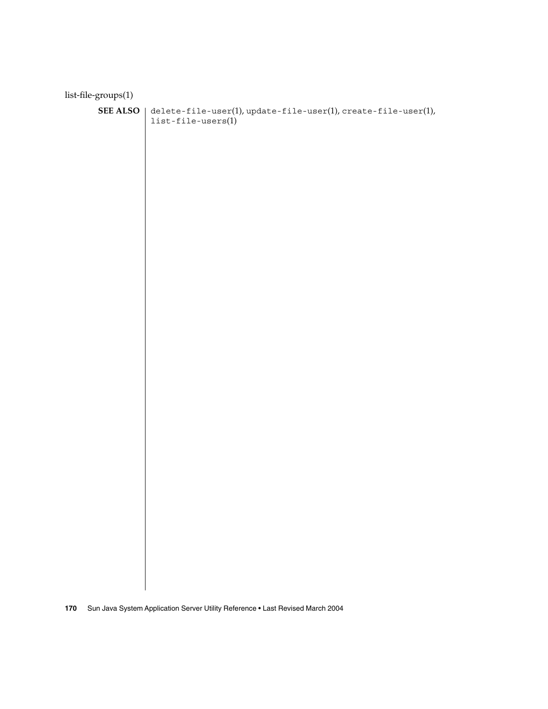| list-file-groups(1) |                                                                                                     |
|---------------------|-----------------------------------------------------------------------------------------------------|
| <b>SEE ALSO</b>     | $\verb+delete-file-user+(1), update-file-user(1), create-file-user(1),$<br>$list$ -file-users $(1)$ |
|                     |                                                                                                     |
|                     |                                                                                                     |
|                     |                                                                                                     |
|                     |                                                                                                     |
|                     |                                                                                                     |
|                     |                                                                                                     |
|                     |                                                                                                     |
|                     |                                                                                                     |
|                     |                                                                                                     |
|                     |                                                                                                     |
|                     |                                                                                                     |
|                     |                                                                                                     |
|                     |                                                                                                     |
|                     |                                                                                                     |
|                     |                                                                                                     |
|                     |                                                                                                     |
|                     |                                                                                                     |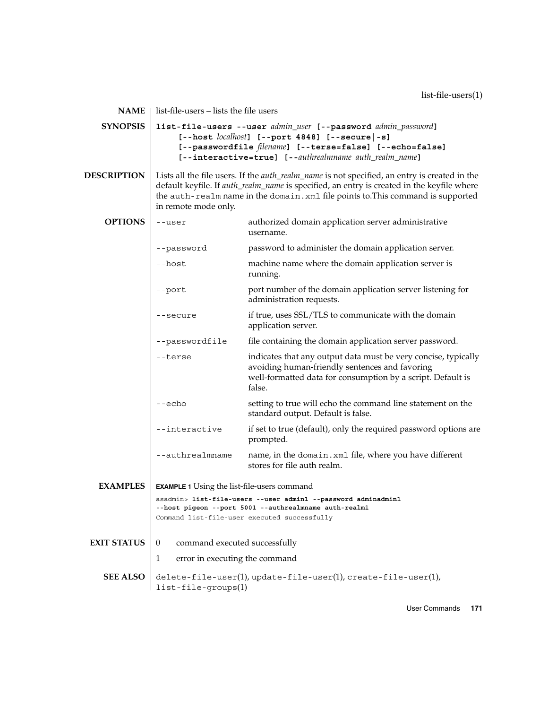list-file-users(1)

| <b>NAME</b>        | list-file-users – lists the file users                                                                                                                                                                                                                                                                              |                                                                                                                                                                                           |  |
|--------------------|---------------------------------------------------------------------------------------------------------------------------------------------------------------------------------------------------------------------------------------------------------------------------------------------------------------------|-------------------------------------------------------------------------------------------------------------------------------------------------------------------------------------------|--|
| <b>SYNOPSIS</b>    | list-file-users --user admin_user [--password admin_password]<br>[--host localhost] [--port 4848] [--secure  -s]<br>[--passwordfile filename] [--terse=false] [--echo=false]<br>[--interactive=true] [--authrealmname auth_realm_name]                                                                              |                                                                                                                                                                                           |  |
| <b>DESCRIPTION</b> | Lists all the file users. If the <i>auth_realm_name</i> is not specified, an entry is created in the<br>default keyfile. If <i>auth_realm_name</i> is specified, an entry is created in the keyfile where<br>the auth-realm name in the domain.xml file points to.This command is supported<br>in remote mode only. |                                                                                                                                                                                           |  |
| <b>OPTIONS</b>     | --user                                                                                                                                                                                                                                                                                                              | authorized domain application server administrative<br>username.                                                                                                                          |  |
|                    | --password                                                                                                                                                                                                                                                                                                          | password to administer the domain application server.                                                                                                                                     |  |
|                    | --host                                                                                                                                                                                                                                                                                                              | machine name where the domain application server is<br>running.                                                                                                                           |  |
|                    | --port                                                                                                                                                                                                                                                                                                              | port number of the domain application server listening for<br>administration requests.                                                                                                    |  |
|                    | --secure                                                                                                                                                                                                                                                                                                            | if true, uses SSL/TLS to communicate with the domain<br>application server.                                                                                                               |  |
|                    | --passwordfile                                                                                                                                                                                                                                                                                                      | file containing the domain application server password.                                                                                                                                   |  |
|                    | --terse                                                                                                                                                                                                                                                                                                             | indicates that any output data must be very concise, typically<br>avoiding human-friendly sentences and favoring<br>well-formatted data for consumption by a script. Default is<br>false. |  |
|                    | --echo                                                                                                                                                                                                                                                                                                              | setting to true will echo the command line statement on the<br>standard output. Default is false.                                                                                         |  |
|                    | --interactive                                                                                                                                                                                                                                                                                                       | if set to true (default), only the required password options are<br>prompted.                                                                                                             |  |
|                    | --authrealmname                                                                                                                                                                                                                                                                                                     | name, in the domain.xml file, where you have different<br>stores for file auth realm.                                                                                                     |  |
| <b>EXAMPLES</b>    | <b>EXAMPLE 1</b> Using the list-file-users command                                                                                                                                                                                                                                                                  |                                                                                                                                                                                           |  |
|                    | asadmin> list-file-users --user admin1 --password adminadmin1<br>--host pigeon --port 5001 --authrealmname auth-realm1<br>Command list-file-user executed successfully                                                                                                                                              |                                                                                                                                                                                           |  |
| <b>EXIT STATUS</b> | command executed successfully<br>0                                                                                                                                                                                                                                                                                  |                                                                                                                                                                                           |  |
|                    | 1<br>error in executing the command                                                                                                                                                                                                                                                                                 |                                                                                                                                                                                           |  |
| <b>SEE ALSO</b>    | list-file-groups(1)                                                                                                                                                                                                                                                                                                 | $delete-file-user(1), update-file-user(1), createFile-user(1), createFile-user(1),$                                                                                                       |  |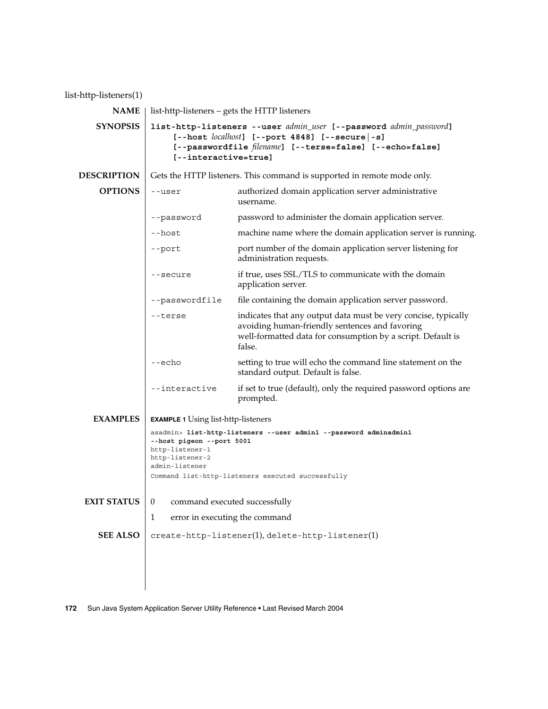| list-http-listeners(1) |                                                                                                                                                                                                                                                    |                                                                                                                                                                                           |
|------------------------|----------------------------------------------------------------------------------------------------------------------------------------------------------------------------------------------------------------------------------------------------|-------------------------------------------------------------------------------------------------------------------------------------------------------------------------------------------|
| <b>NAME</b>            | list-http-listeners – gets the HTTP listeners                                                                                                                                                                                                      |                                                                                                                                                                                           |
| <b>SYNOPSIS</b>        | list-http-listeners --user admin_user [--password admin_password]<br>$[- - \text{host localhost}]$ $[- - \text{port 4848}]$ $[- - \text{secure}   - \text{s}]$<br>[--passwordfile filename] [--terse=false] [--echo=false]<br>[--interactive=true] |                                                                                                                                                                                           |
| <b>DESCRIPTION</b>     | Gets the HTTP listeners. This command is supported in remote mode only.                                                                                                                                                                            |                                                                                                                                                                                           |
| <b>OPTIONS</b>         | --user                                                                                                                                                                                                                                             | authorized domain application server administrative<br>username.                                                                                                                          |
|                        | --password                                                                                                                                                                                                                                         | password to administer the domain application server.                                                                                                                                     |
|                        | --host                                                                                                                                                                                                                                             | machine name where the domain application server is running.                                                                                                                              |
|                        | --port                                                                                                                                                                                                                                             | port number of the domain application server listening for<br>administration requests.                                                                                                    |
|                        | --secure                                                                                                                                                                                                                                           | if true, uses SSL/TLS to communicate with the domain<br>application server.                                                                                                               |
|                        | --passwordfile                                                                                                                                                                                                                                     | file containing the domain application server password.                                                                                                                                   |
|                        | --terse                                                                                                                                                                                                                                            | indicates that any output data must be very concise, typically<br>avoiding human-friendly sentences and favoring<br>well-formatted data for consumption by a script. Default is<br>false. |
|                        | --echo                                                                                                                                                                                                                                             | setting to true will echo the command line statement on the<br>standard output. Default is false.                                                                                         |
|                        | --interactive                                                                                                                                                                                                                                      | if set to true (default), only the required password options are<br>prompted.                                                                                                             |
| <b>EXAMPLES</b>        | <b>EXAMPLE 1</b> Using list-http-listeners                                                                                                                                                                                                         |                                                                                                                                                                                           |
|                        | asadmin> list-http-listeners --user admin1 --password adminadmin1<br>--host pigeon --port 5001<br>http-listener-1<br>http-listener-2<br>admin-listener<br>Command list-http-listeners executed successfully                                        |                                                                                                                                                                                           |
| <b>EXIT STATUS</b>     | $\boldsymbol{0}$                                                                                                                                                                                                                                   | command executed successfully                                                                                                                                                             |
|                        | $\mathbf{1}$                                                                                                                                                                                                                                       | error in executing the command                                                                                                                                                            |
| <b>SEE ALSO</b>        |                                                                                                                                                                                                                                                    | create-http-listener(1), delete-http-listener(1)                                                                                                                                          |
|                        |                                                                                                                                                                                                                                                    |                                                                                                                                                                                           |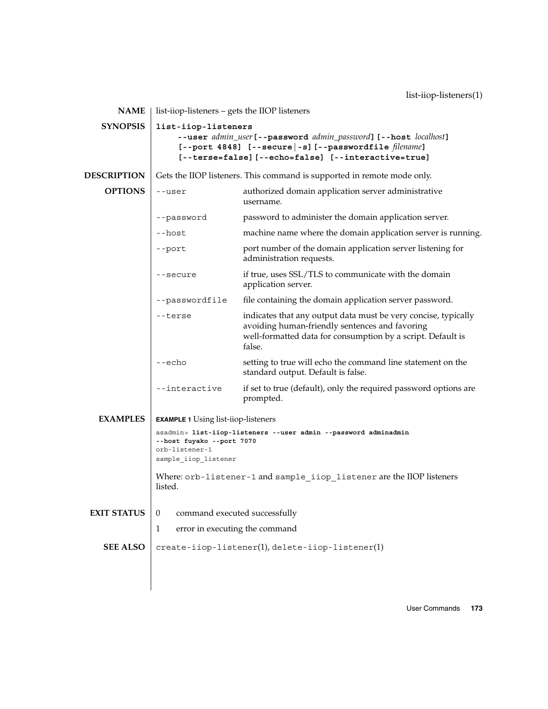| <b>NAME</b>        | list-iiop-listeners - gets the IIOP listeners                                                                                                                                                          |                                                                                                                                                                                           |  |
|--------------------|--------------------------------------------------------------------------------------------------------------------------------------------------------------------------------------------------------|-------------------------------------------------------------------------------------------------------------------------------------------------------------------------------------------|--|
| <b>SYNOPSIS</b>    | list-iiop-listeners<br>--user admin_user[--password admin_password][--host localhost]<br>[--port 4848] [--secure   -s] [--passwordfile filename]<br>[--terse=false][--echo=false] [--interactive=true] |                                                                                                                                                                                           |  |
| <b>DESCRIPTION</b> | Gets the IIOP listeners. This command is supported in remote mode only.                                                                                                                                |                                                                                                                                                                                           |  |
| <b>OPTIONS</b>     | --user                                                                                                                                                                                                 | authorized domain application server administrative<br>username.                                                                                                                          |  |
|                    | --password                                                                                                                                                                                             | password to administer the domain application server.                                                                                                                                     |  |
|                    | --host                                                                                                                                                                                                 | machine name where the domain application server is running.                                                                                                                              |  |
|                    | --port                                                                                                                                                                                                 | port number of the domain application server listening for<br>administration requests.                                                                                                    |  |
|                    | --secure                                                                                                                                                                                               | if true, uses SSL/TLS to communicate with the domain<br>application server.                                                                                                               |  |
|                    | --passwordfile                                                                                                                                                                                         | file containing the domain application server password.                                                                                                                                   |  |
|                    | --terse                                                                                                                                                                                                | indicates that any output data must be very concise, typically<br>avoiding human-friendly sentences and favoring<br>well-formatted data for consumption by a script. Default is<br>false. |  |
|                    | --echo                                                                                                                                                                                                 | setting to true will echo the command line statement on the<br>standard output. Default is false.                                                                                         |  |
|                    | --interactive                                                                                                                                                                                          | if set to true (default), only the required password options are<br>prompted.                                                                                                             |  |
| <b>EXAMPLES</b>    | <b>EXAMPLE 1</b> Using list-iiop-listeners                                                                                                                                                             |                                                                                                                                                                                           |  |
|                    | asadmin> list-iiop-listeners --user admin --password adminadmin<br>--host fuyako --port 7070<br>orb-listener-1<br>sample iiop listener                                                                 |                                                                                                                                                                                           |  |
|                    | listed.                                                                                                                                                                                                | Where: orb-listener-1 and sample iiop listener are the IIOP listeners                                                                                                                     |  |
| <b>EXIT STATUS</b> | command executed successfully<br>$\mathbf{0}$                                                                                                                                                          |                                                                                                                                                                                           |  |
|                    | error in executing the command<br>$\mathbf{1}$                                                                                                                                                         |                                                                                                                                                                                           |  |
| <b>SEE ALSO</b>    |                                                                                                                                                                                                        | create-iiop-listener(1), delete-iiop-listener(1)                                                                                                                                          |  |
|                    |                                                                                                                                                                                                        |                                                                                                                                                                                           |  |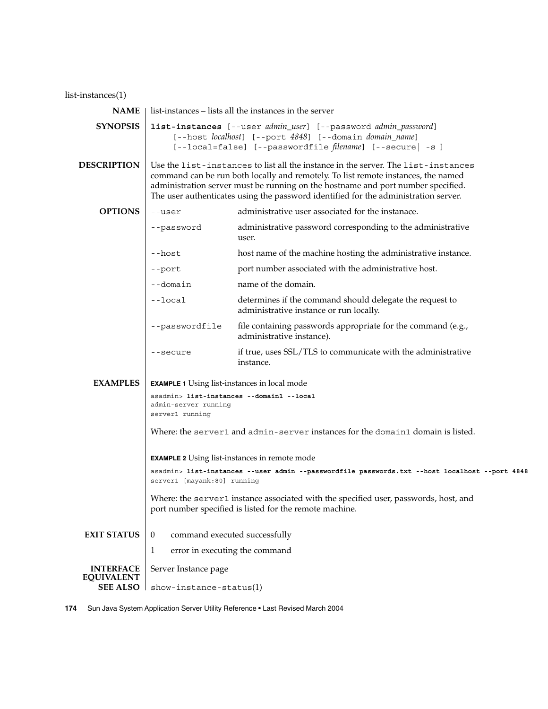list-instances(1)

| <b>NAME</b>                          |                                                                                                                                                                                                                                                                                                                                                   | list-instances – lists all the instances in the server                                                                       |  |
|--------------------------------------|---------------------------------------------------------------------------------------------------------------------------------------------------------------------------------------------------------------------------------------------------------------------------------------------------------------------------------------------------|------------------------------------------------------------------------------------------------------------------------------|--|
| <b>SYNOPSIS</b>                      | list-instances [--user admin_user] [--password admin_password]<br>[--host localhost] [--port 4848] [--domain domain_name]<br>[--local=false] [--passwordfile filename] [--secure   -s]                                                                                                                                                            |                                                                                                                              |  |
| <b>DESCRIPTION</b>                   | Use the list-instances to list all the instance in the server. The list-instances<br>command can be run both locally and remotely. To list remote instances, the named<br>administration server must be running on the hostname and port number specified.<br>The user authenticates using the password identified for the administration server. |                                                                                                                              |  |
| <b>OPTIONS</b>                       | --user                                                                                                                                                                                                                                                                                                                                            | administrative user associated for the instanace.                                                                            |  |
|                                      | --password                                                                                                                                                                                                                                                                                                                                        | administrative password corresponding to the administrative<br>user.                                                         |  |
|                                      | --host                                                                                                                                                                                                                                                                                                                                            | host name of the machine hosting the administrative instance.                                                                |  |
|                                      | --port                                                                                                                                                                                                                                                                                                                                            | port number associated with the administrative host.                                                                         |  |
|                                      | --domain                                                                                                                                                                                                                                                                                                                                          | name of the domain.                                                                                                          |  |
|                                      | $-$ -local                                                                                                                                                                                                                                                                                                                                        | determines if the command should delegate the request to<br>administrative instance or run locally.                          |  |
|                                      | --passwordfile                                                                                                                                                                                                                                                                                                                                    | file containing passwords appropriate for the command (e.g.,<br>administrative instance).                                    |  |
|                                      | --secure                                                                                                                                                                                                                                                                                                                                          | if true, uses SSL/TLS to communicate with the administrative<br>instance.                                                    |  |
| <b>EXAMPLES</b>                      | <b>EXAMPLE 1</b> Using list-instances in local mode<br>admin-server running<br>server1 running                                                                                                                                                                                                                                                    | asadmin> list-instances --domain1 --local<br>Where: the server1 and admin-server instances for the domain1 domain is listed. |  |
|                                      | <b>EXAMPLE 2</b> Using list-instances in remote mode<br>asadmin> list-instances --user admin --passwordfile passwords.txt --host localhost --port 4848<br>server1 [mayank:80] running<br>Where: the server1 instance associated with the specified user, passwords, host, and<br>port number specified is listed for the remote machine.          |                                                                                                                              |  |
| <b>EXIT STATUS</b>                   | $\boldsymbol{0}$<br>command executed successfully<br>$\mathbf{1}$<br>error in executing the command                                                                                                                                                                                                                                               |                                                                                                                              |  |
| <b>INTERFACE</b>                     | Server Instance page                                                                                                                                                                                                                                                                                                                              |                                                                                                                              |  |
| <b>EQUIVALENT</b><br><b>SEE ALSO</b> | $show{\text -}instance{\text -}status(1)$                                                                                                                                                                                                                                                                                                         |                                                                                                                              |  |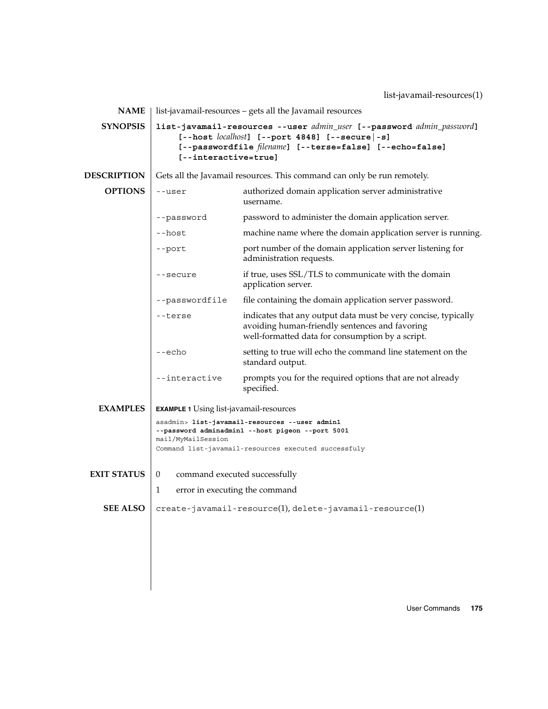| <b>NAME</b>        | list-javamail-resources - gets all the Javamail resources                                                                                                                                                                                            |                                                                                                                                                                      |  |
|--------------------|------------------------------------------------------------------------------------------------------------------------------------------------------------------------------------------------------------------------------------------------------|----------------------------------------------------------------------------------------------------------------------------------------------------------------------|--|
| <b>SYNOPSIS</b>    | list-javamail-resources --user admin_user [--password admin_password]<br>$[- - \text{host localhost}]$ $[- - \text{port 4848}]$ $[- - \text{secure} - \text{s}]$<br>[--passwordfile filename] [--terse=false] [--echo=false]<br>[--interactive=true] |                                                                                                                                                                      |  |
| <b>DESCRIPTION</b> |                                                                                                                                                                                                                                                      | Gets all the Javamail resources. This command can only be run remotely.                                                                                              |  |
| <b>OPTIONS</b>     | --user                                                                                                                                                                                                                                               | authorized domain application server administrative<br>username.                                                                                                     |  |
|                    | --password                                                                                                                                                                                                                                           | password to administer the domain application server.                                                                                                                |  |
|                    | --host                                                                                                                                                                                                                                               | machine name where the domain application server is running.                                                                                                         |  |
|                    | --port                                                                                                                                                                                                                                               | port number of the domain application server listening for<br>administration requests.                                                                               |  |
|                    | --secure                                                                                                                                                                                                                                             | if true, uses SSL/TLS to communicate with the domain<br>application server.                                                                                          |  |
|                    | --passwordfile                                                                                                                                                                                                                                       | file containing the domain application server password.                                                                                                              |  |
|                    | --terse                                                                                                                                                                                                                                              | indicates that any output data must be very concise, typically<br>avoiding human-friendly sentences and favoring<br>well-formatted data for consumption by a script. |  |
|                    | --echo                                                                                                                                                                                                                                               | setting to true will echo the command line statement on the<br>standard output.                                                                                      |  |
|                    | --interactive                                                                                                                                                                                                                                        | prompts you for the required options that are not already<br>specified.                                                                                              |  |
| <b>EXAMPLES</b>    | <b>EXAMPLE 1 Using list-javamail-resources</b>                                                                                                                                                                                                       |                                                                                                                                                                      |  |
|                    | asadmin> list-javamail-resources --user admin1<br>--password adminadmin1 --host pigeon --port 5001<br>mail/MyMailSession<br>Command list-javamail-resources executed successfuly                                                                     |                                                                                                                                                                      |  |
| <b>EXIT STATUS</b> | $\theta$<br>command executed successfully                                                                                                                                                                                                            |                                                                                                                                                                      |  |
|                    | 1<br>error in executing the command                                                                                                                                                                                                                  |                                                                                                                                                                      |  |
| <b>SEE ALSO</b>    |                                                                                                                                                                                                                                                      | create-javamail-resource(1), delete-javamail-resource(1)                                                                                                             |  |
|                    |                                                                                                                                                                                                                                                      |                                                                                                                                                                      |  |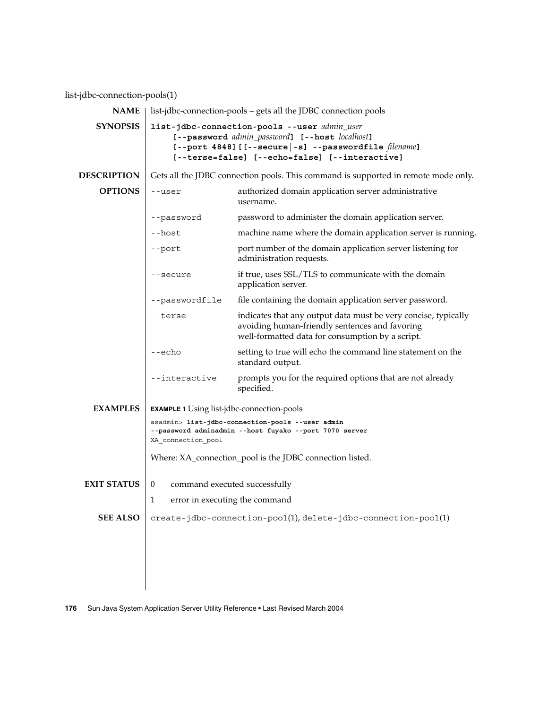list-jdbc-connection-pools(1)

| <b>NAME</b>        |                                                                                                                                                                                                             | list-jdbc-connection-pools – gets all the JDBC connection pools                                                                                                      |  |
|--------------------|-------------------------------------------------------------------------------------------------------------------------------------------------------------------------------------------------------------|----------------------------------------------------------------------------------------------------------------------------------------------------------------------|--|
| <b>SYNOPSIS</b>    | list-jdbc-connection-pools --user admin_user<br>[--password admin_password] [--host localhost]<br>[--port 4848] [[--secure   -s] --passwordfile filename]<br>[--terse=false] [--echo=false] [--interactive] |                                                                                                                                                                      |  |
| <b>DESCRIPTION</b> |                                                                                                                                                                                                             | Gets all the JDBC connection pools. This command is supported in remote mode only.                                                                                   |  |
| <b>OPTIONS</b>     | --user                                                                                                                                                                                                      | authorized domain application server administrative<br>username.                                                                                                     |  |
|                    | --password                                                                                                                                                                                                  | password to administer the domain application server.                                                                                                                |  |
|                    | --host                                                                                                                                                                                                      | machine name where the domain application server is running.                                                                                                         |  |
|                    | --port                                                                                                                                                                                                      | port number of the domain application server listening for<br>administration requests.                                                                               |  |
|                    | --secure                                                                                                                                                                                                    | if true, uses SSL/TLS to communicate with the domain<br>application server.                                                                                          |  |
|                    | --passwordfile                                                                                                                                                                                              | file containing the domain application server password.                                                                                                              |  |
|                    | --terse                                                                                                                                                                                                     | indicates that any output data must be very concise, typically<br>avoiding human-friendly sentences and favoring<br>well-formatted data for consumption by a script. |  |
|                    | --echo                                                                                                                                                                                                      | setting to true will echo the command line statement on the<br>standard output.                                                                                      |  |
|                    | --interactive                                                                                                                                                                                               | prompts you for the required options that are not already<br>specified.                                                                                              |  |
| <b>EXAMPLES</b>    | <b>EXAMPLE 1</b> Using list-jdbc-connection-pools                                                                                                                                                           |                                                                                                                                                                      |  |
|                    | asadmin> list-jdbc-connection-pools --user admin<br>--password adminadmin --host fuyako --port 7070 server<br>XA connection pool                                                                            |                                                                                                                                                                      |  |
|                    | Where: XA_connection_pool is the JDBC connection listed.                                                                                                                                                    |                                                                                                                                                                      |  |
| <b>EXIT STATUS</b> | 0<br>command executed successfully                                                                                                                                                                          |                                                                                                                                                                      |  |
|                    | 1<br>error in executing the command                                                                                                                                                                         |                                                                                                                                                                      |  |
| <b>SEE ALSO</b>    |                                                                                                                                                                                                             | create-jdbc-connection-pool(1), delete-jdbc-connection-pool(1)                                                                                                       |  |
|                    |                                                                                                                                                                                                             |                                                                                                                                                                      |  |
|                    |                                                                                                                                                                                                             |                                                                                                                                                                      |  |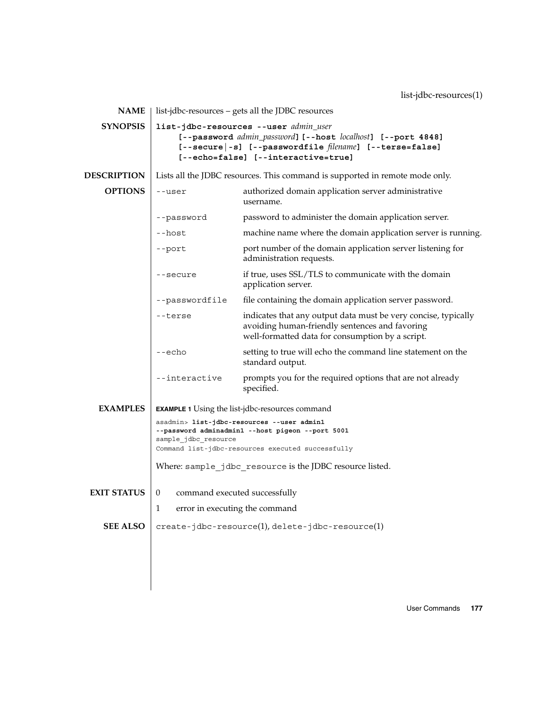list-jdbc-resources(1)

| <b>NAME</b>        |                                                                                                                                                                                                           | list-jdbc-resources - gets all the JDBC resources                                                                                                                    |
|--------------------|-----------------------------------------------------------------------------------------------------------------------------------------------------------------------------------------------------------|----------------------------------------------------------------------------------------------------------------------------------------------------------------------|
| <b>SYNOPSIS</b>    | list-jdbc-resources --user admin_user<br>[--password admin_password] [--host localhost] [--port 4848]<br>[--secure   -s] [--passwordfile filename] [--terse=false]<br>[--echo=false] [--interactive=true] |                                                                                                                                                                      |
| <b>DESCRIPTION</b> | Lists all the JDBC resources. This command is supported in remote mode only.                                                                                                                              |                                                                                                                                                                      |
| <b>OPTIONS</b>     | --user                                                                                                                                                                                                    | authorized domain application server administrative<br>username.                                                                                                     |
|                    | --password                                                                                                                                                                                                | password to administer the domain application server.                                                                                                                |
|                    | --host                                                                                                                                                                                                    | machine name where the domain application server is running.                                                                                                         |
|                    | --port                                                                                                                                                                                                    | port number of the domain application server listening for<br>administration requests.                                                                               |
|                    | --secure                                                                                                                                                                                                  | if true, uses SSL/TLS to communicate with the domain<br>application server.                                                                                          |
|                    | --passwordfile                                                                                                                                                                                            | file containing the domain application server password.                                                                                                              |
|                    | --terse                                                                                                                                                                                                   | indicates that any output data must be very concise, typically<br>avoiding human-friendly sentences and favoring<br>well-formatted data for consumption by a script. |
|                    | --echo                                                                                                                                                                                                    | setting to true will echo the command line statement on the<br>standard output.                                                                                      |
|                    | --interactive                                                                                                                                                                                             | prompts you for the required options that are not already<br>specified.                                                                                              |
| <b>EXAMPLES</b>    |                                                                                                                                                                                                           | <b>EXAMPLE 1</b> Using the list-jdbc-resources command                                                                                                               |
|                    | asadmin> list-jdbc-resources --user admin1<br>--password adminadmin1 --host pigeon --port 5001<br>sample jdbc resource<br>Command list-jdbc-resources executed successfully                               |                                                                                                                                                                      |
|                    |                                                                                                                                                                                                           |                                                                                                                                                                      |
|                    |                                                                                                                                                                                                           | Where: sample jdbc resource is the JDBC resource listed.                                                                                                             |
| <b>EXIT STATUS</b> | command executed successfully<br>0                                                                                                                                                                        |                                                                                                                                                                      |
|                    | $\mathbf{1}$<br>error in executing the command                                                                                                                                                            |                                                                                                                                                                      |
| <b>SEE ALSO</b>    |                                                                                                                                                                                                           | $create-jdbc-resource(1), delete-jdbc-resource(1)$                                                                                                                   |
|                    |                                                                                                                                                                                                           |                                                                                                                                                                      |
|                    |                                                                                                                                                                                                           |                                                                                                                                                                      |
|                    |                                                                                                                                                                                                           |                                                                                                                                                                      |
|                    |                                                                                                                                                                                                           |                                                                                                                                                                      |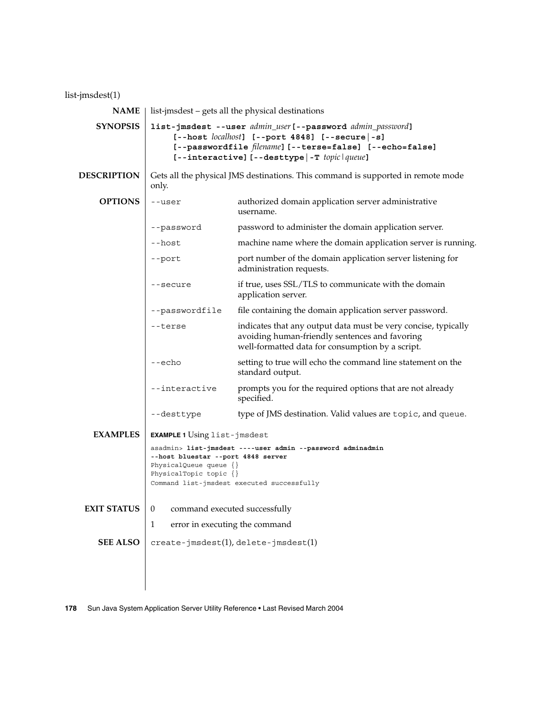# list-jmsdest(1)

| <b>NAME</b>        | list-jmsdest – gets all the physical destinations                                                                                                                                                                                                                    |                                                                                                                                                                      |  |
|--------------------|----------------------------------------------------------------------------------------------------------------------------------------------------------------------------------------------------------------------------------------------------------------------|----------------------------------------------------------------------------------------------------------------------------------------------------------------------|--|
| <b>SYNOPSIS</b>    | list-jmsdest --user admin_user[--password admin_password]<br>$[- - \text{host localhost}]$ $[- - \text{port 4848}]$ $[- - \text{secure}   - \text{s}]$<br>[--passwordfile filename] [--terse=false] [--echo=false]<br>[--interactive] [--desttype  -T topic   queue] |                                                                                                                                                                      |  |
| <b>DESCRIPTION</b> | Gets all the physical JMS destinations. This command is supported in remote mode<br>only.                                                                                                                                                                            |                                                                                                                                                                      |  |
| <b>OPTIONS</b>     | --user                                                                                                                                                                                                                                                               | authorized domain application server administrative<br>username.                                                                                                     |  |
|                    | --password                                                                                                                                                                                                                                                           | password to administer the domain application server.                                                                                                                |  |
|                    | --host                                                                                                                                                                                                                                                               | machine name where the domain application server is running.                                                                                                         |  |
|                    | --port                                                                                                                                                                                                                                                               | port number of the domain application server listening for<br>administration requests.                                                                               |  |
|                    | --secure                                                                                                                                                                                                                                                             | if true, uses SSL/TLS to communicate with the domain<br>application server.                                                                                          |  |
|                    | --passwordfile                                                                                                                                                                                                                                                       | file containing the domain application server password.                                                                                                              |  |
|                    | --terse                                                                                                                                                                                                                                                              | indicates that any output data must be very concise, typically<br>avoiding human-friendly sentences and favoring<br>well-formatted data for consumption by a script. |  |
|                    | --echo                                                                                                                                                                                                                                                               | setting to true will echo the command line statement on the<br>standard output.                                                                                      |  |
|                    | --interactive                                                                                                                                                                                                                                                        | prompts you for the required options that are not already<br>specified.                                                                                              |  |
|                    | --desttype                                                                                                                                                                                                                                                           | type of JMS destination. Valid values are topic, and queue.                                                                                                          |  |
| <b>EXAMPLES</b>    | <b>EXAMPLE 1 Using list-jmsdest</b>                                                                                                                                                                                                                                  |                                                                                                                                                                      |  |
|                    | asadmin> list-jmsdest ----user admin --password adminadmin<br>--host bluestar --port 4848 server<br>PhysicalQueue queue $\{\}$<br>PhysicalTopic topic $\{\}$<br>Command list-jmsdest executed successfully                                                           |                                                                                                                                                                      |  |
| <b>EXIT STATUS</b> | 0 command executed successfully                                                                                                                                                                                                                                      |                                                                                                                                                                      |  |
|                    | error in executing the command<br>1                                                                                                                                                                                                                                  |                                                                                                                                                                      |  |
| <b>SEE ALSO</b>    |                                                                                                                                                                                                                                                                      | $create-jmsdest(1), delete-jmsdest(1)$                                                                                                                               |  |
|                    |                                                                                                                                                                                                                                                                      |                                                                                                                                                                      |  |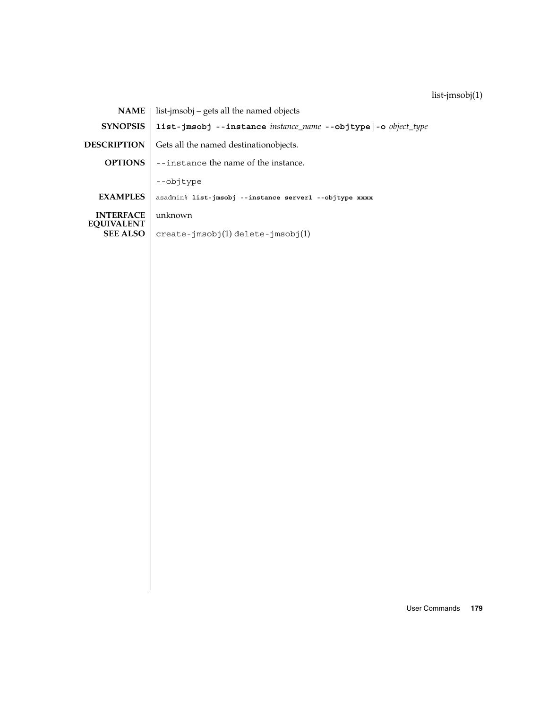list-jmsobj(1)

| <b>NAME</b>                           | list-jmsobj – gets all the named objects                       |  |  |
|---------------------------------------|----------------------------------------------------------------|--|--|
| <b>SYNOPSIS</b>                       | list-jmsobj --instance instance_name --objtype  -o object_type |  |  |
| <b>DESCRIPTION</b>                    | Gets all the named destination objects.                        |  |  |
| <b>OPTIONS</b>                        | --instance the name of the instance.                           |  |  |
|                                       | --objtype                                                      |  |  |
| <b>EXAMPLES</b>                       | asadmin% list-jmsobj --instance server1 --objtype xxxx         |  |  |
| <b>INTERFACE</b><br><b>EOUIVALENT</b> | unknown                                                        |  |  |
| <b>SEE ALSO</b>                       | $create-jmsobj(1) delete-jmsobj(1)$                            |  |  |
|                                       |                                                                |  |  |
|                                       |                                                                |  |  |
|                                       |                                                                |  |  |
|                                       |                                                                |  |  |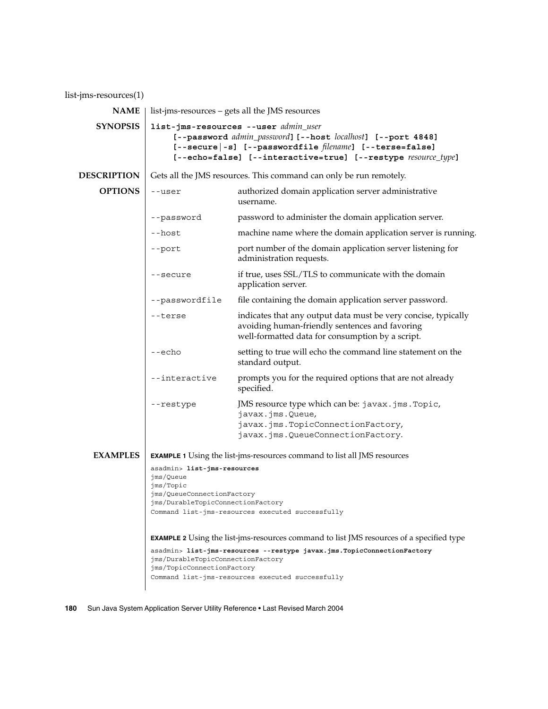| <b>NAME</b><br>list-jms-resources – gets all the JMS resources<br><b>SYNOPSIS</b><br>list-jms-resources --user admin_user<br>[--password admin_password] [--host localhost] [--port 4848]<br>[--secure   - s] [--passwordfile filename] [--terse=false]<br><b>DESCRIPTION</b><br>Gets all the JMS resources. This command can only be run remotely.<br><b>OPTIONS</b><br>authorized domain application server administrative<br>--user<br>username.<br>password to administer the domain application server.<br>--password |                                                                                                 |  |
|----------------------------------------------------------------------------------------------------------------------------------------------------------------------------------------------------------------------------------------------------------------------------------------------------------------------------------------------------------------------------------------------------------------------------------------------------------------------------------------------------------------------------|-------------------------------------------------------------------------------------------------|--|
|                                                                                                                                                                                                                                                                                                                                                                                                                                                                                                                            |                                                                                                 |  |
|                                                                                                                                                                                                                                                                                                                                                                                                                                                                                                                            | [--echo=false] [--interactive=true] [--restype resource_type]                                   |  |
|                                                                                                                                                                                                                                                                                                                                                                                                                                                                                                                            |                                                                                                 |  |
|                                                                                                                                                                                                                                                                                                                                                                                                                                                                                                                            |                                                                                                 |  |
|                                                                                                                                                                                                                                                                                                                                                                                                                                                                                                                            |                                                                                                 |  |
| machine name where the domain application server is running.<br>--host                                                                                                                                                                                                                                                                                                                                                                                                                                                     |                                                                                                 |  |
| port number of the domain application server listening for<br>--port<br>administration requests.                                                                                                                                                                                                                                                                                                                                                                                                                           |                                                                                                 |  |
| if true, uses SSL/TLS to communicate with the domain<br>--secure<br>application server.                                                                                                                                                                                                                                                                                                                                                                                                                                    |                                                                                                 |  |
| file containing the domain application server password.<br>--passwordfile                                                                                                                                                                                                                                                                                                                                                                                                                                                  |                                                                                                 |  |
| indicates that any output data must be very concise, typically<br>--terse<br>avoiding human-friendly sentences and favoring<br>well-formatted data for consumption by a script.                                                                                                                                                                                                                                                                                                                                            |                                                                                                 |  |
| --echo<br>setting to true will echo the command line statement on the<br>standard output.                                                                                                                                                                                                                                                                                                                                                                                                                                  |                                                                                                 |  |
| --interactive<br>prompts you for the required options that are not already<br>specified.                                                                                                                                                                                                                                                                                                                                                                                                                                   |                                                                                                 |  |
| JMS resource type which can be: javax.jms.Topic,<br>--restype<br>javax.jms.Queue,<br>javax.jms.TopicConnectionFactory,<br>javax.jms.QueueConnectionFactory.                                                                                                                                                                                                                                                                                                                                                                |                                                                                                 |  |
| <b>EXAMPLES</b><br><b>EXAMPLE 1</b> Using the list-jms-resources command to list all JMS resources                                                                                                                                                                                                                                                                                                                                                                                                                         |                                                                                                 |  |
| asadmin> list-jms-resources<br>jms/Queue<br>jms/Topic<br>jms/QueueConnectionFactory<br>jms/DurableTopicConnectionFactory<br>Command list-jms-resources executed successfully                                                                                                                                                                                                                                                                                                                                               |                                                                                                 |  |
| asadmin> list-jms-resources --restype javax.jms.TopicConnectionFactory<br>jms/DurableTopicConnectionFactory<br>jms/TopicConnectionFactory<br>Command list-jms-resources executed successfully                                                                                                                                                                                                                                                                                                                              | <b>EXAMPLE 2</b> Using the list-jms-resources command to list JMS resources of a specified type |  |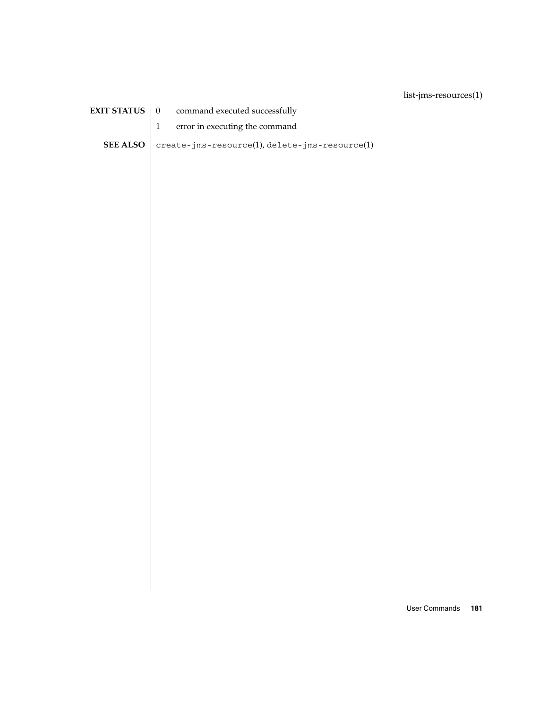list-jms-resources(1)

| <b>EXIT STATUS</b> | $\overline{0}$<br>command executed successfully  |
|--------------------|--------------------------------------------------|
|                    | error in executing the command<br>$\,1$          |
| <b>SEE ALSO</b>    | $create-jms-resource(1), delete-jms-resource(1)$ |
|                    |                                                  |
|                    |                                                  |
|                    |                                                  |
|                    |                                                  |
|                    |                                                  |
|                    |                                                  |
|                    |                                                  |
|                    |                                                  |
|                    |                                                  |
|                    |                                                  |
|                    |                                                  |
|                    |                                                  |
|                    |                                                  |
|                    |                                                  |
|                    |                                                  |
|                    |                                                  |
|                    |                                                  |
|                    |                                                  |
|                    |                                                  |
|                    |                                                  |
|                    |                                                  |
|                    |                                                  |
|                    |                                                  |
|                    |                                                  |
|                    |                                                  |
|                    |                                                  |
|                    | Lloer Commonde                                   |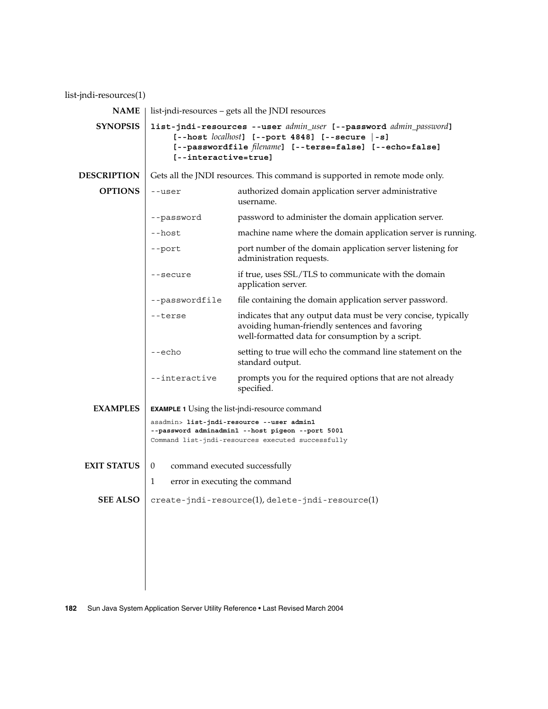| list-jndi-resources(1) |  |
|------------------------|--|
|------------------------|--|

| <b>NAME</b>        | list-jndi-resources - gets all the JNDI resources                                                                                                  |                                                                                                                                                                                                                           |
|--------------------|----------------------------------------------------------------------------------------------------------------------------------------------------|---------------------------------------------------------------------------------------------------------------------------------------------------------------------------------------------------------------------------|
| <b>SYNOPSIS</b>    | [--interactive=true]                                                                                                                               | list-jndi-resources --user admin_user [--password admin_password]<br>$[- - \text{host localhost}]$ $[- - \text{port 4848}]$ $[- - \text{secure } - \text{s}]$<br>[--passwordfile filename] [--terse=false] [--echo=false] |
| <b>DESCRIPTION</b> |                                                                                                                                                    | Gets all the JNDI resources. This command is supported in remote mode only.                                                                                                                                               |
| <b>OPTIONS</b>     | --user                                                                                                                                             | authorized domain application server administrative<br>username.                                                                                                                                                          |
|                    | --password                                                                                                                                         | password to administer the domain application server.                                                                                                                                                                     |
|                    | --host                                                                                                                                             | machine name where the domain application server is running.                                                                                                                                                              |
|                    | --port                                                                                                                                             | port number of the domain application server listening for<br>administration requests.                                                                                                                                    |
|                    | --secure                                                                                                                                           | if true, uses SSL/TLS to communicate with the domain<br>application server.                                                                                                                                               |
|                    | --passwordfile                                                                                                                                     | file containing the domain application server password.                                                                                                                                                                   |
|                    | --terse                                                                                                                                            | indicates that any output data must be very concise, typically<br>avoiding human-friendly sentences and favoring<br>well-formatted data for consumption by a script.                                                      |
|                    | --echo                                                                                                                                             | setting to true will echo the command line statement on the<br>standard output.                                                                                                                                           |
|                    | --interactive                                                                                                                                      | prompts you for the required options that are not already<br>specified.                                                                                                                                                   |
| <b>EXAMPLES</b>    |                                                                                                                                                    | <b>EXAMPLE 1</b> Using the list-jndi-resource command                                                                                                                                                                     |
|                    | asadmin> list-jndi-resource --user admin1<br>--password adminadmin1 --host pigeon --port 5001<br>Command list-jndi-resources executed successfully |                                                                                                                                                                                                                           |
| <b>EXIT STATUS</b> | 0<br>command executed successfully                                                                                                                 |                                                                                                                                                                                                                           |
|                    | 1<br>error in executing the command                                                                                                                |                                                                                                                                                                                                                           |
| <b>SEE ALSO</b>    |                                                                                                                                                    | create-jndi-resource(1), delete-jndi-resource(1)                                                                                                                                                                          |
|                    |                                                                                                                                                    |                                                                                                                                                                                                                           |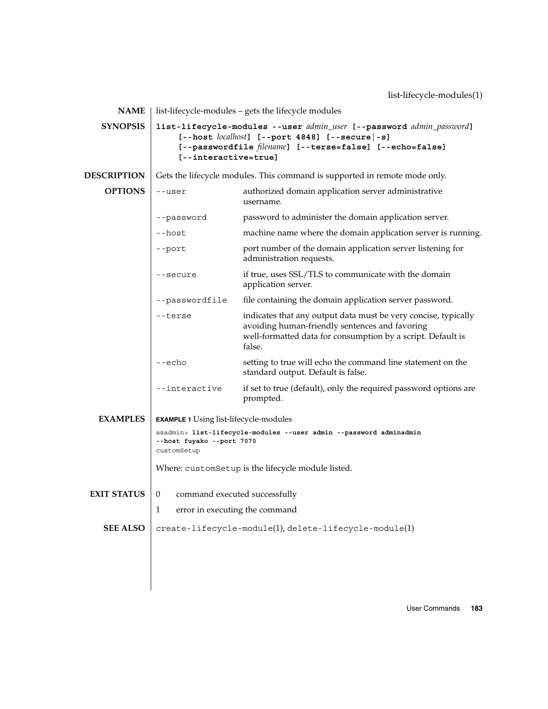list-lifecycle-modules(1)

| <b>NAME</b>        | list-lifecycle-modules - gets the lifecycle modules                                                                                                                                                         |                                                                                                                                                                                           |
|--------------------|-------------------------------------------------------------------------------------------------------------------------------------------------------------------------------------------------------------|-------------------------------------------------------------------------------------------------------------------------------------------------------------------------------------------|
| <b>SYNOPSIS</b>    | list-lifecycle-modules --user admin_user [--password admin_password]<br>[--host localhost] [--port 4848] [--secure  -s]<br>[--passwordfile filename] [--terse=false] [--echo=false]<br>[--interactive=true] |                                                                                                                                                                                           |
| <b>DESCRIPTION</b> |                                                                                                                                                                                                             | Gets the lifecycle modules. This command is supported in remote mode only.                                                                                                                |
| <b>OPTIONS</b>     | --user                                                                                                                                                                                                      | authorized domain application server administrative<br>username.                                                                                                                          |
|                    | --password                                                                                                                                                                                                  | password to administer the domain application server.                                                                                                                                     |
|                    | --host                                                                                                                                                                                                      | machine name where the domain application server is running.                                                                                                                              |
|                    | --port                                                                                                                                                                                                      | port number of the domain application server listening for<br>administration requests.                                                                                                    |
|                    | --secure                                                                                                                                                                                                    | if true, uses SSL/TLS to communicate with the domain<br>application server.                                                                                                               |
|                    | --passwordfile                                                                                                                                                                                              | file containing the domain application server password.                                                                                                                                   |
|                    | --terse                                                                                                                                                                                                     | indicates that any output data must be very concise, typically<br>avoiding human-friendly sentences and favoring<br>well-formatted data for consumption by a script. Default is<br>false. |
|                    | --echo                                                                                                                                                                                                      | setting to true will echo the command line statement on the<br>standard output. Default is false.                                                                                         |
|                    | --interactive                                                                                                                                                                                               | if set to true (default), only the required password options are<br>prompted.                                                                                                             |
| <b>EXAMPLES</b>    | <b>EXAMPLE 1</b> Using list-lifecycle-modules                                                                                                                                                               |                                                                                                                                                                                           |
|                    | asadmin> list-lifecycle-modules --user admin --password adminadmin<br>--host fuyako --port 7070<br>customSetup                                                                                              |                                                                                                                                                                                           |
|                    |                                                                                                                                                                                                             | Where: customSetup is the lifecycle module listed.                                                                                                                                        |
| <b>EXIT STATUS</b> | 0<br>command executed successfully                                                                                                                                                                          |                                                                                                                                                                                           |
|                    | error in executing the command<br>1                                                                                                                                                                         |                                                                                                                                                                                           |
| <b>SEE ALSO</b>    |                                                                                                                                                                                                             | create-lifecycle-module(1), delete-lifecycle-module(1)                                                                                                                                    |
|                    |                                                                                                                                                                                                             |                                                                                                                                                                                           |
|                    |                                                                                                                                                                                                             |                                                                                                                                                                                           |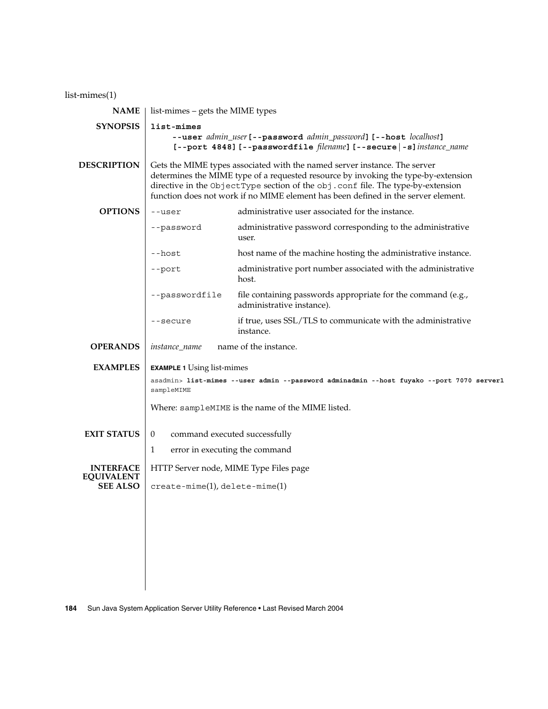list-mimes(1)

| <b>NAME</b>        | list-mimes – gets the MIME types                                                                                                            |                                                                                                                                                                                                                                                                                                                                         |
|--------------------|---------------------------------------------------------------------------------------------------------------------------------------------|-----------------------------------------------------------------------------------------------------------------------------------------------------------------------------------------------------------------------------------------------------------------------------------------------------------------------------------------|
| <b>SYNOPSIS</b>    | list-mimes                                                                                                                                  | --user admin_user [--password admin_password] [--host localhost]<br>[--port 4848] [--passwordfile filename] [--secure   -s] instance_name                                                                                                                                                                                               |
| <b>DESCRIPTION</b> |                                                                                                                                             | Gets the MIME types associated with the named server instance. The server<br>determines the MIME type of a requested resource by invoking the type-by-extension<br>directive in the ObjectType section of the obj.conf file. The type-by-extension<br>function does not work if no MIME element has been defined in the server element. |
| <b>OPTIONS</b>     | --user                                                                                                                                      | administrative user associated for the instance.                                                                                                                                                                                                                                                                                        |
|                    | --password                                                                                                                                  | administrative password corresponding to the administrative<br>user.                                                                                                                                                                                                                                                                    |
|                    | --host                                                                                                                                      | host name of the machine hosting the administrative instance.                                                                                                                                                                                                                                                                           |
|                    | --port                                                                                                                                      | administrative port number associated with the administrative<br>host.                                                                                                                                                                                                                                                                  |
|                    | --passwordfile                                                                                                                              | file containing passwords appropriate for the command (e.g.,<br>administrative instance).                                                                                                                                                                                                                                               |
|                    | --secure                                                                                                                                    | if true, uses SSL/TLS to communicate with the administrative<br>instance.                                                                                                                                                                                                                                                               |
| <b>OPERANDS</b>    | instance_name                                                                                                                               | name of the instance.                                                                                                                                                                                                                                                                                                                   |
| <b>EXAMPLES</b>    |                                                                                                                                             |                                                                                                                                                                                                                                                                                                                                         |
|                    | <b>EXAMPLE 1 Using list-mimes</b><br>asadmin> list-mimes --user admin --password adminadmin --host fuyako --port 7070 server1<br>sampleMIME |                                                                                                                                                                                                                                                                                                                                         |
|                    |                                                                                                                                             | Where: sampleMIME is the name of the MIME listed.                                                                                                                                                                                                                                                                                       |
| <b>EXIT STATUS</b> | $\theta$<br>command executed successfully                                                                                                   |                                                                                                                                                                                                                                                                                                                                         |
|                    | 1<br>error in executing the command                                                                                                         |                                                                                                                                                                                                                                                                                                                                         |
| <b>INTERFACE</b>   |                                                                                                                                             |                                                                                                                                                                                                                                                                                                                                         |
| <b>EQUIVALENT</b>  | HTTP Server node, MIME Type Files page                                                                                                      |                                                                                                                                                                                                                                                                                                                                         |
| <b>SEE ALSO</b>    | $create\text{-}mime(1)$ , delete-mime $(1)$                                                                                                 |                                                                                                                                                                                                                                                                                                                                         |
|                    |                                                                                                                                             |                                                                                                                                                                                                                                                                                                                                         |
|                    |                                                                                                                                             |                                                                                                                                                                                                                                                                                                                                         |
|                    |                                                                                                                                             |                                                                                                                                                                                                                                                                                                                                         |
|                    |                                                                                                                                             |                                                                                                                                                                                                                                                                                                                                         |
|                    |                                                                                                                                             |                                                                                                                                                                                                                                                                                                                                         |
|                    |                                                                                                                                             |                                                                                                                                                                                                                                                                                                                                         |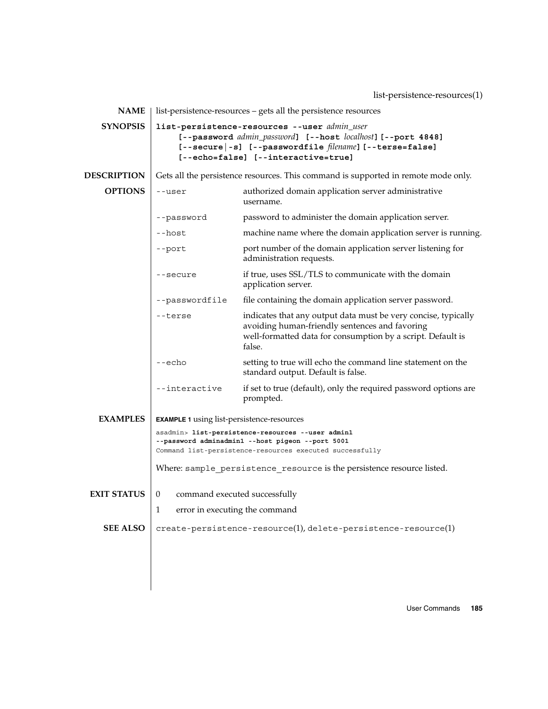| <b>NAME</b>        | list-persistence-resources – gets all the persistence resources                                                                                                                                                  |                                                                                                                                                                                           |
|--------------------|------------------------------------------------------------------------------------------------------------------------------------------------------------------------------------------------------------------|-------------------------------------------------------------------------------------------------------------------------------------------------------------------------------------------|
| <b>SYNOPSIS</b>    | list-persistence-resources --user admin_user<br>[--password admin_password] [--host localhost] [--port 4848]<br>[--secure   -s] [--passwordfile filename] [--terse=false]<br>[--echo=false] [--interactive=true] |                                                                                                                                                                                           |
| <b>DESCRIPTION</b> |                                                                                                                                                                                                                  | Gets all the persistence resources. This command is supported in remote mode only.                                                                                                        |
| <b>OPTIONS</b>     | --user                                                                                                                                                                                                           | authorized domain application server administrative<br>username.                                                                                                                          |
|                    | --password                                                                                                                                                                                                       | password to administer the domain application server.                                                                                                                                     |
|                    | --host                                                                                                                                                                                                           | machine name where the domain application server is running.                                                                                                                              |
|                    | --port                                                                                                                                                                                                           | port number of the domain application server listening for<br>administration requests.                                                                                                    |
|                    | --secure                                                                                                                                                                                                         | if true, uses SSL/TLS to communicate with the domain<br>application server.                                                                                                               |
|                    | --passwordfile                                                                                                                                                                                                   | file containing the domain application server password.                                                                                                                                   |
|                    | --terse                                                                                                                                                                                                          | indicates that any output data must be very concise, typically<br>avoiding human-friendly sentences and favoring<br>well-formatted data for consumption by a script. Default is<br>false. |
|                    | --echo                                                                                                                                                                                                           | setting to true will echo the command line statement on the<br>standard output. Default is false.                                                                                         |
|                    | --interactive                                                                                                                                                                                                    | if set to true (default), only the required password options are<br>prompted.                                                                                                             |
| <b>EXAMPLES</b>    | <b>EXAMPLE 1</b> using list-persistence-resources                                                                                                                                                                | asadmin> list-persistence-resources --user admin1<br>--password adminadmin1 --host pigeon --port 5001<br>Command list-persistence-resources executed successfully                         |
|                    |                                                                                                                                                                                                                  | Where: sample persistence resource is the persistence resource listed.                                                                                                                    |
| <b>EXIT STATUS</b> | 0<br>command executed successfully                                                                                                                                                                               |                                                                                                                                                                                           |
|                    | error in executing the command<br>1                                                                                                                                                                              |                                                                                                                                                                                           |
| <b>SEE ALSO</b>    |                                                                                                                                                                                                                  | create-persistence-resource(1), delete-persistence-resource(1)                                                                                                                            |
|                    |                                                                                                                                                                                                                  |                                                                                                                                                                                           |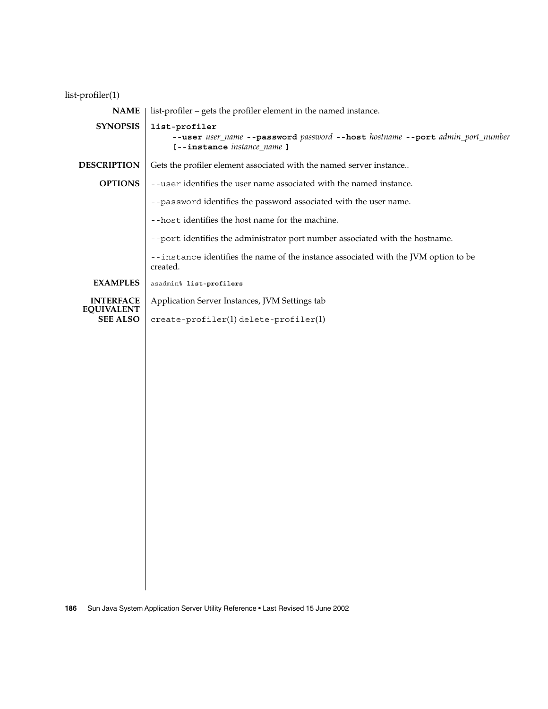list-profiler(1)

| <b>NAME</b>                           | list-profiler – gets the profiler element in the named instance.                                                              |
|---------------------------------------|-------------------------------------------------------------------------------------------------------------------------------|
| <b>SYNOPSIS</b>                       | list-profiler<br>--user user_name --password password --host hostname --port admin_port_number<br>[--instance instance_name ] |
| <b>DESCRIPTION</b>                    | Gets the profiler element associated with the named server instance                                                           |
| <b>OPTIONS</b>                        | --user identifies the user name associated with the named instance.                                                           |
|                                       | --password identifies the password associated with the user name.                                                             |
|                                       | --host identifies the host name for the machine.                                                                              |
|                                       | --port identifies the administrator port number associated with the hostname.                                                 |
|                                       | --instance identifies the name of the instance associated with the JVM option to be<br>created.                               |
| <b>EXAMPLES</b>                       | asadmin% list-profilers                                                                                                       |
| <b>INTERFACE</b><br><b>EQUIVALENT</b> | Application Server Instances, JVM Settings tab                                                                                |
| <b>SEE ALSO</b>                       | $create-profilter(1) delete-profilter(1)$                                                                                     |
|                                       |                                                                                                                               |
|                                       |                                                                                                                               |
|                                       |                                                                                                                               |
|                                       |                                                                                                                               |
|                                       |                                                                                                                               |
|                                       |                                                                                                                               |
|                                       |                                                                                                                               |
|                                       |                                                                                                                               |
|                                       |                                                                                                                               |
|                                       |                                                                                                                               |
|                                       |                                                                                                                               |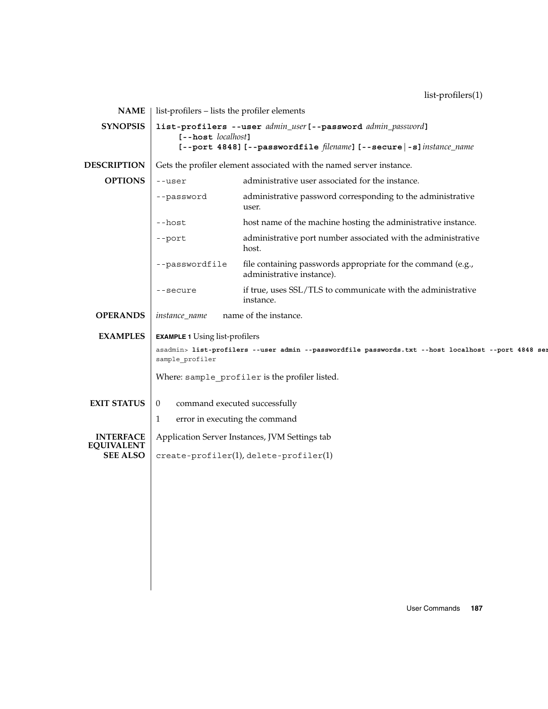list-profilers(1)

| <b>NAME</b>                          | list-profilers – lists the profiler elements                                                                                                                           |                                                                                                                                                      |  |
|--------------------------------------|------------------------------------------------------------------------------------------------------------------------------------------------------------------------|------------------------------------------------------------------------------------------------------------------------------------------------------|--|
| <b>SYNOPSIS</b>                      | list-profilers --user admin_user [--password admin_password]<br>$[- - \text{host localhost}]$<br>[--port 4848] [--passwordfile filename] [--secure   -s] instance_name |                                                                                                                                                      |  |
| <b>DESCRIPTION</b>                   |                                                                                                                                                                        | Gets the profiler element associated with the named server instance.                                                                                 |  |
| <b>OPTIONS</b>                       | --user                                                                                                                                                                 | administrative user associated for the instance.                                                                                                     |  |
|                                      | --password                                                                                                                                                             | administrative password corresponding to the administrative<br>user.                                                                                 |  |
|                                      | --host                                                                                                                                                                 | host name of the machine hosting the administrative instance.                                                                                        |  |
|                                      | --port                                                                                                                                                                 | administrative port number associated with the administrative<br>host.                                                                               |  |
|                                      | --passwordfile                                                                                                                                                         | file containing passwords appropriate for the command (e.g.,<br>administrative instance).                                                            |  |
|                                      | --secure                                                                                                                                                               | if true, uses SSL/TLS to communicate with the administrative<br>instance.                                                                            |  |
| <b>OPERANDS</b>                      | instance_name                                                                                                                                                          | name of the instance.                                                                                                                                |  |
| <b>EXAMPLES</b>                      | <b>EXAMPLE 1 Using list-profilers</b><br>sample profiler                                                                                                               | asadmin> list-profilers --user admin --passwordfile passwords.txt --host localhost --port 4848 ser<br>Where: sample profiler is the profiler listed. |  |
| <b>EXIT STATUS</b>                   | $\boldsymbol{0}$                                                                                                                                                       |                                                                                                                                                      |  |
|                                      | command executed successfully<br>$\mathbf{1}$<br>error in executing the command                                                                                        |                                                                                                                                                      |  |
| <b>INTERFACE</b>                     | Application Server Instances, JVM Settings tab                                                                                                                         |                                                                                                                                                      |  |
| <b>EQUIVALENT</b><br><b>SEE ALSO</b> | $create-profilter(1), delete-profilter(1)$                                                                                                                             |                                                                                                                                                      |  |
|                                      |                                                                                                                                                                        |                                                                                                                                                      |  |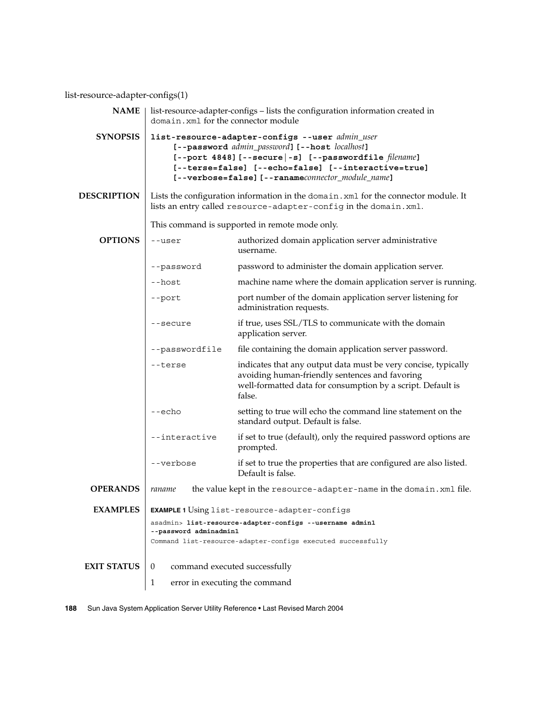list-resource-adapter-configs(1)

| list-resource-adapter-configs - lists the configuration information created in<br>domain.xml for the connector module                                                                                                                                                    |                                                                                                                                                                                           |
|--------------------------------------------------------------------------------------------------------------------------------------------------------------------------------------------------------------------------------------------------------------------------|-------------------------------------------------------------------------------------------------------------------------------------------------------------------------------------------|
| list-resource-adapter-configs --user admin_user<br>[--password admin_password] [--host localhost]<br>[--port 4848] [--secure   -s] [--passwordfile filename]<br>[--terse=false] [--echo=false] [--interactive=true]<br>[--verbose=false] [--ranameconnector_module_name] |                                                                                                                                                                                           |
| <b>DESCRIPTION</b><br>Lists the configuration information in the domain. xml for the connector module. It<br>lists an entry called resource-adapter-config in the domain. xml.                                                                                           |                                                                                                                                                                                           |
|                                                                                                                                                                                                                                                                          | This command is supported in remote mode only.                                                                                                                                            |
| --user                                                                                                                                                                                                                                                                   | authorized domain application server administrative<br>username.                                                                                                                          |
| --password                                                                                                                                                                                                                                                               | password to administer the domain application server.                                                                                                                                     |
| --host                                                                                                                                                                                                                                                                   | machine name where the domain application server is running.                                                                                                                              |
| --port                                                                                                                                                                                                                                                                   | port number of the domain application server listening for<br>administration requests.                                                                                                    |
| --secure                                                                                                                                                                                                                                                                 | if true, uses SSL/TLS to communicate with the domain<br>application server.                                                                                                               |
| --passwordfile                                                                                                                                                                                                                                                           | file containing the domain application server password.                                                                                                                                   |
| --terse                                                                                                                                                                                                                                                                  | indicates that any output data must be very concise, typically<br>avoiding human-friendly sentences and favoring<br>well-formatted data for consumption by a script. Default is<br>false. |
| --echo                                                                                                                                                                                                                                                                   | setting to true will echo the command line statement on the<br>standard output. Default is false.                                                                                         |
| --interactive                                                                                                                                                                                                                                                            | if set to true (default), only the required password options are<br>prompted.                                                                                                             |
| --verbose                                                                                                                                                                                                                                                                | if set to true the properties that are configured are also listed.<br>Default is false.                                                                                                   |
| raname                                                                                                                                                                                                                                                                   | the value kept in the resource-adapter-name in the domain. xml file.                                                                                                                      |
|                                                                                                                                                                                                                                                                          | EXAMPLE 1 Using list-resource-adapter-configs                                                                                                                                             |
|                                                                                                                                                                                                                                                                          | asadmin> list-resource-adapter-configs --username admin1                                                                                                                                  |
| --password adminadmin1                                                                                                                                                                                                                                                   | Command list-resource-adapter-configs executed successfully                                                                                                                               |
| 0                                                                                                                                                                                                                                                                        | command executed successfully                                                                                                                                                             |
| $\mathbf{1}$                                                                                                                                                                                                                                                             | error in executing the command                                                                                                                                                            |
|                                                                                                                                                                                                                                                                          |                                                                                                                                                                                           |

**188** Sun Java System Application Server Utility Reference • Last Revised March 2004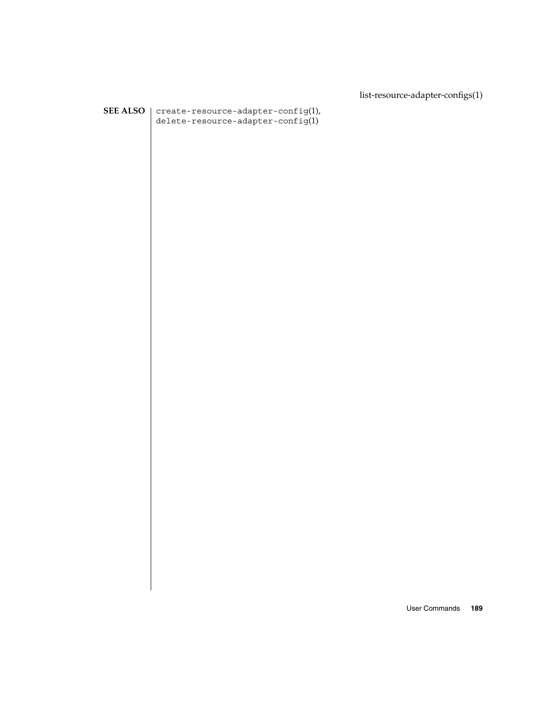list-resource-adapter-configs(1)

create-resource-adapter-config(1), delete-resource-adapter-config(1) **SEE ALSO**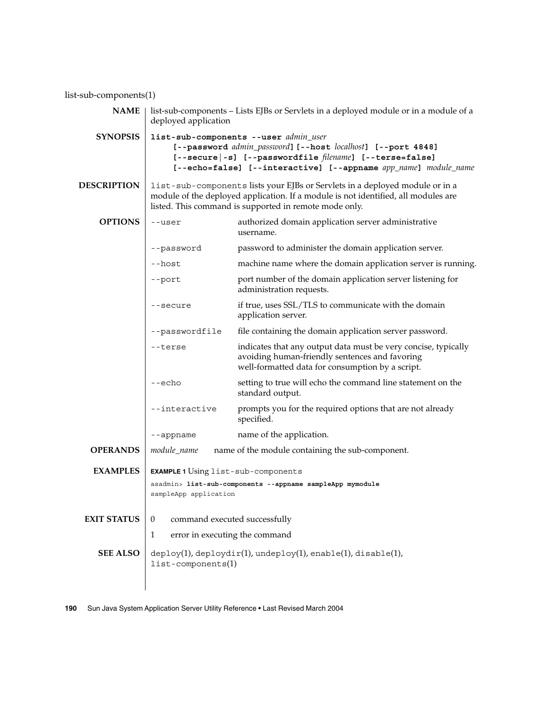list-sub-components(1)

| <b>NAME</b>        | list-sub-components - Lists EJBs or Servlets in a deployed module or in a module of a<br>deployed application                                                                                                                         |                                                                                                                                                                      |  |
|--------------------|---------------------------------------------------------------------------------------------------------------------------------------------------------------------------------------------------------------------------------------|----------------------------------------------------------------------------------------------------------------------------------------------------------------------|--|
| <b>SYNOPSIS</b>    | list-sub-components --user admin_user<br>[--password admin_password] [--host localhost] [--port 4848]<br>[--secure   -s] [--passwordfile filename] [--terse=false]<br>[--echo=false] [--interactive] [--appname app_name] module_name |                                                                                                                                                                      |  |
| <b>DESCRIPTION</b> | list-sub-components lists your EJBs or Servlets in a deployed module or in a<br>module of the deployed application. If a module is not identified, all modules are<br>listed. This command is supported in remote mode only.          |                                                                                                                                                                      |  |
| <b>OPTIONS</b>     | --user                                                                                                                                                                                                                                | authorized domain application server administrative<br>username.                                                                                                     |  |
|                    | --password                                                                                                                                                                                                                            | password to administer the domain application server.                                                                                                                |  |
|                    | --host                                                                                                                                                                                                                                | machine name where the domain application server is running.                                                                                                         |  |
|                    | --port                                                                                                                                                                                                                                | port number of the domain application server listening for<br>administration requests.                                                                               |  |
|                    | --secure                                                                                                                                                                                                                              | if true, uses SSL/TLS to communicate with the domain<br>application server.                                                                                          |  |
|                    | --passwordfile                                                                                                                                                                                                                        | file containing the domain application server password.                                                                                                              |  |
|                    | --terse                                                                                                                                                                                                                               | indicates that any output data must be very concise, typically<br>avoiding human-friendly sentences and favoring<br>well-formatted data for consumption by a script. |  |
|                    | --echo                                                                                                                                                                                                                                | setting to true will echo the command line statement on the<br>standard output.                                                                                      |  |
|                    | --interactive                                                                                                                                                                                                                         | prompts you for the required options that are not already<br>specified.                                                                                              |  |
|                    | --appname                                                                                                                                                                                                                             | name of the application.                                                                                                                                             |  |
| <b>OPERANDS</b>    | module_name                                                                                                                                                                                                                           | name of the module containing the sub-component.                                                                                                                     |  |
| <b>EXAMPLES</b>    | <b>EXAMPLE 1 Using list-sub-components</b>                                                                                                                                                                                            |                                                                                                                                                                      |  |
|                    | asadmin> list-sub-components --appname sampleApp mymodule<br>sampleApp application                                                                                                                                                    |                                                                                                                                                                      |  |
| <b>EXIT STATUS</b> | command executed successfully<br>$\mathbf{0}$                                                                                                                                                                                         |                                                                                                                                                                      |  |
|                    | error in executing the command<br>$\mathbf{1}$                                                                                                                                                                                        |                                                                                                                                                                      |  |
| <b>SEE ALSO</b>    | $list$ -components $(1)$                                                                                                                                                                                                              | deploy(1), deploydir(1), undeploy(1), enable(1), disable(1),                                                                                                         |  |
|                    |                                                                                                                                                                                                                                       |                                                                                                                                                                      |  |

**190** Sun Java System Application Server Utility Reference • Last Revised March 2004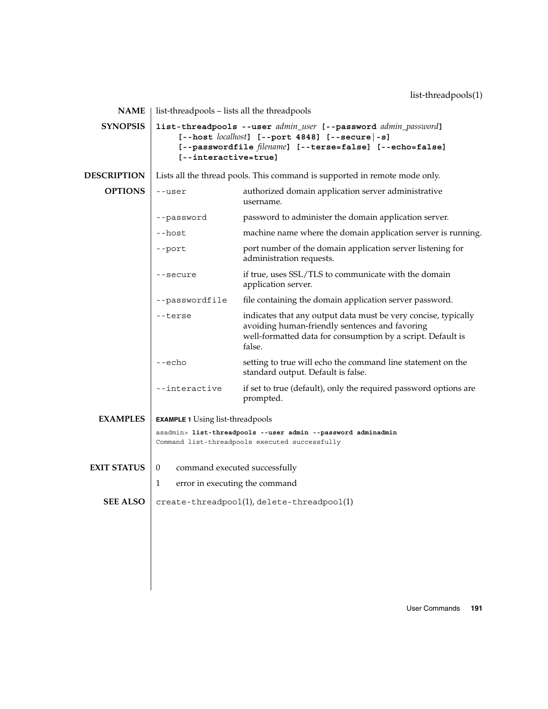| <b>NAME</b>        | list-threadpools – lists all the threadpools                                                                                                                                                                                                  |                                                                                                                                                                                           |
|--------------------|-----------------------------------------------------------------------------------------------------------------------------------------------------------------------------------------------------------------------------------------------|-------------------------------------------------------------------------------------------------------------------------------------------------------------------------------------------|
| <b>SYNOPSIS</b>    | list-threadpools --user admin_user [--password admin_password]<br>$[- - \text{host localhost}]$ $[- - \text{port 4848}]$ $[- - \text{secure} - \text{s}]$<br>[--passwordfile filename] [--terse=false] [--echo=false]<br>[--interactive=true] |                                                                                                                                                                                           |
| <b>DESCRIPTION</b> |                                                                                                                                                                                                                                               | Lists all the thread pools. This command is supported in remote mode only.                                                                                                                |
| <b>OPTIONS</b>     | --user                                                                                                                                                                                                                                        | authorized domain application server administrative<br>username.                                                                                                                          |
|                    | --password                                                                                                                                                                                                                                    | password to administer the domain application server.                                                                                                                                     |
|                    | --host                                                                                                                                                                                                                                        | machine name where the domain application server is running.                                                                                                                              |
|                    | --port                                                                                                                                                                                                                                        | port number of the domain application server listening for<br>administration requests.                                                                                                    |
|                    | --secure                                                                                                                                                                                                                                      | if true, uses SSL/TLS to communicate with the domain<br>application server.                                                                                                               |
|                    | --passwordfile                                                                                                                                                                                                                                | file containing the domain application server password.                                                                                                                                   |
|                    | --terse                                                                                                                                                                                                                                       | indicates that any output data must be very concise, typically<br>avoiding human-friendly sentences and favoring<br>well-formatted data for consumption by a script. Default is<br>false. |
|                    | --echo                                                                                                                                                                                                                                        | setting to true will echo the command line statement on the<br>standard output. Default is false.                                                                                         |
|                    | --interactive                                                                                                                                                                                                                                 | if set to true (default), only the required password options are<br>prompted.                                                                                                             |
| <b>EXAMPLES</b>    | <b>EXAMPLE 1 Using list-threadpools</b>                                                                                                                                                                                                       |                                                                                                                                                                                           |
|                    | asadmin> list-threadpools --user admin --password adminadmin<br>Command list-threadpools executed successfully                                                                                                                                |                                                                                                                                                                                           |
| <b>EXIT STATUS</b> | $\theta$<br>command executed successfully                                                                                                                                                                                                     |                                                                                                                                                                                           |
|                    | 1<br>error in executing the command                                                                                                                                                                                                           |                                                                                                                                                                                           |
| <b>SEE ALSO</b>    |                                                                                                                                                                                                                                               | $create-threadpool(1), delete-threadpool(1)$                                                                                                                                              |
|                    |                                                                                                                                                                                                                                               |                                                                                                                                                                                           |
|                    |                                                                                                                                                                                                                                               |                                                                                                                                                                                           |
|                    |                                                                                                                                                                                                                                               |                                                                                                                                                                                           |
|                    |                                                                                                                                                                                                                                               |                                                                                                                                                                                           |
|                    |                                                                                                                                                                                                                                               |                                                                                                                                                                                           |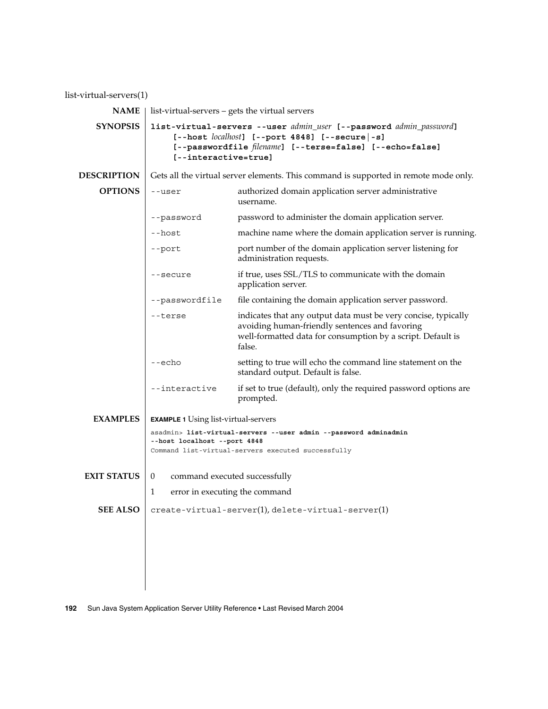| list-virtual-servers(1) |  |
|-------------------------|--|
|-------------------------|--|

| <b>NAME</b>        | list-virtual-servers - gets the virtual servers                             |                                                                                                                                                                                                                             |
|--------------------|-----------------------------------------------------------------------------|-----------------------------------------------------------------------------------------------------------------------------------------------------------------------------------------------------------------------------|
| <b>SYNOPSIS</b>    | [--interactive=true]                                                        | list-virtual-servers --user admin_user [--password admin_password]<br>$[- - \text{host localhost}]$ $[- - \text{port 4848}]$ $[- - \text{secure}   - \text{s}]$<br>[--passwordfile filename] [--terse=false] [--echo=false] |
| <b>DESCRIPTION</b> |                                                                             | Gets all the virtual server elements. This command is supported in remote mode only.                                                                                                                                        |
| <b>OPTIONS</b>     | --user                                                                      | authorized domain application server administrative<br>username.                                                                                                                                                            |
|                    | --password                                                                  | password to administer the domain application server.                                                                                                                                                                       |
|                    | --host                                                                      | machine name where the domain application server is running.                                                                                                                                                                |
|                    | --port                                                                      | port number of the domain application server listening for<br>administration requests.                                                                                                                                      |
|                    | --secure                                                                    | if true, uses SSL/TLS to communicate with the domain<br>application server.                                                                                                                                                 |
|                    | --passwordfile                                                              | file containing the domain application server password.                                                                                                                                                                     |
|                    | --terse                                                                     | indicates that any output data must be very concise, typically<br>avoiding human-friendly sentences and favoring<br>well-formatted data for consumption by a script. Default is<br>false.                                   |
|                    | --echo                                                                      | setting to true will echo the command line statement on the<br>standard output. Default is false.                                                                                                                           |
|                    | --interactive                                                               | if set to true (default), only the required password options are<br>prompted.                                                                                                                                               |
| <b>EXAMPLES</b>    | <b>EXAMPLE 1</b> Using list-virtual-servers<br>--host localhost --port 4848 | asadmin> list-virtual-servers --user admin --password adminadmin<br>Command list-virtual-servers executed successfully                                                                                                      |
| <b>EXIT STATUS</b> | $\theta$<br>command executed successfully                                   |                                                                                                                                                                                                                             |
|                    | 1<br>error in executing the command                                         |                                                                                                                                                                                                                             |
| <b>SEE ALSO</b>    |                                                                             | $create-virtual-server(1), delete-virtual-server(1)$                                                                                                                                                                        |
|                    |                                                                             |                                                                                                                                                                                                                             |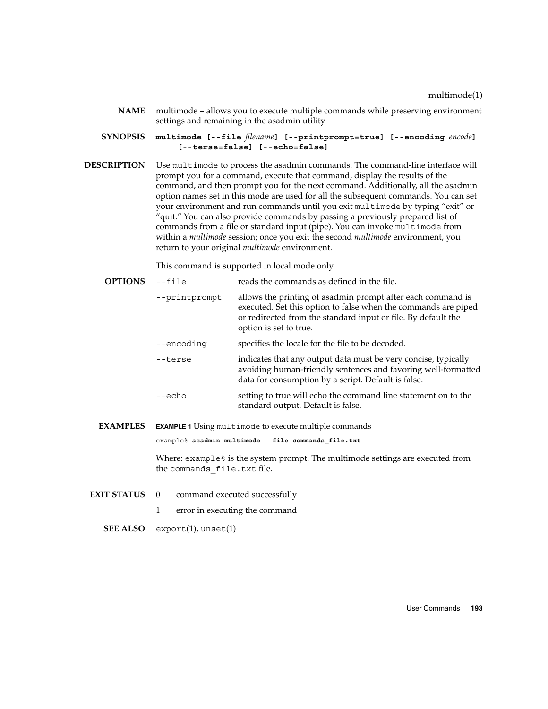| <b>NAME</b>        |                                  | multimode – allows you to execute multiple commands while preserving environment<br>settings and remaining in the asadmin utility                                                                                                                                                                                                                                                                                                                                                                                                                                                                                                                                                                                                              |
|--------------------|----------------------------------|------------------------------------------------------------------------------------------------------------------------------------------------------------------------------------------------------------------------------------------------------------------------------------------------------------------------------------------------------------------------------------------------------------------------------------------------------------------------------------------------------------------------------------------------------------------------------------------------------------------------------------------------------------------------------------------------------------------------------------------------|
| <b>SYNOPSIS</b>    |                                  | multimode [--file filename] [--printprompt=true] [--encoding encode]<br>[--terse=false] [--echo=false]                                                                                                                                                                                                                                                                                                                                                                                                                                                                                                                                                                                                                                         |
| <b>DESCRIPTION</b> |                                  | Use multimode to process the asadmin commands. The command-line interface will<br>prompt you for a command, execute that command, display the results of the<br>command, and then prompt you for the next command. Additionally, all the asadmin<br>option names set in this mode are used for all the subsequent commands. You can set<br>your environment and run commands until you exit multimode by typing "exit" or<br>"quit." You can also provide commands by passing a previously prepared list of<br>commands from a file or standard input (pipe). You can invoke multimode from<br>within a <i>multimode</i> session; once you exit the second <i>multimode</i> environment, you<br>return to your original multimode environment. |
|                    |                                  | This command is supported in local mode only.                                                                                                                                                                                                                                                                                                                                                                                                                                                                                                                                                                                                                                                                                                  |
| <b>OPTIONS</b>     | $--file$                         | reads the commands as defined in the file.                                                                                                                                                                                                                                                                                                                                                                                                                                                                                                                                                                                                                                                                                                     |
|                    | --printprompt                    | allows the printing of asadmin prompt after each command is<br>executed. Set this option to false when the commands are piped<br>or redirected from the standard input or file. By default the<br>option is set to true.                                                                                                                                                                                                                                                                                                                                                                                                                                                                                                                       |
|                    | --encoding                       | specifies the locale for the file to be decoded.                                                                                                                                                                                                                                                                                                                                                                                                                                                                                                                                                                                                                                                                                               |
|                    | --terse                          | indicates that any output data must be very concise, typically<br>avoiding human-friendly sentences and favoring well-formatted<br>data for consumption by a script. Default is false.                                                                                                                                                                                                                                                                                                                                                                                                                                                                                                                                                         |
|                    | --echo                           | setting to true will echo the command line statement on to the<br>standard output. Default is false.                                                                                                                                                                                                                                                                                                                                                                                                                                                                                                                                                                                                                                           |
| <b>EXAMPLES</b>    |                                  | <b>EXAMPLE 1</b> Using multimode to execute multiple commands                                                                                                                                                                                                                                                                                                                                                                                                                                                                                                                                                                                                                                                                                  |
|                    |                                  | example% asadmin multimode --file commands file.txt                                                                                                                                                                                                                                                                                                                                                                                                                                                                                                                                                                                                                                                                                            |
|                    | the commands file.txt file.      | Where: example% is the system prompt. The multimode settings are executed from                                                                                                                                                                                                                                                                                                                                                                                                                                                                                                                                                                                                                                                                 |
| <b>EXIT STATUS</b> | 0                                | command executed successfully                                                                                                                                                                                                                                                                                                                                                                                                                                                                                                                                                                                                                                                                                                                  |
|                    | 1                                | error in executing the command                                                                                                                                                                                                                                                                                                                                                                                                                                                                                                                                                                                                                                                                                                                 |
| <b>SEE ALSO</b>    | $\text{export}(1)$ , unset $(1)$ |                                                                                                                                                                                                                                                                                                                                                                                                                                                                                                                                                                                                                                                                                                                                                |
|                    |                                  |                                                                                                                                                                                                                                                                                                                                                                                                                                                                                                                                                                                                                                                                                                                                                |
|                    |                                  |                                                                                                                                                                                                                                                                                                                                                                                                                                                                                                                                                                                                                                                                                                                                                |
|                    |                                  |                                                                                                                                                                                                                                                                                                                                                                                                                                                                                                                                                                                                                                                                                                                                                |
|                    |                                  |                                                                                                                                                                                                                                                                                                                                                                                                                                                                                                                                                                                                                                                                                                                                                |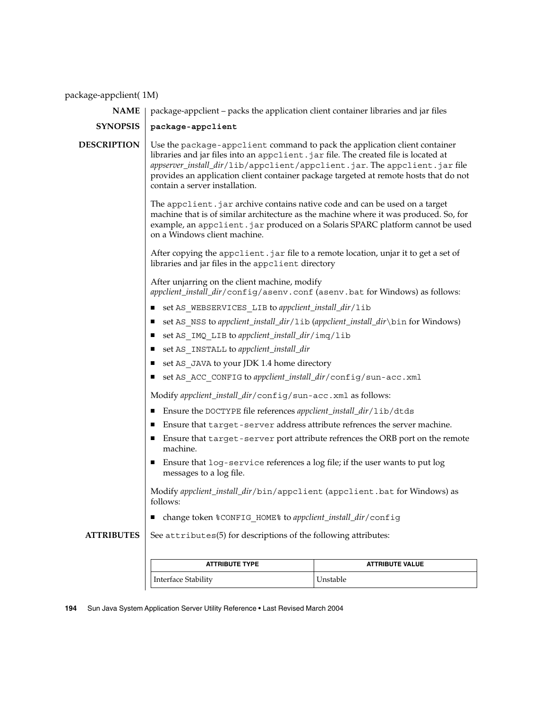## package-appclient( 1M)

| <b>NAME</b>        | package-appclient - packs the application client container libraries and jar files                                                                                                                                                                                                                                                                                       |                                                                               |
|--------------------|--------------------------------------------------------------------------------------------------------------------------------------------------------------------------------------------------------------------------------------------------------------------------------------------------------------------------------------------------------------------------|-------------------------------------------------------------------------------|
| <b>SYNOPSIS</b>    | package-appclient                                                                                                                                                                                                                                                                                                                                                        |                                                                               |
| <b>DESCRIPTION</b> | Use the package-appclient command to pack the application client container<br>libraries and jar files into an appclient.jar file. The created file is located at<br>appserver_install_dir/lib/appclient/appclient.jar. The appclient.jar file<br>provides an application client container package targeted at remote hosts that do not<br>contain a server installation. |                                                                               |
|                    | The appclient. jar archive contains native code and can be used on a target<br>machine that is of similar architecture as the machine where it was produced. So, for<br>example, an appclient.jar produced on a Solaris SPARC platform cannot be used<br>on a Windows client machine.                                                                                    |                                                                               |
|                    | After copying the appclient . jar file to a remote location, unjar it to get a set of<br>libraries and jar files in the appclient directory                                                                                                                                                                                                                              |                                                                               |
|                    | After unjarring on the client machine, modify<br>appclient_install_dir/config/asenv.conf (asenv.bat for Windows) as follows:                                                                                                                                                                                                                                             |                                                                               |
|                    | set AS WEBSERVICES LIB to appclient_install_dir/lib<br>п                                                                                                                                                                                                                                                                                                                 |                                                                               |
|                    | set AS NSS to appclient_install_dir/lib(appclient_install_dir\bin for Windows)                                                                                                                                                                                                                                                                                           |                                                                               |
|                    | set AS IMQ LIB to appclient_install_dir/imq/lib<br>п                                                                                                                                                                                                                                                                                                                     |                                                                               |
|                    | set AS INSTALL to appclient_install_dir                                                                                                                                                                                                                                                                                                                                  |                                                                               |
|                    | set AS_JAVA to your JDK 1.4 home directory                                                                                                                                                                                                                                                                                                                               |                                                                               |
|                    | set AS_ACC_CONFIG to appclient_install_dir/config/sun-acc.xml                                                                                                                                                                                                                                                                                                            |                                                                               |
|                    | Modify appclient_install_dir/config/sun-acc.xml as follows:                                                                                                                                                                                                                                                                                                              |                                                                               |
|                    | Ensure the DOCTYPE file references appclient_install_dir/lib/dtds                                                                                                                                                                                                                                                                                                        |                                                                               |
|                    | Ensure that target-server address attribute refrences the server machine.<br>ш                                                                                                                                                                                                                                                                                           |                                                                               |
|                    | п<br>machine.                                                                                                                                                                                                                                                                                                                                                            | Ensure that target-server port attribute refrences the ORB port on the remote |
|                    | Ensure that log-service references a log file; if the user wants to put log<br>п<br>messages to a log file.                                                                                                                                                                                                                                                              |                                                                               |
|                    | Modify appclient_install_dir/bin/appclient (appclient.bat for Windows) as<br>follows:                                                                                                                                                                                                                                                                                    |                                                                               |
|                    | change token %CONFIG HOME% to appclient_install_dir/config<br>щ                                                                                                                                                                                                                                                                                                          |                                                                               |
| <b>ATTRIBUTES</b>  | See attributes(5) for descriptions of the following attributes:                                                                                                                                                                                                                                                                                                          |                                                                               |
|                    | <b>ATTRIBUTE TYPE</b>                                                                                                                                                                                                                                                                                                                                                    | <b>ATTRIBUTE VALUE</b>                                                        |
|                    |                                                                                                                                                                                                                                                                                                                                                                          |                                                                               |

**194** Sun Java System Application Server Utility Reference • Last Revised March 2004

| Interface Stability | Unstable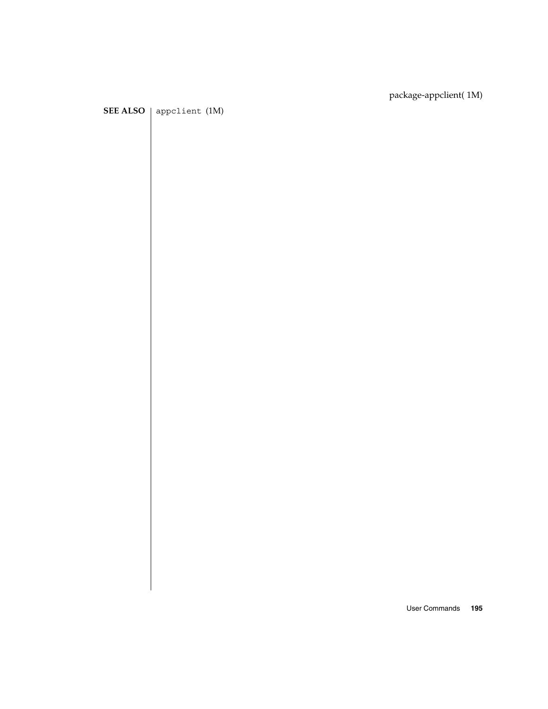package-appclient( 1M)

 $\textbf{SEE \, ALSO} \parallel \text{appclient} \,\, (\text{1M})$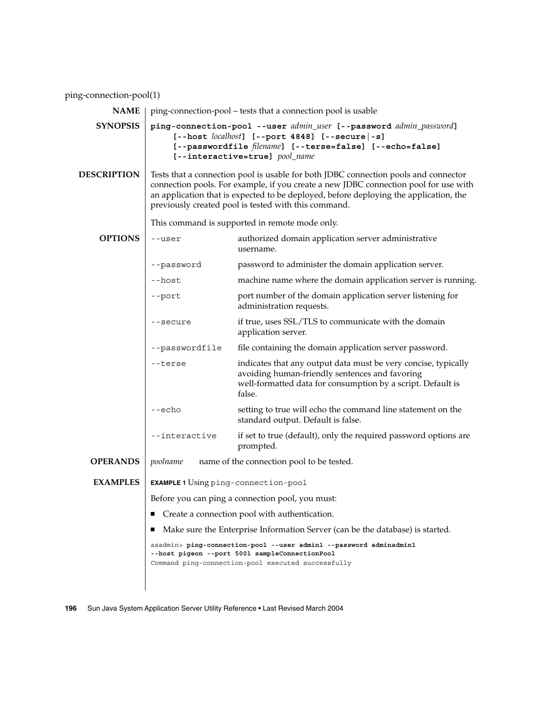ping-connection-pool(1)

| <b>NAME</b>        |                                             | ping-connection-pool – tests that a connection pool is usable                                                                                                                                                                                                                                                                |
|--------------------|---------------------------------------------|------------------------------------------------------------------------------------------------------------------------------------------------------------------------------------------------------------------------------------------------------------------------------------------------------------------------------|
| <b>SYNOPSIS</b>    |                                             | ping-connection-pool --user admin_user [--password admin_password]<br>$[- - \text{host localhost}]$ $[- - \text{port 4848}]$ $[- - \text{secure}   - \text{s}]$<br>[--passwordfile filename] [--terse=false] [--echo=false]<br>[--interactive=true] pool_name                                                                |
| <b>DESCRIPTION</b> |                                             | Tests that a connection pool is usable for both JDBC connection pools and connector<br>connection pools. For example, if you create a new JDBC connection pool for use with<br>an application that is expected to be deployed, before deploying the application, the<br>previously created pool is tested with this command. |
|                    |                                             | This command is supported in remote mode only.                                                                                                                                                                                                                                                                               |
| <b>OPTIONS</b>     | --user                                      | authorized domain application server administrative<br>username.                                                                                                                                                                                                                                                             |
|                    | --password                                  | password to administer the domain application server.                                                                                                                                                                                                                                                                        |
|                    | --host                                      | machine name where the domain application server is running.                                                                                                                                                                                                                                                                 |
|                    | --port                                      | port number of the domain application server listening for<br>administration requests.                                                                                                                                                                                                                                       |
|                    | --secure                                    | if true, uses SSL/TLS to communicate with the domain<br>application server.                                                                                                                                                                                                                                                  |
|                    | --passwordfile                              | file containing the domain application server password.                                                                                                                                                                                                                                                                      |
|                    | --terse                                     | indicates that any output data must be very concise, typically<br>avoiding human-friendly sentences and favoring<br>well-formatted data for consumption by a script. Default is<br>false.                                                                                                                                    |
|                    | --echo                                      | setting to true will echo the command line statement on the<br>standard output. Default is false.                                                                                                                                                                                                                            |
|                    | --interactive                               | if set to true (default), only the required password options are<br>prompted.                                                                                                                                                                                                                                                |
| <b>OPERANDS</b>    | poolname                                    | name of the connection pool to be tested.                                                                                                                                                                                                                                                                                    |
| <b>EXAMPLES</b>    | <b>EXAMPLE 1 Using ping-connection-pool</b> |                                                                                                                                                                                                                                                                                                                              |
|                    |                                             | Before you can ping a connection pool, you must:                                                                                                                                                                                                                                                                             |
|                    | п                                           | Create a connection pool with authentication.                                                                                                                                                                                                                                                                                |
|                    | ш                                           | Make sure the Enterprise Information Server (can be the database) is started.                                                                                                                                                                                                                                                |
|                    |                                             | asadmin> ping-connection-pool --user admin1 --password adminadmin1<br>--host pigeon --port 5001 sampleConnectionPool<br>Command ping-connection-pool executed successfully                                                                                                                                                   |
|                    |                                             |                                                                                                                                                                                                                                                                                                                              |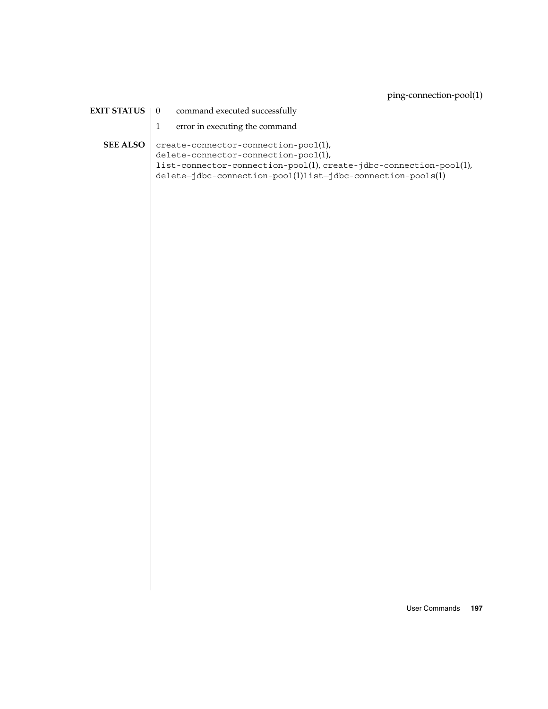ping-connection-pool(1)

| <b>EXIT STATUS</b> | command executed successfully                                                                                                                                                                                        |
|--------------------|----------------------------------------------------------------------------------------------------------------------------------------------------------------------------------------------------------------------|
|                    | error in executing the command                                                                                                                                                                                       |
| <b>SEE ALSO</b>    | $create$ -connector-connection-pool(1),<br>delete-connector-connection-pool(1),<br>list-connector-connection-pool(1), create-jdbc-connection-pool(1),<br>delete-jdbc-connection-pool(1)list-jdbc-connection-pools(1) |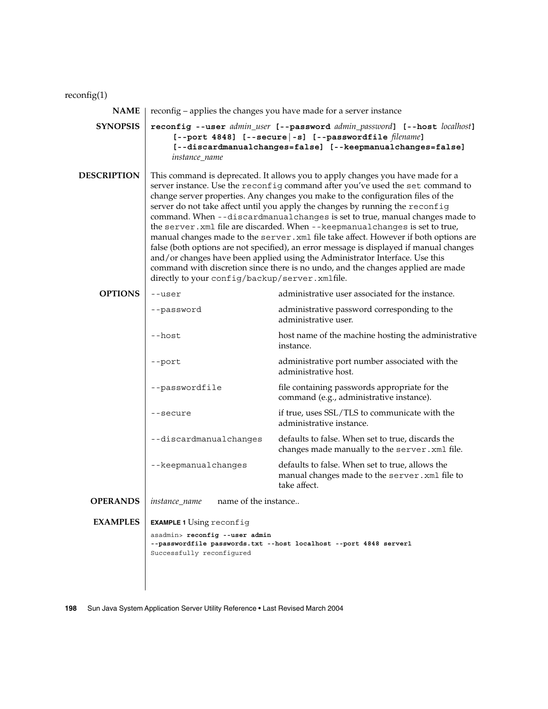## reconfig(1)

| <b>NAME</b>        |                                                             | reconfig - applies the changes you have made for a server instance                                                                                                                                                                                                                                                                                                                                                                                                                                                                                                                                                                                                                                                                                                                                                                                           |
|--------------------|-------------------------------------------------------------|--------------------------------------------------------------------------------------------------------------------------------------------------------------------------------------------------------------------------------------------------------------------------------------------------------------------------------------------------------------------------------------------------------------------------------------------------------------------------------------------------------------------------------------------------------------------------------------------------------------------------------------------------------------------------------------------------------------------------------------------------------------------------------------------------------------------------------------------------------------|
| <b>SYNOPSIS</b>    | <i>instance_name</i>                                        | reconfig --user admin_user [--password admin_password] [--host localhost]<br>[--port 4848] [--secure  -s] [--passwordfile filename]<br>[--discardmanualchanges=false] [--keepmanualchanges=false]                                                                                                                                                                                                                                                                                                                                                                                                                                                                                                                                                                                                                                                            |
| <b>DESCRIPTION</b> | directly to your config/backup/server.xmlfile.              | This command is deprecated. It allows you to apply changes you have made for a<br>server instance. Use the reconfig command after you've used the set command to<br>change server properties. Any changes you make to the configuration files of the<br>server do not take affect until you apply the changes by running the reconfig<br>command. When --discardmanual changes is set to true, manual changes made to<br>the server. xml file are discarded. When --keepmanual changes is set to true,<br>manual changes made to the server.xml file take affect. However if both options are<br>false (both options are not specified), an error message is displayed if manual changes<br>and/or changes have been applied using the Administrator Interface. Use this<br>command with discretion since there is no undo, and the changes applied are made |
| <b>OPTIONS</b>     | --user                                                      | administrative user associated for the instance.                                                                                                                                                                                                                                                                                                                                                                                                                                                                                                                                                                                                                                                                                                                                                                                                             |
|                    | --password                                                  | administrative password corresponding to the<br>administrative user.                                                                                                                                                                                                                                                                                                                                                                                                                                                                                                                                                                                                                                                                                                                                                                                         |
|                    | --host                                                      | host name of the machine hosting the administrative<br>instance.                                                                                                                                                                                                                                                                                                                                                                                                                                                                                                                                                                                                                                                                                                                                                                                             |
|                    | --port                                                      | administrative port number associated with the<br>administrative host.                                                                                                                                                                                                                                                                                                                                                                                                                                                                                                                                                                                                                                                                                                                                                                                       |
|                    | --passwordfile                                              | file containing passwords appropriate for the<br>command (e.g., administrative instance).                                                                                                                                                                                                                                                                                                                                                                                                                                                                                                                                                                                                                                                                                                                                                                    |
|                    | --secure                                                    | if true, uses SSL/TLS to communicate with the<br>administrative instance.                                                                                                                                                                                                                                                                                                                                                                                                                                                                                                                                                                                                                                                                                                                                                                                    |
|                    | --discardmanualchanges                                      | defaults to false. When set to true, discards the<br>changes made manually to the server. xml file.                                                                                                                                                                                                                                                                                                                                                                                                                                                                                                                                                                                                                                                                                                                                                          |
|                    | --keepmanualchanges                                         | defaults to false. When set to true, allows the<br>manual changes made to the server. xml file to<br>take affect.                                                                                                                                                                                                                                                                                                                                                                                                                                                                                                                                                                                                                                                                                                                                            |
| <b>OPERANDS</b>    | name of the instance<br>instance name                       |                                                                                                                                                                                                                                                                                                                                                                                                                                                                                                                                                                                                                                                                                                                                                                                                                                                              |
| <b>EXAMPLES</b>    | <b>EXAMPLE 1 Using reconfig</b>                             |                                                                                                                                                                                                                                                                                                                                                                                                                                                                                                                                                                                                                                                                                                                                                                                                                                                              |
|                    | asadmin> reconfig --user admin<br>Successfully reconfigured | --passwordfile passwords.txt --host localhost --port 4848 server1                                                                                                                                                                                                                                                                                                                                                                                                                                                                                                                                                                                                                                                                                                                                                                                            |

**198** Sun Java System Application Server Utility Reference • Last Revised March 2004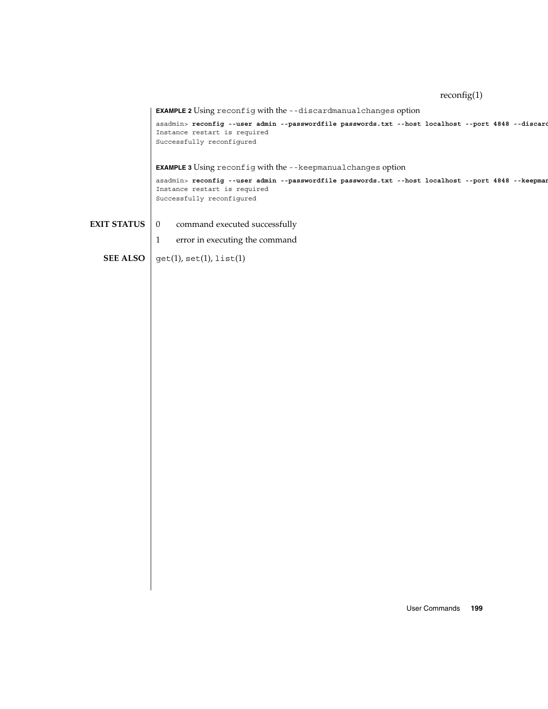reconfig(1)

```
EXAMPLE 2 Using reconfig with the --discardmanualchanges option
            asadmin> reconfig --user admin --passwordfile passwords.txt --host localhost --port 4848 --discard
             Instance restart is required
            Successfully reconfigured
            EXAMPLE 3 Using reconfig with the --keepmanualchanges option
            asadmin> reconfig --user admin --passwordfile passwords.txt --host localhost --port 4848 --keepman
            Instance restart is required
            Successfully reconfigured
            0 command executed successfully
            1 error in executing the command
            get(1), set(1), list(1)EXIT STATUS
SEE ALSO
```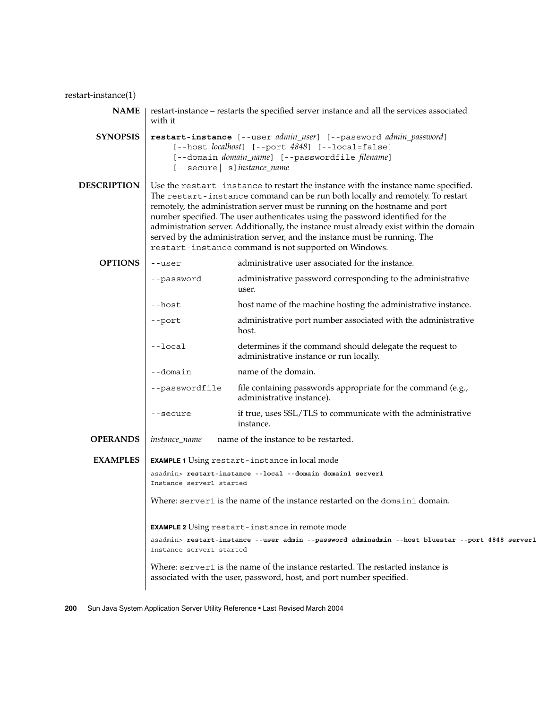| $restart-instance(1)$ |                                                  |                                                                                                                                                                                                                                                                                                                                                                                                                                                                                                                                                                        |
|-----------------------|--------------------------------------------------|------------------------------------------------------------------------------------------------------------------------------------------------------------------------------------------------------------------------------------------------------------------------------------------------------------------------------------------------------------------------------------------------------------------------------------------------------------------------------------------------------------------------------------------------------------------------|
| <b>NAME</b>           | with it                                          | restart-instance – restarts the specified server instance and all the services associated                                                                                                                                                                                                                                                                                                                                                                                                                                                                              |
| <b>SYNOPSIS</b>       | $[- - \text{secure}   - \text{s}]$ instance_name | restart-instance [--user admin_user] [--password admin_password]<br>[--host localhost] [--port 4848] [--local=false]<br>[--domain domain_name] [--passwordfile filename]                                                                                                                                                                                                                                                                                                                                                                                               |
| <b>DESCRIPTION</b>    |                                                  | Use the restart-instance to restart the instance with the instance name specified.<br>The restart-instance command can be run both locally and remotely. To restart<br>remotely, the administration server must be running on the hostname and port<br>number specified. The user authenticates using the password identified for the<br>administration server. Additionally, the instance must already exist within the domain<br>served by the administration server, and the instance must be running. The<br>restart-instance command is not supported on Windows. |
| <b>OPTIONS</b>        | --user                                           | administrative user associated for the instance.                                                                                                                                                                                                                                                                                                                                                                                                                                                                                                                       |
|                       | --password                                       | administrative password corresponding to the administrative<br>user.                                                                                                                                                                                                                                                                                                                                                                                                                                                                                                   |
|                       | --host                                           | host name of the machine hosting the administrative instance.                                                                                                                                                                                                                                                                                                                                                                                                                                                                                                          |
|                       | --port                                           | administrative port number associated with the administrative<br>host.                                                                                                                                                                                                                                                                                                                                                                                                                                                                                                 |
|                       | $-$ -local                                       | determines if the command should delegate the request to<br>administrative instance or run locally.                                                                                                                                                                                                                                                                                                                                                                                                                                                                    |
|                       | --domain                                         | name of the domain.                                                                                                                                                                                                                                                                                                                                                                                                                                                                                                                                                    |
|                       | --passwordfile                                   | file containing passwords appropriate for the command (e.g.,<br>administrative instance).                                                                                                                                                                                                                                                                                                                                                                                                                                                                              |
|                       | --secure                                         | if true, uses SSL/TLS to communicate with the administrative<br>instance.                                                                                                                                                                                                                                                                                                                                                                                                                                                                                              |
| <b>OPERANDS</b>       | instance_name                                    | name of the instance to be restarted.                                                                                                                                                                                                                                                                                                                                                                                                                                                                                                                                  |
| <b>EXAMPLES</b>       |                                                  | <b>EXAMPLE 1</b> Using restart-instance in local mode                                                                                                                                                                                                                                                                                                                                                                                                                                                                                                                  |
|                       |                                                  | asadmin> restart-instance --local --domain domain1 server1                                                                                                                                                                                                                                                                                                                                                                                                                                                                                                             |
|                       | Instance server1 started                         |                                                                                                                                                                                                                                                                                                                                                                                                                                                                                                                                                                        |
|                       |                                                  | Where: server1 is the name of the instance restarted on the domain1 domain.                                                                                                                                                                                                                                                                                                                                                                                                                                                                                            |
|                       |                                                  | <b>EXAMPLE 2</b> Using restart-instance in remote mode                                                                                                                                                                                                                                                                                                                                                                                                                                                                                                                 |
|                       | Instance server1 started                         | asadmin> restart-instance --user admin --password adminadmin --host bluestar --port 4848 server1                                                                                                                                                                                                                                                                                                                                                                                                                                                                       |
|                       |                                                  | Where: server1 is the name of the instance restarted. The restarted instance is<br>associated with the user, password, host, and port number specified.                                                                                                                                                                                                                                                                                                                                                                                                                |

**<sup>200</sup>** Sun Java System Application Server Utility Reference • Last Revised March 2004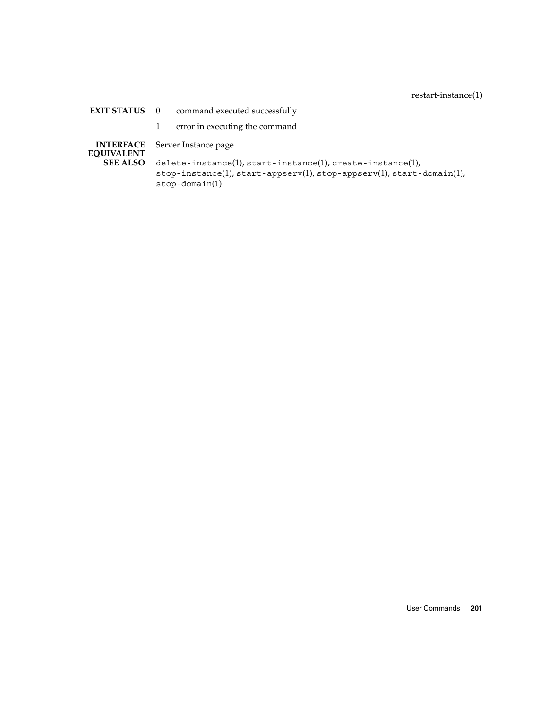restart-instance(1)

| <b>EXIT STATUS</b>                   | command executed successfully<br>$\theta$                                                                                                                             |
|--------------------------------------|-----------------------------------------------------------------------------------------------------------------------------------------------------------------------|
|                                      | 1<br>error in executing the command                                                                                                                                   |
| <b>INTERFACE</b>                     | Server Instance page                                                                                                                                                  |
| <b>EQUIVALENT</b><br><b>SEE ALSO</b> | $delete{\text{-}instance(1)}$ , start-instance(1), create-instance(1),<br>$stop-instance(1), start-appserv(1), stop-appserv(1), start-domain(1),$<br>$stop-domain(1)$ |
|                                      |                                                                                                                                                                       |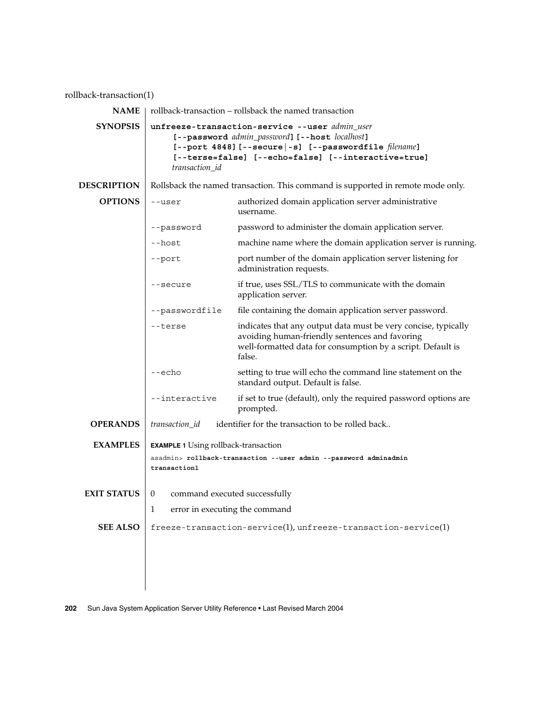rollback-transaction(1)

| <b>NAME</b>        |                                             | rollback-transaction – rollsback the named transaction                                                                                                                                                             |
|--------------------|---------------------------------------------|--------------------------------------------------------------------------------------------------------------------------------------------------------------------------------------------------------------------|
| <b>SYNOPSIS</b>    | <i>transaction id</i>                       | unfreeze-transaction-service --user admin_user<br>[--password admin_password] [--host localhost]<br>[--port 4848] [--secure   -s] [--passwordfile filename]<br>[--terse=false] [--echo=false] [--interactive=true] |
| <b>DESCRIPTION</b> |                                             | Rollsback the named transaction. This command is supported in remote mode only.                                                                                                                                    |
| <b>OPTIONS</b>     | --user                                      | authorized domain application server administrative<br>username.                                                                                                                                                   |
|                    | --password                                  | password to administer the domain application server.                                                                                                                                                              |
|                    | --host                                      | machine name where the domain application server is running.                                                                                                                                                       |
|                    | --port                                      | port number of the domain application server listening for<br>administration requests.                                                                                                                             |
|                    | --secure                                    | if true, uses SSL/TLS to communicate with the domain<br>application server.                                                                                                                                        |
|                    | --passwordfile                              | file containing the domain application server password.                                                                                                                                                            |
|                    | --terse                                     | indicates that any output data must be very concise, typically<br>avoiding human-friendly sentences and favoring<br>well-formatted data for consumption by a script. Default is<br>false.                          |
|                    | --echo                                      | setting to true will echo the command line statement on the<br>standard output. Default is false.                                                                                                                  |
|                    | --interactive                               | if set to true (default), only the required password options are<br>prompted.                                                                                                                                      |
| <b>OPERANDS</b>    | transaction_id                              | identifier for the transaction to be rolled back                                                                                                                                                                   |
| <b>EXAMPLES</b>    | <b>EXAMPLE 1</b> Using rollback-transaction |                                                                                                                                                                                                                    |
|                    | transaction1                                | asadmin> rollback-transaction --user admin --password adminadmin                                                                                                                                                   |
| <b>EXIT STATUS</b> | command executed successfully<br>0          |                                                                                                                                                                                                                    |
|                    | error in executing the command<br>1         |                                                                                                                                                                                                                    |
| <b>SEE ALSO</b>    |                                             | freeze-transaction-service(1), unfreeze-transaction-service(1)                                                                                                                                                     |
|                    |                                             |                                                                                                                                                                                                                    |

**202** Sun Java System Application Server Utility Reference • Last Revised March 2004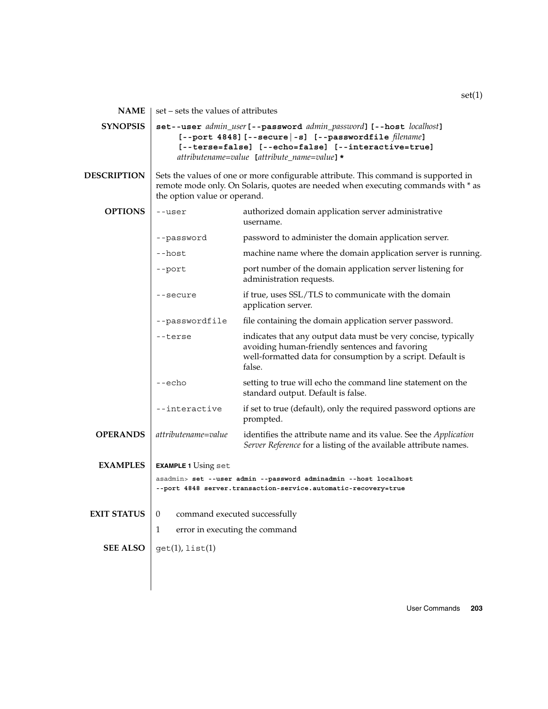| <b>NAME</b>        | set – sets the values of attributes               |                                                                                                                                                                                                                                     |
|--------------------|---------------------------------------------------|-------------------------------------------------------------------------------------------------------------------------------------------------------------------------------------------------------------------------------------|
| <b>SYNOPSIS</b>    |                                                   | set--user admin_user[--password admin_password][--host localhost]<br>[--port 4848] [--secure   -s] [--passwordfile filename]<br>[--terse=false] [--echo=false] [--interactive=true]<br>attributename=value [attribute_name=value] * |
| <b>DESCRIPTION</b> | the option value or operand.                      | Sets the values of one or more configurable attribute. This command is supported in<br>remote mode only. On Solaris, quotes are needed when executing commands with * as                                                            |
| <b>OPTIONS</b>     | --user                                            | authorized domain application server administrative<br>username.                                                                                                                                                                    |
|                    | --password                                        | password to administer the domain application server.                                                                                                                                                                               |
|                    | --host                                            | machine name where the domain application server is running.                                                                                                                                                                        |
|                    | --port                                            | port number of the domain application server listening for<br>administration requests.                                                                                                                                              |
|                    | --secure                                          | if true, uses SSL/TLS to communicate with the domain<br>application server.                                                                                                                                                         |
|                    | --passwordfile                                    | file containing the domain application server password.                                                                                                                                                                             |
|                    | --terse                                           | indicates that any output data must be very concise, typically<br>avoiding human-friendly sentences and favoring<br>well-formatted data for consumption by a script. Default is<br>false.                                           |
|                    | --echo                                            | setting to true will echo the command line statement on the<br>standard output. Default is false.                                                                                                                                   |
|                    | --interactive                                     | if set to true (default), only the required password options are<br>prompted.                                                                                                                                                       |
| <b>OPERANDS</b>    | attributename=value                               | identifies the attribute name and its value. See the <i>Application</i><br>Server Reference for a listing of the available attribute names.                                                                                         |
| <b>EXAMPLES</b>    | <b>EXAMPLE 1 Using set</b>                        |                                                                                                                                                                                                                                     |
|                    |                                                   | asadmin> set --user admin --password adminadmin --host localhost<br>--port 4848 server.transaction-service.automatic-recovery=true                                                                                                  |
| <b>EXIT STATUS</b> | $\boldsymbol{0}$<br>command executed successfully |                                                                                                                                                                                                                                     |
|                    | error in executing the command<br>$\mathbf{1}$    |                                                                                                                                                                                                                                     |
| <b>SEE ALSO</b>    | get(1), list(1)                                   |                                                                                                                                                                                                                                     |
|                    |                                                   |                                                                                                                                                                                                                                     |
|                    |                                                   |                                                                                                                                                                                                                                     |

set(1)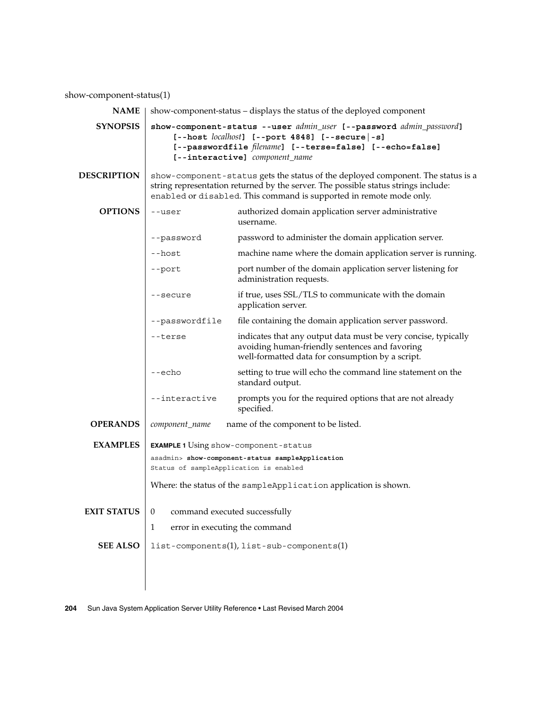show-component-status(1)

| <b>NAME</b>        |                                                   | show-component-status – displays the status of the deployed component                                                                                                                                                                                          |
|--------------------|---------------------------------------------------|----------------------------------------------------------------------------------------------------------------------------------------------------------------------------------------------------------------------------------------------------------------|
| <b>SYNOPSIS</b>    |                                                   | show-component-status --user admin_user [--password admin_password]<br>$[- - \text{host localhost}]$ $[- - \text{port 4848}]$ $[- - \text{secure}   - \text{s}]$<br>[--passwordfile filename] [--terse=false] [--echo=false]<br>[--interactive] component_name |
| <b>DESCRIPTION</b> |                                                   | show-component-status gets the status of the deployed component. The status is a<br>string representation returned by the server. The possible status strings include:<br>enabled or disabled. This command is supported in remote mode only.                  |
| <b>OPTIONS</b>     | --user                                            | authorized domain application server administrative<br>username.                                                                                                                                                                                               |
|                    | --password                                        | password to administer the domain application server.                                                                                                                                                                                                          |
|                    | --host                                            | machine name where the domain application server is running.                                                                                                                                                                                                   |
|                    | --port                                            | port number of the domain application server listening for<br>administration requests.                                                                                                                                                                         |
|                    | --secure                                          | if true, uses SSL/TLS to communicate with the domain<br>application server.                                                                                                                                                                                    |
|                    | --passwordfile                                    | file containing the domain application server password.                                                                                                                                                                                                        |
|                    | --terse                                           | indicates that any output data must be very concise, typically<br>avoiding human-friendly sentences and favoring<br>well-formatted data for consumption by a script.                                                                                           |
|                    | --echo                                            | setting to true will echo the command line statement on the<br>standard output.                                                                                                                                                                                |
|                    | --interactive                                     | prompts you for the required options that are not already<br>specified.                                                                                                                                                                                        |
| <b>OPERANDS</b>    | component_name                                    | name of the component to be listed.                                                                                                                                                                                                                            |
| <b>EXAMPLES</b>    | <b>EXAMPLE 1 Using show-component-status</b>      |                                                                                                                                                                                                                                                                |
|                    |                                                   | asadmin> show-component-status sampleApplication                                                                                                                                                                                                               |
|                    | Status of sampleApplication is enabled            |                                                                                                                                                                                                                                                                |
|                    |                                                   | Where: the status of the sample Application application is shown.                                                                                                                                                                                              |
| <b>EXIT STATUS</b> | command executed successfully<br>$\boldsymbol{0}$ |                                                                                                                                                                                                                                                                |
|                    | error in executing the command<br>$\mathbf{1}$    |                                                                                                                                                                                                                                                                |
| <b>SEE ALSO</b>    |                                                   | list-components(1), list-sub-components(1)                                                                                                                                                                                                                     |
|                    |                                                   |                                                                                                                                                                                                                                                                |
|                    |                                                   |                                                                                                                                                                                                                                                                |
|                    |                                                   |                                                                                                                                                                                                                                                                |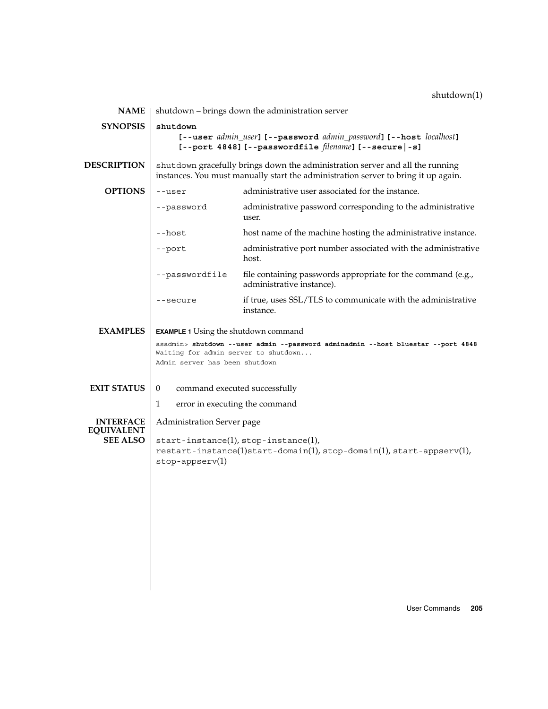shutdown(1)

| <b>NAME</b>                           |                                                                                                                                                                      | shutdown - brings down the administration server                                                                             |
|---------------------------------------|----------------------------------------------------------------------------------------------------------------------------------------------------------------------|------------------------------------------------------------------------------------------------------------------------------|
| <b>SYNOPSIS</b>                       | shutdown                                                                                                                                                             | [--user admin_user] [--password admin_password] [--host localhost]<br>[--port 4848] [--passwordfile filename] [--secure  -s] |
| <b>DESCRIPTION</b>                    | shut down gracefully brings down the administration server and all the running<br>instances. You must manually start the administration server to bring it up again. |                                                                                                                              |
| <b>OPTIONS</b>                        | --user                                                                                                                                                               | administrative user associated for the instance.                                                                             |
|                                       | --password                                                                                                                                                           | administrative password corresponding to the administrative<br>user.                                                         |
|                                       | --host                                                                                                                                                               | host name of the machine hosting the administrative instance.                                                                |
|                                       | --port                                                                                                                                                               | administrative port number associated with the administrative<br>host.                                                       |
|                                       | --passwordfile                                                                                                                                                       | file containing passwords appropriate for the command (e.g.,<br>administrative instance).                                    |
|                                       | --secure                                                                                                                                                             | if true, uses SSL/TLS to communicate with the administrative<br>instance.                                                    |
| <b>EXAMPLES</b>                       | <b>EXAMPLE 1</b> Using the shutdown command                                                                                                                          | asadmin> shutdown --user admin --password adminadmin --host bluestar --port 4848                                             |
|                                       | Waiting for admin server to shutdown<br>Admin server has been shutdown                                                                                               |                                                                                                                              |
| <b>EXIT STATUS</b>                    | command executed successfully<br>$\theta$                                                                                                                            |                                                                                                                              |
|                                       | 1<br>error in executing the command                                                                                                                                  |                                                                                                                              |
| <b>INTERFACE</b><br><b>EQUIVALENT</b> | Administration Server page                                                                                                                                           |                                                                                                                              |
| <b>SEE ALSO</b>                       | $stop-approxerv(1)$                                                                                                                                                  | $start\text{-}instance(1)$ , stop-instance(1),<br>restart-instance(1)start-domain(1), stop-domain(1), start-appserv(1),      |
|                                       |                                                                                                                                                                      |                                                                                                                              |
|                                       |                                                                                                                                                                      |                                                                                                                              |
|                                       |                                                                                                                                                                      |                                                                                                                              |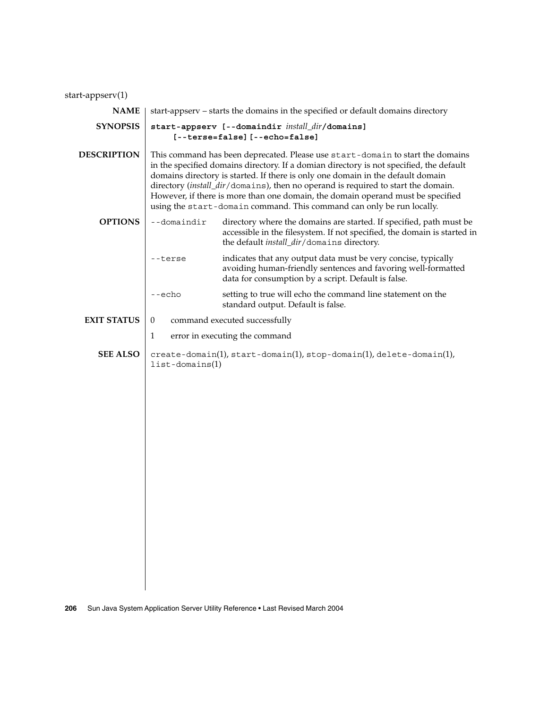start-appserv(1)

| <b>NAME</b>        | start-appserv – starts the domains in the specified or default domains directory                                                                                                                                                                                                                                                                                                                                                                                                                              |                                                                                                                                                                                                       |
|--------------------|---------------------------------------------------------------------------------------------------------------------------------------------------------------------------------------------------------------------------------------------------------------------------------------------------------------------------------------------------------------------------------------------------------------------------------------------------------------------------------------------------------------|-------------------------------------------------------------------------------------------------------------------------------------------------------------------------------------------------------|
| <b>SYNOPSIS</b>    | start-appserv [--domaindir <i>install_dir</i> /domains]<br>[--terse=false][--echo=false]                                                                                                                                                                                                                                                                                                                                                                                                                      |                                                                                                                                                                                                       |
| <b>DESCRIPTION</b> | This command has been deprecated. Please use start-domain to start the domains<br>in the specified domains directory. If a domian directory is not specified, the default<br>domains directory is started. If there is only one domain in the default domain<br>directory (install_dir/domains), then no operand is required to start the domain.<br>However, if there is more than one domain, the domain operand must be specified<br>using the start-domain command. This command can only be run locally. |                                                                                                                                                                                                       |
| <b>OPTIONS</b>     | --domaindir                                                                                                                                                                                                                                                                                                                                                                                                                                                                                                   | directory where the domains are started. If specified, path must be<br>accessible in the filesystem. If not specified, the domain is started in<br>the default <i>install_dir</i> /domains directory. |
|                    | --terse                                                                                                                                                                                                                                                                                                                                                                                                                                                                                                       | indicates that any output data must be very concise, typically<br>avoiding human-friendly sentences and favoring well-formatted<br>data for consumption by a script. Default is false.                |
|                    | --echo                                                                                                                                                                                                                                                                                                                                                                                                                                                                                                        | setting to true will echo the command line statement on the<br>standard output. Default is false.                                                                                                     |
| <b>EXIT STATUS</b> | 0                                                                                                                                                                                                                                                                                                                                                                                                                                                                                                             | command executed successfully                                                                                                                                                                         |
|                    | $\mathbf{1}$                                                                                                                                                                                                                                                                                                                                                                                                                                                                                                  | error in executing the command                                                                                                                                                                        |
| <b>SEE ALSO</b>    | $list-domains(1)$                                                                                                                                                                                                                                                                                                                                                                                                                                                                                             | $create-domain(1), start-domain(1), stor-domain(1), stop-domain(1), delete-domain(1),$                                                                                                                |
|                    |                                                                                                                                                                                                                                                                                                                                                                                                                                                                                                               |                                                                                                                                                                                                       |
|                    |                                                                                                                                                                                                                                                                                                                                                                                                                                                                                                               |                                                                                                                                                                                                       |
|                    |                                                                                                                                                                                                                                                                                                                                                                                                                                                                                                               |                                                                                                                                                                                                       |
|                    |                                                                                                                                                                                                                                                                                                                                                                                                                                                                                                               |                                                                                                                                                                                                       |
|                    |                                                                                                                                                                                                                                                                                                                                                                                                                                                                                                               |                                                                                                                                                                                                       |
|                    |                                                                                                                                                                                                                                                                                                                                                                                                                                                                                                               |                                                                                                                                                                                                       |
|                    |                                                                                                                                                                                                                                                                                                                                                                                                                                                                                                               |                                                                                                                                                                                                       |
|                    |                                                                                                                                                                                                                                                                                                                                                                                                                                                                                                               |                                                                                                                                                                                                       |
|                    |                                                                                                                                                                                                                                                                                                                                                                                                                                                                                                               |                                                                                                                                                                                                       |
|                    |                                                                                                                                                                                                                                                                                                                                                                                                                                                                                                               |                                                                                                                                                                                                       |
|                    |                                                                                                                                                                                                                                                                                                                                                                                                                                                                                                               |                                                                                                                                                                                                       |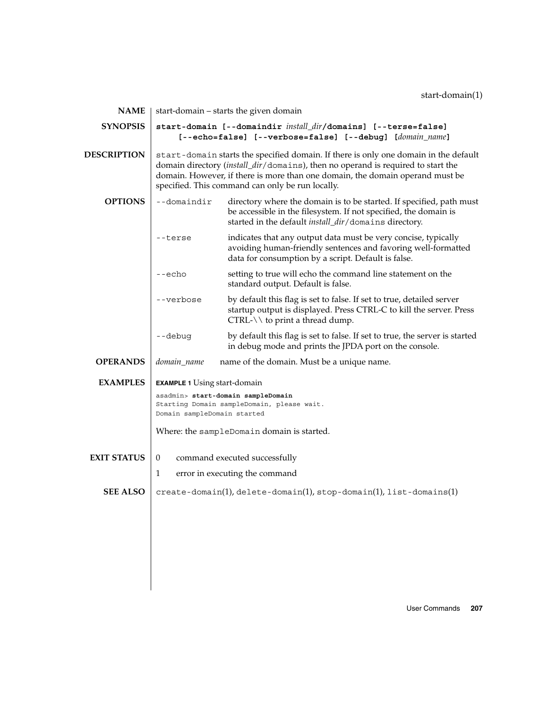start-domain(1)

| <b>NAME</b>        | start-domain – starts the given domain                                                                                                                                                                                                                                                                        |                                                                                                                                                                                                   |  |
|--------------------|---------------------------------------------------------------------------------------------------------------------------------------------------------------------------------------------------------------------------------------------------------------------------------------------------------------|---------------------------------------------------------------------------------------------------------------------------------------------------------------------------------------------------|--|
| <b>SYNOPSIS</b>    | start-domain [--domaindir <i>install_dir</i> /domains] [--terse=false]<br>[--echo=false] [--verbose=false] [--debug] [domain_name]                                                                                                                                                                            |                                                                                                                                                                                                   |  |
| <b>DESCRIPTION</b> | start-domain starts the specified domain. If there is only one domain in the default<br>domain directory (install_dir/domains), then no operand is required to start the<br>domain. However, if there is more than one domain, the domain operand must be<br>specified. This command can only be run locally. |                                                                                                                                                                                                   |  |
| <b>OPTIONS</b>     | --domaindir                                                                                                                                                                                                                                                                                                   | directory where the domain is to be started. If specified, path must<br>be accessible in the filesystem. If not specified, the domain is<br>started in the default install_dir/domains directory. |  |
|                    | --terse                                                                                                                                                                                                                                                                                                       | indicates that any output data must be very concise, typically<br>avoiding human-friendly sentences and favoring well-formatted<br>data for consumption by a script. Default is false.            |  |
|                    | --echo                                                                                                                                                                                                                                                                                                        | setting to true will echo the command line statement on the<br>standard output. Default is false.                                                                                                 |  |
|                    | --verbose                                                                                                                                                                                                                                                                                                     | by default this flag is set to false. If set to true, detailed server<br>startup output is displayed. Press CTRL-C to kill the server. Press<br>$CTRL-\1$ to print a thread dump.                 |  |
|                    | --debug                                                                                                                                                                                                                                                                                                       | by default this flag is set to false. If set to true, the server is started<br>in debug mode and prints the JPDA port on the console.                                                             |  |
| <b>OPERANDS</b>    | domain_name                                                                                                                                                                                                                                                                                                   | name of the domain. Must be a unique name.                                                                                                                                                        |  |
| <b>EXAMPLES</b>    | <b>EXAMPLE 1 Using start-domain</b>                                                                                                                                                                                                                                                                           |                                                                                                                                                                                                   |  |
|                    | asadmin> start-domain sampleDomain<br>Starting Domain sampleDomain, please wait.<br>Domain sampleDomain started                                                                                                                                                                                               |                                                                                                                                                                                                   |  |
|                    | Where: the sampleDomain domain is started.                                                                                                                                                                                                                                                                    |                                                                                                                                                                                                   |  |
| <b>EXIT STATUS</b> | 0<br>command executed successfully                                                                                                                                                                                                                                                                            |                                                                                                                                                                                                   |  |
|                    | 1                                                                                                                                                                                                                                                                                                             | error in executing the command                                                                                                                                                                    |  |
| <b>SEE ALSO</b>    |                                                                                                                                                                                                                                                                                                               | $create-domain(1), delete-domain(1), stop-domain(1), list-domain(1)$                                                                                                                              |  |
|                    |                                                                                                                                                                                                                                                                                                               |                                                                                                                                                                                                   |  |
|                    |                                                                                                                                                                                                                                                                                                               |                                                                                                                                                                                                   |  |
|                    |                                                                                                                                                                                                                                                                                                               |                                                                                                                                                                                                   |  |
|                    |                                                                                                                                                                                                                                                                                                               |                                                                                                                                                                                                   |  |
|                    |                                                                                                                                                                                                                                                                                                               |                                                                                                                                                                                                   |  |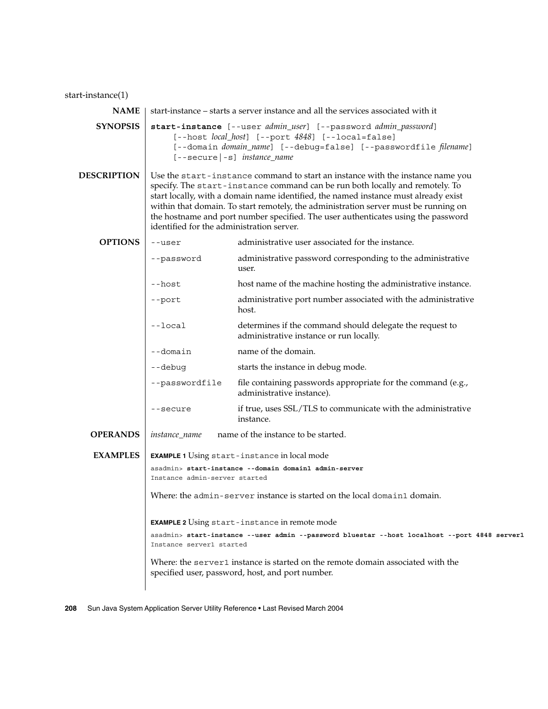start-instance(1)

| <b>NAME</b>        | start-instance – starts a server instance and all the services associated with it                                                                                                                                                                                                                                                                                                                                                                                              |                                                                                                                                     |  |  |
|--------------------|--------------------------------------------------------------------------------------------------------------------------------------------------------------------------------------------------------------------------------------------------------------------------------------------------------------------------------------------------------------------------------------------------------------------------------------------------------------------------------|-------------------------------------------------------------------------------------------------------------------------------------|--|--|
| <b>SYNOPSIS</b>    | start-instance [--user admin_user] [--password admin_password]<br>[--host local_host] [--port 4848] [--local=false]<br>[--domain domain_name] [--debug=false] [--passwordfile filename]<br>[--secure  -s] instance_name                                                                                                                                                                                                                                                        |                                                                                                                                     |  |  |
| <b>DESCRIPTION</b> | Use the start-instance command to start an instance with the instance name you<br>specify. The start-instance command can be run both locally and remotely. To<br>start locally, with a domain name identified, the named instance must already exist<br>within that domain. To start remotely, the administration server must be running on<br>the hostname and port number specified. The user authenticates using the password<br>identified for the administration server. |                                                                                                                                     |  |  |
| <b>OPTIONS</b>     | --user                                                                                                                                                                                                                                                                                                                                                                                                                                                                         | administrative user associated for the instance.                                                                                    |  |  |
|                    | --password                                                                                                                                                                                                                                                                                                                                                                                                                                                                     | administrative password corresponding to the administrative<br>user.                                                                |  |  |
|                    | --host                                                                                                                                                                                                                                                                                                                                                                                                                                                                         | host name of the machine hosting the administrative instance.                                                                       |  |  |
|                    | --port                                                                                                                                                                                                                                                                                                                                                                                                                                                                         | administrative port number associated with the administrative<br>host.                                                              |  |  |
|                    | --local                                                                                                                                                                                                                                                                                                                                                                                                                                                                        | determines if the command should delegate the request to<br>administrative instance or run locally.                                 |  |  |
|                    | --domain                                                                                                                                                                                                                                                                                                                                                                                                                                                                       | name of the domain.                                                                                                                 |  |  |
|                    | --debuq                                                                                                                                                                                                                                                                                                                                                                                                                                                                        | starts the instance in debug mode.                                                                                                  |  |  |
|                    | --passwordfile                                                                                                                                                                                                                                                                                                                                                                                                                                                                 | file containing passwords appropriate for the command (e.g.,<br>administrative instance).                                           |  |  |
|                    | --secure                                                                                                                                                                                                                                                                                                                                                                                                                                                                       | if true, uses SSL/TLS to communicate with the administrative<br>instance.                                                           |  |  |
| <b>OPERANDS</b>    | name of the instance to be started.<br><i>instance_name</i>                                                                                                                                                                                                                                                                                                                                                                                                                    |                                                                                                                                     |  |  |
| <b>EXAMPLES</b>    | <b>EXAMPLE 1 Using start-instance in local mode</b>                                                                                                                                                                                                                                                                                                                                                                                                                            |                                                                                                                                     |  |  |
|                    |                                                                                                                                                                                                                                                                                                                                                                                                                                                                                | asadmin> start-instance --domain domain1 admin-server                                                                               |  |  |
|                    | Instance admin-server started                                                                                                                                                                                                                                                                                                                                                                                                                                                  |                                                                                                                                     |  |  |
|                    | Where: the admin-server instance is started on the local domain1 domain.                                                                                                                                                                                                                                                                                                                                                                                                       |                                                                                                                                     |  |  |
|                    | <b>EXAMPLE 2</b> Using start-instance in remote mode                                                                                                                                                                                                                                                                                                                                                                                                                           |                                                                                                                                     |  |  |
|                    | asadmin> start-instance --user admin --password bluestar --host localhost --port 4848 server1<br>Instance server1 started                                                                                                                                                                                                                                                                                                                                                      |                                                                                                                                     |  |  |
|                    |                                                                                                                                                                                                                                                                                                                                                                                                                                                                                | Where: the server1 instance is started on the remote domain associated with the<br>specified user, password, host, and port number. |  |  |
|                    |                                                                                                                                                                                                                                                                                                                                                                                                                                                                                |                                                                                                                                     |  |  |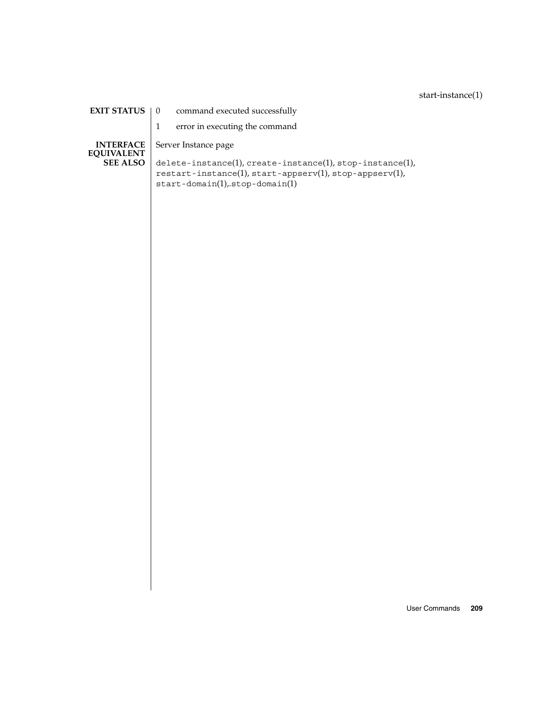## start-instance(1)

| <b>EXIT STATUS</b>                    | command executed successfully                                                                                                                                                                                                   |  |  |
|---------------------------------------|---------------------------------------------------------------------------------------------------------------------------------------------------------------------------------------------------------------------------------|--|--|
|                                       | error in executing the command                                                                                                                                                                                                  |  |  |
| <b>INTERFACE</b><br><b>EOUIVALENT</b> | Server Instance page                                                                                                                                                                                                            |  |  |
| <b>SEE ALSO</b>                       | $delete{\text{-}instance(1)}$ , $create{\text{-}instance(1)}$ , $state{\text{-}instance(1)}$ , $stop{\text{-}instance(1)}$ ,<br>$restart-instance(1)$ , start-appserv(1), stop-appserv(1),<br>$start-domain(1), stop-domain(1)$ |  |  |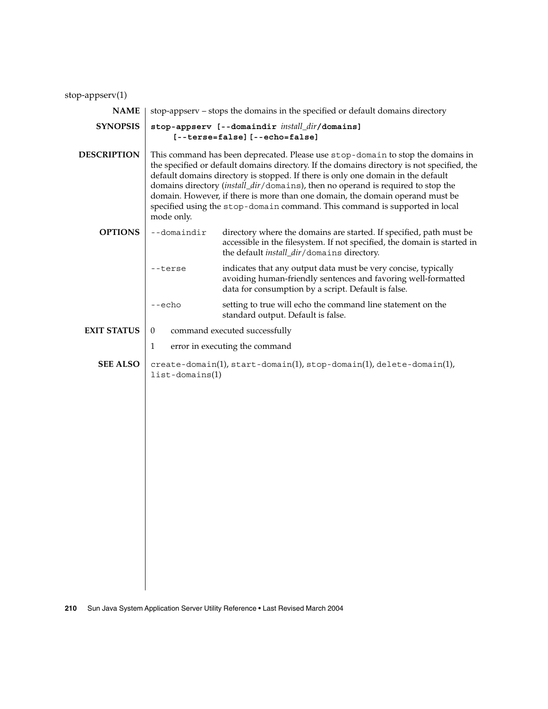stop-appserv(1)

| <b>NAME</b>        | stop-appserv – stops the domains in the specified or default domains directory                                                                                                                                                                                                                                                                                                                                                                                                                                                      |                                                                                                                                                                                                       |
|--------------------|-------------------------------------------------------------------------------------------------------------------------------------------------------------------------------------------------------------------------------------------------------------------------------------------------------------------------------------------------------------------------------------------------------------------------------------------------------------------------------------------------------------------------------------|-------------------------------------------------------------------------------------------------------------------------------------------------------------------------------------------------------|
| <b>SYNOPSIS</b>    | stop-appserv [--domaindir <i>install_dir</i> /domains]<br>[--terse=false][--echo=false]                                                                                                                                                                                                                                                                                                                                                                                                                                             |                                                                                                                                                                                                       |
| <b>DESCRIPTION</b> | This command has been deprecated. Please use stop-domain to stop the domains in<br>the specified or default domains directory. If the domains directory is not specified, the<br>default domains directory is stopped. If there is only one domain in the default<br>domains directory (install_dir/domains), then no operand is required to stop the<br>domain. However, if there is more than one domain, the domain operand must be<br>specified using the stop-domain command. This command is supported in local<br>mode only. |                                                                                                                                                                                                       |
| <b>OPTIONS</b>     | --domaindir                                                                                                                                                                                                                                                                                                                                                                                                                                                                                                                         | directory where the domains are started. If specified, path must be<br>accessible in the filesystem. If not specified, the domain is started in<br>the default <i>install_dir</i> /domains directory. |
|                    | --terse                                                                                                                                                                                                                                                                                                                                                                                                                                                                                                                             | indicates that any output data must be very concise, typically<br>avoiding human-friendly sentences and favoring well-formatted<br>data for consumption by a script. Default is false.                |
|                    | --echo                                                                                                                                                                                                                                                                                                                                                                                                                                                                                                                              | setting to true will echo the command line statement on the<br>standard output. Default is false.                                                                                                     |
| <b>EXIT STATUS</b> | $\mathbf{0}$                                                                                                                                                                                                                                                                                                                                                                                                                                                                                                                        | command executed successfully                                                                                                                                                                         |
|                    | $\mathbf{1}$                                                                                                                                                                                                                                                                                                                                                                                                                                                                                                                        | error in executing the command                                                                                                                                                                        |
| <b>SEE ALSO</b>    | $list-domains(1)$                                                                                                                                                                                                                                                                                                                                                                                                                                                                                                                   | $create-domain(1), start-domain(1), stop-domain(1), deletion, delete-domain(1),$                                                                                                                      |
|                    |                                                                                                                                                                                                                                                                                                                                                                                                                                                                                                                                     |                                                                                                                                                                                                       |
|                    |                                                                                                                                                                                                                                                                                                                                                                                                                                                                                                                                     |                                                                                                                                                                                                       |
|                    |                                                                                                                                                                                                                                                                                                                                                                                                                                                                                                                                     |                                                                                                                                                                                                       |
|                    |                                                                                                                                                                                                                                                                                                                                                                                                                                                                                                                                     |                                                                                                                                                                                                       |
|                    |                                                                                                                                                                                                                                                                                                                                                                                                                                                                                                                                     |                                                                                                                                                                                                       |
|                    |                                                                                                                                                                                                                                                                                                                                                                                                                                                                                                                                     |                                                                                                                                                                                                       |
|                    |                                                                                                                                                                                                                                                                                                                                                                                                                                                                                                                                     |                                                                                                                                                                                                       |
|                    |                                                                                                                                                                                                                                                                                                                                                                                                                                                                                                                                     |                                                                                                                                                                                                       |
|                    |                                                                                                                                                                                                                                                                                                                                                                                                                                                                                                                                     |                                                                                                                                                                                                       |
|                    |                                                                                                                                                                                                                                                                                                                                                                                                                                                                                                                                     |                                                                                                                                                                                                       |
|                    |                                                                                                                                                                                                                                                                                                                                                                                                                                                                                                                                     |                                                                                                                                                                                                       |
|                    |                                                                                                                                                                                                                                                                                                                                                                                                                                                                                                                                     |                                                                                                                                                                                                       |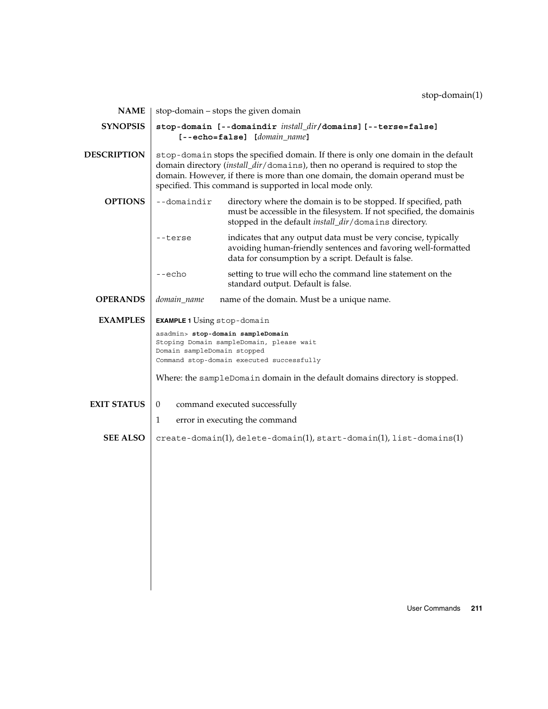| <b>NAME</b>        | stop-domain - stops the given domain                                                                                                                                                                                                                                                                               |                                                                                                                                                                                                  |  |
|--------------------|--------------------------------------------------------------------------------------------------------------------------------------------------------------------------------------------------------------------------------------------------------------------------------------------------------------------|--------------------------------------------------------------------------------------------------------------------------------------------------------------------------------------------------|--|
| <b>SYNOPSIS</b>    | stop-domain [--domaindir install_dir/domains] [--terse=false]<br>[--echo=false] [domain name]                                                                                                                                                                                                                      |                                                                                                                                                                                                  |  |
| <b>DESCRIPTION</b> | stop-domain stops the specified domain. If there is only one domain in the default<br>domain directory (install_dir/domains), then no operand is required to stop the<br>domain. However, if there is more than one domain, the domain operand must be<br>specified. This command is supported in local mode only. |                                                                                                                                                                                                  |  |
| <b>OPTIONS</b>     | --domaindir                                                                                                                                                                                                                                                                                                        | directory where the domain is to be stopped. If specified, path<br>must be accessible in the filesystem. If not specified, the domainis<br>stopped in the default install_dir/domains directory. |  |
|                    | --terse                                                                                                                                                                                                                                                                                                            | indicates that any output data must be very concise, typically<br>avoiding human-friendly sentences and favoring well-formatted<br>data for consumption by a script. Default is false.           |  |
|                    | --echo                                                                                                                                                                                                                                                                                                             | setting to true will echo the command line statement on the<br>standard output. Default is false.                                                                                                |  |
| <b>OPERANDS</b>    | domain_name                                                                                                                                                                                                                                                                                                        | name of the domain. Must be a unique name.                                                                                                                                                       |  |
| <b>EXAMPLES</b>    | <b>EXAMPLE 1 Using stop-domain</b><br>asadmin> stop-domain sampleDomain<br>Stoping Domain sampleDomain, please wait<br>Domain sampleDomain stopped<br>Command stop-domain executed successfully<br>Where: the sampleDomain domain in the default domains directory is stopped.                                     |                                                                                                                                                                                                  |  |
| <b>EXIT STATUS</b> | $\mathbf{0}$                                                                                                                                                                                                                                                                                                       | command executed successfully                                                                                                                                                                    |  |
|                    | 1                                                                                                                                                                                                                                                                                                                  | error in executing the command                                                                                                                                                                   |  |
| <b>SEE ALSO</b>    |                                                                                                                                                                                                                                                                                                                    | $create-domain(1), delete-domain(1), state-domain(1), (1)$ .                                                                                                                                     |  |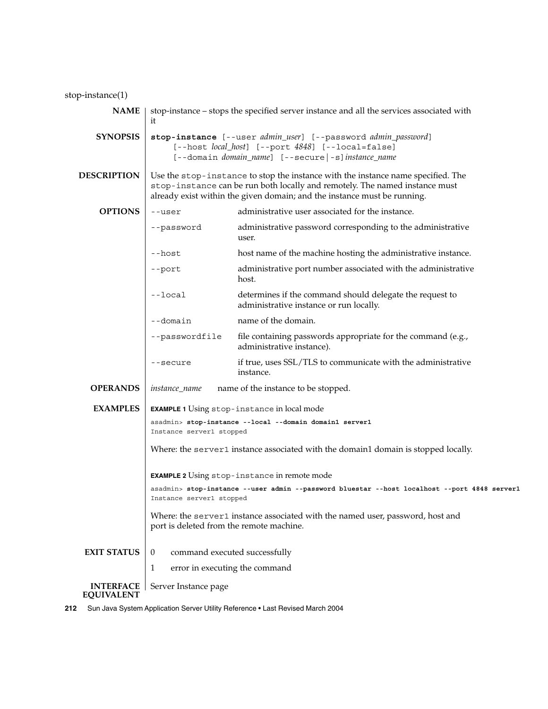## stop-instance(1)

| <b>NAME</b>                           | stop-instance – stops the specified server instance and all the services associated with<br>it                                                                                                                                              |                                                                                                     |  |
|---------------------------------------|---------------------------------------------------------------------------------------------------------------------------------------------------------------------------------------------------------------------------------------------|-----------------------------------------------------------------------------------------------------|--|
| <b>SYNOPSIS</b>                       | stop-instance [--user admin_user] [--password admin_password]<br>[--host local_host] [--port 4848] [--local=false]<br>[--domain <i>domain_name</i> ] [--secure   -s] instance_name                                                          |                                                                                                     |  |
| <b>DESCRIPTION</b>                    | Use the stop-instance to stop the instance with the instance name specified. The<br>stop-instance can be run both locally and remotely. The named instance must<br>already exist within the given domain; and the instance must be running. |                                                                                                     |  |
| <b>OPTIONS</b>                        | --user                                                                                                                                                                                                                                      | administrative user associated for the instance.                                                    |  |
|                                       | --password                                                                                                                                                                                                                                  | administrative password corresponding to the administrative<br>user.                                |  |
|                                       | --host                                                                                                                                                                                                                                      | host name of the machine hosting the administrative instance.                                       |  |
|                                       | --port                                                                                                                                                                                                                                      | administrative port number associated with the administrative<br>host.                              |  |
|                                       | --local                                                                                                                                                                                                                                     | determines if the command should delegate the request to<br>administrative instance or run locally. |  |
|                                       | --domain                                                                                                                                                                                                                                    | name of the domain.                                                                                 |  |
|                                       | --passwordfile                                                                                                                                                                                                                              | file containing passwords appropriate for the command (e.g.,<br>administrative instance).           |  |
|                                       | --secure                                                                                                                                                                                                                                    | if true, uses SSL/TLS to communicate with the administrative<br>instance.                           |  |
| <b>OPERANDS</b>                       | instance_name                                                                                                                                                                                                                               | name of the instance to be stopped.                                                                 |  |
| <b>EXAMPLES</b>                       |                                                                                                                                                                                                                                             | <b>EXAMPLE 1</b> Using stop-instance in local mode                                                  |  |
|                                       | asadmin> stop-instance --local --domain domain1 server1<br>Instance server1 stopped                                                                                                                                                         |                                                                                                     |  |
|                                       | Where: the server1 instance associated with the domain1 domain is stopped locally.                                                                                                                                                          |                                                                                                     |  |
|                                       | <b>EXAMPLE 2</b> Using stop-instance in remote mode<br>asadmin> stop-instance --user admin --password bluestar --host localhost --port 4848 server1                                                                                         |                                                                                                     |  |
|                                       | Instance server1 stopped                                                                                                                                                                                                                    |                                                                                                     |  |
|                                       | Where: the server1 instance associated with the named user, password, host and<br>port is deleted from the remote machine.                                                                                                                  |                                                                                                     |  |
| <b>EXIT STATUS</b>                    | $\boldsymbol{0}$                                                                                                                                                                                                                            | command executed successfully                                                                       |  |
|                                       | $\mathbf{1}$                                                                                                                                                                                                                                | error in executing the command                                                                      |  |
| <b>INTERFACE</b><br><b>EQUIVALENT</b> | Server Instance page                                                                                                                                                                                                                        |                                                                                                     |  |

**<sup>212</sup>** Sun Java System Application Server Utility Reference • Last Revised March 2004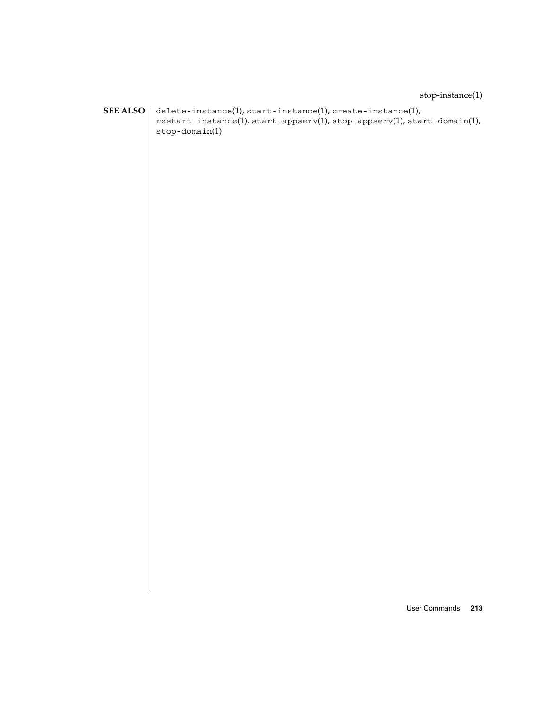stop-instance(1)

 $\texttt{delete-instance}(1)$ ,  $\texttt{start-instance}(1)$ ,  $\texttt{create-instance}(1)$ , restart-instance(1), start-appserv(1), stop-appserv(1), start-domain(1), stop-domain(1) **SEE ALSO**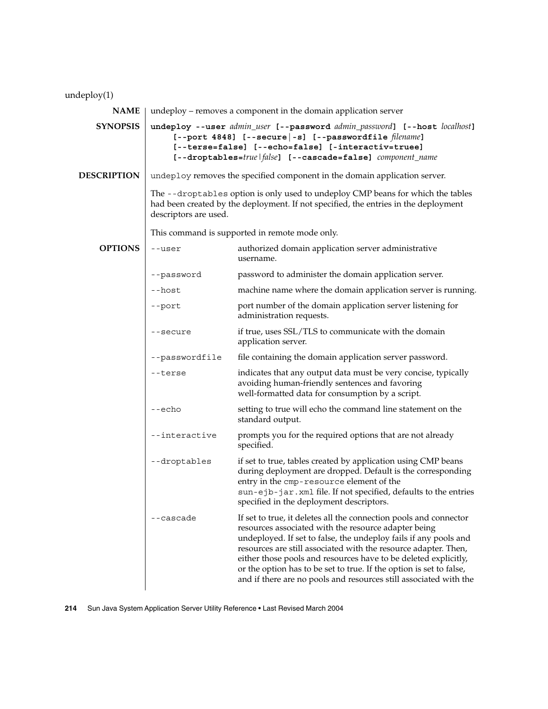| undeploy(1) |  |
|-------------|--|
|-------------|--|

| <b>NAME</b>        | undeploy – removes a component in the domain application server                                                                                                                                                                                           |                                                                                                                                                                                                                                                                                                                                                                                                                                                                                 |  |  |
|--------------------|-----------------------------------------------------------------------------------------------------------------------------------------------------------------------------------------------------------------------------------------------------------|---------------------------------------------------------------------------------------------------------------------------------------------------------------------------------------------------------------------------------------------------------------------------------------------------------------------------------------------------------------------------------------------------------------------------------------------------------------------------------|--|--|
| <b>SYNOPSIS</b>    | undeploy --user admin_user [--password admin_password] [--host localhost]<br>[--port 4848] [--secure  -s] [--passwordfile filename]<br>[--terse=false] [--echo=false] [-interactiv=truee]<br>[--droptables=true   false] [--cascade=false] component_name |                                                                                                                                                                                                                                                                                                                                                                                                                                                                                 |  |  |
| <b>DESCRIPTION</b> | undeploy removes the specified component in the domain application server.                                                                                                                                                                                |                                                                                                                                                                                                                                                                                                                                                                                                                                                                                 |  |  |
|                    | The --droptables option is only used to undeploy CMP beans for which the tables<br>had been created by the deployment. If not specified, the entries in the deployment<br>descriptors are used.                                                           |                                                                                                                                                                                                                                                                                                                                                                                                                                                                                 |  |  |
|                    |                                                                                                                                                                                                                                                           | This command is supported in remote mode only.                                                                                                                                                                                                                                                                                                                                                                                                                                  |  |  |
| <b>OPTIONS</b>     | --user                                                                                                                                                                                                                                                    | authorized domain application server administrative<br>username.                                                                                                                                                                                                                                                                                                                                                                                                                |  |  |
|                    | --password                                                                                                                                                                                                                                                | password to administer the domain application server.                                                                                                                                                                                                                                                                                                                                                                                                                           |  |  |
|                    | --host                                                                                                                                                                                                                                                    | machine name where the domain application server is running.                                                                                                                                                                                                                                                                                                                                                                                                                    |  |  |
|                    | --port                                                                                                                                                                                                                                                    | port number of the domain application server listening for<br>administration requests.                                                                                                                                                                                                                                                                                                                                                                                          |  |  |
|                    | --secure                                                                                                                                                                                                                                                  | if true, uses SSL/TLS to communicate with the domain<br>application server.                                                                                                                                                                                                                                                                                                                                                                                                     |  |  |
|                    | --passwordfile                                                                                                                                                                                                                                            | file containing the domain application server password.                                                                                                                                                                                                                                                                                                                                                                                                                         |  |  |
|                    | --terse                                                                                                                                                                                                                                                   | indicates that any output data must be very concise, typically<br>avoiding human-friendly sentences and favoring<br>well-formatted data for consumption by a script.                                                                                                                                                                                                                                                                                                            |  |  |
|                    | --echo                                                                                                                                                                                                                                                    | setting to true will echo the command line statement on the<br>standard output.                                                                                                                                                                                                                                                                                                                                                                                                 |  |  |
|                    | --interactive                                                                                                                                                                                                                                             | prompts you for the required options that are not already<br>specified.                                                                                                                                                                                                                                                                                                                                                                                                         |  |  |
|                    | --droptables                                                                                                                                                                                                                                              | if set to true, tables created by application using CMP beans<br>during deployment are dropped. Default is the corresponding<br>entry in the cmp-resource element of the<br>sun-ejb-jar.xml file. If not specified, defaults to the entries<br>specified in the deployment descriptors.                                                                                                                                                                                         |  |  |
|                    | --cascade                                                                                                                                                                                                                                                 | If set to true, it deletes all the connection pools and connector<br>resources associated with the resource adapter being<br>undeployed. If set to false, the undeploy fails if any pools and<br>resources are still associated with the resource adapter. Then,<br>either those pools and resources have to be deleted explicitly,<br>or the option has to be set to true. If the option is set to false,<br>and if there are no pools and resources still associated with the |  |  |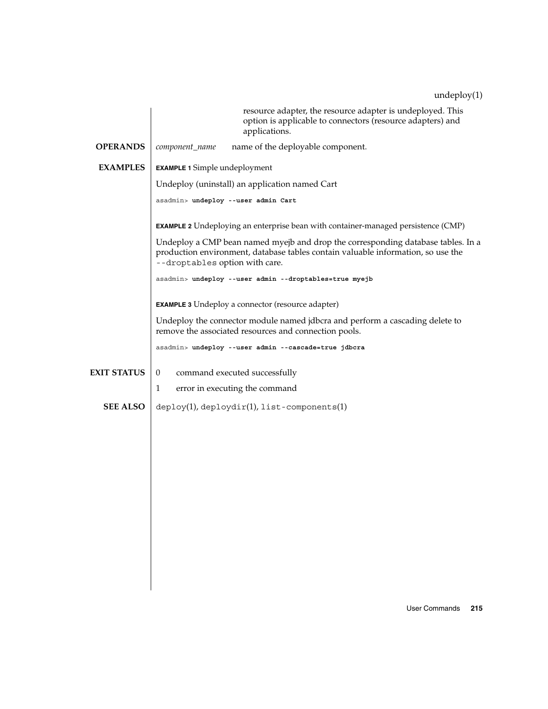resource adapter, the resource adapter is undeployed. This option is applicable to connectors (resource adapters) and applications. *component\_name* name of the deployable component. **EXAMPLE 1** Simple undeployment Undeploy (uninstall) an application named Cart asadmin> **undeploy --user admin Cart EXAMPLE 2** Undeploying an enterprise bean with container-managed persistence (CMP) Undeploy a CMP bean named myejb and drop the corresponding database tables. In a production environment, database tables contain valuable information, so use the --droptables option with care. asadmin> **undeploy --user admin --droptables=true myejb EXAMPLE 3** Undeploy a connector (resource adapter) Undeploy the connector module named jdbcra and perform a cascading delete to remove the associated resources and connection pools. asadmin> **undeploy --user admin --cascade=true jdbcra** 0 command executed successfully 1 error in executing the command deploy(1), deploydir(1), list-components(1) **OPERANDS EXAMPLES EXIT STATUS SEE ALSO**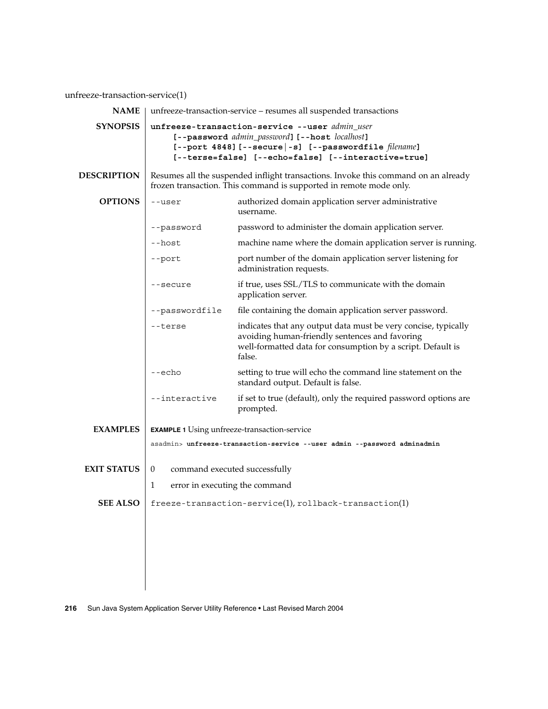unfreeze-transaction-service(1)

| <b>NAME</b>        | unfreeze-transaction-service - resumes all suspended transactions                                                                                                                                                  |                                                                                                                                                                                           |  |
|--------------------|--------------------------------------------------------------------------------------------------------------------------------------------------------------------------------------------------------------------|-------------------------------------------------------------------------------------------------------------------------------------------------------------------------------------------|--|
| <b>SYNOPSIS</b>    | unfreeze-transaction-service --user admin_user<br>[--password admin_password] [--host localhost]<br>[--port 4848] [--secure   -s] [--passwordfile filename]<br>[--terse=false] [--echo=false] [--interactive=true] |                                                                                                                                                                                           |  |
| <b>DESCRIPTION</b> | Resumes all the suspended inflight transactions. Invoke this command on an already<br>frozen transaction. This command is supported in remote mode only.                                                           |                                                                                                                                                                                           |  |
| <b>OPTIONS</b>     | --user                                                                                                                                                                                                             | authorized domain application server administrative<br>username.                                                                                                                          |  |
|                    | --password                                                                                                                                                                                                         | password to administer the domain application server.                                                                                                                                     |  |
|                    | --host                                                                                                                                                                                                             | machine name where the domain application server is running.                                                                                                                              |  |
|                    | --port                                                                                                                                                                                                             | port number of the domain application server listening for<br>administration requests.                                                                                                    |  |
|                    | --secure                                                                                                                                                                                                           | if true, uses SSL/TLS to communicate with the domain<br>application server.                                                                                                               |  |
|                    | --passwordfile                                                                                                                                                                                                     | file containing the domain application server password.                                                                                                                                   |  |
|                    | --terse                                                                                                                                                                                                            | indicates that any output data must be very concise, typically<br>avoiding human-friendly sentences and favoring<br>well-formatted data for consumption by a script. Default is<br>false. |  |
|                    | --echo                                                                                                                                                                                                             | setting to true will echo the command line statement on the<br>standard output. Default is false.                                                                                         |  |
|                    | --interactive                                                                                                                                                                                                      | if set to true (default), only the required password options are<br>prompted.                                                                                                             |  |
| <b>EXAMPLES</b>    |                                                                                                                                                                                                                    | <b>EXAMPLE 1 Using unfreeze-transaction-service</b>                                                                                                                                       |  |
|                    |                                                                                                                                                                                                                    | asadmin> unfreeze-transaction-service --user admin --password adminadmin                                                                                                                  |  |
| <b>EXIT STATUS</b> | 0                                                                                                                                                                                                                  | command executed successfully                                                                                                                                                             |  |
|                    | $\mathbf{1}$                                                                                                                                                                                                       | error in executing the command                                                                                                                                                            |  |
| <b>SEE ALSO</b>    |                                                                                                                                                                                                                    | freeze-transaction-service(1), rollback-transaction(1)                                                                                                                                    |  |
|                    |                                                                                                                                                                                                                    |                                                                                                                                                                                           |  |

**216** Sun Java System Application Server Utility Reference • Last Revised March 2004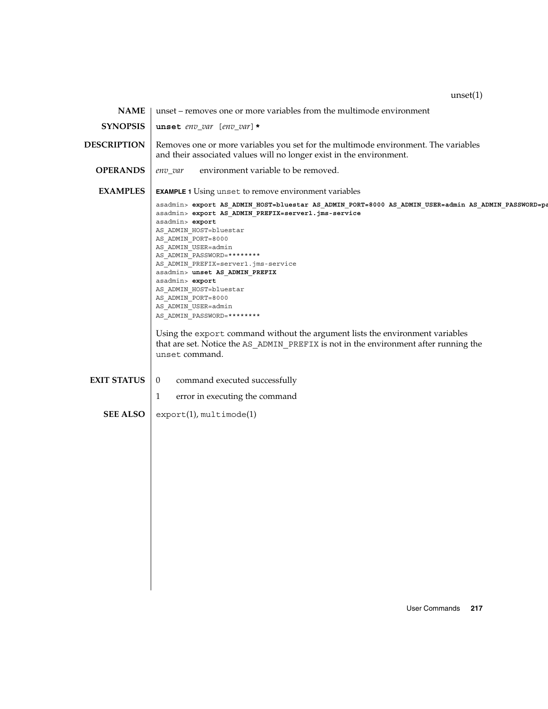<span id="page-216-0"></span>unset – removes one or more variables from the multimode environment **unset** *env\_var* [*env\_var*]**\*** Removes one or more variables you set for the multimode environment. The variables and their associated values will no longer exist in the environment. *env\_var* environment variable to be removed. **EXAMPLE 1** Using unset to remove environment variables asadmin> **export AS\_ADMIN\_HOST=bluestar AS\_ADMIN\_PORT=8000 AS\_ADMIN\_USER=admin AS\_ADMIN\_PASSWORD=pa** asadmin> **export AS\_ADMIN\_PREFIX=server1.jms-service** asadmin> **export** AS ADMIN HOST=bluestar AS\_ADMIN\_PORT=8000 AS\_ADMIN\_USER=admin AS\_ADMIN\_PASSWORD=\*\*\*\*\*\*\*\* AS\_ADMIN\_PREFIX=server1.jms-service asadmin> **unset AS\_ADMIN\_PREFIX** asadmin> **export** AS\_ADMIN\_HOST=bluestar AS\_ADMIN\_PORT=8000 AS\_ADMIN\_USER=admin AS\_ADMIN\_PASSWORD=\*\*\*\*\*\*\*\* Using the export command without the argument lists the environment variables that are set. Notice the AS\_ADMIN\_PREFIX is not in the environment after running the unset command. 0 command executed successfully 1 error in executing the command export(1), multimode(1) **NAME SYNOPSIS DESCRIPTION OPERANDS EXAMPLES EXIT STATUS SEE ALSO**

unset(1)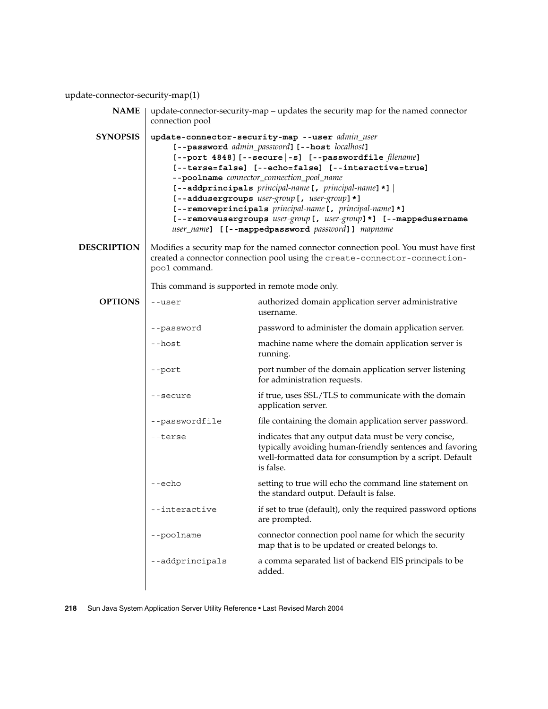<span id="page-217-0"></span>update-connector-security-map(1)

| <b>NAME</b>        | update-connector-security-map – updates the security map for the named connector<br>connection pool                                                                                                                                                                                                                                                                                                                                                                                                                                                                |                                                                                                                                                                                           |  |
|--------------------|--------------------------------------------------------------------------------------------------------------------------------------------------------------------------------------------------------------------------------------------------------------------------------------------------------------------------------------------------------------------------------------------------------------------------------------------------------------------------------------------------------------------------------------------------------------------|-------------------------------------------------------------------------------------------------------------------------------------------------------------------------------------------|--|
| <b>SYNOPSIS</b>    | update-connector-security-map --user admin_user<br>[--password admin_password] [--host localhost]<br>[--port 4848] [--secure   -s] [--passwordfile filename]<br>[--terse=false] [--echo=false] [--interactive=true]<br>--poolname connector_connection_pool_name<br>[--addprincipals principal-name [, principal-name] *]  <br>[--addusergroups user-group [, user-group] *]<br>[--removeprincipals principal-name [, principal-name] *]<br>[--removeusergroups user-group [, user-group] *] [--mappedusername<br>user_name] [[--mappedpassword password]] mapname |                                                                                                                                                                                           |  |
| <b>DESCRIPTION</b> | Modifies a security map for the named connector connection pool. You must have first<br>created a connector connection pool using the create-connector-connection-<br>pool command.                                                                                                                                                                                                                                                                                                                                                                                |                                                                                                                                                                                           |  |
|                    | This command is supported in remote mode only.                                                                                                                                                                                                                                                                                                                                                                                                                                                                                                                     |                                                                                                                                                                                           |  |
| <b>OPTIONS</b>     | --user                                                                                                                                                                                                                                                                                                                                                                                                                                                                                                                                                             | authorized domain application server administrative<br>username.                                                                                                                          |  |
|                    | --password                                                                                                                                                                                                                                                                                                                                                                                                                                                                                                                                                         | password to administer the domain application server.                                                                                                                                     |  |
|                    | --host                                                                                                                                                                                                                                                                                                                                                                                                                                                                                                                                                             | machine name where the domain application server is<br>running.                                                                                                                           |  |
|                    | --port                                                                                                                                                                                                                                                                                                                                                                                                                                                                                                                                                             | port number of the domain application server listening<br>for administration requests.                                                                                                    |  |
|                    | --secure                                                                                                                                                                                                                                                                                                                                                                                                                                                                                                                                                           | if true, uses SSL/TLS to communicate with the domain<br>application server.                                                                                                               |  |
|                    | --passwordfile                                                                                                                                                                                                                                                                                                                                                                                                                                                                                                                                                     | file containing the domain application server password.                                                                                                                                   |  |
|                    | --terse                                                                                                                                                                                                                                                                                                                                                                                                                                                                                                                                                            | indicates that any output data must be very concise,<br>typically avoiding human-friendly sentences and favoring<br>well-formatted data for consumption by a script. Default<br>is false. |  |
|                    | --echo                                                                                                                                                                                                                                                                                                                                                                                                                                                                                                                                                             | setting to true will echo the command line statement on<br>the standard output. Default is false.                                                                                         |  |
|                    | --interactive                                                                                                                                                                                                                                                                                                                                                                                                                                                                                                                                                      | if set to true (default), only the required password options<br>are prompted.                                                                                                             |  |
|                    | --poolname                                                                                                                                                                                                                                                                                                                                                                                                                                                                                                                                                         | connector connection pool name for which the security<br>map that is to be updated or created belongs to.                                                                                 |  |
|                    | --addprincipals                                                                                                                                                                                                                                                                                                                                                                                                                                                                                                                                                    | a comma separated list of backend EIS principals to be<br>added.                                                                                                                          |  |
|                    |                                                                                                                                                                                                                                                                                                                                                                                                                                                                                                                                                                    |                                                                                                                                                                                           |  |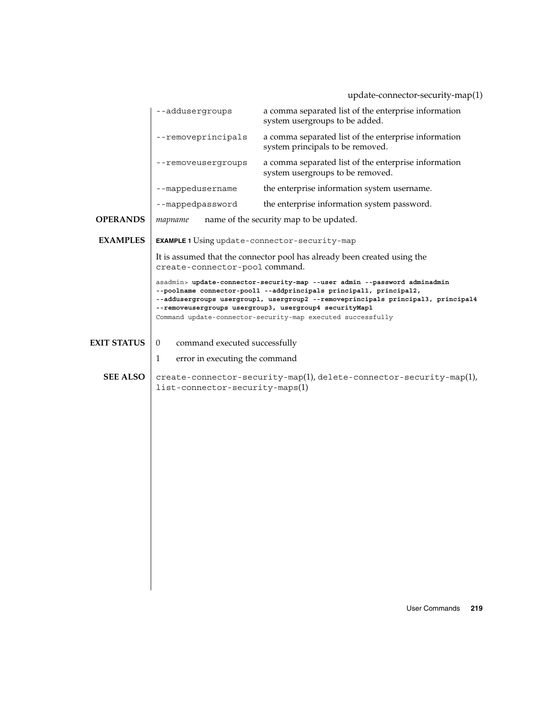update-connector-security-map(1)

|                    | --addusergroups    | a comma separated list of the enterprise information<br>system usergroups to be added.                                                                                                                                                                                                                                                                       |
|--------------------|--------------------|--------------------------------------------------------------------------------------------------------------------------------------------------------------------------------------------------------------------------------------------------------------------------------------------------------------------------------------------------------------|
|                    | --removeprincipals | a comma separated list of the enterprise information<br>system principals to be removed.                                                                                                                                                                                                                                                                     |
|                    | --removeusergroups | a comma separated list of the enterprise information<br>system usergroups to be removed.                                                                                                                                                                                                                                                                     |
|                    | --mappedusername   | the enterprise information system username.                                                                                                                                                                                                                                                                                                                  |
|                    | --mappedpassword   | the enterprise information system password.                                                                                                                                                                                                                                                                                                                  |
| <b>OPERANDS</b>    | mapname            | name of the security map to be updated.                                                                                                                                                                                                                                                                                                                      |
| <b>EXAMPLES</b>    |                    | <b>EXAMPLE 1 Using update-connector-security-map</b>                                                                                                                                                                                                                                                                                                         |
|                    |                    | It is assumed that the connector pool has already been created using the<br>create-connector-pool command.                                                                                                                                                                                                                                                   |
|                    |                    | asadmin> update-connector-security-map --user admin --password adminadmin<br>--poolname connector-pool1 --addprincipals principal1, principal2,<br>--addusergroups usergroup1, usergroup2 --removeprincipals principal3, principal4<br>--removeusergroups usergroup3, usergroup4 securityMap1<br>Command update-connector-security-map executed successfully |
| <b>EXIT STATUS</b> | 0                  | command executed successfully                                                                                                                                                                                                                                                                                                                                |
|                    | 1                  | error in executing the command                                                                                                                                                                                                                                                                                                                               |
| <b>SEE ALSO</b>    |                    | create-connector-security-map(1), delete-connector-security-map(1),<br>$list$ -connector-security-maps $(1)$                                                                                                                                                                                                                                                 |
|                    |                    |                                                                                                                                                                                                                                                                                                                                                              |
|                    |                    |                                                                                                                                                                                                                                                                                                                                                              |
|                    |                    |                                                                                                                                                                                                                                                                                                                                                              |
|                    |                    |                                                                                                                                                                                                                                                                                                                                                              |
|                    |                    |                                                                                                                                                                                                                                                                                                                                                              |
|                    |                    |                                                                                                                                                                                                                                                                                                                                                              |
|                    |                    |                                                                                                                                                                                                                                                                                                                                                              |
|                    |                    |                                                                                                                                                                                                                                                                                                                                                              |
|                    |                    |                                                                                                                                                                                                                                                                                                                                                              |
|                    |                    |                                                                                                                                                                                                                                                                                                                                                              |
|                    |                    |                                                                                                                                                                                                                                                                                                                                                              |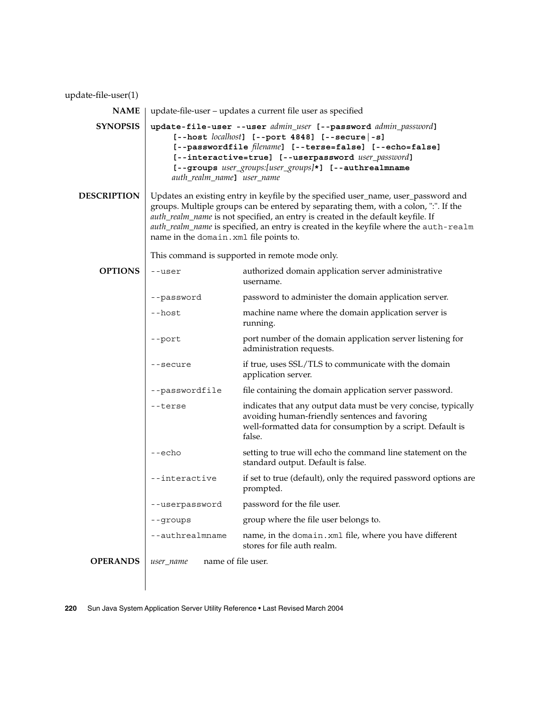<span id="page-219-0"></span>

| update-file-user(1) |  |
|---------------------|--|
|---------------------|--|

| <b>NAME</b>        | update-file-user - updates a current file user as specified                                                                                                                                                                                                                                                                                                                                        |                                                                                                                                                                                           |  |
|--------------------|----------------------------------------------------------------------------------------------------------------------------------------------------------------------------------------------------------------------------------------------------------------------------------------------------------------------------------------------------------------------------------------------------|-------------------------------------------------------------------------------------------------------------------------------------------------------------------------------------------|--|
| <b>SYNOPSIS</b>    | update-file-user --user admin_user [--password admin_password]<br>[--host localhost] [--port 4848] [--secure  -s]<br>[--passwordfile filename] [--terse=false] [--echo=false]<br>[--interactive=true] [--userpassword user_password]<br>[--groups user_groups:[user_groups]*] [--authrealmname<br>auth_realm_name] user_name                                                                       |                                                                                                                                                                                           |  |
| <b>DESCRIPTION</b> | Updates an existing entry in keyfile by the specified user_name, user_password and<br>groups. Multiple groups can be entered by separating them, with a colon, ":". If the<br>auth_realm_name is not specified, an entry is created in the default keyfile. If<br>auth_realm_name is specified, an entry is created in the keyfile where the auth-realm<br>name in the domain. xml file points to. |                                                                                                                                                                                           |  |
|                    |                                                                                                                                                                                                                                                                                                                                                                                                    | This command is supported in remote mode only.                                                                                                                                            |  |
| <b>OPTIONS</b>     | --user                                                                                                                                                                                                                                                                                                                                                                                             | authorized domain application server administrative<br>username.                                                                                                                          |  |
|                    | --password                                                                                                                                                                                                                                                                                                                                                                                         | password to administer the domain application server.                                                                                                                                     |  |
|                    | --host                                                                                                                                                                                                                                                                                                                                                                                             | machine name where the domain application server is<br>running.                                                                                                                           |  |
|                    | --port                                                                                                                                                                                                                                                                                                                                                                                             | port number of the domain application server listening for<br>administration requests.                                                                                                    |  |
|                    | --secure                                                                                                                                                                                                                                                                                                                                                                                           | if true, uses SSL/TLS to communicate with the domain<br>application server.                                                                                                               |  |
|                    | --passwordfile                                                                                                                                                                                                                                                                                                                                                                                     | file containing the domain application server password.                                                                                                                                   |  |
|                    | --terse                                                                                                                                                                                                                                                                                                                                                                                            | indicates that any output data must be very concise, typically<br>avoiding human-friendly sentences and favoring<br>well-formatted data for consumption by a script. Default is<br>false. |  |
|                    | --echo                                                                                                                                                                                                                                                                                                                                                                                             | setting to true will echo the command line statement on the<br>standard output. Default is false.                                                                                         |  |
|                    | --interactive                                                                                                                                                                                                                                                                                                                                                                                      | if set to true (default), only the required password options are<br>prompted.                                                                                                             |  |
|                    | --userpassword                                                                                                                                                                                                                                                                                                                                                                                     | password for the file user.                                                                                                                                                               |  |
|                    | --groups                                                                                                                                                                                                                                                                                                                                                                                           | group where the file user belongs to.                                                                                                                                                     |  |
|                    | --authrealmname                                                                                                                                                                                                                                                                                                                                                                                    | name, in the domain. xml file, where you have different<br>stores for file auth realm.                                                                                                    |  |
| <b>OPERANDS</b>    | name of file user.<br>user_name                                                                                                                                                                                                                                                                                                                                                                    |                                                                                                                                                                                           |  |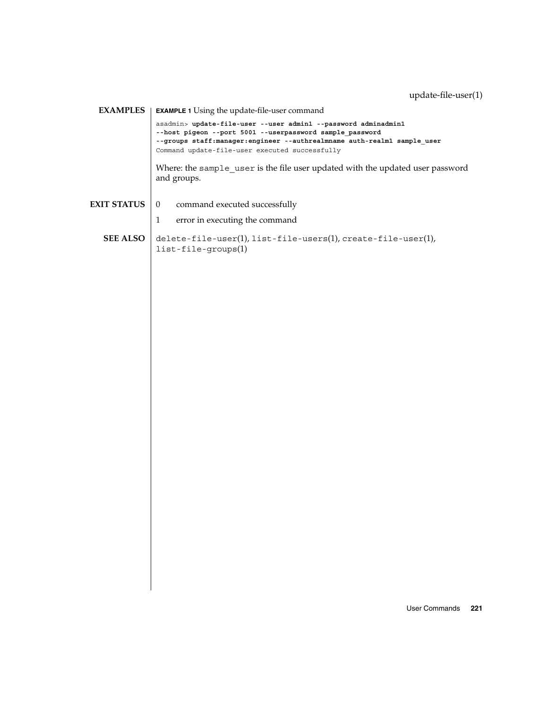| <b>EXAMPLES</b>    | <b>EXAMPLE 1</b> Using the update-file-user command                            |  |  |
|--------------------|--------------------------------------------------------------------------------|--|--|
|                    | asadmin> update-file-user --user admin1 --password adminadmin1                 |  |  |
|                    | --host pigeon --port 5001 --userpassword sample password                       |  |  |
|                    | --groups staff:manager:engineer --authrealmname auth-realm1 sample_user        |  |  |
|                    | Command update-file-user executed successfully                                 |  |  |
|                    | Where: the sample_user is the file user updated with the updated user password |  |  |
|                    | and groups.                                                                    |  |  |
|                    |                                                                                |  |  |
| <b>EXIT STATUS</b> | command executed successfully<br>$\mathbf{0}$                                  |  |  |
|                    |                                                                                |  |  |
|                    | error in executing the command<br>$\mathbf{1}$                                 |  |  |
| <b>SEE ALSO</b>    | delete-file-user(1), list-file-users(1), create-file-user(1),                  |  |  |
|                    | list-file-groups(1)                                                            |  |  |
|                    |                                                                                |  |  |
|                    |                                                                                |  |  |
|                    |                                                                                |  |  |
|                    |                                                                                |  |  |
|                    |                                                                                |  |  |
|                    |                                                                                |  |  |
|                    |                                                                                |  |  |
|                    |                                                                                |  |  |
|                    |                                                                                |  |  |
|                    |                                                                                |  |  |
|                    |                                                                                |  |  |
|                    |                                                                                |  |  |
|                    |                                                                                |  |  |
|                    |                                                                                |  |  |
|                    |                                                                                |  |  |
|                    |                                                                                |  |  |
|                    |                                                                                |  |  |
|                    |                                                                                |  |  |
|                    |                                                                                |  |  |
|                    |                                                                                |  |  |
|                    |                                                                                |  |  |
|                    |                                                                                |  |  |
|                    |                                                                                |  |  |
|                    |                                                                                |  |  |
|                    |                                                                                |  |  |
|                    |                                                                                |  |  |
|                    |                                                                                |  |  |
|                    |                                                                                |  |  |
|                    |                                                                                |  |  |
|                    |                                                                                |  |  |
|                    |                                                                                |  |  |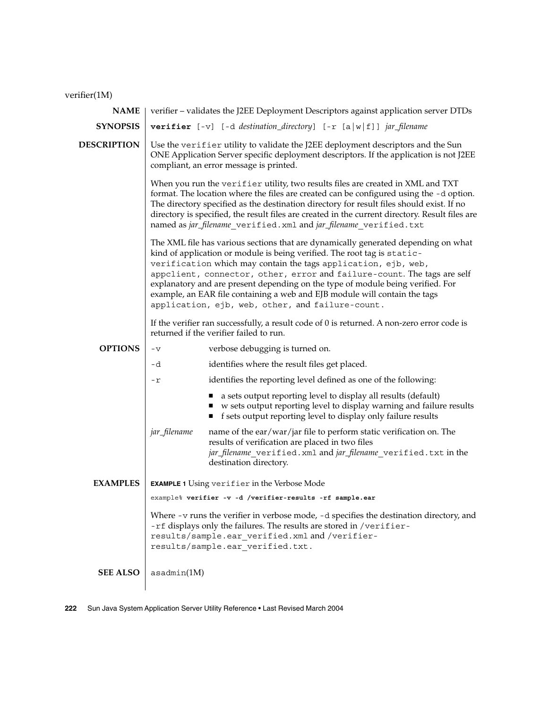<span id="page-221-0"></span>verifier(1M)

| <b>NAME</b>        | verifier – validates the J2EE Deployment Descriptors against application server DTDs                                                                                                                                                                                                                                                                                                                                                           |                                                                                                                                                                                                                                                                                                                                                                                                                                                                                                                                  |  |  |
|--------------------|------------------------------------------------------------------------------------------------------------------------------------------------------------------------------------------------------------------------------------------------------------------------------------------------------------------------------------------------------------------------------------------------------------------------------------------------|----------------------------------------------------------------------------------------------------------------------------------------------------------------------------------------------------------------------------------------------------------------------------------------------------------------------------------------------------------------------------------------------------------------------------------------------------------------------------------------------------------------------------------|--|--|
| <b>SYNOPSIS</b>    | <b>verifier</b> $[-v]$ [-d <i>destination_directory</i> ] $[-r$ [a w f]] <i>jar_filename</i>                                                                                                                                                                                                                                                                                                                                                   |                                                                                                                                                                                                                                                                                                                                                                                                                                                                                                                                  |  |  |
| <b>DESCRIPTION</b> | Use the verifier utility to validate the J2EE deployment descriptors and the Sun<br>ONE Application Server specific deployment descriptors. If the application is not J2EE<br>compliant, an error message is printed.                                                                                                                                                                                                                          |                                                                                                                                                                                                                                                                                                                                                                                                                                                                                                                                  |  |  |
|                    | When you run the verifier utility, two results files are created in XML and TXT<br>format. The location where the files are created can be configured using the -d option.<br>The directory specified as the destination directory for result files should exist. If no<br>directory is specified, the result files are created in the current directory. Result files are<br>named as jar_filename verified.xml and jar_filename verified.txt |                                                                                                                                                                                                                                                                                                                                                                                                                                                                                                                                  |  |  |
|                    |                                                                                                                                                                                                                                                                                                                                                                                                                                                | The XML file has various sections that are dynamically generated depending on what<br>kind of application or module is being verified. The root tag is static-<br>verification which may contain the tags application, ejb, web,<br>appclient, connector, other, error and failure-count. The tags are self<br>explanatory and are present depending on the type of module being verified. For<br>example, an EAR file containing a web and EJB module will contain the tags<br>application, ejb, web, other, and failure-count. |  |  |
|                    |                                                                                                                                                                                                                                                                                                                                                                                                                                                | If the verifier ran successfully, a result code of $0$ is returned. A non-zero error code is<br>returned if the verifier failed to run.                                                                                                                                                                                                                                                                                                                                                                                          |  |  |
| <b>OPTIONS</b>     | $-v$                                                                                                                                                                                                                                                                                                                                                                                                                                           | verbose debugging is turned on.                                                                                                                                                                                                                                                                                                                                                                                                                                                                                                  |  |  |
|                    | -d                                                                                                                                                                                                                                                                                                                                                                                                                                             | identifies where the result files get placed.                                                                                                                                                                                                                                                                                                                                                                                                                                                                                    |  |  |
|                    | $-1$                                                                                                                                                                                                                                                                                                                                                                                                                                           | identifies the reporting level defined as one of the following:                                                                                                                                                                                                                                                                                                                                                                                                                                                                  |  |  |
|                    |                                                                                                                                                                                                                                                                                                                                                                                                                                                | • a sets output reporting level to display all results (default)<br>• w sets output reporting level to display warning and failure results<br>f sets output reporting level to display only failure results                                                                                                                                                                                                                                                                                                                      |  |  |
|                    | jar_filename                                                                                                                                                                                                                                                                                                                                                                                                                                   | name of the ear/war/jar file to perform static verification on. The<br>results of verification are placed in two files<br>jar_filename verified.xml and jar_filename verified.txt in the<br>destination directory.                                                                                                                                                                                                                                                                                                               |  |  |
| <b>EXAMPLES</b>    | <b>EXAMPLE 1 Using verifier in the Verbose Mode</b>                                                                                                                                                                                                                                                                                                                                                                                            |                                                                                                                                                                                                                                                                                                                                                                                                                                                                                                                                  |  |  |
|                    | example% verifier -v -d /verifier-results -rf sample.ear                                                                                                                                                                                                                                                                                                                                                                                       |                                                                                                                                                                                                                                                                                                                                                                                                                                                                                                                                  |  |  |
|                    |                                                                                                                                                                                                                                                                                                                                                                                                                                                | Where -v runs the verifier in verbose mode, -d specifies the destination directory, and<br>-rf displays only the failures. The results are stored in /verifier-<br>results/sample.ear verified.xml and /verifier-<br>results/sample.ear verified.txt.                                                                                                                                                                                                                                                                            |  |  |
| <b>SEE ALSO</b>    | asadmin(1M)                                                                                                                                                                                                                                                                                                                                                                                                                                    |                                                                                                                                                                                                                                                                                                                                                                                                                                                                                                                                  |  |  |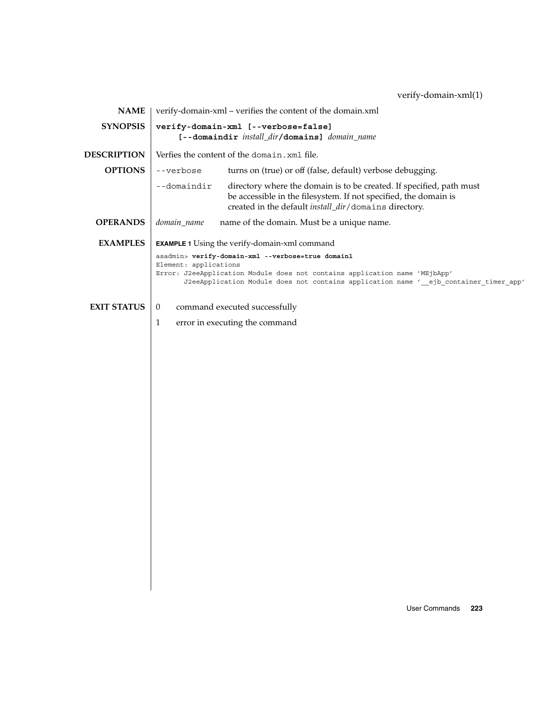# verify-domain-xml(1)

<span id="page-222-0"></span>

| <b>NAME</b>        | verify-domain-xml – verifies the content of the domain.xml                                                                                                                                                                                       |  |  |
|--------------------|--------------------------------------------------------------------------------------------------------------------------------------------------------------------------------------------------------------------------------------------------|--|--|
| <b>SYNOPSIS</b>    | verify-domain-xml [--verbose=false]<br>[--domaindir install_dir/domains] domain_name                                                                                                                                                             |  |  |
| <b>DESCRIPTION</b> | Verfies the content of the domain, xml file.                                                                                                                                                                                                     |  |  |
| <b>OPTIONS</b>     | turns on (true) or off (false, default) verbose debugging.<br>--verbose                                                                                                                                                                          |  |  |
|                    | directory where the domain is to be created. If specified, path must<br>$-$ -domaindir<br>be accessible in the filesystem. If not specified, the domain is<br>created in the default install_dir/domains directory.                              |  |  |
| <b>OPERANDS</b>    | domain name<br>name of the domain. Must be a unique name.                                                                                                                                                                                        |  |  |
| <b>EXAMPLES</b>    | <b>EXAMPLE 1</b> Using the verify-domain-xml command                                                                                                                                                                                             |  |  |
|                    | asadmin> verify-domain-xml --verbose=true domain1<br>Element: applications<br>Error: J2eeApplication Module does not contains application name 'MEjbApp'<br>J2eeApplication Module does not contains application name ' ejb container timer app' |  |  |
| <b>EXIT STATUS</b> | command executed successfully<br>$\theta$                                                                                                                                                                                                        |  |  |
|                    | 1<br>error in executing the command                                                                                                                                                                                                              |  |  |
|                    |                                                                                                                                                                                                                                                  |  |  |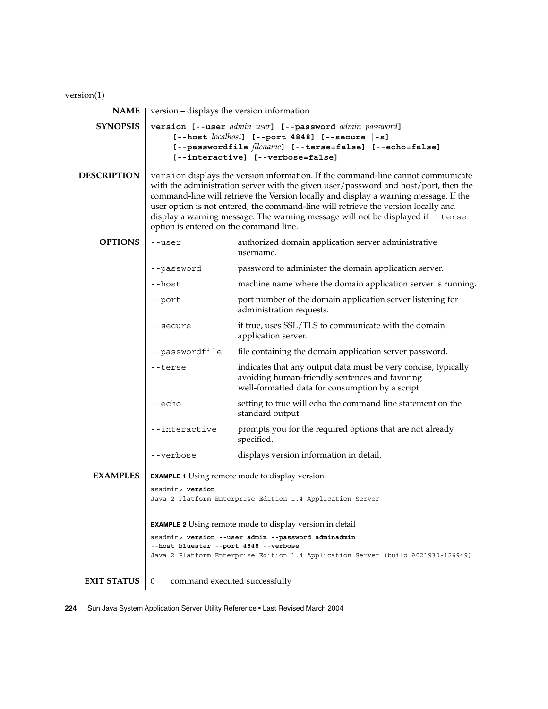<span id="page-223-0"></span>version(1)

| <b>NAME</b>        | version - displays the version information                                                                                                                                                                                                                                                                                                                                                                                                                                         |                                                                                                                                                                      |  |
|--------------------|------------------------------------------------------------------------------------------------------------------------------------------------------------------------------------------------------------------------------------------------------------------------------------------------------------------------------------------------------------------------------------------------------------------------------------------------------------------------------------|----------------------------------------------------------------------------------------------------------------------------------------------------------------------|--|
| <b>SYNOPSIS</b>    | version [--user admin_user] [--password admin_password]<br>[--host localhost] [--port 4848] [--secure $ -s $<br>[--passwordfile filename] [--terse=false] [--echo=false]<br>[--interactive] [--verbose=false]                                                                                                                                                                                                                                                                      |                                                                                                                                                                      |  |
| <b>DESCRIPTION</b> | version displays the version information. If the command-line cannot communicate<br>with the administration server with the given user/password and host/port, then the<br>command-line will retrieve the Version locally and display a warning message. If the<br>user option is not entered, the command-line will retrieve the version locally and<br>display a warning message. The warning message will not be displayed if --terse<br>option is entered on the command line. |                                                                                                                                                                      |  |
| <b>OPTIONS</b>     | --user                                                                                                                                                                                                                                                                                                                                                                                                                                                                             | authorized domain application server administrative<br>username.                                                                                                     |  |
|                    | --password                                                                                                                                                                                                                                                                                                                                                                                                                                                                         | password to administer the domain application server.                                                                                                                |  |
|                    | --host                                                                                                                                                                                                                                                                                                                                                                                                                                                                             | machine name where the domain application server is running.                                                                                                         |  |
|                    | --port                                                                                                                                                                                                                                                                                                                                                                                                                                                                             | port number of the domain application server listening for<br>administration requests.                                                                               |  |
|                    | --secure                                                                                                                                                                                                                                                                                                                                                                                                                                                                           | if true, uses SSL/TLS to communicate with the domain<br>application server.                                                                                          |  |
|                    | --passwordfile                                                                                                                                                                                                                                                                                                                                                                                                                                                                     | file containing the domain application server password.                                                                                                              |  |
|                    | --terse                                                                                                                                                                                                                                                                                                                                                                                                                                                                            | indicates that any output data must be very concise, typically<br>avoiding human-friendly sentences and favoring<br>well-formatted data for consumption by a script. |  |
|                    | --echo                                                                                                                                                                                                                                                                                                                                                                                                                                                                             | setting to true will echo the command line statement on the<br>standard output.                                                                                      |  |
|                    | --interactive                                                                                                                                                                                                                                                                                                                                                                                                                                                                      | prompts you for the required options that are not already<br>specified.                                                                                              |  |
|                    | --verbose                                                                                                                                                                                                                                                                                                                                                                                                                                                                          | displays version information in detail.                                                                                                                              |  |
| <b>EXAMPLES</b>    | <b>EXAMPLE 1</b> Using remote mode to display version                                                                                                                                                                                                                                                                                                                                                                                                                              |                                                                                                                                                                      |  |
|                    | asadmin> version                                                                                                                                                                                                                                                                                                                                                                                                                                                                   |                                                                                                                                                                      |  |
|                    |                                                                                                                                                                                                                                                                                                                                                                                                                                                                                    | Java 2 Platform Enterprise Edition 1.4 Application Server                                                                                                            |  |
|                    | <b>EXAMPLE 2</b> Using remote mode to display version in detail                                                                                                                                                                                                                                                                                                                                                                                                                    |                                                                                                                                                                      |  |
|                    | asadmin> version --user admin --password adminadmin                                                                                                                                                                                                                                                                                                                                                                                                                                |                                                                                                                                                                      |  |
|                    | --host bluestar --port 4848 --verbose<br>Java 2 Platform Enterprise Edition 1.4 Application Server (build A021930-126949)                                                                                                                                                                                                                                                                                                                                                          |                                                                                                                                                                      |  |
| <b>EXIT STATUS</b> | command executed successfully<br>$\theta$                                                                                                                                                                                                                                                                                                                                                                                                                                          |                                                                                                                                                                      |  |

**224** Sun Java System Application Server Utility Reference • Last Revised March 2004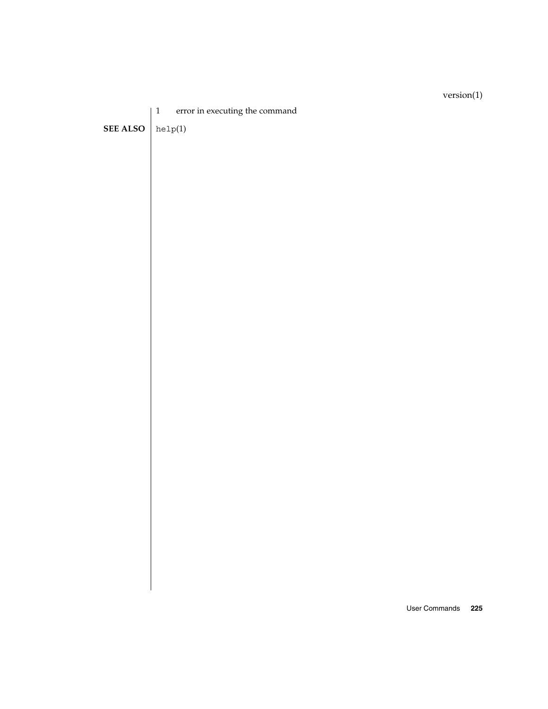version(1)

|                    | error in executing the command<br>$\,1$ |               | $\sqrt{2}$ |
|--------------------|-----------------------------------------|---------------|------------|
|                    |                                         |               |            |
| ${\bf SEE\; ALSO}$ | help(1)                                 |               |            |
|                    |                                         |               |            |
|                    |                                         |               |            |
|                    |                                         |               |            |
|                    |                                         |               |            |
|                    |                                         |               |            |
|                    |                                         |               |            |
|                    |                                         |               |            |
|                    |                                         |               |            |
|                    |                                         |               |            |
|                    |                                         |               |            |
|                    |                                         |               |            |
|                    |                                         |               |            |
|                    |                                         |               |            |
|                    |                                         |               |            |
|                    |                                         |               |            |
|                    |                                         |               |            |
|                    |                                         |               |            |
|                    |                                         |               |            |
|                    |                                         |               |            |
|                    |                                         |               |            |
|                    |                                         |               |            |
|                    |                                         |               |            |
|                    |                                         |               |            |
|                    |                                         |               |            |
|                    |                                         |               |            |
|                    |                                         |               |            |
|                    |                                         |               |            |
|                    |                                         | User Commands | 225        |
|                    |                                         |               |            |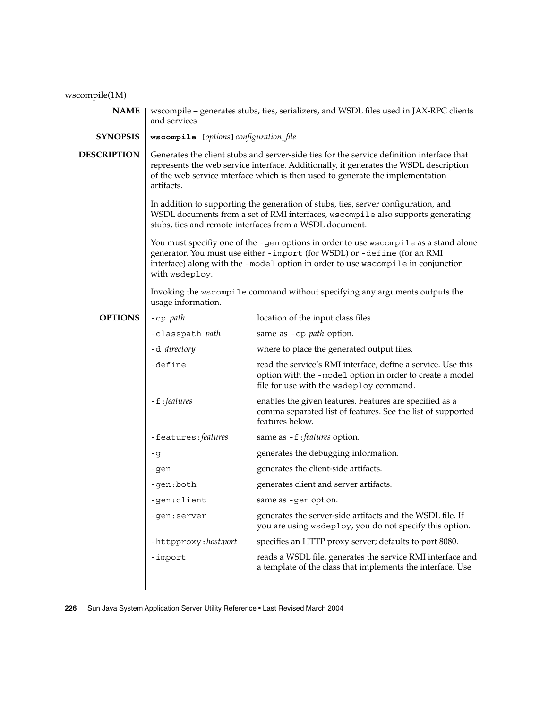# <span id="page-225-0"></span>wscompile(1M)

| <b>NAME</b>        | wscompile – generates stubs, ties, serializers, and WSDL files used in JAX-RPC clients<br>and services                                                                                                                                                                             |                                                                                                                                                                                                                                  |  |
|--------------------|------------------------------------------------------------------------------------------------------------------------------------------------------------------------------------------------------------------------------------------------------------------------------------|----------------------------------------------------------------------------------------------------------------------------------------------------------------------------------------------------------------------------------|--|
| <b>SYNOPSIS</b>    | wscompile [options] configuration_file                                                                                                                                                                                                                                             |                                                                                                                                                                                                                                  |  |
| <b>DESCRIPTION</b> | Generates the client stubs and server-side ties for the service definition interface that<br>represents the web service interface. Additionally, it generates the WSDL description<br>of the web service interface which is then used to generate the implementation<br>artifacts. |                                                                                                                                                                                                                                  |  |
|                    |                                                                                                                                                                                                                                                                                    | In addition to supporting the generation of stubs, ties, server configuration, and<br>WSDL documents from a set of RMI interfaces, wscompile also supports generating<br>stubs, ties and remote interfaces from a WSDL document. |  |
|                    | You must specifiy one of the -gen options in order to use wscompile as a stand alone<br>generator. You must use either - import (for WSDL) or - define (for an RMI<br>interface) along with the -model option in order to use wscompile in conjunction<br>with wsdeploy.           |                                                                                                                                                                                                                                  |  |
|                    | usage information.                                                                                                                                                                                                                                                                 | Invoking the wscompile command without specifying any arguments outputs the                                                                                                                                                      |  |
| <b>OPTIONS</b>     | $-cp$ path                                                                                                                                                                                                                                                                         | location of the input class files.                                                                                                                                                                                               |  |
|                    | -classpath path                                                                                                                                                                                                                                                                    | same as -cp path option.                                                                                                                                                                                                         |  |
|                    | -d directory                                                                                                                                                                                                                                                                       | where to place the generated output files.                                                                                                                                                                                       |  |
|                    | -define                                                                                                                                                                                                                                                                            | read the service's RMI interface, define a service. Use this<br>option with the -model option in order to create a model<br>file for use with the wsdeploy command.                                                              |  |
|                    | -f: features                                                                                                                                                                                                                                                                       | enables the given features. Features are specified as a<br>comma separated list of features. See the list of supported<br>features below.                                                                                        |  |
|                    | -features: features                                                                                                                                                                                                                                                                | same as -f: features option.                                                                                                                                                                                                     |  |
|                    | $-g$                                                                                                                                                                                                                                                                               | generates the debugging information.                                                                                                                                                                                             |  |
|                    | -gen                                                                                                                                                                                                                                                                               | generates the client-side artifacts.                                                                                                                                                                                             |  |
|                    | -gen:both                                                                                                                                                                                                                                                                          | generates client and server artifacts.                                                                                                                                                                                           |  |
|                    | -gen:client                                                                                                                                                                                                                                                                        | same as -gen option.                                                                                                                                                                                                             |  |
|                    | -gen:server                                                                                                                                                                                                                                                                        | generates the server-side artifacts and the WSDL file. If<br>you are using wsdeploy, you do not specify this option.                                                                                                             |  |
|                    | -httpproxy:host:port                                                                                                                                                                                                                                                               | specifies an HTTP proxy server; defaults to port 8080.                                                                                                                                                                           |  |
|                    | -import                                                                                                                                                                                                                                                                            | reads a WSDL file, generates the service RMI interface and<br>a template of the class that implements the interface. Use                                                                                                         |  |
|                    |                                                                                                                                                                                                                                                                                    |                                                                                                                                                                                                                                  |  |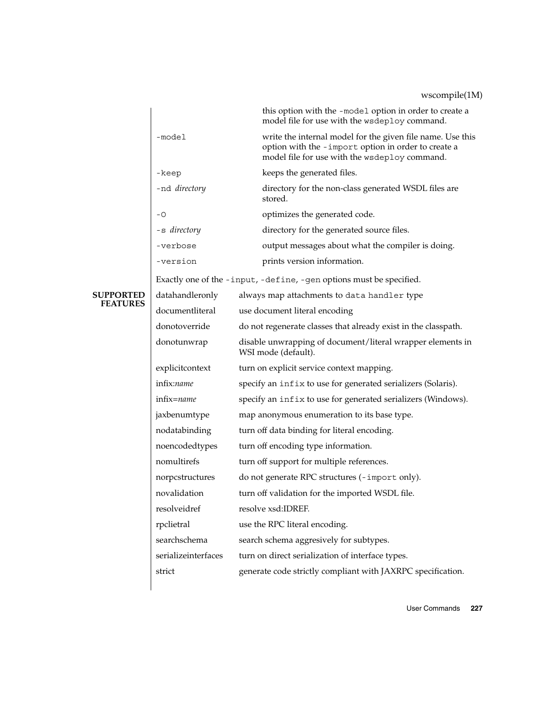|                  |                      |  | this option with the -model option in order to create a<br>model file for use with the wsdeploy command.                                                           |
|------------------|----------------------|--|--------------------------------------------------------------------------------------------------------------------------------------------------------------------|
|                  | -model               |  | write the internal model for the given file name. Use this<br>option with the -import option in order to create a<br>model file for use with the wsdeploy command. |
|                  | -keep                |  | keeps the generated files.                                                                                                                                         |
|                  | -nd <i>directory</i> |  | directory for the non-class generated WSDL files are<br>stored.                                                                                                    |
|                  | $-0$<br>-s directory |  | optimizes the generated code.                                                                                                                                      |
|                  |                      |  | directory for the generated source files.                                                                                                                          |
|                  | -verbose             |  | output messages about what the compiler is doing.                                                                                                                  |
|                  | -version             |  | prints version information.                                                                                                                                        |
|                  |                      |  | Exactly one of the -input, -define, -gen options must be specified.                                                                                                |
| <b>SUPPORTED</b> | datahandleronly      |  | always map attachments to data handler type                                                                                                                        |
| <b>FEATURES</b>  | documentliteral      |  | use document literal encoding                                                                                                                                      |
|                  | donotoverride        |  | do not regenerate classes that already exist in the classpath.                                                                                                     |
|                  | donotunwrap          |  | disable unwrapping of document/literal wrapper elements in<br>WSI mode (default).                                                                                  |
|                  | explicitcontext      |  | turn on explicit service context mapping.                                                                                                                          |
|                  | infix:name           |  | specify an infix to use for generated serializers (Solaris).                                                                                                       |
|                  | $infix = name$       |  | specify an infix to use for generated serializers (Windows).                                                                                                       |
|                  | jaxbenumtype         |  | map anonymous enumeration to its base type.                                                                                                                        |
|                  | nodatabinding        |  | turn off data binding for literal encoding.                                                                                                                        |
|                  | noencodedtypes       |  | turn off encoding type information.                                                                                                                                |
|                  | nomultirefs          |  | turn off support for multiple references.                                                                                                                          |
|                  | norpcstructures      |  | do not generate RPC structures (-import only).                                                                                                                     |
|                  | novalidation         |  | turn off validation for the imported WSDL file.                                                                                                                    |
|                  | resolveidref         |  | resolve xsd:IDREF.                                                                                                                                                 |
|                  | rpclietral           |  | use the RPC literal encoding.                                                                                                                                      |
|                  | searchschema         |  | search schema aggresively for subtypes.                                                                                                                            |
|                  | serializeinterfaces  |  | turn on direct serialization of interface types.                                                                                                                   |
|                  | strict               |  | generate code strictly compliant with JAXRPC specification.                                                                                                        |
|                  |                      |  |                                                                                                                                                                    |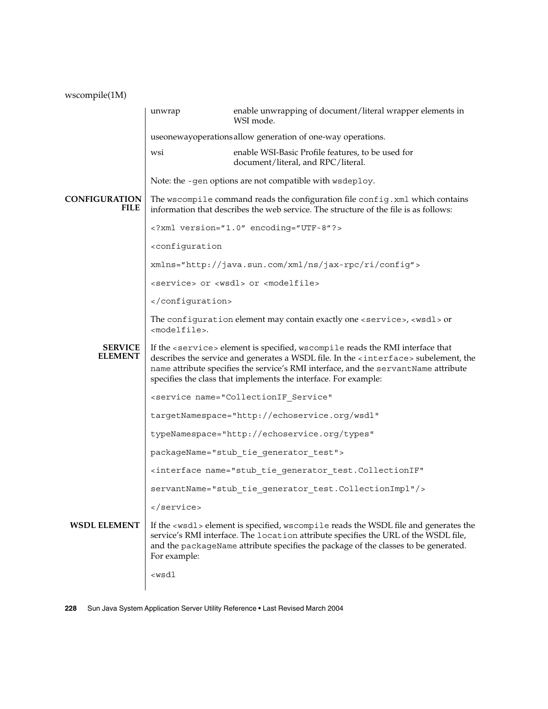# wscompile(1M)

|                                     | unwrap                                                                                                                                                                                                                                                                                                                                                  | enable unwrapping of document/literal wrapper elements in<br>WSI mode.                                                                                                |  |
|-------------------------------------|---------------------------------------------------------------------------------------------------------------------------------------------------------------------------------------------------------------------------------------------------------------------------------------------------------------------------------------------------------|-----------------------------------------------------------------------------------------------------------------------------------------------------------------------|--|
|                                     | useonewayoperations allow generation of one-way operations.                                                                                                                                                                                                                                                                                             |                                                                                                                                                                       |  |
|                                     | wsi                                                                                                                                                                                                                                                                                                                                                     | enable WSI-Basic Profile features, to be used for<br>document/literal, and RPC/literal.                                                                               |  |
|                                     |                                                                                                                                                                                                                                                                                                                                                         | Note: the -gen options are not compatible with wsdeploy.                                                                                                              |  |
| <b>CONFIGURATION</b><br><b>FILE</b> |                                                                                                                                                                                                                                                                                                                                                         | The wscompile command reads the configuration file config. xml which contains<br>information that describes the web service. The structure of the file is as follows: |  |
|                                     | xml version="1.0" encoding="UTF-8"?                                                                                                                                                                                                                                                                                                                     |                                                                                                                                                                       |  |
|                                     | <configuration< th=""><th></th></configuration<>                                                                                                                                                                                                                                                                                                        |                                                                                                                                                                       |  |
|                                     |                                                                                                                                                                                                                                                                                                                                                         | xmlns="http://java.sun.com/xml/ns/jax-rpc/ri/config">                                                                                                                 |  |
|                                     |                                                                                                                                                                                                                                                                                                                                                         | <service> or <wsdl> or <modelfile></modelfile></wsdl></service>                                                                                                       |  |
|                                     |                                                                                                                                                                                                                                                                                                                                                         |                                                                                                                                                                       |  |
|                                     | The configuration element may contain exactly one <service>, <wsdl> or<br/><modelfile>.</modelfile></wsdl></service>                                                                                                                                                                                                                                    |                                                                                                                                                                       |  |
| <b>SERVICE</b><br><b>ELEMENT</b>    | If the <service> element is specified, wscompile reads the RMI interface that<br/>describes the service and generates a WSDL file. In the <interface> subelement, the<br/>name attribute specifies the service's RMI interface, and the servantName attribute<br/>specifies the class that implements the interface. For example:</interface></service> |                                                                                                                                                                       |  |
|                                     |                                                                                                                                                                                                                                                                                                                                                         | <service <="" name="CollectionIF_Service" th=""></service>                                                                                                            |  |
|                                     |                                                                                                                                                                                                                                                                                                                                                         | targetNamespace="http://echoservice.org/wsdl"                                                                                                                         |  |
|                                     |                                                                                                                                                                                                                                                                                                                                                         | typeNamespace="http://echoservice.org/types"                                                                                                                          |  |
|                                     |                                                                                                                                                                                                                                                                                                                                                         | packageName="stub tie generator test">                                                                                                                                |  |
|                                     | <interface <="" name="stub tie generator test. CollectionIF" th=""></interface>                                                                                                                                                                                                                                                                         |                                                                                                                                                                       |  |
|                                     | servantName="stub tie generator test. CollectionImpl"/>                                                                                                                                                                                                                                                                                                 |                                                                                                                                                                       |  |
|                                     |                                                                                                                                                                                                                                                                                                                                                         |                                                                                                                                                                       |  |
| <b>WSDL ELEMENT</b>                 | If the <wsdl> element is specified, wscompile reads the WSDL file and generates the<br/>service's RMI interface. The location attribute specifies the URL of the WSDL file,<br/>and the packageName attribute specifies the package of the classes to be generated.<br/>For example:</wsdl>                                                             |                                                                                                                                                                       |  |
|                                     | <wsdl< th=""><th></th></wsdl<>                                                                                                                                                                                                                                                                                                                          |                                                                                                                                                                       |  |

**228** Sun Java System Application Server Utility Reference • Last Revised March 2004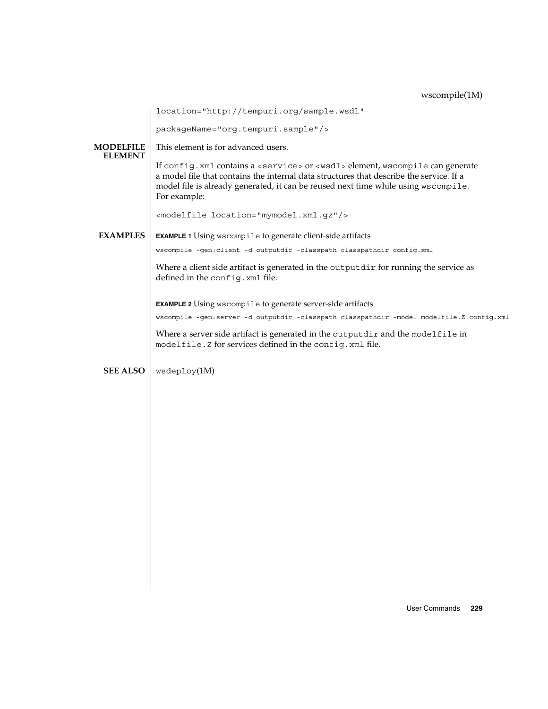wscompile(1M)

| MODELFILE<br><b>ELEMENT</b> | location="http://tempuri.org/sample.wsdl"                                                                                                                                                                                                                                                          |
|-----------------------------|----------------------------------------------------------------------------------------------------------------------------------------------------------------------------------------------------------------------------------------------------------------------------------------------------|
|                             | packageName="org.tempuri.sample"/>                                                                                                                                                                                                                                                                 |
|                             | This element is for advanced users.                                                                                                                                                                                                                                                                |
|                             | If config. xml contains a <service> or <wsdl> element, wscompile can generate<br/>a model file that contains the internal data structures that describe the service. If a<br/>model file is already generated, it can be reused next time while using wscompile.<br/>For example:</wsdl></service> |
|                             | <modelfile location="mymodel.xml.gz"></modelfile>                                                                                                                                                                                                                                                  |
| <b>EXAMPLES</b>             | <b>EXAMPLE 1</b> Using wscompile to generate client-side artifacts                                                                                                                                                                                                                                 |
|                             | wscompile -gen:client -d outputdir -classpath classpathdir config.xml                                                                                                                                                                                                                              |
|                             | Where a client side artifact is generated in the outputdir for running the service as<br>defined in the config. xml file.                                                                                                                                                                          |
|                             | <b>EXAMPLE 2</b> Using wscompile to generate server-side artifacts                                                                                                                                                                                                                                 |
|                             | wscompile -gen:server -d outputdir -classpath classpathdir -model modelfile.Z config.xml                                                                                                                                                                                                           |
|                             | Where a server side artifact is generated in the outputdir and the modelfile in<br>modelfile. Z for services defined in the config. xml file.                                                                                                                                                      |
| <b>SEE ALSO</b>             | wsdeploy(1M)                                                                                                                                                                                                                                                                                       |
|                             |                                                                                                                                                                                                                                                                                                    |
|                             |                                                                                                                                                                                                                                                                                                    |
|                             |                                                                                                                                                                                                                                                                                                    |
|                             |                                                                                                                                                                                                                                                                                                    |
|                             |                                                                                                                                                                                                                                                                                                    |
|                             |                                                                                                                                                                                                                                                                                                    |
|                             |                                                                                                                                                                                                                                                                                                    |
|                             |                                                                                                                                                                                                                                                                                                    |
|                             |                                                                                                                                                                                                                                                                                                    |
|                             |                                                                                                                                                                                                                                                                                                    |
|                             |                                                                                                                                                                                                                                                                                                    |
|                             |                                                                                                                                                                                                                                                                                                    |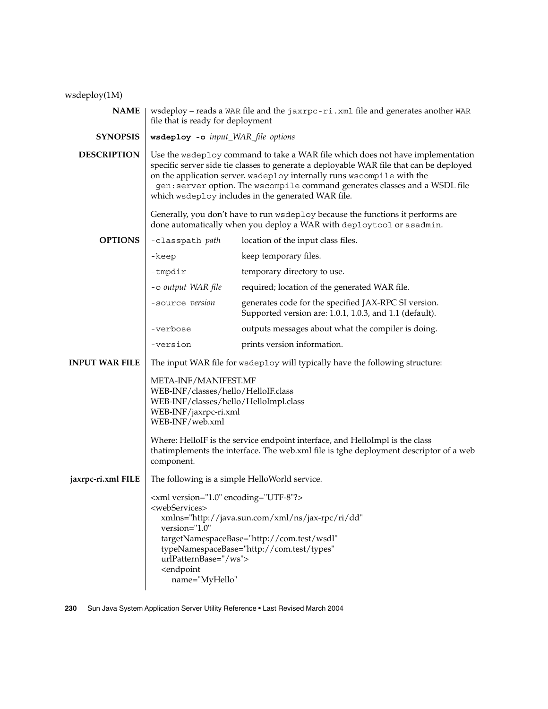<span id="page-229-0"></span>

|  | wsdeploy(1M) |  |
|--|--------------|--|
|--|--------------|--|

| <b>NAME</b>           | wsdeploy – reads a WAR file and the jaxrpc-ri.xml file and generates another WAR<br>file that is ready for deployment                                                                                                                                                                                                                                                                                                                                                                                                                                |                                                                                                                                                                       |  |
|-----------------------|------------------------------------------------------------------------------------------------------------------------------------------------------------------------------------------------------------------------------------------------------------------------------------------------------------------------------------------------------------------------------------------------------------------------------------------------------------------------------------------------------------------------------------------------------|-----------------------------------------------------------------------------------------------------------------------------------------------------------------------|--|
| <b>SYNOPSIS</b>       | wsdeploy -o input_WAR_file options                                                                                                                                                                                                                                                                                                                                                                                                                                                                                                                   |                                                                                                                                                                       |  |
| <b>DESCRIPTION</b>    | Use the wsdeploy command to take a WAR file which does not have implementation<br>specific server side tie classes to generate a deployable WAR file that can be deployed<br>on the application server. wsdeploy internally runs wscompile with the<br>-gen: server option. The wscompile command generates classes and a WSDL file<br>which wsdeploy includes in the generated WAR file.<br>Generally, you don't have to run wsdeploy because the functions it performs are<br>done automatically when you deploy a WAR with deploytool or asadmin. |                                                                                                                                                                       |  |
|                       |                                                                                                                                                                                                                                                                                                                                                                                                                                                                                                                                                      |                                                                                                                                                                       |  |
| <b>OPTIONS</b>        | -classpath path                                                                                                                                                                                                                                                                                                                                                                                                                                                                                                                                      | location of the input class files.                                                                                                                                    |  |
|                       | -keep                                                                                                                                                                                                                                                                                                                                                                                                                                                                                                                                                | keep temporary files.                                                                                                                                                 |  |
|                       | -tmpdir                                                                                                                                                                                                                                                                                                                                                                                                                                                                                                                                              | temporary directory to use.                                                                                                                                           |  |
|                       | -0 output WAR file                                                                                                                                                                                                                                                                                                                                                                                                                                                                                                                                   | required; location of the generated WAR file.                                                                                                                         |  |
|                       | -source version                                                                                                                                                                                                                                                                                                                                                                                                                                                                                                                                      | generates code for the specified JAX-RPC SI version.<br>Supported version are: 1.0.1, 1.0.3, and 1.1 (default).                                                       |  |
|                       | -verbose                                                                                                                                                                                                                                                                                                                                                                                                                                                                                                                                             | outputs messages about what the compiler is doing.                                                                                                                    |  |
|                       | -version                                                                                                                                                                                                                                                                                                                                                                                                                                                                                                                                             | prints version information.                                                                                                                                           |  |
| <b>INPUT WAR FILE</b> |                                                                                                                                                                                                                                                                                                                                                                                                                                                                                                                                                      | The input WAR file for wsdeploy will typically have the following structure:                                                                                          |  |
|                       | META-INF/MANIFEST.MF<br>WEB-INF/classes/hello/HelloIF.class<br>WEB-INF/classes/hello/HelloImpl.class<br>WEB-INF/jaxrpc-ri.xml<br>WEB-INF/web.xml                                                                                                                                                                                                                                                                                                                                                                                                     |                                                                                                                                                                       |  |
|                       | component.                                                                                                                                                                                                                                                                                                                                                                                                                                                                                                                                           | Where: HelloIF is the service endpoint interface, and HelloImpl is the class<br>thatimplements the interface. The web.xml file is tghe deployment descriptor of a web |  |
| jaxrpc-ri.xml FILE    | The following is a simple HelloWorld service.                                                                                                                                                                                                                                                                                                                                                                                                                                                                                                        |                                                                                                                                                                       |  |
|                       | <xml ?="" encoding="UTF-8" version="1.0"><br/><webservices><br/>version="1.0"<br/>urlPatternBase="/ws"&gt;<br/><endpoint<br>name="MyHello"</endpoint<br></webservices></xml>                                                                                                                                                                                                                                                                                                                                                                         | xmlns="http://java.sun.com/xml/ns/jax-rpc/ri/dd"<br>targetNamespaceBase="http://com.test/wsdl"<br>typeNamespaceBase="http://com.test/types"                           |  |

**<sup>230</sup>** Sun Java System Application Server Utility Reference • Last Revised March 2004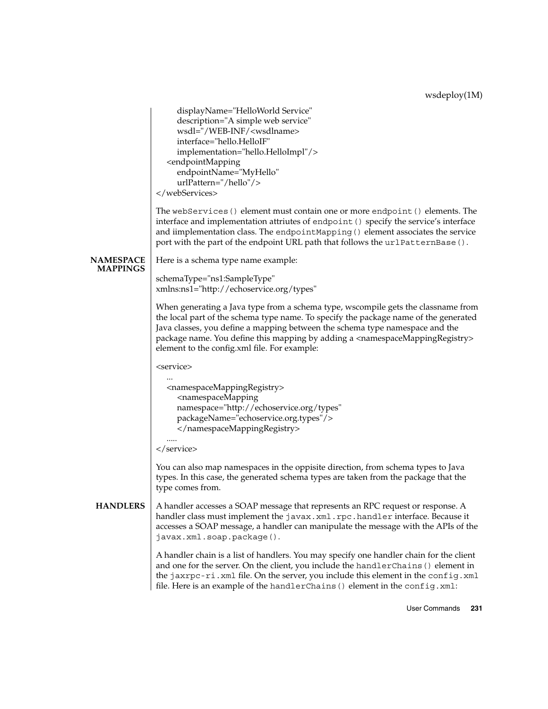# wsdeploy(1M)

| <b>NAMESPACE</b><br><b>MAPPINGS</b><br><b>HANDLERS</b> | displayName="HelloWorld Service"<br>description="A simple web service"<br>wsdl="/WEB-INF/ <wsdlname><br/>interface="hello.HelloIF"<br/>implementation="hello.HelloImpl"/&gt;<br/><endpointmapping<br>endpointName="MyHello"<br/><math>urlPattern="hello*/&gt;</math><br/></endpointmapping<br></wsdlname>                                                                                                             |  |
|--------------------------------------------------------|-----------------------------------------------------------------------------------------------------------------------------------------------------------------------------------------------------------------------------------------------------------------------------------------------------------------------------------------------------------------------------------------------------------------------|--|
|                                                        | The webServices () element must contain one or more endpoint () elements. The<br>interface and implementation attriutes of endpoint () specify the service's interface<br>and iimplementation class. The endpoint Mapping () element associates the service<br>port with the part of the endpoint URL path that follows the urlPatternBase ().                                                                        |  |
|                                                        | Here is a schema type name example:                                                                                                                                                                                                                                                                                                                                                                                   |  |
|                                                        | schemaType="ns1:SampleType"<br>xmlns:ns1="http://echoservice.org/types"                                                                                                                                                                                                                                                                                                                                               |  |
|                                                        | When generating a Java type from a schema type, wscompile gets the classname from<br>the local part of the schema type name. To specify the package name of the generated<br>Java classes, you define a mapping between the schema type namespace and the<br>package name. You define this mapping by adding a <namespacemappingregistry><br/>element to the config.xml file. For example:</namespacemappingregistry> |  |
|                                                        | <service></service>                                                                                                                                                                                                                                                                                                                                                                                                   |  |
|                                                        | <namespacemappingregistry><br/><namespacemapping<br>namespace="http://echoservice.org/types"<br/>packageName="echoservice.org.types"/&gt;<br/></namespacemapping<br></namespacemappingregistry>                                                                                                                                                                                                                       |  |
|                                                        |                                                                                                                                                                                                                                                                                                                                                                                                                       |  |
|                                                        | You can also map namespaces in the oppisite direction, from schema types to Java<br>types. In this case, the generated schema types are taken from the package that the<br>type comes from.                                                                                                                                                                                                                           |  |
|                                                        | A handler accesses a SOAP message that represents an RPC request or response. A<br>handler class must implement the javax.xml.rpc.handler interface. Because it<br>accesses a SOAP message, a handler can manipulate the message with the APIs of the<br>javax.xml.soap.package().                                                                                                                                    |  |
|                                                        | A handler chain is a list of handlers. You may specify one handler chain for the client<br>and one for the server. On the client, you include the handlerChains () element in<br>the jaxrpc-ri.xml file. On the server, you include this element in the config.xml<br>file. Here is an example of the handlerChains () element in the config. xml:                                                                    |  |

User Commands **231**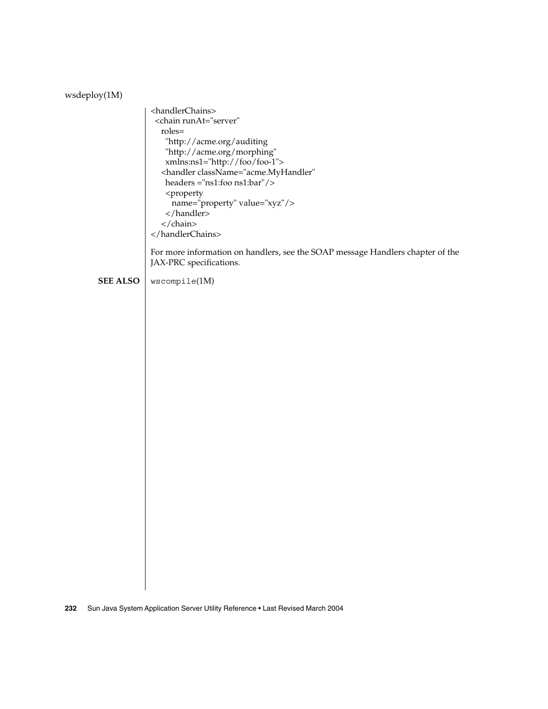| wsdeploy(1M)    |                                                                                                                                                                                                                                                                                                                                                                                                                                                           |  |  |  |  |
|-----------------|-----------------------------------------------------------------------------------------------------------------------------------------------------------------------------------------------------------------------------------------------------------------------------------------------------------------------------------------------------------------------------------------------------------------------------------------------------------|--|--|--|--|
|                 | <handlerchains><br/><chain <br="" runat="server"><math>roles =</math><br/>"http://acme.org/auditing<br/>"http://acme.org/morphing"<br/>xmlns:ns1="http://foo/foo-1"&gt;<br/><handler <br="" classname="acme.MyHandler">headers ="ns1:foo ns1:bar"/&gt;<br/><property<br>name="property" value="xyz"/&gt;<br/></property<br></handler><br/></chain><br/></handlerchains><br>For more information on handlers, see the SOAP message Handlers chapter of the |  |  |  |  |
| <b>SEE ALSO</b> | JAX-PRC specifications.<br>$ws$ compile $(1M)$                                                                                                                                                                                                                                                                                                                                                                                                            |  |  |  |  |
|                 |                                                                                                                                                                                                                                                                                                                                                                                                                                                           |  |  |  |  |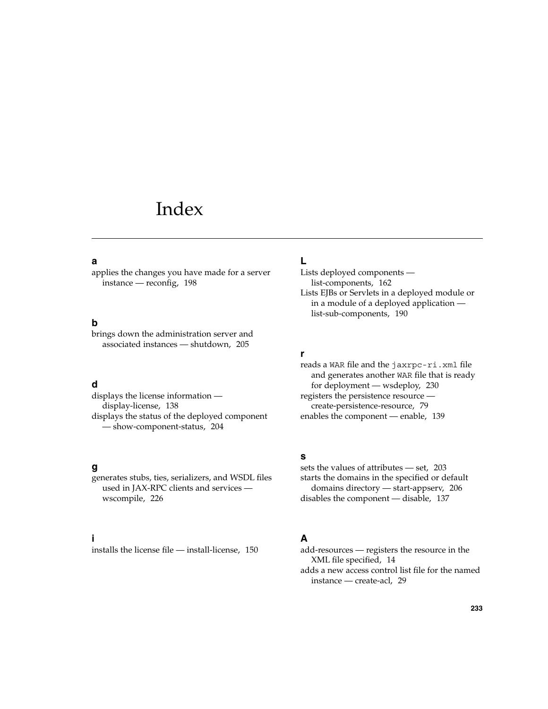# Index

#### **a**

applies the changes you have made for a server instance — reconfig, [198](#page-197-0)

#### **b**

brings down the administration server and associated instances — shutdown, [205](#page-204-0)

## **d**

displays the license information display-license, [138](#page-137-0) displays the status of the deployed component — show-component-status, [204](#page-203-0)

## **g**

generates stubs, ties, serializers, and WSDL files used in JAX-RPC clients and services wscompile, [226](#page-225-0)

#### **i**

installs the license file — install-license, [150](#page-149-0)

## **L**

Lists deployed components list-components, [162](#page-161-0)

Lists EJBs or Servlets in a deployed module or in a module of a deployed application list-sub-components, [190](#page-189-0)

### **r**

reads a WAR file and the jaxrpc-ri.xml file and generates another WAR file that is ready for deployment — wsdeploy, [230](#page-229-0) registers the persistence resource create-persistence-resource, [79](#page-78-0) enables the component — enable, [139](#page-138-0)

#### **s**

sets the values of attributes — set, [203](#page-202-0) starts the domains in the specified or default domains directory — start-appserv, [206](#page-205-0) disables the component — disable, [137](#page-136-0)

## **A**

add-resources — registers the resource in the XML file specified, [14](#page-13-0) adds a new access control list file for the named instance — create-acl, [29](#page-28-0)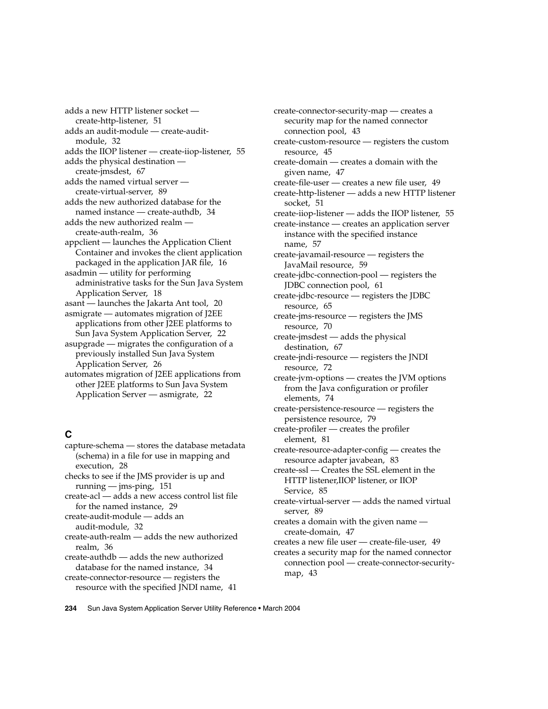adds a new HTTP listener socket create-http-listener, [51](#page-50-0) adds an audit-module — create-audit-module, [32](#page-31-0) adds the IIOP listener — create-iiop-listener, [55](#page-54-0) adds the physical destination create-jmsdest, [67](#page-66-0) adds the named virtual server create-virtual-server, [89](#page-88-0) adds the new authorized database for the named instance — create-authdb, [34](#page-33-0) adds the new authorized realm create-auth-realm, [36](#page-35-0) appclient — launches the Application Client Container and invokes the client application packaged in the application JAR file, [16](#page-15-0) asadmin — utility for performing administrative tasks for the Sun Java System Application Server, [18](#page-17-0) asant — launches the Jakarta Ant tool, [20](#page-19-0) asmigrate — automates migration of J2EE applications from other J2EE platforms to Sun Java System Application Server, [22](#page-21-0) asupgrade — migrates the configuration of a previously installed Sun Java System Application Server, [26](#page-25-0) automates migration of J2EE applications from other J2EE platforms to Sun Java System Application Server — asmigrate, [22](#page-21-0)

## **C**

capture-schema — stores the database metadata (schema) in a file for use in mapping and execution, [28](#page-27-0) checks to see if the JMS provider is up and running — jms-ping, [151](#page-150-0) create-acl — adds a new access control list file for the named instance, [29](#page-28-0) create-audit-module — adds an audit-module, [32](#page-31-0) create-auth-realm — adds the new authorized realm, [36](#page-35-0) create-authdb — adds the new authorized database for the named instance, [34](#page-33-0) create-connector-resource — registers the resource with the specified JNDI name, [41](#page-40-0)

create-connector-security-map — creates a security map for the named connector connection pool, [43](#page-42-0) create-custom-resource — registers the custom resource, [45](#page-44-0) create-domain — creates a domain with the given name, [47](#page-46-0) create-file-user — creates a new file user, [49](#page-48-0) create-http-listener — adds a new HTTP listener socket, [51](#page-50-0) create-iiop-listener — adds the IIOP listener, [55](#page-54-0) create-instance — creates an application server instance with the specified instance name, [57](#page-56-0) create-javamail-resource — registers the JavaMail resource, [59](#page-58-0) create-jdbc-connection-pool — registers the JDBC connection pool, [61](#page-60-0) create-jdbc-resource — registers the JDBC resource, [65](#page-64-0) create-jms-resource — registers the JMS resource, [70](#page-69-0) create-jmsdest — adds the physical destination, [67](#page-66-0) create-jndi-resource — registers the JNDI resource, [72](#page-71-0) create-jvm-options — creates the JVM options from the Java configuration or profiler elements, [74](#page-73-0) create-persistence-resource — registers the persistence resource, [79](#page-78-0) create-profiler — creates the profiler element, [81](#page-80-0) create-resource-adapter-config — creates the resource adapter javabean, [83](#page-82-0) create-ssl — Creates the SSL element in the HTTP listener,IIOP listener, or IIOP Service, [85](#page-84-0) create-virtual-server — adds the named virtual server, [89](#page-88-0) creates a domain with the given name create-domain, [47](#page-46-0) creates a new file user — create-file-user, [49](#page-48-0) creates a security map for the named connector connection pool — create-connector-securitymap, [43](#page-42-0)

**234** Sun Java System Application Server Utility Reference • March 2004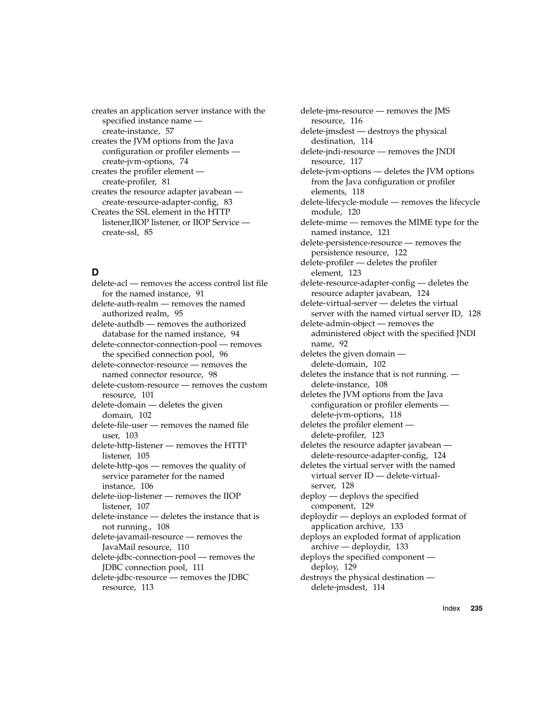creates an application server instance with the specified instance name create-instance, [57](#page-56-0) creates the JVM options from the Java configuration or profiler elements create-jvm-options, [74](#page-73-0) creates the profiler element create-profiler, [81](#page-80-0) creates the resource adapter javabean create-resource-adapter-config, [83](#page-82-0) Creates the SSL element in the HTTP listener,IIOP listener, or IIOP Service create-ssl, [85](#page-84-0)

## **D**

delete-acl — removes the access control list file for the named instance, [91](#page-90-0) delete-auth-realm — removes the named authorized realm, [95](#page-94-0) delete-authdb — removes the authorized database for the named instance, [94](#page-93-0) delete-connector-connection-pool — removes the specified connection pool, [96](#page-95-0) delete-connector-resource — removes the named connector resource, [98](#page-97-0) delete-custom-resource — removes the custom resource, [101](#page-100-0) delete-domain — deletes the given domain, [102](#page-101-0) delete-file-user — removes the named file user, [103](#page-102-0) delete-http-listener — removes the HTTP listener, [105](#page-104-0) delete-http-qos — removes the quality of service parameter for the named instance, [106](#page-105-0) delete-iiop-listener — removes the IIOP listener, [107](#page-106-0) delete-instance — deletes the instance that is not running., [108](#page-107-0) delete-javamail-resource — removes the JavaMail resource, [110](#page-109-0) delete-jdbc-connection-pool — removes the JDBC connection pool, [111](#page-110-0) delete-jdbc-resource — removes the JDBC resource, [113](#page-112-0)

delete-jms-resource — removes the JMS resource, [116](#page-115-0) delete-jmsdest — destroys the physical destination, [114](#page-113-0) delete-jndi-resource — removes the JNDI resource, [117](#page-116-0) delete-jvm-options — deletes the JVM options from the Java configuration or profiler elements, [118](#page-117-0) delete-lifecycle-module — removes the lifecycle module, [120](#page-119-0) delete-mime — removes the MIME type for the named instance, [121](#page-120-0) delete-persistence-resource — removes the persistence resource, [122](#page-121-0) delete-profiler — deletes the profiler element, [123](#page-122-0) delete-resource-adapter-config — deletes the resource adapter javabean, [124](#page-123-0) delete-virtual-server — deletes the virtual server with the named virtual server ID, [128](#page-127-0) delete-admin-object — removes the administered object with the specified JNDI name, [92](#page-91-0) deletes the given domain delete-domain, [102](#page-101-0) deletes the instance that is not running. delete-instance, [108](#page-107-0) deletes the JVM options from the Java configuration or profiler elements delete-jvm-options, [118](#page-117-0) deletes the profiler element delete-profiler, [123](#page-122-0) deletes the resource adapter javabean delete-resource-adapter-config, [124](#page-123-0) deletes the virtual server with the named virtual server ID — delete-virtualserver, [128](#page-127-0) deploy — deploys the specified component, [129](#page-128-0) deploydir — deploys an exploded format of application archive, [133](#page-132-0) deploys an exploded format of application archive — deploydir, [133](#page-132-0) deploys the specified component deploy, [129](#page-128-0) destroys the physical destination delete-jmsdest, [114](#page-113-0)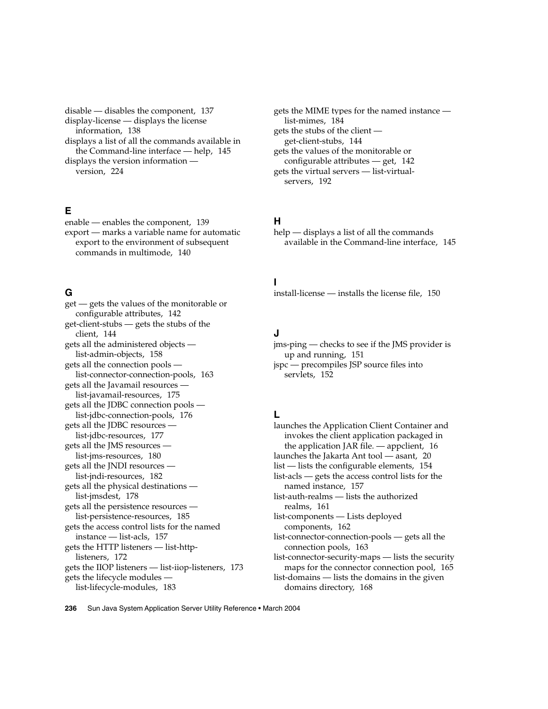disable — disables the component, [137](#page-136-0) display-license — displays the license information, [138](#page-137-0) displays a list of all the commands available in the Command-line interface — help, [145](#page-144-0) displays the version information version, [224](#page-223-0)

## **E**

enable — enables the component, [139](#page-138-0) export — marks a variable name for automatic export to the environment of subsequent commands in multimode, [140](#page-139-0)

## **G**

get — gets the values of the monitorable or configurable attributes, [142](#page-141-0) get-client-stubs — gets the stubs of the client, [144](#page-143-0) gets all the administered objects list-admin-objects, [158](#page-157-0) gets all the connection pools list-connector-connection-pools, [163](#page-162-0) gets all the Javamail resources list-javamail-resources, [175](#page-174-0) gets all the JDBC connection pools list-jdbc-connection-pools, [176](#page-175-0) gets all the JDBC resources list-jdbc-resources, [177](#page-176-0) gets all the JMS resources list-jms-resources, [180](#page-179-0) gets all the JNDI resources list-jndi-resources, [182](#page-181-0) gets all the physical destinations list-jmsdest, [178](#page-177-0) gets all the persistence resources list-persistence-resources, [185](#page-184-0) gets the access control lists for the named instance — list-acls, [157](#page-156-0) gets the HTTP listeners — list-httplisteners, [172](#page-171-0) gets the IIOP listeners — list-iiop-listeners, [173](#page-172-0) gets the lifecycle modules list-lifecycle-modules, [183](#page-182-0)

gets the MIME types for the named instance list-mimes, [184](#page-183-0) gets the stubs of the client get-client-stubs, [144](#page-143-0) gets the values of the monitorable or configurable attributes — get, [142](#page-141-0) gets the virtual servers — list-virtualservers, [192](#page-191-0)

## **H**

help — displays a list of all the commands available in the Command-line interface, [145](#page-144-0)

## **I**

install-license — installs the license file, [150](#page-149-0)

## **J**

jms-ping — checks to see if the JMS provider is up and running, [151](#page-150-0) jspc — precompiles JSP source files into servlets, [152](#page-151-0)

## **L**

launches the Application Client Container and invokes the client application packaged in the application JAR file. — appclient, [16](#page-15-0) launches the Jakarta Ant tool — asant, [20](#page-19-0) list — lists the configurable elements, [154](#page-153-0) list-acls — gets the access control lists for the named instance, [157](#page-156-0) list-auth-realms — lists the authorized realms, [161](#page-160-0) list-components — Lists deployed components, [162](#page-161-0) list-connector-connection-pools — gets all the connection pools, [163](#page-162-0) list-connector-security-maps — lists the security maps for the connector connection pool, [165](#page-164-0) list-domains — lists the domains in the given domains directory, [168](#page-167-0)

**236** Sun Java System Application Server Utility Reference • March 2004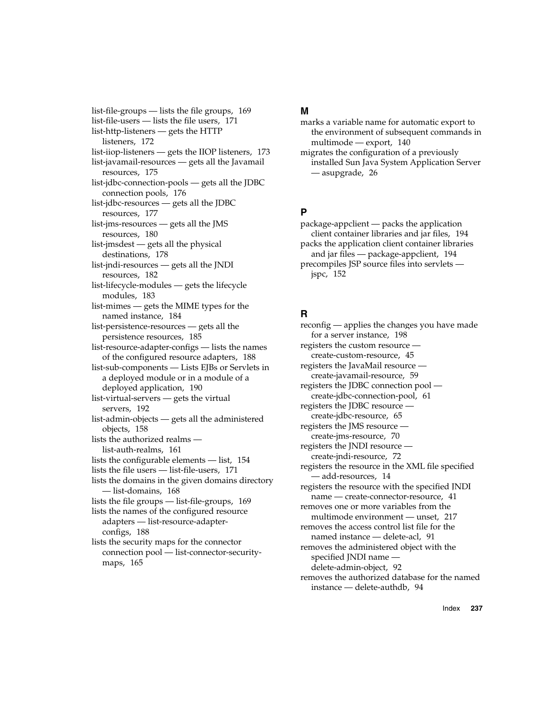list-file-groups — lists the file groups, [169](#page-168-0) list-file-users — lists the file users, [171](#page-170-0) list-http-listeners — gets the HTTP listeners, [172](#page-171-0) list-iiop-listeners — gets the IIOP listeners, [173](#page-172-0) list-javamail-resources — gets all the Javamail resources, [175](#page-174-0) list-jdbc-connection-pools — gets all the JDBC connection pools, [176](#page-175-0) list-jdbc-resources — gets all the JDBC resources, [177](#page-176-0) list-jms-resources — gets all the JMS resources, [180](#page-179-0) list-jmsdest — gets all the physical destinations, [178](#page-177-0) list-jndi-resources — gets all the JNDI resources, [182](#page-181-0) list-lifecycle-modules — gets the lifecycle modules, [183](#page-182-0) list-mimes — gets the MIME types for the named instance, [184](#page-183-0) list-persistence-resources — gets all the persistence resources, [185](#page-184-0) list-resource-adapter-configs — lists the names of the configured resource adapters, [188](#page-187-0) list-sub-components — Lists EJBs or Servlets in a deployed module or in a module of a deployed application, [190](#page-189-0) list-virtual-servers — gets the virtual servers, [192](#page-191-0) list-admin-objects — gets all the administered objects, [158](#page-157-0) lists the authorized realms list-auth-realms, [161](#page-160-0) lists the configurable elements — list, [154](#page-153-0) lists the file users — list-file-users, [171](#page-170-0) lists the domains in the given domains directory — list-domains, [168](#page-167-0) lists the file groups — list-file-groups, [169](#page-168-0) lists the names of the configured resource adapters — list-resource-adapterconfigs, [188](#page-187-0) lists the security maps for the connector connection pool — list-connector-securitymaps, [165](#page-164-0)

## **M**

- marks a variable name for automatic export to the environment of subsequent commands in multimode — export, [140](#page-139-0)
- migrates the configuration of a previously installed Sun Java System Application Server — asupgrade, [26](#page-25-0)

## **P**

package-appclient — packs the application client container libraries and jar files, [194](#page-193-0) packs the application client container libraries and jar files — package-appclient, [194](#page-193-0) precompiles JSP source files into servlets jspc, [152](#page-151-0)

## **R**

reconfig — applies the changes you have made for a server instance, [198](#page-197-0) registers the custom resource create-custom-resource, [45](#page-44-0) registers the JavaMail resource create-javamail-resource, [59](#page-58-0) registers the JDBC connection pool create-jdbc-connection-pool, [61](#page-60-0) registers the JDBC resource create-jdbc-resource, [65](#page-64-0) registers the JMS resource create-jms-resource, [70](#page-69-0) registers the JNDI resource create-jndi-resource, [72](#page-71-0) registers the resource in the XML file specified — add-resources, [14](#page-13-0) registers the resource with the specified JNDI name — create-connector-resource, [41](#page-40-0) removes one or more variables from the multimode environment — unset, [217](#page-216-0) removes the access control list file for the named instance — delete-acl, [91](#page-90-0) removes the administered object with the specified JNDI name delete-admin-object, [92](#page-91-0) removes the authorized database for the named instance — delete-authdb, [94](#page-93-0)